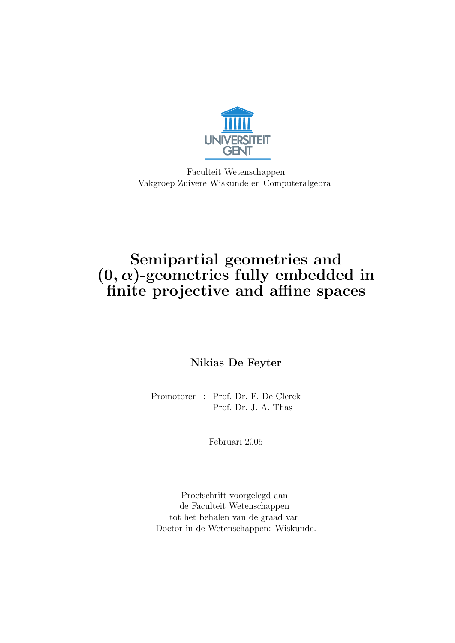

Faculteit Wetenschappen Vakgroep Zuivere Wiskunde en Computeralgebra

## Semipartial geometries and  $(0, \alpha)$ -geometries fully embedded in finite projective and affine spaces

Nikias De Feyter

Promotoren : Prof. Dr. F. De Clerck Prof. Dr. J. A. Thas

Februari 2005

Proefschrift voorgelegd aan de Faculteit Wetenschappen tot het behalen van de graad van Doctor in de Wetenschappen: Wiskunde.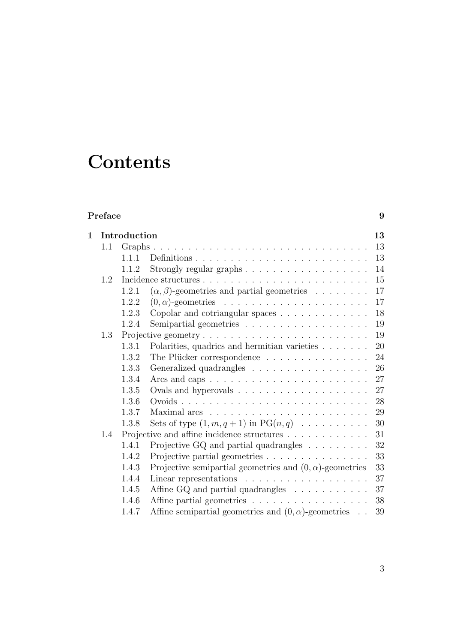## **Contents**

## Preface 9 1 Introduction 13 1.1 Graphs . . . . . . . . . . . . . . . . . . . . . . . . . . . . . . . 13 1.1.1 Definitions . . . . . . . . . . . . . . . . . . . . . . . . . 13 1.1.2 Strongly regular graphs . . . . . . . . . . . . . . . . . . 14 1.2 Incidence structures . . . . . . . . . . . . . . . . . . . . . . . . 15 1.2.1  $(\alpha, \beta)$ -geometries and partial geometries . . . . . . . 17 1.2.2 (0, α)-geometries . . . . . . . . . . . . . . . . . . . . . 17 1.2.3 Copolar and cotriangular spaces . . . . . . . . . . . . . 18 1.2.4 Semipartial geometries . . . . . . . . . . . . . . . . . . 19 1.3 Projective geometry . . . . . . . . . . . . . . . . . . . . . . . . 19 1.3.1 Polarities, quadrics and hermitian varieties . . . . . . . . 20<br>1.3.2 The Plücker correspondence The Plücker correspondence

|     |       | THE I RUCKEL COLLESPONDENCE $\cdots \cdots \cdots \cdots$                        |     |
|-----|-------|----------------------------------------------------------------------------------|-----|
|     | 1.3.3 | Generalized quadrangles 26                                                       |     |
|     | 1.3.4 | Arcs and caps $\ldots \ldots \ldots \ldots \ldots \ldots \ldots \ldots 27$       |     |
|     | 1.3.5 | Ovals and hyperovals $\ldots \ldots \ldots \ldots \ldots \ldots 27$              |     |
|     | 1.3.6 |                                                                                  |     |
|     | 1.3.7 | Maximal arcs $\ldots \ldots \ldots \ldots \ldots \ldots \ldots \ldots \ldots 29$ |     |
|     | 1.3.8 | Sets of type $(1, m, q + 1)$ in PG $(n, q)$ 30                                   |     |
| 1.4 |       | Projective and affine incidence structures $\dots \dots \dots \dots$             | -31 |
|     | 1.4.1 | Projective GQ and partial quadrangles $\ldots \ldots \ldots$                     | 32  |
|     | 1.4.2 | Projective partial geometries                                                    | 33  |
|     | 1.4.3 | Projective semipartial geometries and $(0, \alpha)$ -geometries                  | 33  |
|     | 1.4.4 | Linear representations $\ldots \ldots \ldots \ldots \ldots$                      | 37  |
|     | 1.4.5 | Affine GQ and partial quadrangles                                                | 37  |
|     | 1.4.6 | Affine partial geometries 38                                                     |     |
|     |       |                                                                                  |     |

1.4.7 Affine semipartial geometries and  $(0, \alpha)$ -geometries . . 39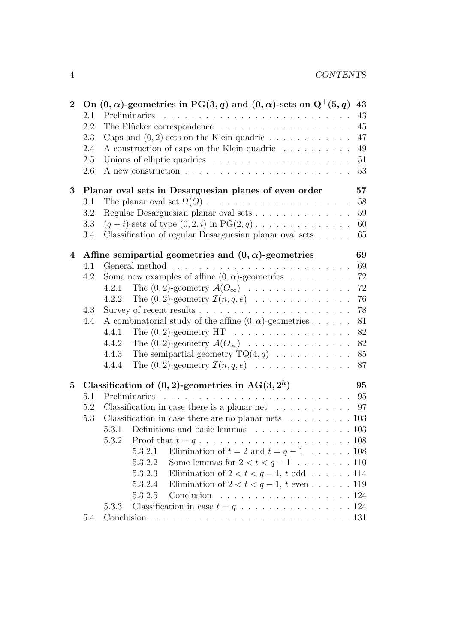| $\bf{2}$ |         | On $(0, \alpha)$ -geometries in PG(3, q) and $(0, \alpha)$ -sets on Q <sup>+</sup> (5, q)<br>43 |  |
|----------|---------|-------------------------------------------------------------------------------------------------|--|
|          | 2.1     | 43                                                                                              |  |
|          | 2.2     | 45                                                                                              |  |
|          | 2.3     | Caps and $(0, 2)$ -sets on the Klein quadric<br>47                                              |  |
|          | 2.4     | A construction of caps on the Klein quadric $\dots \dots \dots$<br>49                           |  |
|          | $2.5\,$ | Unions of elliptic quadrics $\ldots \ldots \ldots \ldots \ldots \ldots$<br>$51\,$               |  |
|          | 2.6     | A new construction $\ldots \ldots \ldots \ldots \ldots \ldots \ldots$<br>53                     |  |
| 3        |         | Planar oval sets in Desarguesian planes of even order<br>57                                     |  |
|          | 3.1     | 58                                                                                              |  |
|          | 3.2     | Regular Desarguesian planar oval sets<br>59                                                     |  |
|          | 3.3     | $(q+i)$ -sets of type $(0,2,i)$ in PG $(2,q)$<br>60                                             |  |
|          | 3.4     | Classification of regular Desarguesian planar oval sets<br>65                                   |  |
| 4        |         | Affine semipartial geometries and $(0, \alpha)$ -geometries<br>69                               |  |
|          | 4.1     | 69                                                                                              |  |
|          | 4.2     | Some new examples of affine $(0, \alpha)$ -geometries<br>72                                     |  |
|          |         | The $(0, 2)$ -geometry $\mathcal{A}(O_{\infty})$<br>72<br>4.2.1                                 |  |
|          |         | The $(0, 2)$ -geometry $\mathcal{I}(n, q, e)$<br>4.2.2<br>76                                    |  |
|          | $4.3\,$ | 78                                                                                              |  |
|          | 4.4     | A combinatorial study of the affine $(0, \alpha)$ -geometries<br>81                             |  |
|          |         | 4.4.1<br>The $(0, 2)$ -geometry HT $\ldots \ldots \ldots \ldots \ldots$<br>82                   |  |
|          |         | 4.4.2<br>The $(0, 2)$ -geometry $\mathcal{A}(O_{\infty})$<br>82                                 |  |
|          |         | The semipartial geometry $TQ(4,q) \dots \dots \dots$<br>4.4.3<br>85                             |  |
|          |         | The $(0, 2)$ -geometry $\mathcal{I}(n, q, e)$<br>87<br>4.4.4                                    |  |
| 5        |         | Classification of $(0, 2)$ -geometries in AG $(3, 2h)$<br>95                                    |  |
|          | 5.1     | Preliminaries<br>95                                                                             |  |
|          | 5.2     | Classification in case there is a planar net $\ldots \ldots \ldots$<br>97                       |  |
|          | 5.3     | Classification in case there are no planar nets $\ldots \ldots \ldots 103$                      |  |
|          |         | Definitions and basic lemmas $\ldots \ldots \ldots \ldots \ldots 103$<br>5.3.1                  |  |
|          |         | 5.3.2                                                                                           |  |
|          |         | Elimination of $t = 2$ and $t = q - 1$ 108<br>5.3.2.1                                           |  |
|          |         | 5.3.2.2<br>Some lemmas for $2 < t < q-1$ 110                                                    |  |
|          |         | Elimination of $2 < t < q-1$ , t odd 114<br>5.3.2.3                                             |  |
|          |         | 5.3.2.4<br>Elimination of $2 < t < q-1$ , t even 119                                            |  |
|          |         | 5.3.2.5                                                                                         |  |
|          |         | 5.3.3                                                                                           |  |
|          | 5.4     |                                                                                                 |  |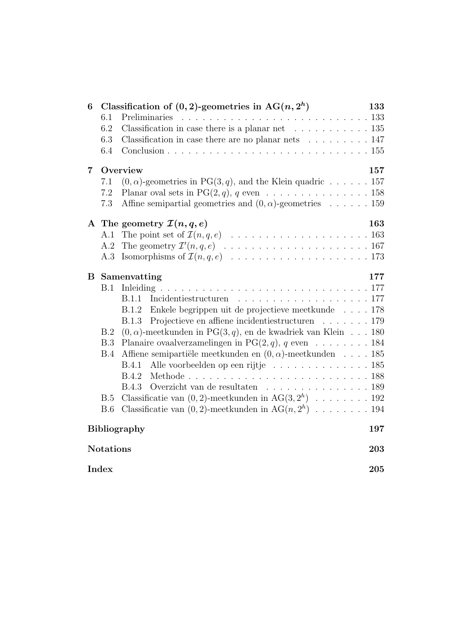| 6                       |            | Classification of $(0, 2)$ -geometries in AG $(n, 2h)$                                            | 133 |  |
|-------------------------|------------|---------------------------------------------------------------------------------------------------|-----|--|
|                         | 6.1        |                                                                                                   |     |  |
|                         | 6.2        | Classification in case there is a planar net $\dots \dots \dots \dots \dots$ 135                  |     |  |
|                         | 6.3        | Classification in case there are no planar nets $\ldots \ldots \ldots 147$                        |     |  |
|                         | 6.4        |                                                                                                   |     |  |
| 7                       |            | Overview                                                                                          | 157 |  |
|                         | 7.1        | $(0, \alpha)$ -geometries in PG(3, q), and the Klein quadric 157                                  |     |  |
|                         | 7.2        | Planar oval sets in PG $(2, q)$ , q even 158                                                      |     |  |
|                         | 7.3        | Affine semipartial geometries and $(0, \alpha)$ -geometries 159                                   |     |  |
|                         |            | A The geometry $\mathcal{I}(n,q,e)$                                                               | 163 |  |
|                         |            |                                                                                                   |     |  |
|                         | A.2        |                                                                                                   |     |  |
|                         | A.3        |                                                                                                   |     |  |
| B                       |            | Samenvatting                                                                                      | 177 |  |
|                         | B.1        |                                                                                                   |     |  |
|                         |            | B.1.1                                                                                             |     |  |
|                         |            | B.1.2 Enkele begrippen uit de projectieve meetkunde 178                                           |     |  |
|                         |            | Projectieve en affiene incidentiestructuren 179<br>B.1.3                                          |     |  |
|                         | B.2        | $(0, \alpha)$ -meetkunden in PG $(3, q)$ , en de kwadriek van Klein 180                           |     |  |
|                         | B.3        | Planaire ovaalverzamelingen in PG $(2, q)$ , q even 184                                           |     |  |
|                         | B.4        | Affiene semipartiële meetkunden en $(0, \alpha)$ -meetkunden  185                                 |     |  |
|                         |            | Alle voorbeelden op een rijtje 185<br>B.4.1                                                       |     |  |
|                         |            | B.4.2                                                                                             |     |  |
|                         |            | Overzicht van de resultaten $\quad \ldots \ldots \ldots \ldots \ldots \ldots \ldots 189$<br>B.4.3 |     |  |
|                         | <b>B.5</b> | Classificatie van $(0, 2)$ -meetkunden in AG $(3, 2h)$ 192                                        |     |  |
|                         | <b>B.6</b> | Classificatie van $(0, 2)$ -meetkunden in AG $(n, 2h)$ 194                                        |     |  |
| Bibliography<br>197     |            |                                                                                                   |     |  |
| <b>Notations</b><br>203 |            |                                                                                                   |     |  |
| Index<br>205            |            |                                                                                                   |     |  |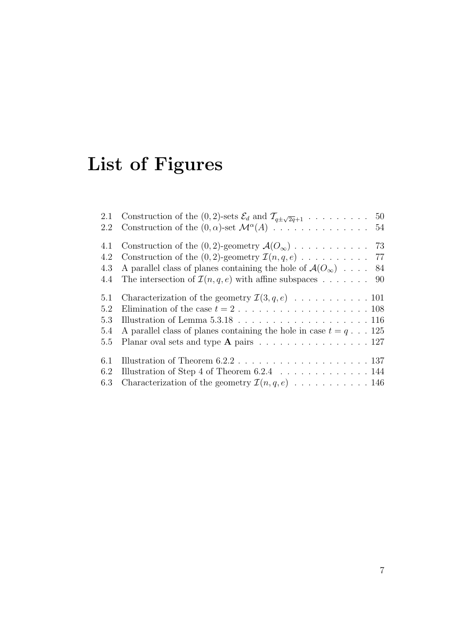# List of Figures

| 2.1 | Construction of the (0, 2)-sets $\mathcal{E}_d$ and $\mathcal{T}_{q\pm\sqrt{2q}+1}$ 50   |
|-----|------------------------------------------------------------------------------------------|
| 2.2 |                                                                                          |
| 4.1 |                                                                                          |
| 4.2 |                                                                                          |
| 4.3 | A parallel class of planes containing the hole of $\mathcal{A}(O_{\infty})$ 84           |
| 4.4 | The intersection of $\mathcal{I}(n, q, e)$ with affine subspaces  90                     |
| 5.1 |                                                                                          |
| 5.2 | Elimination of the case $t = 2, \ldots, \ldots, \ldots, \ldots, \ldots, 108$             |
| 5.3 |                                                                                          |
| 5.4 | A parallel class of planes containing the hole in case $t = q \dots 125$                 |
| 5.5 | Planar oval sets and type <b>A</b> pairs $\ldots \ldots \ldots \ldots \ldots \ldots 127$ |
| 6.1 |                                                                                          |
| 6.2 |                                                                                          |
| 6.3 | Characterization of the geometry $\mathcal{I}(n,q,e)$ 146                                |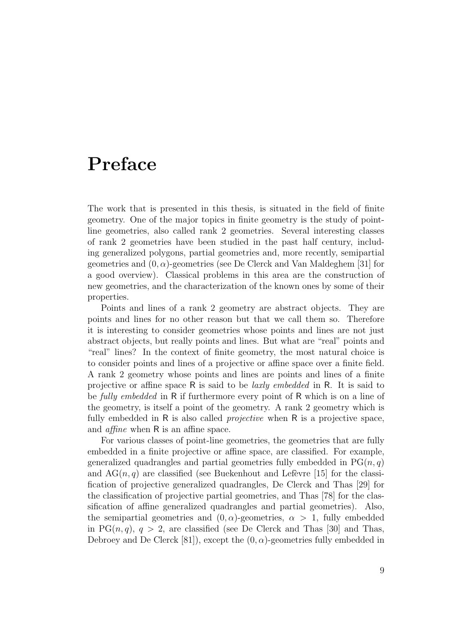## Preface

The work that is presented in this thesis, is situated in the field of finite geometry. One of the major topics in finite geometry is the study of pointline geometries, also called rank 2 geometries. Several interesting classes of rank 2 geometries have been studied in the past half century, including generalized polygons, partial geometries and, more recently, semipartial geometries and  $(0, \alpha)$ -geometries (see De Clerck and Van Maldeghem [31] for a good overview). Classical problems in this area are the construction of new geometries, and the characterization of the known ones by some of their properties.

Points and lines of a rank 2 geometry are abstract objects. They are points and lines for no other reason but that we call them so. Therefore it is interesting to consider geometries whose points and lines are not just abstract objects, but really points and lines. But what are "real" points and "real" lines? In the context of finite geometry, the most natural choice is to consider points and lines of a projective or affine space over a finite field. A rank 2 geometry whose points and lines are points and lines of a finite projective or affine space R is said to be laxly embedded in R. It is said to be *fully embedded* in R if furthermore every point of R which is on a line of the geometry, is itself a point of the geometry. A rank 2 geometry which is fully embedded in  $R$  is also called *projective* when  $R$  is a projective space, and *affine* when R is an affine space.

For various classes of point-line geometries, the geometries that are fully embedded in a finite projective or affine space, are classified. For example, generalized quadrangles and partial geometries fully embedded in  $PG(n, q)$ and  $AG(n, q)$  are classified (see Buekenhout and Lefevre [15] for the classification of projective generalized quadrangles, De Clerck and Thas [29] for the classification of projective partial geometries, and Thas [78] for the classification of affine generalized quadrangles and partial geometries). Also, the semipartial geometries and  $(0, \alpha)$ -geometries,  $\alpha > 1$ , fully embedded in PG $(n, q)$ ,  $q > 2$ , are classified (see De Clerck and Thas [30] and Thas, Debroey and De Clerck [81]), except the  $(0, \alpha)$ -geometries fully embedded in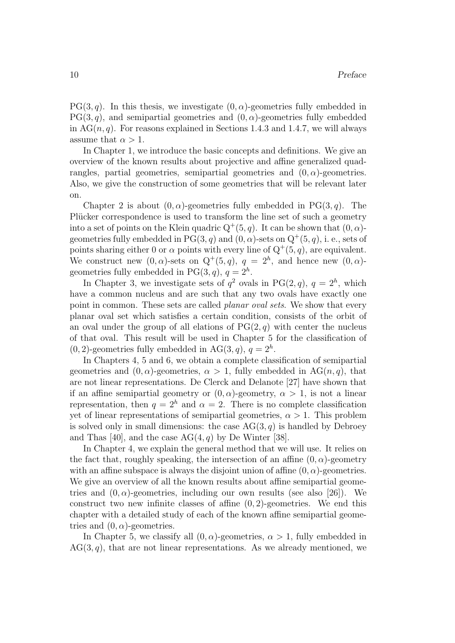$PG(3, q)$ . In this thesis, we investigate  $(0, \alpha)$ -geometries fully embedded in  $PG(3, q)$ , and semipartial geometries and  $(0, \alpha)$ -geometries fully embedded in  $AG(n, q)$ . For reasons explained in Sections 1.4.3 and 1.4.7, we will always assume that  $\alpha > 1$ .

In Chapter 1, we introduce the basic concepts and definitions. We give an overview of the known results about projective and affine generalized quadrangles, partial geometries, semipartial geometries and  $(0, \alpha)$ -geometries. Also, we give the construction of some geometries that will be relevant later on.

Chapter 2 is about  $(0, \alpha)$ -geometries fully embedded in PG(3, q). The Plücker correspondence is used to transform the line set of such a geometry into a set of points on the Klein quadric  $Q^+(5, q)$ . It can be shown that  $(0, \alpha)$ geometries fully embedded in PG $(3, q)$  and  $(0, \alpha)$ -sets on  $Q^+(5, q)$ , i. e., sets of points sharing either 0 or  $\alpha$  points with every line of  $Q^+(5, q)$ , are equivalent. We construct new  $(0, \alpha)$ -sets on  $Q^+(5, q)$ ,  $q = 2^h$ , and hence new  $(0, \alpha)$ geometries fully embedded in PG $(3, q)$ ,  $q = 2<sup>h</sup>$ .

In Chapter 3, we investigate sets of  $q^2$  ovals in PG(2, q),  $q = 2^h$ , which have a common nucleus and are such that any two ovals have exactly one point in common. These sets are called *planar oval sets*. We show that every planar oval set which satisfies a certain condition, consists of the orbit of an oval under the group of all elations of  $PG(2, q)$  with center the nucleus of that oval. This result will be used in Chapter 5 for the classification of  $(0, 2)$ -geometries fully embedded in AG $(3, q)$ ,  $q = 2<sup>h</sup>$ .

In Chapters 4, 5 and 6, we obtain a complete classification of semipartial geometries and  $(0, \alpha)$ -geometries,  $\alpha > 1$ , fully embedded in AG $(n, q)$ , that are not linear representations. De Clerck and Delanote [27] have shown that if an affine semipartial geometry or  $(0, \alpha)$ -geometry,  $\alpha > 1$ , is not a linear representation, then  $q = 2<sup>h</sup>$  and  $\alpha = 2$ . There is no complete classification yet of linear representations of semipartial geometries,  $\alpha > 1$ . This problem is solved only in small dimensions: the case  $AG(3, q)$  is handled by Debroey and Thas [40], and the case  $AG(4, q)$  by De Winter [38].

In Chapter 4, we explain the general method that we will use. It relies on the fact that, roughly speaking, the intersection of an affine  $(0, \alpha)$ -geometry with an affine subspace is always the disjoint union of affine  $(0, \alpha)$ -geometries. We give an overview of all the known results about affine semipartial geometries and  $(0, \alpha)$ -geometries, including our own results (see also [26]). We construct two new infinite classes of affine  $(0, 2)$ -geometries. We end this chapter with a detailed study of each of the known affine semipartial geometries and  $(0, \alpha)$ -geometries.

In Chapter 5, we classify all  $(0, \alpha)$ -geometries,  $\alpha > 1$ , fully embedded in  $AG(3, q)$ , that are not linear representations. As we already mentioned, we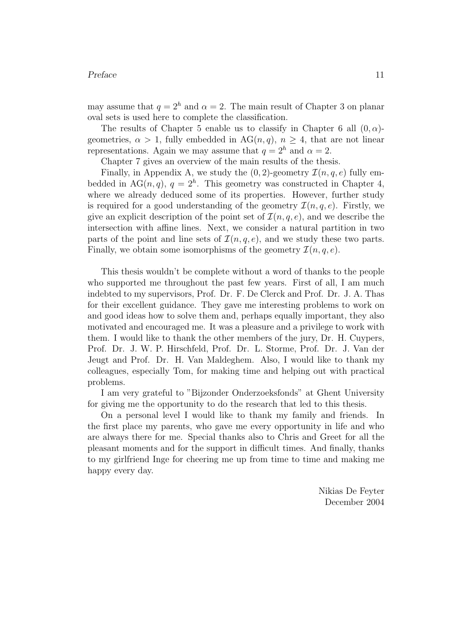#### Preface 11

may assume that  $q = 2<sup>h</sup>$  and  $\alpha = 2$ . The main result of Chapter 3 on planar oval sets is used here to complete the classification.

The results of Chapter 5 enable us to classify in Chapter 6 all  $(0, \alpha)$ geometries,  $\alpha > 1$ , fully embedded in AG(*n*, *q*),  $n \geq 4$ , that are not linear representations. Again we may assume that  $q = 2<sup>h</sup>$  and  $\alpha = 2$ .

Chapter 7 gives an overview of the main results of the thesis.

Finally, in Appendix A, we study the  $(0, 2)$ -geometry  $\mathcal{I}(n, q, e)$  fully embedded in AG $(n, q)$ ,  $q = 2<sup>h</sup>$ . This geometry was constructed in Chapter 4, where we already deduced some of its properties. However, further study is required for a good understanding of the geometry  $\mathcal{I}(n, q, e)$ . Firstly, we give an explicit description of the point set of  $\mathcal{I}(n, q, e)$ , and we describe the intersection with affine lines. Next, we consider a natural partition in two parts of the point and line sets of  $\mathcal{I}(n, q, e)$ , and we study these two parts. Finally, we obtain some isomorphisms of the geometry  $\mathcal{I}(n, q, e)$ .

This thesis wouldn't be complete without a word of thanks to the people who supported me throughout the past few years. First of all, I am much indebted to my supervisors, Prof. Dr. F. De Clerck and Prof. Dr. J. A. Thas for their excellent guidance. They gave me interesting problems to work on and good ideas how to solve them and, perhaps equally important, they also motivated and encouraged me. It was a pleasure and a privilege to work with them. I would like to thank the other members of the jury, Dr. H. Cuypers, Prof. Dr. J. W. P. Hirschfeld, Prof. Dr. L. Storme, Prof. Dr. J. Van der Jeugt and Prof. Dr. H. Van Maldeghem. Also, I would like to thank my colleagues, especially Tom, for making time and helping out with practical problems.

I am very grateful to "Bijzonder Onderzoeksfonds" at Ghent University for giving me the opportunity to do the research that led to this thesis.

On a personal level I would like to thank my family and friends. In the first place my parents, who gave me every opportunity in life and who are always there for me. Special thanks also to Chris and Greet for all the pleasant moments and for the support in difficult times. And finally, thanks to my girlfriend Inge for cheering me up from time to time and making me happy every day.

> Nikias De Feyter December 2004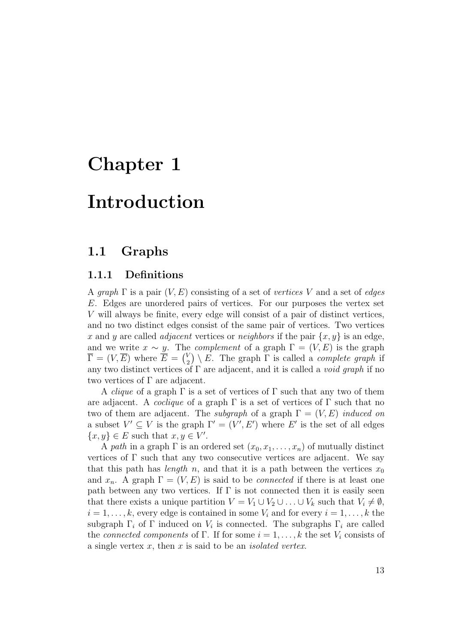## Chapter 1

## Introduction

### 1.1 Graphs

#### 1.1.1 Definitions

A graph  $\Gamma$  is a pair  $(V, E)$  consisting of a set of vertices V and a set of edges E. Edges are unordered pairs of vertices. For our purposes the vertex set V will always be finite, every edge will consist of a pair of distinct vertices, and no two distinct edges consist of the same pair of vertices. Two vertices x and y are called *adjacent* vertices or *neighbors* if the pair  $\{x, y\}$  is an edge, and we write  $x \sim y$ . The *complement* of a graph  $\Gamma = (V, E)$  is the graph  $\overline{\Gamma} = (V, \overline{E})$  where  $\overline{E} = {V \choose 2}$  $\binom{V}{2} \setminus E$ . The graph  $\Gamma$  is called a *complete graph* if any two distinct vertices of  $\Gamma$  are adjacent, and it is called a *void graph* if no two vertices of Γ are adjacent.

A *clique* of a graph  $\Gamma$  is a set of vertices of  $\Gamma$  such that any two of them are adjacent. A *coclique* of a graph  $\Gamma$  is a set of vertices of  $\Gamma$  such that no two of them are adjacent. The *subgraph* of a graph  $\Gamma = (V, E)$  *induced on* a subset  $V' \subseteq V$  is the graph  $\Gamma' = (V', E')$  where E' is the set of all edges  $\{x, y\} \in E$  such that  $x, y \in V'$ .

A path in a graph  $\Gamma$  is an ordered set  $(x_0, x_1, \ldots, x_n)$  of mutually distinct vertices of  $\Gamma$  such that any two consecutive vertices are adjacent. We say that this path has *length* n, and that it is a path between the vertices  $x_0$ and  $x_n$ . A graph  $\Gamma = (V, E)$  is said to be *connected* if there is at least one path between any two vertices. If  $\Gamma$  is not connected then it is easily seen that there exists a unique partition  $V = V_1 \cup V_2 \cup \ldots \cup V_k$  such that  $V_i \neq \emptyset$ ,  $i = 1, \ldots, k$ , every edge is contained in some  $V_i$  and for every  $i = 1, \ldots, k$  the subgraph  $\Gamma_i$  of  $\Gamma$  induced on  $V_i$  is connected. The subgraphs  $\Gamma_i$  are called the connected components of Γ. If for some  $i = 1, \ldots, k$  the set  $V_i$  consists of a single vertex  $x$ , then  $x$  is said to be an *isolated vertex*.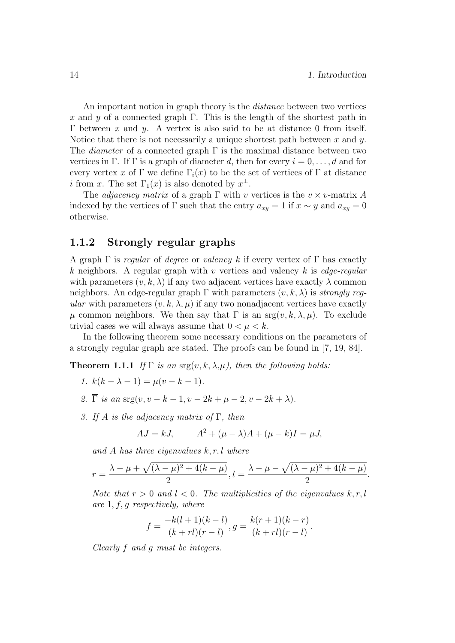An important notion in graph theory is the *distance* between two vertices x and y of a connected graph Γ. This is the length of the shortest path in Γ between x and y. A vertex is also said to be at distance 0 from itself. Notice that there is not necessarily a unique shortest path between  $x$  and  $y$ . The *diameter* of a connected graph  $\Gamma$  is the maximal distance between two vertices in Γ. If Γ is a graph of diameter d, then for every  $i = 0, \ldots, d$  and for every vertex x of Γ we define  $\Gamma_i(x)$  to be the set of vertices of Γ at distance *i* from x. The set  $\Gamma_1(x)$  is also denoted by  $x^{\perp}$ .

The *adjacency matrix* of a graph  $\Gamma$  with v vertices is the  $v \times v$ -matrix A indexed by the vertices of Γ such that the entry  $a_{xy} = 1$  if  $x \sim y$  and  $a_{xy} = 0$ otherwise.

#### 1.1.2 Strongly regular graphs

A graph  $\Gamma$  is regular of degree or valency k if every vertex of  $\Gamma$  has exactly k neighbors. A regular graph with v vertices and valency k is edge-regular with parameters  $(v, k, \lambda)$  if any two adjacent vertices have exactly  $\lambda$  common neighbors. An edge-regular graph  $\Gamma$  with parameters  $(v, k, \lambda)$  is strongly regular with parameters  $(v, k, \lambda, \mu)$  if any two nonadjacent vertices have exactly μ common neighbors. We then say that Γ is an  $srg(v, k, \lambda, μ)$ . To exclude trivial cases we will always assume that  $0 < \mu < k$ .

In the following theorem some necessary conditions on the parameters of a strongly regular graph are stated. The proofs can be found in [7, 19, 84].

**Theorem 1.1.1** If  $\Gamma$  is an  $\text{arg}(v, k, \lambda, \mu)$ , then the following holds:

- 1.  $k(k \lambda 1) = \mu(v k 1)$ .
- 2.  $\overline{\Gamma}$  is an  $\arg(v, v k 1, v 2k + \mu 2, v 2k + \lambda)$ .
- 3. If A is the adjacency matrix of  $\Gamma$ , then

$$
AJ = kJ, \qquad A^2 + (\mu - \lambda)A + (\mu - k)I = \mu J,
$$

and A has three eigenvalues  $k, r, l$  where

$$
r = \frac{\lambda - \mu + \sqrt{(\lambda - \mu)^2 + 4(k - \mu)}}{2}, l = \frac{\lambda - \mu - \sqrt{(\lambda - \mu)^2 + 4(k - \mu)}}{2}.
$$

Note that  $r > 0$  and  $l < 0$ . The multiplicities of the eigenvalues  $k, r, l$ are  $1, f, g$  respectively, where

$$
f = \frac{-k(l+1)(k-l)}{(k+rl)(r-l)}, g = \frac{k(r+1)(k-r)}{(k+rl)(r-l)}
$$

.

Clearly f and g must be integers.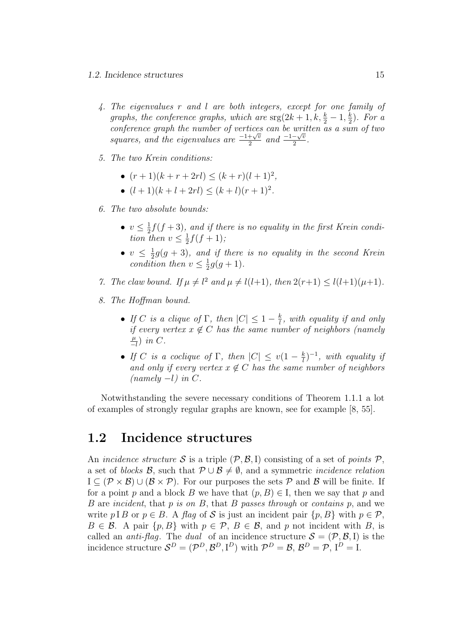#### 1.2. Incidence structures 15

- 4. The eigenvalues r and l are both integers, except for one family of graphs, the conference graphs, which are  $\arg(2k+1, k, \frac{k}{2}-1, \frac{k}{2})$ . For a conference graph the number of vertices can be written as a sum of two<br>squares, and the eigenvalues are  $\frac{-1+\sqrt{v}}{2}$  and  $\frac{-1-\sqrt{v}}{2}$ .  $\frac{1}{2} \frac{1}{\sqrt{v}}$  and  $\frac{-1-\sqrt{v}}{2}$  $\frac{-\sqrt{v}}{2}$ .
- 5. The two Krein conditions:
	- $(r+1)(k+r+2rl) \leq (k+r)(l+1)^2$ ,
	- $(l+1)(k+l+2rl) \leq (k+l)(r+1)^2$ .
- 6. The two absolute bounds:
	- $v \leq \frac{1}{2}f(f+3)$ , and if there is no equality in the first Krein condition then  $v \leq \frac{1}{2}f(f+1);$
	- $v \leq \frac{1}{2}g(g+3)$ , and if there is no equality in the second Krein condition then  $v \leq \frac{1}{2}g(g+1)$ .
- 7. The claw bound. If  $\mu \neq l^2$  and  $\mu \neq l(l+1)$ , then  $2(r+1) \leq l(l+1)(\mu+1)$ .
- 8. The Hoffman bound.
	- If C is a clique of  $\Gamma$ , then  $|C| \leq 1 \frac{k}{l}$ , with equality if and only if every vertex  $x \notin C$  has the same number of neighbors (namely  $\frac{\mu}{-l}$ ) in C.
	- If C is a coclique of  $\Gamma$ , then  $|C| \le v(1 \frac{k}{l})^{-1}$ , with equality if and only if every vertex  $x \notin C$  has the same number of neighbors  $(namely -l)$  in  $C$ .

Notwithstanding the severe necessary conditions of Theorem 1.1.1 a lot of examples of strongly regular graphs are known, see for example [8, 55].

### 1.2 Incidence structures

An incidence structure S is a triple  $(\mathcal{P}, \mathcal{B}, I)$  consisting of a set of points  $\mathcal{P}$ , a set of blocks B, such that  $P \cup B \neq \emptyset$ , and a symmetric *incidence relation*  $I \subseteq (\mathcal{P} \times \mathcal{B}) \cup (\mathcal{B} \times \mathcal{P})$ . For our purposes the sets  $\mathcal{P}$  and  $\mathcal{B}$  will be finite. If for a point p and a block B we have that  $(p, B) \in I$ , then we say that p and B are incident, that p is on B, that B passes through or contains p, and we write p I B or  $p \in B$ . A flag of S is just an incident pair  $\{p, B\}$  with  $p \in \mathcal{P}$ ,  $B \in \mathcal{B}$ . A pair  $\{p, B\}$  with  $p \in \mathcal{P}$ ,  $B \in \mathcal{B}$ , and p not incident with B, is called an *anti-flag*. The *dual* of an incidence structure  $S = (\mathcal{P}, \mathcal{B}, I)$  is the incidence structure  $\mathcal{S}^D = (\mathcal{P}^D, \mathcal{B}^D, \mathbf{I}^D)$  with  $\mathcal{P}^D = \mathcal{B}, \mathcal{B}^D = \mathcal{P}, \mathbf{I}^D = \mathbf{I}.$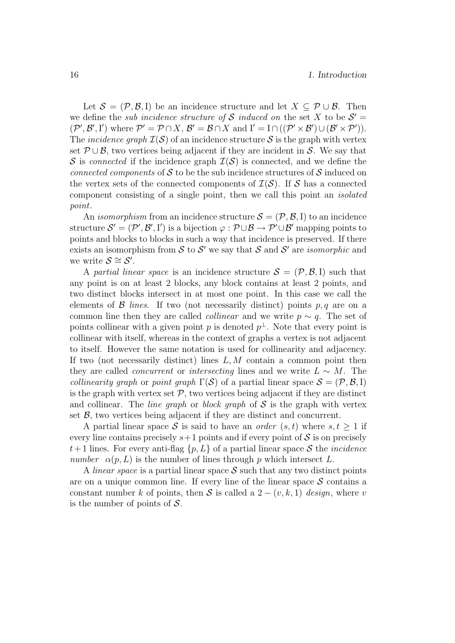Let  $\mathcal{S} = (\mathcal{P}, \mathcal{B}, I)$  be an incidence structure and let  $X \subseteq \mathcal{P} \cup \mathcal{B}$ . Then we define the *sub incidence structure of* S *induced on* the set X to be  $S' =$  $(\mathcal{P}', \mathcal{B}', I')$  where  $\mathcal{P}' = \mathcal{P} \cap X$ ,  $\mathcal{B}' = \mathcal{B} \cap X$  and  $I' = I \cap ((\mathcal{P}' \times \mathcal{B}') \cup (\mathcal{B}' \times \mathcal{P}')).$ The *incidence graph*  $\mathcal{I}(\mathcal{S})$  of an incidence structure S is the graph with vertex set  $\mathcal{P} \cup \mathcal{B}$ , two vertices being adjacent if they are incident in S. We say that S is connected if the incidence graph  $\mathcal{I}(\mathcal{S})$  is connected, and we define the connected components of S to be the sub incidence structures of S induced on the vertex sets of the connected components of  $\mathcal{I}(\mathcal{S})$ . If S has a connected component consisting of a single point, then we call this point an isolated point.

An *isomorphism* from an incidence structure  $S = (\mathcal{P}, \mathcal{B}, I)$  to an incidence structure  $\mathcal{S}' = (\mathcal{P}', \mathcal{B}', I')$  is a bijection  $\varphi : \mathcal{P} \cup \mathcal{B} \to \mathcal{P}' \cup \mathcal{B}'$  mapping points to points and blocks to blocks in such a way that incidence is preserved. If there exists an isomorphism from  $S$  to  $S'$  we say that S and S' are *isomorphic* and we write  $S \cong S'$ .

A partial linear space is an incidence structure  $S = (\mathcal{P}, \mathcal{B}, I)$  such that any point is on at least 2 blocks, any block contains at least 2 points, and two distinct blocks intersect in at most one point. In this case we call the elements of  $\beta$  lines. If two (not necessarily distinct) points p, q are on a common line then they are called *collinear* and we write  $p \sim q$ . The set of points collinear with a given point p is denoted  $p^{\perp}$ . Note that every point is collinear with itself, whereas in the context of graphs a vertex is not adjacent to itself. However the same notation is used for collinearity and adjacency. If two (not necessarily distinct) lines  $L, M$  contain a common point then they are called *concurrent* or *intersecting* lines and we write  $L \sim M$ . The collinearity graph or point graph  $\Gamma(S)$  of a partial linear space  $S = (\mathcal{P}, \mathcal{B}, I)$ is the graph with vertex set  $P$ , two vertices being adjacent if they are distinct and collinear. The *line graph* or *block graph* of  $S$  is the graph with vertex set  $\beta$ , two vertices being adjacent if they are distinct and concurrent.

A partial linear space S is said to have an *order*  $(s, t)$  where  $s, t \geq 1$  if every line contains precisely  $s+1$  points and if every point of S is on precisely  $t+1$  lines. For every anti-flag  $\{p, L\}$  of a partial linear space S the *incidence* number  $\alpha(p, L)$  is the number of lines through p which intersect L.

A *linear space* is a partial linear space  $S$  such that any two distinct points are on a unique common line. If every line of the linear space  $S$  contains a constant number k of points, then S is called a  $2 - (v, k, 1)$  design, where v is the number of points of  $S$ .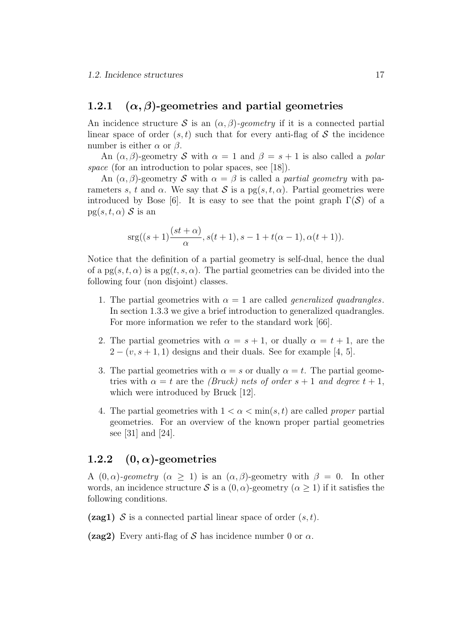#### 1.2.1 ( $\alpha$ ,  $\beta$ )-geometries and partial geometries

An incidence structure S is an  $(\alpha, \beta)$ -geometry if it is a connected partial linear space of order  $(s, t)$  such that for every anti-flag of S the incidence number is either  $\alpha$  or  $\beta$ .

An  $(\alpha, \beta)$ -geometry S with  $\alpha = 1$  and  $\beta = s + 1$  is also called a *polar* space (for an introduction to polar spaces, see [18]).

An  $(\alpha, \beta)$ -geometry S with  $\alpha = \beta$  is called a *partial geometry* with parameters s, t and  $\alpha$ . We say that S is a pg(s, t,  $\alpha$ ). Partial geometries were introduced by Bose [6]. It is easy to see that the point graph  $\Gamma(S)$  of a  $pg(s, t, \alpha)$  S is an

$$
srg((s+1)\frac{(st+\alpha)}{\alpha}, s(t+1), s-1+t(\alpha-1), \alpha(t+1)).
$$

Notice that the definition of a partial geometry is self-dual, hence the dual of a  $pg(s, t, \alpha)$  is a  $pg(t, s, \alpha)$ . The partial geometries can be divided into the following four (non disjoint) classes.

- 1. The partial geometries with  $\alpha = 1$  are called *generalized quadrangles*. In section 1.3.3 we give a brief introduction to generalized quadrangles. For more information we refer to the standard work [66].
- 2. The partial geometries with  $\alpha = s + 1$ , or dually  $\alpha = t + 1$ , are the  $2 - (v, s + 1, 1)$  designs and their duals. See for example [4, 5].
- 3. The partial geometries with  $\alpha = s$  or dually  $\alpha = t$ . The partial geometries with  $\alpha = t$  are the *(Bruck)* nets of order  $s + 1$  and degree  $t + 1$ , which were introduced by Bruck [12].
- 4. The partial geometries with  $1 < \alpha < \min(s, t)$  are called proper partial geometries. For an overview of the known proper partial geometries see [31] and [24].

#### 1.2.2  $(0, \alpha)$ -geometries

A  $(0, \alpha)$ -geometry  $(\alpha \geq 1)$  is an  $(\alpha, \beta)$ -geometry with  $\beta = 0$ . In other words, an incidence structure S is a  $(0, \alpha)$ -geometry  $(\alpha \geq 1)$  if it satisfies the following conditions.

(**zag1)** S is a connected partial linear space of order  $(s, t)$ .

(zag2) Every anti-flag of S has incidence number 0 or  $\alpha$ .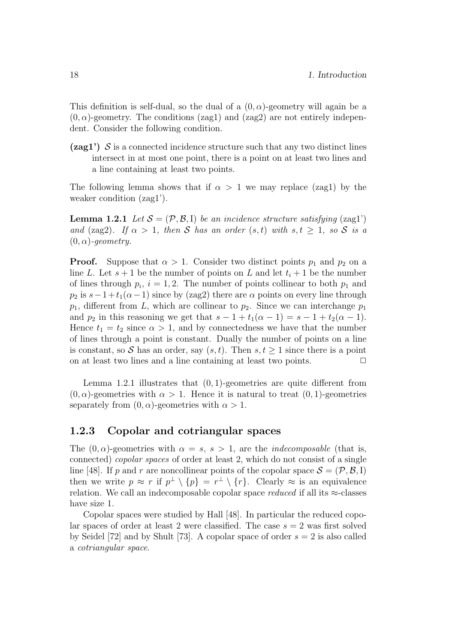This definition is self-dual, so the dual of a  $(0, \alpha)$ -geometry will again be a  $(0, \alpha)$ -geometry. The conditions (zag1) and (zag2) are not entirely independent. Consider the following condition.

 $(2aq1')$  S is a connected incidence structure such that any two distinct lines intersect in at most one point, there is a point on at least two lines and a line containing at least two points.

The following lemma shows that if  $\alpha > 1$  we may replace (zag1) by the weaker condition (zag1').

**Lemma 1.2.1** Let  $S = (\mathcal{P}, \mathcal{B}, I)$  be an incidence structure satisfying (zag1') and (zag2). If  $\alpha > 1$ , then S has an order  $(s, t)$  with  $s, t \geq 1$ , so S is a  $(0, \alpha)$ -geometry.

**Proof.** Suppose that  $\alpha > 1$ . Consider two distinct points  $p_1$  and  $p_2$  on a line L. Let  $s + 1$  be the number of points on L and let  $t_i + 1$  be the number of lines through  $p_i$ ,  $i = 1, 2$ . The number of points collinear to both  $p_1$  and  $p_2$  is  $s-1+t_1(\alpha-1)$  since by (zag2) there are  $\alpha$  points on every line through  $p_1$ , different from L, which are collinear to  $p_2$ . Since we can interchange  $p_1$ and  $p_2$  in this reasoning we get that  $s - 1 + t_1(\alpha - 1) = s - 1 + t_2(\alpha - 1)$ . Hence  $t_1 = t_2$  since  $\alpha > 1$ , and by connectedness we have that the number of lines through a point is constant. Dually the number of points on a line is constant, so S has an order, say  $(s, t)$ . Then  $s, t \geq 1$  since there is a point on at least two lines and a line containing at least two points.  $\Box$ 

Lemma 1.2.1 illustrates that  $(0, 1)$ -geometries are quite different from  $(0, \alpha)$ -geometries with  $\alpha > 1$ . Hence it is natural to treat  $(0, 1)$ -geometries separately from  $(0, \alpha)$ -geometries with  $\alpha > 1$ .

#### 1.2.3 Copolar and cotriangular spaces

The  $(0, \alpha)$ -geometries with  $\alpha = s$ ,  $s > 1$ , are the *indecomposable* (that is, connected) copolar spaces of order at least 2, which do not consist of a single line [48]. If p and r are noncollinear points of the copolar space  $S = (\mathcal{P}, \mathcal{B}, I)$ then we write  $p \approx r$  if  $p^{\perp} \setminus \{p\} = r^{\perp} \setminus \{r\}$ . Clearly  $\approx$  is an equivalence relation. We call an indecomposable copolar space reduced if all its  $\approx$ -classes have size 1.

Copolar spaces were studied by Hall [48]. In particular the reduced copolar spaces of order at least 2 were classified. The case  $s = 2$  was first solved by Seidel [72] and by Shult [73]. A copolar space of order  $s = 2$  is also called a cotriangular space.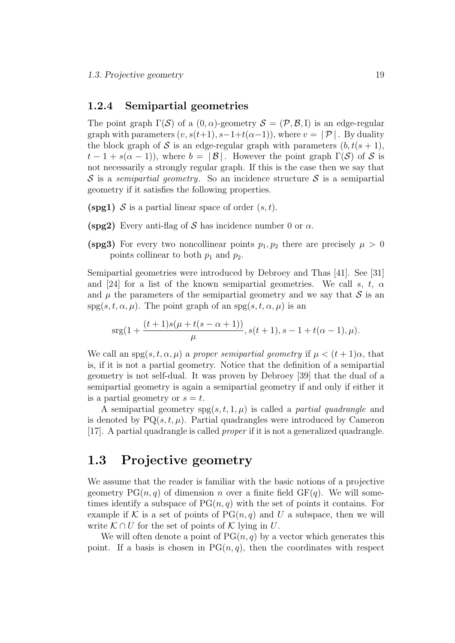#### 1.2.4 Semipartial geometries

The point graph  $\Gamma(S)$  of a  $(0, \alpha)$ -geometry  $S = (\mathcal{P}, \mathcal{B}, I)$  is an edge-regular graph with parameters  $(v, s(t+1), s-1+t(\alpha-1))$ , where  $v = |\mathcal{P}|$ . By duality the block graph of S is an edge-regular graph with parameters  $(b, t(s + 1))$ ,  $t-1+s(\alpha-1)$ , where  $b=|\mathcal{B}|$ . However the point graph  $\Gamma(\mathcal{S})$  of  $\mathcal S$  is not necessarily a strongly regular graph. If this is the case then we say that S is a semipartial geometry. So an incidence structure S is a semipartial geometry if it satisfies the following properties.

- (spg1) S is a partial linear space of order  $(s, t)$ .
- (spg2) Every anti-flag of S has incidence number 0 or  $\alpha$ .
- (spg3) For every two noncollinear points  $p_1, p_2$  there are precisely  $\mu > 0$ points collinear to both  $p_1$  and  $p_2$ .

Semipartial geometries were introduced by Debroey and Thas [41]. See [31] and [24] for a list of the known semipartial geometries. We call s, t,  $\alpha$ and  $\mu$  the parameters of the semipartial geometry and we say that  $\mathcal S$  is an  $spg(s, t, \alpha, \mu)$ . The point graph of an  $spg(s, t, \alpha, \mu)$  is an

$$
srg(1+\frac{(t+1)s(\mu+t(s-\alpha+1))}{\mu}, s(t+1), s-1+t(\alpha-1), \mu).
$$

We call an spg $(s, t, \alpha, \mu)$  a proper semipartial geometry if  $\mu < (t + 1)\alpha$ , that is, if it is not a partial geometry. Notice that the definition of a semipartial geometry is not self-dual. It was proven by Debroey [39] that the dual of a semipartial geometry is again a semipartial geometry if and only if either it is a partial geometry or  $s = t$ .

A semipartial geometry  $spg(s, t, 1, \mu)$  is called a *partial quadrangle* and is denoted by  $PQ(s, t, \mu)$ . Partial quadrangles were introduced by Cameron [17]. A partial quadrangle is called proper if it is not a generalized quadrangle.

### 1.3 Projective geometry

We assume that the reader is familiar with the basic notions of a projective geometry  $PG(n, q)$  of dimension n over a finite field  $GF(q)$ . We will sometimes identify a subspace of  $PG(n, q)$  with the set of points it contains. For example if K is a set of points of  $PG(n, q)$  and U a subspace, then we will write  $\mathcal{K} \cap U$  for the set of points of  $\mathcal{K}$  lying in U.

We will often denote a point of  $PG(n, q)$  by a vector which generates this point. If a basis is chosen in  $PG(n, q)$ , then the coordinates with respect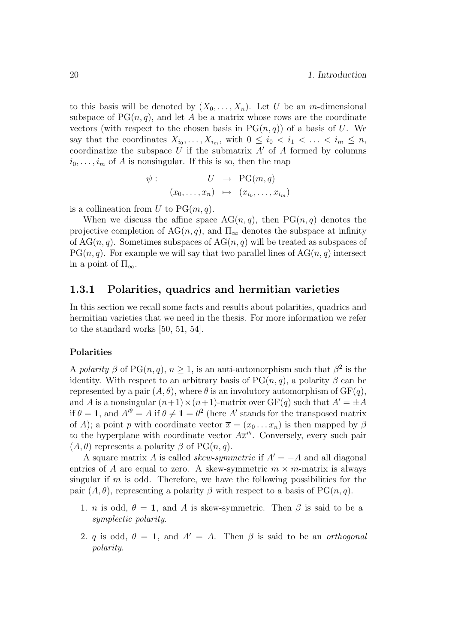to this basis will be denoted by  $(X_0, \ldots, X_n)$ . Let U be an m-dimensional subspace of  $PG(n, q)$ , and let A be a matrix whose rows are the coordinate vectors (with respect to the chosen basis in  $PG(n, q)$ ) of a basis of U. We say that the coordinates  $X_{i_0}, \ldots, X_{i_m}$ , with  $0 \leq i_0 < i_1 < \ldots < i_m \leq n$ , coordinatize the subspace  $U$  if the submatrix  $A'$  of  $A$  formed by columns  $i_0, \ldots, i_m$  of A is nonsingular. If this is so, then the map

$$
\psi: \qquad U \rightarrow \text{PG}(m, q)
$$

$$
(x_0, \dots, x_n) \mapsto (x_{i_0}, \dots, x_{i_m})
$$

is a collineation from U to  $PG(m, q)$ .

When we discuss the affine space  $AG(n, q)$ , then  $PG(n, q)$  denotes the projective completion of  $AG(n, q)$ , and  $\Pi_{\infty}$  denotes the subspace at infinity of  $AG(n, q)$ . Sometimes subspaces of  $AG(n, q)$  will be treated as subspaces of  $PG(n, q)$ . For example we will say that two parallel lines of  $AG(n, q)$  intersect in a point of  $\Pi_{\infty}$ .

#### 1.3.1 Polarities, quadrics and hermitian varieties

In this section we recall some facts and results about polarities, quadrics and hermitian varieties that we need in the thesis. For more information we refer to the standard works [50, 51, 54].

#### Polarities

A polarity  $\beta$  of PG $(n, q)$ ,  $n \geq 1$ , is an anti-automorphism such that  $\beta^2$  is the identity. With respect to an arbitrary basis of  $PG(n, q)$ , a polarity  $\beta$  can be represented by a pair  $(A, \theta)$ , where  $\theta$  is an involutory automorphism of  $GF(q)$ , and A is a nonsingular  $(n+1)\times(n+1)$ -matrix over  $GF(q)$  such that  $A' = \pm A$ if  $\theta = 1$ , and  $A^{\prime\theta} = A$  if  $\theta \neq 1 = \theta^2$  (here A' stands for the transposed matrix of A); a point p with coordinate vector  $\bar{x} = (x_0 \dots x_n)$  is then mapped by  $\beta$ to the hyperplane with coordinate vector  $A\overline{x}^{\prime\theta}$ . Conversely, every such pair  $(A, \theta)$  represents a polarity  $\beta$  of PG $(n, q)$ .

A square matrix A is called *skew-symmetric* if  $A' = -A$  and all diagonal entries of A are equal to zero. A skew-symmetric  $m \times m$ -matrix is always singular if  $m$  is odd. Therefore, we have the following possibilities for the pair  $(A, \theta)$ , representing a polarity  $\beta$  with respect to a basis of PG $(n, q)$ .

- 1. *n* is odd,  $\theta = 1$ , and A is skew-symmetric. Then  $\beta$  is said to be a symplectic polarity.
- 2. q is odd,  $\theta = 1$ , and  $A' = A$ . Then  $\beta$  is said to be an *orthogonal* polarity.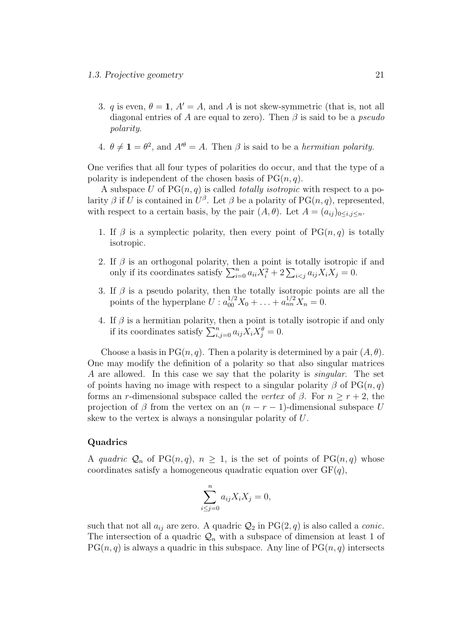- 3. q is even,  $\theta = 1$ ,  $A' = A$ , and A is not skew-symmetric (that is, not all diagonal entries of A are equal to zero). Then  $\beta$  is said to be a *pseudo* polarity.
- 4.  $\theta \neq 1 = \theta^2$ , and  $A^{\prime\theta} = A$ . Then  $\beta$  is said to be a *hermitian polarity*.

One verifies that all four types of polarities do occur, and that the type of a polarity is independent of the chosen basis of  $PG(n, q)$ .

A subspace U of  $PG(n, q)$  is called *totally isotropic* with respect to a polarity  $\beta$  if U is contained in  $U^{\beta}$ . Let  $\beta$  be a polarity of PG $(n, q)$ , represented, with respect to a certain basis, by the pair  $(A, \theta)$ . Let  $A = (a_{ij})_{0 \le i,j \le n}$ .

- 1. If  $\beta$  is a symplectic polarity, then every point of PG $(n, q)$  is totally isotropic.
- 2. If  $\beta$  is an orthogonal polarity, then a point is totally isotropic if and only if its coordinates satisfy  $\sum_{i=0}^{n} a_{ii} X_i^2 + 2 \sum_{i < j} a_{ij} X_i X_j = 0.$
- 3. If  $\beta$  is a pseudo polarity, then the totally isotropic points are all the points of the hyperplane  $U: a_{00}^{1/2}X_0 + ... + a_{nn}^{1/2}X_n = 0.$
- 4. If  $\beta$  is a hermitian polarity, then a point is totally isotropic if and only if its coordinates satisfy  $\sum_{i,j=0}^n a_{ij} \overline{X}_i X_j^{\theta} = 0.$

Choose a basis in PG $(n, q)$ . Then a polarity is determined by a pair  $(A, \theta)$ . One may modify the definition of a polarity so that also singular matrices A are allowed. In this case we say that the polarity is singular. The set of points having no image with respect to a singular polarity  $\beta$  of PG $(n, q)$ forms an r-dimensional subspace called the vertex of  $\beta$ . For  $n \geq r+2$ , the projection of  $\beta$  from the vertex on an  $(n - r - 1)$ -dimensional subspace U skew to the vertex is always a nonsingular polarity of U.

#### **Quadrics**

A quadric  $\mathcal{Q}_n$  of PG $(n, q)$ ,  $n \geq 1$ , is the set of points of PG $(n, q)$  whose coordinates satisfy a homogeneous quadratic equation over  $GF(q)$ ,

$$
\sum_{i \le j=0}^{n} a_{ij} X_i X_j = 0,
$$

such that not all  $a_{ij}$  are zero. A quadric  $\mathcal{Q}_2$  in PG(2, q) is also called a *conic*. The intersection of a quadric  $\mathcal{Q}_n$  with a subspace of dimension at least 1 of  $PG(n, q)$  is always a quadric in this subspace. Any line of  $PG(n, q)$  intersects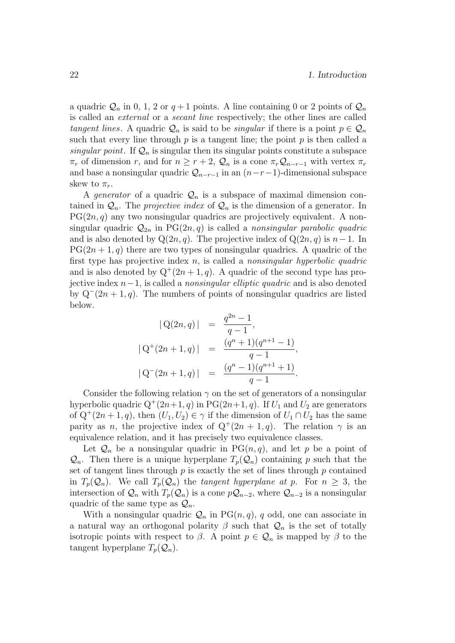a quadric  $\mathcal{Q}_n$  in 0, 1, 2 or  $q+1$  points. A line containing 0 or 2 points of  $\mathcal{Q}_n$ is called an external or a secant line respectively; the other lines are called tangent lines. A quadric  $\mathcal{Q}_n$  is said to be *singular* if there is a point  $p \in \mathcal{Q}_n$ such that every line through  $p$  is a tangent line; the point  $p$  is then called a singular point. If  $\mathcal{Q}_n$  is singular then its singular points constitute a subspace  $\pi_r$  of dimension r, and for  $n \geq r+2$ ,  $\mathcal{Q}_n$  is a cone  $\pi_r \mathcal{Q}_{n-r-1}$  with vertex  $\pi_r$ and base a nonsingular quadric  $\mathcal{Q}_{n-r-1}$  in an  $(n-r-1)$ -dimensional subspace skew to  $\pi_r$ .

A *generator* of a quadric  $\mathcal{Q}_n$  is a subspace of maximal dimension contained in  $\mathcal{Q}_n$ . The *projective index* of  $\mathcal{Q}_n$  is the dimension of a generator. In  $PG(2n, q)$  any two nonsingular quadrics are projectively equivalent. A nonsingular quadric  $\mathcal{Q}_{2n}$  in PG $(2n, q)$  is called a nonsingular parabolic quadric and is also denoted by  $Q(2n, q)$ . The projective index of  $Q(2n, q)$  is  $n-1$ . In  $PG(2n + 1, q)$  there are two types of nonsingular quadrics. A quadric of the first type has projective index n, is called a nonsingular hyperbolic quadric and is also denoted by  $Q^+(2n+1, q)$ . A quadric of the second type has projective index  $n-1$ , is called a *nonsingular elliptic quadric* and is also denoted by  $Q^-(2n+1, q)$ . The numbers of points of nonsingular quadrics are listed below.

$$
|Q(2n, q)| = \frac{q^{2n} - 1}{q - 1},
$$
  
\n
$$
|Q^{+}(2n + 1, q)| = \frac{(q^{n} + 1)(q^{n+1} - 1)}{q - 1},
$$
  
\n
$$
|Q^{-}(2n + 1, q)| = \frac{(q^{n} - 1)(q^{n+1} + 1)}{q - 1}.
$$

Consider the following relation  $\gamma$  on the set of generators of a nonsingular hyperbolic quadric  $Q^+(2n+1, q)$  in PG $(2n+1, q)$ . If  $U_1$  and  $U_2$  are generators of  $Q^+(2n+1, q)$ , then  $(U_1, U_2) \in \gamma$  if the dimension of  $U_1 \cap U_2$  has the same parity as *n*, the projective index of  $Q^+(2n+1, q)$ . The relation  $\gamma$  is an equivalence relation, and it has precisely two equivalence classes.

Let  $\mathcal{Q}_n$  be a nonsingular quadric in PG $(n, q)$ , and let p be a point of  $\mathcal{Q}_n$ . Then there is a unique hyperplane  $T_p(\mathcal{Q}_n)$  containing p such that the set of tangent lines through  $p$  is exactly the set of lines through  $p$  contained in  $T_p(\mathcal{Q}_n)$ . We call  $T_p(\mathcal{Q}_n)$  the tangent hyperplane at p. For  $n \geq 3$ , the intersection of  $\mathcal{Q}_n$  with  $T_p(\mathcal{Q}_n)$  is a cone  $p\mathcal{Q}_{n-2}$ , where  $\mathcal{Q}_{n-2}$  is a nonsingular quadric of the same type as  $\mathcal{Q}_n$ .

With a nonsingular quadric  $\mathcal{Q}_n$  in PG $(n, q)$ , q odd, one can associate in a natural way an orthogonal polarity  $\beta$  such that  $\mathcal{Q}_n$  is the set of totally isotropic points with respect to  $\beta$ . A point  $p \in \mathcal{Q}_n$  is mapped by  $\beta$  to the tangent hyperplane  $T_p(\mathcal{Q}_n)$ .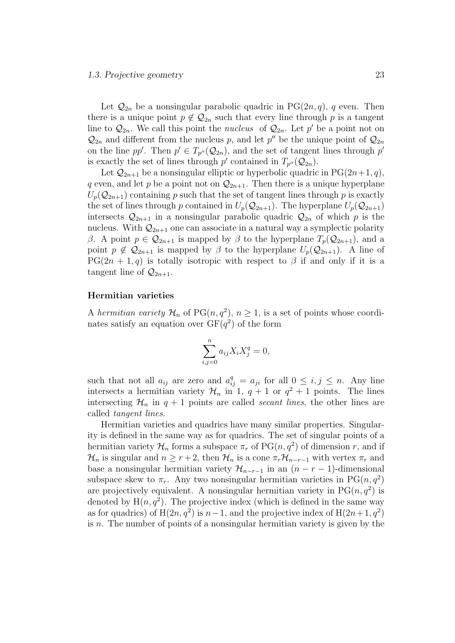Let  $\mathcal{Q}_{2n}$  be a nonsingular parabolic quadric in PG(2n, q), q even. Then there is a unique point  $p \notin \mathcal{Q}_{2n}$  such that every line through p is a tangent line to  $\mathcal{Q}_{2n}$ . We call this point the *nucleus* of  $\mathcal{Q}_{2n}$ . Let p' be a point not on  $\mathcal{Q}_{2n}$  and different from the nucleus p, and let p'' be the unique point of  $\mathcal{Q}_{2n}$ on the line pp'. Then  $p' \in T_{p''}(Q_{2n})$ , and the set of tangent lines through p' is exactly the set of lines through  $p'$  contained in  $T_{p''}(Q_{2n})$ .

Let  $\mathcal{Q}_{2n+1}$  be a nonsingular elliptic or hyperbolic quadric in PG(2n+1, q), q even, and let p be a point not on  $\mathcal{Q}_{2n+1}$ . Then there is a unique hyperplane  $U_p(Q_{2n+1})$  containing p such that the set of tangent lines through p is exactly the set of lines through p contained in  $U_p(\mathcal{Q}_{2n+1})$ . The hyperplane  $U_p(\mathcal{Q}_{2n+1})$ intersects  $\mathcal{Q}_{2n+1}$  in a nonsingular parabolic quadric  $\mathcal{Q}_{2n}$  of which p is the nucleus. With  $\mathcal{Q}_{2n+1}$  one can associate in a natural way a symplectic polarity β. A point  $p \in \mathcal{Q}_{2n+1}$  is mapped by β to the hyperplane  $T_p(\mathcal{Q}_{2n+1})$ , and a point  $p \notin Q_{2n+1}$  is mapped by  $\beta$  to the hyperplane  $U_p(Q_{2n+1})$ . A line of  $PG(2n + 1, q)$  is totally isotropic with respect to  $\beta$  if and only if it is a tangent line of  $\mathcal{Q}_{2n+1}$ .

#### Hermitian varieties

A hermitian variety  $\mathcal{H}_n$  of PG $(n, q^2)$ ,  $n \geq 1$ , is a set of points whose coordinates satisfy an equation over  $GF(q^2)$  of the form

$$
\sum_{i,j=0}^{n} a_{ij} X_i X_j^q = 0,
$$

such that not all  $a_{ij}$  are zero and  $a_{ij}^q = a_{ji}$  for all  $0 \le i, j \le n$ . Any line intersects a hermitian variety  $\mathcal{H}_n$  in 1,  $q + 1$  or  $q^2 + 1$  points. The lines intersecting  $\mathcal{H}_n$  in  $q + 1$  points are called *secant lines*, the other lines are called tangent lines.

Hermitian varieties and quadrics have many similar properties. Singularity is defined in the same way as for quadrics. The set of singular points of a hermitian variety  $\mathcal{H}_n$  forms a subspace  $\pi_r$  of  $PG(n, q^2)$  of dimension r, and if  $\mathcal{H}_n$  is singular and  $n \geq r+2$ , then  $\mathcal{H}_n$  is a cone  $\pi_r \mathcal{H}_{n-r-1}$  with vertex  $\pi_r$  and base a nonsingular hermitian variety  $\mathcal{H}_{n-r-1}$  in an  $(n - r - 1)$ -dimensional subspace skew to  $\pi_r$ . Any two nonsingular hermitian varieties in PG $(n, q^2)$ are projectively equivalent. A nonsingular hermitian variety in  $PG(n, q^2)$  is denoted by  $H(n, q^2)$ . The projective index (which is defined in the same way as for quadrics) of  $H(2n, q^2)$  is  $n-1$ , and the projective index of  $H(2n+1, q^2)$ is  $n$ . The number of points of a nonsingular hermitian variety is given by the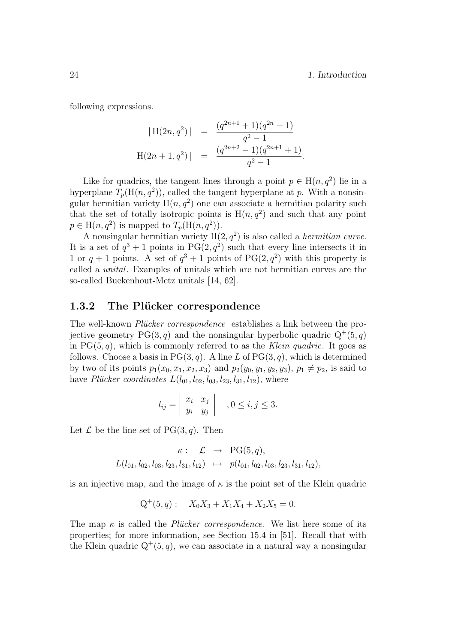following expressions.

$$
|H(2n, q^2)| = \frac{(q^{2n+1} + 1)(q^{2n} - 1)}{q^2 - 1}
$$
  

$$
|H(2n + 1, q^2)| = \frac{(q^{2n+2} - 1)(q^{2n+1} + 1)}{q^2 - 1}.
$$

Like for quadrics, the tangent lines through a point  $p \in H(n, q^2)$  lie in a hyperplane  $T_p(\text{H}(n, q^2))$ , called the tangent hyperplane at p. With a nonsingular hermitian variety  $H(n, q^2)$  one can associate a hermitian polarity such that the set of totally isotropic points is  $H(n, q^2)$  and such that any point  $p \in H(n, q^2)$  is mapped to  $T_p(H(n, q^2))$ .

A nonsingular hermitian variety  $H(2, q^2)$  is also called a *hermitian curve*. It is a set of  $q^3 + 1$  points in PG $(2, q^2)$  such that every line intersects it in 1 or  $q + 1$  points. A set of  $q^3 + 1$  points of PG(2,  $q^2$ ) with this property is called a unital. Examples of unitals which are not hermitian curves are the so-called Buekenhout-Metz unitals [14, 62].

#### 1.3.2 The Plücker correspondence

The well-known *Plücker correspondence* establishes a link between the projective geometry  $PG(3, q)$  and the nonsingular hyperbolic quadric  $Q^+(5,q)$ in  $PG(5, q)$ , which is commonly referred to as the Klein quadric. It goes as follows. Choose a basis in  $PG(3, q)$ . A line L of  $PG(3, q)$ , which is determined by two of its points  $p_1(x_0, x_1, x_2, x_3)$  and  $p_2(y_0, y_1, y_2, y_3), p_1 \neq p_2$ , is said to have Plücker coordinates  $L(l_{01}, l_{02}, l_{03}, l_{23}, l_{31}, l_{12})$ , where

$$
l_{ij} = \begin{vmatrix} x_i & x_j \\ y_i & y_j \end{vmatrix} , 0 \le i, j \le 3.
$$

Let  $\mathcal L$  be the line set of PG(3, q). Then

$$
\kappa: \mathcal{L} \rightarrow \text{PG}(5,q), \nL(l_{01}, l_{02}, l_{03}, l_{23}, l_{31}, l_{12}) \rightarrow p(l_{01}, l_{02}, l_{03}, l_{23}, l_{31}, l_{12}),
$$

is an injective map, and the image of  $\kappa$  is the point set of the Klein quadric

$$
Q^+(5, q): X_0X_3 + X_1X_4 + X_2X_5 = 0.
$$

The map  $\kappa$  is called the *Plücker correspondence*. We list here some of its properties; for more information, see Section 15.4 in [51]. Recall that with the Klein quadric  $Q^+(5,q)$ , we can associate in a natural way a nonsingular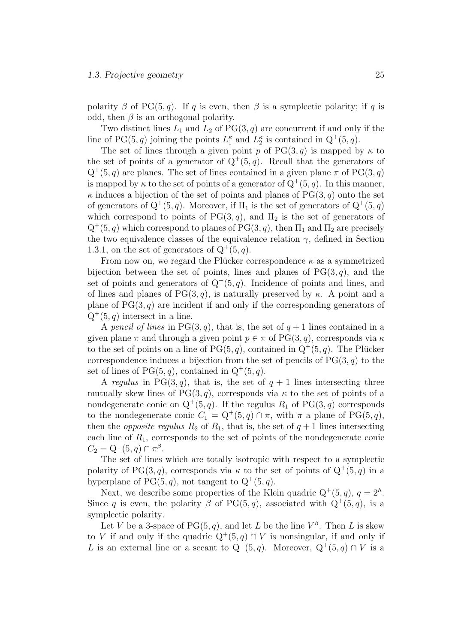polarity  $\beta$  of PG(5, q). If q is even, then  $\beta$  is a symplectic polarity; if q is odd, then  $\beta$  is an orthogonal polarity.

Two distinct lines  $L_1$  and  $L_2$  of  $PG(3, q)$  are concurrent if and only if the line of PG(5, q) joining the points  $L_1^{\kappa}$  and  $L_2^{\kappa}$  is contained in  $Q^+(5, q)$ .

The set of lines through a given point p of  $PG(3, q)$  is mapped by  $\kappa$  to the set of points of a generator of  $Q^+(5, q)$ . Recall that the generators of  $Q^+(5,q)$  are planes. The set of lines contained in a given plane  $\pi$  of PG(3, q) is mapped by  $\kappa$  to the set of points of a generator of  $Q^+(5, q)$ . In this manner,  $\kappa$  induces a bijection of the set of points and planes of PG(3, q) onto the set of generators of  $Q^+(5,q)$ . Moreover, if  $\Pi_1$  is the set of generators of  $Q^+(5,q)$ which correspond to points of PG(3, q), and  $\Pi_2$  is the set of generators of  $Q^+(5,q)$  which correspond to planes of PG(3, q), then  $\Pi_1$  and  $\Pi_2$  are precisely the two equivalence classes of the equivalence relation  $\gamma$ , defined in Section 1.3.1, on the set of generators of  $Q^+(5, q)$ .

From now on, we regard the Plücker correspondence  $\kappa$  as a symmetrized bijection between the set of points, lines and planes of  $PG(3, q)$ , and the set of points and generators of  $Q^+(5,q)$ . Incidence of points and lines, and of lines and planes of PG(3, q), is naturally preserved by  $\kappa$ . A point and a plane of  $PG(3, q)$  are incident if and only if the corresponding generators of  $Q^+(5,q)$  intersect in a line.

A pencil of lines in PG(3, q), that is, the set of  $q+1$  lines contained in a given plane  $\pi$  and through a given point  $p \in \pi$  of PG(3, q), corresponds via  $\kappa$ to the set of points on a line of  $PG(5, q)$ , contained in  $Q^+(5, q)$ . The Plücker correspondence induces a bijection from the set of pencils of  $PG(3, q)$  to the set of lines of  $PG(5, q)$ , contained in  $Q^+(5, q)$ .

A regulus in PG(3,q), that is, the set of  $q + 1$  lines intersecting three mutually skew lines of PG(3, q), corresponds via  $\kappa$  to the set of points of a nondegenerate conic on  $Q^+(5,q)$ . If the regulus  $R_1$  of  $PG(3,q)$  corresponds to the nondegenerate conic  $C_1 = Q^+(5,q) \cap \pi$ , with  $\pi$  a plane of PG(5, q), then the *opposite regulus*  $R_2$  of  $R_1$ , that is, the set of  $q + 1$  lines intersecting each line of  $R_1$ , corresponds to the set of points of the nondegenerate conic  $C_2 = Q^+(5, q) \cap \pi^{\beta}.$ 

The set of lines which are totally isotropic with respect to a symplectic polarity of PG(3,q), corresponds via  $\kappa$  to the set of points of  $Q^+(5, q)$  in a hyperplane of  $PG(5, q)$ , not tangent to  $Q^+(5, q)$ .

Next, we describe some properties of the Klein quadric  $Q^+(5, q)$ ,  $q = 2^h$ . Since q is even, the polarity  $\beta$  of PG(5,q), associated with  $Q^+(5, q)$ , is a symplectic polarity.

Let V be a 3-space of PG(5, q), and let L be the line  $V^{\beta}$ . Then L is skew to V if and only if the quadric  $Q^+(5,q) \cap V$  is nonsingular, if and only if L is an external line or a secant to  $Q^+(5, q)$ . Moreover,  $Q^+(5, q) \cap V$  is a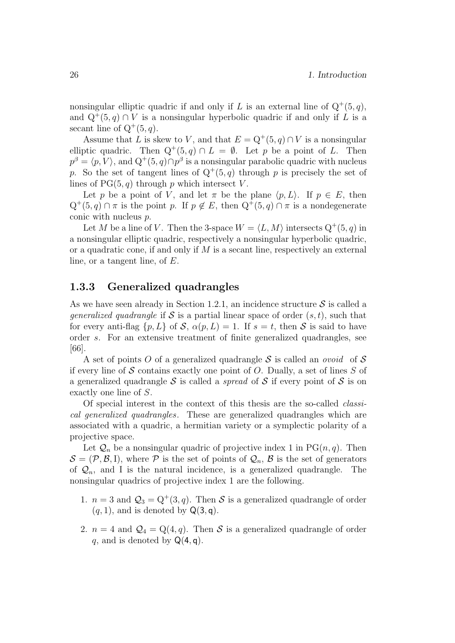nonsingular elliptic quadric if and only if L is an external line of  $Q^+(5, q)$ , and  $Q^+(5, q) \cap V$  is a nonsingular hyperbolic quadric if and only if L is a secant line of  $Q^+(5, q)$ .

Assume that L is skew to V, and that  $E = Q^+(5, q) \cap V$  is a nonsingular elliptic quadric. Then  $Q^+(5,q) \cap L = \emptyset$ . Let p be a point of L. Then  $p^{\beta} = \langle p, V \rangle$ , and  $Q^+(5, q) \cap p^{\beta}$  is a nonsingular parabolic quadric with nucleus p. So the set of tangent lines of  $Q^+(5,q)$  through p is precisely the set of lines of  $PG(5, q)$  through p which intersect V.

Let p be a point of V, and let  $\pi$  be the plane  $\langle p, L \rangle$ . If  $p \in E$ , then  $Q^+(5,q) \cap \pi$  is the point p. If  $p \notin E$ , then  $Q^+(5,q) \cap \pi$  is a nondegenerate conic with nucleus p.

Let M be a line of V. Then the 3-space  $W = \langle L, M \rangle$  intersects  $Q^+(5, q)$  in a nonsingular elliptic quadric, respectively a nonsingular hyperbolic quadric, or a quadratic cone, if and only if  $M$  is a secant line, respectively an external line, or a tangent line, of E.

#### 1.3.3 Generalized quadrangles

As we have seen already in Section 1.2.1, an incidence structure  $S$  is called a *generalized quadrangle* if S is a partial linear space of order  $(s, t)$ , such that for every anti-flag  $\{p, L\}$  of S,  $\alpha(p, L) = 1$ . If  $s = t$ , then S is said to have order s. For an extensive treatment of finite generalized quadrangles, see [66].

A set of points O of a generalized quadrangle S is called an *ovoid* of S if every line of S contains exactly one point of O. Dually, a set of lines  $S$  of a generalized quadrangle S is called a *spread* of S if every point of S is on exactly one line of S.

Of special interest in the context of this thesis are the so-called classical generalized quadrangles. These are generalized quadrangles which are associated with a quadric, a hermitian variety or a symplectic polarity of a projective space.

Let  $\mathcal{Q}_n$  be a nonsingular quadric of projective index 1 in PG $(n, q)$ . Then  $\mathcal{S} = (\mathcal{P}, \mathcal{B}, I)$ , where  $\mathcal P$  is the set of points of  $\mathcal{Q}_n$ ,  $\mathcal B$  is the set of generators of  $\mathcal{Q}_n$ , and I is the natural incidence, is a generalized quadrangle. The nonsingular quadrics of projective index 1 are the following.

- 1.  $n = 3$  and  $\mathcal{Q}_3 = Q^+(3, q)$ . Then S is a generalized quadrangle of order  $(q, 1)$ , and is denoted by  $\mathsf{Q}(3, \mathsf{q})$ .
- 2.  $n = 4$  and  $\mathcal{Q}_4 = \mathcal{Q}(4, q)$ . Then S is a generalized quadrangle of order q, and is denoted by  $Q(4, q)$ .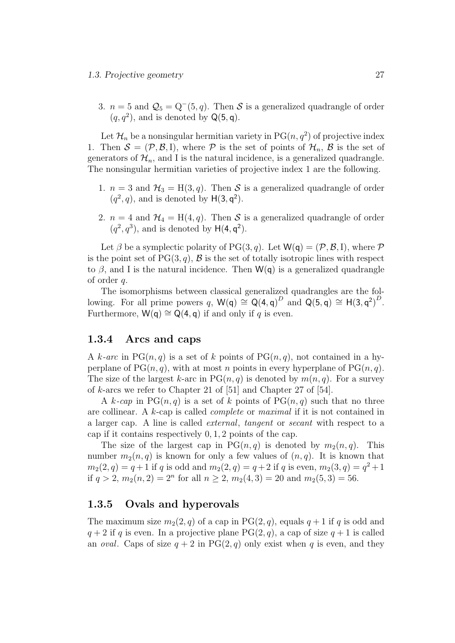3.  $n = 5$  and  $\mathcal{Q}_5 = Q^-(5, q)$ . Then S is a generalized quadrangle of order  $(q, q^2)$ , and is denoted by  $\mathsf{Q}(5, \mathsf{q})$ .

Let  $\mathcal{H}_n$  be a nonsingular hermitian variety in PG $(n, q^2)$  of projective index 1. Then  $S = (\mathcal{P}, \mathcal{B}, I)$ , where  $\mathcal P$  is the set of points of  $\mathcal{H}_n$ ,  $\mathcal B$  is the set of generators of  $\mathcal{H}_n$ , and I is the natural incidence, is a generalized quadrangle. The nonsingular hermitian varieties of projective index 1 are the following.

- 1.  $n = 3$  and  $\mathcal{H}_3 = H(3, q)$ . Then S is a generalized quadrangle of order  $(q^2, q)$ , and is denoted by  $H(3, q^2)$ .
- 2.  $n = 4$  and  $\mathcal{H}_4 = H(4, q)$ . Then S is a generalized quadrangle of order  $(q^2, q^3)$ , and is denoted by  $H(4, q^2)$ .

Let  $\beta$  be a symplectic polarity of PG(3, q). Let  $W(q) = (\mathcal{P}, \mathcal{B}, I)$ , where  $\mathcal P$ is the point set of  $PG(3, q)$ ,  $\mathcal{B}$  is the set of totally isotropic lines with respect to  $\beta$ , and I is the natural incidence. Then  $W(q)$  is a generalized quadrangle of order q.

The isomorphisms between classical generalized quadrangles are the following. For all prime powers q,  $W(q) \cong Q(4,q)^D$  and  $Q(5,q) \cong H(3,q^2)^D$ . Furthermore,  $W(q) \cong Q(4, q)$  if and only if q is even.

#### 1.3.4 Arcs and caps

A k-arc in PG $(n, q)$  is a set of k points of PG $(n, q)$ , not contained in a hyperplane of  $PG(n, q)$ , with at most n points in every hyperplane of  $PG(n, q)$ . The size of the largest k-arc in  $PG(n, q)$  is denoted by  $m(n, q)$ . For a survey of k-arcs we refer to Chapter 21 of [51] and Chapter 27 of [54].

A k-cap in  $PG(n, q)$  is a set of k points of  $PG(n, q)$  such that no three are collinear. A k-cap is called complete or maximal if it is not contained in a larger cap. A line is called external, tangent or secant with respect to a cap if it contains respectively 0, 1, 2 points of the cap.

The size of the largest cap in  $PG(n, q)$  is denoted by  $m_2(n, q)$ . This number  $m_2(n, q)$  is known for only a few values of  $(n, q)$ . It is known that  $m_2(2,q) = q+1$  if q is odd and  $m_2(2,q) = q+2$  if q is even,  $m_2(3,q) = q^2+1$ if  $q > 2$ ,  $m_2(n, 2) = 2^n$  for all  $n \ge 2$ ,  $m_2(4, 3) = 20$  and  $m_2(5, 3) = 56$ .

#### 1.3.5 Ovals and hyperovals

The maximum size  $m_2(2, q)$  of a cap in PG(2, q), equals  $q + 1$  if q is odd and  $q + 2$  if q is even. In a projective plane PG(2, q), a cap of size  $q + 1$  is called an *oval*. Caps of size  $q + 2$  in PG(2, q) only exist when q is even, and they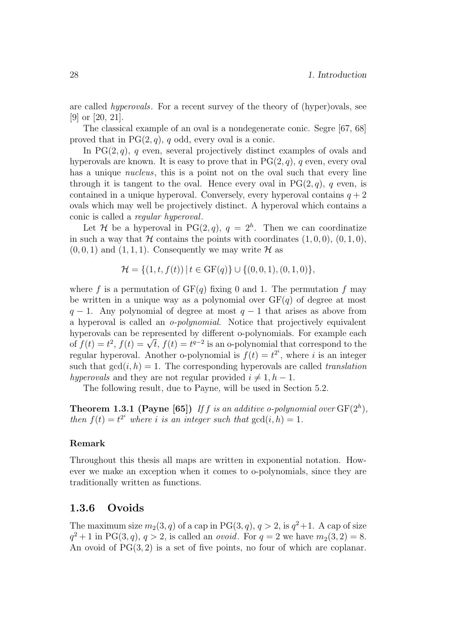are called hyperovals. For a recent survey of the theory of (hyper)ovals, see [9] or [20, 21].

The classical example of an oval is a nondegenerate conic. Segre [67, 68] proved that in  $PG(2, q)$ , q odd, every oval is a conic.

In  $PG(2, q)$ , q even, several projectively distinct examples of ovals and hyperovals are known. It is easy to prove that in  $PG(2, q)$ , q even, every oval has a unique *nucleus*, this is a point not on the oval such that every line through it is tangent to the oval. Hence every oval in  $PG(2, q)$ , q even, is contained in a unique hyperoval. Conversely, every hyperoval contains  $q + 2$ ovals which may well be projectively distinct. A hyperoval which contains a conic is called a regular hyperoval.

Let H be a hyperoval in PG $(2, q)$ ,  $q = 2<sup>h</sup>$ . Then we can coordinatize in such a way that  $H$  contains the points with coordinates  $(1, 0, 0), (0, 1, 0),$  $(0, 0, 1)$  and  $(1, 1, 1)$ . Consequently we may write H as

$$
\mathcal{H} = \{ (1, t, f(t)) \mid t \in \mathrm{GF}(q) \} \cup \{ (0, 0, 1), (0, 1, 0) \},
$$

where f is a permutation of  $GF(q)$  fixing 0 and 1. The permutation f may be written in a unique way as a polynomial over  $GF(q)$  of degree at most  $q - 1$ . Any polynomial of degree at most  $q - 1$  that arises as above from a hyperoval is called an o-polynomial. Notice that projectively equivalent hyperovals can be represented by different o-polynomials. For example each my perovalis can be represented by different o-polynomials. For example each of  $f(t) = t^2$ ,  $f(t) = \sqrt{t}$ ,  $f(t) = t^{q-2}$  is an o-polynomial that correspond to the regular hyperoval. Another o-polynomial is  $f(t) = t^{2^i}$ , where i is an integer such that  $gcd(i, h) = 1$ . The corresponding hyperovals are called *translation* hyperovals and they are not regular provided  $i \neq 1, h - 1$ .

The following result, due to Payne, will be used in Section 5.2.

**Theorem 1.3.1 (Payne [65])** If f is an additive o-polynomial over  $GF(2<sup>h</sup>)$ , then  $f(t) = t^{2^i}$  where i is an integer such that  $gcd(i, h) = 1$ .

#### Remark

Throughout this thesis all maps are written in exponential notation. However we make an exception when it comes to o-polynomials, since they are traditionally written as functions.

#### 1.3.6 Ovoids

The maximum size  $m_2(3, q)$  of a cap in PG $(3, q)$ ,  $q > 2$ , is  $q^2 + 1$ . A cap of size  $q^2 + 1$  in PG(3, q),  $q > 2$ , is called an *ovoid*. For  $q = 2$  we have  $m_2(3, 2) = 8$ . An ovoid of  $PG(3, 2)$  is a set of five points, no four of which are coplanar.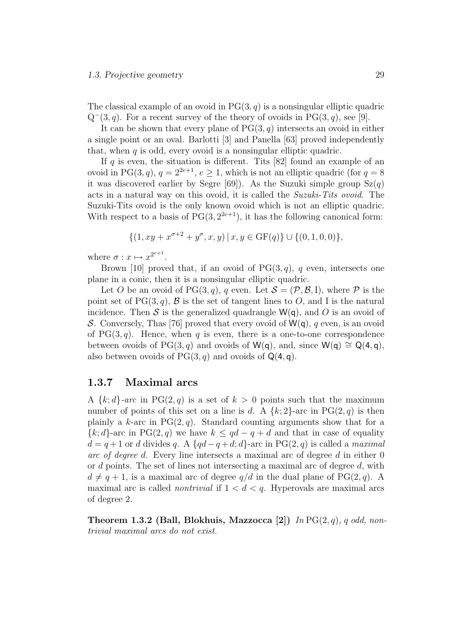The classical example of an ovoid in  $PG(3, q)$  is a nonsingular elliptic quadric  $Q^-(3, q)$ . For a recent survey of the theory of ovoids in PG(3, q), see [9].

It can be shown that every plane of  $PG(3, q)$  intersects an ovoid in either a single point or an oval. Barlotti [3] and Panella [63] proved independently that, when  $q$  is odd, every ovoid is a nonsingular elliptic quadric.

If q is even, the situation is different. Tits  $[82]$  found an example of an ovoid in PG(3, q),  $q = 2^{2e+1}$ ,  $e \ge 1$ , which is not an elliptic quadric (for  $q = 8$ ) it was discovered earlier by Segre [69]). As the Suzuki simple group  $Sz(q)$ acts in a natural way on this ovoid, it is called the Suzuki-Tits ovoid. The Suzuki-Tits ovoid is the only known ovoid which is not an elliptic quadric. With respect to a basis of  $PG(3, 2^{2e+1})$ , it has the following canonical form:

$$
\{(1, xy + x^{\sigma+2} + y^{\sigma}, x, y) | x, y \in \text{GF}(q)\} \cup \{(0, 1, 0, 0)\},\
$$

where  $\sigma: x \mapsto x^{2^{e+1}}$ .

Brown [10] proved that, if an ovoid of  $PG(3, q)$ , q even, intersects one plane in a conic, then it is a nonsingular elliptic quadric.

Let O be an ovoid of PG(3, q), q even. Let  $S = (\mathcal{P}, \mathcal{B}, I)$ , where  $\mathcal P$  is the point set of  $PG(3, q)$ , B is the set of tangent lines to O, and I is the natural incidence. Then S is the generalized quadrangle  $W(q)$ , and O is an ovoid of S. Conversely, Thas [76] proved that every ovoid of  $W(q)$ , q even, is an ovoid of  $PG(3, q)$ . Hence, when q is even, there is a one-to-one correspondence between ovoids of PG(3, q) and ovoids of W(q), and, since W(q)  $\cong Q(4, q)$ , also between ovoids of  $PG(3, q)$  and ovoids of  $Q(4, q)$ .

#### 1.3.7 Maximal arcs

A  $\{k; d\}$ -arc in PG(2, q) is a set of  $k > 0$  points such that the maximum number of points of this set on a line is d. A  $\{k;2\}$ -arc in PG(2,q) is then plainly a k-arc in  $PG(2,q)$ . Standard counting arguments show that for a  ${k; d}$ -arc in PG(2, q) we have  $k \leq qd - q + d$  and that in case of equality  $d = q + 1$  or d divides q. A {qd – q + d; d}-arc in PG(2, q) is called a maximal arc of degree d. Every line intersects a maximal arc of degree d in either 0 or d points. The set of lines not intersecting a maximal arc of degree d, with  $d \neq q + 1$ , is a maximal arc of degree  $q/d$  in the dual plane of PG(2, q). A maximal arc is called *nontrivial* if  $1 < d < q$ . Hyperovals are maximal arcs of degree 2.

Theorem 1.3.2 (Ball, Blokhuis, Mazzocca [2]) In  $PG(2, q)$ , q odd, nontrivial maximal arcs do not exist.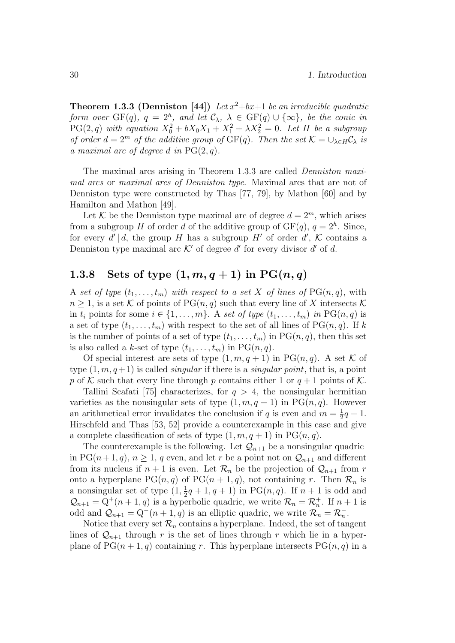**Theorem 1.3.3 (Denniston [44])** Let  $x^2+bx+1$  be an irreducible quadratic form over  $GF(q)$ ,  $q = 2<sup>h</sup>$ , and let  $C_{\lambda}$ ,  $\lambda \in GF(q) \cup {\infty}$ , be the conic in  $PG(2, q)$  with equation  $X_0^2 + bX_0X_1 + X_1^2 + \lambda X_2^2 = 0$ . Let H be a subgroup of order  $d = 2^m$  of the additive group of  $GF(q)$ . Then the set  $\mathcal{K} = \bigcup_{\lambda \in H} \mathcal{C}_{\lambda}$  is a maximal arc of degree d in  $PG(2, q)$ .

The maximal arcs arising in Theorem 1.3.3 are called Denniston maximal arcs or maximal arcs of Denniston type. Maximal arcs that are not of Denniston type were constructed by Thas [77, 79], by Mathon [60] and by Hamilton and Mathon [49].

Let K be the Denniston type maximal arc of degree  $d = 2<sup>m</sup>$ , which arises from a subgroup H of order d of the additive group of  $GF(q)$ ,  $q = 2<sup>h</sup>$ . Since, for every  $d' | d$ , the group H has a subgroup H' of order  $d'$ , K contains a Denniston type maximal arc  $K'$  of degree  $d'$  for every divisor  $d'$  of  $d$ .

### 1.3.8 Sets of type  $(1, m, q+1)$  in PG $(n, q)$

A set of type  $(t_1, \ldots, t_m)$  with respect to a set X of lines of  $PG(n, q)$ , with  $n \geq 1$ , is a set K of points of PG $(n, q)$  such that every line of X intersects K in  $t_i$  points for some  $i \in \{1, \ldots, m\}$ . A set of type  $(t_1, \ldots, t_m)$  in  $PG(n, q)$  is a set of type  $(t_1, \ldots, t_m)$  with respect to the set of all lines of PG $(n, q)$ . If k is the number of points of a set of type  $(t_1, \ldots, t_m)$  in PG $(n, q)$ , then this set is also called a k-set of type  $(t_1, \ldots, t_m)$  in PG $(n, q)$ .

Of special interest are sets of type  $(1, m, q+1)$  in PG $(n, q)$ . A set K of type  $(1, m, q+1)$  is called *singular* if there is a *singular point*, that is, a point p of K such that every line through p contains either 1 or  $q+1$  points of K.

Tallini Scafati [75] characterizes, for  $q > 4$ , the nonsingular hermitian varieties as the nonsingular sets of type  $(1, m, q + 1)$  in PG $(n, q)$ . However an arithmetical error invalidates the conclusion if q is even and  $m = \frac{1}{2}q + 1$ . Hirschfeld and Thas [53, 52] provide a counterexample in this case and give a complete classification of sets of type  $(1, m, q+1)$  in PG $(n, q)$ .

The counterexample is the following. Let  $\mathcal{Q}_{n+1}$  be a nonsingular quadric in PG( $n+1, q$ ),  $n \geq 1$ , q even, and let r be a point not on  $\mathcal{Q}_{n+1}$  and different from its nucleus if  $n + 1$  is even. Let  $\mathcal{R}_n$  be the projection of  $\mathcal{Q}_{n+1}$  from r onto a hyperplane  $PG(n, q)$  of  $PG(n + 1, q)$ , not containing r. Then  $\mathcal{R}_n$  is a nonsingular set of type  $(1, \frac{1}{2}q + 1, q + 1)$  in PG $(n, q)$ . If  $n + 1$  is odd and  $\mathcal{Q}_{n+1} = Q^+(n+1,q)$  is a hyperbolic quadric, we write  $\mathcal{R}_n = \mathcal{R}_n^+$ . If  $n+1$  is odd and  $\mathcal{Q}_{n+1} = Q^-(n+1, q)$  is an elliptic quadric, we write  $\mathcal{R}_n = \mathcal{R}_n^-$ .

Notice that every set  $\mathcal{R}_n$  contains a hyperplane. Indeed, the set of tangent lines of  $\mathcal{Q}_{n+1}$  through r is the set of lines through r which lie in a hyperplane of  $PG(n + 1, q)$  containing r. This hyperplane intersects  $PG(n, q)$  in a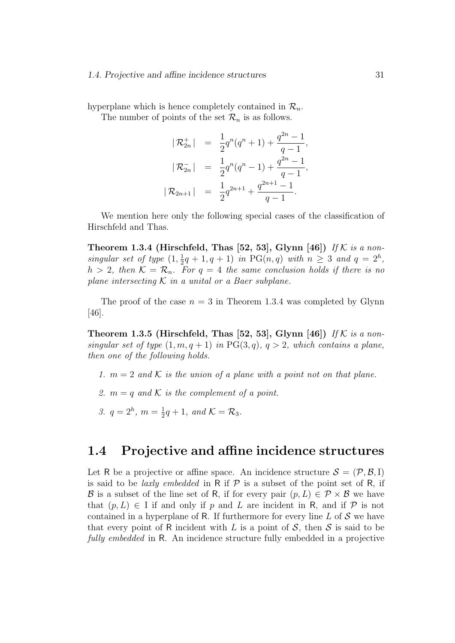#### 1.4. Projective and affine incidence structures 31

hyperplane which is hence completely contained in  $\mathcal{R}_n$ .

The number of points of the set  $\mathcal{R}_n$  is as follows.

$$
|\mathcal{R}_{2n}^+| = \frac{1}{2}q^n(q^n+1) + \frac{q^{2n}-1}{q-1},
$$
  
\n
$$
|\mathcal{R}_{2n}^-| = \frac{1}{2}q^n(q^n-1) + \frac{q^{2n}-1}{q-1},
$$
  
\n
$$
|\mathcal{R}_{2n+1}| = \frac{1}{2}q^{2n+1} + \frac{q^{2n+1}-1}{q-1}.
$$

We mention here only the following special cases of the classification of Hirschfeld and Thas.

Theorem 1.3.4 (Hirschfeld, Thas [52, 53], Glynn [46]) If K is a nonsingular set of type  $(1, \frac{1}{2}q + 1, q + 1)$  in PG $(n, q)$  with  $n \geq 3$  and  $q = 2<sup>h</sup>$ ,  $h > 2$ , then  $\mathcal{K} = \mathcal{R}_n$ . For  $q = 4$  the same conclusion holds if there is no plane intersecting  $K$  in a unital or a Baer subplane.

The proof of the case  $n = 3$  in Theorem 1.3.4 was completed by Glynn [46].

Theorem 1.3.5 (Hirschfeld, Thas [52, 53], Glynn [46]) If K is a nonsingular set of type  $(1, m, q+1)$  in PG(3,q),  $q > 2$ , which contains a plane, then one of the following holds.

- 1.  $m = 2$  and K is the union of a plane with a point not on that plane.
- 2.  $m = q$  and K is the complement of a point.
- 3.  $q = 2^h$ ,  $m = \frac{1}{2}q + 1$ , and  $\mathcal{K} = \mathcal{R}_3$ .

### 1.4 Projective and affine incidence structures

Let R be a projective or affine space. An incidence structure  $S = (\mathcal{P}, \mathcal{B}, I)$ is said to be *laxly embedded* in R if  $P$  is a subset of the point set of R, if B is a subset of the line set of R, if for every pair  $(p, L) \in \mathcal{P} \times \mathcal{B}$  we have that  $(p, L) \in I$  if and only if p and L are incident in R, and if P is not contained in a hyperplane of R. If furthermore for every line  $L$  of  $S$  we have that every point of R incident with L is a point of  $S$ , then S is said to be fully embedded in R. An incidence structure fully embedded in a projective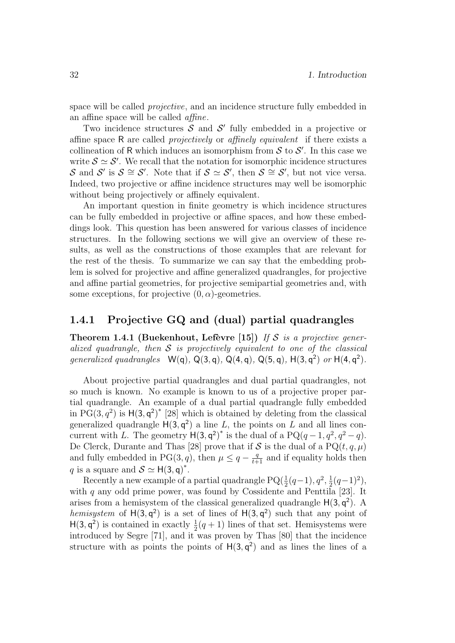space will be called *projective*, and an incidence structure fully embedded in an affine space will be called affine.

Two incidence structures  $S$  and  $S'$  fully embedded in a projective or affine space R are called projectively or affinely equivalent if there exists a collineation of R which induces an isomorphism from  $S$  to  $S'$ . In this case we write  $S \simeq S'$ . We recall that the notation for isomorphic incidence structures S and S' is  $S \cong S'$ . Note that if  $S \simeq S'$ , then  $S \cong S'$ , but not vice versa. Indeed, two projective or affine incidence structures may well be isomorphic without being projectively or affinely equivalent.

An important question in finite geometry is which incidence structures can be fully embedded in projective or affine spaces, and how these embeddings look. This question has been answered for various classes of incidence structures. In the following sections we will give an overview of these results, as well as the constructions of those examples that are relevant for the rest of the thesis. To summarize we can say that the embedding problem is solved for projective and affine generalized quadrangles, for projective and affine partial geometries, for projective semipartial geometries and, with some exceptions, for projective  $(0, \alpha)$ -geometries.

#### 1.4.1 Projective GQ and (dual) partial quadrangles

Theorem 1.4.1 (Buekenhout, Lefèvre [15]) If S is a projective generalized quadrangle, then  $S$  is projectively equivalent to one of the classical generalized quadrangles  $W(q)$ ,  $Q(3, q)$ ,  $Q(4, q)$ ,  $Q(5, q)$ ,  $H(3, q^2)$  or  $H(4, q^2)$ .

About projective partial quadrangles and dual partial quadrangles, not so much is known. No example is known to us of a projective proper partial quadrangle. An example of a dual partial quadrangle fully embedded in  $PG(3, q^2)$  is  $H(3, q^2)^*$  [28] which is obtained by deleting from the classical generalized quadrangle  $H(3, q^2)$  a line L, the points on L and all lines concurrent with L. The geometry  $H(3, q^2)^*$  is the dual of a PQ $(q-1, q^2, q^2-q)$ . De Clerck, Durante and Thas [28] prove that if S is the dual of a  $PQ(t, q, \mu)$ and fully embedded in PG(3, q), then  $\mu \leq q - \frac{q}{t+1}$  and if equality holds then q is a square and  $S \simeq H(3, \mathsf{q})^*$ .

Recently a new example of a partial quadrangle  $PQ(\frac{1}{2}(q-1), q^2, \frac{1}{2}(q-1)^2)$ , with  $q$  any odd prime power, was found by Cossidente and Penttila [23]. It arises from a hemisystem of the classical generalized quadrangle  $H(3, q^2)$ . A hemisystem of  $H(3, q^2)$  is a set of lines of  $H(3, q^2)$  such that any point of  $H(3, q^2)$  is contained in exactly  $\frac{1}{2}(q+1)$  lines of that set. Hemisystems were introduced by Segre [71], and it was proven by Thas [80] that the incidence structure with as points the points of  $H(3, q^2)$  and as lines the lines of a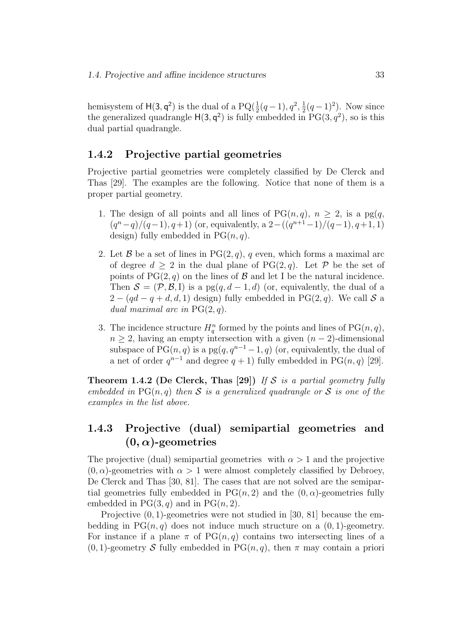hemisystem of  $H(3, q^2)$  is the dual of a  $PQ(\frac{1}{2}(q-1), q^2, \frac{1}{2}(q-1)^2)$ . Now since the generalized quadrangle  $H(3, q^2)$  is fully embedded in  $PG(3, q^2)$ , so is this dual partial quadrangle.

#### 1.4.2 Projective partial geometries

Projective partial geometries were completely classified by De Clerck and Thas [29]. The examples are the following. Notice that none of them is a proper partial geometry.

- 1. The design of all points and all lines of  $PG(n, q)$ ,  $n \geq 2$ , is a pg(q,  $(q^{n}-q)/(q-1), q+1)$  (or, equivalently, a  $2-((q^{n+1}-1)/(q-1), q+1, 1)$ ) design) fully embedded in  $PG(n, q)$ .
- 2. Let B be a set of lines in  $PG(2, q)$ , q even, which forms a maximal arc of degree  $d \geq 2$  in the dual plane of PG(2, q). Let P be the set of points of  $PG(2, q)$  on the lines of  $\mathcal{B}$  and let I be the natural incidence. Then  $S = (\mathcal{P}, \mathcal{B}, I)$  is a pg $(q, d - 1, d)$  (or, equivalently, the dual of a  $2 - (qd - q + d, d, 1)$  design) fully embedded in PG(2, q). We call S a dual maximal arc in  $PG(2, q)$ .
- 3. The incidence structure  $H_q^n$  formed by the points and lines of  $PG(n, q)$ ,  $n \geq 2$ , having an empty intersection with a given  $(n-2)$ -dimensional subspace of  $PG(n, q)$  is a pg(q,  $q^{n-1} - 1$ , q) (or, equivalently, the dual of a net of order  $q^{n-1}$  and degree  $q + 1$ ) fully embedded in PG(n, q) [29].

Theorem 1.4.2 (De Clerck, Thas [29]) If S is a partial geometry fully embedded in  $PG(n, q)$  then S is a generalized quadrangle or S is one of the examples in the list above.

### 1.4.3 Projective (dual) semipartial geometries and  $(0, \alpha)$ -geometries

The projective (dual) semipartial geometries with  $\alpha > 1$  and the projective  $(0, \alpha)$ -geometries with  $\alpha > 1$  were almost completely classified by Debroey, De Clerck and Thas [30, 81]. The cases that are not solved are the semipartial geometries fully embedded in  $PG(n, 2)$  and the  $(0, \alpha)$ -geometries fully embedded in  $PG(3, q)$  and in  $PG(n, 2)$ .

Projective (0, 1)-geometries were not studied in [30, 81] because the embedding in  $PG(n, q)$  does not induce much structure on a  $(0, 1)$ -geometry. For instance if a plane  $\pi$  of PG(n, q) contains two intersecting lines of a  $(0, 1)$ -geometry S fully embedded in PG $(n, q)$ , then  $\pi$  may contain a priori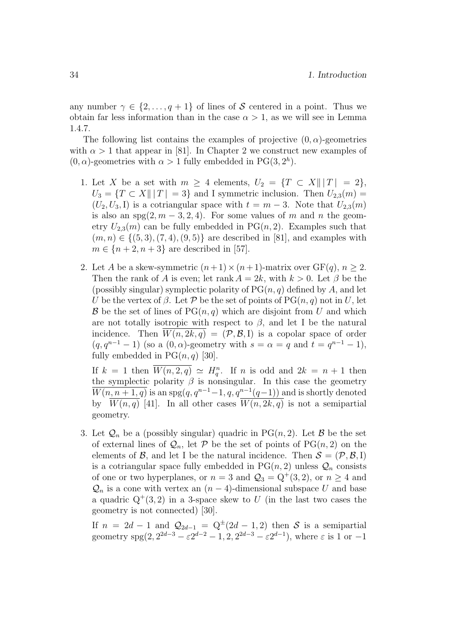any number  $\gamma \in \{2, \ldots, q+1\}$  of lines of S centered in a point. Thus we obtain far less information than in the case  $\alpha > 1$ , as we will see in Lemma 1.4.7.

The following list contains the examples of projective  $(0, \alpha)$ -geometries with  $\alpha > 1$  that appear in [81]. In Chapter 2 we construct new examples of  $(0, \alpha)$ -geometries with  $\alpha > 1$  fully embedded in PG(3, 2<sup>h</sup>).

- 1. Let X be a set with  $m \geq 4$  elements,  $U_2 = \{T \subset X || |T| = 2\},\$  $U_3 = \{T \subset X \mid ||T|| = 3\}$  and I symmetric inclusion. Then  $U_{2,3}(m) =$  $(U_2, U_3, I)$  is a cotriangular space with  $t = m - 3$ . Note that  $U_{2,3}(m)$ is also an  $spg(2, m-3, 2, 4)$ . For some values of m and n the geometry  $U_{2,3}(m)$  can be fully embedded in PG(n, 2). Examples such that  $(m, n) \in \{(5, 3), (7, 4), (9, 5)\}\$ are described in [81], and examples with  $m \in \{n+2, n+3\}$  are described in [57].
- 2. Let A be a skew-symmetric  $(n+1) \times (n+1)$ -matrix over  $GF(q)$ ,  $n > 2$ . Then the rank of A is even; let rank  $A = 2k$ , with  $k > 0$ . Let  $\beta$  be the (possibly singular) symplectic polarity of  $PG(n, q)$  defined by A, and let U be the vertex of  $\beta$ . Let P be the set of points of PG $(n, q)$  not in U, let  $\mathcal B$  be the set of lines of PG $(n, q)$  which are disjoint from U and which are not totally isotropic with respect to  $\beta$ , and let I be the natural incidence. Then  $\overline{W(n, 2k, q)} = (\mathcal{P}, \mathcal{B}, I)$  is a copolar space of order  $(q, q^{n-1} - 1)$  (so a  $(0, \alpha)$ -geometry with  $s = \alpha = q$  and  $t = q^{n-1} - 1$ ), fully embedded in  $PG(n, q)$  [30].

If  $k = 1$  then  $\overline{W(n, 2, q)} \simeq H_q^n$ . If n is odd and  $2k = n + 1$  then the symplectic polarity  $\beta$  is nonsingular. In this case the geometry  $\overline{W(n, n+1, q)}$  is an spg $(q, q^{n-1}-1, q, q^{n-1}(q-1))$  and is shortly denoted by  $\overline{W(n,q)}$  [41]. In all other cases  $\overline{W(n, 2k, q)}$  is not a semipartial geometry.

3. Let  $\mathcal{Q}_n$  be a (possibly singular) quadric in PG(n, 2). Let B be the set of external lines of  $\mathcal{Q}_n$ , let P be the set of points of PG(n, 2) on the elements of  $\mathcal{B}$ , and let I be the natural incidence. Then  $\mathcal{S} = (\mathcal{P}, \mathcal{B}, I)$ is a cotriangular space fully embedded in  $PG(n, 2)$  unless  $\mathcal{Q}_n$  consists of one or two hyperplanes, or  $n = 3$  and  $\mathcal{Q}_3 = \mathbb{Q}^+(3, 2)$ , or  $n \geq 4$  and  $\mathcal{Q}_n$  is a cone with vertex an  $(n-4)$ -dimensional subspace U and base a quadric  $Q^+(3,2)$  in a 3-space skew to U (in the last two cases the geometry is not connected) [30].

If  $n = 2d - 1$  and  $\mathcal{Q}_{2d-1} = \mathbb{Q}^{\pm}(2d - 1, 2)$  then S is a semipartial geometry  $\text{spg}(2, 2^{2d-3} - \varepsilon 2^{d-2} - 1, 2, 2^{2d-3} - \varepsilon 2^{d-1})$ , where  $\varepsilon$  is 1 or  $-1$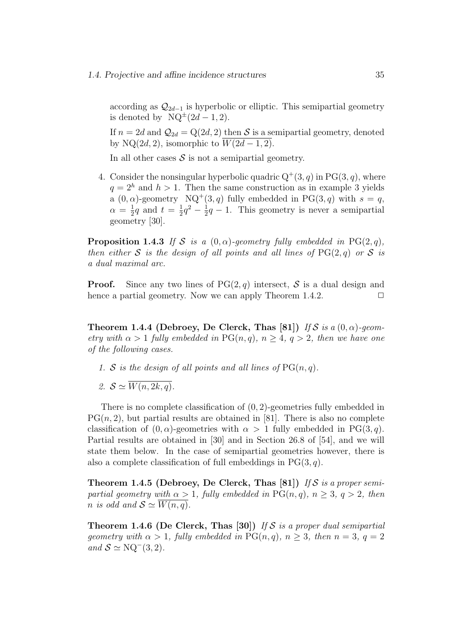according as  $\mathcal{Q}_{2d-1}$  is hyperbolic or elliptic. This semipartial geometry is denoted by  $NQ^{\pm}(2d-1,2)$ .

If  $n = 2d$  and  $\mathcal{Q}_{2d} = \mathbb{Q}(2d, 2)$  then S is a semipartial geometry, denoted by NQ(2d, 2), isomorphic to  $\overline{W(2d-1,2)}$ .

In all other cases  $S$  is not a semipartial geometry.

4. Consider the nonsingular hyperbolic quadric  $Q^+(3, q)$  in  $PG(3, q)$ , where  $q = 2<sup>h</sup>$  and  $h > 1$ . Then the same construction as in example 3 yields a  $(0, \alpha)$ -geometry  $NQ^+(3, q)$  fully embedded in PG $(3, q)$  with  $s = q$ ,  $\alpha = \frac{1}{2}q$  and  $t = \frac{1}{2}q^2 - \frac{1}{2}q - 1$ . This geometry is never a semipartial geometry [30].

**Proposition 1.4.3** If S is a  $(0, \alpha)$ -geometry fully embedded in PG(2, q), then either S is the design of all points and all lines of  $PG(2,q)$  or S is a dual maximal arc.

**Proof.** Since any two lines of  $PG(2,q)$  intersect, S is a dual design and hence a partial geometry. Now we can apply Theorem 1.4.2.  $\Box$ 

Theorem 1.4.4 (Debroey, De Clerck, Thas [81]) If S is a  $(0, \alpha)$ -geometry with  $\alpha > 1$  fully embedded in PG(n, q),  $n \geq 4$ ,  $q > 2$ , then we have one of the following cases.

- 1. S is the design of all points and all lines of  $PG(n, q)$ .
- 2.  $S \simeq \overline{W(n, 2k, a)}$ .

There is no complete classification of  $(0, 2)$ -geometries fully embedded in  $PG(n, 2)$ , but partial results are obtained in [81]. There is also no complete classification of  $(0, \alpha)$ -geometries with  $\alpha > 1$  fully embedded in PG(3, q). Partial results are obtained in [30] and in Section 26.8 of [54], and we will state them below. In the case of semipartial geometries however, there is also a complete classification of full embeddings in  $PG(3, q)$ .

Theorem 1.4.5 (Debroey, De Clerck, Thas [81]) If S is a proper semipartial geometry with  $\alpha > 1$ , fully embedded in PG(n,q),  $n \geq 3$ ,  $q > 2$ , then n is odd and  $S \simeq W(n, q)$ .

**Theorem 1.4.6 (De Clerck, Thas [30])** If S is a proper dual semipartial geometry with  $\alpha > 1$ , fully embedded in PG(n, q),  $n \geq 3$ , then  $n = 3$ ,  $q = 2$ and  $S \simeq \text{NQ}^-(3, 2)$ .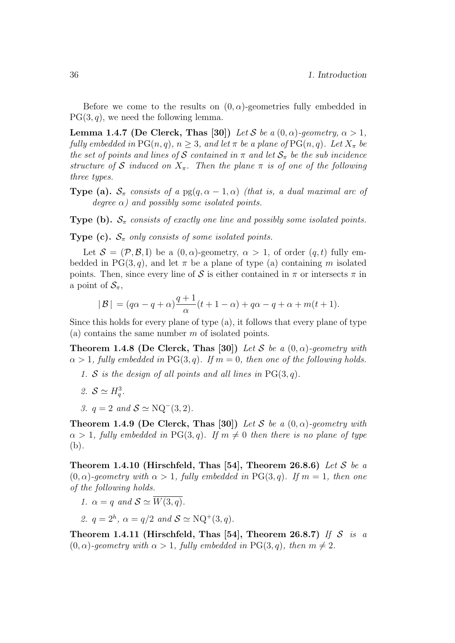Before we come to the results on  $(0, \alpha)$ -geometries fully embedded in  $PG(3, q)$ , we need the following lemma.

Lemma 1.4.7 (De Clerck, Thas [30]) Let S be a  $(0, \alpha)$ -geometry,  $\alpha > 1$ , fully embedded in  $PG(n, q)$ ,  $n \geq 3$ , and let  $\pi$  be a plane of  $PG(n, q)$ . Let  $X_{\pi}$  be the set of points and lines of S contained in  $\pi$  and let  $S_{\pi}$  be the sub incidence structure of S induced on  $X_{\pi}$ . Then the plane  $\pi$  is of one of the following three types.

**Type (a).**  $S_{\pi}$  consists of a pg(q,  $\alpha - 1$ ,  $\alpha$ ) (that is, a dual maximal arc of degree  $\alpha$ ) and possibly some isolated points.

**Type (b).**  $S_{\pi}$  consists of exactly one line and possibly some isolated points.

**Type (c).**  $S_{\pi}$  only consists of some isolated points.

Let  $S = (\mathcal{P}, \mathcal{B}, I)$  be a  $(0, \alpha)$ -geometry,  $\alpha > 1$ , of order  $(q, t)$  fully embedded in PG(3, q), and let  $\pi$  be a plane of type (a) containing m isolated points. Then, since every line of S is either contained in  $\pi$  or intersects  $\pi$  in a point of  $\mathcal{S}_{\pi}$ ,

$$
|\mathcal{B}| = (q\alpha - q + \alpha)\frac{q+1}{\alpha}(t+1-\alpha) + q\alpha - q + \alpha + m(t+1).
$$

Since this holds for every plane of type (a), it follows that every plane of type (a) contains the same number  $m$  of isolated points.

**Theorem 1.4.8 (De Clerck, Thas [30])** Let S be a  $(0, \alpha)$ -geometry with  $\alpha > 1$ , fully embedded in PG(3, q). If  $m = 0$ , then one of the following holds.

- 1. S is the design of all points and all lines in  $PG(3, q)$ .
- 2.  $S \simeq H_q^3$ .
- 3.  $q = 2$  and  $S \simeq NQ^-(3, 2)$ .

**Theorem 1.4.9 (De Clerck, Thas [30])** Let S be a  $(0, \alpha)$ -geometry with  $\alpha > 1$ , fully embedded in PG(3,q). If  $m \neq 0$  then there is no plane of type (b).

Theorem 1.4.10 (Hirschfeld, Thas [54], Theorem 26.8.6) Let S be a  $(0, \alpha)$ -geometry with  $\alpha > 1$ , fully embedded in PG(3,q). If  $m = 1$ , then one of the following holds.

1. 
$$
\alpha = q
$$
 and  $S \simeq \overline{W(3,q)}$ .

2.  $q = 2^h$ ,  $\alpha = q/2$  and  $S \simeq \text{NQ}^+(3, q)$ .

Theorem 1.4.11 (Hirschfeld, Thas [54], Theorem 26.8.7) If S is a  $(0, \alpha)$ -geometry with  $\alpha > 1$ , fully embedded in PG(3, q), then  $m \neq 2$ .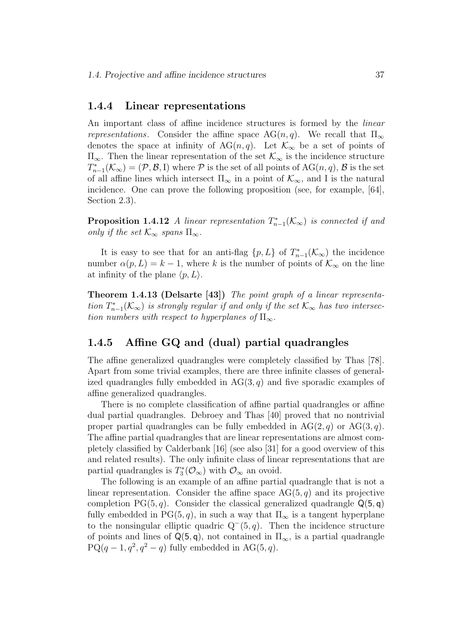#### 1.4.4 Linear representations

An important class of affine incidence structures is formed by the linear *representations.* Consider the affine space AG(n, q). We recall that  $\Pi_{\infty}$ denotes the space at infinity of AG(n,q). Let  $\mathcal{K}_{\infty}$  be a set of points of  $\Pi_{\infty}$ . Then the linear representation of the set  $\mathcal{K}_{\infty}$  is the incidence structure  $T_{n-1}^*(\mathcal{K}_{\infty}) = (\mathcal{P}, \mathcal{B}, I)$  where  $\mathcal P$  is the set of all points of  $AG(n, q)$ ,  $\mathcal B$  is the set of all affine lines which intersect  $\Pi_{\infty}$  in a point of  $\mathcal{K}_{\infty}$ , and I is the natural incidence. One can prove the following proposition (see, for example, [64], Section 2.3).

**Proposition 1.4.12** A linear representation  $T_{n-1}^*(\mathcal{K}_{\infty})$  is connected if and only if the set  $\mathcal{K}_{\infty}$  spans  $\Pi_{\infty}$ .

It is easy to see that for an anti-flag  $\{p, L\}$  of  $T_{n-1}^*(\mathcal{K}_\infty)$  the incidence number  $\alpha(p, L) = k - 1$ , where k is the number of points of  $\mathcal{K}_{\infty}$  on the line at infinity of the plane  $\langle p, L \rangle$ .

Theorem 1.4.13 (Delsarte [43]) The point graph of a linear representation  $T_{n-1}^*(\mathcal{K}_{\infty})$  is strongly regular if and only if the set  $\mathcal{K}_{\infty}$  has two intersection numbers with respect to hyperplanes of  $\Pi_{\infty}$ .

### 1.4.5 Affine GQ and (dual) partial quadrangles

The affine generalized quadrangles were completely classified by Thas [78]. Apart from some trivial examples, there are three infinite classes of generalized quadrangles fully embedded in  $AG(3, q)$  and five sporadic examples of affine generalized quadrangles.

There is no complete classification of affine partial quadrangles or affine dual partial quadrangles. Debroey and Thas [40] proved that no nontrivial proper partial quadrangles can be fully embedded in  $AG(2, q)$  or  $AG(3, q)$ . The affine partial quadrangles that are linear representations are almost completely classified by Calderbank [16] (see also [31] for a good overview of this and related results). The only infinite class of linear representations that are partial quadrangles is  $T_3^*(\mathcal{O}_\infty)$  with  $\mathcal{O}_\infty$  an ovoid.

The following is an example of an affine partial quadrangle that is not a linear representation. Consider the affine space  $AG(5, q)$  and its projective completion PG $(5, q)$ . Consider the classical generalized quadrangle  $\mathsf{Q}(5, q)$ fully embedded in PG(5, q), in such a way that  $\Pi_{\infty}$  is a tangent hyperplane to the nonsingular elliptic quadric  $Q^-(5, q)$ . Then the incidence structure of points and lines of  $Q(5, q)$ , not contained in  $\Pi_{\infty}$ , is a partial quadrangle  $PQ(q-1, q^2, q^2-q)$  fully embedded in AG(5,q).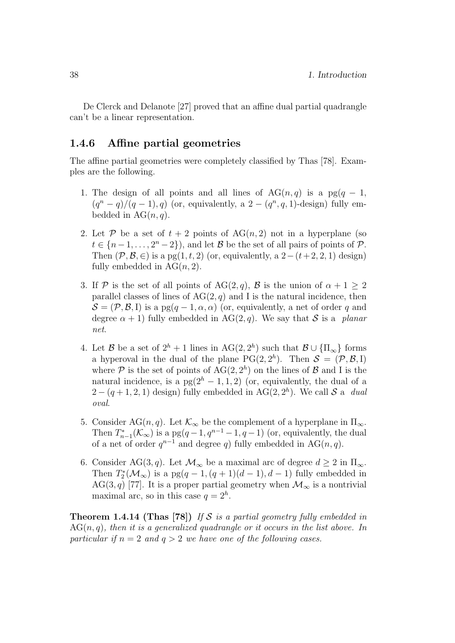De Clerck and Delanote [27] proved that an affine dual partial quadrangle can't be a linear representation.

### 1.4.6 Affine partial geometries

The affine partial geometries were completely classified by Thas [78]. Examples are the following.

- 1. The design of all points and all lines of  $AG(n, q)$  is a pg(q 1,  $(q^{n}-q)/(q-1), q)$  (or, equivalently, a  $2-(q^{n}, q, 1)$ -design) fully embedded in  $AG(n, q)$ .
- 2. Let P be a set of  $t + 2$  points of  $AG(n, 2)$  not in a hyperplane (so  $t \in \{n-1,\ldots,2^{n}-2\}$ , and let  $\mathcal{B}$  be the set of all pairs of points of  $\mathcal{P}$ . Then  $(\mathcal{P}, \mathcal{B}, \in)$  is a pg(1, t, 2) (or, equivalently, a 2–(t+2, 2, 1) design) fully embedded in  $AG(n, 2)$ .
- 3. If P is the set of all points of AG(2, q), B is the union of  $\alpha + 1 \geq 2$ parallel classes of lines of  $AG(2, q)$  and I is the natural incidence, then  $S = (\mathcal{P}, \mathcal{B}, I)$  is a pg $(q - 1, \alpha, \alpha)$  (or, equivalently, a net of order q and degree  $\alpha + 1$ ) fully embedded in AG(2, q). We say that S is a planar net.
- 4. Let B be a set of  $2^h + 1$  lines in  $AG(2, 2^h)$  such that  $B \cup {\Pi_{\infty}}$  forms a hyperoval in the dual of the plane  $PG(2, 2<sup>h</sup>)$ . Then  $S = (\mathcal{P}, \mathcal{B}, I)$ where  $P$  is the set of points of  $AG(2, 2<sup>h</sup>)$  on the lines of  $B$  and I is the natural incidence, is a  $pg(2<sup>h</sup> - 1, 1, 2)$  (or, equivalently, the dual of a  $2-(q+1,2,1)$  design) fully embedded in AG(2,  $2<sup>h</sup>$ ). We call S a dual oval.
- 5. Consider AG(n, q). Let  $\mathcal{K}_{\infty}$  be the complement of a hyperplane in  $\Pi_{\infty}$ . Then  $T_{n-1}^*(\mathcal{K}_{\infty})$  is a  $pg(q-1,q^{n-1}-1,q-1)$  (or, equivalently, the dual of a net of order  $q^{n-1}$  and degree q) fully embedded in AG(n,q).
- 6. Consider AG(3, q). Let  $\mathcal{M}_{\infty}$  be a maximal arc of degree  $d \geq 2$  in  $\Pi_{\infty}$ . Then  $T_2^*(\mathcal{M}_{\infty})$  is a  $pg(q-1, (q+1)(d-1), d-1)$  fully embedded in AG(3, q) [77]. It is a proper partial geometry when  $\mathcal{M}_{\infty}$  is a nontrivial maximal arc, so in this case  $q = 2<sup>h</sup>$ .

**Theorem 1.4.14 (Thas [78])** If S is a partial geometry fully embedded in  $AG(n, q)$ , then it is a generalized quadrangle or it occurs in the list above. In particular if  $n = 2$  and  $q > 2$  we have one of the following cases.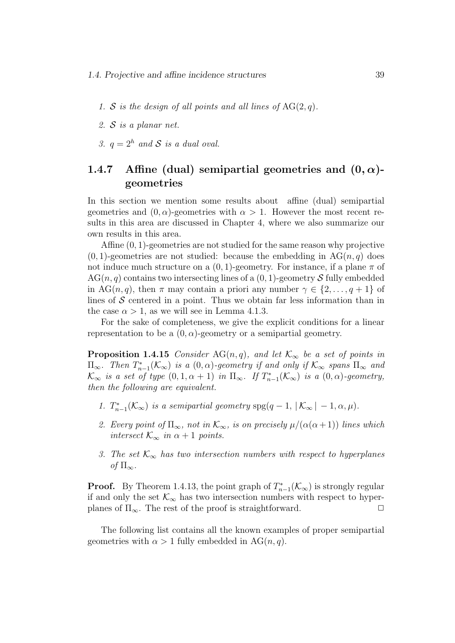- 1. S is the design of all points and all lines of  $AG(2, q)$ .
- 2. S is a planar net.
- 3.  $q = 2^h$  and S is a dual oval.

### 1.4.7 Affine (dual) semipartial geometries and  $(0, \alpha)$ geometries

In this section we mention some results about affine (dual) semipartial geometries and  $(0, \alpha)$ -geometries with  $\alpha > 1$ . However the most recent results in this area are discussed in Chapter 4, where we also summarize our own results in this area.

Affine (0, 1)-geometries are not studied for the same reason why projective  $(0, 1)$ -geometries are not studied: because the embedding in AG $(n, q)$  does not induce much structure on a  $(0, 1)$ -geometry. For instance, if a plane  $\pi$  of  $AG(n, q)$  contains two intersecting lines of a  $(0, 1)$ -geometry S fully embedded in AG(n, q), then  $\pi$  may contain a priori any number  $\gamma \in \{2, \ldots, q+1\}$  of lines of  $S$  centered in a point. Thus we obtain far less information than in the case  $\alpha > 1$ , as we will see in Lemma 4.1.3.

For the sake of completeness, we give the explicit conditions for a linear representation to be a  $(0, \alpha)$ -geometry or a semipartial geometry.

**Proposition 1.4.15** Consider AG(n, q), and let  $\mathcal{K}_{\infty}$  be a set of points in  $\Pi_{\infty}$ . Then  $T_{n-1}^*(\mathcal{K}_{\infty})$  is a  $(0, \alpha)$ -geometry if and only if  $\mathcal{K}_{\infty}$  spans  $\Pi_{\infty}$  and  $\mathcal{K}_{\infty}$  is a set of type  $(0, 1, \alpha + 1)$  in  $\Pi_{\infty}$ . If  $T_{n-1}^{*}(\mathcal{K}_{\infty})$  is a  $(0, \alpha)$ -geometry, then the following are equivalent.

- 1.  $T_{n-1}^*(\mathcal{K}_{\infty})$  is a semipartial geometry  $\text{spg}(q-1, |\mathcal{K}_{\infty}| 1, \alpha, \mu)$ .
- 2. Every point of  $\Pi_{\infty}$ , not in  $\mathcal{K}_{\infty}$ , is on precisely  $\mu/(\alpha(\alpha+1))$  lines which intersect  $\mathcal{K}_{\infty}$  in  $\alpha + 1$  points.
- 3. The set  $\mathcal{K}_{\infty}$  has two intersection numbers with respect to hyperplanes of  $\Pi_{\infty}$ .

**Proof.** By Theorem 1.4.13, the point graph of  $T_{n-1}^*(\mathcal{K}_{\infty})$  is strongly regular if and only the set  $\mathcal{K}_{\infty}$  has two intersection numbers with respect to hyperplanes of  $\Pi_{\infty}$ . The rest of the proof is straightforward.  $\Box$ 

The following list contains all the known examples of proper semipartial geometries with  $\alpha > 1$  fully embedded in AG(n,q).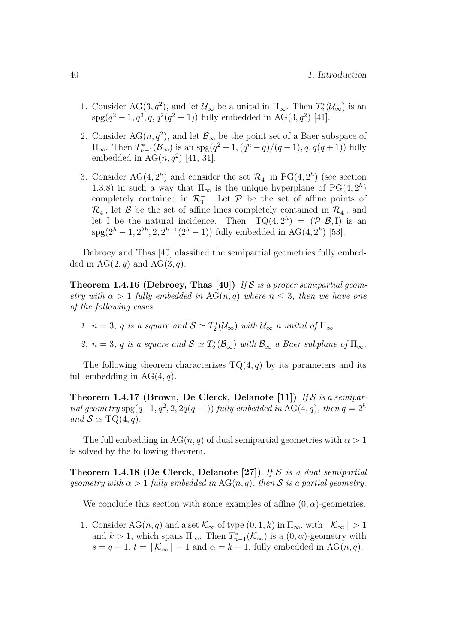- 1. Consider AG(3, $q^2$ ), and let  $\mathcal{U}_{\infty}$  be a unital in  $\Pi_{\infty}$ . Then  $T_2^*(\mathcal{U}_{\infty})$  is an  $spg(q^2-1, q^3, q, q^2(q^2-1))$  fully embedded in AG(3,  $q^2$ ) [41].
- 2. Consider AG( $n, q<sup>2</sup>$ ), and let  $\mathcal{B}_{\infty}$  be the point set of a Baer subspace of  $\Pi_{\infty}$ . Then  $T_{n-1}^*(\mathcal{B}_{\infty})$  is an  $\text{spg}(q^2-1,(q^n-q)/(q-1),q,q(q+1))$  fully embedded in  $AG(n, q^2)$  [41, 31].
- 3. Consider AG(4,  $2<sup>h</sup>$ ) and consider the set  $\mathcal{R}_4^-$  in PG(4,  $2<sup>h</sup>$ ) (see section 1.3.8) in such a way that  $\Pi_{\infty}$  is the unique hyperplane of PG(4, 2<sup>h</sup>) completely contained in  $\mathcal{R}_4^-$ . Let  $\mathcal P$  be the set of affine points of  $\mathcal{R}_4^-$ , let  $\mathcal B$  be the set of affine lines completely contained in  $\mathcal{R}_4^-$ , and let I be the natural incidence. Then  $TQ(4, 2<sup>h</sup>) = (P, \mathcal{B}, I)$  is an spg( $2^h - 1$ ,  $2^{2h}$ , 2,  $2^{h+1}(2^h - 1)$ ) fully embedded in AG(4,  $2^h$ ) [53].

Debroey and Thas [40] classified the semipartial geometries fully embedded in  $AG(2, q)$  and  $AG(3, q)$ .

**Theorem 1.4.16 (Debroey, Thas [40])** If S is a proper semipartial geometry with  $\alpha > 1$  fully embedded in AG(n, q) where  $n \leq 3$ , then we have one of the following cases.

1.  $n = 3$ , q is a square and  $S \simeq T_2^*(\mathcal{U}_{\infty})$  with  $\mathcal{U}_{\infty}$  a unital of  $\Pi_{\infty}$ .

2.  $n = 3$ , q is a square and  $S \simeq T_2^*(\mathcal{B}_{\infty})$  with  $\mathcal{B}_{\infty}$  a Baer subplane of  $\Pi_{\infty}$ .

The following theorem characterizes  $TQ(4, q)$  by its parameters and its full embedding in  $AG(4, q)$ .

Theorem 1.4.17 (Brown, De Clerck, Delanote [11]) If S is a semipartial geometry spg(q-1,  $q^2$ , 2, 2 $q(q-1)$ ) fully embedded in AG(4, q), then  $q = 2<sup>h</sup>$ and  $S \simeq \text{TQ}(4, q)$ .

The full embedding in  $AG(n, q)$  of dual semipartial geometries with  $\alpha > 1$ is solved by the following theorem.

Theorem 1.4.18 (De Clerck, Delanote [27]) If S is a dual semipartial geometry with  $\alpha > 1$  fully embedded in AG(n, q), then S is a partial geometry.

We conclude this section with some examples of affine  $(0, \alpha)$ -geometries.

1. Consider AG(n, q) and a set  $\mathcal{K}_{\infty}$  of type  $(0, 1, k)$  in  $\Pi_{\infty}$ , with  $|\mathcal{K}_{\infty}| > 1$ and  $k > 1$ , which spans  $\Pi_{\infty}$ . Then  $T_{n-1}^*(\mathcal{K}_{\infty})$  is a  $(0, \alpha)$ -geometry with  $s = q - 1$ ,  $t = |K_{\infty}| - 1$  and  $\alpha = k - 1$ , fully embedded in AG(n,q).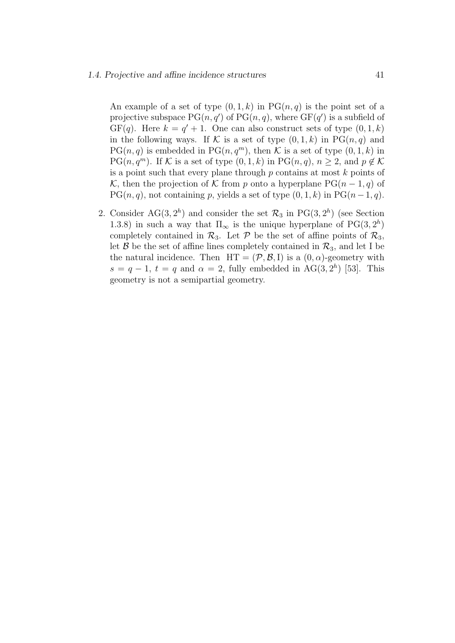An example of a set of type  $(0, 1, k)$  in PG $(n, q)$  is the point set of a projective subspace  $PG(n, q')$  of  $PG(n, q)$ , where  $GF(q')$  is a subfield of  $GF(q)$ . Here  $k = q' + 1$ . One can also construct sets of type  $(0, 1, k)$ in the following ways. If K is a set of type  $(0, 1, k)$  in PG $(n, q)$  and  $PG(n, q)$  is embedded in  $PG(n, q^m)$ , then K is a set of type  $(0, 1, k)$  in PG $(n, q^m)$ . If K is a set of type  $(0, 1, k)$  in PG $(n, q)$ ,  $n \geq 2$ , and  $p \notin K$ is a point such that every plane through  $p$  contains at most  $k$  points of K, then the projection of K from p onto a hyperplane  $PG(n-1, q)$  of PG(n, q), not containing p, yields a set of type  $(0, 1, k)$  in PG(n - 1, q).

2. Consider AG(3,  $2<sup>h</sup>$ ) and consider the set  $\mathcal{R}_3$  in PG(3,  $2<sup>h</sup>$ ) (see Section 1.3.8) in such a way that  $\Pi_{\infty}$  is the unique hyperplane of PG(3,  $2^h$ ) completely contained in  $\mathcal{R}_3$ . Let  $\mathcal P$  be the set of affine points of  $\mathcal{R}_3$ , let  $\mathcal{B}$  be the set of affine lines completely contained in  $\mathcal{R}_3$ , and let I be the natural incidence. Then  $HT = (\mathcal{P}, \mathcal{B}, I)$  is a  $(0, \alpha)$ -geometry with  $s = q - 1$ ,  $t = q$  and  $\alpha = 2$ , fully embedded in AG(3,2<sup>h</sup>) [53]. This geometry is not a semipartial geometry.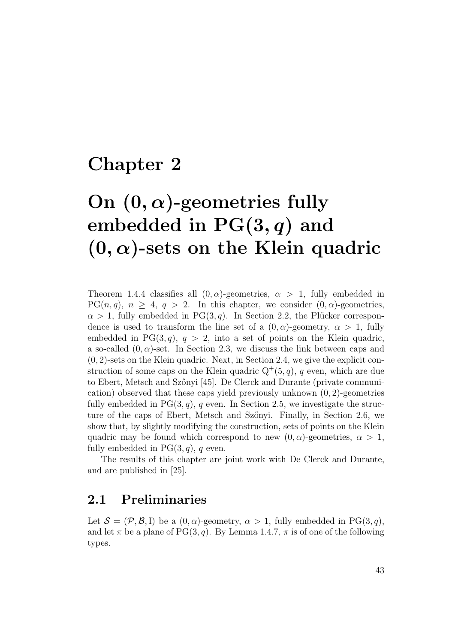## Chapter 2

# On  $(0, \alpha)$ -geometries fully embedded in  $PG(3, q)$  and  $(0, \alpha)$ -sets on the Klein quadric

Theorem 1.4.4 classifies all  $(0, \alpha)$ -geometries,  $\alpha > 1$ , fully embedded in  $PG(n, q), n \geq 4, q > 2$ . In this chapter, we consider  $(0, \alpha)$ -geometries,  $\alpha > 1$ , fully embedded in PG(3, q). In Section 2.2, the Plücker correspondence is used to transform the line set of a  $(0, \alpha)$ -geometry,  $\alpha > 1$ , fully embedded in PG $(3, q)$ ,  $q > 2$ , into a set of points on the Klein quadric, a so-called  $(0, \alpha)$ -set. In Section 2.3, we discuss the link between caps and  $(0, 2)$ -sets on the Klein quadric. Next, in Section 2.4, we give the explicit construction of some caps on the Klein quadric  $Q^+(5, q)$ , q even, which are due to Ebert, Metsch and Szőnyi [45]. De Clerck and Durante (private communication) observed that these caps yield previously unknown  $(0, 2)$ -geometries fully embedded in  $PG(3, q)$ , q even. In Section 2.5, we investigate the structure of the caps of Ebert, Metsch and Szőnyi. Finally, in Section 2.6, we show that, by slightly modifying the construction, sets of points on the Klein quadric may be found which correspond to new  $(0, \alpha)$ -geometries,  $\alpha > 1$ , fully embedded in  $PG(3, q)$ , q even.

The results of this chapter are joint work with De Clerck and Durante, and are published in [25].

### 2.1 Preliminaries

Let  $S = (\mathcal{P}, \mathcal{B}, I)$  be a  $(0, \alpha)$ -geometry,  $\alpha > 1$ , fully embedded in PG(3, q), and let  $\pi$  be a plane of PG(3, q). By Lemma 1.4.7,  $\pi$  is of one of the following types.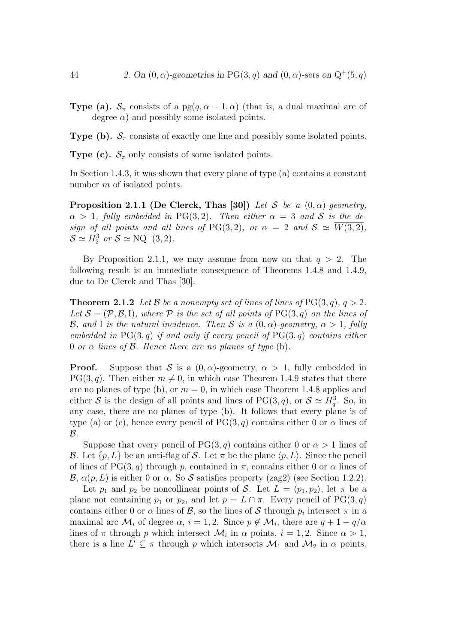**Type (a).**  $S_{\pi}$  consists of a pg(q,  $\alpha - 1$ ,  $\alpha$ ) (that is, a dual maximal arc of degree  $\alpha$ ) and possibly some isolated points.

**Type (b).**  $S_{\pi}$  consists of exactly one line and possibly some isolated points.

**Type (c).**  $S_{\pi}$  only consists of some isolated points.

In Section 1.4.3, it was shown that every plane of type (a) contains a constant number m of isolated points.

**Proposition 2.1.1 (De Clerck, Thas [30])** Let S be a  $(0, \alpha)$ -geometry,  $\alpha > 1$ , fully embedded in PG(3,2). Then either  $\alpha = 3$  and S is the design of all points and all lines of PG(3,2), or  $\alpha = 2$  and  $S \simeq \overline{W(3, 2)}$ ,  $S \simeq H_2^3$  or  $S \simeq \text{NQ}^-(3, 2)$ .

By Proposition 2.1.1, we may assume from now on that  $q > 2$ . The following result is an immediate consequence of Theorems 1.4.8 and 1.4.9, due to De Clerck and Thas [30].

**Theorem 2.1.2** Let B be a nonempty set of lines of lines of  $PG(3, q)$ ,  $q > 2$ . Let  $\mathcal{S} = (\mathcal{P}, \mathcal{B}, I)$ , where  $\mathcal P$  is the set of all points of PG(3, q) on the lines of **B**, and I is the natural incidence. Then S is a  $(0, \alpha)$ -geometry,  $\alpha > 1$ , fully embedded in  $PG(3, q)$  if and only if every pencil of  $PG(3, q)$  contains either 0 or  $\alpha$  lines of  $\beta$ . Hence there are no planes of type (b).

**Proof.** Suppose that S is a  $(0, \alpha)$ -geometry,  $\alpha > 1$ , fully embedded in  $PG(3, q)$ . Then either  $m \neq 0$ , in which case Theorem 1.4.9 states that there are no planes of type (b), or  $m = 0$ , in which case Theorem 1.4.8 applies and either S is the design of all points and lines of PG(3, q), or  $S \simeq H_q^3$ . So, in any case, there are no planes of type (b). It follows that every plane is of type (a) or (c), hence every pencil of  $PG(3,q)$  contains either 0 or  $\alpha$  lines of  $\mathcal{B}.$ 

Suppose that every pencil of PG(3, q) contains either 0 or  $\alpha > 1$  lines of B. Let  $\{p, L\}$  be an anti-flag of S. Let  $\pi$  be the plane  $\langle p, L \rangle$ . Since the pencil of lines of PG(3, q) through p, contained in  $\pi$ , contains either 0 or  $\alpha$  lines of  $\mathcal{B}, \alpha(p, L)$  is either 0 or  $\alpha$ . So S satisfies property (zag2) (see Section 1.2.2).

Let  $p_1$  and  $p_2$  be noncollinear points of S. Let  $L = \langle p_1, p_2 \rangle$ , let  $\pi$  be a plane not containing  $p_1$  or  $p_2$ , and let  $p = L \cap \pi$ . Every pencil of PG(3, q) contains either 0 or  $\alpha$  lines of  $\beta$ , so the lines of S through  $p_i$  intersect  $\pi$  in a maximal arc  $\mathcal{M}_i$  of degree  $\alpha$ ,  $i = 1, 2$ . Since  $p \notin \mathcal{M}_i$ , there are  $q + 1 - q/\alpha$ lines of  $\pi$  through p which intersect  $\mathcal{M}_i$  in  $\alpha$  points,  $i = 1, 2$ . Since  $\alpha > 1$ , there is a line  $L' \subseteq \pi$  through p which intersects  $\mathcal{M}_1$  and  $\mathcal{M}_2$  in  $\alpha$  points.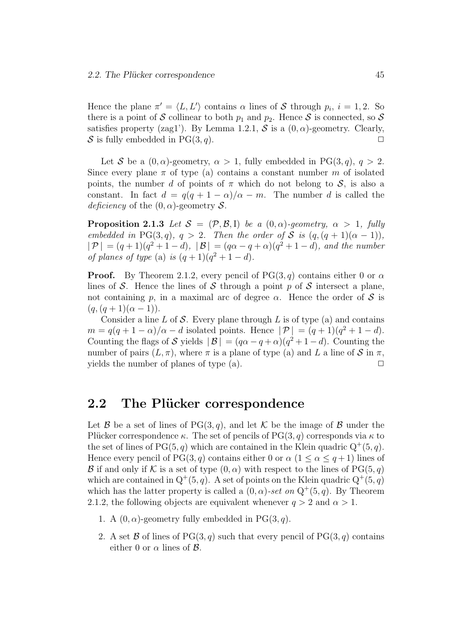Hence the plane  $\pi' = \langle L, L' \rangle$  contains  $\alpha$  lines of S through  $p_i$ ,  $i = 1, 2$ . So there is a point of S collinear to both  $p_1$  and  $p_2$ . Hence S is connected, so S satisfies property (zag1'). By Lemma 1.2.1,  $S$  is a  $(0, \alpha)$ -geometry. Clearly, S is fully embedded in  $PG(3, q)$ .

Let S be a  $(0, \alpha)$ -geometry,  $\alpha > 1$ , fully embedded in PG(3, q),  $q > 2$ . Since every plane  $\pi$  of type (a) contains a constant number m of isolated points, the number d of points of  $\pi$  which do not belong to  $\mathcal{S}$ , is also a constant. In fact  $d = q(q + 1 - \alpha)/\alpha - m$ . The number d is called the deficiency of the  $(0, \alpha)$ -geometry S.

**Proposition 2.1.3** Let  $S = (\mathcal{P}, \mathcal{B}, I)$  be a  $(0, \alpha)$ -geometry,  $\alpha > 1$ , fully embedded in PG(3, q),  $q > 2$ . Then the order of S is  $(q,(q+1)(\alpha-1))$ .  $|\mathcal{P}| = (q+1)(q^2+1-d), |\mathcal{B}| = (q\alpha-q+\alpha)(q^2+1-d),$  and the number of planes of type (a) is  $(q+1)(q^2+1-d)$ .

**Proof.** By Theorem 2.1.2, every pencil of PG(3, q) contains either 0 or  $\alpha$ lines of S. Hence the lines of S through a point p of S intersect a plane, not containing p, in a maximal arc of degree  $\alpha$ . Hence the order of S is  $(q,(q + 1)(\alpha - 1)).$ 

Consider a line  $L$  of  $S$ . Every plane through  $L$  is of type (a) and contains  $m = q(q + 1 - \alpha)/\alpha - d$  isolated points. Hence  $|\mathcal{P}| = (q + 1)(q^2 + 1 - d)$ . Counting the flags of S yields  $|\mathcal{B}| = (q\alpha - q + \alpha)(q^2 + 1 - d)$ . Counting the number of pairs  $(L, \pi)$ , where  $\pi$  is a plane of type (a) and L a line of S in  $\pi$ , yields the number of planes of type  $(a)$ .  $\Box$ 

### 2.2 The Plücker correspondence

Let B be a set of lines of  $PG(3, q)$ , and let K be the image of B under the Plücker correspondence κ. The set of pencils of PG(3, q) corresponds via  $\kappa$  to the set of lines of PG $(5, q)$  which are contained in the Klein quadric  $Q^+(5, q)$ . Hence every pencil of PG(3, q) contains either 0 or  $\alpha$  (1  $\leq \alpha \leq q+1$ ) lines of B if and only if K is a set of type  $(0, \alpha)$  with respect to the lines of PG(5, q) which are contained in  $Q^+(5, q)$ . A set of points on the Klein quadric  $Q^+(5, q)$ which has the latter property is called a  $(0, \alpha)$ -set on  $Q^+(5, q)$ . By Theorem 2.1.2, the following objects are equivalent whenever  $q > 2$  and  $\alpha > 1$ .

- 1. A  $(0, \alpha)$ -geometry fully embedded in PG $(3, q)$ .
- 2. A set B of lines of  $PG(3, q)$  such that every pencil of  $PG(3, q)$  contains either 0 or  $\alpha$  lines of  $\beta$ .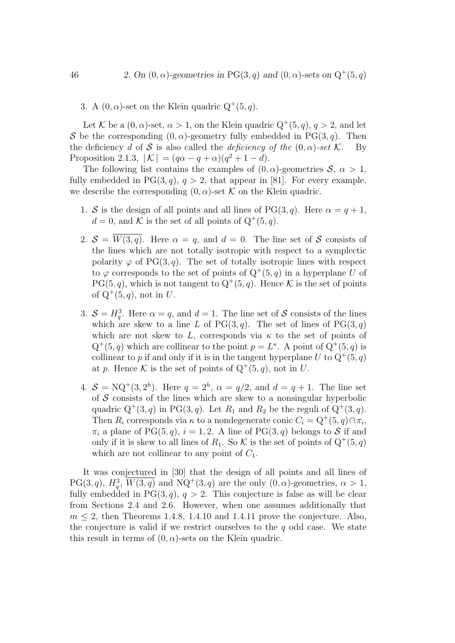3. A  $(0, \alpha)$ -set on the Klein quadric  $Q^+(5, q)$ .

Let K be a  $(0, \alpha)$ -set,  $\alpha > 1$ , on the Klein quadric  $Q^+(5, q)$ ,  $q > 2$ , and let S be the corresponding  $(0, \alpha)$ -geometry fully embedded in PG(3, q). Then the deficiency d of S is also called the deficiency of the  $(0, \alpha)$ -set K. By Proposition 2.1.3,  $|K| = (q\alpha - q + \alpha)(q^2 + 1 - d)$ .

The following list contains the examples of  $(0, \alpha)$ -geometries  $\mathcal{S}, \alpha > 1$ , fully embedded in  $PG(3, q)$ ,  $q > 2$ , that appear in [81]. For every example, we describe the corresponding  $(0, \alpha)$ -set K on the Klein quadric.

- 1. S is the design of all points and all lines of PG(3, q). Here  $\alpha = q + 1$ ,  $d = 0$ , and K is the set of all points of  $Q^+(5, q)$ .
- 2.  $S = W(3, q)$ . Here  $\alpha = q$ , and  $d = 0$ . The line set of S consists of the lines which are not totally isotropic with respect to a symplectic polarity  $\varphi$  of PG(3, q). The set of totally isotropic lines with respect to  $\varphi$  corresponds to the set of points of  $Q^+(5, q)$  in a hyperplane U of  $PG(5, q)$ , which is not tangent to  $Q^+(5, q)$ . Hence K is the set of points of  $Q^+(5,q)$ , not in U.
- 3.  $S = H_q^3$ . Here  $\alpha = q$ , and  $d = 1$ . The line set of S consists of the lines which are skew to a line L of  $PG(3, q)$ . The set of lines of  $PG(3, q)$ which are not skew to  $L$ , corresponds via  $\kappa$  to the set of points of  $Q^+(5,q)$  which are collinear to the point  $p=L^{\kappa}$ . A point of  $Q^+(5,q)$  is collinear to p if and only if it is in the tangent hyperplane U to  $Q^+(5, q)$ at p. Hence K is the set of points of  $Q^+(5, q)$ , not in U.
- 4.  $S = NQ^+(3, 2^h)$ . Here  $q = 2^h$ ,  $\alpha = q/2$ , and  $d = q + 1$ . The line set of  $S$  consists of the lines which are skew to a nonsingular hyperbolic quadric  $Q^+(3, q)$  in PG $(3, q)$ . Let  $R_1$  and  $R_2$  be the reguli of  $Q^+(3, q)$ . Then  $R_i$  corresponds via  $\kappa$  to a nondegenerate conic  $C_i = Q^+(5, q) \cap \pi_i$ ,  $\pi_i$  a plane of PG(5, q),  $i = 1, 2$ . A line of PG(3, q) belongs to S if and only if it is skew to all lines of  $R_1$ . So K is the set of points of  $Q^+(5, q)$ which are not collinear to any point of  $C_1$ .

It was conjectured in [30] that the design of all points and all lines of PG(3,q),  $H_q^3$ ,  $\overline{W(3,q)}$  and NQ<sup>+</sup>(3,q) are the only  $(0, \alpha)$ -geometries,  $\alpha > 1$ , fully embedded in PG(3, q),  $q > 2$ . This conjecture is false as will be clear from Sections 2.4 and 2.6. However, when one assumes additionally that  $m \leq 2$ , then Theorems 1.4.8, 1.4.10 and 1.4.11 prove the conjecture. Also, the conjecture is valid if we restrict ourselves to the  $q$  odd case. We state this result in terms of  $(0, \alpha)$ -sets on the Klein quadric.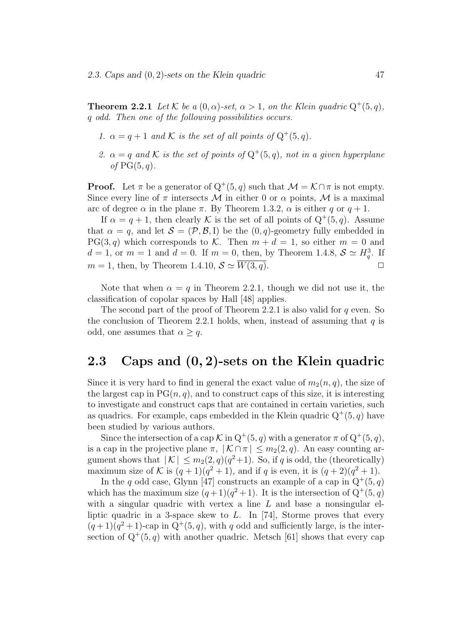**Theorem 2.2.1** Let K be a  $(0, \alpha)$ -set,  $\alpha > 1$ , on the Klein quadric  $Q^+(5, q)$ , q odd. Then one of the following possibilities occurs.

- 1.  $\alpha = q + 1$  and K is the set of all points of  $Q^+(5, q)$ .
- 2.  $\alpha = q$  and K is the set of points of  $Q^+(5,q)$ , not in a given hyperplane of  $PG(5, q)$ .

**Proof.** Let  $\pi$  be a generator of  $Q^+(5, q)$  such that  $\mathcal{M} = \mathcal{K} \cap \pi$  is not empty. Since every line of  $\pi$  intersects M in either 0 or  $\alpha$  points, M is a maximal arc of degree  $\alpha$  in the plane  $\pi$ . By Theorem 1.3.2,  $\alpha$  is either q or  $q + 1$ .

If  $\alpha = q + 1$ , then clearly K is the set of all points of  $Q^+(5, q)$ . Assume that  $\alpha = q$ , and let  $\mathcal{S} = (\mathcal{P}, \mathcal{B}, I)$  be the  $(0, q)$ -geometry fully embedded in  $PG(3, q)$  which corresponds to K. Then  $m + d = 1$ , so either  $m = 0$  and  $d = 1$ , or  $m = 1$  and  $d = 0$ . If  $m = 0$ , then, by Theorem 1.4.8,  $S \simeq H_q^3$ . If  $m = 1$ , then, by Theorem 1.4.10,  $S \simeq \overline{W(3, q)}$ .

Note that when  $\alpha = q$  in Theorem 2.2.1, though we did not use it, the classification of copolar spaces by Hall [48] applies.

The second part of the proof of Theorem 2.2.1 is also valid for  $q$  even. So the conclusion of Theorem 2.2.1 holds, when, instead of assuming that  $q$  is odd, one assumes that  $\alpha \geq q$ .

### 2.3 Caps and (0, 2)-sets on the Klein quadric

Since it is very hard to find in general the exact value of  $m_2(n, q)$ , the size of the largest cap in  $PG(n, q)$ , and to construct caps of this size, it is interesting to investigate and construct caps that are contained in certain varieties, such as quadrics. For example, caps embedded in the Klein quadric  $Q^+(5, q)$  have been studied by various authors.

Since the intersection of a cap  $\mathcal K$  in  $Q^+(5, q)$  with a generator  $\pi$  of  $Q^+(5, q)$ , is a cap in the projective plane  $\pi$ ,  $|\mathcal{K} \cap \pi| \leq m_2(2, q)$ . An easy counting argument shows that  $|K| \leq m_2(2,q)(q^2+1)$ . So, if q is odd, the (theoretically) maximum size of K is  $(q+1)(q^2+1)$ , and if q is even, it is  $(q+2)(q^2+1)$ .

In the q odd case, Glynn [47] constructs an example of a cap in  $Q^+(5, q)$ which has the maximum size  $(q+1)(q^2+1)$ . It is the intersection of  $Q^+(5, q)$ with a singular quadric with vertex a line  $L$  and base a nonsingular elliptic quadric in a 3-space skew to  $L$ . In [74], Storme proves that every  $(q+1)(q^2+1)$ -cap in  $Q^+(5, q)$ , with q odd and sufficiently large, is the intersection of  $Q^+(5,q)$  with another quadric. Metsch [61] shows that every cap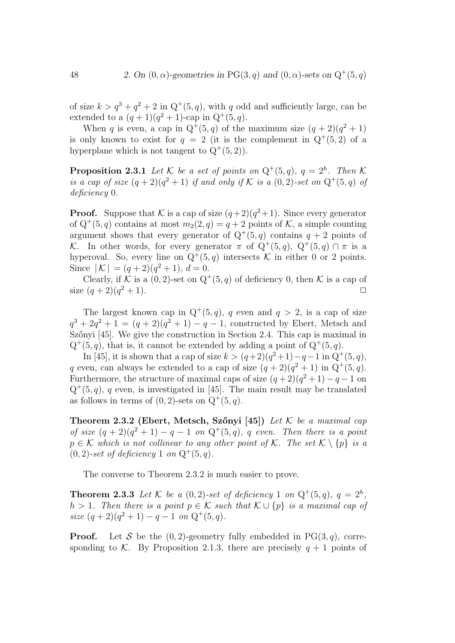of size  $k > q^3 + q^2 + 2$  in  $Q^+(5, q)$ , with q odd and sufficiently large, can be extended to a  $(q + 1)(q^2 + 1)$ -cap in  $Q^+(5, q)$ .

When q is even, a cap in  $Q^+(5,q)$  of the maximum size  $(q+2)(q^2+1)$ is only known to exist for  $q = 2$  (it is the complement in  $Q^+(5,2)$  of a hyperplane which is not tangent to  $Q^+(5,2)$ .

**Proposition 2.3.1** Let K be a set of points on  $Q^+(5,q)$ ,  $q = 2^h$ . Then K is a cap of size  $(q+2)(q^2+1)$  if and only if K is a  $(0, 2)$ -set on  $Q^+(5, q)$  of deficiency 0.

**Proof.** Suppose that K is a cap of size  $(q+2)(q^2+1)$ . Since every generator of  $Q^+(5, q)$  contains at most  $m_2(2, q) = q + 2$  points of K, a simple counting argument shows that every generator of  $Q^+(5,q)$  contains  $q+2$  points of K. In other words, for every generator  $\pi$  of  $Q^+(5,q)$ ,  $Q^+(5,q) \cap \pi$  is a hyperoval. So, every line on  $Q^+(5,q)$  intersects K in either 0 or 2 points. Since  $|K| = (q+2)(q^2+1), d = 0.$ 

Clearly, if K is a  $(0, 2)$ -set on  $Q^+(5, q)$  of deficiency 0, then K is a cap of size  $(q+2)(q^2+1)$ .  $2 + 1$ .

The largest known cap in  $Q^+(5, q)$ , q even and  $q > 2$ , is a cap of size  $q^{3} + 2q^{2} + 1 = (q + 2)(q^{2} + 1) - q - 1$ , constructed by Ebert, Metsch and Szőnyi [45]. We give the construction in Section 2.4. This cap is maximal in  $Q^+(5, q)$ , that is, it cannot be extended by adding a point of  $Q^+(5, q)$ .

In [45], it is shown that a cap of size  $k > (q+2)(q^2+1)-q-1$  in  $Q^+(5, q)$ , q even, can always be extended to a cap of size  $(q+2)(q^2+1)$  in  $Q^+(5, q)$ . Furthermore, the structure of maximal caps of size  $(q+2)(q^2+1) - q - 1$  on  $Q^+(5,q)$ , q even, is investigated in [45]. The main result may be translated as follows in terms of  $(0, 2)$ -sets on  $Q^+(5, q)$ .

Theorem 2.3.2 (Ebert, Metsch, Szőnyi [45]) Let  $K$  be a maximal cap of size  $(q+2)(q^2+1)-q-1$  on  $Q^+(5,q)$ , q even. Then there is a point  $p \in \mathcal{K}$  which is not collinear to any other point of K. The set  $\mathcal{K} \setminus \{p\}$  is a  $(0, 2)$ -set of deficiency 1 on  $Q^+(5, q)$ .

The converse to Theorem 2.3.2 is much easier to prove.

**Theorem 2.3.3** Let K be a  $(0, 2)$ -set of deficiency 1 on  $Q^+(5, q)$ ,  $q = 2^h$ , h > 1. Then there is a point  $p \in K$  such that  $K \cup \{p\}$  is a maximal cap of size  $(q+2)(q^2+1) - q - 1$  on  $Q^+(5, q)$ .

**Proof.** Let S be the  $(0, 2)$ -geometry fully embedded in PG $(3, q)$ , corresponding to K. By Proposition 2.1.3, there are precisely  $q + 1$  points of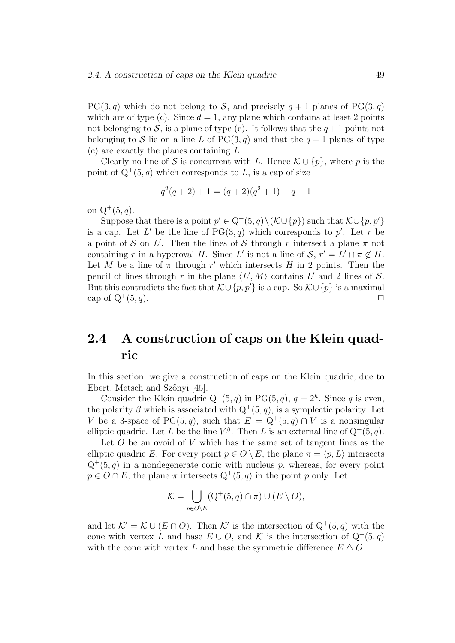#### 2.4. A construction of caps on the Klein quadric 49

 $PG(3, q)$  which do not belong to S, and precisely  $q + 1$  planes of  $PG(3, q)$ which are of type (c). Since  $d = 1$ , any plane which contains at least 2 points not belonging to S, is a plane of type (c). It follows that the  $q+1$  points not belonging to S lie on a line L of  $PG(3, q)$  and that the  $q + 1$  planes of type (c) are exactly the planes containing L.

Clearly no line of S is concurrent with L. Hence  $\mathcal{K} \cup \{p\}$ , where p is the point of  $Q^+(5, q)$  which corresponds to L, is a cap of size

$$
q^{2}(q+2) + 1 = (q+2)(q^{2} + 1) - q - 1
$$

on  $Q^+(5, q)$ .

Suppose that there is a point  $p' \in Q^+(5, q) \setminus (\mathcal{K} \cup \{p\})$  such that  $\mathcal{K} \cup \{p, p'\}$ is a cap. Let L' be the line of  $PG(3, q)$  which corresponds to p'. Let r be a point of S on L'. Then the lines of S through r intersect a plane  $\pi$  not containing r in a hyperoval H. Since L' is not a line of  $S, r' = L' \cap \pi \notin H$ . Let M be a line of  $\pi$  through r' which intersects H in 2 points. Then the pencil of lines through r in the plane  $\langle L', M \rangle$  contains L' and 2 lines of S. But this contradicts the fact that  $\mathcal{K}\cup\{p,p'\}$  is a cap. So  $\mathcal{K}\cup\{p\}$  is a maximal cap of  $Q^+(5,q)$ .  $(5, q).$ 

### 2.4 A construction of caps on the Klein quadric

In this section, we give a construction of caps on the Klein quadric, due to Ebert, Metsch and Szőnyi [45].

Consider the Klein quadric  $Q^+(5, q)$  in PG(5, q),  $q = 2<sup>h</sup>$ . Since q is even, the polarity  $\beta$  which is associated with  $Q^+(5, q)$ , is a symplectic polarity. Let V be a 3-space of PG(5,q), such that  $E = Q^+(5,q) \cap V$  is a nonsingular elliptic quadric. Let L be the line  $V^{\beta}$ . Then L is an external line of  $Q^+(5, q)$ .

Let  $O$  be an ovoid of  $V$  which has the same set of tangent lines as the elliptic quadric E. For every point  $p \in O \setminus E$ , the plane  $\pi = \langle p, L \rangle$  intersects  $Q^+(5,q)$  in a nondegenerate conic with nucleus p, whereas, for every point  $p \in O \cap E$ , the plane  $\pi$  intersects  $Q^+(5, q)$  in the point p only. Let

$$
\mathcal{K} = \bigcup_{p \in O \setminus E} (Q^+(5, q) \cap \pi) \cup (E \setminus O),
$$

and let  $\mathcal{K}' = \mathcal{K} \cup (E \cap O)$ . Then  $\mathcal{K}'$  is the intersection of  $Q^+(5, q)$  with the cone with vertex L and base  $E \cup O$ , and K is the intersection of  $Q^+(5, q)$ with the cone with vertex L and base the symmetric difference  $E \Delta O$ .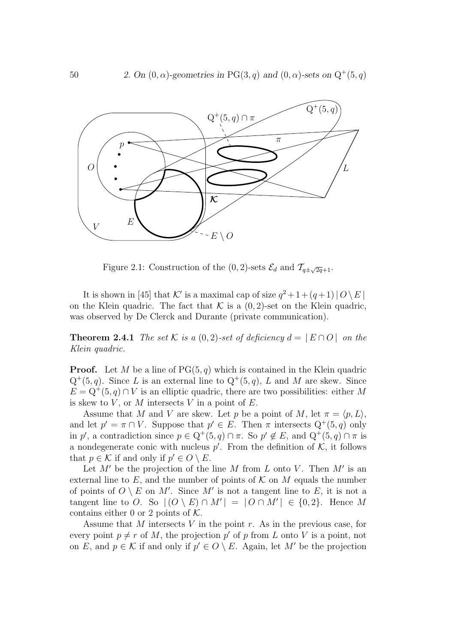

Figure 2.1: Construction of the  $(0, 2)$ -sets  $\mathcal{E}_d$  and  $\mathcal{T}_{q\pm\sqrt{2q}+1}$ .

It is shown in [45] that K' is a maximal cap of size  $q^2 + 1 + (q+1) |O \setminus E|$ on the Klein quadric. The fact that  $K$  is a  $(0, 2)$ -set on the Klein quadric, was observed by De Clerck and Durante (private communication).

**Theorem 2.4.1** The set K is a  $(0, 2)$ -set of deficiency  $d = |E \cap O|$  on the Klein quadric.

**Proof.** Let M be a line of  $PG(5, q)$  which is contained in the Klein quadric  $Q^+(5,q)$ . Since L is an external line to  $Q^+(5,q)$ , L and M are skew. Since  $E = Q^+(5, q) \cap V$  is an elliptic quadric, there are two possibilities: either M is skew to  $V$ , or  $M$  intersects  $V$  in a point of  $E$ .

Assume that M and V are skew. Let p be a point of M, let  $\pi = \langle p, L \rangle$ , and let  $p' = \pi \cap V$ . Suppose that  $p' \in E$ . Then  $\pi$  intersects  $Q^+(5, q)$  only in p', a contradiction since  $p \in \mathbb{Q}^+(5,q) \cap \pi$ . So  $p' \notin E$ , and  $\mathbb{Q}^+(5,q) \cap \pi$  is a nondegenerate conic with nucleus  $p'$ . From the definition of  $K$ , it follows that  $p \in \mathcal{K}$  if and only if  $p' \in O \setminus E$ .

Let  $M'$  be the projection of the line M from L onto V. Then  $M'$  is an external line to  $E$ , and the number of points of  $K$  on M equals the number of points of  $O \setminus E$  on M'. Since M' is not a tangent line to E, it is not a tangent line to O. So  $|(O \setminus E) \cap M'| = |O \cap M'| \in \{0, 2\}$ . Hence M contains either 0 or 2 points of  $K$ .

Assume that M intersects V in the point r. As in the previous case, for every point  $p \neq r$  of M, the projection p' of p from L onto V is a point, not on E, and  $p \in \mathcal{K}$  if and only if  $p' \in O \setminus E$ . Again, let M' be the projection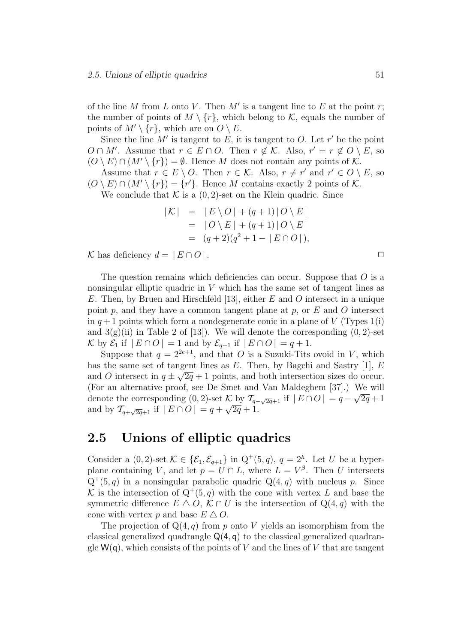of the line M from L onto V. Then  $M'$  is a tangent line to E at the point r; the number of points of  $M \setminus \{r\}$ , which belong to K, equals the number of points of  $M' \setminus \{r\}$ , which are on  $O \setminus E$ .

Since the line  $M'$  is tangent to E, it is tangent to O. Let  $r'$  be the point  $O \cap M'$ . Assume that  $r \in E \cap O$ . Then  $r \notin \mathcal{K}$ . Also,  $r' = r \notin O \setminus E$ , so  $(O \setminus E) \cap (M' \setminus \{r\}) = \emptyset$ . Hence M does not contain any points of K.

Assume that  $r \in E \setminus O$ . Then  $r \in \mathcal{K}$ . Also,  $r \neq r'$  and  $r' \in O \setminus E$ , so  $(O \setminus E) \cap (M' \setminus \{r\}) = \{r'\}.$  Hence M contains exactly 2 points of K.

We conclude that  $K$  is a  $(0, 2)$ -set on the Klein quadric. Since

$$
|\mathcal{K}| = |E \setminus O| + (q+1)|O \setminus E|
$$
  
= |O \setminus E| + (q+1)|O \setminus E|  
= (q+2)(q^2+1-|E \cap O|),

K has deficiency  $d = |E \cap O|$ . □

The question remains which deficiencies can occur. Suppose that  $O$  is a nonsingular elliptic quadric in V which has the same set of tangent lines as E. Then, by Bruen and Hirschfeld [13], either  $E$  and  $O$  intersect in a unique point  $p$ , and they have a common tangent plane at  $p$ , or  $E$  and  $O$  intersect in  $q+1$  points which form a nondegenerate conic in a plane of V (Types 1(i) and  $3(g)(ii)$  in Table 2 of [13]). We will denote the corresponding  $(0, 2)$ -set K by  $\mathcal{E}_1$  if  $|E \cap O| = 1$  and by  $\mathcal{E}_{q+1}$  if  $|E \cap O| = q + 1$ .

Suppose that  $q = 2^{2e+1}$ , and that O is a Suzuki-Tits ovoid in V, which has the same set of tangent lines as  $E$ . Then, by Bagchi and Sastry [1],  $E$ and O intersect in  $q \pm \sqrt{2q} + 1$  points, and both intersection sizes do occur. (For an alternative proof, see De Smet and Van Maldeghem [37].) We will denote the corresponding  $(0, 2)$ -set K by  $\mathcal{T}_{q-\sqrt{2q}+1}$  if  $|E \cap O| = q - \sqrt{2q} + 1$ and by  $\mathcal{T}_{q+\sqrt{2q}+1}$  if  $|E \cap O| = q + \sqrt{2q} + 1$ .

### 2.5 Unions of elliptic quadrics

Consider a  $(0, 2)$ -set  $\mathcal{K} \in \{\mathcal{E}_1, \mathcal{E}_{q+1}\}\$ in  $Q^+(5, q)$ ,  $q = 2^h$ . Let U be a hyperplane containing V, and let  $p = U \cap L$ , where  $L = V^{\beta}$ . Then U intersects  $Q^+(5,q)$  in a nonsingular parabolic quadric  $Q(4,q)$  with nucleus p. Since K is the intersection of  $Q^+(5,q)$  with the cone with vertex L and base the symmetric difference  $E \Delta O$ ,  $K \cap U$  is the intersection of  $Q(4, q)$  with the cone with vertex p and base  $E \Delta O$ .

The projection of  $Q(4, q)$  from p onto V yields an isomorphism from the classical generalized quadrangle  $Q(4, q)$  to the classical generalized quadrangle  $W(q)$ , which consists of the points of V and the lines of V that are tangent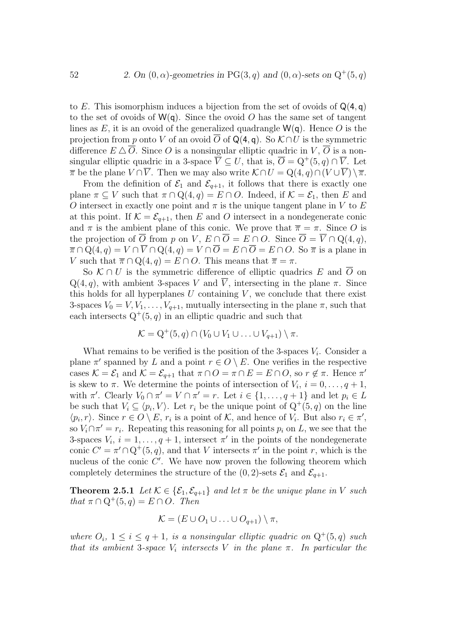to  $E$ . This isomorphism induces a bijection from the set of ovoids of  $Q(4, a)$ to the set of ovoids of  $W(q)$ . Since the ovoid O has the same set of tangent lines as E, it is an ovoid of the generalized quadrangle  $W(q)$ . Hence O is the projection from p onto V of an ovoid  $\overline{O}$  of Q(4, q). So  $\mathcal{K} \cap U$  is the symmetric difference  $E \Delta \overline{Q}$ . Since O is a nonsingular elliptic quadric in  $V, \overline{Q}$  is a nonsingular elliptic quadric in a 3-space  $\overline{V} \subseteq U$ , that is,  $\overline{O} = Q^+(5, q) \cap \overline{V}$ . Let  $\overline{\pi}$  be the plane  $V \cap \overline{V}$ . Then we may also write  $\mathcal{K} \cap U = \mathbb{Q}(4, q) \cap (V \cup \overline{V}) \setminus \overline{\pi}$ .

From the definition of  $\mathcal{E}_1$  and  $\mathcal{E}_{q+1}$ , it follows that there is exactly one plane  $\pi \subseteq V$  such that  $\pi \cap Q(4, q) = E \cap O$ . Indeed, if  $\mathcal{K} = \mathcal{E}_1$ , then E and O intersect in exactly one point and  $\pi$  is the unique tangent plane in V to E at this point. If  $\mathcal{K} = \mathcal{E}_{q+1}$ , then E and O intersect in a nondegenerate conic and  $\pi$  is the ambient plane of this conic. We prove that  $\bar{\pi} = \pi$ . Since O is the projection of  $\overline{O}$  from p on V,  $E \cap \overline{O} = E \cap O$ . Since  $\overline{O} = \overline{V} \cap Q(4,q)$ ,  $\overline{\pi} \cap Q(4,q) = V \cap \overline{V} \cap Q(4,q) = V \cap \overline{O} = E \cap \overline{O} = E \cap O$ . So  $\overline{\pi}$  is a plane in V such that  $\overline{\pi} \cap Q(4, q) = E \cap O$ . This means that  $\overline{\pi} = \pi$ .

So  $\mathcal{K} \cap U$  is the symmetric difference of elliptic quadrics E and  $\overline{O}$  on  $Q(4, q)$ , with ambient 3-spaces V and  $\overline{V}$ , intersecting in the plane  $\pi$ . Since this holds for all hyperplanes  $U$  containing  $V$ , we conclude that there exist 3-spaces  $V_0 = V, V_1, \ldots, V_{q+1}$ , mutually intersecting in the plane  $\pi$ , such that each intersects  $Q^+(5, q)$  in an elliptic quadric and such that

$$
\mathcal{K} = Q^+(5,q) \cap (V_0 \cup V_1 \cup \ldots \cup V_{q+1}) \setminus \pi.
$$

What remains to be verified is the position of the 3-spaces  $V_i$ . Consider a plane  $\pi'$  spanned by L and a point  $r \in O \setminus E$ . One verifies in the respective cases  $\mathcal{K} = \mathcal{E}_1$  and  $\mathcal{K} = \mathcal{E}_{q+1}$  that  $\pi \cap O = \pi \cap E = E \cap O$ , so  $r \notin \pi$ . Hence  $\pi'$ is skew to  $\pi$ . We determine the points of intersection of  $V_i$ ,  $i = 0, \ldots, q + 1$ , with  $\pi'$ . Clearly  $V_0 \cap \pi' = V \cap \pi' = r$ . Let  $i \in \{1, ..., q + 1\}$  and let  $p_i \in L$ be such that  $V_i \subseteq \langle p_i, V \rangle$ . Let  $r_i$  be the unique point of  $Q^+(5, q)$  on the line  $\langle p_i, r \rangle$ . Since  $r \in O \setminus E$ ,  $r_i$  is a point of K, and hence of  $V_i$ . But also  $r_i \in \pi'$ , so  $V_i \cap \pi' = r_i$ . Repeating this reasoning for all points  $p_i$  on L, we see that the 3-spaces  $V_i$ ,  $i = 1, ..., q + 1$ , intersect  $\pi'$  in the points of the nondegenerate conic  $C' = \pi' \cap Q^+(5, q)$ , and that V intersects  $\pi'$  in the point r, which is the nucleus of the conic  $C'$ . We have now proven the following theorem which completely determines the structure of the  $(0, 2)$ -sets  $\mathcal{E}_1$  and  $\mathcal{E}_{q+1}$ .

**Theorem 2.5.1** Let  $\mathcal{K} \in \{\mathcal{E}_1, \mathcal{E}_{q+1}\}\$  and let  $\pi$  be the unique plane in V such that  $\pi \cap Q^+(5, q) = E \cap O$ . Then

$$
\mathcal{K} = (E \cup O_1 \cup \ldots \cup O_{q+1}) \setminus \pi,
$$

where  $O_i$ ,  $1 \leq i \leq q+1$ , is a nonsingular elliptic quadric on  $Q^+(5,q)$  such that its ambient 3-space  $V_i$  intersects V in the plane  $\pi$ . In particular the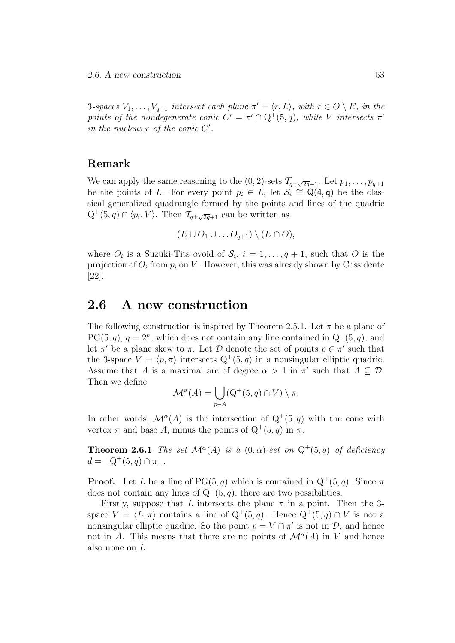3-spaces  $V_1, \ldots, V_{q+1}$  intersect each plane  $\pi' = \langle r, L \rangle$ , with  $r \in O \setminus E$ , in the points of the nondegenerate conic  $C' = \pi' \cap Q^+(5,q)$ , while V intersects  $\pi'$ in the nucleus  $r$  of the conic  $C'$ .

### Remark

We can apply the same reasoning to the  $(0, 2)$ -sets  $\mathcal{T}_{q\pm\sqrt{2q}+1}$ . Let  $p_1, \ldots, p_{q+1}$ be the points of L. For every point  $p_i \in L$ , let  $\mathcal{S}_i \cong \mathsf{Q}(4,\mathsf{q})$  be the classical generalized quadrangle formed by the points and lines of the quadric  $Q^+(5, q) \cap \langle p_i, V \rangle$ . Then  $\mathcal{T}_{q \pm \sqrt{2q}+1}$  can be written as

$$
(E\cup O_1\cup \ldots O_{q+1})\setminus (E\cap O),
$$

where  $O_i$  is a Suzuki-Tits ovoid of  $S_i$ ,  $i = 1, \ldots, q + 1$ , such that O is the projection of  $O_i$  from  $p_i$  on V. However, this was already shown by Cossidente [22].

### 2.6 A new construction

The following construction is inspired by Theorem 2.5.1. Let  $\pi$  be a plane of  $PG(5, q)$ ,  $q = 2<sup>h</sup>$ , which does not contain any line contained in  $Q<sup>+</sup>(5, q)$ , and let  $\pi'$  be a plane skew to  $\pi$ . Let  $\mathcal D$  denote the set of points  $p \in \pi'$  such that the 3-space  $V = \langle p, \pi \rangle$  intersects  $Q^+(5, q)$  in a nonsingular elliptic quadric. Assume that A is a maximal arc of degree  $\alpha > 1$  in  $\pi'$  such that  $A \subseteq \mathcal{D}$ . Then we define

$$
\mathcal{M}^{\alpha}(A) = \bigcup_{p \in A} (Q^+(5, q) \cap V) \setminus \pi.
$$

In other words,  $\mathcal{M}^{\alpha}(A)$  is the intersection of  $Q^+(5,q)$  with the cone with vertex  $\pi$  and base A, minus the points of  $Q^+(5, q)$  in  $\pi$ .

**Theorem 2.6.1** The set  $\mathcal{M}^{\alpha}(A)$  is a  $(0, \alpha)$ -set on  $Q^+(5,q)$  of deficiency  $d = | Q^+(5, q) \cap \pi |$ .

**Proof.** Let L be a line of PG $(5, q)$  which is contained in  $Q^+(5, q)$ . Since  $\pi$ does not contain any lines of  $Q^+(5, q)$ , there are two possibilities.

Firstly, suppose that L intersects the plane  $\pi$  in a point. Then the 3space  $V = \langle L, \pi \rangle$  contains a line of  $Q^+(5, q)$ . Hence  $Q^+(5, q) \cap V$  is not a nonsingular elliptic quadric. So the point  $p = V \cap \pi'$  is not in  $\mathcal{D}$ , and hence not in A. This means that there are no points of  $\mathcal{M}^{\alpha}(A)$  in V and hence also none on L.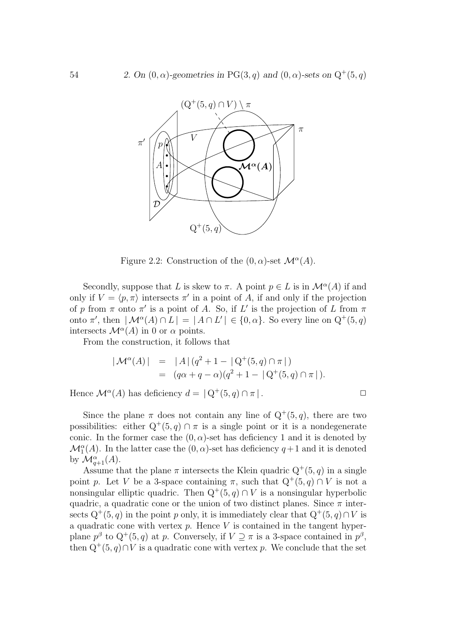

Figure 2.2: Construction of the  $(0, \alpha)$ -set  $\mathcal{M}^{\alpha}(A)$ .

Secondly, suppose that L is skew to  $\pi$ . A point  $p \in L$  is in  $\mathcal{M}^{\alpha}(A)$  if and only if  $V = \langle p, \pi \rangle$  intersects  $\pi'$  in a point of A, if and only if the projection of p from  $\pi$  onto  $\pi'$  is a point of A. So, if L' is the projection of L from  $\pi$ onto  $\pi'$ , then  $|\mathcal{M}^{\alpha}(A) \cap L| = |A \cap L'| \in \{0, \alpha\}$ . So every line on  $Q^+(5, q)$ intersects  $\mathcal{M}^{\alpha}(A)$  in 0 or  $\alpha$  points.

From the construction, it follows that

$$
|\mathcal{M}^{\alpha}(A)| = |A| (q^2 + 1 - |Q^+(5, q) \cap \pi|)
$$
  
=  $(q\alpha + q - \alpha)(q^2 + 1 - |Q^+(5, q) \cap \pi|).$ 

Hence  $\mathcal{M}^{\alpha}(A)$  has deficiency  $d = |Q^+(5, q) \cap \pi|$ .

Since the plane  $\pi$  does not contain any line of  $Q^+(5, q)$ , there are two possibilities: either  $Q^+(5,q) \cap \pi$  is a single point or it is a nondegenerate conic. In the former case the  $(0, \alpha)$ -set has deficiency 1 and it is denoted by  $\mathcal{M}_1^{\alpha}(A)$ . In the latter case the  $(0, \alpha)$ -set has deficiency  $q+1$  and it is denoted by  $\mathcal{M}^{\alpha}_{q+1}(A)$ .

Assume that the plane  $\pi$  intersects the Klein quadric  $Q^+(5, q)$  in a single point p. Let V be a 3-space containing  $\pi$ , such that  $Q^+(5, q) \cap V$  is not a nonsingular elliptic quadric. Then  $Q^+(5,q) \cap V$  is a nonsingular hyperbolic quadric, a quadratic cone or the union of two distinct planes. Since  $\pi$  intersects  $Q^+(5, q)$  in the point p only, it is immediately clear that  $Q^+(5, q) \cap V$  is a quadratic cone with vertex  $p$ . Hence  $V$  is contained in the tangent hyperplane  $p^{\beta}$  to  $Q^+(5, q)$  at p. Conversely, if  $V \supseteq \pi$  is a 3-space contained in  $p^{\beta}$ , then  $Q^+(5, q) \cap V$  is a quadratic cone with vertex p. We conclude that the set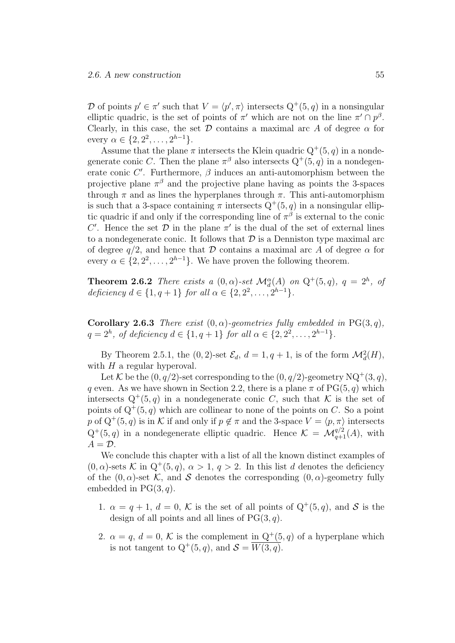D of points  $p' \in \pi'$  such that  $V = \langle p', \pi \rangle$  intersects  $Q^+(5, q)$  in a nonsingular elliptic quadric, is the set of points of  $\pi'$  which are not on the line  $\pi' \cap p^{\beta}$ . Clearly, in this case, the set  $\mathcal D$  contains a maximal arc A of degree  $\alpha$  for every  $\alpha \in \{2, 2^2, \ldots, 2^{h-1}\}.$ 

Assume that the plane  $\pi$  intersects the Klein quadric  $Q^+(5, q)$  in a nondegenerate conic C. Then the plane  $\pi^{\beta}$  also intersects  $Q^{+}(5, q)$  in a nondegenerate conic  $C'$ . Furthermore,  $\beta$  induces an anti-automorphism between the projective plane  $\pi^{\beta}$  and the projective plane having as points the 3-spaces through  $\pi$  and as lines the hyperplanes through  $\pi$ . This anti-automorphism is such that a 3-space containing  $\pi$  intersects  $Q^+(5, q)$  in a nonsingular elliptic quadric if and only if the corresponding line of  $\pi^{\beta}$  is external to the conic C'. Hence the set  $D$  in the plane  $\pi'$  is the dual of the set of external lines to a nondegenerate conic. It follows that  $\mathcal D$  is a Denniston type maximal arc of degree  $q/2$ , and hence that D contains a maximal arc A of degree  $\alpha$  for every  $\alpha \in \{2, 2^2, \ldots, 2^{h-1}\}$ . We have proven the following theorem.

**Theorem 2.6.2** There exists a  $(0, \alpha)$ -set  $\mathcal{M}_d^{\alpha}(A)$  on  $Q^+(5,q)$ ,  $q = 2^h$ , of deficiency  $d \in \{1, q + 1\}$  for all  $\alpha \in \{2, 2^2, ..., 2^{h-1}\}.$ 

Corollary 2.6.3 There exist  $(0, \alpha)$ -geometries fully embedded in PG(3,q),  $q = 2<sup>h</sup>$ , of deficiency  $d \in \{1, q + 1\}$  for all  $\alpha \in \{2, 2^2, ..., 2^{h-1}\}.$ 

By Theorem 2.5.1, the  $(0, 2)$ -set  $\mathcal{E}_d$ ,  $d = 1, q + 1$ , is of the form  $\mathcal{M}_d^2(H)$ , with  $H$  a regular hyperoval.

Let K be the  $(0, q/2)$ -set corresponding to the  $(0, q/2)$ -geometry NQ<sup>+</sup> $(3, q)$ , q even. As we have shown in Section 2.2, there is a plane  $\pi$  of PG(5, q) which intersects  $Q^+(5,q)$  in a nondegenerate conic C, such that K is the set of points of  $Q^+(5, q)$  which are collinear to none of the points on C. So a point p of  $Q^+(5, q)$  is in K if and only if  $p \notin \pi$  and the 3-space  $V = \langle p, \pi \rangle$  intersects  $Q^+(5,q)$  in a nondegenerate elliptic quadric. Hence  $\mathcal{K} = \mathcal{M}_{q+1}^{q/2}(A)$ , with  $A = \mathcal{D}$ .

We conclude this chapter with a list of all the known distinct examples of  $(0, \alpha)$ -sets K in  $Q^+(5, q)$ ,  $\alpha > 1$ ,  $q > 2$ . In this list d denotes the deficiency of the  $(0, \alpha)$ -set K, and S denotes the corresponding  $(0, \alpha)$ -geometry fully embedded in  $PG(3, q)$ .

- 1.  $\alpha = q + 1$ ,  $d = 0$ , K is the set of all points of  $Q^+(5, q)$ , and S is the design of all points and all lines of  $PG(3, q)$ .
- 2.  $\alpha = q, d = 0, K$  is the complement in  $Q^+(5, q)$  of a hyperplane which is not tangent to  $Q^+(5, q)$ , and  $S = \overline{W(3, q)}$ .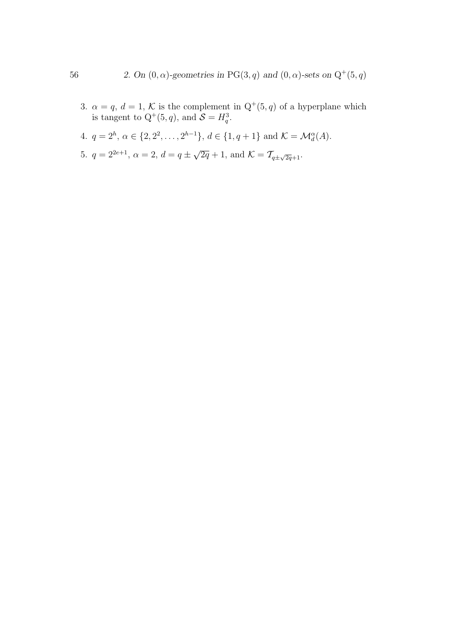- 3.  $\alpha = q, d = 1, K$  is the complement in  $Q^+(5, q)$  of a hyperplane which is tangent to  $Q^+(5, q)$ , and  $S = H_q^3$ .
- 4.  $q = 2^h, \, \alpha \in \{2, 2^2, \ldots, 2^{h-1}\}, \, d \in \{1, q+1\} \text{ and } \mathcal{K} = \mathcal{M}_d^{\alpha}(A)$ .
- 5.  $q = 2^{2e+1}$ ,  $\alpha = 2$ ,  $d = q \pm \sqrt{2q} + 1$ , and  $\mathcal{K} = \mathcal{T}_{q \pm \sqrt{2q} + 1}$ .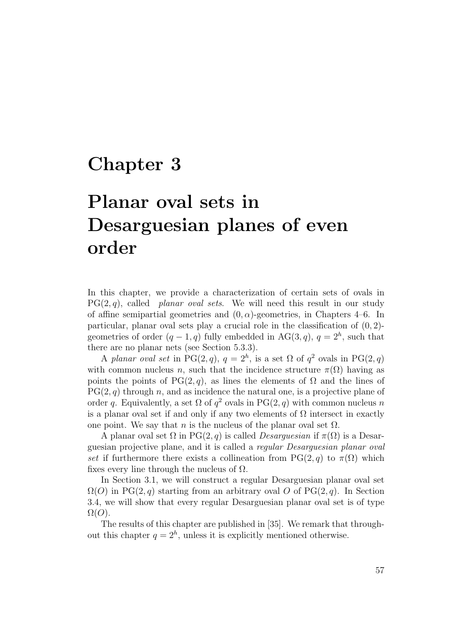## Chapter 3

# Planar oval sets in Desarguesian planes of even order

In this chapter, we provide a characterization of certain sets of ovals in  $PG(2, q)$ , called planar oval sets. We will need this result in our study of affine semipartial geometries and  $(0, \alpha)$ -geometries, in Chapters 4–6. In particular, planar oval sets play a crucial role in the classification of  $(0, 2)$ geometries of order  $(q-1, q)$  fully embedded in AG(3, q),  $q = 2<sup>h</sup>$ , such that there are no planar nets (see Section 5.3.3).

A planar oval set in PG(2,q),  $q = 2<sup>h</sup>$ , is a set  $\Omega$  of  $q<sup>2</sup>$  ovals in PG(2,q) with common nucleus n, such that the incidence structure  $\pi(\Omega)$  having as points the points of PG(2, q), as lines the elements of  $\Omega$  and the lines of  $PG(2, q)$  through n, and as incidence the natural one, is a projective plane of order q. Equivalently, a set  $\Omega$  of  $q^2$  ovals in PG(2, q) with common nucleus n is a planar oval set if and only if any two elements of  $\Omega$  intersect in exactly one point. We say that n is the nucleus of the planar oval set  $\Omega$ .

A planar oval set  $\Omega$  in PG(2, q) is called *Desarguesian* if  $\pi(\Omega)$  is a Desarguesian projective plane, and it is called a regular Desarguesian planar oval set if furthermore there exists a collineation from PG(2, q) to  $\pi(\Omega)$  which fixes every line through the nucleus of  $\Omega$ .

In Section 3.1, we will construct a regular Desarguesian planar oval set  $\Omega(O)$  in PG(2, q) starting from an arbitrary oval O of PG(2, q). In Section 3.4, we will show that every regular Desarguesian planar oval set is of type  $\Omega(O)$ .

The results of this chapter are published in [35]. We remark that throughout this chapter  $q = 2<sup>h</sup>$ , unless it is explicitly mentioned otherwise.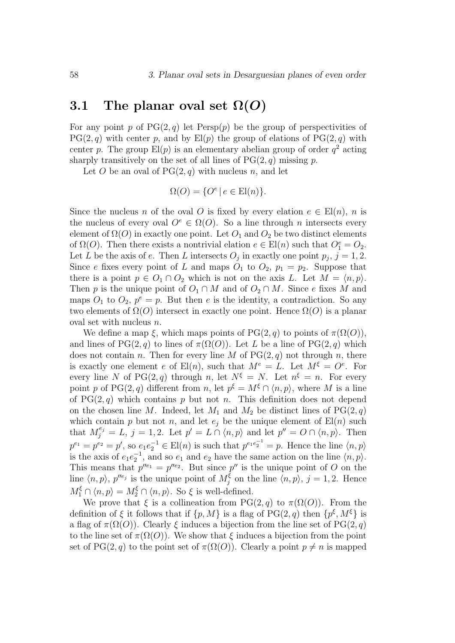### 3.1 The planar oval set  $\Omega(O)$

For any point p of  $PG(2, q)$  let  $Persp(p)$  be the group of perspectivities of  $PG(2, q)$  with center p, and by  $El(p)$  the group of elations of  $PG(2, q)$  with center p. The group  $\text{El}(p)$  is an elementary abelian group of order  $q^2$  acting sharply transitively on the set of all lines of  $PG(2, q)$  missing p.

Let O be an oval of  $PG(2, q)$  with nucleus n, and let

$$
\Omega(O) = \{ O^e \mid e \in \text{El}(n) \}.
$$

Since the nucleus n of the oval O is fixed by every elation  $e \in E(n)$ , n is the nucleus of every oval  $O^e \in \Omega(O)$ . So a line through n intersects every element of  $\Omega(O)$  in exactly one point. Let  $O_1$  and  $O_2$  be two distinct elements of  $\Omega(O)$ . Then there exists a nontrivial elation  $e \in El(n)$  such that  $O_1^e = O_2$ . Let L be the axis of e. Then L intersects  $O_j$  in exactly one point  $p_j$ ,  $j = 1, 2$ . Since e fixes every point of L and maps  $O_1$  to  $O_2$ ,  $p_1 = p_2$ . Suppose that there is a point  $p \in O_1 \cap O_2$  which is not on the axis L. Let  $M = \langle n, p \rangle$ . Then p is the unique point of  $O_1 \cap M$  and of  $O_2 \cap M$ . Since e fixes M and maps  $O_1$  to  $O_2$ ,  $p^e = p$ . But then e is the identity, a contradiction. So any two elements of  $\Omega(O)$  intersect in exactly one point. Hence  $\Omega(O)$  is a planar oval set with nucleus n.

We define a map  $\xi$ , which maps points of PG(2, q) to points of  $\pi(\Omega(O))$ , and lines of PG(2, q) to lines of  $\pi(\Omega(O))$ . Let L be a line of PG(2, q) which does not contain n. Then for every line M of  $PG(2, q)$  not through n, there is exactly one element e of  $E(n)$ , such that  $M^e = L$ . Let  $M^{\xi} = O^e$ . For every line N of PG(2, q) through n, let  $N^{\xi} = N$ . Let  $n^{\xi} = n$ . For every point p of PG(2, q) different from n, let  $p^{\xi} = M^{\xi} \cap \langle n, p \rangle$ , where M is a line of  $PG(2, q)$  which contains p but not n. This definition does not depend on the chosen line M. Indeed, let  $M_1$  and  $M_2$  be distinct lines of  $PG(2, q)$ which contain p but not n, and let  $e_i$  be the unique element of  $\text{El}(n)$  such that  $M_j^{e_j} = L, j = 1, 2$ . Let  $p' = L \cap \langle n, p \rangle$  and let  $p'' = O \cap \langle n, p \rangle$ . Then  $p^{e_1} = p^{e_2} = p'$ , so  $e_1 e_2^{-1} \in El(n)$  is such that  $p^{e_1 e_2^{-1}} = p$ . Hence the line  $\langle n, p \rangle$ is the axis of  $e_1e_2^{-1}$ , and so  $e_1$  and  $e_2$  have the same action on the line  $\langle n, p \rangle$ . This means that  $p''^{e_1} = p''^{e_2}$ . But since  $p''$  is the unique point of O on the line  $\langle n, p \rangle$ ,  $p''^{e_j}$  is the unique point of  $M_j^{\xi}$  on the line  $\langle n, p \rangle$ ,  $j = 1, 2$ . Hence  $M_1^{\xi} \cap \langle n, p \rangle = M_2^{\xi} \cap \langle n, p \rangle$ . So  $\xi$  is well-defined.

We prove that  $\xi$  is a collineation from PG(2, q) to  $\pi(\Omega(O))$ . From the definition of  $\xi$  it follows that if  $\{p, M\}$  is a flag of PG(2, q) then  $\{p^{\xi}, M^{\xi}\}$  is a flag of  $\pi(\Omega(O))$ . Clearly  $\xi$  induces a bijection from the line set of PG(2, q) to the line set of  $\pi(\Omega(O))$ . We show that  $\xi$  induces a bijection from the point set of PG(2, q) to the point set of  $\pi(\Omega(O))$ . Clearly a point  $p \neq n$  is mapped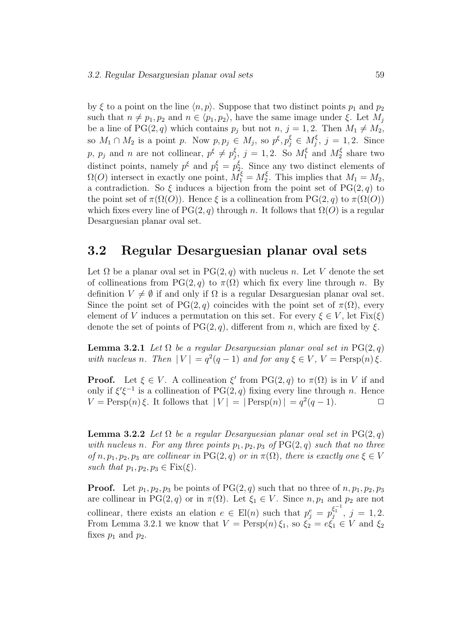by  $\xi$  to a point on the line  $\langle n, p \rangle$ . Suppose that two distinct points  $p_1$  and  $p_2$ such that  $n \neq p_1, p_2$  and  $n \in \langle p_1, p_2 \rangle$ , have the same image under  $\xi$ . Let  $M_j$ be a line of PG(2, q) which contains  $p_i$  but not  $n, j = 1, 2$ . Then  $M_1 \neq M_2$ , so  $M_1 \cap M_2$  is a point p. Now  $p, p_j \in M_j$ , so  $p^{\xi}, p_j^{\xi} \in M_j^{\xi}$ ,  $j = 1, 2$ . Since p,  $p_j$  and n are not collinear,  $p^{\xi} \neq p_j^{\xi}$ ,  $j = 1, 2$ . So  $M_1^{\xi}$  and  $M_2^{\xi}$  share two distinct points, namely  $p^{\xi}$  and  $p_1^{\xi} = p_2^{\xi}$ . Since any two distinct elements of  $\Omega(O)$  intersect in exactly one point,  $M_1^{\xi} = M_2^{\xi}$ . This implies that  $M_1 = M_2$ , a contradiction. So  $\xi$  induces a bijection from the point set of PG(2, q) to the point set of  $\pi(\Omega(O))$ . Hence  $\xi$  is a collineation from PG(2, q) to  $\pi(\Omega(O))$ which fixes every line of PG(2, q) through n. It follows that  $\Omega(O)$  is a regular Desarguesian planar oval set.

### 3.2 Regular Desarguesian planar oval sets

Let  $\Omega$  be a planar oval set in PG(2, q) with nucleus n. Let V denote the set of collineations from PG(2, q) to  $\pi(\Omega)$  which fix every line through n. By definition  $V \neq \emptyset$  if and only if  $\Omega$  is a regular Desarguesian planar oval set. Since the point set of PG(2, q) coincides with the point set of  $\pi(\Omega)$ , every element of V induces a permutation on this set. For every  $\xi \in V$ , let  $Fix(\xi)$ denote the set of points of  $PG(2, q)$ , different from n, which are fixed by  $\xi$ .

**Lemma 3.2.1** Let  $\Omega$  be a regular Desarguesian planar oval set in PG(2, q) with nucleus n. Then  $|V| = q^2(q-1)$  and for any  $\xi \in V$ ,  $V = \text{Persp}(n)\xi$ .

**Proof.** Let  $\xi \in V$ . A collineation  $\xi'$  from PG(2, q) to  $\pi(\Omega)$  is in V if and only if  $\xi'\xi^{-1}$  is a collineation of PG(2, q) fixing every line through n. Hence  $V = \text{Persp}(n)\xi$ . It follows that  $|V| = |\text{Persp}(n)| = q^2(q-1)$ .

**Lemma 3.2.2** Let  $\Omega$  be a regular Desarguesian planar oval set in PG(2, q) with nucleus n. For any three points  $p_1, p_2, p_3$  of  $PG(2, q)$  such that no three of n,  $p_1, p_2, p_3$  are collinear in PG(2, q) or in  $\pi(\Omega)$ , there is exactly one  $\xi \in V$ such that  $p_1, p_2, p_3 \in \text{Fix}(\xi)$ .

**Proof.** Let  $p_1, p_2, p_3$  be points of PG(2, q) such that no three of  $n, p_1, p_2, p_3$ are collinear in PG(2, q) or in  $\pi(\Omega)$ . Let  $\xi_1 \in V$ . Since  $n, p_1$  and  $p_2$  are not collinear, there exists an elation  $e \in El(n)$  such that  $p_j^e = p_j^{\xi_1^{-1}}$ ,  $j = 1, 2$ . From Lemma 3.2.1 we know that  $V = \text{Persp}(n) \xi_1$ , so  $\xi_2 = e \xi_1 \in V$  and  $\xi_2$ fixes  $p_1$  and  $p_2$ .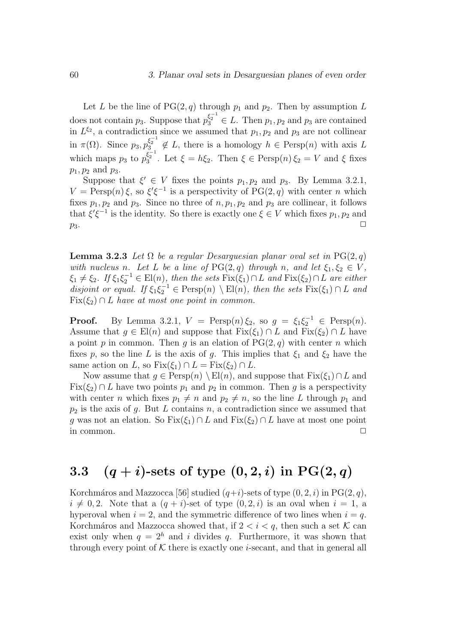Let L be the line of  $PG(2, q)$  through  $p_1$  and  $p_2$ . Then by assumption L does not contain  $p_3$ . Suppose that  $p_3^{\xi_2^{-1}} \in L$ . Then  $p_1, p_2$  and  $p_3$  are contained in  $L^{\xi_2}$ , a contradiction since we assumed that  $p_1, p_2$  and  $p_3$  are not collinear in  $\pi(\Omega)$ . Since  $p_3, p_3^{\xi_2^{-1}} \notin L$ , there is a homology  $h \in \text{Persp}(n)$  with axis L which maps  $p_3$  to  $p_3^{\xi_2^{-1}}$ . Let  $\xi = h\xi_2$ . Then  $\xi \in \text{Persp}(n)\xi_2 = V$  and  $\xi$  fixes  $p_1, p_2$  and  $p_3$ .

Suppose that  $\xi' \in V$  fixes the points  $p_1, p_2$  and  $p_3$ . By Lemma 3.2.1,  $V = \text{Persp}(n)\xi$ , so  $\xi'\xi^{-1}$  is a perspectivity of PG(2, q) with center n which fixes  $p_1, p_2$  and  $p_3$ . Since no three of  $n, p_1, p_2$  and  $p_3$  are collinear, it follows that  $\xi'\xi^{-1}$  is the identity. So there is exactly one  $\xi \in V$  which fixes  $p_1, p_2$  and  $p_3$ .

**Lemma 3.2.3** Let  $\Omega$  be a regular Desarguesian planar oval set in PG(2, q) with nucleus n. Let L be a line of  $PG(2,q)$  through n, and let  $\xi_1, \xi_2 \in V$ ,  $\xi_1 \neq \xi_2$ . If  $\xi_1 \xi_2^{-1} \in \text{El}(n)$ , then the sets  $\text{Fix}(\xi_1) \cap L$  and  $\text{Fix}(\xi_2) \cap L$  are either disjoint or equal. If  $\xi_1 \xi_2^{-1} \in \text{Persp}(n) \setminus \text{El}(n)$ , then the sets  $\text{Fix}(\xi_1) \cap L$  and  $Fix(\xi_2) \cap L$  have at most one point in common.

**Proof.** By Lemma 3.2.1,  $V = \text{Persp}(n) \xi_2$ , so  $g = \xi_1 \xi_2^{-1} \in \text{Persp}(n)$ . Assume that  $g \in El(n)$  and suppose that  $Fix(\xi_1) \cap L$  and  $Fix(\xi_2) \cap L$  have a point p in common. Then q is an elation of  $PG(2, q)$  with center n which fixes p, so the line L is the axis of g. This implies that  $\xi_1$  and  $\xi_2$  have the same action on L, so  $Fix(\xi_1) \cap L = Fix(\xi_2) \cap L$ .

Now assume that  $g \in \text{Persp}(n) \setminus \text{El}(n)$ , and suppose that  $\text{Fix}(\xi_1) \cap L$  and  $Fix(\xi_2) \cap L$  have two points  $p_1$  and  $p_2$  in common. Then q is a perspectivity with center *n* which fixes  $p_1 \neq n$  and  $p_2 \neq n$ , so the line L through  $p_1$  and  $p_2$  is the axis of g. But L contains n, a contradiction since we assumed that g was not an elation. So  $Fix(\xi_1) \cap L$  and  $Fix(\xi_2) \cap L$  have at most one point in common.  $\Box$ 

## 3.3  $(q + i)$ -sets of type  $(0, 2, i)$  in PG $(2, q)$

Korchmáros and Mazzocca [56] studied  $(q+i)$ -sets of type  $(0, 2, i)$  in PG $(2, q)$ ,  $i \neq 0, 2$ . Note that a  $(q + i)$ -set of type  $(0, 2, i)$  is an oval when  $i = 1$ , a hyperoval when  $i = 2$ , and the symmetric difference of two lines when  $i = q$ . Korchmáros and Mazzocca showed that, if  $2 < i < q$ , then such a set K can exist only when  $q = 2<sup>h</sup>$  and i divides q. Furthermore, it was shown that through every point of  $K$  there is exactly one *i*-secant, and that in general all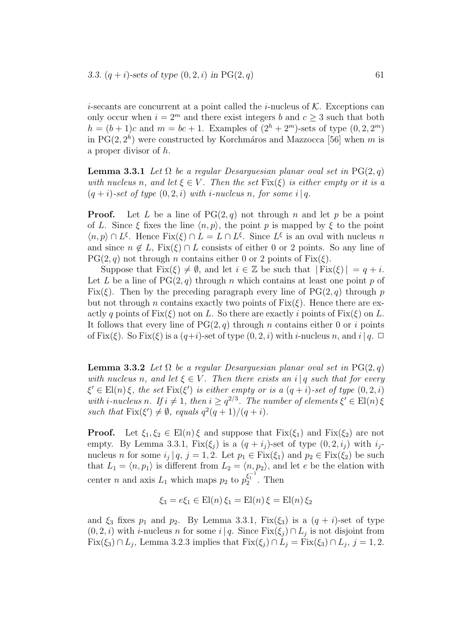*i*-secants are concurrent at a point called the *i*-nucleus of  $K$ . Exceptions can only occur when  $i = 2^m$  and there exist integers b and  $c > 3$  such that both  $h = (b + 1)c$  and  $m = bc + 1$ . Examples of  $(2<sup>h</sup> + 2<sup>m</sup>)$ -sets of type  $(0, 2, 2<sup>m</sup>)$ in  $PG(2, 2<sup>h</sup>)$  were constructed by Korchmáros and Mazzocca [56] when m is a proper divisor of h.

**Lemma 3.3.1** Let  $\Omega$  be a regular Desarguesian planar oval set in PG(2, q) with nucleus n, and let  $\xi \in V$ . Then the set  $Fix(\xi)$  is either empty or it is a  $(q + i)$ -set of type  $(0, 2, i)$  with *i*-nucleus n, for some i|q.

**Proof.** Let L be a line of  $PG(2,q)$  not through n and let p be a point of L. Since  $\xi$  fixes the line  $\langle n, p \rangle$ , the point p is mapped by  $\xi$  to the point  $\langle n, p \rangle \cap L^{\xi}$ . Hence Fix $(\xi) \cap L = L \cap L^{\xi}$ . Since  $L^{\xi}$  is an oval with nucleus n and since  $n \notin L$ , Fix $(\xi) \cap L$  consists of either 0 or 2 points. So any line of  $PG(2, q)$  not through n contains either 0 or 2 points of  $Fix(\xi)$ .

Suppose that  $Fix(\xi) \neq \emptyset$ , and let  $i \in \mathbb{Z}$  be such that  $| Fix(\xi)| = q + i$ . Let L be a line of  $PG(2,q)$  through n which contains at least one point p of Fix( $\xi$ ). Then by the preceding paragraph every line of PG(2, q) through p but not through n contains exactly two points of  $Fix(\xi)$ . Hence there are exactly q points of  $Fix(\xi)$  not on L. So there are exactly i points of  $Fix(\xi)$  on L. It follows that every line of  $PG(2, q)$  through n contains either 0 or i points of Fix( $\xi$ ). So Fix( $\xi$ ) is a ( $q+i$ )-set of type (0, 2, i) with *i*-nucleus n, and i|q.  $\Box$ 

**Lemma 3.3.2** Let  $\Omega$  be a regular Desarguesian planar oval set in PG(2, q) with nucleus n, and let  $\xi \in V$ . Then there exists an i|q such that for every  $\xi' \in$  El(n)  $\xi$ , the set Fix( $\xi'$ ) is either empty or is a  $(q + i)$ -set of type  $(0, 2, i)$ with *i*-nucleus n. If  $i \neq 1$ , then  $i \geq q^{2/3}$ . The number of elements  $\xi' \in El(n) \xi$ such that  $\text{Fix}(\xi') \neq \emptyset$ , equals  $q^2(q+1)/(q+i)$ .

**Proof.** Let  $\xi_1, \xi_2 \in E1(n)\xi$  and suppose that  $Fix(\xi_1)$  and  $Fix(\xi_2)$  are not empty. By Lemma 3.3.1,  $Fix(\xi_i)$  is a  $(q + i_j)$ -set of type  $(0, 2, i_j)$  with  $i_j$ nucleus *n* for some  $i_j | q, j = 1, 2$ . Let  $p_1 \in \text{Fix}(\xi_1)$  and  $p_2 \in \text{Fix}(\xi_2)$  be such that  $L_1 = \langle n, p_1 \rangle$  is different from  $L_2 = \langle n, p_2 \rangle$ , and let e be the elation with center *n* and axis  $L_1$  which maps  $p_2$  to  $p_2^{\xi_1^{-1}}$ . Then

$$
\xi_3 = e \xi_1 \in \text{El}(n) \xi_1 = \text{El}(n) \xi = \text{El}(n) \xi_2
$$

and  $\xi_3$  fixes  $p_1$  and  $p_2$ . By Lemma 3.3.1, Fix( $\xi_3$ ) is a  $(q + i)$ -set of type  $(0, 2, i)$  with *i*-nucleus *n* for some  $i|q$ . Since Fix $(\xi_j) \cap L_j$  is not disjoint from  $Fix(\xi_3) \cap L_j$ , Lemma 3.2.3 implies that  $Fix(\xi_j) \cap L_j = Fix(\xi_3) \cap L_j$ ,  $j = 1, 2$ .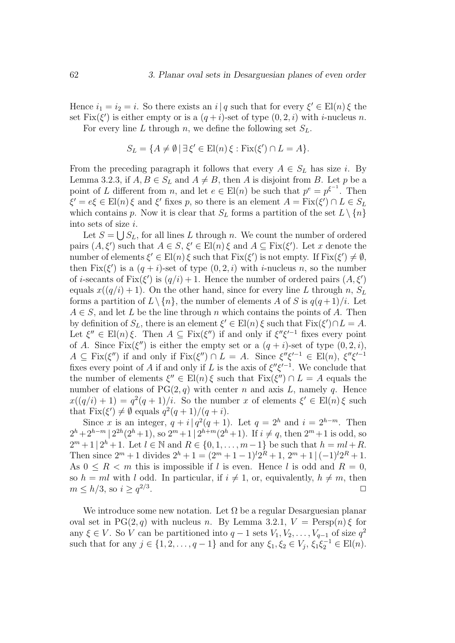Hence  $i_1 = i_2 = i$ . So there exists an  $i | q$  such that for every  $\xi' \in El(n) \xi$  the set  $Fix(\xi')$  is either empty or is a  $(q+i)$ -set of type  $(0, 2, i)$  with *i*-nucleus *n*.

For every line L through n, we define the following set  $S_L$ .

$$
S_L = \{ A \neq \emptyset \mid \exists \xi' \in \text{El}(n) \xi : \text{Fix}(\xi') \cap L = A \}.
$$

From the preceding paragraph it follows that every  $A \in S_L$  has size i. By Lemma 3.2.3, if  $A, B \in S_L$  and  $A \neq B$ , then A is disjoint from B. Let p be a point of L different from n, and let  $e \in El(n)$  be such that  $p^e = p^{\xi^{-1}}$ . Then  $\xi' = e\xi \in \text{El}(n)\xi$  and  $\xi'$  fixes p, so there is an element  $A = \text{Fix}(\xi') \cap L \in S_L$ which contains p. Now it is clear that  $S_L$  forms a partition of the set  $L \setminus \{n\}$ into sets of size i.

Let  $S = \bigcup S_L$ , for all lines L through n. We count the number of ordered pairs  $(A, \xi')$  such that  $A \in S$ ,  $\xi' \in El(n) \xi$  and  $A \subseteq Fix(\xi')$ . Let x denote the number of elements  $\xi' \in El(n) \xi$  such that  $Fix(\xi')$  is not empty. If  $Fix(\xi') \neq \emptyset$ , then  $Fix(\xi')$  is a  $(q + i)$ -set of type  $(0, 2, i)$  with *i*-nucleus *n*, so the number of *i*-secants of  $Fix(\xi')$  is  $(q/i) + 1$ . Hence the number of ordered pairs  $(A, \xi')$ equals  $x((q/i)+1)$ . On the other hand, since for every line L through n,  $S_L$ forms a partition of  $L \setminus \{n\}$ , the number of elements A of S is  $q(q+1)/i$ . Let  $A \in S$ , and let L be the line through n which contains the points of A. Then by definition of  $S_L$ , there is an element  $\xi' \in El(n) \xi$  such that  $Fix(\xi') \cap L = A$ . Let  $\xi'' \in \mathrm{El}(n)\xi$ . Then  $A \subseteq \mathrm{Fix}(\xi'')$  if and only if  $\xi''\xi'^{-1}$  fixes every point of A. Since  $Fix(\xi'')$  is either the empty set or a  $(q + i)$ -set of type  $(0, 2, i)$ ,  $A \subseteq Fix(\xi'')$  if and only if  $Fix(\xi'') \cap L = A$ . Since  $\xi''\xi'^{-1} \in El(n)$ ,  $\xi''\xi'^{-1}$ fixes every point of A if and only if L is the axis of  $\xi''\xi'^{-1}$ . We conclude that the number of elements  $\xi'' \in El(n) \xi$  such that  $Fix(\xi'') \cap L = A$  equals the number of elations of  $PG(2,q)$  with center n and axis L, namely q. Hence  $x((q/i) + 1) = q^2(q+1)/i$ . So the number x of elements  $\xi' \in El(n) \xi$  such that  $\text{Fix}(\xi') \neq \emptyset$  equals  $q^2(q+1)/(q+i)$ .

Since x is an integer,  $q + i|q^2(q + 1)$ . Let  $q = 2<sup>h</sup>$  and  $i = 2<sup>h-m</sup>$ . Then  $2^{h}+2^{h-m}$  |  $2^{2h}(2^{h}+1)$ , so  $2^{m}+1$  |  $2^{h+m}(2^{h}+1)$ . If  $i \neq q$ , then  $2^{m}+1$  is odd, so  $2^m + 1 \, | \, 2^h + 1$ . Let  $l \in \mathbb{N}$  and  $R \in \{0, 1, \ldots, m-1\}$  be such that  $h = ml + R$ . Then since  $2^m + 1$  divides  $2^h + 1 = (2^m + 1 - 1)^l 2^R + 1$ ,  $2^m + 1 \mid (-1)^l 2^R + 1$ . As  $0 \leq R < m$  this is impossible if l is even. Hence l is odd and  $R = 0$ , so  $h = ml$  with l odd. In particular, if  $i \neq 1$ , or, equivalently,  $h \neq m$ , then  $m \leq h/3$ , so  $i \geq q^{2/3}$ .  $\Box$ 

We introduce some new notation. Let  $\Omega$  be a regular Desarguesian planar oval set in PG(2, q) with nucleus n. By Lemma 3.2.1,  $V = \text{Persp}(n) \xi$  for any  $\xi \in V$ . So V can be partitioned into  $q-1$  sets  $V_1, V_2, \ldots, V_{q-1}$  of size  $q^2$ such that for any  $j \in \{1, 2, ..., q - 1\}$  and for any  $\xi_1, \xi_2 \in V_j$ ,  $\xi_1 \xi_2^{-1} \in \text{El}(n)$ .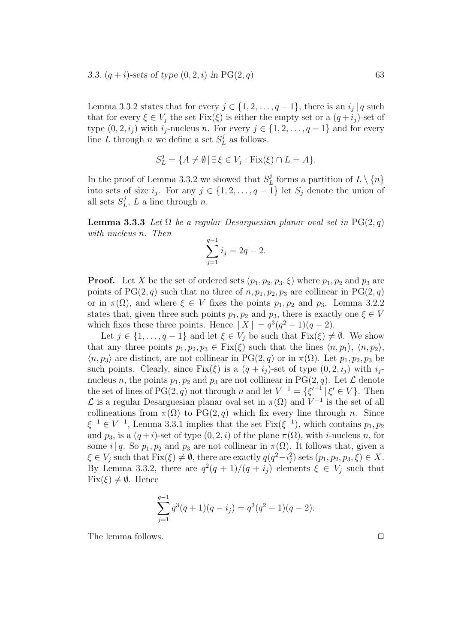Lemma 3.3.2 states that for every  $j \in \{1, 2, \ldots, q-1\}$ , there is an  $i_j | q$  such that for every  $\xi \in V_i$  the set  $Fix(\xi)$  is either the empty set or a  $(q + i_j)$ -set of type  $(0, 2, i_j)$  with  $i_j$ -nucleus n. For every  $j \in \{1, 2, ..., q-1\}$  and for every line L through n we define a set  $S^j_L$  as follows.

$$
S_L^j = \{ A \neq \emptyset \mid \exists \xi \in V_j : \text{Fix}(\xi) \cap L = A \}.
$$

In the proof of Lemma 3.3.2 we showed that  $S^j_L$  forms a partition of  $L \setminus \{n\}$ into sets of size  $i_j$ . For any  $j \in \{1, 2, ..., q-1\}$  let  $S_j$  denote the union of all sets  $S_L^j$ , L a line through n.

**Lemma 3.3.3** Let  $\Omega$  be a regular Desarguesian planar oval set in PG(2, q) with nucleus n. Then

$$
\sum_{j=1}^{q-1} i_j = 2q - 2.
$$

**Proof.** Let X be the set of ordered sets  $(p_1, p_2, p_3, \xi)$  where  $p_1, p_2$  and  $p_3$  are points of PG(2, q) such that no three of  $n, p_1, p_2, p_3$  are collinear in PG(2, q) or in  $\pi(\Omega)$ , and where  $\xi \in V$  fixes the points  $p_1, p_2$  and  $p_3$ . Lemma 3.2.2 states that, given three such points  $p_1, p_2$  and  $p_3$ , there is exactly one  $\xi \in V$ which fixes these three points. Hence  $|X| = q^3(q^2 - 1)(q - 2)$ .

Let  $j \in \{1, \ldots, q-1\}$  and let  $\xi \in V_j$  be such that  $Fix(\xi) \neq \emptyset$ . We show that any three points  $p_1, p_2, p_3 \in Fix(\xi)$  such that the lines  $\langle n, p_1 \rangle$ ,  $\langle n, p_2 \rangle$ ,  $\langle n, p_3 \rangle$  are distinct, are not collinear in PG(2, q) or in  $\pi(\Omega)$ . Let  $p_1, p_2, p_3$  be such points. Clearly, since  $Fix(\xi)$  is a  $(q + i_j)$ -set of type  $(0, 2, i_j)$  with  $i_j$ nucleus n, the points  $p_1, p_2$  and  $p_3$  are not collinear in PG(2, q). Let  $\mathcal L$  denote the set of lines of PG(2, q) not through n and let  $V^{-1} = {\{\xi'}^{-1} | \xi' \in V\}$ . Then  $\mathcal L$  is a regular Desarguesian planar oval set in π(Ω) and  $V^{-1}$  is the set of all collineations from  $\pi(\Omega)$  to PG(2, q) which fix every line through n. Since  $\xi^{-1} \in V^{-1}$ , Lemma 3.3.1 implies that the set  $Fix(\xi^{-1})$ , which contains  $p_1, p_2$ and  $p_3$ , is a  $(q+i)$ -set of type  $(0, 2, i)$  of the plane  $\pi(\Omega)$ , with *i*-nucleus *n*, for some i|q. So  $p_1, p_2$  and  $p_3$  are not collinear in  $\pi(\Omega)$ . It follows that, given a  $\xi \in V_j$  such that  $Fix(\xi) \neq \emptyset$ , there are exactly  $q(q^2 - i_j^2)$  sets  $(p_1, p_2, p_3, \xi) \in X$ . By Lemma 3.3.2, there are  $q^2(q+1)/(q+i_j)$  elements  $\xi \in V_j$  such that  $Fix(\xi) \neq \emptyset$ . Hence

$$
\sum_{j=1}^{q-1} q^3(q+1)(q-i_j) = q^3(q^2-1)(q-2).
$$

The lemma follows.  $\Box$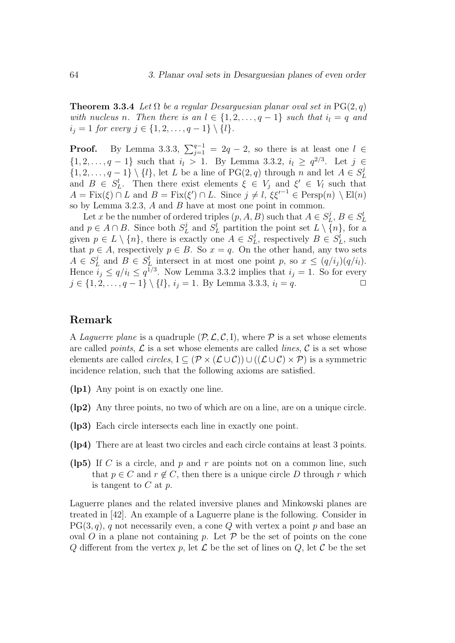**Theorem 3.3.4** Let  $\Omega$  be a regular Desarguesian planar oval set in PG(2, q) with nucleus n. Then there is an  $l \in \{1, 2, ..., q-1\}$  such that  $i_l = q$  and  $i_j = 1$  for every  $j \in \{1, 2, ..., q - 1\} \setminus \{l\}.$ 

**Proof.** By Lemma 3.3.3,  $\sum_{j=1}^{q-1} = 2q - 2$ , so there is at least one  $l \in$  $\{1, 2, ..., q-1\}$  such that  $i_l > 1$ . By Lemma 3.3.2,  $i_l \geq q^{2/3}$ . Let  $j \in$  $\{1, 2, \ldots, q-1\} \setminus \{l\}$ , let L be a line of PG(2, q) through n and let  $A \in S^j_L$ and  $B \in S^l_L$ . Then there exist elements  $\xi \in V_j$  and  $\xi' \in V_l$  such that  $A = \text{Fix}(\xi) \cap L$  and  $B = \text{Fix}(\xi') \cap L$ . Since  $j \neq l$ ,  $\xi \xi'^{-1} \in \text{Persp}(n) \setminus \text{El}(n)$ so by Lemma 3.2.3, A and B have at most one point in common.

Let x be the number of ordered triples  $(p, A, B)$  such that  $A \in S_L^j$ ,  $B \in S_L^l$ and  $p \in A \cap B$ . Since both  $S^j_L$  and  $S^l_L$  partition the point set  $L \setminus \overline{\{n\}}$ , for a given  $p \in L \setminus \{n\}$ , there is exactly one  $A \in S_L^j$ , respectively  $B \in S_L^j$ , such that  $p \in A$ , respectively  $p \in B$ . So  $x = q$ . On the other hand, any two sets  $A \in S^j_L$  and  $B \in S^l_L$  intersect in at most one point p, so  $x \leq (q/i_j)(q/i_l)$ . Hence  $i_j \le q/i_l \le q^{1/3}$ . Now Lemma 3.3.2 implies that  $i_j = 1$ . So for every  $j \in \{1, 2, \ldots, q-1\} \setminus \{l\}, i_j = 1$ . By Lemma 3.3.3,  $i_l = q$ .

#### Remark

A Laquerre plane is a quadruple  $(\mathcal{P}, \mathcal{L}, \mathcal{C}, I)$ , where  $\mathcal P$  is a set whose elements are called *points*,  $\mathcal{L}$  is a set whose elements are called *lines*,  $\mathcal{C}$  is a set whose elements are called *circles*,  $I \subseteq (\mathcal{P} \times (\mathcal{L} \cup \mathcal{C})) \cup ((\mathcal{L} \cup \mathcal{C}) \times \mathcal{P})$  is a symmetric incidence relation, such that the following axioms are satisfied.

- (lp1) Any point is on exactly one line.
- (lp2) Any three points, no two of which are on a line, are on a unique circle.
- (lp3) Each circle intersects each line in exactly one point.
- (lp4) There are at least two circles and each circle contains at least 3 points.
- (lp5) If C is a circle, and p and r are points not on a common line, such that  $p \in C$  and  $r \notin C$ , then there is a unique circle D through r which is tangent to  $C$  at  $p$ .

Laguerre planes and the related inversive planes and Minkowski planes are treated in [42]. An example of a Laguerre plane is the following. Consider in  $PG(3, q)$ , q not necessarily even, a cone Q with vertex a point p and base an oval O in a plane not containing p. Let  $P$  be the set of points on the cone Q different from the vertex p, let  $\mathcal L$  be the set of lines on  $Q$ , let  $\mathcal C$  be the set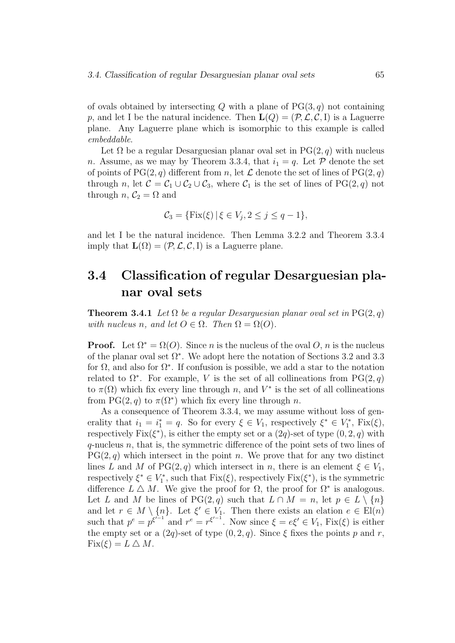of ovals obtained by intersecting Q with a plane of  $PG(3, q)$  not containing p, and let I be the natural incidence. Then  $\mathbf{L}(Q) = (\mathcal{P}, \mathcal{L}, \mathcal{C}, I)$  is a Laguerre plane. Any Laguerre plane which is isomorphic to this example is called embeddable.

Let  $\Omega$  be a regular Desarguesian planar oval set in PG(2, q) with nucleus n. Assume, as we may by Theorem 3.3.4, that  $i_1 = q$ . Let P denote the set of points of  $PG(2, q)$  different from n, let  $\mathcal L$  denote the set of lines of  $PG(2, q)$ through n, let  $C = C_1 \cup C_2 \cup C_3$ , where  $C_1$  is the set of lines of PG(2, q) not through *n*,  $C_2 = \Omega$  and

$$
C_3 = \{ \text{Fix}(\xi) \, | \, \xi \in V_j, 2 \le j \le q - 1 \},
$$

and let I be the natural incidence. Then Lemma 3.2.2 and Theorem 3.3.4 imply that  $\mathbf{L}(\Omega) = (\mathcal{P}, \mathcal{L}, \mathcal{C}, \mathbf{I})$  is a Laguerre plane.

### 3.4 Classification of regular Desarguesian planar oval sets

**Theorem 3.4.1** Let  $\Omega$  be a regular Desarguesian planar oval set in PG(2, q) with nucleus n, and let  $O \in \Omega$ . Then  $\Omega = \Omega(O)$ .

**Proof.** Let  $\Omega^* = \Omega(O)$ . Since *n* is the nucleus of the oval *O*, *n* is the nucleus of the planar oval set  $\Omega^*$ . We adopt here the notation of Sections 3.2 and 3.3 for  $\Omega$ , and also for  $\Omega^*$ . If confusion is possible, we add a star to the notation related to  $\Omega^*$ . For example, V is the set of all collineations from PG(2,q) to  $\pi(\Omega)$  which fix every line through n, and  $V^*$  is the set of all collineations from PG(2, q) to  $\pi(\Omega^*)$  which fix every line through n.

As a consequence of Theorem 3.3.4, we may assume without loss of generality that  $i_1 = i_1^* = q$ . So for every  $\xi \in V_1$ , respectively  $\xi^* \in V_1^*$ ,  $Fix(\xi)$ , respectively  $Fix(\xi^*)$ , is either the empty set or a  $(2q)$ -set of type  $(0, 2, q)$  with  $q$ -nucleus n, that is, the symmetric difference of the point sets of two lines of  $PG(2, q)$  which intersect in the point n. We prove that for any two distinct lines L and M of PG(2, q) which intersect in n, there is an element  $\xi \in V_1$ , respectively  $\xi^* \in V_1^*$ , such that  $Fix(\xi)$ , respectively  $Fix(\xi^*)$ , is the symmetric difference  $L \Delta M$ . We give the proof for  $\Omega$ , the proof for  $\Omega^*$  is analogous. Let L and M be lines of PG(2, q) such that  $L \cap M = n$ , let  $p \in L \setminus \{n\}$ and let  $r \in M \setminus \{n\}$ . Let  $\xi' \in V_1$ . Then there exists an elation  $e \in El(n)$ such that  $p^e = p^{\xi^{e-1}}$  and  $r^e = r^{\xi^{e-1}}$ . Now since  $\xi = e\xi' \in V_1$ ,  $Fix(\xi)$  is either the empty set or a  $(2q)$ -set of type  $(0, 2, q)$ . Since  $\xi$  fixes the points p and r,  $Fix(\xi) = L \bigtriangleup M$ .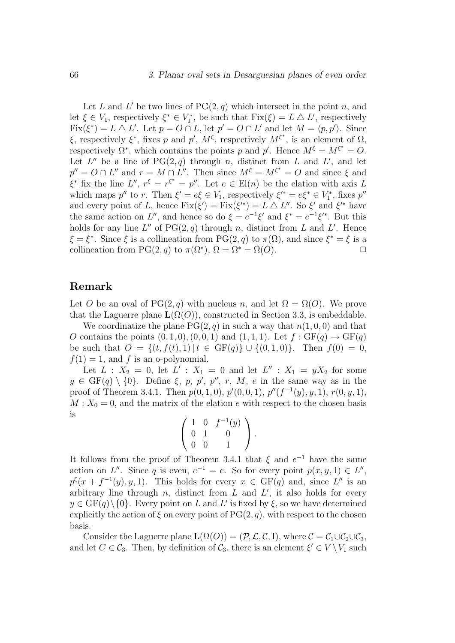Let L and L' be two lines of  $PG(2, q)$  which intersect in the point n, and let  $\xi \in V_1$ , respectively  $\xi^* \in V_1^*$ , be such that  $Fix(\xi) = L \Delta L'$ , respectively  $Fix(\xi^*) = L \Delta L'$ . Let  $p = O \cap L$ , let  $p' = O \cap L'$  and let  $M = \langle p, p' \rangle$ . Since ξ, respectively  $\xi^*$ , fixes p and p',  $M^{\xi}$ , respectively  $M^{\xi^*}$ , is an element of  $\Omega$ , respectively  $\Omega^*$ , which contains the points p and p'. Hence  $M^{\xi} = M^{\xi^*} = O$ . Let  $L''$  be a line of  $PG(2,q)$  through n, distinct from L and L', and let  $p'' = O \cap L''$  and  $r = M \cap L''$ . Then since  $M^{\xi} = M^{\xi^*} = O$  and since  $\xi$  and  $\xi^*$  fix the line  $L'', r^{\xi} = r^{\xi^*} = p''.$  Let  $e \in El(n)$  be the elation with axis L which maps  $p''$  to r. Then  $\xi' = e\xi \in V_1$ , respectively  $\xi'^* = e\xi^* \in V_1^*$ , fixes  $p''$ and every point of L, hence  $Fix(\xi') = Fix(\xi'^*) = L \triangle L''$ . So  $\xi'$  and  $\xi'^*$  have the same action on L'', and hence so do  $\xi = e^{-1}\xi'$  and  $\xi^* = e^{-1}\xi'^*$ . But this holds for any line  $L''$  of  $PG(2,q)$  through n, distinct from L and L'. Hence  $\xi = \xi^*$ . Since  $\xi$  is a collineation from PG(2, q) to  $\pi(\Omega)$ , and since  $\xi^* = \xi$  is a collineation from PG(2, q) to  $\pi(\Omega^*), \Omega = \Omega^* = \Omega(O)$ .

### Remark

Let O be an oval of PG(2, q) with nucleus n, and let  $\Omega = \Omega(O)$ . We prove that the Laguerre plane  $\mathbf{L}(\Omega(O))$ , constructed in Section 3.3, is embeddable.

We coordinatize the plane  $PG(2, q)$  in such a way that  $n(1, 0, 0)$  and that O contains the points  $(0, 1, 0), (0, 0, 1)$  and  $(1, 1, 1)$ . Let  $f : GF(q) \rightarrow GF(q)$ be such that  $O = \{(t, f(t), 1) | t \in GF(q)\} \cup \{(0, 1, 0)\}.$  Then  $f(0) = 0$ ,  $f(1) = 1$ , and f is an o-polynomial.

Let  $L : X_2 = 0$ , let  $L' : X_1 = 0$  and let  $L'' : X_1 = yX_2$  for some  $y \in GF(q) \setminus \{0\}$ . Define  $\xi, p, p', p'', r, M, e$  in the same way as in the proof of Theorem 3.4.1. Then  $p(0, 1, 0)$ ,  $p'(0, 0, 1)$ ,  $p''(f^{-1}(y), y, 1)$ ,  $r(0, y, 1)$ ,  $M: X_0 = 0$ , and the matrix of the elation e with respect to the chosen basis is

$$
\left(\begin{array}{rrr} 1 & 0 & f^{-1}(y) \\ 0 & 1 & 0 \\ 0 & 0 & 1 \end{array}\right).
$$

It follows from the proof of Theorem 3.4.1 that  $\xi$  and  $e^{-1}$  have the same action on L''. Since q is even,  $e^{-1} = e$ . So for every point  $p(x, y, 1) \in L''$ ,  $p^{\xi}(x+f^{-1}(y),y,1)$ . This holds for every  $x \in GF(q)$  and, since  $L''$  is an arbitrary line through  $n$ , distinct from  $L$  and  $L'$ , it also holds for every  $y \in \mathrm{GF}(q) \setminus \{0\}$ . Every point on L and L' is fixed by  $\xi$ , so we have determined explicitly the action of  $\xi$  on every point of  $PG(2, q)$ , with respect to the chosen basis.

Consider the Laguerre plane  $\mathbf{L}(\Omega(O)) = (\mathcal{P}, \mathcal{L}, \mathcal{C}, I)$ , where  $\mathcal{C} = \mathcal{C}_1 \cup \mathcal{C}_2 \cup \mathcal{C}_3$ , and let  $C \in \mathcal{C}_3$ . Then, by definition of  $\mathcal{C}_3$ , there is an element  $\xi' \in V \setminus V_1$  such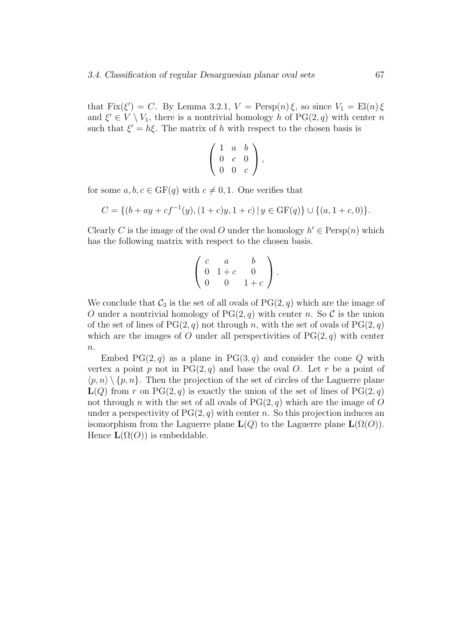that  $Fix(\xi') = C$ . By Lemma 3.2.1,  $V = Person(n)\xi$ , so since  $V_1 = El(n)\xi$ and  $\xi' \in V \setminus V_1$ , there is a nontrivial homology h of PG(2, q) with center n such that  $\xi' = h\xi$ . The matrix of h with respect to the chosen basis is

$$
\left(\begin{array}{ccc} 1 & a & b \\ 0 & c & 0 \\ 0 & 0 & c \end{array}\right),
$$

for some  $a, b, c \in \text{GF}(q)$  with  $c \neq 0, 1$ . One verifies that

$$
C = \{ (b+ay+cf^{-1}(y), (1+c)y, 1+c) \mid y \in \text{GF}(q) \} \cup \{ (a, 1+c, 0) \}.
$$

Clearly C is the image of the oval O under the homology  $h' \in \text{Persp}(n)$  which has the following matrix with respect to the chosen basis.

$$
\left(\begin{array}{ccc} c & a & b \\ 0 & 1+c & 0 \\ 0 & 0 & 1+c \end{array}\right).
$$

We conclude that  $\mathcal{C}_3$  is the set of all ovals of  $PG(2, q)$  which are the image of O under a nontrivial homology of  $PG(2, q)$  with center n. So C is the union of the set of lines of  $PG(2, q)$  not through n, with the set of ovals of  $PG(2, q)$ which are the images of O under all perspectivities of  $PG(2, q)$  with center  $\overline{n}$ .

Embed  $PG(2,q)$  as a plane in  $PG(3,q)$  and consider the cone Q with vertex a point p not in  $PG(2, q)$  and base the oval O. Let r be a point of  $\langle p, n \rangle \setminus \{p, n\}.$  Then the projection of the set of circles of the Laguerre plane  $L(Q)$  from r on PG(2, q) is exactly the union of the set of lines of PG(2, q) not through n with the set of all ovals of  $PG(2, q)$  which are the image of O under a perspectivity of  $PG(2, q)$  with center n. So this projection induces an isomorphism from the Laguerre plane  $\mathbf{L}(Q)$  to the Laguerre plane  $\mathbf{L}(\Omega(O)).$ Hence  $\mathbf{L}(\Omega(O))$  is embeddable.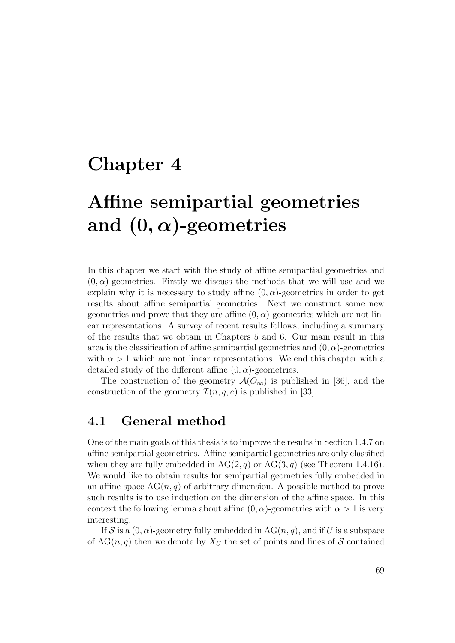## Chapter 4

# Affine semipartial geometries and  $(0, \alpha)$ -geometries

In this chapter we start with the study of affine semipartial geometries and  $(0, \alpha)$ -geometries. Firstly we discuss the methods that we will use and we explain why it is necessary to study affine  $(0, \alpha)$ -geometries in order to get results about affine semipartial geometries. Next we construct some new geometries and prove that they are affine  $(0, \alpha)$ -geometries which are not linear representations. A survey of recent results follows, including a summary of the results that we obtain in Chapters 5 and 6. Our main result in this area is the classification of affine semipartial geometries and  $(0, \alpha)$ -geometries with  $\alpha > 1$  which are not linear representations. We end this chapter with a detailed study of the different affine  $(0, \alpha)$ -geometries.

The construction of the geometry  $\mathcal{A}(O_{\infty})$  is published in [36], and the construction of the geometry  $\mathcal{I}(n, q, e)$  is published in [33].

### 4.1 General method

One of the main goals of this thesis is to improve the results in Section 1.4.7 on affine semipartial geometries. Affine semipartial geometries are only classified when they are fully embedded in  $AG(2, q)$  or  $AG(3, q)$  (see Theorem 1.4.16). We would like to obtain results for semipartial geometries fully embedded in an affine space  $AG(n, q)$  of arbitrary dimension. A possible method to prove such results is to use induction on the dimension of the affine space. In this context the following lemma about affine  $(0, \alpha)$ -geometries with  $\alpha > 1$  is very interesting.

If S is a  $(0, \alpha)$ -geometry fully embedded in AG $(n, q)$ , and if U is a subspace of  $AG(n, q)$  then we denote by  $X_U$  the set of points and lines of S contained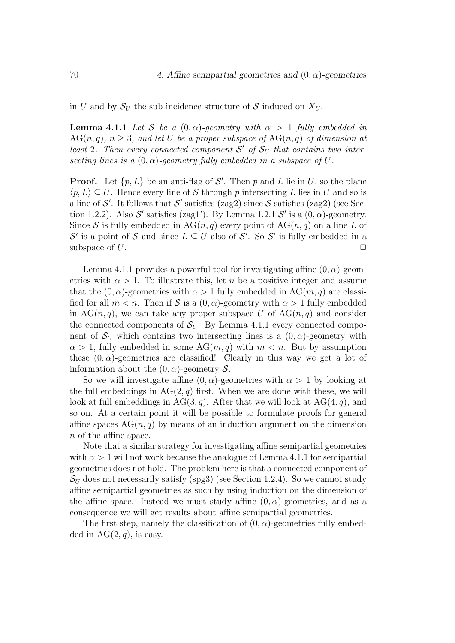in U and by  $S_{U}$  the sub incidence structure of S induced on  $X_{U}$ .

**Lemma 4.1.1** Let S be a  $(0, \alpha)$ -geometry with  $\alpha > 1$  fully embedded in  $AG(n, q), n > 3$ , and let U be a proper subspace of  $AG(n, q)$  of dimension at least 2. Then every connected component  $S'$  of  $S_U$  that contains two intersecting lines is a  $(0, \alpha)$ -geometry fully embedded in a subspace of U.

**Proof.** Let  $\{p, L\}$  be an anti-flag of S'. Then p and L lie in U, so the plane  $\langle p, L \rangle \subseteq U$ . Hence every line of S through p intersecting L lies in U and so is a line of  $\mathcal{S}'$ . It follows that  $\mathcal{S}'$  satisfies (zag2) since  $\mathcal{S}$  satisfies (zag2) (see Section 1.2.2). Also  $S'$  satisfies (zag1'). By Lemma 1.2.1  $S'$  is a  $(0, \alpha)$ -geometry. Since S is fully embedded in  $AG(n, q)$  every point of  $AG(n, q)$  on a line L of  $\mathcal{S}'$  is a point of  $\mathcal{S}$  and since  $L \subseteq U$  also of  $\mathcal{S}'$ . So  $\mathcal{S}'$  is fully embedded in a subspace of  $U$ .

Lemma 4.1.1 provides a powerful tool for investigating affine  $(0, \alpha)$ -geometries with  $\alpha > 1$ . To illustrate this, let n be a positive integer and assume that the  $(0, \alpha)$ -geometries with  $\alpha > 1$  fully embedded in AG $(m, q)$  are classified for all  $m < n$ . Then if S is a  $(0, \alpha)$ -geometry with  $\alpha > 1$  fully embedded in AG(n,q), we can take any proper subspace U of AG(n,q) and consider the connected components of  $S_U$ . By Lemma 4.1.1 every connected component of  $S_U$  which contains two intersecting lines is a  $(0, \alpha)$ -geometry with  $\alpha > 1$ , fully embedded in some AG $(m, q)$  with  $m < n$ . But by assumption these  $(0, \alpha)$ -geometries are classified! Clearly in this way we get a lot of information about the  $(0, \alpha)$ -geometry S.

So we will investigate affine  $(0, \alpha)$ -geometries with  $\alpha > 1$  by looking at the full embeddings in  $AG(2, q)$  first. When we are done with these, we will look at full embeddings in AG(3, q). After that we will look at  $AG(4, q)$ , and so on. At a certain point it will be possible to formulate proofs for general affine spaces  $AG(n, q)$  by means of an induction argument on the dimension n of the affine space.

Note that a similar strategy for investigating affine semipartial geometries with  $\alpha > 1$  will not work because the analogue of Lemma 4.1.1 for semipartial geometries does not hold. The problem here is that a connected component of  $S_U$  does not necessarily satisfy (spg3) (see Section 1.2.4). So we cannot study affine semipartial geometries as such by using induction on the dimension of the affine space. Instead we must study affine  $(0, \alpha)$ -geometries, and as a consequence we will get results about affine semipartial geometries.

The first step, namely the classification of  $(0, \alpha)$ -geometries fully embedded in  $AG(2, q)$ , is easy.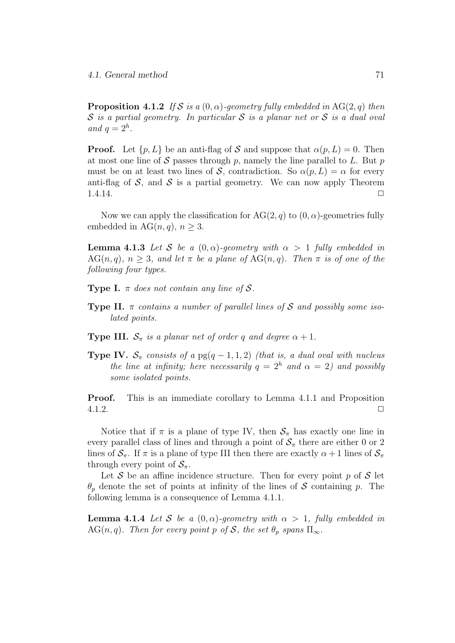**Proposition 4.1.2** If S is a  $(0, \alpha)$ -geometry fully embedded in AG(2, a) then  $S$  is a partial geometry. In particular S is a planar net or S is a dual oval and  $q=2^h$ .

**Proof.** Let  $\{p, L\}$  be an anti-flag of S and suppose that  $\alpha(p, L) = 0$ . Then at most one line of S passes through p, namely the line parallel to L. But p must be on at least two lines of S, contradiction. So  $\alpha(p, L) = \alpha$  for every anti-flag of S, and S is a partial geometry. We can now apply Theorem  $1.4.14.$ 

Now we can apply the classification for  $AG(2, q)$  to  $(0, \alpha)$ -geometries fully embedded in  $AG(n, q)$ ,  $n > 3$ .

**Lemma 4.1.3** Let S be a  $(0, \alpha)$ -geometry with  $\alpha > 1$  fully embedded in  $AG(n, q), n > 3$ , and let  $\pi$  be a plane of  $AG(n, q)$ . Then  $\pi$  is of one of the following four types.

**Type I.**  $\pi$  does not contain any line of S.

- **Type II.**  $\pi$  contains a number of parallel lines of S and possibly some isolated points.
- **Type III.**  $S_{\pi}$  is a planar net of order q and degree  $\alpha + 1$ .
- **Type IV.**  $S_{\pi}$  consists of a pg(q 1, 1, 2) (that is, a dual oval with nucleus the line at infinity; here necessarily  $q = 2<sup>h</sup>$  and  $\alpha = 2$ ) and possibly some isolated points.

**Proof.** This is an immediate corollary to Lemma 4.1.1 and Proposition  $4.1.2.$ 

Notice that if  $\pi$  is a plane of type IV, then  $S_{\pi}$  has exactly one line in every parallel class of lines and through a point of  $S_\pi$  there are either 0 or 2 lines of  $S_{\pi}$ . If  $\pi$  is a plane of type III then there are exactly  $\alpha + 1$  lines of  $S_{\pi}$ through every point of  $S_{\pi}$ .

Let S be an affine incidence structure. Then for every point  $p$  of S let  $\theta_p$  denote the set of points at infinity of the lines of S containing p. The following lemma is a consequence of Lemma 4.1.1.

**Lemma 4.1.4** Let S be a  $(0, \alpha)$ -geometry with  $\alpha > 1$ , fully embedded in AG(n, q). Then for every point p of S, the set  $\theta_p$  spans  $\Pi_{\infty}$ .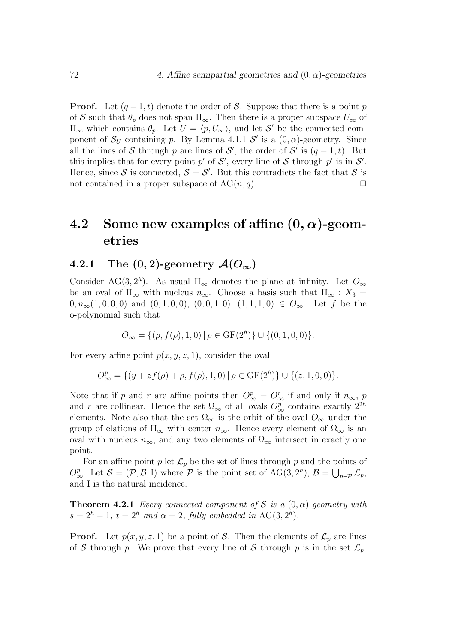**Proof.** Let  $(q-1, t)$  denote the order of S. Suppose that there is a point p of S such that  $\theta_p$  does not span  $\Pi_{\infty}$ . Then there is a proper subspace  $U_{\infty}$  of  $\Pi_{\infty}$  which contains  $\theta_p$ . Let  $U = \langle p, U_{\infty} \rangle$ , and let  $\mathcal{S}'$  be the connected component of  $S_U$  containing p. By Lemma 4.1.1 S' is a  $(0, \alpha)$ -geometry. Since all the lines of S through p are lines of S', the order of S' is  $(q-1,t)$ . But this implies that for every point  $p'$  of  $S'$ , every line of S through  $p'$  is in  $S'$ . Hence, since S is connected,  $S = S'$ . But this contradicts the fact that S is not contained in a proper subspace of  $AG(n, q)$ .

### 4.2 Some new examples of affine  $(0, \alpha)$ -geometries

### 4.2.1 The  $(0, 2)$ -geometry  $\mathcal{A}(O_{\infty})$

Consider AG(3,  $2<sup>h</sup>$ ). As usual  $\Pi_{\infty}$  denotes the plane at infinity. Let  $O_{\infty}$ be an oval of  $\Pi_{\infty}$  with nucleus  $n_{\infty}$ . Choose a basis such that  $\Pi_{\infty} : X_3 =$  $0, n_{\infty}(1, 0, 0, 0)$  and  $(0, 1, 0, 0), (0, 0, 1, 0), (1, 1, 1, 0) \in O_{\infty}$ . Let f be the o-polynomial such that

$$
O_{\infty} = \{ (\rho, f(\rho), 1, 0) \mid \rho \in \mathrm{GF}(2^h) \} \cup \{ (0, 1, 0, 0) \}.
$$

For every affine point  $p(x, y, z, 1)$ , consider the oval

$$
O^p_{\infty} = \{ (y + zf(\rho) + \rho, f(\rho), 1, 0) | \rho \in \mathrm{GF}(2^h) \} \cup \{ (z, 1, 0, 0) \}.
$$

Note that if p and r are affine points then  $O_{\infty}^p = O_{\infty}^r$  if and only if  $n_{\infty}$ , p and r are collinear. Hence the set  $\Omega_{\infty}$  of all ovals  $O_{\infty}^{p}$  contains exactly  $2^{2h}$ elements. Note also that the set  $\Omega_{\infty}$  is the orbit of the oval  $O_{\infty}$  under the group of elations of  $\Pi_{\infty}$  with center  $n_{\infty}$ . Hence every element of  $\Omega_{\infty}$  is an oval with nucleus  $n_{\infty}$ , and any two elements of  $\Omega_{\infty}$  intersect in exactly one point.

For an affine point p let  $\mathcal{L}_p$  be the set of lines through p and the points of  $O_{\infty}^p$ . Let  $\mathcal{S} = (\mathcal{P}, \mathcal{B}, I)$  where  $\mathcal{P}$  is the point set of  $\text{AG}(3, 2^h)$ ,  $\mathcal{B} = \bigcup_{p \in \mathcal{P}} \mathcal{L}_p$ , and I is the natural incidence.

**Theorem 4.2.1** Every connected component of S is a  $(0, \alpha)$ -geometry with  $s = 2<sup>h</sup> - 1$ ,  $t = 2<sup>h</sup>$  and  $\alpha = 2$ , fully embedded in AG(3, 2<sup>h</sup>).

**Proof.** Let  $p(x, y, z, 1)$  be a point of S. Then the elements of  $\mathcal{L}_p$  are lines of S through p. We prove that every line of S through p is in the set  $\mathcal{L}_p$ .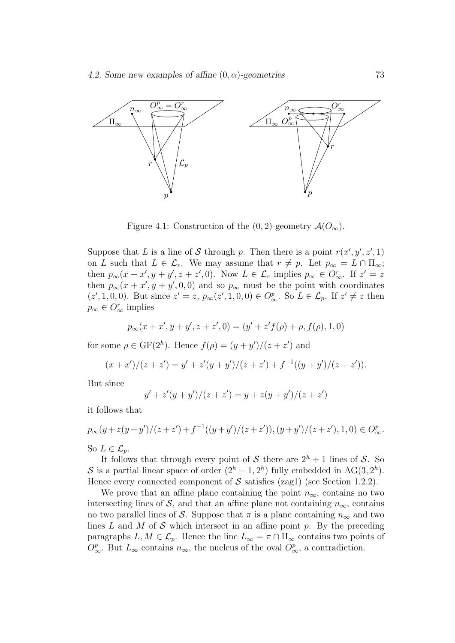

Figure 4.1: Construction of the  $(0, 2)$ -geometry  $\mathcal{A}(O_{\infty})$ .

Suppose that L is a line of S through p. Then there is a point  $r(x', y', z', 1)$ on L such that  $L \in \mathcal{L}_r$ . We may assume that  $r \neq p$ . Let  $p_\infty = L \cap \Pi_\infty$ ; then  $p_{\infty}(x+x', y+y', z+z', 0)$ . Now  $L \in \mathcal{L}_r$  implies  $p_{\infty} \in O_{\infty}^r$ . If  $z' = z$ then  $p_{\infty}(x + x', y + y', 0, 0)$  and so  $p_{\infty}$  must be the point with coordinates  $(z', 1, 0, 0)$ . But since  $z' = z$ ,  $p_{\infty}(z', 1, 0, 0) \in O_{\infty}^p$ . So  $L \in \mathcal{L}_p$ . If  $z' \neq z$  then  $p_{\infty} \in O_{\infty}^{r}$  implies

$$
p_{\infty}(x+x',y+y',z+z',0)=(y'+z'f(\rho)+\rho,f(\rho),1,0)
$$

for some  $\rho \in \text{GF}(2^h)$ . Hence  $f(\rho) = (y + y')/(z + z')$  and

$$
(x+x')/(z+z') = y' + z'(y+y')/(z+z') + f^{-1}((y+y')/(z+z')).
$$

But since

$$
y' + z'(y + y')/(z + z') = y + z(y + y')/(z + z')
$$

it follows that

$$
p_{\infty}(y+z(y+y')/(z+z')+f^{-1}((y+y')/(z+z')), (y+y')/(z+z'), 1, 0) \in O_{\infty}^p.
$$
  
So  $L \in \mathcal{L}_p$ .

It follows that through every point of S there are  $2^h + 1$  lines of S. So S is a partial linear space of order  $(2<sup>h</sup> - 1, 2<sup>h</sup>)$  fully embedded in AG(3,  $2<sup>h</sup>$ ). Hence every connected component of  $S$  satisfies (zag1) (see Section 1.2.2).

We prove that an affine plane containing the point  $n_{\infty}$ , contains no two intersecting lines of S, and that an affine plane not containing  $n_{\infty}$ , contains no two parallel lines of S. Suppose that  $\pi$  is a plane containing  $n_{\infty}$  and two lines  $L$  and  $M$  of  $S$  which intersect in an affine point  $p$ . By the preceding paragraphs  $L, M \in \mathcal{L}_p$ . Hence the line  $L_{\infty} = \pi \cap \Pi_{\infty}$  contains two points of  $O_{\infty}^p$ . But  $L_{\infty}$  contains  $n_{\infty}$ , the nucleus of the oval  $O_{\infty}^p$ , a contradiction.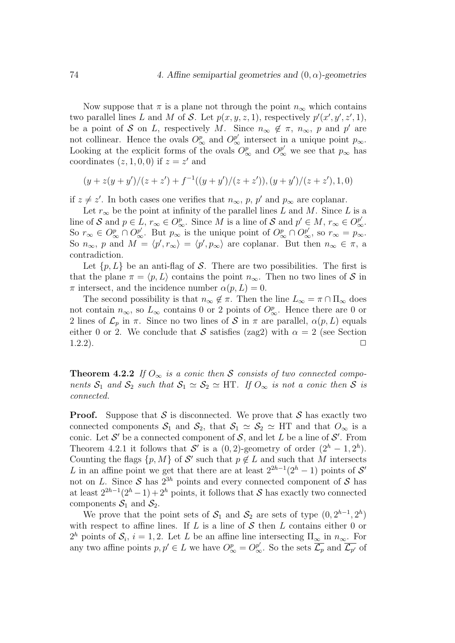Now suppose that  $\pi$  is a plane not through the point  $n_{\infty}$  which contains two parallel lines L and M of S. Let  $p(x, y, z, 1)$ , respectively  $p'(x', y', z', 1)$ , be a point of S on L, respectively M. Since  $n_{\infty} \notin \pi$ ,  $n_{\infty}$ , p and p' are not collinear. Hence the ovals  $O_{\infty}^p$  and  $O_{\infty}^{p'}$  intersect in a unique point  $p_{\infty}$ . Looking at the explicit forms of the ovals  $O_{\infty}^p$  and  $O_{\infty}^{p'}$  we see that  $p_{\infty}$  has coordinates  $(z, 1, 0, 0)$  if  $z = z'$  and

$$
(y + z(y + y')/(z + z') + f^{-1}((y + y')/(z + z')), (y + y')/(z + z'), 1, 0)
$$

if  $z \neq z'$ . In both cases one verifies that  $n_{\infty}$ , p, p' and  $p_{\infty}$  are coplanar.

Let  $r_{\infty}$  be the point at infinity of the parallel lines L and M. Since L is a line of S and  $p \in L$ ,  $r_{\infty} \in O_{\infty}^p$ . Since M is a line of S and  $p' \in M$ ,  $r_{\infty} \in O_{\infty}^{p'}$ . So  $r_{\infty} \in O_{\infty}^p \cap O_{\infty}^{p'}$ . But  $p_{\infty}$  is the unique point of  $O_{\infty}^p \cap O_{\infty}^{p'}$ , so  $r_{\infty} = p_{\infty}$ . So  $n_{\infty}$ , p and  $M = \langle p', r_{\infty} \rangle = \langle p', p_{\infty} \rangle$  are coplanar. But then  $n_{\infty} \in \pi$ , a contradiction.

Let  $\{p, L\}$  be an anti-flag of S. There are two possibilities. The first is that the plane  $\pi = \langle p, L \rangle$  contains the point  $n_{\infty}$ . Then no two lines of S in  $\pi$  intersect, and the incidence number  $\alpha(p, L) = 0$ .

The second possibility is that  $n_{\infty} \notin \pi$ . Then the line  $L_{\infty} = \pi \cap \Pi_{\infty}$  does not contain  $n_{\infty}$ , so  $L_{\infty}$  contains 0 or 2 points of  $O_{\infty}^p$ . Hence there are 0 or 2 lines of  $\mathcal{L}_p$  in  $\pi$ . Since no two lines of S in  $\pi$  are parallel,  $\alpha(p, L)$  equals either 0 or 2. We conclude that S satisfies (zag2) with  $\alpha = 2$  (see Section  $1.2.2$ ).

**Theorem 4.2.2** If  $O_{\infty}$  is a conic then S consists of two connected components  $S_1$  and  $S_2$  such that  $S_1 \simeq S_2 \simeq \text{HT}$ . If  $O_{\infty}$  is not a conic then S is connected.

**Proof.** Suppose that S is disconnected. We prove that S has exactly two connected components  $S_1$  and  $S_2$ , that  $S_1 \simeq S_2 \simeq HT$  and that  $O_{\infty}$  is a conic. Let  $\mathcal{S}'$  be a connected component of  $\mathcal{S}$ , and let  $L$  be a line of  $\mathcal{S}'$ . From Theorem 4.2.1 it follows that S' is a  $(0, 2)$ -geometry of order  $(2<sup>h</sup> - 1, 2<sup>h</sup>)$ . Counting the flags  $\{p, M\}$  of S' such that  $p \notin L$  and such that M intersects L in an affine point we get that there are at least  $2^{2h-1}(2^h-1)$  points of S' not on L. Since  $S$  has  $2^{3h}$  points and every connected component of  $S$  has at least  $2^{2h-1}(2^h-1)+2^h$  points, it follows that S has exactly two connected components  $S_1$  and  $S_2$ .

We prove that the point sets of  $S_1$  and  $S_2$  are sets of type  $(0, 2^{h-1}, 2^h)$ with respect to affine lines. If  $L$  is a line of  $S$  then  $L$  contains either 0 or  $2^h$  points of  $\mathcal{S}_i$ ,  $i = 1, 2$ . Let L be an affine line intersecting  $\Pi_{\infty}$  in  $n_{\infty}$ . For any two affine points  $p, p' \in L$  we have  $O^p_{\infty} = O^{p'}_{\infty}$ . So the sets  $\overline{\mathcal{L}_p}$  and  $\overline{\mathcal{L}_{p'}}$  of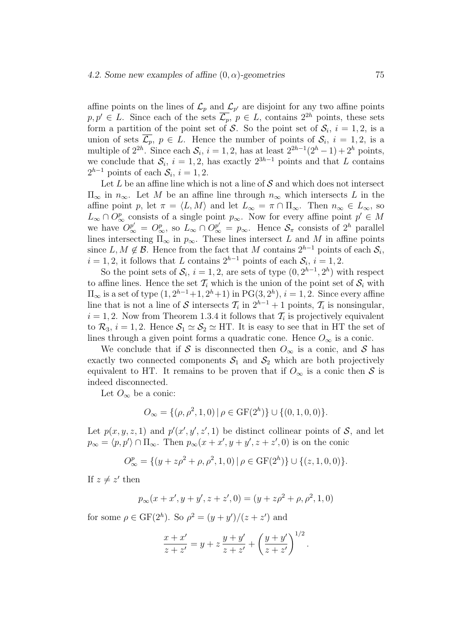affine points on the lines of  $\mathcal{L}_p$  and  $\mathcal{L}_{p'}$  are disjoint for any two affine points  $p, p' \in L$ . Since each of the sets  $\overline{\mathcal{L}_p}$ ,  $p \in L$ , contains  $2^{2h}$  points, these sets form a partition of the point set of S. So the point set of  $S_i$ ,  $i = 1, 2$ , is a union of sets  $\overline{\mathcal{L}_p}$ ,  $p \in L$ . Hence the number of points of  $\mathcal{S}_i$ ,  $i = 1, 2$ , is a multiple of  $2^{2h}$ . Since each  $S_i$ ,  $i = 1, 2$ , has at least  $2^{2h-1}(2^h-1) + 2^h$  points, we conclude that  $S_i$ ,  $i = 1, 2$ , has exactly  $2^{3h-1}$  points and that L contains  $2^{h-1}$  points of each  $S_i$ ,  $i = 1, 2$ .

Let  $L$  be an affine line which is not a line of  $S$  and which does not intersect  $\Pi_{\infty}$  in  $n_{\infty}$ . Let M be an affine line through  $n_{\infty}$  which intersects L in the affine point p, let  $\pi = \langle L, M \rangle$  and let  $L_{\infty} = \pi \cap \Pi_{\infty}$ . Then  $n_{\infty} \in L_{\infty}$ , so  $L_{\infty} \cap O^p_{\infty}$  consists of a single point  $p_{\infty}$ . Now for every affine point  $p' \in M$ we have  $O_{\infty}^{p'} = O_{\infty}^p$ , so  $L_{\infty} \cap O_{\infty}^{p'} = p_{\infty}$ . Hence  $S_{\pi}$  consists of  $2^h$  parallel lines intersecting  $\Pi_{\infty}$  in  $p_{\infty}$ . These lines intersect L and M in affine points since L, M  $\notin \mathcal{B}$ . Hence from the fact that M contains  $2^{h-1}$  points of each  $\mathcal{S}_i$ ,  $i = 1, 2$ , it follows that L contains  $2^{h-1}$  points of each  $S_i$ ,  $i = 1, 2$ .

So the point sets of  $S_i$ ,  $i = 1, 2$ , are sets of type  $(0, 2^{h-1}, 2^h)$  with respect to affine lines. Hence the set  $\mathcal{T}_i$  which is the union of the point set of  $\mathcal{S}_i$  with  $\Pi_{\infty}$  is a set of type  $(1, 2^{h-1}+1, 2^h+1)$  in  $PG(3, 2^h)$ ,  $i = 1, 2$ . Since every affine line that is not a line of S intersects  $\mathcal{T}_i$  in  $2^{h-1}+1$  points,  $\mathcal{T}_i$  is nonsingular,  $i = 1, 2$ . Now from Theorem 1.3.4 it follows that  $\mathcal{T}_i$  is projectively equivalent to  $\mathcal{R}_3$ ,  $i = 1, 2$ . Hence  $\mathcal{S}_1 \simeq \mathcal{S}_2 \simeq H$ . It is easy to see that in HT the set of lines through a given point forms a quadratic cone. Hence  $O_{\infty}$  is a conic.

We conclude that if S is disconnected then  $O_{\infty}$  is a conic, and S has exactly two connected components  $S_1$  and  $S_2$  which are both projectively equivalent to HT. It remains to be proven that if  $O_{\infty}$  is a conic then S is indeed disconnected.

Let  $O_{\infty}$  be a conic:

$$
O_{\infty} = \{ (\rho, \rho^2, 1, 0) \mid \rho \in \mathrm{GF}(2^h) \} \cup \{ (0, 1, 0, 0) \}.
$$

Let  $p(x, y, z, 1)$  and  $p'(x', y', z', 1)$  be distinct collinear points of S, and let  $p_{\infty} = \langle p, p' \rangle \cap \Pi_{\infty}$ . Then  $p_{\infty}(x + x', y + y', z + z', 0)$  is on the conic

$$
O_{\infty}^{p} = \{ (y + z\rho^{2} + \rho, \rho^{2}, 1, 0) | \rho \in \text{GF}(2^{h}) \} \cup \{ (z, 1, 0, 0) \}.
$$

If  $z \neq z'$  then

$$
p_{\infty}(x+x', y+y', z+z', 0) = (y+z\rho^2 + \rho, \rho^2, 1, 0)
$$

for some  $\rho \in \text{GF}(2^h)$ . So  $\rho^2 = (y + y')/(z + z')$  and

$$
\frac{x + x'}{z + z'} = y + z \frac{y + y'}{z + z'} + \left(\frac{y + y'}{z + z'}\right)^{1/2}.
$$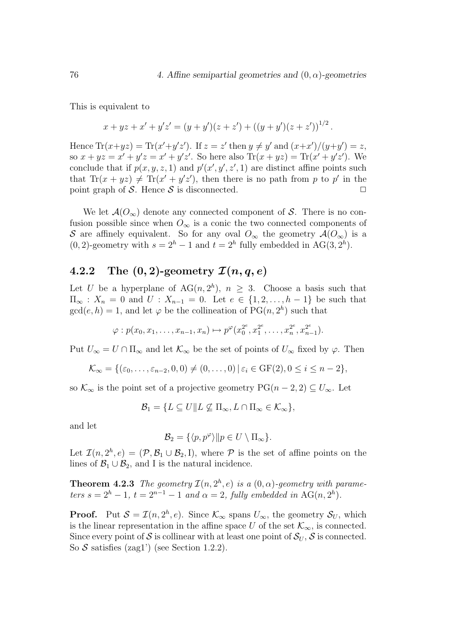This is equivalent to

$$
x + yz + x' + y'z' = (y + y')(z + z') + ((y + y')(z + z'))^{1/2}.
$$

Hence  $\text{Tr}(x+yz) = \text{Tr}(x'+y'z')$ . If  $z = z'$  then  $y \neq y'$  and  $(x+x')/(y+y') = z$ , so  $x + yz = x' + y'z = x' + y'z'$ . So here also  $\text{Tr}(x + yz) = \text{Tr}(x' + y'z')$ . We conclude that if  $p(x, y, z, 1)$  and  $p'(x', y', z', 1)$  are distinct affine points such that Tr(x + yz)  $\neq$  Tr(x' + y'z'), then there is no path from p to p' in the point graph of S. Hence S is disconnected.  $\Box$ 

We let  $\mathcal{A}(O_{\infty})$  denote any connected component of S. There is no confusion possible since when  $O_{\infty}$  is a conic the two connected components of S are affinely equivalent. So for any oval  $O_{\infty}$  the geometry  $\mathcal{A}(O_{\infty})$  is a (0, 2)-geometry with  $s = 2<sup>h</sup> - 1$  and  $t = 2<sup>h</sup>$  fully embedded in AG(3,  $2<sup>h</sup>$ ).

#### 4.2.2 The  $(0, 2)$ -geometry  $\mathcal{I}(n, q, e)$

Let U be a hyperplane of  $AG(n, 2<sup>h</sup>)$ ,  $n \geq 3$ . Choose a basis such that  $\Pi_{\infty} : X_n = 0$  and  $U : X_{n-1} = 0$ . Let  $e \in \{1, 2, ..., h-1\}$  be such that  $gcd(e, h) = 1$ , and let  $\varphi$  be the collineation of  $PG(n, 2<sup>h</sup>)$  such that

$$
\varphi: p(x_0, x_1, \ldots, x_{n-1}, x_n) \mapsto p^{\varphi}(x_0^{2^e}, x_1^{2^e}, \ldots, x_n^{2^e}, x_{n-1}^{2^e}).
$$

Put  $U_{\infty} = U \cap \Pi_{\infty}$  and let  $\mathcal{K}_{\infty}$  be the set of points of  $U_{\infty}$  fixed by  $\varphi$ . Then

$$
\mathcal{K}_{\infty} = \{(\varepsilon_0, \ldots, \varepsilon_{n-2}, 0, 0) \neq (0, \ldots, 0) \mid \varepsilon_i \in \text{GF}(2), 0 \leq i \leq n-2\},\
$$

so  $\mathcal{K}_{\infty}$  is the point set of a projective geometry  $PG(n-2, 2) \subseteq U_{\infty}$ . Let

$$
\mathcal{B}_1 = \{ L \subseteq U \mid L \nsubseteq \Pi_{\infty}, L \cap \Pi_{\infty} \in \mathcal{K}_{\infty} \},
$$

and let

$$
\mathcal{B}_2 = \{ \langle p, p^{\varphi} \rangle || p \in U \setminus \Pi_{\infty} \}.
$$

Let  $\mathcal{I}(n, 2^h, e) = (\mathcal{P}, \mathcal{B}_1 \cup \mathcal{B}_2, I)$ , where  $\mathcal P$  is the set of affine points on the lines of  $\mathcal{B}_1 \cup \mathcal{B}_2$ , and I is the natural incidence.

**Theorem 4.2.3** The geometry  $\mathcal{I}(n, 2^h, e)$  is a  $(0, \alpha)$ -geometry with parameters  $s = 2<sup>h</sup> - 1$ ,  $t = 2<sup>n-1</sup> - 1$  and  $\alpha = 2$ , fully embedded in AG(n, 2<sup>h</sup>).

**Proof.** Put  $S = \mathcal{I}(n, 2^h, e)$ . Since  $\mathcal{K}_{\infty}$  spans  $U_{\infty}$ , the geometry  $S_U$ , which is the linear representation in the affine space U of the set  $\mathcal{K}_{\infty}$ , is connected. Since every point of S is collinear with at least one point of  $S_U$ , S is connected. So  $S$  satisfies (zag1') (see Section 1.2.2).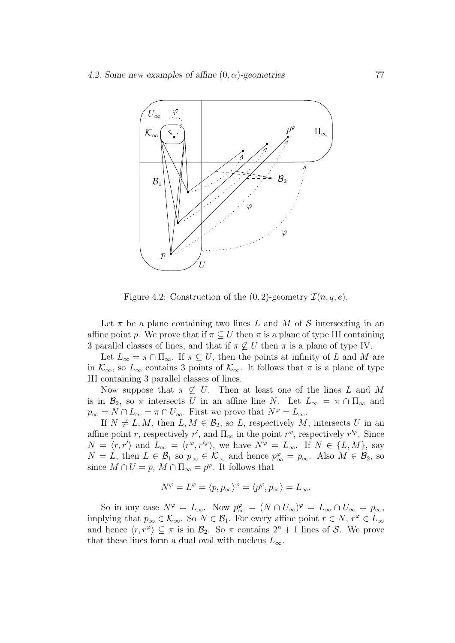

Figure 4.2: Construction of the  $(0, 2)$ -geometry  $\mathcal{I}(n, q, e)$ .

Let  $\pi$  be a plane containing two lines L and M of S intersecting in an affine point p. We prove that if  $\pi \subseteq U$  then  $\pi$  is a plane of type III containing 3 parallel classes of lines, and that if  $\pi \not\subseteq U$  then  $\pi$  is a plane of type IV.

Let  $L_{\infty} = \pi \cap \Pi_{\infty}$ . If  $\pi \subseteq U$ , then the points at infinity of L and M are in  $\mathcal{K}_{\infty}$ , so  $L_{\infty}$  contains 3 points of  $\mathcal{K}_{\infty}$ . It follows that  $\pi$  is a plane of type III containing 3 parallel classes of lines.

Now suppose that  $\pi \not\subseteq U$ . Then at least one of the lines L and M is in  $\mathcal{B}_2$ , so  $\pi$  intersects U in an affine line N. Let  $L_{\infty} = \pi \cap \Pi_{\infty}$  and  $p_{\infty} = N \cap L_{\infty} = \pi \cap U_{\infty}$ . First we prove that  $N^{\varphi} = L_{\infty}$ .

If  $N \neq L, M$ , then  $L, M \in \mathcal{B}_2$ , so L, respectively M, intersects U in an affine point r, respectively r', and  $\Pi_{\infty}$  in the point r<sup> $\varphi$ </sup>, respectively r' $\varphi$ . Since  $N = \langle r, r' \rangle$  and  $L_{\infty} = \langle r^{\varphi}, r'^{\varphi} \rangle$ , we have  $N^{\varphi} = L_{\infty}$ . If  $N \in \{L, M\}$ , say  $N = L$ , then  $L \in \mathcal{B}_1$  so  $p_{\infty} \in \mathcal{K}_{\infty}$  and hence  $p_{\infty}^{\varphi} = p_{\infty}$ . Also  $M \in \mathcal{B}_2$ , so since  $M \cap U = p$ ,  $M \cap \Pi_{\infty} = p^{\varphi}$ . It follows that

$$
N^{\varphi} = L^{\varphi} = \langle p, p_{\infty} \rangle^{\varphi} = \langle p^{\varphi}, p_{\infty} \rangle = L_{\infty}.
$$

So in any case  $N^{\varphi} = L_{\infty}$ . Now  $p_{\infty}^{\varphi} = (N \cap U_{\infty})^{\varphi} = L_{\infty} \cap U_{\infty} = p_{\infty}$ , implying that  $p_{\infty} \in \mathcal{K}_{\infty}$ . So  $N \in \mathcal{B}_1$ . For every affine point  $r \in N$ ,  $r^{\varphi} \in L_{\infty}$ and hence  $\langle r, r^{\varphi} \rangle \subseteq \pi$  is in  $\mathcal{B}_2$ . So  $\pi$  contains  $2^h + 1$  lines of S. We prove that these lines form a dual oval with nucleus  $L_{\infty}$ .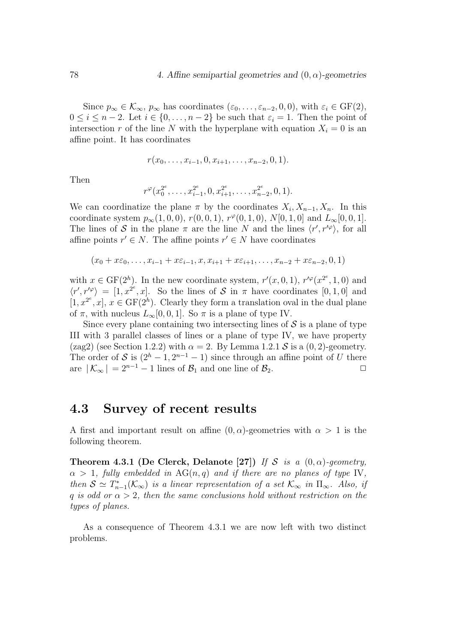Since  $p_{\infty} \in \mathcal{K}_{\infty}$ ,  $p_{\infty}$  has coordinates  $(\varepsilon_0, \ldots, \varepsilon_{n-2}, 0, 0)$ , with  $\varepsilon_i \in \text{GF}(2)$ ,  $0 \leq i \leq n-2$ . Let  $i \in \{0, \ldots, n-2\}$  be such that  $\varepsilon_i = 1$ . Then the point of intersection r of the line N with the hyperplane with equation  $X_i = 0$  is an affine point. It has coordinates

$$
r(x_0,\ldots,x_{i-1},0,x_{i+1},\ldots,x_{n-2},0,1).
$$

Then

$$
r^{\varphi}(x_0^{2^e}, \ldots, x_{i-1}^{2^e}, 0, x_{i+1}^{2^e}, \ldots, x_{n-2}^{2^e}, 0, 1).
$$

We can coordinatize the plane  $\pi$  by the coordinates  $X_i, X_{n-1}, X_n$ . In this coordinate system  $p_{\infty}(1,0,0)$ ,  $r(0,0,1)$ ,  $r^{\varphi}(0,1,0)$ ,  $N[0,1,0]$  and  $L_{\infty}[0,0,1]$ . The lines of S in the plane  $\pi$  are the line N and the lines  $\langle r', r'^{\varphi} \rangle$ , for all affine points  $r' \in N$ . The affine points  $r' \in N$  have coordinates

$$
(x_0 + x\varepsilon_0, \ldots, x_{i-1} + x\varepsilon_{i-1}, x, x_{i+1} + x\varepsilon_{i+1}, \ldots, x_{n-2} + x\varepsilon_{n-2}, 0, 1)
$$

with  $x \in \text{GF}(2^h)$ . In the new coordinate system,  $r'(x, 0, 1)$ ,  $r'^{\varphi}(x^{2^e}, 1, 0)$  and  $\langle r', r'^{\varphi} \rangle = [1, x^{2^e}, x]$ . So the lines of S in  $\pi$  have coordinates [0, 1, 0] and  $[1, x^{2^e}, x]$ ,  $x \in \text{GF}(2^h)$ . Clearly they form a translation oval in the dual plane of  $\pi$ , with nucleus  $L_{\infty}[0, 0, 1]$ . So  $\pi$  is a plane of type IV.

Since every plane containing two intersecting lines of  $\mathcal S$  is a plane of type III with 3 parallel classes of lines or a plane of type IV, we have property (zag2) (see Section 1.2.2) with  $\alpha = 2$ . By Lemma 1.2.1 S is a (0, 2)-geometry. The order of S is  $(2<sup>h</sup> - 1, 2<sup>n-1</sup> - 1)$  since through an affine point of U there are  $|K_{\infty}| = 2^{n-1} - 1$  lines of  $\mathcal{B}_1$  and one line of  $\mathcal{B}_2$ .

## 4.3 Survey of recent results

A first and important result on affine  $(0, \alpha)$ -geometries with  $\alpha > 1$  is the following theorem.

Theorem 4.3.1 (De Clerck, Delanote [27]) If S is a  $(0, \alpha)$ -geometry,  $\alpha > 1$ , fully embedded in AG(n,q) and if there are no planes of type IV, then  $S \simeq T_{n-1}^*(\mathcal{K}_{\infty})$  is a linear representation of a set  $\mathcal{K}_{\infty}$  in  $\Pi_{\infty}$ . Also, if q is odd or  $\alpha > 2$ , then the same conclusions hold without restriction on the types of planes.

As a consequence of Theorem 4.3.1 we are now left with two distinct problems.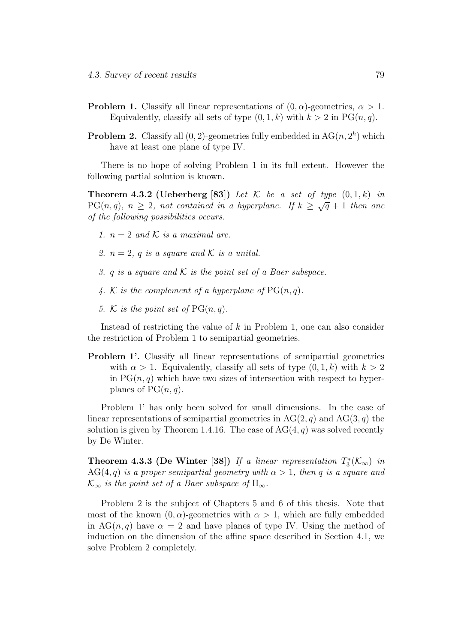- **Problem 1.** Classify all linear representations of  $(0, \alpha)$ -geometries,  $\alpha > 1$ . Equivalently, classify all sets of type  $(0, 1, k)$  with  $k > 2$  in PG $(n, q)$ .
- **Problem 2.** Classify all  $(0, 2)$ -geometries fully embedded in  $AG(n, 2<sup>h</sup>)$  which have at least one plane of type IV.

There is no hope of solving Problem 1 in its full extent. However the following partial solution is known.

**Theorem 4.3.2 (Ueberberg [83])** Let  $\mathcal{K}$  be a set of type  $(0, 1, k)$  in PG(n, q),  $n \geq 2$ , not contained in a hyperplane. If  $k \geq \sqrt{q} + 1$  then one of the following possibilities occurs.

- 1.  $n = 2$  and K is a maximal arc.
- 2.  $n = 2$ , q is a square and K is a unital.
- 3. q is a square and  $K$  is the point set of a Baer subspace.
- 4. K is the complement of a hyperplane of  $PG(n, q)$ .
- 5. K is the point set of  $PG(n, q)$ .

Instead of restricting the value of  $k$  in Problem 1, one can also consider the restriction of Problem 1 to semipartial geometries.

Problem 1'. Classify all linear representations of semipartial geometries with  $\alpha > 1$ . Equivalently, classify all sets of type  $(0, 1, k)$  with  $k > 2$ in  $PG(n, q)$  which have two sizes of intersection with respect to hyperplanes of  $PG(n, q)$ .

Problem 1' has only been solved for small dimensions. In the case of linear representations of semipartial geometries in  $AG(2, q)$  and  $AG(3, q)$  the solution is given by Theorem 1.4.16. The case of  $AG(4, q)$  was solved recently by De Winter.

**Theorem 4.3.3 (De Winter [38])** If a linear representation  $T_3^*(\mathcal{K}_{\infty})$  in  $AG(4,q)$  is a proper semipartial geometry with  $\alpha > 1$ , then q is a square and  $\mathcal{K}_{\infty}$  is the point set of a Baer subspace of  $\Pi_{\infty}$ .

Problem 2 is the subject of Chapters 5 and 6 of this thesis. Note that most of the known  $(0, \alpha)$ -geometries with  $\alpha > 1$ , which are fully embedded in AG(n, q) have  $\alpha = 2$  and have planes of type IV. Using the method of induction on the dimension of the affine space described in Section 4.1, we solve Problem 2 completely.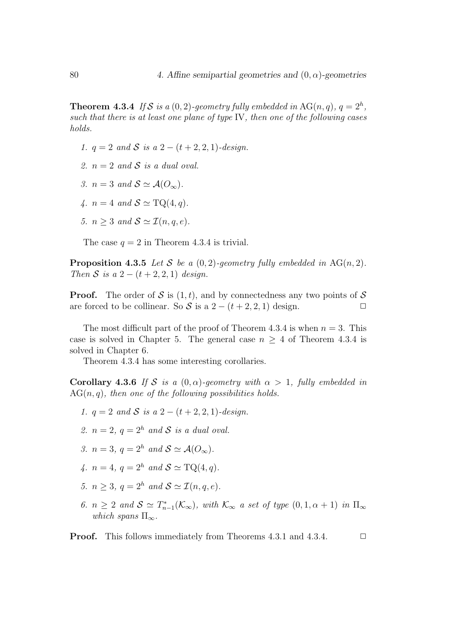**Theorem 4.3.4** If S is a  $(0, 2)$ -geometry fully embedded in AG $(n, q)$ ,  $q = 2<sup>h</sup>$ , such that there is at least one plane of type IV, then one of the following cases holds.

- 1.  $q = 2$  and S is a  $2 (t + 2, 2, 1)$ -design.
- 2.  $n = 2$  and S is a dual oval.
- 3.  $n = 3$  and  $S \simeq \mathcal{A}(O_{\infty}).$
- 4.  $n = 4$  and  $S \simeq \text{TQ}(4, q)$ .
- 5.  $n > 3$  and  $S \simeq \mathcal{I}(n, q, e)$ .

The case  $q = 2$  in Theorem 4.3.4 is trivial.

**Proposition 4.3.5** Let S be a  $(0, 2)$ -geometry fully embedded in AG(n, 2). Then S is a  $2 - (t + 2, 2, 1)$  design.

**Proof.** The order of S is  $(1, t)$ , and by connectedness any two points of S are forced to be collinear. So S is a  $2 - (t + 2, 2, 1)$  design.  $\Box$ 

The most difficult part of the proof of Theorem 4.3.4 is when  $n = 3$ . This case is solved in Chapter 5. The general case  $n \geq 4$  of Theorem 4.3.4 is solved in Chapter 6.

Theorem 4.3.4 has some interesting corollaries.

Corollary 4.3.6 If S is a  $(0, \alpha)$ -geometry with  $\alpha > 1$ , fully embedded in  $AG(n, q)$ , then one of the following possibilities holds.

- 1.  $q = 2$  and S is a  $2 (t + 2, 2, 1)$ -design.
- 2.  $n = 2$ ,  $q = 2<sup>h</sup>$  and S is a dual oval.
- 3.  $n = 3$ ,  $q = 2^h$  and  $S \simeq \mathcal{A}(O_\infty)$ .
- 4.  $n = 4$ ,  $q = 2<sup>h</sup>$  and  $S \simeq TQ(4, q)$ .
- 5.  $n > 3$ ,  $q = 2^h$  and  $S \simeq \mathcal{I}(n, q, e)$ .
- 6.  $n \geq 2$  and  $S \simeq T_{n-1}^*(\mathcal{K}_{\infty})$ , with  $\mathcal{K}_{\infty}$  a set of type  $(0, 1, \alpha + 1)$  in  $\Pi_{\infty}$ which spans  $\Pi_{\infty}$ .

**Proof.** This follows immediately from Theorems 4.3.1 and 4.3.4.  $\Box$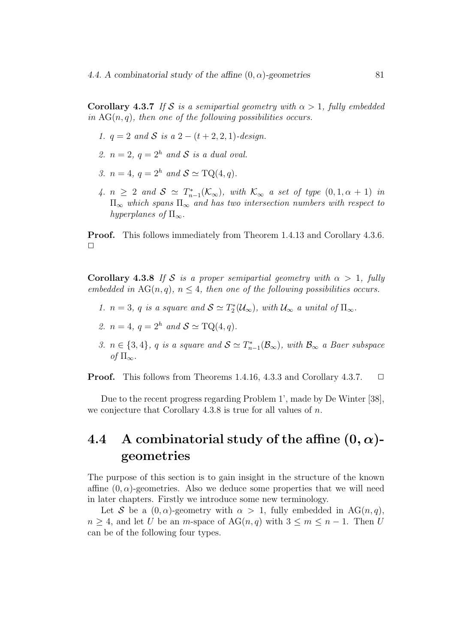**Corollary 4.3.7** If S is a semipartial geometry with  $\alpha > 1$ , fully embedded in  $AG(n, q)$ , then one of the following possibilities occurs.

- 1.  $q = 2$  and S is a  $2 (t + 2, 2, 1)$ -design.
- 2.  $n = 2$ ,  $q = 2<sup>h</sup>$  and S is a dual oval.
- 3.  $n = 4$ ,  $q = 2<sup>h</sup>$  and  $S \simeq \text{TO}(4, q)$ .
- 4.  $n \geq 2$  and  $S \simeq T_{n-1}^*(\mathcal{K}_{\infty})$ , with  $\mathcal{K}_{\infty}$  a set of type  $(0, 1, \alpha + 1)$  in  $\Pi_{\infty}$  which spans  $\Pi_{\infty}$  and has two intersection numbers with respect to hyperplanes of  $\Pi_{\infty}$ .

Proof. This follows immediately from Theorem 1.4.13 and Corollary 4.3.6.  $\Box$ 

**Corollary 4.3.8** If S is a proper semipartial geometry with  $\alpha > 1$ , fully embedded in  $AG(n, q)$ ,  $n \leq 4$ , then one of the following possibilities occurs.

- 1.  $n = 3$ , q is a square and  $S \simeq T_2^*(\mathcal{U}_{\infty})$ , with  $\mathcal{U}_{\infty}$  a unital of  $\Pi_{\infty}$ .
- 2.  $n = 4$ ,  $q = 2<sup>h</sup>$  and  $S \simeq \text{TQ}(4, q)$ .
- 3.  $n \in \{3, 4\}$ , q is a square and  $S \simeq T_{n-1}^*(\mathcal{B}_{\infty})$ , with  $\mathcal{B}_{\infty}$  a Baer subspace of  $\Pi_{\infty}$ .

**Proof.** This follows from Theorems 1.4.16, 4.3.3 and Corollary 4.3.7.  $\Box$ 

Due to the recent progress regarding Problem 1', made by De Winter [38], we conjecture that Corollary 4.3.8 is true for all values of n.

## 4.4 A combinatorial study of the affine  $(0, \alpha)$ geometries

The purpose of this section is to gain insight in the structure of the known affine  $(0, \alpha)$ -geometries. Also we deduce some properties that we will need in later chapters. Firstly we introduce some new terminology.

Let S be a  $(0, \alpha)$ -geometry with  $\alpha > 1$ , fully embedded in AG $(n, q)$ ,  $n \geq 4$ , and let U be an m-space of  $AG(n, q)$  with  $3 \leq m \leq n-1$ . Then U can be of the following four types.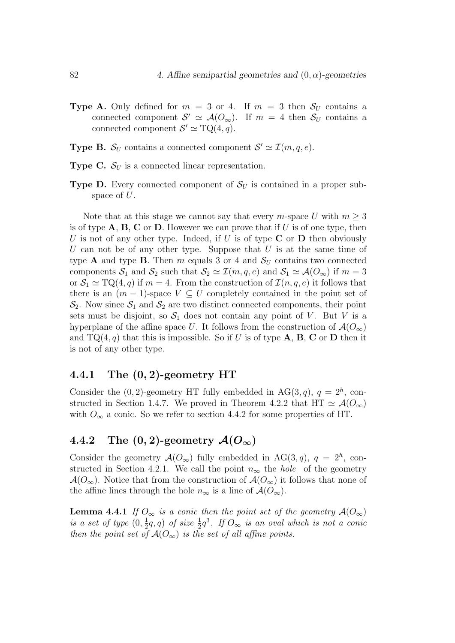- **Type A.** Only defined for  $m = 3$  or 4. If  $m = 3$  then  $S_U$  contains a connected component  $S' \simeq A(O_\infty)$ . If  $m = 4$  then  $S_U$  contains a connected component  $S' \simeq \mathrm{TQ}(4,q)$ .
- **Type B.**  $S_U$  contains a connected component  $S' \simeq \mathcal{I}(m, q, e)$ .
- **Type C.**  $S_U$  is a connected linear representation.
- **Type D.** Every connected component of  $S_U$  is contained in a proper subspace of U.

Note that at this stage we cannot say that every m-space U with  $m \geq 3$ is of type  $\bf{A}, \bf{B}, \bf{C}$  or  $\bf{D}$ . However we can prove that if U is of one type, then U is not of any other type. Indeed, if U is of type  $C$  or  $D$  then obviously U can not be of any other type. Suppose that  $U$  is at the same time of type **A** and type **B**. Then m equals 3 or 4 and  $S_U$  contains two connected components  $S_1$  and  $S_2$  such that  $S_2 \simeq \mathcal{I}(m, q, e)$  and  $S_1 \simeq \mathcal{A}(O_\infty)$  if  $m = 3$ or  $S_1 \simeq TQ(4, q)$  if  $m = 4$ . From the construction of  $\mathcal{I}(n, q, e)$  it follows that there is an  $(m-1)$ -space  $V \subseteq U$  completely contained in the point set of  $\mathcal{S}_2$ . Now since  $\mathcal{S}_1$  and  $\mathcal{S}_2$  are two distinct connected components, their point sets must be disjoint, so  $S_1$  does not contain any point of V. But V is a hyperplane of the affine space U. It follows from the construction of  $\mathcal{A}(O_{\infty})$ and  $TQ(4, q)$  that this is impossible. So if U is of type **A**, **B**, **C** or **D** then it is not of any other type.

#### 4.4.1 The (0, 2)-geometry HT

Consider the  $(0, 2)$ -geometry HT fully embedded in AG $(3, q)$ ,  $q = 2<sup>h</sup>$ , constructed in Section 1.4.7. We proved in Theorem 4.2.2 that HT  $\simeq \mathcal{A}(O_{\infty})$ with  $O_{\infty}$  a conic. So we refer to section 4.4.2 for some properties of HT.

### 4.4.2 The  $(0, 2)$ -geometry  $\mathcal{A}(O_{\infty})$

Consider the geometry  $\mathcal{A}(O_{\infty})$  fully embedded in AG(3,q),  $q = 2^h$ , constructed in Section 4.2.1. We call the point  $n_{\infty}$  the *hole* of the geometry  $\mathcal{A}(O_{\infty})$ . Notice that from the construction of  $\mathcal{A}(O_{\infty})$  it follows that none of the affine lines through the hole  $n_{\infty}$  is a line of  $\mathcal{A}(O_{\infty})$ .

**Lemma 4.4.1** If  $O_{\infty}$  is a conic then the point set of the geometry  $\mathcal{A}(O_{\infty})$ is a set of type  $(0, \frac{1}{2}q, q)$  of size  $\frac{1}{2}q^3$ . If  $O_{\infty}$  is an oval which is not a conic then the point set of  $\mathcal{A}(O_{\infty})$  is the set of all affine points.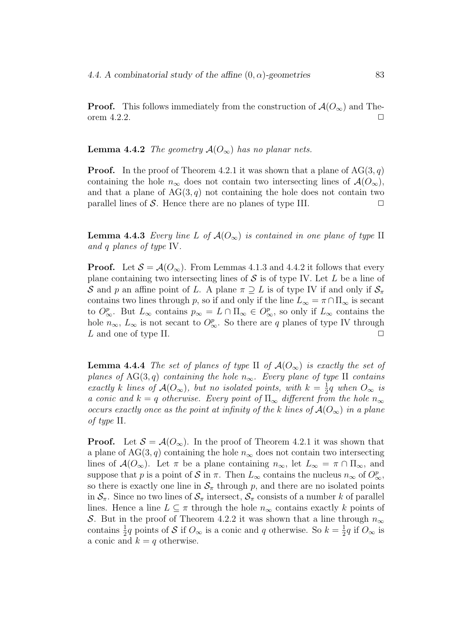**Proof.** This follows immediately from the construction of  $\mathcal{A}(O_{\infty})$  and Theorem  $4.2.2$ .

#### **Lemma 4.4.2** The geometry  $\mathcal{A}(O_{\infty})$  has no planar nets.

**Proof.** In the proof of Theorem 4.2.1 it was shown that a plane of  $AG(3, q)$ containing the hole  $n_{\infty}$  does not contain two intersecting lines of  $\mathcal{A}(O_{\infty}),$ and that a plane of  $AG(3, q)$  not containing the hole does not contain two parallel lines of  $S$ . Hence there are no planes of type III.  $\square$ 

**Lemma 4.4.3** Every line L of  $\mathcal{A}(O_\infty)$  is contained in one plane of type II and q planes of type IV.

**Proof.** Let  $S = \mathcal{A}(O_\infty)$ . From Lemmas 4.1.3 and 4.4.2 it follows that every plane containing two intersecting lines of  $S$  is of type IV. Let L be a line of S and p an affine point of L. A plane  $\pi \supseteq L$  is of type IV if and only if  $S_{\pi}$ contains two lines through p, so if and only if the line  $L_{\infty} = \pi \cap \Pi_{\infty}$  is secant to  $O_{\infty}^p$ . But  $L_{\infty}$  contains  $p_{\infty} = L \cap \Pi_{\infty} \in O_{\infty}^p$ , so only if  $L_{\infty}$  contains the hole  $n_{\infty}$ ,  $L_{\infty}$  is not secant to  $O_{\infty}^p$ . So there are q planes of type IV through L and one of type II.  $\Box$ 

**Lemma 4.4.4** The set of planes of type II of  $\mathcal{A}(O_\infty)$  is exactly the set of planes of AG(3,q) containing the hole  $n_{\infty}$ . Every plane of type II contains exactly k lines of  $\mathcal{A}(O_{\infty})$ , but no isolated points, with  $k = \frac{1}{2}q$  when  $O_{\infty}$  is a conic and  $k = q$  otherwise. Every point of  $\Pi_{\infty}$  different from the hole  $n_{\infty}$ occurs exactly once as the point at infinity of the k lines of  $A(O_{\infty})$  in a plane of type II.

**Proof.** Let  $S = A(O_\infty)$ . In the proof of Theorem 4.2.1 it was shown that a plane of  $AG(3, q)$  containing the hole  $n_{\infty}$  does not contain two intersecting lines of  $\mathcal{A}(O_{\infty})$ . Let  $\pi$  be a plane containing  $n_{\infty}$ , let  $L_{\infty} = \pi \cap \Pi_{\infty}$ , and suppose that p is a point of S in  $\pi$ . Then  $L_{\infty}$  contains the nucleus  $n_{\infty}$  of  $O_{\infty}^p$ , so there is exactly one line in  $\mathcal{S}_{\pi}$  through p, and there are no isolated points in  $S_{\pi}$ . Since no two lines of  $S_{\pi}$  intersect,  $S_{\pi}$  consists of a number k of parallel lines. Hence a line  $L \subseteq \pi$  through the hole  $n_{\infty}$  contains exactly k points of S. But in the proof of Theorem 4.2.2 it was shown that a line through  $n_{\infty}$ contains  $\frac{1}{2}q$  points of S if  $O_{\infty}$  is a conic and q otherwise. So  $k = \frac{1}{2}q$  if  $O_{\infty}$  is a conic and  $k = q$  otherwise.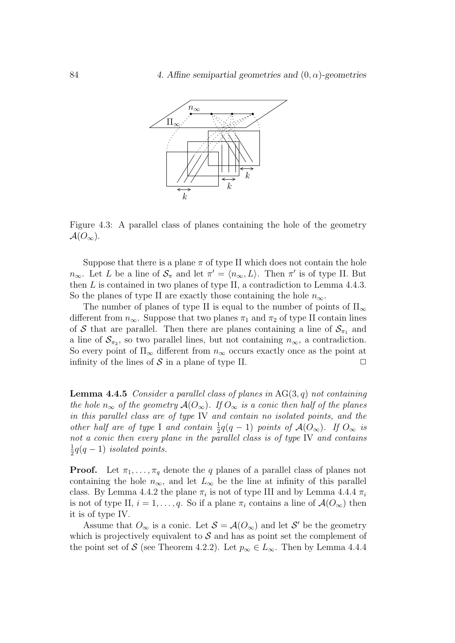

Figure 4.3: A parallel class of planes containing the hole of the geometry  $\mathcal{A}(O_{\infty}).$ 

Suppose that there is a plane  $\pi$  of type II which does not contain the hole  $n_{\infty}$ . Let L be a line of  $S_{\pi}$  and let  $\pi' = \langle n_{\infty}, L \rangle$ . Then  $\pi'$  is of type II. But then  $L$  is contained in two planes of type II, a contradiction to Lemma 4.4.3. So the planes of type II are exactly those containing the hole  $n_{\infty}$ .

The number of planes of type II is equal to the number of points of  $\Pi_{\infty}$ different from  $n_{\infty}$ . Suppose that two planes  $\pi_1$  and  $\pi_2$  of type II contain lines of S that are parallel. Then there are planes containing a line of  $S_{\pi_1}$  and a line of  $\mathcal{S}_{\pi_2}$ , so two parallel lines, but not containing  $n_{\infty}$ , a contradiction. So every point of  $\Pi_{\infty}$  different from  $n_{\infty}$  occurs exactly once as the point at infinity of the lines of  $S$  in a plane of type II.

**Lemma 4.4.5** Consider a parallel class of planes in  $AG(3, q)$  not containing the hole  $n_{\infty}$  of the geometry  $\mathcal{A}(O_{\infty})$ . If  $O_{\infty}$  is a conic then half of the planes in this parallel class are of type IV and contain no isolated points, and the other half are of type I and contain  $\frac{1}{2}q(q-1)$  points of  $\mathcal{A}(O_{\infty})$ . If  $O_{\infty}$  is not a conic then every plane in the parallel class is of type IV and contains  $\frac{1}{2}q(q-1)$  isolated points.

**Proof.** Let  $\pi_1, \ldots, \pi_q$  denote the q planes of a parallel class of planes not containing the hole  $n_{\infty}$ , and let  $L_{\infty}$  be the line at infinity of this parallel class. By Lemma 4.4.2 the plane  $\pi_i$  is not of type III and by Lemma 4.4.4  $\pi_i$ is not of type II,  $i = 1, \ldots, q$ . So if a plane  $\pi_i$  contains a line of  $\mathcal{A}(O_\infty)$  then it is of type IV.

Assume that  $O_{\infty}$  is a conic. Let  $S = \mathcal{A}(O_{\infty})$  and let S' be the geometry which is projectively equivalent to  $S$  and has as point set the complement of the point set of S (see Theorem 4.2.2). Let  $p_{\infty} \in L_{\infty}$ . Then by Lemma 4.4.4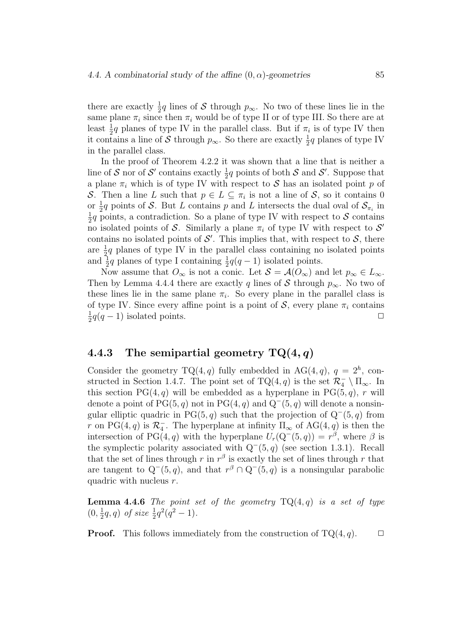there are exactly  $\frac{1}{2}q$  lines of S through  $p_{\infty}$ . No two of these lines lie in the same plane  $\pi_i$  since then  $\pi_i$  would be of type II or of type III. So there are at least  $\frac{1}{2}q$  planes of type IV in the parallel class. But if  $\pi_i$  is of type IV then it contains a line of S through  $p_{\infty}$ . So there are exactly  $\frac{1}{2}q$  planes of type IV in the parallel class.

In the proof of Theorem 4.2.2 it was shown that a line that is neither a line of S nor of S' contains exactly  $\frac{1}{2}q$  points of both S and S'. Suppose that a plane  $\pi_i$  which is of type IV with respect to S has an isolated point p of S. Then a line L such that  $p \in L \subseteq \pi_i$  is not a line of S, so it contains 0 or  $\frac{1}{2}q$  points of S. But L contains p and L intersects the dual oval of  $S_{\pi_i}$  in  $\frac{1}{2}q$  points, a contradiction. So a plane of type IV with respect to S contains no isolated points of S. Similarly a plane  $\pi_i$  of type IV with respect to S' contains no isolated points of  $\mathcal{S}'$ . This implies that, with respect to  $\mathcal{S}$ , there are  $\frac{1}{2}q$  planes of type IV in the parallel class containing no isolated points and  $\frac{1}{2}q$  planes of type I containing  $\frac{1}{2}q(q-1)$  isolated points.

Now assume that  $O_{\infty}$  is not a conic. Let  $S = \mathcal{A}(O_{\infty})$  and let  $p_{\infty} \in L_{\infty}$ . Then by Lemma 4.4.4 there are exactly q lines of S through  $p_{\infty}$ . No two of these lines lie in the same plane  $\pi_i$ . So every plane in the parallel class is of type IV. Since every affine point is a point of  $S$ , every plane  $\pi_i$  contains  $\frac{1}{2}q(q-1)$  isolated points.  $\Box$ 

#### 4.4.3 The semipartial geometry  $TQ(4, q)$

Consider the geometry  $TQ(4,q)$  fully embedded in AG(4, q),  $q = 2<sup>h</sup>$ , constructed in Section 1.4.7. The point set of  $TQ(4,q)$  is the set  $\mathcal{R}_4^- \setminus \Pi_{\infty}$ . In this section  $PG(4, q)$  will be embedded as a hyperplane in  $PG(5, q)$ , r will denote a point of  $PG(5, q)$  not in  $PG(4, q)$  and  $Q^-(5, q)$  will denote a nonsingular elliptic quadric in PG(5, q) such that the projection of  $Q^-(5, q)$  from r on PG(4, q) is  $\mathcal{R}_4^-$ . The hyperplane at infinity  $\Pi_\infty$  of AG(4, q) is then the intersection of PG(4, q) with the hyperplane  $U_r(Q^-(5, q)) = r^{\beta}$ , where  $\beta$  is the symplectic polarity associated with  $Q^-(5, q)$  (see section 1.3.1). Recall that the set of lines through r in  $r^{\beta}$  is exactly the set of lines through r that are tangent to  $Q^-(5, q)$ , and that  $r^{\beta} \cap Q^-(5, q)$  is a nonsingular parabolic quadric with nucleus r.

**Lemma 4.4.6** The point set of the geometry  $TQ(4,q)$  is a set of type  $(0, \frac{1}{2}q, q)$  of size  $\frac{1}{2}q^2(q^2 - 1)$ .

**Proof.** This follows immediately from the construction of  $TQ(4, q)$ .  $\Box$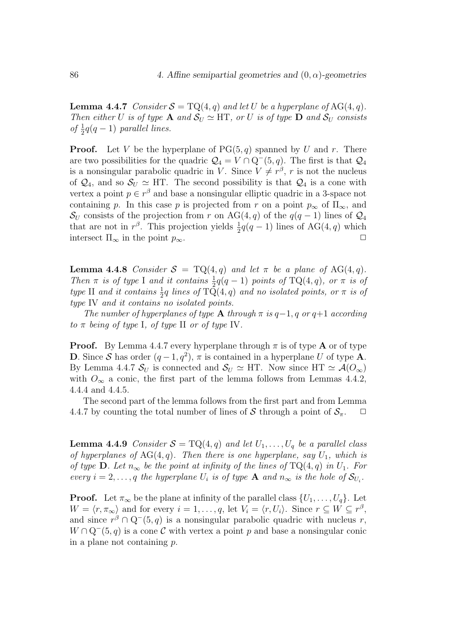**Lemma 4.4.7** Consider  $S = \text{TO}(4, q)$  and let U be a hyperplane of AG(4, q). Then either U is of type **A** and  $S_U \simeq HT$ , or U is of type **D** and  $S_U$  consists of  $\frac{1}{2}q(q-1)$  parallel lines.

**Proof.** Let V be the hyperplane of  $PG(5, q)$  spanned by U and r. There are two possibilities for the quadric  $Q_4 = V \cap Q^-(5, q)$ . The first is that  $Q_4$ is a nonsingular parabolic quadric in V. Since  $V \neq r^{\beta}$ , r is not the nucleus of  $\mathcal{Q}_4$ , and so  $\mathcal{S}_U \simeq \text{HT}$ . The second possibility is that  $\mathcal{Q}_4$  is a cone with vertex a point  $p \in r^{\beta}$  and base a nonsingular elliptic quadric in a 3-space not containing p. In this case p is projected from r on a point  $p_{\infty}$  of  $\Pi_{\infty}$ , and  $\mathcal{S}_U$  consists of the projection from r on AG(4, q) of the  $q(q-1)$  lines of  $\mathcal{Q}_4$ that are not in  $r^{\beta}$ . This projection yields  $\frac{1}{2}q(q-1)$  lines of AG(4, q) which intersect  $\Pi_{\infty}$  in the point  $p_{\infty}$ .

**Lemma 4.4.8** Consider  $S = TQ(4,q)$  and let  $\pi$  be a plane of AG(4,q). Then  $\pi$  is of type I and it contains  $\frac{1}{2}q(q-1)$  points of TQ(4,q), or  $\pi$  is of type II and it contains  $\frac{1}{2}q$  lines of  $T\overline{Q}(4,q)$  and no isolated points, or  $\pi$  is of type IV and it contains no isolated points.

The number of hyperplanes of type  $\bf{A}$  through  $\pi$  is  $q-1$ , q or  $q+1$  according to  $\pi$  being of type I, of type II or of type IV.

**Proof.** By Lemma 4.4.7 every hyperplane through  $\pi$  is of type **A** or of type **D**. Since S has order  $(q-1, q^2)$ ,  $\pi$  is contained in a hyperplane U of type **A**. By Lemma 4.4.7  $\mathcal{S}_U$  is connected and  $\mathcal{S}_U \simeq HT$ . Now since  $HT \simeq \mathcal{A}(O_{\infty})$ with  $O_{\infty}$  a conic, the first part of the lemma follows from Lemmas 4.4.2, 4.4.4 and 4.4.5.

The second part of the lemma follows from the first part and from Lemma 4.4.7 by counting the total number of lines of S through a point of  $S_{\pi}$ .  $\Box$ 

**Lemma 4.4.9** Consider  $S = TQ(4,q)$  and let  $U_1, \ldots, U_q$  be a parallel class of hyperplanes of  $AG(4, q)$ . Then there is one hyperplane, say  $U_1$ , which is of type **D**. Let  $n_{\infty}$  be the point at infinity of the lines of  $TQ(4, q)$  in  $U_1$ . For every  $i = 2, \ldots, q$  the hyperplane  $U_i$  is of type **A** and  $n_{\infty}$  is the hole of  $\mathcal{S}_{U_i}$ .

**Proof.** Let  $\pi_{\infty}$  be the plane at infinity of the parallel class  $\{U_1, \ldots, U_q\}$ . Let  $W = \langle r, \pi_{\infty} \rangle$  and for every  $i = 1, \ldots, q$ , let  $V_i = \langle r, U_i \rangle$ . Since  $r \subseteq W \subseteq r^{\beta}$ , and since  $r^{\beta} \cap Q^{-}(5, q)$  is a nonsingular parabolic quadric with nucleus r,  $W \cap Q^-(5, q)$  is a cone C with vertex a point p and base a nonsingular conic in a plane not containing p.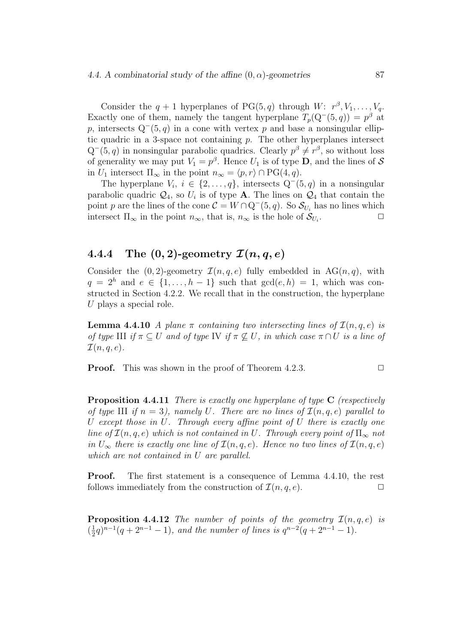#### 4.4. A combinatorial study of the affine  $(0, \alpha)$ -geometries 87

Consider the  $q + 1$  hyperplanes of PG(5, q) through W:  $r^{\beta}$ ,  $V_1, \ldots, V_q$ . Exactly one of them, namely the tangent hyperplane  $T_p(Q^-(5,q)) = p^{\beta}$  at p, intersects  $Q^-(5, q)$  in a cone with vertex p and base a nonsingular elliptic quadric in a 3-space not containing  $p$ . The other hyperplanes intersect  $Q^-(5, q)$  in nonsingular parabolic quadrics. Clearly  $p^{\beta} \neq r^{\beta}$ , so without loss of generality we may put  $V_1 = p^{\beta}$ . Hence  $U_1$  is of type **D**, and the lines of S in  $U_1$  intersect  $\Pi_{\infty}$  in the point  $n_{\infty} = \langle p, r \rangle \cap PG(4, q)$ .

The hyperplane  $V_i$ ,  $i \in \{2, ..., q\}$ , intersects  $Q^-(5, q)$  in a nonsingular parabolic quadric  $\mathcal{Q}_4$ , so  $U_i$  is of type **A**. The lines on  $\mathcal{Q}_4$  that contain the point p are the lines of the cone  $C = W \cap Q^-(5, q)$ . So  $\mathcal{S}_{U_i}$  has no lines which intersect  $\Pi_{\infty}$  in the point  $n_{\infty}$ , that is,  $n_{\infty}$  is the hole of  $\mathcal{S}_{U_i}$ . .  $\Box$ 

#### 4.4.4 The  $(0, 2)$ -geometry  $\mathcal{I}(n, q, e)$

Consider the  $(0, 2)$ -geometry  $\mathcal{I}(n, q, e)$  fully embedded in AG $(n, q)$ , with  $q = 2<sup>h</sup>$  and  $e \in \{1, ..., h-1\}$  such that  $gcd(e, h) = 1$ , which was constructed in Section 4.2.2. We recall that in the construction, the hyperplane  $U$  plays a special role.

**Lemma 4.4.10** A plane  $\pi$  containing two intersecting lines of  $\mathcal{I}(n, q, e)$  is of type III if  $\pi \subseteq U$  and of type IV if  $\pi \not\subseteq U$ , in which case  $\pi \cap U$  is a line of  $\mathcal{I}(n, q, e)$ .

**Proof.** This was shown in the proof of Theorem 4.2.3.  $\Box$ 

**Proposition 4.4.11** There is exactly one hyperplane of type  $C$  (respectively of type III if  $n = 3$ ), namely U. There are no lines of  $\mathcal{I}(n, q, e)$  parallel to U except those in U. Through every affine point of U there is exactly one line of  $\mathcal{I}(n,q,e)$  which is not contained in U. Through every point of  $\Pi_{\infty}$  not in  $U_{\infty}$  there is exactly one line of  $\mathcal{I}(n,q,e)$ . Hence no two lines of  $\mathcal{I}(n,q,e)$ which are not contained in U are parallel.

Proof. The first statement is a consequence of Lemma 4.4.10, the rest follows immediately from the construction of  $\mathcal{I}(n, q, e)$ .

**Proposition 4.4.12** The number of points of the geometry  $\mathcal{I}(n,q,e)$  is  $(\frac{1}{2}q)^{n-1}(q+2^{n-1}-1)$ , and the number of lines is  $q^{n-2}(q+2^{n-1}-1)$ .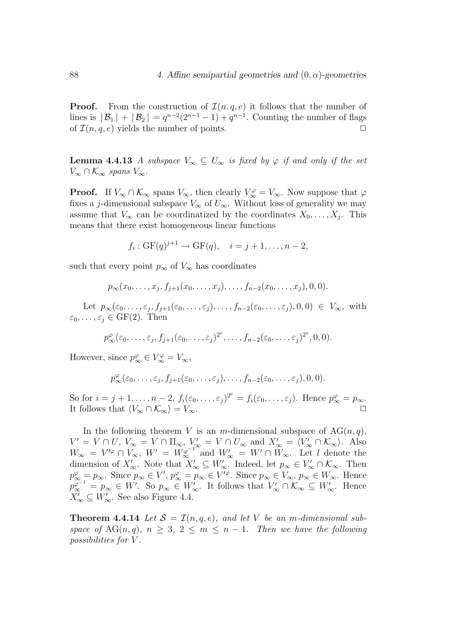**Proof.** From the construction of  $\mathcal{I}(n, a, e)$  it follows that the number of lines is  $|B_1| + |B_2| = q^{n-2}(2^{n-1} - 1) + q^{n-1}$ . Counting the number of flags of  $\mathcal{I}(n, q, e)$  yields the number of points.

**Lemma 4.4.13** A subspace  $V_{\infty} \subseteq U_{\infty}$  is fixed by  $\varphi$  if and only if the set  $V_{\infty} \cap \mathcal{K}_{\infty}$  spans  $V_{\infty}$ .

**Proof.** If  $V_{\infty} \cap \mathcal{K}_{\infty}$  spans  $V_{\infty}$ , then clearly  $V_{\infty}^{\varphi} = V_{\infty}$ . Now suppose that  $\varphi$ fixes a j-dimensional subspace  $V_{\infty}$  of  $U_{\infty}$ . Without loss of generality we may assume that  $V_{\infty}$  can be coordinatized by the coordinates  $X_0, \ldots, X_j$ . This means that there exist homogeneous linear functions

$$
f_i: GF(q)^{j+1} \to GF(q), \quad i = j+1, \dots, n-2,
$$

such that every point  $p_{\infty}$  of  $V_{\infty}$  has coordinates

$$
p_{\infty}(x_0,\ldots,x_j,f_{j+1}(x_0,\ldots,x_j),\ldots,f_{n-2}(x_0,\ldots,x_j),0,0).
$$

Let  $p_{\infty}(\varepsilon_0,\ldots,\varepsilon_j,f_{j+1}(\varepsilon_0,\ldots,\varepsilon_j),\ldots,f_{n-2}(\varepsilon_0,\ldots,\varepsilon_j),0,0) \in V_{\infty}$ , with  $\varepsilon_0, \ldots, \varepsilon_j \in \text{GF}(2)$ . Then

$$
p_{\infty}^{\varphi}(\varepsilon_0,\ldots,\varepsilon_j,f_{j+1}(\varepsilon_0,\ldots,\varepsilon_j)^{2^e},\ldots,f_{n-2}(\varepsilon_0,\ldots,\varepsilon_j)^{2^e},0,0).
$$

However, since  $p_{\infty}^{\varphi} \in V_{\infty}^{\varphi} = V_{\infty}$ ,

$$
p_{\infty}^{\varphi}(\varepsilon_0,\ldots,\varepsilon_j,f_{j+1}(\varepsilon_0,\ldots,\varepsilon_j),\ldots,f_{n-2}(\varepsilon_0,\ldots,\varepsilon_j),0,0).
$$

So for  $i = j + 1, \ldots, n - 2$ ,  $f_i(\varepsilon_0, \ldots, \varepsilon_j)^{2^e} = f_i(\varepsilon_0, \ldots, \varepsilon_j)$ . Hence  $p_{\infty}^{\varphi} = p_{\infty}$ . It follows that  $\langle V_{\infty} \cap \mathcal{K}_{\infty} \rangle = V_{\infty}$ .

In the following theorem V is an m-dimensional subspace of  $AG(n, q)$ ,  $V' = V \cap U$ ,  $V_{\infty} = V \cap \Pi_{\infty}$ ,  $V'_{\infty} = V \cap U_{\infty}$  and  $X'_{\infty} = \langle V'_{\infty} \cap \mathcal{K}_{\infty} \rangle$ . Also  $W_{\infty} = V^{\prime \varphi} \cap V_{\infty}, W' = W_{\infty}^{\varphi^{-1}}$  and  $W'_{\infty} = W' \cap W_{\infty}$ . Let l denote the dimension of  $X'_{\infty}$ . Note that  $X'_{\infty} \subseteq W'_{\infty}$ . Indeed, let  $p_{\infty} \in V'_{\infty} \cap \mathcal{K}_{\infty}$ . Then  $p^{\varphi}_{\infty} = p_{\infty}$ . Since  $p_{\infty} \in V'$ ,  $p^{\varphi}_{\infty} = p_{\infty} \in V'^{\varphi}$ . Since  $p_{\infty} \in V_{\infty}$ ,  $p_{\infty} \in W_{\infty}$ . Hence  $p_{\infty}^{\varphi^{-1}} = p_{\infty} \in W'$ . So  $p_{\infty} \in W'_{\infty}$ . It follows that  $V'_{\infty} \cap \mathcal{K}_{\infty} \subseteq W'_{\infty}$ . Hence  $X'_{\infty} \subseteq W'_{\infty}$ . See also Figure 4.4.

**Theorem 4.4.14** Let  $S = \mathcal{I}(n, q, e)$ , and let V be an m-dimensional subspace of AG(n, q),  $n \geq 3$ ,  $2 \leq m \leq n-1$ . Then we have the following possibilities for V .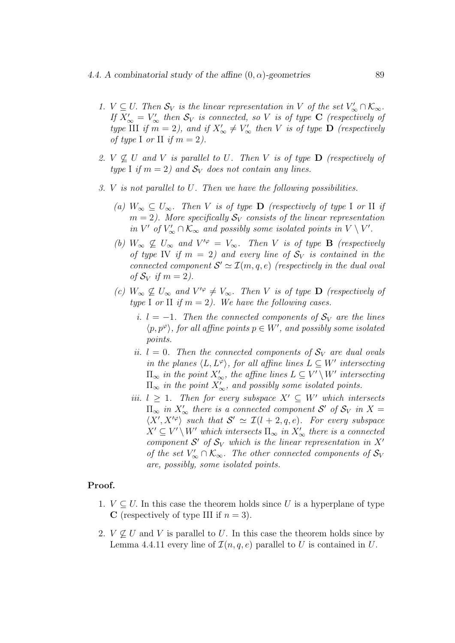- 1.  $V \subseteq U$ . Then  $S_V$  is the linear representation in V of the set  $V'_{\infty} \cap \mathcal{K}_{\infty}$ . If  $X'_{\infty} = V'_{\infty}$  then  $S_V$  is connected, so V is of type **C** (respectively of type III if  $m = 2$ ), and if  $X'_{\infty} \neq V'_{\infty}$  then V is of type **D** (respectively of type I or II if  $m = 2$ ).
- 2.  $V \nsubseteq U$  and V is parallel to U. Then V is of type **D** (respectively of type I if  $m = 2$ ) and  $S_V$  does not contain any lines.
- 3. V is not parallel to U. Then we have the following possibilities.
	- (a)  $W_{\infty} \subseteq U_{\infty}$ . Then V is of type **D** (respectively of type I or II if  $m = 2$ ). More specifically  $S_V$  consists of the linear representation in  $V'$  of  $V'_{\infty} \cap \mathcal{K}_{\infty}$  and possibly some isolated points in  $V \setminus V'$ .
	- (b)  $W_{\infty} \nsubseteq U_{\infty}$  and  $V'^{\varphi} = V_{\infty}$ . Then V is of type **B** (respectively of type IV if  $m = 2$ ) and every line of  $S_V$  is contained in the connected component  $S' \simeq \mathcal{I}(m, q, e)$  (respectively in the dual oval of  $S_V$  if  $m = 2$ ).
	- (c)  $W_{\infty} \nsubseteq U_{\infty}$  and  $V'^{\varphi} \neq V_{\infty}$ . Then V is of type **D** (respectively of type I or II if  $m = 2$ ). We have the following cases.
		- i.  $l = -1$ . Then the connected components of  $S_V$  are the lines  $\langle p, p^{\varphi} \rangle$ , for all affine points  $p \in W'$ , and possibly some isolated points.
		- ii.  $l = 0$ . Then the connected components of  $S_V$  are dual ovals in the planes  $\langle L, L^{\varphi} \rangle$ , for all affine lines  $L \subseteq W'$  intersecting  $\Pi_{\infty}$  in the point  $X'_{\infty}$ , the affine lines  $L \subseteq V' \setminus W'$  intersecting  $\Pi_{\infty}$  in the point  $X'_{\infty}$ , and possibly some isolated points.
		- iii.  $l \geq 1$ . Then for every subspace  $X' \subseteq W'$  which intersects  $\Pi_{\infty}$  in  $X'_{\infty}$  there is a connected component S' of  $S_V$  in  $X =$  $\langle X', X'^{\varphi} \rangle$  such that  $S' \simeq \mathcal{I}(l + 2, q, e)$ . For every subspace  $X' \subseteq V' \setminus W'$  which intersects  $\Pi_{\infty}$  in  $X'_{\infty}$  there is a connected component  $S'$  of  $S_V$  which is the linear representation in  $X'$ of the set  $V'_{\infty} \cap \mathcal{K}_{\infty}$ . The other connected components of  $\mathcal{S}_V$ are, possibly, some isolated points.

#### Proof.

- 1.  $V \subseteq U$ . In this case the theorem holds since U is a hyperplane of type C (respectively of type III if  $n = 3$ ).
- 2.  $V \not\subseteq U$  and V is parallel to U. In this case the theorem holds since by Lemma 4.4.11 every line of  $\mathcal{I}(n, q, e)$  parallel to U is contained in U.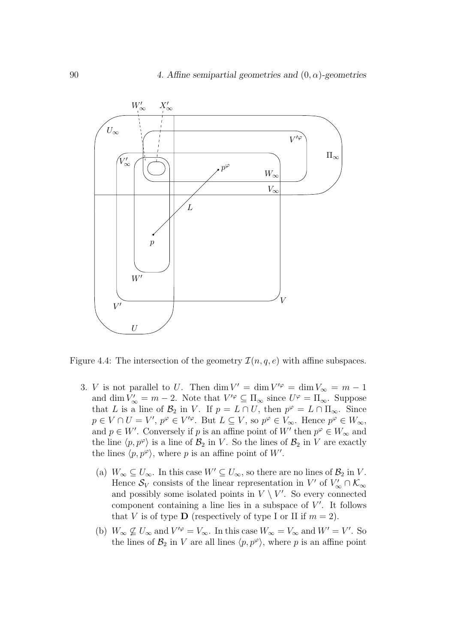

Figure 4.4: The intersection of the geometry  $\mathcal{I}(n, q, e)$  with affine subspaces.

- 3. *V* is not parallel to *U*. Then  $\dim V' = \dim V'^{\varphi} = \dim V_{\infty} = m 1$ and dim  $V'_{\infty} = m - 2$ . Note that  $V'^{\varphi} \subseteq \Pi_{\infty}$  since  $U^{\varphi} = \Pi_{\infty}$ . Suppose that L is a line of  $\mathcal{B}_2$  in V. If  $p = L \cap U$ , then  $p^{\varphi} = L \cap \Pi_{\infty}$ . Since  $p \in V \cap U = V'$ ,  $p^{\varphi} \in V'^{\varphi}$ . But  $L \subseteq V$ , so  $p^{\varphi} \in V_{\infty}$ . Hence  $p^{\varphi} \in W_{\infty}$ , and  $p \in W'$ . Conversely if p is an affine point of W' then  $p^{\varphi} \in W_{\infty}$  and the line  $\langle p, p^{\varphi} \rangle$  is a line of  $\mathcal{B}_2$  in V. So the lines of  $\mathcal{B}_2$  in V are exactly the lines  $\langle p, p^{\varphi} \rangle$ , where p is an affine point of W'.
	- (a)  $W_{\infty} \subseteq U_{\infty}$ . In this case  $W' \subseteq U_{\infty}$ , so there are no lines of  $\mathcal{B}_2$  in V. Hence  $\mathcal{S}_V$  consists of the linear representation in  $V'$  of  $V'_{\infty} \cap \mathcal{K}_{\infty}$ and possibly some isolated points in  $V \setminus V'$ . So every connected component containing a line lies in a subspace of  $V'$ . It follows that V is of type **D** (respectively of type I or II if  $m = 2$ ).
	- (b)  $W_{\infty} \nsubseteq U_{\infty}$  and  $V'^{\varphi} = V_{\infty}$ . In this case  $W_{\infty} = V_{\infty}$  and  $W' = V'$ . So the lines of  $\mathcal{B}_2$  in V are all lines  $\langle p, p^\varphi \rangle$ , where p is an affine point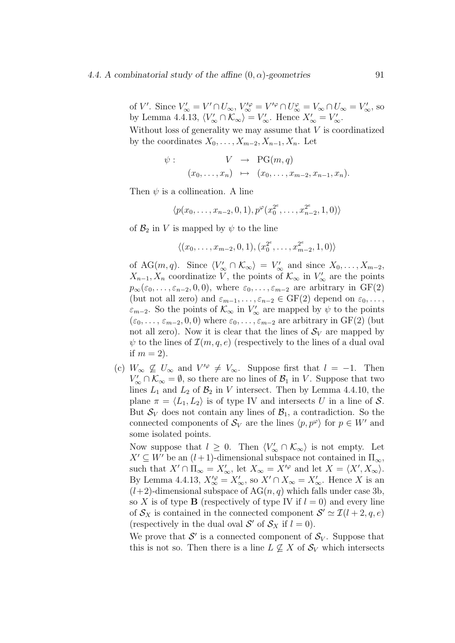#### 4.4. A combinatorial study of the affine  $(0, \alpha)$ -geometries 91

of V'. Since  $V'_{\infty} = V' \cap U_{\infty}$ ,  $V'^{\varphi}_{\infty} = V'^{\varphi} \cap U^{\varphi}_{\infty} = V_{\infty} \cap U_{\infty} = V'_{\infty}$ , so by Lemma 4.4.13,  $\langle V'_{\infty} \cap \mathcal{K}_{\infty} \rangle = V'_{\infty}$ . Hence  $X'_{\infty} = V'_{\infty}$ .

Without loss of generality we may assume that  $V$  is coordinatized by the coordinates  $X_0, \ldots, X_{m-2}, X_{n-1}, X_n$ . Let

$$
\psi: \qquad V \rightarrow \text{PG}(m, q)
$$

$$
(x_0, \ldots, x_n) \mapsto (x_0, \ldots, x_{m-2}, x_{n-1}, x_n).
$$

Then  $\psi$  is a collineation. A line

$$
\langle p(x_0,\ldots,x_{n-2},0,1), p^{\varphi}(x_0^{2^e},\ldots,x_{n-2}^{2^e},1,0) \rangle
$$

of  $\mathcal{B}_2$  in V is mapped by  $\psi$  to the line

$$
\langle (x_0,\ldots,x_{m-2},0,1),(x_0^{2^e},\ldots,x_{m-2}^{2^e},1,0)\rangle
$$

of AG $(m, q)$ . Since  $\langle V'_{\infty} \cap \mathcal{K}_{\infty} \rangle = V'_{\infty}$  and since  $X_0, \ldots, X_{m-2}$ ,  $X_{n-1}, X_n$  coordinatize V, the points of  $\mathcal{K}_{\infty}$  in  $V'_{\infty}$  are the points  $p_{\infty}(\varepsilon_0,\ldots,\varepsilon_{n-2},0,0)$ , where  $\varepsilon_0,\ldots,\varepsilon_{m-2}$  are arbitrary in GF(2) (but not all zero) and  $\varepsilon_{m-1}, \ldots, \varepsilon_{n-2} \in \mathrm{GF}(2)$  depend on  $\varepsilon_0, \ldots,$  $\varepsilon$ <sub>m−2</sub>. So the points of  $\mathcal{K}_{\infty}$  in  $V'_{\infty}$  are mapped by  $\psi$  to the points  $(\varepsilon_0, \ldots, \varepsilon_{m-2}, 0, 0)$  where  $\varepsilon_0, \ldots, \varepsilon_{m-2}$  are arbitrary in GF(2) (but not all zero). Now it is clear that the lines of  $S_V$  are mapped by  $\psi$  to the lines of  $\mathcal{I}(m, q, e)$  (respectively to the lines of a dual oval if  $m = 2$ ).

(c)  $W_{\infty} \not\subseteq U_{\infty}$  and  $V'^{\varphi} \neq V_{\infty}$ . Suppose first that  $l = -1$ . Then  $V'_{\infty} \cap \mathcal{K}_{\infty} = \emptyset$ , so there are no lines of  $\mathcal{B}_1$  in V. Suppose that two lines  $L_1$  and  $L_2$  of  $\mathcal{B}_2$  in V intersect. Then by Lemma 4.4.10, the plane  $\pi = \langle L_1, L_2 \rangle$  is of type IV and intersects U in a line of S. But  $\mathcal{S}_V$  does not contain any lines of  $\mathcal{B}_1$ , a contradiction. So the connected components of  $S_V$  are the lines  $\langle p, p^{\varphi} \rangle$  for  $p \in W'$  and some isolated points.

Now suppose that  $l \geq 0$ . Then  $\langle V'_{\infty} \cap \mathcal{K}_{\infty} \rangle$  is not empty. Let  $X' \subseteq W'$  be an  $(l + 1)$ -dimensional subspace not contained in  $\Pi_{\infty}$ , such that  $X' \cap \Pi_{\infty} = X'_{\infty}$ , let  $X_{\infty} = X'^{\varphi}$  and let  $X = \langle X', X_{\infty} \rangle$ . By Lemma 4.4.13,  $X_{\infty}^{\prime\varphi} = X_{\infty}^{\prime}$ , so  $X^{\prime} \cap X_{\infty} = X_{\infty}^{\prime}$ . Hence X is an  $(l+2)$ -dimensional subspace of  $AG(n, q)$  which falls under case 3b, so X is of type **B** (respectively of type IV if  $l = 0$ ) and every line of  $S_X$  is contained in the connected component  $S' \simeq \mathcal{I}(l + 2, q, e)$ (respectively in the dual oval  $S'$  of  $S_X$  if  $l = 0$ ).

We prove that  $\mathcal{S}'$  is a connected component of  $\mathcal{S}_V$ . Suppose that this is not so. Then there is a line  $L \not\subseteq X$  of  $S_V$  which intersects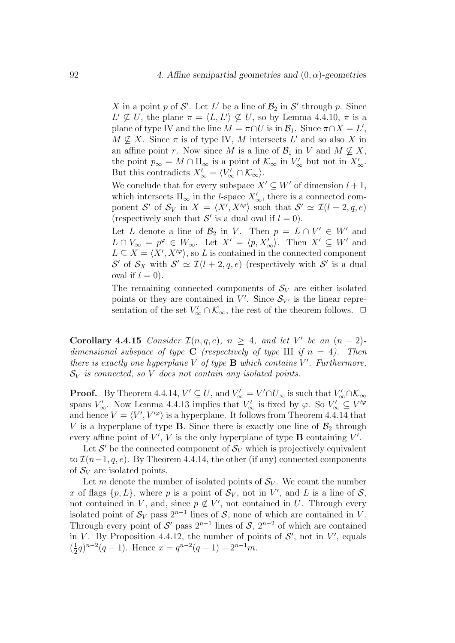X in a point p of  $\mathcal{S}'$ . Let L' be a line of  $\mathcal{B}_2$  in  $\mathcal{S}'$  through p. Since  $L' \nsubseteq U$ , the plane  $\pi = \langle L, L' \rangle \nsubseteq U$ , so by Lemma 4.4.10,  $\pi$  is a plane of type IV and the line  $M = \pi \cap U$  is in  $\mathcal{B}_1$ . Since  $\pi \cap X = L'$ ,  $M \nsubseteq X$ . Since  $\pi$  is of type IV, M intersects L' and so also X in an affine point r. Now since M is a line of  $\mathcal{B}_1$  in V and  $M \nsubseteq X$ , the point  $p_{\infty} = M \cap \Pi_{\infty}$  is a point of  $\mathcal{K}_{\infty}$  in  $V'_{\infty}$  but not in  $X'_{\infty}$ . But this contradicts  $X'_{\infty} = \langle V'_{\infty} \cap \mathcal{K}_{\infty} \rangle$ .

We conclude that for every subspace  $X' \subseteq W'$  of dimension  $l + 1$ , which intersects  $\Pi_{\infty}$  in the *l*-space  $X'_{\infty}$ , there is a connected component S' of  $S_V$  in  $X = \langle X', X'^\varphi \rangle$  such that  $S' \simeq \mathcal{I}(l + 2, q, e)$ (respectively such that  $S'$  is a dual oval if  $l = 0$ ).

Let L denote a line of  $\mathcal{B}_2$  in V. Then  $p = L \cap V' \in W'$  and  $L \cap V_{\infty} = p^{\varphi} \in W_{\infty}$ . Let  $X' = \langle p, X'_{\infty} \rangle$ . Then  $X' \subseteq W'$  and  $L \subseteq X = \langle X', X'^{\varphi} \rangle$ , so L is contained in the connected component S' of  $S_X$  with  $S' \simeq \mathcal{I}(l + 2, q, e)$  (respectively with S' is a dual oval if  $l = 0$ ).

The remaining connected components of  $S_V$  are either isolated points or they are contained in  $V'$ . Since  $S_{V'}$  is the linear representation of the set  $V'_{\infty} \cap \mathcal{K}_{\infty}$ , the rest of the theorem follows.  $\Box$ 

Corollary 4.4.15 Consider  $\mathcal{I}(n,q,e)$ ,  $n \geq 4$ , and let V' be an  $(n-2)$ dimensional subspace of type **C** (respectively of type III if  $n = 4$ ). Then there is exactly one hyperplane  $V$  of type  $B$  which contains  $V'$ . Furthermore,  $\mathcal{S}_V$  is connected, so V does not contain any isolated points.

**Proof.** By Theorem 4.4.14,  $V' \subseteq U$ , and  $V'_{\infty} = V' \cap U_{\infty}$  is such that  $V'_{\infty} \cap \mathcal{K}_{\infty}$ spans  $V'_{\infty}$ . Now Lemma 4.4.13 implies that  $V'_{\infty}$  is fixed by  $\varphi$ . So  $V'_{\infty} \subseteq V'^{\varphi}$ and hence  $V = \langle V', V'^{\varphi} \rangle$  is a hyperplane. It follows from Theorem 4.4.14 that V is a hyperplane of type **B**. Since there is exactly one line of  $\mathcal{B}_2$  through every affine point of  $V'$ , V is the only hyperplane of type **B** containing  $V'$ .

Let  $\mathcal{S}'$  be the connected component of  $\mathcal{S}_V$  which is projectively equivalent to  $\mathcal{I}(n-1, q, e)$ . By Theorem 4.4.14, the other (if any) connected components of  $S_V$  are isolated points.

Let m denote the number of isolated points of  $S_V$ . We count the number x of flags  $\{p, L\}$ , where p is a point of  $S_V$ , not in V', and L is a line of S, not contained in V, and, since  $p \notin V'$ , not contained in U. Through every isolated point of  $\mathcal{S}_V$  pass  $2^{n-1}$  lines of  $\mathcal{S}$ , none of which are contained in V. Through every point of  $\mathcal{S}'$  pass  $2^{n-1}$  lines of  $\mathcal{S}, 2^{n-2}$  of which are contained in V. By Proposition 4.4.12, the number of points of  $S'$ , not in V', equals  $(\frac{1}{2}q)^{n-2}(q-1)$ . Hence  $x = q^{n-2}(q-1) + 2^{n-1}m$ .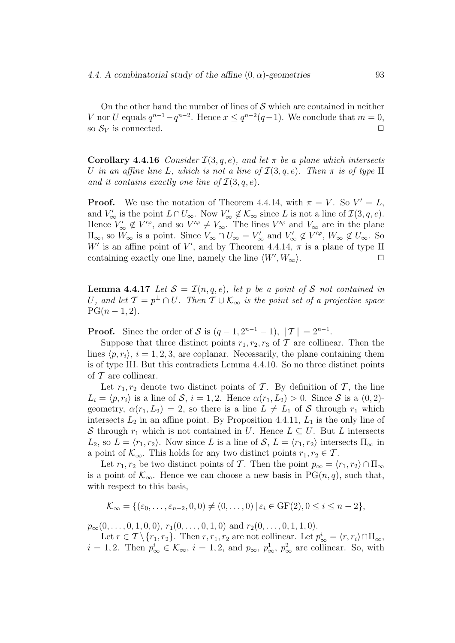On the other hand the number of lines of  $S$  which are contained in neither V nor U equals  $q^{n-1} - q^{n-2}$ . Hence  $x \leq q^{n-2}(q-1)$ . We conclude that  $m = 0$ , so  $\mathcal{S}_V$  is connected.  $\Box$ 

**Corollary 4.4.16** Consider  $\mathcal{I}(3, q, e)$ , and let  $\pi$  be a plane which intersects U in an affine line L, which is not a line of  $\mathcal{I}(3, q, e)$ . Then  $\pi$  is of type II and it contains exactly one line of  $\mathcal{I}(3, q, e)$ .

**Proof.** We use the notation of Theorem 4.4.14, with  $\pi = V$ . So  $V' = L$ , and  $V'_{\infty}$  is the point  $L \cap U_{\infty}$ . Now  $V'_{\infty} \notin \mathcal{K}_{\infty}$  since L is not a line of  $\mathcal{I}(3, q, e)$ . Hence  $V'_{\infty} \notin V'^{\varphi}$ , and so  $V'^{\varphi} \neq V_{\infty}$ . The lines  $V'^{\varphi}$  and  $V_{\infty}$  are in the plane  $\Pi_{\infty}$ , so  $W_{\infty}$  is a point. Since  $V_{\infty} \cap U_{\infty} = V_{\infty}'$  and  $V_{\infty}' \notin V'^{\varphi}$ ,  $W_{\infty} \notin U_{\infty}$ . So W' is an affine point of V', and by Theorem 4.4.14,  $\pi$  is a plane of type II containing exactly one line, namely the line  $\langle W', W_{\infty} \rangle$ .

**Lemma 4.4.17** Let  $S = \mathcal{I}(n,q,e)$ , let p be a point of S not contained in U, and let  $\mathcal{T} = p^{\perp} \cap U$ . Then  $\mathcal{T} \cup \mathcal{K}_{\infty}$  is the point set of a projective space  $PG(n-1, 2)$ .

**Proof.** Since the order of S is  $(q-1, 2^{n-1}-1)$ ,  $|\mathcal{T}| = 2^{n-1}$ .

Suppose that three distinct points  $r_1, r_2, r_3$  of  $\mathcal T$  are collinear. Then the lines  $\langle p, r_i \rangle$ ,  $i = 1, 2, 3$ , are coplanar. Necessarily, the plane containing them is of type III. But this contradicts Lemma 4.4.10. So no three distinct points of  $T$  are collinear.

Let  $r_1, r_2$  denote two distinct points of T. By definition of T, the line  $L_i = \langle p, r_i \rangle$  is a line of S,  $i = 1, 2$ . Hence  $\alpha(r_1, L_2) > 0$ . Since S is a  $(0, 2)$ geometry,  $\alpha(r_1, L_2) = 2$ , so there is a line  $L \neq L_1$  of S through  $r_1$  which intersects  $L_2$  in an affine point. By Proposition 4.4.11,  $L_1$  is the only line of S through  $r_1$  which is not contained in U. Hence  $L \subseteq U$ . But L intersects  $L_2$ , so  $L = \langle r_1, r_2 \rangle$ . Now since L is a line of S,  $L = \langle r_1, r_2 \rangle$  intersects  $\Pi_{\infty}$  in a point of  $\mathcal{K}_{\infty}$ . This holds for any two distinct points  $r_1, r_2 \in \mathcal{T}$ .

Let  $r_1, r_2$  be two distinct points of T. Then the point  $p_{\infty} = \langle r_1, r_2 \rangle \cap \Pi_{\infty}$ is a point of  $\mathcal{K}_{\infty}$ . Hence we can choose a new basis in PG $(n, q)$ , such that, with respect to this basis,

$$
\mathcal{K}_{\infty} = \{(\varepsilon_0, \ldots, \varepsilon_{n-2}, 0, 0) \neq (0, \ldots, 0) \mid \varepsilon_i \in \text{GF}(2), 0 \leq i \leq n-2\},\
$$

 $p_{\infty}(0, \ldots, 0, 1, 0, 0), r_1(0, \ldots, 0, 1, 0)$  and  $r_2(0, \ldots, 0, 1, 1, 0).$ 

Let  $r \in \mathcal{T} \setminus \{r_1, r_2\}$ . Then  $r, r_1, r_2$  are not collinear. Let  $p^i_{\infty} = \langle r, r_i \rangle \cap \Pi_{\infty}$ ,  $i = 1, 2$ . Then  $p_{\infty}^i \in \mathcal{K}_{\infty}$ ,  $i = 1, 2$ , and  $p_{\infty}$ ,  $p_{\infty}^1$ ,  $p_{\infty}^2$  are collinear. So, with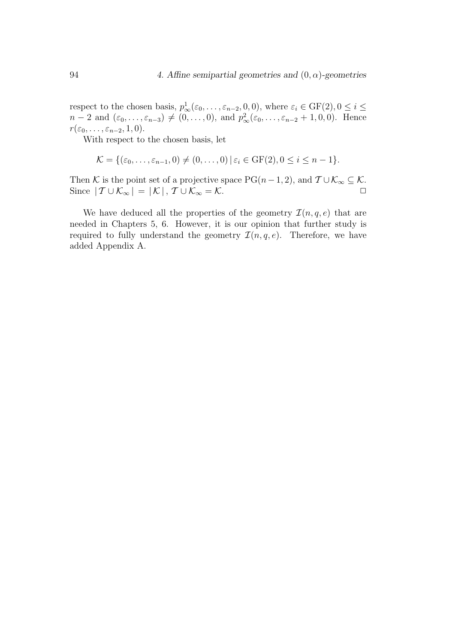respect to the chosen basis,  $p_{\infty}^1(\varepsilon_0,\ldots,\varepsilon_{n-2},0,0)$ , where  $\varepsilon_i \in \text{GF}(2), 0 \le i \le n$  $n-2$  and  $(\varepsilon_0, \ldots, \varepsilon_{n-3}) \neq (0, \ldots, 0)$ , and  $p_\infty^2(\varepsilon_0, \ldots, \varepsilon_{n-2} + 1, 0, 0)$ . Hence  $r(\varepsilon_0,\ldots,\varepsilon_{n-2},1,0).$ 

With respect to the chosen basis, let

$$
\mathcal{K} = \{(\varepsilon_0, \ldots, \varepsilon_{n-1}, 0) \neq (0, \ldots, 0) \mid \varepsilon_i \in \text{GF}(2), 0 \leq i \leq n-1\}.
$$

Then K is the point set of a projective space PG( $n-1, 2$ ), and  $\mathcal{T} \cup \mathcal{K}_{\infty} \subseteq \mathcal{K}$ . Since  $|T \cup \mathcal{K}_{\infty}| = |\mathcal{K}|$ ,  $T \cup \mathcal{K}_{\infty} = \mathcal{K}$ .

We have deduced all the properties of the geometry  $\mathcal{I}(n, q, e)$  that are needed in Chapters 5, 6. However, it is our opinion that further study is required to fully understand the geometry  $\mathcal{I}(n, q, e)$ . Therefore, we have added Appendix A.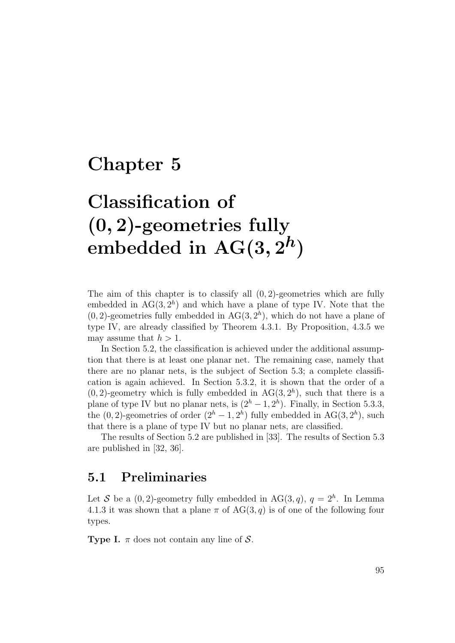## Chapter 5

# Classification of (0, 2)-geometries fully embedded in  $\mathrm{AG}(3,2^h)$

The aim of this chapter is to classify all  $(0, 2)$ -geometries which are fully embedded in  $AG(3, 2<sup>h</sup>)$  and which have a plane of type IV. Note that the  $(0, 2)$ -geometries fully embedded in AG $(3, 2<sup>h</sup>)$ , which do not have a plane of type IV, are already classified by Theorem 4.3.1. By Proposition, 4.3.5 we may assume that  $h > 1$ .

In Section 5.2, the classification is achieved under the additional assumption that there is at least one planar net. The remaining case, namely that there are no planar nets, is the subject of Section 5.3; a complete classification is again achieved. In Section 5.3.2, it is shown that the order of a  $(0, 2)$ -geometry which is fully embedded in AG $(3, 2<sup>h</sup>)$ , such that there is a plane of type IV but no planar nets, is  $(2<sup>h</sup> - 1, 2<sup>h</sup>)$ . Finally, in Section 5.3.3, the  $(0, 2)$ -geometries of order  $(2<sup>h</sup> - 1, 2<sup>h</sup>)$  fully embedded in AG $(3, 2<sup>h</sup>)$ , such that there is a plane of type IV but no planar nets, are classified.

The results of Section 5.2 are published in [33]. The results of Section 5.3 are published in [32, 36].

## 5.1 Preliminaries

Let S be a  $(0, 2)$ -geometry fully embedded in AG $(3, q)$ ,  $q = 2<sup>h</sup>$ . In Lemma 4.1.3 it was shown that a plane  $\pi$  of AG(3, q) is of one of the following four types.

**Type I.**  $\pi$  does not contain any line of S.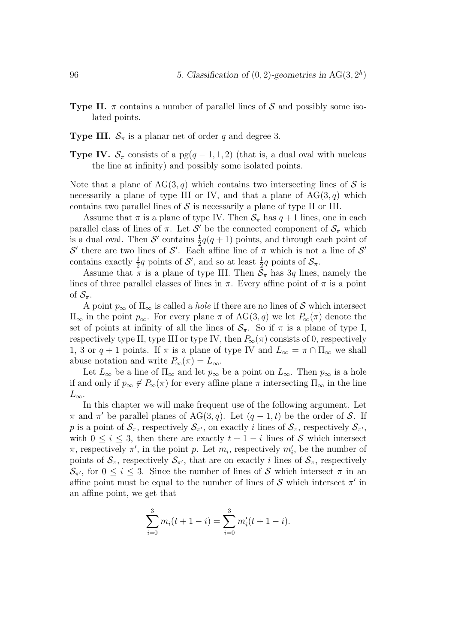- **Type II.**  $\pi$  contains a number of parallel lines of S and possibly some isolated points.
- **Type III.**  $S_{\pi}$  is a planar net of order q and degree 3.
- **Type IV.**  $S_{\pi}$  consists of a pg(q 1, 1, 2) (that is, a dual oval with nucleus the line at infinity) and possibly some isolated points.

Note that a plane of  $AG(3, q)$  which contains two intersecting lines of S is necessarily a plane of type III or IV, and that a plane of  $AG(3, q)$  which contains two parallel lines of  $S$  is necessarily a plane of type II or III.

Assume that  $\pi$  is a plane of type IV. Then  $S_{\pi}$  has  $q+1$  lines, one in each parallel class of lines of  $\pi$ . Let  $\mathcal{S}'$  be the connected component of  $\mathcal{S}_{\pi}$  which is a dual oval. Then  $S'$  contains  $\frac{1}{2}q(q+1)$  points, and through each point of  $\mathcal{S}'$  there are two lines of  $\mathcal{S}'$ . Each affine line of  $\pi$  which is not a line of  $\mathcal{S}'$ contains exactly  $\frac{1}{2}q$  points of  $\mathcal{S}'$ , and so at least  $\frac{1}{2}q$  points of  $\mathcal{S}_{\pi}$ .

Assume that  $\pi$  is a plane of type III. Then  $S_{\pi}$  has 3q lines, namely the lines of three parallel classes of lines in  $\pi$ . Every affine point of  $\pi$  is a point of  $\mathcal{S}_{\pi}$ .

A point  $p_{\infty}$  of  $\Pi_{\infty}$  is called a *hole* if there are no lines of S which intersect  $\Pi_{\infty}$  in the point  $p_{\infty}$ . For every plane  $\pi$  of AG(3, q) we let  $P_{\infty}(\pi)$  denote the set of points at infinity of all the lines of  $S_{\pi}$ . So if  $\pi$  is a plane of type I, respectively type II, type III or type IV, then  $P_{\infty}(\pi)$  consists of 0, respectively 1, 3 or  $q + 1$  points. If  $\pi$  is a plane of type IV and  $L_{\infty} = \pi \cap \Pi_{\infty}$  we shall abuse notation and write  $P_{\infty}(\pi) = L_{\infty}$ .

Let  $L_{\infty}$  be a line of  $\Pi_{\infty}$  and let  $p_{\infty}$  be a point on  $L_{\infty}$ . Then  $p_{\infty}$  is a hole if and only if  $p_{\infty} \notin P_{\infty}(\pi)$  for every affine plane  $\pi$  intersecting  $\Pi_{\infty}$  in the line  $L_{\infty}$ .

In this chapter we will make frequent use of the following argument. Let  $\pi$  and  $\pi'$  be parallel planes of AG(3, q). Let  $(q-1,t)$  be the order of S. If p is a point of  $S_{\pi}$ , respectively  $S_{\pi'}$ , on exactly i lines of  $S_{\pi}$ , respectively  $S_{\pi'}$ , with  $0 \leq i \leq 3$ , then there are exactly  $t + 1 - i$  lines of S which intersect  $\pi$ , respectively  $\pi'$ , in the point p. Let  $m_i$ , respectively  $m'_i$ , be the number of points of  $S_{\pi}$ , respectively  $S_{\pi'}$ , that are on exactly i lines of  $S_{\pi}$ , respectively  $\mathcal{S}_{\pi'}$ , for  $0 \leq i \leq 3$ . Since the number of lines of S which intersect  $\pi$  in an affine point must be equal to the number of lines of  $S$  which intersect  $\pi'$  in an affine point, we get that

$$
\sum_{i=0}^{3} m_i(t+1-i) = \sum_{i=0}^{3} m'_i(t+1-i).
$$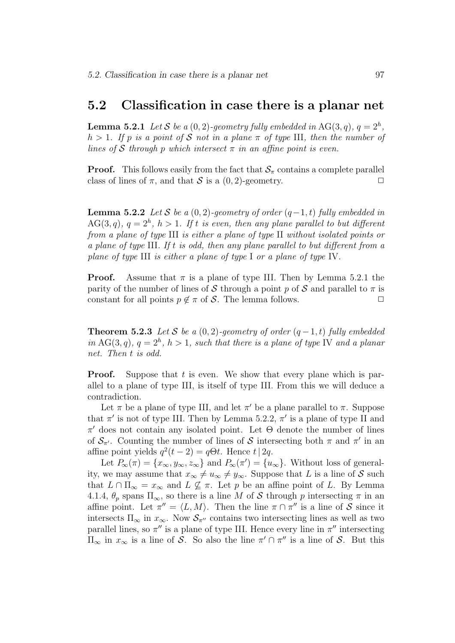## 5.2 Classification in case there is a planar net

**Lemma 5.2.1** Let S be a  $(0, 2)$ -geometry fully embedded in AG $(3, q)$ ,  $q = 2<sup>h</sup>$ , h > 1. If p is a point of S not in a plane  $\pi$  of type III, then the number of lines of S through p which intersect  $\pi$  in an affine point is even.

**Proof.** This follows easily from the fact that  $S_\pi$  contains a complete parallel class of lines of  $\pi$ , and that S is a (0, 2)-geometry.

**Lemma 5.2.2** Let S be a  $(0, 2)$ -geometry of order  $(q-1, t)$  fully embedded in  $AG(3, q), q = 2<sup>h</sup>, h > 1.$  If t is even, then any plane parallel to but different from a plane of type III is either a plane of type II without isolated points or a plane of type III. If t is odd, then any plane parallel to but different from a plane of type III is either a plane of type I or a plane of type IV.

**Proof.** Assume that  $\pi$  is a plane of type III. Then by Lemma 5.2.1 the parity of the number of lines of S through a point p of S and parallel to  $\pi$  is constant for all points  $p \notin \pi$  of S. The lemma follows.  $\Box$ 

**Theorem 5.2.3** Let S be a  $(0, 2)$ -geometry of order  $(q - 1, t)$  fully embedded in AG(3,q),  $q = 2<sup>h</sup>$ ,  $h > 1$ , such that there is a plane of type IV and a planar net. Then t is odd.

**Proof.** Suppose that t is even. We show that every plane which is parallel to a plane of type III, is itself of type III. From this we will deduce a contradiction.

Let  $\pi$  be a plane of type III, and let  $\pi'$  be a plane parallel to  $\pi$ . Suppose that  $\pi'$  is not of type III. Then by Lemma 5.2.2,  $\pi'$  is a plane of type II and  $\pi'$  does not contain any isolated point. Let  $\Theta$  denote the number of lines of  $\mathcal{S}_{\pi'}$ . Counting the number of lines of S intersecting both  $\pi$  and  $\pi'$  in an affine point yields  $q^2(t-2) = q\Theta t$ . Hence  $t|2q$ .

Let  $P_{\infty}(\pi) = \{x_{\infty}, y_{\infty}, z_{\infty}\}\$ and  $P_{\infty}(\pi') = \{u_{\infty}\}\$ . Without loss of generality, we may assume that  $x_{\infty} \neq u_{\infty} \neq y_{\infty}$ . Suppose that L is a line of S such that  $L \cap \Pi_{\infty} = x_{\infty}$  and  $L \nsubseteq \pi$ . Let p be an affine point of L. By Lemma 4.1.4,  $\theta_p$  spans  $\Pi_{\infty}$ , so there is a line M of S through p intersecting  $\pi$  in an affine point. Let  $\pi'' = \langle L, M \rangle$ . Then the line  $\pi \cap \pi''$  is a line of S since it intersects  $\Pi_{\infty}$  in  $x_{\infty}$ . Now  $\mathcal{S}_{\pi''}$  contains two intersecting lines as well as two parallel lines, so  $\pi''$  is a plane of type III. Hence every line in  $\pi''$  intersecting  $\Pi_{\infty}$  in  $x_{\infty}$  is a line of S. So also the line  $\pi' \cap \pi''$  is a line of S. But this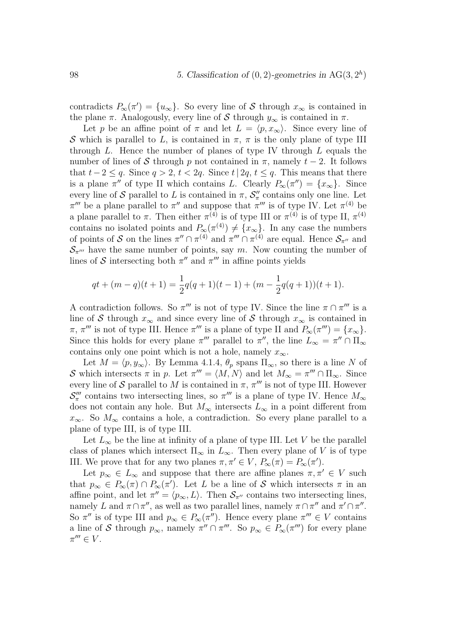contradicts  $P_{\infty}(\pi') = \{u_{\infty}\}\.$  So every line of S through  $x_{\infty}$  is contained in the plane  $\pi$ . Analogously, every line of S through  $y_{\infty}$  is contained in  $\pi$ .

Let p be an affine point of  $\pi$  and let  $L = \langle p, x_{\infty} \rangle$ . Since every line of S which is parallel to L, is contained in  $\pi$ ,  $\pi$  is the only plane of type III through  $L$ . Hence the number of planes of type IV through  $L$  equals the number of lines of S through p not contained in  $\pi$ , namely  $t-2$ . It follows that  $t-2 \leq q$ . Since  $q > 2$ ,  $t < 2q$ . Since  $t \mid 2q$ ,  $t \leq q$ . This means that there is a plane  $\pi''$  of type II which contains L. Clearly  $P_{\infty}(\pi'') = \{x_{\infty}\}\.$  Since every line of  $S$  parallel to  $L$  is contained in  $\pi$ ,  $S''_{\pi}$  contains only one line. Let  $\pi'''$  be a plane parallel to  $\pi''$  and suppose that  $\pi'''$  is of type IV. Let  $\pi^{(4)}$  be a plane parallel to  $\pi$ . Then either  $\pi^{(4)}$  is of type III or  $\pi^{(4)}$  is of type II,  $\pi^{(4)}$ contains no isolated points and  $P_{\infty}(\pi^{(4)}) \neq \{x_{\infty}\}.$  In any case the numbers of points of S on the lines  $\pi'' \cap \pi^{(4)}$  and  $\pi''' \cap \pi^{(4)}$  are equal. Hence  $S_{\pi''}$  and  $\mathcal{S}_{\pi^{\prime\prime\prime}}$  have the same number of points, say m. Now counting the number of lines of S intersecting both  $\pi''$  and  $\pi'''$  in affine points yields

$$
qt + (m - q)(t + 1) = \frac{1}{2}q(q + 1)(t - 1) + (m - \frac{1}{2}q(q + 1))(t + 1).
$$

A contradiction follows. So  $\pi'''$  is not of type IV. Since the line  $\pi \cap \pi'''$  is a line of S through  $x_{\infty}$  and since every line of S through  $x_{\infty}$  is contained in  $\pi$ ,  $\pi'''$  is not of type III. Hence  $\pi'''$  is a plane of type II and  $P_{\infty}(\pi''') = \{x_{\infty}\}.$ Since this holds for every plane  $\pi'''$  parallel to  $\pi''$ , the line  $L_{\infty} = \pi'' \cap \Pi_{\infty}$ contains only one point which is not a hole, namely  $x_{\infty}$ .

Let  $M = \langle p, y_\infty \rangle$ . By Lemma 4.1.4,  $\theta_p$  spans  $\Pi_\infty$ , so there is a line N of S which intersects  $\pi$  in p. Let  $\pi''' = \langle M, N \rangle$  and let  $M_{\infty} = \pi''' \cap \Pi_{\infty}$ . Since every line of S parallel to M is contained in  $\pi$ ,  $\pi'''$  is not of type III. However  $\mathcal{S}'''_{\pi}$  contains two intersecting lines, so  $\pi'''$  is a plane of type IV. Hence  $M_{\infty}$ does not contain any hole. But  $M_{\infty}$  intersects  $L_{\infty}$  in a point different from  $x_{\infty}$ . So  $M_{\infty}$  contains a hole, a contradiction. So every plane parallel to a plane of type III, is of type III.

Let  $L_{\infty}$  be the line at infinity of a plane of type III. Let V be the parallel class of planes which intersect  $\Pi_{\infty}$  in  $L_{\infty}$ . Then every plane of V is of type III. We prove that for any two planes  $\pi, \pi' \in V$ ,  $P_{\infty}(\pi) = P_{\infty}(\pi')$ .

Let  $p_{\infty} \in L_{\infty}$  and suppose that there are affine planes  $\pi, \pi' \in V$  such that  $p_{\infty} \in P_{\infty}(\pi) \cap P_{\infty}(\pi')$ . Let L be a line of S which intersects  $\pi$  in an affine point, and let  $\pi'' = \langle p_{\infty}, L \rangle$ . Then  $\mathcal{S}_{\pi''}$  contains two intersecting lines, namely L and  $\pi \cap \pi''$ , as well as two parallel lines, namely  $\pi \cap \pi''$  and  $\pi' \cap \pi''$ . So  $\pi''$  is of type III and  $p_{\infty} \in P_{\infty}(\pi'')$ . Hence every plane  $\pi''' \in V$  contains a line of S through  $p_{\infty}$ , namely  $\pi'' \cap \pi'''$ . So  $p_{\infty} \in P_{\infty}(\pi''')$  for every plane  $\pi^{\prime\prime\prime}\in V.$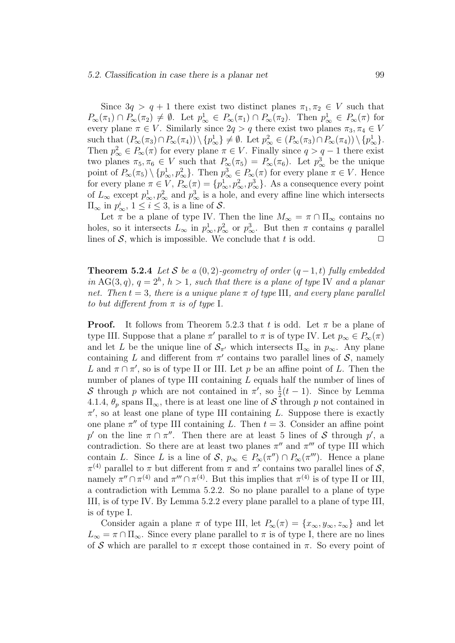#### 5.2. Classification in case there is a planar net 99

Since  $3q > q + 1$  there exist two distinct planes  $\pi_1, \pi_2 \in V$  such that  $P_{\infty}(\pi_1) \cap P_{\infty}(\pi_2) \neq \emptyset$ . Let  $p_{\infty}^1 \in P_{\infty}(\pi_1) \cap P_{\infty}(\pi_2)$ . Then  $p_{\infty}^1 \in P_{\infty}(\pi)$  for every plane  $\pi \in V$ . Similarly since  $2q > q$  there exist two planes  $\pi_3, \pi_4 \in V$ such that  $(P_\infty(\pi_3) \cap P_\infty(\pi_4)) \setminus \{p_\infty^1\} \neq \emptyset$ . Let  $p_\infty^2 \in (P_\infty(\pi_3) \cap P_\infty(\pi_4)) \setminus \{p_\infty^1\}$ . Then  $p_{\infty}^2 \in P_{\infty}(\pi)$  for every plane  $\pi \in V$ . Finally since  $q > q - 1$  there exist two planes  $\pi_5, \pi_6 \in V$  such that  $P_{\infty}(\pi_5) = P_{\infty}(\pi_6)$ . Let  $p_{\infty}^3$  be the unique point of  $P_{\infty}(\pi_5) \setminus \{p_{\infty}^1, p_{\infty}^2\}$ . Then  $p_{\infty}^3 \in P_{\infty}(\pi)$  for every plane  $\pi \in V$ . Hence for every plane  $\pi \in V$ ,  $P_{\infty}(\pi) = \{p_{\infty}^1, p_{\infty}^2, p_{\infty}^3\}$ . As a consequence every point of  $L_{\infty}$  except  $p_{\infty}^1, p_{\infty}^2$  and  $p_{\infty}^3$  is a hole, and every affine line which intersects  $\Pi_{\infty}$  in  $p_{\infty}^i$ ,  $1 \leq i \leq 3$ , is a line of  $S$ .

Let  $\pi$  be a plane of type IV. Then the line  $M_{\infty} = \pi \cap \Pi_{\infty}$  contains no holes, so it intersects  $L_{\infty}$  in  $p_{\infty}^1, p_{\infty}^2$  or  $p_{\infty}^3$ . But then  $\pi$  contains q parallel lines of  $S$ , which is impossible. We conclude that t is odd.  $\square$ 

**Theorem 5.2.4** Let S be a  $(0, 2)$ -geometry of order  $(q-1, t)$  fully embedded in AG(3,q),  $q = 2<sup>h</sup>$ ,  $h > 1$ , such that there is a plane of type IV and a planar net. Then  $t = 3$ , there is a unique plane  $\pi$  of type III, and every plane parallel to but different from  $\pi$  is of type I.

**Proof.** It follows from Theorem 5.2.3 that t is odd. Let  $\pi$  be a plane of type III. Suppose that a plane  $\pi'$  parallel to  $\pi$  is of type IV. Let  $p_{\infty} \in P_{\infty}(\pi)$ and let L be the unique line of  $S_{\pi}$  which intersects  $\Pi_{\infty}$  in  $p_{\infty}$ . Any plane containing L and different from  $\pi'$  contains two parallel lines of S, namely L and  $\pi \cap \pi'$ , so is of type II or III. Let p be an affine point of L. Then the number of planes of type III containing  $L$  equals half the number of lines of S through p which are not contained in  $\pi'$ , so  $\frac{1}{2}(t-1)$ . Since by Lemma 4.1.4,  $\theta_p$  spans  $\Pi_{\infty}$ , there is at least one line of S through p not contained in  $\pi'$ , so at least one plane of type III containing L. Suppose there is exactly one plane  $\pi''$  of type III containing L. Then  $t = 3$ . Consider an affine point p' on the line  $\pi \cap \pi''$ . Then there are at least 5 lines of S through p', a contradiction. So there are at least two planes  $\pi''$  and  $\pi'''$  of type III which contain L. Since L is a line of S,  $p_{\infty} \in P_{\infty}(\pi'') \cap P_{\infty}(\pi''')$ . Hence a plane  $\pi^{(4)}$  parallel to  $\pi$  but different from  $\pi$  and  $\pi'$  contains two parallel lines of  $\mathcal{S}$ , namely  $\pi'' \cap \pi^{(4)}$  and  $\pi''' \cap \pi^{(4)}$ . But this implies that  $\pi^{(4)}$  is of type II or III, a contradiction with Lemma 5.2.2. So no plane parallel to a plane of type III, is of type IV. By Lemma 5.2.2 every plane parallel to a plane of type III, is of type I.

Consider again a plane  $\pi$  of type III, let  $P_{\infty}(\pi) = \{x_{\infty}, y_{\infty}, z_{\infty}\}\$  and let  $L_{\infty} = \pi \cap \Pi_{\infty}$ . Since every plane parallel to  $\pi$  is of type I, there are no lines of S which are parallel to  $\pi$  except those contained in  $\pi$ . So every point of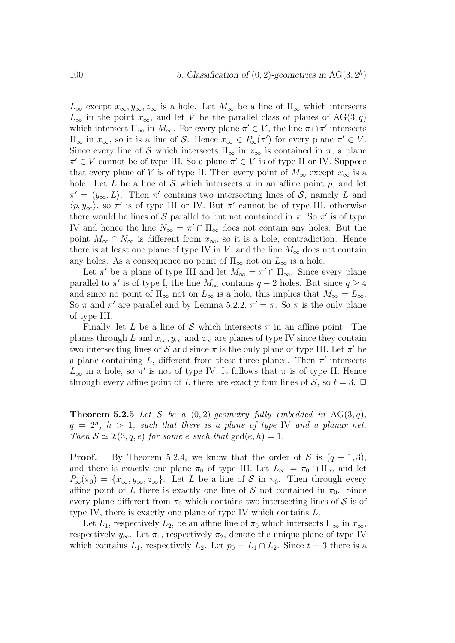$L_{\infty}$  except  $x_{\infty}, y_{\infty}, z_{\infty}$  is a hole. Let  $M_{\infty}$  be a line of  $\Pi_{\infty}$  which intersects  $L_{\infty}$  in the point  $x_{\infty}$ , and let V be the parallel class of planes of AG(3,q) which intersect  $\Pi_{\infty}$  in  $M_{\infty}$ . For every plane  $\pi' \in V$ , the line  $\pi \cap \pi'$  intersects  $\Pi_{\infty}$  in  $x_{\infty}$ , so it is a line of S. Hence  $x_{\infty} \in P_{\infty}(\pi')$  for every plane  $\pi' \in V$ . Since every line of S which intersects  $\Pi_{\infty}$  in  $x_{\infty}$  is contained in  $\pi$ , a plane  $\pi' \in V$  cannot be of type III. So a plane  $\pi' \in V$  is of type II or IV. Suppose that every plane of V is of type II. Then every point of  $M_{\infty}$  except  $x_{\infty}$  is a hole. Let L be a line of S which intersects  $\pi$  in an affine point p, and let  $\pi' = \langle y_\infty, L \rangle$ . Then  $\pi'$  contains two intersecting lines of S, namely L and  $\langle p, y_\infty \rangle$ , so  $\pi'$  is of type III or IV. But  $\pi'$  cannot be of type III, otherwise there would be lines of  $S$  parallel to but not contained in  $\pi$ . So  $\pi'$  is of type IV and hence the line  $N_{\infty} = \pi' \cap \Pi_{\infty}$  does not contain any holes. But the point  $M_{\infty} \cap N_{\infty}$  is different from  $x_{\infty}$ , so it is a hole, contradiction. Hence there is at least one plane of type IV in V, and the line  $M_{\infty}$  does not contain any holes. As a consequence no point of  $\Pi_{\infty}$  not on  $L_{\infty}$  is a hole.

Let  $\pi'$  be a plane of type III and let  $M_{\infty} = \pi' \cap \Pi_{\infty}$ . Since every plane parallel to  $\pi'$  is of type I, the line  $M_{\infty}$  contains  $q-2$  holes. But since  $q \ge 4$ and since no point of  $\Pi_{\infty}$  not on  $L_{\infty}$  is a hole, this implies that  $M_{\infty} = L_{\infty}$ . So  $\pi$  and  $\pi'$  are parallel and by Lemma 5.2.2,  $\pi' = \pi$ . So  $\pi$  is the only plane of type III.

Finally, let L be a line of S which intersects  $\pi$  in an affine point. The planes through L and  $x_{\infty}, y_{\infty}$  and  $z_{\infty}$  are planes of type IV since they contain two intersecting lines of  $S$  and since  $\pi$  is the only plane of type III. Let  $\pi'$  be a plane containing L, different from these three planes. Then  $\pi'$  intersects  $L_{\infty}$  in a hole, so  $\pi'$  is not of type IV. It follows that  $\pi$  is of type II. Hence through every affine point of L there are exactly four lines of S, so  $t = 3$ .  $\Box$ 

**Theorem 5.2.5** Let S be a  $(0, 2)$ -geometry fully embedded in AG(3,q),  $q = 2<sup>h</sup>$ ,  $h > 1$ , such that there is a plane of type IV and a planar net. Then  $S \simeq \mathcal{I}(3, q, e)$  for some e such that  $gcd(e, h) = 1$ .

**Proof.** By Theorem 5.2.4, we know that the order of S is  $(q-1,3)$ , and there is exactly one plane  $\pi_0$  of type III. Let  $L_{\infty} = \pi_0 \cap \Pi_{\infty}$  and let  $P_{\infty}(\pi_0) = \{x_{\infty}, y_{\infty}, z_{\infty}\}.$  Let L be a line of S in  $\pi_0$ . Then through every affine point of L there is exactly one line of S not contained in  $\pi_0$ . Since every plane different from  $\pi_0$  which contains two intersecting lines of S is of type IV, there is exactly one plane of type IV which contains L.

Let  $L_1$ , respectively  $L_2$ , be an affine line of  $\pi_0$  which intersects  $\Pi_{\infty}$  in  $x_{\infty}$ , respectively  $y_{\infty}$ . Let  $\pi_1$ , respectively  $\pi_2$ , denote the unique plane of type IV which contains  $L_1$ , respectively  $L_2$ . Let  $p_0 = L_1 \cap L_2$ . Since  $t = 3$  there is a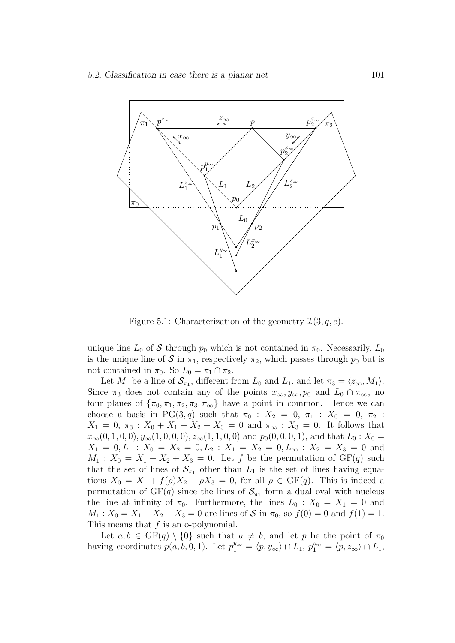

Figure 5.1: Characterization of the geometry  $\mathcal{I}(3, q, e)$ .

unique line  $L_0$  of S through  $p_0$  which is not contained in  $\pi_0$ . Necessarily,  $L_0$ is the unique line of S in  $\pi_1$ , respectively  $\pi_2$ , which passes through  $p_0$  but is not contained in  $\pi_0$ . So  $L_0 = \pi_1 \cap \pi_2$ .

Let  $M_1$  be a line of  $S_{\pi_1}$ , different from  $L_0$  and  $L_1$ , and let  $\pi_3 = \langle z_\infty, M_1 \rangle$ . Since  $\pi_3$  does not contain any of the points  $x_{\infty}, y_{\infty}, p_0$  and  $L_0 \cap \pi_{\infty}$ , no four planes of  $\{\pi_0, \pi_1, \pi_2, \pi_3, \pi_\infty\}$  have a point in common. Hence we can choose a basis in PG(3, q) such that  $\pi_0 : X_2 = 0, \pi_1 : X_0 = 0, \pi_2 :$  $X_1 = 0, \pi_3 : X_0 + X_1 + X_2 + X_3 = 0$  and  $\pi_\infty : X_3 = 0$ . It follows that  $x_{\infty}(0, 1, 0, 0), y_{\infty}(1, 0, 0, 0), z_{\infty}(1, 1, 0, 0)$  and  $p_0(0, 0, 0, 1)$ , and that  $L_0: X_0 =$  $X_1 = 0, L_1 : X_0 = X_2 = 0, L_2 : X_1 = X_2 = 0, L_\infty : X_2 = X_3 = 0$  and  $M_1$ :  $X_0 = X_1 + X_2 + X_3 = 0$ . Let f be the permutation of GF(q) such that the set of lines of  $S_{\pi_1}$  other than  $L_1$  is the set of lines having equations  $X_0 = X_1 + f(\rho)X_2 + \rho X_3 = 0$ , for all  $\rho \in \text{GF}(q)$ . This is indeed a permutation of  $GF(q)$  since the lines of  $S_{\pi_1}$  form a dual oval with nucleus the line at infinity of  $\pi_0$ . Furthermore, the lines  $L_0$ :  $X_0 = X_1 = 0$  and  $M_1: X_0 = X_1 + X_2 + X_3 = 0$  are lines of S in  $\pi_0$ , so  $f(0) = 0$  and  $f(1) = 1$ . This means that  $f$  is an o-polynomial.

Let  $a, b \in \text{GF}(q) \setminus \{0\}$  such that  $a \neq b$ , and let p be the point of  $\pi_0$ having coordinates  $p(a, b, 0, 1)$ . Let  $p_1^{y_\infty} = \langle p, y_\infty \rangle \cap L_1$ ,  $p_1^{z_\infty} = \langle p, z_\infty \rangle \cap L_1$ ,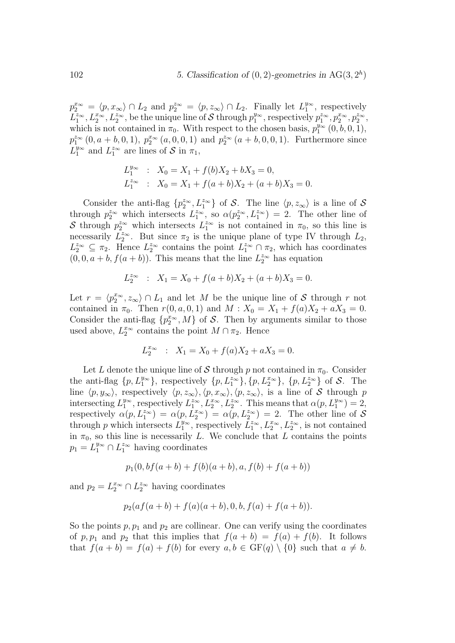$p_2^{x_{\infty}} = \langle p, x_{\infty} \rangle \cap L_2$  and  $p_2^{x_{\infty}} = \langle p, z_{\infty} \rangle \cap L_2$ . Finally let  $L_1^{y_{\infty}}$ , respectively  $L_1^{z_{\infty}}, L_2^{z_{\infty}}, L_2^{z_{\infty}}$ , be the unique line of S through  $p_1^{y_{\infty}}$ , respectively  $p_1^{z_{\infty}}, p_2^{z_{\infty}}, p_2^{z_{\infty}}$ , which is not contained in  $\pi_0$ . With respect to the chosen basis,  $p_1^{y_\infty}(0, b, 0, 1)$ ,  $p_1^{z_{\infty}}(0, a + b, 0, 1), p_2^{x_{\infty}}(a, 0, 0, 1)$  and  $p_2^{z_{\infty}}(a + b, 0, 0, 1)$ . Furthermore since  $L_1^{\bar{y}_{\infty}}$  and  $L_1^{z_{\infty}}$  are lines of S in  $\pi_1$ ,

$$
L_1^{y_\infty} : X_0 = X_1 + f(b)X_2 + bX_3 = 0,
$$
  
\n
$$
L_1^{z_\infty} : X_0 = X_1 + f(a+b)X_2 + (a+b)X_3 = 0.
$$

Consider the anti-flag  $\{p_2^{z_{\infty}}, L_1^{z_{\infty}}\}$  of S. The line  $\langle p, z_{\infty} \rangle$  is a line of S through  $p_2^{z_{\infty}}$  which intersects  $L_1^{z_{\infty}}$ , so  $\alpha(p_2^{z_{\infty}}, L_1^{z_{\infty}}) = 2$ . The other line of S through  $p_2^{z_{\infty}}$  which intersects  $L_1^{z_{\infty}}$  is not contained in  $\pi_0$ , so this line is necessarily  $L_2^{\infty}$ . But since  $\pi_2$  is the unique plane of type IV through  $L_2$ ,  $L_2^{z_{\infty}} \subseteq \pi_2$ . Hence  $L_2^{z_{\infty}}$  contains the point  $L_1^{z_{\infty}} \cap \pi_2$ , which has coordinates  $(0, 0, a + b, f(a + b))$ . This means that the line  $L_2^{z_{\infty}}$  has equation

$$
L_2^{z_{\infty}} : X_1 = X_0 + f(a+b)X_2 + (a+b)X_3 = 0.
$$

Let  $r = \langle p_2^{x_{\infty}}, z_{\infty} \rangle \cap L_1$  and let M be the unique line of S through r not contained in  $\pi_0$ . Then  $r(0, a, 0, 1)$  and  $M : X_0 = X_1 + f(a)X_2 + aX_3 = 0$ . Consider the anti-flag  $\{p_2^{x_\infty}, M\}$  of S. Then by arguments similar to those used above,  $L_2^{x_{\infty}}$  contains the point  $M \cap \pi_2$ . Hence

$$
L_2^{x_{\infty}} \ : \ X_1 = X_0 + f(a)X_2 + aX_3 = 0.
$$

Let L denote the unique line of S through p not contained in  $\pi_0$ . Consider the anti-flag  $\{p, L_1^{y_\infty}\}\$ , respectively  $\{p, L_1^{z_\infty}\}\$ ,  $\{p, L_2^{x_\infty}\}\$  of S. The line  $\langle p, y_{\infty} \rangle$ , respectively  $\langle p, z_{\infty} \rangle, \langle p, x_{\infty} \rangle, \langle p, z_{\infty} \rangle$ , is a line of S through p intersecting  $L_1^{y_\infty}$ , respectively  $L_1^{z_\infty}$ ,  $L_2^{x_\infty}$ ,  $L_2^{z_\infty}$ . This means that  $\alpha(p, L_1^{y_\infty}) = 2$ , respectively  $\alpha(p, L_1^{z_{\infty}}) = \alpha(p, L_2^{z_{\infty}}) = \alpha(p, L_2^{z_{\infty}}) = 2$ . The other line of S through p which intersects  $L_1^{y_\infty}$ , respectively  $\overline{L}_1^{z_\infty}, L_2^{z_\infty}, L_2^{z_\infty}$ , is not contained in  $\pi_0$ , so this line is necessarily L. We conclude that L contains the points  $p_1 = L_1^{y_\infty} \cap L_1^{z_\infty}$  having coordinates

$$
p_1(0, b f(a+b) + f(b)(a+b), a, f(b) + f(a+b))
$$

and  $p_2 = L_2^{x_{\infty}} \cap L_2^{z_{\infty}}$  having coordinates

$$
p_2(af(a+b) + f(a)(a+b), 0, b, f(a) + f(a+b)).
$$

So the points  $p, p_1$  and  $p_2$  are collinear. One can verify using the coordinates of p,  $p_1$  and  $p_2$  that this implies that  $f(a + b) = f(a) + f(b)$ . It follows that  $f(a + b) = f(a) + f(b)$  for every  $a, b \in GF(q) \setminus \{0\}$  such that  $a \neq b$ .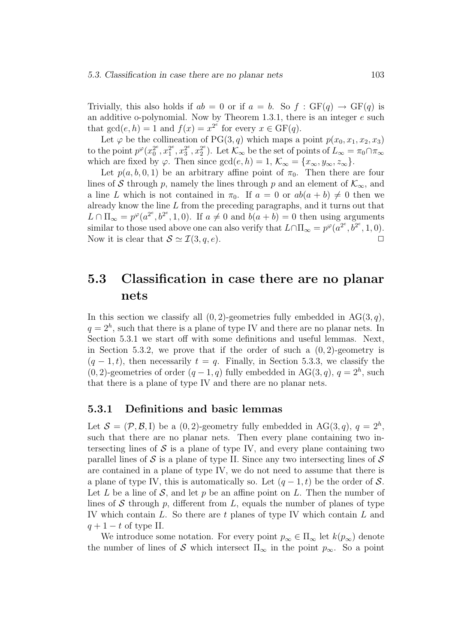Trivially, this also holds if  $ab = 0$  or if  $a = b$ . So  $f : GF(a) \rightarrow GF(a)$  is an additive o-polynomial. Now by Theorem 1.3.1, there is an integer  $e$  such that  $gcd(e, h) = 1$  and  $f(x) = x^{2^e}$  for every  $x \in GF(q)$ .

Let  $\varphi$  be the collineation of PG(3, q) which maps a point  $p(x_0, x_1, x_2, x_3)$ to the point  $p^{\varphi}(x_0^{2^e}, x_1^{2^e}, x_3^{2^e}, x_2^{2^e})$ . Let  $\mathcal{K}_{\infty}$  be the set of points of  $L_{\infty} = \pi_0 \cap \pi_{\infty}$ which are fixed by  $\varphi$ . Then since  $gcd(e, h) = 1$ ,  $\mathcal{K}_{\infty} = \{x_{\infty}, y_{\infty}, z_{\infty}\}.$ 

Let  $p(a, b, 0, 1)$  be an arbitrary affine point of  $\pi_0$ . Then there are four lines of S through p, namely the lines through p and an element of  $\mathcal{K}_{\infty}$ , and a line L which is not contained in  $\pi_0$ . If  $a = 0$  or  $ab(a + b) \neq 0$  then we already know the line  $L$  from the preceding paragraphs, and it turns out that  $L \cap \Pi_{\infty} = p^{\varphi}(a^{2^e}, b^{2^e}, 1, 0)$ . If  $a \neq 0$  and  $b(a + b) = 0$  then using arguments similar to those used above one can also verify that  $L \cap \Pi_{\infty} = p^{\varphi}(a^{2^e}, b^{2^e}, 1, 0)$ . Now it is clear that  $S \simeq \mathcal{I}(3, q, e)$ .

## 5.3 Classification in case there are no planar nets

In this section we classify all  $(0, 2)$ -geometries fully embedded in AG(3, q),  $q=2<sup>h</sup>$ , such that there is a plane of type IV and there are no planar nets. In Section 5.3.1 we start off with some definitions and useful lemmas. Next, in Section 5.3.2, we prove that if the order of such a  $(0, 2)$ -geometry is  $(q-1,t)$ , then necessarily  $t = q$ . Finally, in Section 5.3.3, we classify the  $(0, 2)$ -geometries of order  $(q - 1, q)$  fully embedded in AG $(3, q)$ ,  $q = 2<sup>h</sup>$ , such that there is a plane of type IV and there are no planar nets.

#### 5.3.1 Definitions and basic lemmas

Let  $S = (\mathcal{P}, \mathcal{B}, I)$  be a  $(0, 2)$ -geometry fully embedded in AG $(3, q)$ ,  $q = 2<sup>h</sup>$ , such that there are no planar nets. Then every plane containing two intersecting lines of  $S$  is a plane of type IV, and every plane containing two parallel lines of  $S$  is a plane of type II. Since any two intersecting lines of  $S$ are contained in a plane of type IV, we do not need to assume that there is a plane of type IV, this is automatically so. Let  $(q-1, t)$  be the order of S. Let L be a line of S, and let p be an affine point on L. Then the number of lines of S through p, different from L, equals the number of planes of type IV which contain  $L$ . So there are  $t$  planes of type IV which contain  $L$  and  $q + 1 - t$  of type II.

We introduce some notation. For every point  $p_{\infty} \in \Pi_{\infty}$  let  $k(p_{\infty})$  denote the number of lines of S which intersect  $\Pi_{\infty}$  in the point  $p_{\infty}$ . So a point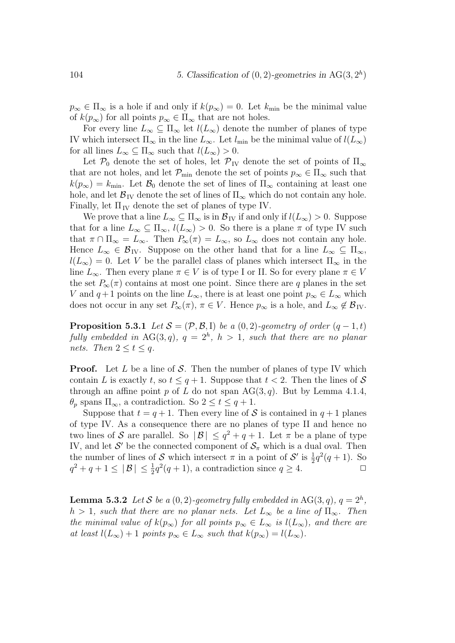$p_{\infty} \in \Pi_{\infty}$  is a hole if and only if  $k(p_{\infty}) = 0$ . Let  $k_{\min}$  be the minimal value of  $k(p_\infty)$  for all points  $p_\infty \in \Pi_\infty$  that are not holes.

For every line  $L_{\infty} \subseteq \Pi_{\infty}$  let  $l(L_{\infty})$  denote the number of planes of type IV which intersect  $\Pi_{\infty}$  in the line  $L_{\infty}$ . Let  $l_{\min}$  be the minimal value of  $l(L_{\infty})$ for all lines  $L_{\infty} \subseteq \Pi_{\infty}$  such that  $l(L_{\infty}) > 0$ .

Let  $\mathcal{P}_0$  denote the set of holes, let  $\mathcal{P}_{IV}$  denote the set of points of  $\Pi_{\infty}$ that are not holes, and let  $\mathcal{P}_{\min}$  denote the set of points  $p_{\infty} \in \Pi_{\infty}$  such that  $k(p_{\infty}) = k_{\text{min}}$ . Let  $\mathcal{B}_0$  denote the set of lines of  $\Pi_{\infty}$  containing at least one hole, and let  $\mathcal{B}_{IV}$  denote the set of lines of  $\Pi_{\infty}$  which do not contain any hole. Finally, let  $\Pi_{IV}$  denote the set of planes of type IV.

We prove that a line  $L_{\infty} \subseteq \Pi_{\infty}$  is in  $\mathcal{B}_{IV}$  if and only if  $l(L_{\infty}) > 0$ . Suppose that for a line  $L_{\infty} \subseteq \Pi_{\infty}$ ,  $l(L_{\infty}) > 0$ . So there is a plane  $\pi$  of type IV such that  $\pi \cap \Pi_{\infty} = L_{\infty}$ . Then  $P_{\infty}(\pi) = L_{\infty}$ , so  $L_{\infty}$  does not contain any hole. Hence  $L_{\infty} \in \mathcal{B}_{IV}$ . Suppose on the other hand that for a line  $L_{\infty} \subseteq \Pi_{\infty}$ ,  $l(L_{\infty}) = 0$ . Let V be the parallel class of planes which intersect  $\Pi_{\infty}$  in the line  $L_{\infty}$ . Then every plane  $\pi \in V$  is of type I or II. So for every plane  $\pi \in V$ the set  $P_{\infty}(\pi)$  contains at most one point. Since there are q planes in the set V and  $q+1$  points on the line  $L_{\infty}$ , there is at least one point  $p_{\infty} \in L_{\infty}$  which does not occur in any set  $P_{\infty}(\pi)$ ,  $\pi \in V$ . Hence  $p_{\infty}$  is a hole, and  $L_{\infty} \notin \mathcal{B}_{IV}$ .

**Proposition 5.3.1** Let  $S = (\mathcal{P}, \mathcal{B}, I)$  be a (0,2)-geometry of order  $(q - 1, t)$ fully embedded in  $AG(3,q)$ ,  $q = 2<sup>h</sup>$ ,  $h > 1$ , such that there are no planar nets. Then  $2 \le t \le q$ .

**Proof.** Let  $L$  be a line of  $S$ . Then the number of planes of type IV which contain L is exactly t, so  $t \leq q+1$ . Suppose that  $t < 2$ . Then the lines of S through an affine point p of L do not span  $AG(3, q)$ . But by Lemma 4.1.4,  $\theta_p$  spans  $\Pi_{\infty}$ , a contradiction. So  $2 \le t \le q+1$ .

Suppose that  $t = q + 1$ . Then every line of S is contained in  $q + 1$  planes of type IV. As a consequence there are no planes of type II and hence no two lines of S are parallel. So  $|\mathcal{B}| \leq q^2 + q + 1$ . Let  $\pi$  be a plane of type IV, and let  $S'$  be the connected component of  $S_{\pi}$  which is a dual oval. Then the number of lines of S which intersect  $\pi$  in a point of S' is  $\frac{1}{2}q^2(q+1)$ . So  $|q^2 + q + 1 \leq |\mathcal{B}| \leq \frac{1}{2}q^2(q+1)$ , a contradiction since  $q \geq 4$ .

**Lemma 5.3.2** Let S be a  $(0, 2)$ -geometry fully embedded in AG $(3, q)$ ,  $q = 2<sup>h</sup>$ ,  $h > 1$ , such that there are no planar nets. Let  $L_{\infty}$  be a line of  $\Pi_{\infty}$ . Then the minimal value of  $k(p_{\infty})$  for all points  $p_{\infty} \in L_{\infty}$  is  $l(L_{\infty})$ , and there are at least  $l(L_{\infty}) + 1$  points  $p_{\infty} \in L_{\infty}$  such that  $k(p_{\infty}) = l(L_{\infty}).$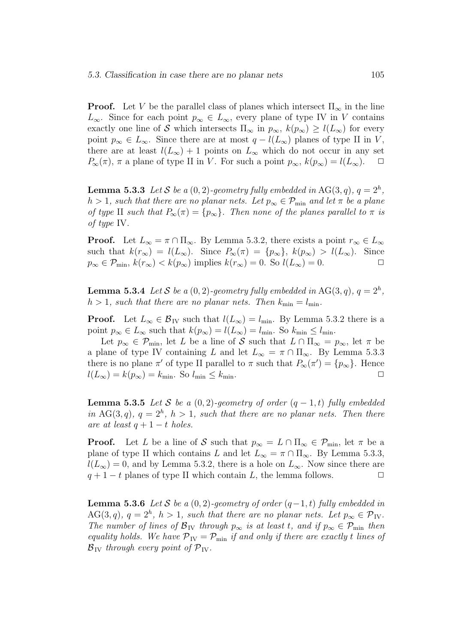**Proof.** Let V be the parallel class of planes which intersect  $\Pi_{\infty}$  in the line  $L_{\infty}$ . Since for each point  $p_{\infty} \in L_{\infty}$ , every plane of type IV in V contains exactly one line of S which intersects  $\Pi_{\infty}$  in  $p_{\infty}$ ,  $k(p_{\infty}) \geq l(L_{\infty})$  for every point  $p_{\infty} \in L_{\infty}$ . Since there are at most  $q - l(L_{\infty})$  planes of type II in V, there are at least  $l(L_{\infty}) + 1$  points on  $L_{\infty}$  which do not occur in any set  $P_{\infty}(\pi)$ ,  $\pi$  a plane of type II in V. For such a point  $p_{\infty}$ ,  $k(p_{\infty}) = l(L_{\infty})$ .  $\Box$ 

**Lemma 5.3.3** Let S be a  $(0, 2)$ -geometry fully embedded in AG $(3, q)$ ,  $q = 2<sup>h</sup>$ ,  $h > 1$ , such that there are no planar nets. Let  $p_{\infty} \in \mathcal{P}_{\min}$  and let  $\pi$  be a plane of type II such that  $P_{\infty}(\pi) = \{p_{\infty}\}\.$  Then none of the planes parallel to  $\pi$  is of type IV.

**Proof.** Let  $L_{\infty} = \pi \cap \Pi_{\infty}$ . By Lemma 5.3.2, there exists a point  $r_{\infty} \in L_{\infty}$ such that  $k(r_{\infty}) = l(L_{\infty})$ . Since  $P_{\infty}(\pi) = \{p_{\infty}\}, k(p_{\infty}) > l(L_{\infty})$ . Since  $p_{\infty} \in \mathcal{P}_{\min}, k(r_{\infty}) < k(p_{\infty})$  implies  $k(r_{\infty}) = 0$ . So  $l(L_{\infty}) = 0$ .

**Lemma 5.3.4** Let S be a  $(0, 2)$ -geometry fully embedded in AG $(3, q)$ ,  $q = 2<sup>h</sup>$ ,  $h > 1$ , such that there are no planar nets. Then  $k_{\min} = l_{\min}$ .

**Proof.** Let  $L_{\infty} \in \mathcal{B}_{IV}$  such that  $l(L_{\infty}) = l_{\min}$ . By Lemma 5.3.2 there is a point  $p_{\infty} \in L_{\infty}$  such that  $k(p_{\infty}) = l(L_{\infty}) = l_{\min}$ . So  $k_{\min} \leq l_{\min}$ .

Let  $p_{\infty} \in \mathcal{P}_{\min}$ , let L be a line of S such that  $L \cap \Pi_{\infty} = p_{\infty}$ , let  $\pi$  be a plane of type IV containing L and let  $L_{\infty} = \pi \cap \Pi_{\infty}$ . By Lemma 5.3.3 there is no plane  $\pi'$  of type II parallel to  $\pi$  such that  $P_{\infty}(\pi') = \{p_{\infty}\}\.$  Hence  $l(L_{\infty}) = k(p_{\infty}) = k_{\min}$ . So  $l_{\min} \leq k_{\min}$ .

**Lemma 5.3.5** Let S be a  $(0, 2)$ -geometry of order  $(q - 1, t)$  fully embedded in AG(3,q),  $q = 2<sup>h</sup>$ ,  $h > 1$ , such that there are no planar nets. Then there are at least  $q + 1 - t$  holes.

**Proof.** Let L be a line of S such that  $p_{\infty} = L \cap \Pi_{\infty} \in \mathcal{P}_{\min}$ , let  $\pi$  be a plane of type II which contains L and let  $L_{\infty} = \pi \cap \Pi_{\infty}$ . By Lemma 5.3.3,  $l(L_{\infty}) = 0$ , and by Lemma 5.3.2, there is a hole on  $L_{\infty}$ . Now since there are  $q + 1 - t$  planes of type II which contain L, the lemma follows.  $\Box$ 

**Lemma 5.3.6** Let S be a  $(0, 2)$ -geometry of order  $(q-1, t)$  fully embedded in  $AG(3, q), q = 2<sup>h</sup>, h > 1$ , such that there are no planar nets. Let  $p_{\infty} \in \mathcal{P}_{IV}$ . The number of lines of  $\mathcal{B}_{IV}$  through  $p_{\infty}$  is at least t, and if  $p_{\infty} \in \mathcal{P}_{min}$  then equality holds. We have  $\mathcal{P}_{IV} = \mathcal{P}_{min}$  if and only if there are exactly t lines of  $\mathcal{B}_{\text{IV}}$  through every point of  $\mathcal{P}_{\text{IV}}$ .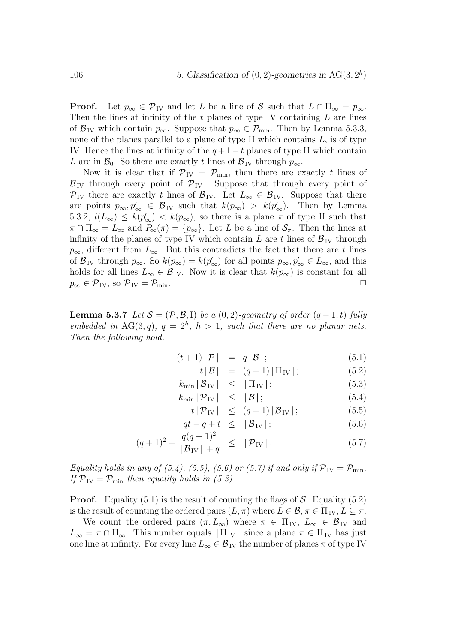**Proof.** Let  $p_{\infty} \in \mathcal{P}_{IV}$  and let L be a line of S such that  $L \cap \Pi_{\infty} = p_{\infty}$ . Then the lines at infinity of the  $t$  planes of type IV containing  $L$  are lines of  $\mathcal{B}_{\text{IV}}$  which contain  $p_{\infty}$ . Suppose that  $p_{\infty} \in \mathcal{P}_{\text{min}}$ . Then by Lemma 5.3.3, none of the planes parallel to a plane of type II which contains  $L$ , is of type IV. Hence the lines at infinity of the  $q + 1 - t$  planes of type II which contain L are in  $\mathcal{B}_0$ . So there are exactly t lines of  $\mathcal{B}_{IV}$  through  $p_{\infty}$ .

Now it is clear that if  $\mathcal{P}_{IV} = \mathcal{P}_{min}$ , then there are exactly t lines of  $B_{\text{IV}}$  through every point of  $\mathcal{P}_{\text{IV}}$ . Suppose that through every point of  $\mathcal{P}_{IV}$  there are exactly t lines of  $\mathcal{B}_{IV}$ . Let  $L_{\infty} \in \mathcal{B}_{IV}$ . Suppose that there are points  $p_{\infty}, p_{\infty}' \in \mathcal{B}_{IV}$  such that  $k(p_{\infty}) > k(p_{\infty}')$ . Then by Lemma 5.3.2,  $l(L_{\infty}) \leq k(p_{\infty}') < k(p_{\infty})$ , so there is a plane  $\pi$  of type II such that  $\pi \cap \Pi_{\infty} = L_{\infty}$  and  $P_{\infty}(\pi) = \{p_{\infty}\}\.$  Let L be a line of  $S_{\pi}$ . Then the lines at infinity of the planes of type IV which contain L are t lines of  $\mathcal{B}_{IV}$  through  $p_{\infty}$ , different from  $L_{\infty}$ . But this contradicts the fact that there are t lines of  $\mathcal{B}_{IV}$  through  $p_{\infty}$ . So  $k(p_{\infty}) = k(p'_{\infty})$  for all points  $p_{\infty}, p'_{\infty} \in L_{\infty}$ , and this holds for all lines  $L_{\infty} \in \mathcal{B}_{IV}$ . Now it is clear that  $k(p_{\infty})$  is constant for all  $p_{\infty} \in \mathcal{P}_{IV}$ , so  $\mathcal{P}_{IV} = \mathcal{P}_{min}$ .

**Lemma 5.3.7** Let  $S = (\mathcal{P}, \mathcal{B}, I)$  be a  $(0, 2)$ -geometry of order  $(q - 1, t)$  fully embedded in AG(3,q),  $q = 2<sup>h</sup>$ ,  $h > 1$ , such that there are no planar nets. Then the following hold.

$$
(t+1)|\mathcal{P}| = q|\mathcal{B}|;
$$
\n(5.1)

$$
t |B| = (q+1) |\Pi_{\text{IV}}|; \tag{5.2}
$$

$$
k_{\min} |B_{\text{IV}}| \leq |\Pi_{\text{IV}}|; \tag{5.3}
$$
  
\n
$$
k_{\min} |P_{\text{IV}}| < |\mathcal{B}|; \tag{5.4}
$$

$$
\min |\mathcal{P}_{\text{IV}}| \leq |\mathcal{B}|; \tag{5.4}
$$

$$
t\,|\,\mathcal{P}_{\rm IV}\,|\quad\leq\quad (q+1)\,|\,\mathcal{B}_{\rm IV}\,|\,;\tag{5.5}
$$

$$
qt - q + t \leq |\mathcal{B}_{IV}|; \tag{5.6}
$$

$$
(q+1)^2 - \frac{q(q+1)^2}{|\mathcal{B}_{IV}|+q} \leq |\mathcal{P}_{IV}|.
$$
 (5.7)

Equality holds in any of (5.4), (5.5), (5.6) or (5.7) if and only if  $\mathcal{P}_{IV} = \mathcal{P}_{min}$ . If  $\mathcal{P}_{IV} = \mathcal{P}_{min}$  then equality holds in (5.3).

**Proof.** Equality  $(5.1)$  is the result of counting the flags of S. Equality  $(5.2)$ is the result of counting the ordered pairs  $(L, \pi)$  where  $L \in \mathcal{B}, \pi \in \Pi_{IV}, L \subseteq \pi$ .

We count the ordered pairs  $(\pi, L_{\infty})$  where  $\pi \in \Pi_{IV}$ ,  $L_{\infty} \in \mathcal{B}_{IV}$  and  $L_{\infty} = \pi \cap \Pi_{\infty}$ . This number equals  $|\Pi_{\text{IV}}|$  since a plane  $\pi \in \Pi_{\text{IV}}$  has just one line at infinity. For every line  $L_{\infty} \in \mathcal{B}_{IV}$  the number of planes  $\pi$  of type IV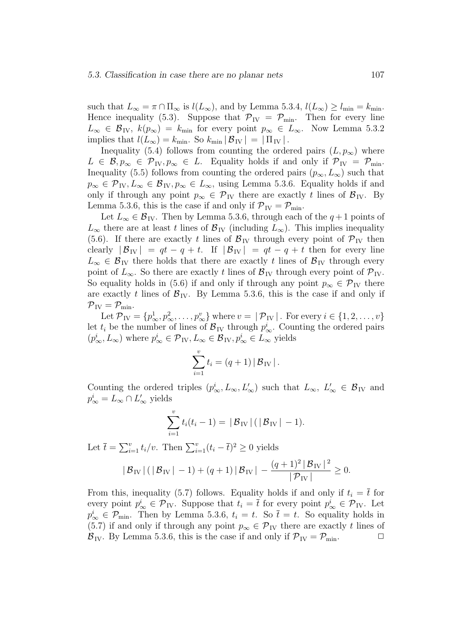such that  $L_{\infty} = \pi \cap \Pi_{\infty}$  is  $l(L_{\infty})$ , and by Lemma 5.3.4,  $l(L_{\infty}) \ge l_{\min} = k_{\min}$ . Hence inequality (5.3). Suppose that  $\mathcal{P}_{IV} = \mathcal{P}_{min}$ . Then for every line  $L_{\infty} \in \mathcal{B}_{\text{IV}}$ ,  $k(p_{\infty}) = k_{\text{min}}$  for every point  $p_{\infty} \in L_{\infty}$ . Now Lemma 5.3.2 implies that  $l(L_{\infty}) = k_{\min}$ . So  $k_{\min} |\mathcal{B}_{IV}| = |\Pi_{IV}|$ .

Inequality (5.4) follows from counting the ordered pairs  $(L, p_{\infty})$  where  $L \in \mathcal{B}, p_{\infty} \in \mathcal{P}_{IV}, p_{\infty} \in L$ . Equality holds if and only if  $\mathcal{P}_{IV} = \mathcal{P}_{min}$ . Inequality (5.5) follows from counting the ordered pairs  $(p_{\infty}, L_{\infty})$  such that  $p_{\infty} \in \mathcal{P}_{IV}, L_{\infty} \in \mathcal{B}_{IV}, p_{\infty} \in L_{\infty}$ , using Lemma 5.3.6. Equality holds if and only if through any point  $p_{\infty} \in \mathcal{P}_{IV}$  there are exactly t lines of  $\mathcal{B}_{IV}$ . By Lemma 5.3.6, this is the case if and only if  $\mathcal{P}_{IV} = \mathcal{P}_{min}$ .

Let  $L_{\infty} \in \mathcal{B}_{IV}$ . Then by Lemma 5.3.6, through each of the  $q+1$  points of  $L_{\infty}$  there are at least t lines of  $\mathcal{B}_{IV}$  (including  $L_{\infty}$ ). This implies inequality (5.6). If there are exactly t lines of  $\mathcal{B}_{IV}$  through every point of  $\mathcal{P}_{IV}$  then clearly  $|\mathcal{B}_{IV}| = qt - q + t$ . If  $|\mathcal{B}_{IV}| = qt - q + t$  then for every line  $L_{\infty} \in \mathcal{B}_{IV}$  there holds that there are exactly t lines of  $\mathcal{B}_{IV}$  through every point of  $L_{\infty}$ . So there are exactly t lines of  $\mathcal{B}_{IV}$  through every point of  $\mathcal{P}_{IV}$ . So equality holds in (5.6) if and only if through any point  $p_{\infty} \in \mathcal{P}_{IV}$  there are exactly t lines of  $\mathcal{B}_{IV}$ . By Lemma 5.3.6, this is the case if and only if  $\mathcal{P}_{\text{IV}} = \mathcal{P}_{\text{min}}$ .

Let  $\mathcal{P}_{IV} = \{p_{\infty}^1, p_{\infty}^2, \dots, p_{\infty}^v\}$  where  $v = |\mathcal{P}_{IV}|$ . For every  $i \in \{1, 2, \dots, v\}$ let  $t_i$  be the number of lines of  $B_{\text{IV}}$  through  $p^i_{\infty}$ . Counting the ordered pairs  $(p_{\infty}^i, L_{\infty})$  where  $p_{\infty}^i \in \mathcal{P}_{\text{IV}}, L_{\infty} \in \mathcal{B}_{\text{IV}}, p_{\infty}^i \in L_{\infty}$  yields

$$
\sum_{i=1}^{v} t_i = (q+1) |B_{\text{IV}}|.
$$

Counting the ordered triples  $(p_{\infty}^i, L_{\infty}, L_{\infty}')$  such that  $L_{\infty}, L_{\infty}' \in \mathcal{B}_{IV}$  and  $p^i_{\infty} = L_{\infty} \cap L'_{\infty}$  yields

$$
\sum_{i=1}^{v} t_i(t_i - 1) = |\mathcal{B}_{IV}| (|\mathcal{B}_{IV}| - 1).
$$

Let  $\bar{t} = \sum_{i=1}^{v} t_i/v$ . Then  $\sum_{i=1}^{v} (t_i - \bar{t})^2 \ge 0$  yields

$$
|\mathcal{B}_{\text{IV}}| (|\mathcal{B}_{\text{IV}}| - 1) + (q + 1)|\mathcal{B}_{\text{IV}}| - \frac{(q + 1)^2 |\mathcal{B}_{\text{IV}}|^2}{|\mathcal{P}_{\text{IV}}|} \ge 0.
$$

From this, inequality (5.7) follows. Equality holds if and only if  $t_i = \overline{t}$  for every point  $p^i_{\infty} \in \mathcal{P}_{IV}$ . Suppose that  $t_i = \overline{t}$  for every point  $p^i_{\infty} \in \mathcal{P}_{IV}$ . Let  $p_{\infty}^{i} \in \mathcal{P}_{\min}$ . Then by Lemma 5.3.6,  $t_i = t$ . So  $\bar{t} = t$ . So equality holds in (5.7) if and only if through any point  $p_{\infty} \in \mathcal{P}_{IV}$  there are exactly t lines of  $\mathcal{B}_{IV}$ . By Lemma 5.3.6, this is the case if and only if  $\mathcal{P}_{IV} = \mathcal{P}_{min}$ .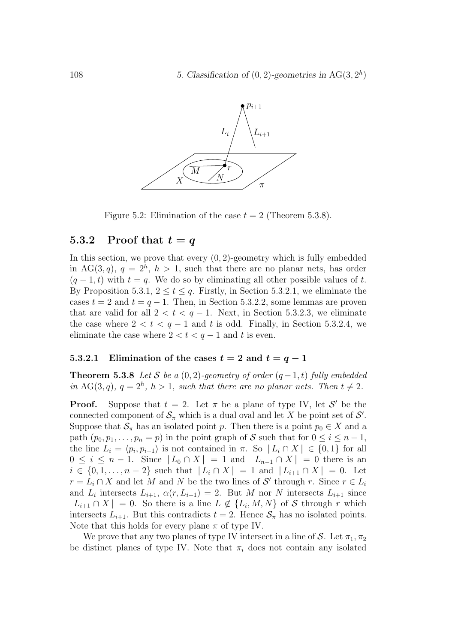

Figure 5.2: Elimination of the case  $t = 2$  (Theorem 5.3.8).

#### 5.3.2 Proof that  $t = q$

In this section, we prove that every  $(0, 2)$ -geometry which is fully embedded in AG(3,q),  $q = 2<sup>h</sup>$ ,  $h > 1$ , such that there are no planar nets, has order  $(q-1,t)$  with  $t = q$ . We do so by eliminating all other possible values of t. By Proposition 5.3.1,  $2 \le t \le q$ . Firstly, in Section 5.3.2.1, we eliminate the cases  $t = 2$  and  $t = q - 1$ . Then, in Section 5.3.2.2, some lemmas are proven that are valid for all  $2 < t < q - 1$ . Next, in Section 5.3.2.3, we eliminate the case where  $2 < t < q-1$  and t is odd. Finally, in Section 5.3.2.4, we eliminate the case where  $2 < t < q - 1$  and t is even.

#### 5.3.2.1 Elimination of the cases  $t = 2$  and  $t = q - 1$

**Theorem 5.3.8** Let S be a  $(0, 2)$ -geometry of order  $(q - 1, t)$  fully embedded in AG(3,q),  $q = 2<sup>h</sup>$ ,  $h > 1$ , such that there are no planar nets. Then  $t \neq 2$ .

**Proof.** Suppose that  $t = 2$ . Let  $\pi$  be a plane of type IV, let S' be the connected component of  $\mathcal{S}_{\pi}$  which is a dual oval and let X be point set of  $\mathcal{S}'$ . Suppose that  $\mathcal{S}_{\pi}$  has an isolated point p. Then there is a point  $p_0 \in X$  and a path  $(p_0, p_1, \ldots, p_n = p)$  in the point graph of S such that for  $0 \le i \le n-1$ , the line  $L_i = \langle p_i, p_{i+1} \rangle$  is not contained in  $\pi$ . So  $|L_i \cap X| \in \{0, 1\}$  for all  $0 \leq i \leq n-1$ . Since  $|L_0 \cap X| = 1$  and  $|L_{n-1} \cap X| = 0$  there is an  $i \in \{0, 1, \ldots, n-2\}$  such that  $|L_i \cap X| = 1$  and  $|L_{i+1} \cap X| = 0$ . Let  $r = L_i \cap X$  and let M and N be the two lines of S' through r. Since  $r \in L_i$ and  $L_i$  intersects  $L_{i+1}$ ,  $\alpha(r, L_{i+1}) = 2$ . But M nor N intersects  $L_{i+1}$  since  $| L_{i+1} \cap X | = 0$ . So there is a line  $L \notin \{L_i, M, N\}$  of S through r which intersects  $L_{i+1}$ . But this contradicts  $t = 2$ . Hence  $S_{\pi}$  has no isolated points. Note that this holds for every plane  $\pi$  of type IV.

We prove that any two planes of type IV intersect in a line of S. Let  $\pi_1, \pi_2$ be distinct planes of type IV. Note that  $\pi_i$  does not contain any isolated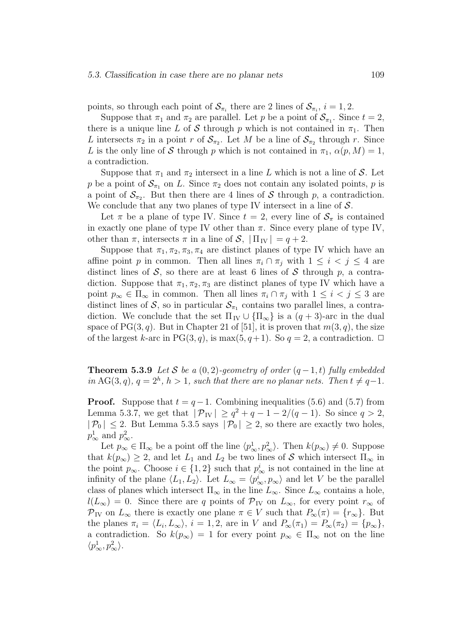points, so through each point of  $S_{\pi_i}$  there are 2 lines of  $S_{\pi_i}$ ,  $i = 1, 2$ .

Suppose that  $\pi_1$  and  $\pi_2$  are parallel. Let p be a point of  $\mathcal{S}_{\pi_1}$ . Since  $t = 2$ , there is a unique line L of S through p which is not contained in  $\pi_1$ . Then L intersects  $\pi_2$  in a point r of  $\mathcal{S}_{\pi_2}$ . Let M be a line of  $\mathcal{S}_{\pi_2}$  through r. Since L is the only line of S through p which is not contained in  $\pi_1$ ,  $\alpha(p, M) = 1$ , a contradiction.

Suppose that  $\pi_1$  and  $\pi_2$  intersect in a line L which is not a line of S. Let p be a point of  $S_{\pi_1}$  on L. Since  $\pi_2$  does not contain any isolated points, p is a point of  $S_{\pi_2}$ . But then there are 4 lines of S through p, a contradiction. We conclude that any two planes of type IV intersect in a line of  $S$ .

Let  $\pi$  be a plane of type IV. Since  $t = 2$ , every line of  $S_{\pi}$  is contained in exactly one plane of type IV other than  $\pi$ . Since every plane of type IV, other than  $\pi$ , intersects  $\pi$  in a line of  $\mathcal{S}, |\Pi_{IV}| = q + 2$ .

Suppose that  $\pi_1, \pi_2, \pi_3, \pi_4$  are distinct planes of type IV which have an affine point p in common. Then all lines  $\pi_i \cap \pi_j$  with  $1 \leq i < j \leq 4$  are distinct lines of S, so there are at least 6 lines of S through  $p$ , a contradiction. Suppose that  $\pi_1, \pi_2, \pi_3$  are distinct planes of type IV which have a point  $p_{\infty} \in \Pi_{\infty}$  in common. Then all lines  $\pi_i \cap \pi_j$  with  $1 \leq i < j \leq 3$  are distinct lines of S, so in particular  $S_{\pi_1}$  contains two parallel lines, a contradiction. We conclude that the set  $\Pi_{IV} \cup {\Pi_{\infty}}$  is a  $(q + 3)$ -arc in the dual space of PG(3, q). But in Chapter 21 of [51], it is proven that  $m(3, q)$ , the size of the largest k-arc in PG(3, q), is max(5, q+1). So  $q = 2$ , a contradiction.  $\Box$ 

**Theorem 5.3.9** Let S be a  $(0, 2)$ -geometry of order  $(q - 1, t)$  fully embedded in AG(3,q),  $q = 2<sup>h</sup>$ ,  $h > 1$ , such that there are no planar nets. Then  $t \neq q-1$ .

**Proof.** Suppose that  $t = q - 1$ . Combining inequalities (5.6) and (5.7) from Lemma 5.3.7, we get that  $|\mathcal{P}_{IV}| \geq q^2 + q - 1 - 2/(q - 1)$ . So since  $q > 2$ ,  $|\mathcal{P}_0| \leq 2$ . But Lemma 5.3.5 says  $|\mathcal{P}_0| \geq 2$ , so there are exactly two holes,  $p^1_{\infty}$  and  $p^2_{\infty}$ .

Let  $p_{\infty} \in \Pi_{\infty}$  be a point off the line  $\langle p_{\infty}^1, p_{\infty}^2 \rangle$ . Then  $k(p_{\infty}) \neq 0$ . Suppose that  $k(p_{\infty}) \geq 2$ , and let  $L_1$  and  $L_2$  be two lines of S which intersect  $\Pi_{\infty}$  in the point  $p_{\infty}$ . Choose  $i \in \{1,2\}$  such that  $p_{\infty}^i$  is not contained in the line at infinity of the plane  $\langle L_1, L_2 \rangle$ . Let  $L_{\infty} = \langle p_{\infty}^i, p_{\infty} \rangle$  and let V be the parallel class of planes which intersect  $\Pi_{\infty}$  in the line  $L_{\infty}$ . Since  $L_{\infty}$  contains a hole,  $l(L_{\infty}) = 0$ . Since there are q points of  $\mathcal{P}_{IV}$  on  $L_{\infty}$ , for every point  $r_{\infty}$  of  $\mathcal{P}_{IV}$  on  $L_{\infty}$  there is exactly one plane  $\pi \in V$  such that  $P_{\infty}(\pi) = \{r_{\infty}\}\.$  But the planes  $\pi_i = \langle L_i, L_\infty \rangle$ ,  $i = 1, 2$ , are in V and  $P_\infty(\pi_1) = P_\infty(\pi_2) = \{p_\infty\},\$ a contradiction. So  $k(p_{\infty}) = 1$  for every point  $p_{\infty} \in \Pi_{\infty}$  not on the line  $\langle p^1_\infty, p^2_\infty \rangle$ .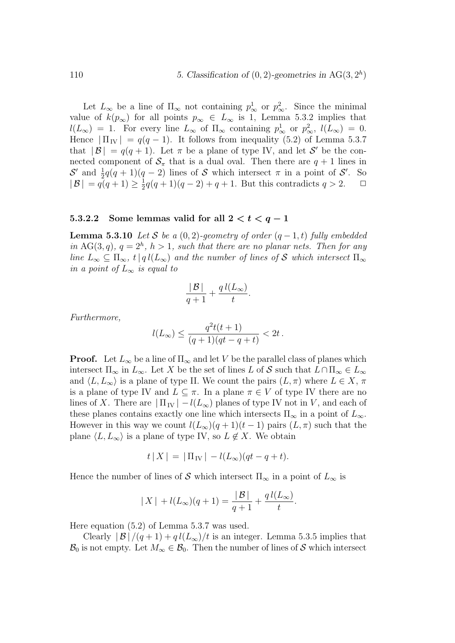Let  $L_{\infty}$  be a line of  $\Pi_{\infty}$  not containing  $p_{\infty}^1$  or  $p_{\infty}^2$ . Since the minimal value of  $k(p_{\infty})$  for all points  $p_{\infty} \in L_{\infty}$  is 1, Lemma 5.3.2 implies that  $l(L_{\infty}) = 1$ . For every line  $L_{\infty}$  of  $\Pi_{\infty}$  containing  $p_{\infty}^1$  or  $p_{\infty}^2$ ,  $l(L_{\infty}) = 0$ . Hence  $|\Pi_{\text{IV}}| = q(q-1)$ . It follows from inequality (5.2) of Lemma 5.3.7 that  $|\mathcal{B}| = q(q+1)$ . Let  $\pi$  be a plane of type IV, and let S' be the connected component of  $S_{\pi}$  that is a dual oval. Then there are  $q + 1$  lines in  $S'$  and  $\frac{1}{2}q(q+1)(q-2)$  lines of S which intersect  $\pi$  in a point of S'. So  $|B| = q(q+1) \geq \frac{1}{2}q(q+1)(q-2) + q + 1$ . But this contradicts  $q > 2$ .  $\Box$ 

#### 5.3.2.2 Some lemmas valid for all  $2 < t < q-1$

**Lemma 5.3.10** Let S be a  $(0, 2)$ -geometry of order  $(q - 1, t)$  fully embedded in AG(3,q),  $q = 2<sup>h</sup>$ ,  $h > 1$ , such that there are no planar nets. Then for any line  $L_{\infty} \subseteq \Pi_{\infty}$ ,  $t | q l(L_{\infty})$  and the number of lines of S which intersect  $\Pi_{\infty}$ in a point of  $L_{\infty}$  is equal to

$$
\frac{|\mathcal{B}|}{q+1} + \frac{q\,l(L_{\infty})}{t}.
$$

Furthermore,

$$
l(L_{\infty}) \leq \frac{q^2t(t+1)}{(q+1)(qt-q+t)} < 2t.
$$

**Proof.** Let  $L_{\infty}$  be a line of  $\Pi_{\infty}$  and let V be the parallel class of planes which intersect  $\Pi_{\infty}$  in  $L_{\infty}$ . Let X be the set of lines L of S such that  $L \cap \Pi_{\infty} \in L_{\infty}$ and  $\langle L, L_{\infty} \rangle$  is a plane of type II. We count the pairs  $(L, \pi)$  where  $L \in X$ ,  $\pi$ is a plane of type IV and  $L \subseteq \pi$ . In a plane  $\pi \in V$  of type IV there are no lines of X. There are  $|\Pi_{IV}| - l(L_{\infty})$  planes of type IV not in V, and each of these planes contains exactly one line which intersects  $\Pi_{\infty}$  in a point of  $L_{\infty}$ . However in this way we count  $l(L_{\infty})(q + 1)(t - 1)$  pairs  $(L, \pi)$  such that the plane  $\langle L, L_{\infty} \rangle$  is a plane of type IV, so  $L \notin X$ . We obtain

$$
t | X | = | \Pi_{\text{IV}} | - l(L_{\infty})(qt - q + t).
$$

Hence the number of lines of S which intersect  $\Pi_{\infty}$  in a point of  $L_{\infty}$  is

$$
|X| + l(L_{\infty})(q+1) = \frac{|B|}{q+1} + \frac{q l(L_{\infty})}{t}.
$$

Here equation (5.2) of Lemma 5.3.7 was used.

Clearly  $|\mathcal{B}|/(q+1) + q l(L_{\infty})/t$  is an integer. Lemma 5.3.5 implies that  $\mathcal{B}_0$  is not empty. Let  $M_\infty \in \mathcal{B}_0$ . Then the number of lines of S which intersect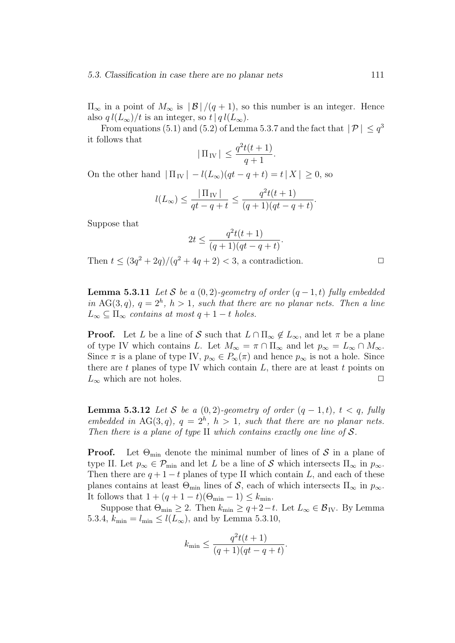#### 5.3. Classification in case there are no planar nets 111

 $\Pi_{\infty}$  in a point of  $M_{\infty}$  is  $|\mathcal{B}|/(q+1)$ , so this number is an integer. Hence also  $q l(L_{\infty})/t$  is an integer, so  $t | q l(L_{\infty})$ .

From equations (5.1) and (5.2) of Lemma 5.3.7 and the fact that  $|\mathcal{P}| \leq q^3$ it follows that

$$
|\Pi_{\mathrm{IV}}| \le \frac{q^2t(t+1)}{q+1}.
$$

On the other hand  $|\Pi_{IV}| - l(L_{\infty})(qt - q + t) = t|X| \geq 0$ , so

$$
l(L_{\infty}) \le \frac{|\Pi_{\text{IV}}|}{qt - q + t} \le \frac{q^2 t(t + 1)}{(q + 1)(qt - q + t)}.
$$

Suppose that

$$
2t \le \frac{q^2t(t+1)}{(q+1)(qt-q+t)}.
$$

Then  $t \leq (3q^2 + 2q)/(q^2 + 4q + 2) < 3$ , a contradiction.

**Lemma 5.3.11** Let S be a  $(0, 2)$ -geometry of order  $(q - 1, t)$  fully embedded in AG(3,q),  $q = 2<sup>h</sup>$ ,  $h > 1$ , such that there are no planar nets. Then a line  $L_{\infty} \subseteq \Pi_{\infty}$  contains at most  $q + 1 - t$  holes.

**Proof.** Let L be a line of S such that  $L \cap \Pi_{\infty} \notin L_{\infty}$ , and let  $\pi$  be a plane of type IV which contains L. Let  $M_{\infty} = \pi \cap \Pi_{\infty}$  and let  $p_{\infty} = L_{\infty} \cap M_{\infty}$ . Since  $\pi$  is a plane of type IV,  $p_{\infty} \in P_{\infty}(\pi)$  and hence  $p_{\infty}$  is not a hole. Since there are  $t$  planes of type IV which contain  $L$ , there are at least  $t$  points on  $L_{\infty}$  which are not holes.

**Lemma 5.3.12** Let S be a  $(0, 2)$ -geometry of order  $(q - 1, t)$ ,  $t < q$ , fully embedded in AG(3,q),  $q = 2<sup>h</sup>$ ,  $h > 1$ , such that there are no planar nets. Then there is a plane of type II which contains exactly one line of  $S$ .

**Proof.** Let  $\Theta_{\min}$  denote the minimal number of lines of S in a plane of type II. Let  $p_{\infty} \in \mathcal{P}_{\min}$  and let L be a line of S which intersects  $\Pi_{\infty}$  in  $p_{\infty}$ . Then there are  $q + 1 - t$  planes of type II which contain L, and each of these planes contains at least  $\Theta_{\min}$  lines of S, each of which intersects  $\Pi_{\infty}$  in  $p_{\infty}$ . It follows that  $1 + (q + 1 - t)(\Theta_{\min} - 1) \leq k_{\min}$ .

Suppose that  $\Theta_{\min} \geq 2$ . Then  $k_{\min} \geq q+2-t$ . Let  $L_{\infty} \in \mathcal{B}_{IV}$ . By Lemma 5.3.4,  $k_{\min} = l_{\min} \leq l(L_{\infty})$ , and by Lemma 5.3.10,

$$
k_{\min} \le \frac{q^2t(t+1)}{(q+1)(qt-q+t)}.
$$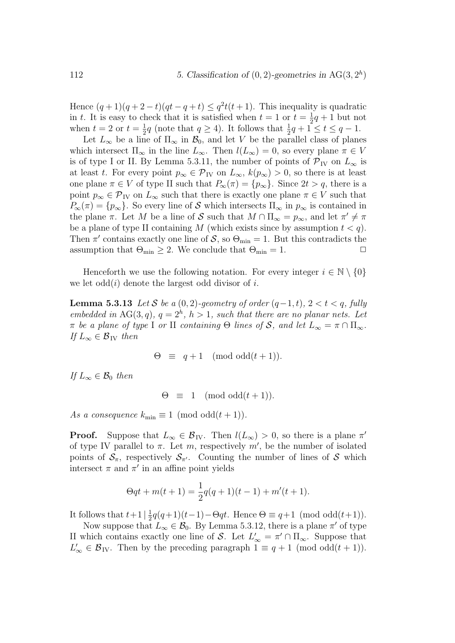Hence  $(q+1)(q+2-t)(qt-q+t) \leq q^2t(t+1)$ . This inequality is quadratic in t. It is easy to check that it is satisfied when  $t = 1$  or  $t = \frac{1}{2}q + 1$  but not when  $t = 2$  or  $t = \frac{1}{2}q$  (note that  $q \ge 4$ ). It follows that  $\frac{1}{2}q + 1 \le t \le q - 1$ .

Let  $L_{\infty}$  be a line of  $\Pi_{\infty}$  in  $\mathcal{B}_0$ , and let V be the parallel class of planes which intersect  $\Pi_{\infty}$  in the line  $L_{\infty}$ . Then  $l(L_{\infty}) = 0$ , so every plane  $\pi \in V$ is of type I or II. By Lemma 5.3.11, the number of points of  $\mathcal{P}_{IV}$  on  $L_{\infty}$  is at least t. For every point  $p_{\infty} \in \mathcal{P}_{IV}$  on  $L_{\infty}$ ,  $k(p_{\infty}) > 0$ , so there is at least one plane  $\pi \in V$  of type II such that  $P_{\infty}(\pi) = \{p_{\infty}\}\.$  Since  $2t > q$ , there is a point  $p_{\infty} \in \mathcal{P}_{IV}$  on  $L_{\infty}$  such that there is exactly one plane  $\pi \in V$  such that  $P_{\infty}(\pi) = \{p_{\infty}\}.$  So every line of S which intersects  $\Pi_{\infty}$  in  $p_{\infty}$  is contained in the plane  $\pi$ . Let M be a line of S such that  $M \cap \Pi_{\infty} = p_{\infty}$ , and let  $\pi' \neq \pi$ be a plane of type II containing M (which exists since by assumption  $t < q$ ). Then  $\pi'$  contains exactly one line of  $S$ , so  $\Theta_{\min} = 1$ . But this contradicts the assumption that  $\Theta_{\min} \geq 2$ . We conclude that  $\Theta_{\min} = 1$ .

Henceforth we use the following notation. For every integer  $i \in \mathbb{N} \setminus \{0\}$ we let  $odd(i)$  denote the largest odd divisor of i.

**Lemma 5.3.13** Let S be a  $(0, 2)$ -geometry of order  $(q-1, t)$ ,  $2 < t < q$ , fully embedded in AG(3, q),  $q = 2<sup>h</sup>$ ,  $h > 1$ , such that there are no planar nets. Let π be a plane of type I or II containing  $\Theta$  lines of S, and let  $L_{\infty} = \pi \cap \Pi_{\infty}$ . If  $L_{\infty} \in \mathcal{B}_{IV}$  then

$$
\Theta \equiv q+1 \pmod{odd(t+1)}.
$$

If  $L_{\infty} \in \mathcal{B}_0$  then

 $\Theta \equiv 1 \pmod{\text{odd}(t+1)}$ .

As a consequence  $k_{\min} \equiv 1 \pmod{\text{odd}(t+1)}$ .

**Proof.** Suppose that  $L_{\infty} \in \mathcal{B}_{IV}$ . Then  $l(L_{\infty}) > 0$ , so there is a plane  $\pi'$ of type IV parallel to  $\pi$ . Let m, respectively m', be the number of isolated points of  $\mathcal{S}_{\pi}$ , respectively  $\mathcal{S}_{\pi'}$ . Counting the number of lines of S which intersect  $\pi$  and  $\pi'$  in an affine point yields

$$
\Theta qt + m(t+1) = \frac{1}{2}q(q+1)(t-1) + m'(t+1).
$$

It follows that  $t+1\left(\frac{1}{2}q(q+1)(t-1)-\Theta qt$ . Hence  $\Theta \equiv q+1 \pmod{\text{odd}(t+1)}$ .

Now suppose that  $L_{\infty} \in \mathcal{B}_0$ . By Lemma 5.3.12, there is a plane  $\pi'$  of type II which contains exactly one line of S. Let  $L'_{\infty} = \pi' \cap \Pi_{\infty}$ . Suppose that  $L'_{\infty} \in \mathcal{B}_{IV}$ . Then by the preceding paragraph  $1 \equiv q + 1 \pmod{\text{odd}(t+1)}$ .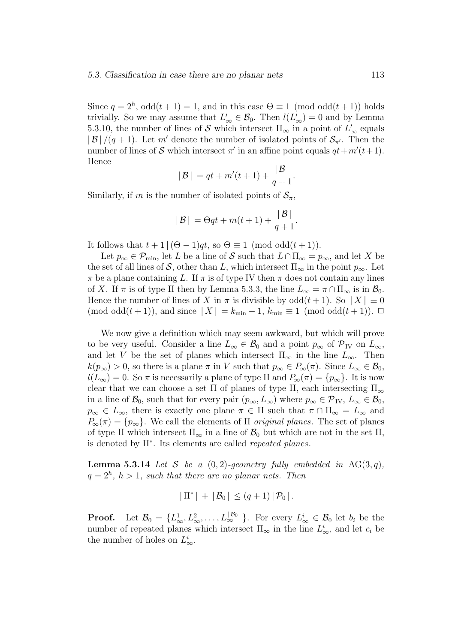Since  $q = 2<sup>h</sup>$ ,  $odd(t + 1) = 1$ , and in this case  $\Theta \equiv 1 \pmod{odd(t + 1)}$  holds trivially. So we may assume that  $L'_{\infty} \in \mathcal{B}_0$ . Then  $l(L'_{\infty}) = 0$  and by Lemma 5.3.10, the number of lines of  $S$  which intersect  $\Pi_{\infty}$  in a point of  $L'_{\infty}$  equals  $|\mathcal{B}|/(q+1)$ . Let m' denote the number of isolated points of  $\mathcal{S}_{\pi}$ . Then the number of lines of S which intersect  $\pi'$  in an affine point equals  $qt + m'(t+1)$ . Hence

$$
|B| = qt + m'(t+1) + \frac{|B|}{q+1}.
$$

Similarly, if m is the number of isolated points of  $S_{\pi}$ ,

$$
|B| = \Theta qt + m(t+1) + \frac{|B|}{q+1}.
$$

It follows that  $t + 1$   $(\Theta - 1)qt$ , so  $\Theta \equiv 1 \pmod{odd(t+1)}$ .

Let  $p_{\infty} \in \mathcal{P}_{\min}$ , let L be a line of S such that  $L \cap \Pi_{\infty} = p_{\infty}$ , and let X be the set of all lines of S, other than L, which intersect  $\Pi_{\infty}$  in the point  $p_{\infty}$ . Let  $\pi$  be a plane containing L. If  $\pi$  is of type IV then  $\pi$  does not contain any lines of X. If  $\pi$  is of type II then by Lemma 5.3.3, the line  $L_{\infty} = \pi \cap \Pi_{\infty}$  is in  $\mathcal{B}_0$ . Hence the number of lines of X in  $\pi$  is divisible by  $odd(t+1)$ . So  $|X| \equiv 0$ (mod odd $(t + 1)$ ), and since  $|X| = k_{\min} - 1$ ,  $k_{\min} \equiv 1 \pmod{\text{odd}(t + 1)}$ .  $\Box$ 

We now give a definition which may seem awkward, but which will prove to be very useful. Consider a line  $L_{\infty} \in \mathcal{B}_0$  and a point  $p_{\infty}$  of  $\mathcal{P}_{IV}$  on  $L_{\infty}$ , and let V be the set of planes which intersect  $\Pi_{\infty}$  in the line  $L_{\infty}$ . Then  $k(p_{\infty}) > 0$ , so there is a plane  $\pi$  in V such that  $p_{\infty} \in P_{\infty}(\pi)$ . Since  $L_{\infty} \in \mathcal{B}_0$ ,  $l(L_{\infty}) = 0$ . So  $\pi$  is necessarily a plane of type II and  $P_{\infty}(\pi) = \{p_{\infty}\}\$ . It is now clear that we can choose a set  $\Pi$  of planes of type II, each intersecting  $\Pi_{\infty}$ in a line of  $\mathcal{B}_0$ , such that for every pair  $(p_\infty, L_\infty)$  where  $p_\infty \in \mathcal{P}_{IV}$ ,  $L_\infty \in \mathcal{B}_0$ ,  $p_{\infty} \in L_{\infty}$ , there is exactly one plane  $\pi \in \Pi$  such that  $\pi \cap \Pi_{\infty} = L_{\infty}$  and  $P_{\infty}(\pi) = \{p_{\infty}\}.$  We call the elements of  $\Pi$  original planes. The set of planes of type II which intersect  $\Pi_{\infty}$  in a line of  $\mathcal{B}_0$  but which are not in the set  $\Pi$ , is denoted by  $\Pi^*$ . Its elements are called *repeated planes*.

**Lemma 5.3.14** Let S be a  $(0, 2)$ -geometry fully embedded in AG(3, q),  $q = 2<sup>h</sup>$ ,  $h > 1$ , such that there are no planar nets. Then

$$
|\Pi^*| + |\mathcal{B}_0| \le (q+1) |\mathcal{P}_0|.
$$

**Proof.** Let  $\mathcal{B}_0 = \{L^1_\infty, L^2_\infty, \ldots, L^{|\mathcal{B}_0|}_\infty\}$ . For every  $L^i_\infty \in \mathcal{B}_0$  let  $b_i$  be the number of repeated planes which intersect  $\Pi_{\infty}$  in the line  $L^i_{\infty}$ , and let  $c_i$  be the number of holes on  $L^i_\infty$ .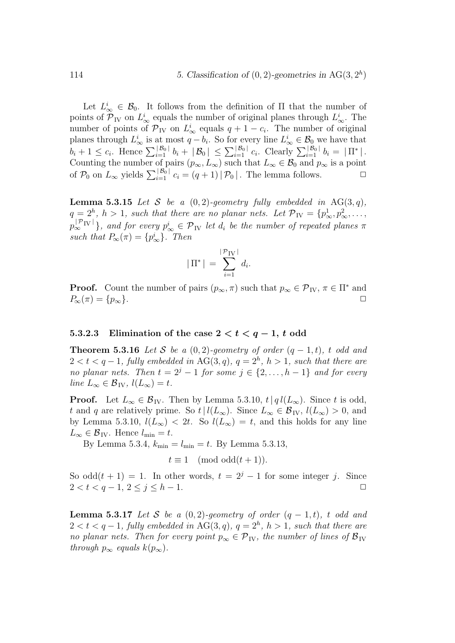Let  $L^i_{\infty} \in \mathcal{B}_0$ . It follows from the definition of  $\Pi$  that the number of points of  $\mathcal{P}_{IV}$  on  $L^i_{\infty}$  equals the number of original planes through  $L^i_{\infty}$ . The number of points of  $\mathcal{P}_{IV}$  on  $L^i_{\infty}$  equals  $q + 1 - c_i$ . The number of original planes through  $L^i_{\infty}$  is at most  $q - b_i$ . So for every line  $L^i_{\infty} \in \mathcal{B}_0$  we have that  $b_i + 1 \leq c_i$ . Hence  $\sum_{i=1}^{|\mathcal{B}_0|} b_i + |\mathcal{B}_0| \leq \sum_{i=1}^{|\mathcal{B}_0|} c_i$ . Clearly  $\sum_{i=1}^{|\mathcal{B}_0|} b_i = |\Pi^*|$ . Counting the number of pairs  $(p_{\infty}, L_{\infty})$  such that  $L_{\infty} \in \mathcal{B}_0$  and  $p_{\infty}$  is a point of  $\mathcal{P}_0$  on  $L_\infty$  yields  $\sum_{i=1}^{|\mathcal{B}_0|} c_i = (q+1)|\mathcal{P}_0|$ . The lemma follows.  $\Box$ 

**Lemma 5.3.15** Let S be a  $(0, 2)$ -geometry fully embedded in AG(3,q),  $q = 2<sup>h</sup>$ ,  $h > 1$ , such that there are no planar nets. Let  $\mathcal{P}_{IV} = \{p_{\infty}^1, p_{\infty}^2, \ldots, p_{\infty}^2\}$  $p_{\infty}^{|\mathcal{P}_{IV}|}$ , and for every  $p_{\infty}^{i} \in \mathcal{P}_{IV}$  let  $d_i$  be the number of repeated planes  $\pi$ such that  $P_{\infty}(\pi) = \{p_{\infty}^i\}$ . Then

$$
|\Pi^*| = \sum_{i=1}^{|\mathcal{P}_{IV}|} d_i.
$$

**Proof.** Count the number of pairs  $(p_{\infty}, \pi)$  such that  $p_{\infty} \in \mathcal{P}_{IV}$ ,  $\pi \in \Pi^*$  and  $P_{\infty}(\pi) = \{p_{\infty}\}.$ 

#### 5.3.2.3 Elimination of the case  $2 < t < q-1$ , t odd

**Theorem 5.3.16** Let S be a  $(0, 2)$ -geometry of order  $(q - 1, t)$ , t odd and  $2 < t < q-1$ , fully embedded in  $AG(3, q)$ ,  $q = 2<sup>h</sup>$ ,  $h > 1$ , such that there are no planar nets. Then  $t = 2<sup>j</sup> - 1$  for some  $j \in \{2, ..., h-1\}$  and for every line  $L_{\infty} \in \mathcal{B}_{\text{IV}}$ ,  $l(L_{\infty}) = t$ .

**Proof.** Let  $L_{\infty} \in \mathcal{B}_{IV}$ . Then by Lemma 5.3.10,  $t | q l(L_{\infty})$ . Since t is odd, t and q are relatively prime. So  $t\mid l(L_{\infty})$ . Since  $L_{\infty} \in \mathcal{B}_{IV}$ ,  $l(L_{\infty}) > 0$ , and by Lemma 5.3.10,  $l(L_{\infty}) < 2t$ . So  $l(L_{\infty}) = t$ , and this holds for any line  $L_{\infty} \in \mathcal{B}_{\text{IV}}$ . Hence  $l_{\min} = t$ .

By Lemma 5.3.4,  $k_{\text{min}} = l_{\text{min}} = t$ . By Lemma 5.3.13,

$$
t \equiv 1 \pmod{odd(t+1)}.
$$

So odd $(t + 1) = 1$ . In other words,  $t = 2^{j} - 1$  for some integer j. Since  $2 < t < q - 1, 2 \le j \le h - 1.$ 

**Lemma 5.3.17** Let S be a  $(0, 2)$ -geometry of order  $(q - 1, t)$ , t odd and  $2 < t < q-1$ , fully embedded in AG(3,q),  $q = 2<sup>h</sup>$ ,  $h > 1$ , such that there are no planar nets. Then for every point  $p_{\infty} \in \mathcal{P}_{IV}$ , the number of lines of  $\mathcal{B}_{IV}$ through  $p_{\infty}$  equals  $k(p_{\infty})$ .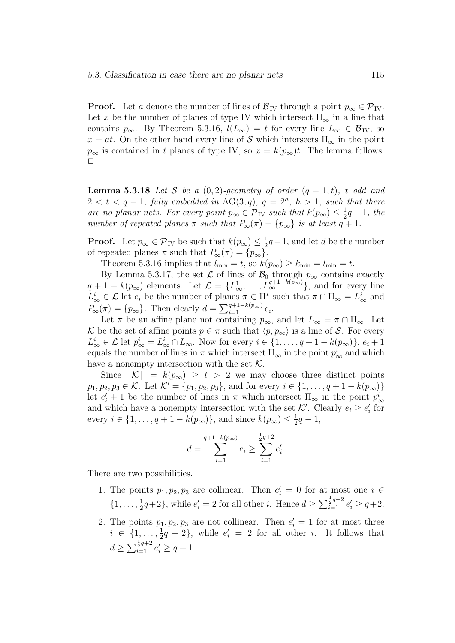**Proof.** Let a denote the number of lines of  $\mathcal{B}_{IV}$  through a point  $p_{\infty} \in \mathcal{P}_{IV}$ . Let x be the number of planes of type IV which intersect  $\Pi_{\infty}$  in a line that contains  $p_{\infty}$ . By Theorem 5.3.16,  $l(L_{\infty}) = t$  for every line  $L_{\infty} \in \mathcal{B}_{IV}$ , so  $x = at$ . On the other hand every line of S which intersects  $\Pi_{\infty}$  in the point  $p_{\infty}$  is contained in t planes of type IV, so  $x = k(p_{\infty})t$ . The lemma follows.  $\Box$ 

**Lemma 5.3.18** Let S be a  $(0, 2)$ -geometry of order  $(q - 1, t)$ , t odd and  $2 < t < q-1$ , fully embedded in AG(3,q),  $q = 2<sup>h</sup>$ ,  $h > 1$ , such that there are no planar nets. For every point  $p_{\infty} \in \mathcal{P}_{IV}$  such that  $k(p_{\infty}) \leq \frac{1}{2}q - 1$ , the number of repeated planes  $\pi$  such that  $P_{\infty}(\pi) = \{p_{\infty}\}\$ is at least  $q + 1$ .

**Proof.** Let  $p_{\infty} \in \mathcal{P}_{IV}$  be such that  $k(p_{\infty}) \leq \frac{1}{2}q-1$ , and let d be the number of repeated planes  $\pi$  such that  $P_{\infty}(\pi) = \{p_{\infty}\}.$ 

Theorem 5.3.16 implies that  $l_{\min} = t$ , so  $k(p_{\infty}) \geq k_{\min} = l_{\min} = t$ .

By Lemma 5.3.17, the set  $\mathcal L$  of lines of  $\mathcal B_0$  through  $p_{\infty}$  contains exactly  $q + 1 - k(p_\infty)$  elements. Let  $\mathcal{L} = \{L^1_\infty, \ldots, L^{q+1-k(p_\infty)}_\infty\}$ , and for every line  $L^i_\infty \in \mathcal{L}$  let  $e_i$  be the number of planes  $\pi \in \Pi^*$  such that  $\pi \cap \Pi_\infty = L^i_\infty$  and  $P_{\infty}(\pi) = \{p_{\infty}\}.$  Then clearly  $d = \sum_{i=1}^{q+1-k(p_{\infty})} e_i.$ 

Let  $\pi$  be an affine plane not containing  $p_{\infty}$ , and let  $L_{\infty} = \pi \cap \Pi_{\infty}$ . Let K be the set of affine points  $p \in \pi$  such that  $\langle p, p_\infty \rangle$  is a line of S. For every  $L^i_{\infty} \in \mathcal{L}$  let  $p^i_{\infty} = L^i_{\infty} \cap L_{\infty}$ . Now for every  $i \in \{1, \ldots, q + 1 - k(p_{\infty})\},\, e_i + 1$ equals the number of lines in  $\pi$  which intersect  $\Pi_{\infty}$  in the point  $p^i_{\infty}$  and which have a nonempty intersection with the set  $K$ .

Since  $|K| = k(p_\infty) \geq t > 2$  we may choose three distinct points  $p_1, p_2, p_3 \in \mathcal{K}$ . Let  $\mathcal{K}' = \{p_1, p_2, p_3\}$ , and for every  $i \in \{1, ..., q + 1 - k(p_\infty)\}\$ let  $e'_i + 1$  be the number of lines in  $\pi$  which intersect  $\Pi_{\infty}$  in the point  $p^i_{\infty}$ and which have a nonempty intersection with the set  $K'$ . Clearly  $e_i \geq e'_i$  for every  $i \in \{1, ..., q + 1 - k(p_{\infty})\}\$ , and since  $k(p_{\infty}) \leq \frac{1}{2}q - 1$ ,

$$
d = \sum_{i=1}^{q+1-k(p_\infty)} e_i \ge \sum_{i=1}^{\frac{1}{2}q+2} e'_i.
$$

There are two possibilities.

- 1. The points  $p_1, p_2, p_3$  are collinear. Then  $e'_i = 0$  for at most one  $i \in$  $\{1, \ldots, \frac{1}{2}q+2\}$ , while  $e_i' = 2$  for all other *i*. Hence  $d \ge \sum_{i=1}^{\frac{1}{2}q+2} e_i' \ge q+2$ .
- 2. The points  $p_1, p_2, p_3$  are not collinear. Then  $e'_i = 1$  for at most three  $i \in \{1, \ldots, \frac{1}{2}q + 2\}$ , while  $e'_i = 2$  for all other *i*. It follows that  $d \geq \sum_{i=1}^{\frac{1}{2}q+2} e'_i \geq q+1.$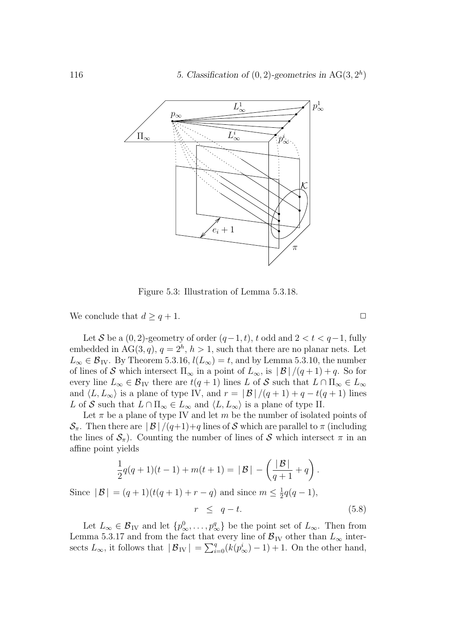

Figure 5.3: Illustration of Lemma 5.3.18.

We conclude that  $d \geq q+1$ .

Let S be a  $(0, 2)$ -geometry of order  $(q-1, t)$ , t odd and  $2 < t < q-1$ , fully embedded in  $AG(3, q)$ ,  $q = 2<sup>h</sup>$ ,  $h > 1$ , such that there are no planar nets. Let  $L_{\infty} \in \mathcal{B}_{IV}$ . By Theorem 5.3.16,  $l(L_{\infty}) = t$ , and by Lemma 5.3.10, the number of lines of S which intersect  $\Pi_{\infty}$  in a point of  $L_{\infty}$ , is  $|\mathcal{B}|/(q+1)+q$ . So for every line  $L_{\infty} \in \mathcal{B}_{IV}$  there are  $t(q + 1)$  lines L of S such that  $L \cap \Pi_{\infty} \in L_{\infty}$ and  $\langle L, L_{\infty} \rangle$  is a plane of type IV, and  $r = |\mathcal{B}|/(q+1) + q - t(q+1)$  lines L of S such that  $L \cap \Pi_{\infty} \in L_{\infty}$  and  $\langle L, L_{\infty} \rangle$  is a plane of type II.

Let  $\pi$  be a plane of type IV and let m be the number of isolated points of  $\mathcal{S}_{\pi}$ . Then there are  $|\mathcal{B}|/(q+1)+q$  lines of S which are parallel to  $\pi$  (including the lines of  $S_\pi$ ). Counting the number of lines of S which intersect  $\pi$  in an affine point yields

$$
\frac{1}{2}q(q+1)(t-1) + m(t+1) = |\mathcal{B}| - \left(\frac{|\mathcal{B}|}{q+1} + q\right).
$$
  
Since  $|\mathcal{B}| = (q+1)(t(q+1) + r - q)$  and since  $m \le \frac{1}{2}q(q-1)$ ,  
 $r \le q - t.$  (5.8)

Let  $L_{\infty} \in \mathcal{B}_{\text{IV}}$  and let  $\{p_{\infty}^0, \ldots, p_{\infty}^q\}$  be the point set of  $L_{\infty}$ . Then from Lemma 5.3.17 and from the fact that every line of  $\mathcal{B}_{IV}$  other than  $L_{\infty}$  intersects  $L_{\infty}$ , it follows that  $|\mathcal{B}_{IV}| = \sum_{i=0}^{q} (k(p_{\infty}^{i}) - 1) + 1$ . On the other hand,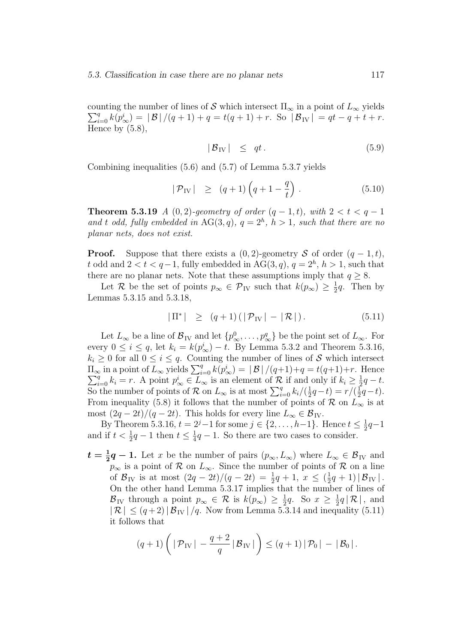counting the number of lines of  $\mathcal S$  which intersect  $\Pi_\infty$  in a point of  $L_\infty$  yields  $\sum_{i=0}^{q} k(p_{\infty}^{i}) = |\mathcal{B}|/(q+1) + q = t(q+1) + r.$  So  $|\mathcal{B}_{IV}| = qt - q + t + r.$ Hence by  $(5.8)$ ,

$$
|\mathcal{B}_{\text{IV}}| \leq qt. \tag{5.9}
$$

Combining inequalities (5.6) and (5.7) of Lemma 5.3.7 yields

$$
|\mathcal{P}_{\text{IV}}| \ge (q+1)\left(q+1-\frac{q}{t}\right). \tag{5.10}
$$

**Theorem 5.3.19** A (0, 2)-geometry of order  $(q - 1, t)$ , with  $2 < t < q - 1$ and t odd, fully embedded in  $AG(3, q)$ ,  $q = 2<sup>h</sup>$ ,  $h > 1$ , such that there are no planar nets, does not exist.

**Proof.** Suppose that there exists a  $(0, 2)$ -geometry S of order  $(q - 1, t)$ , t odd and  $2 < t < q-1$ , fully embedded in AG(3, q),  $q = 2<sup>h</sup>$ ,  $h > 1$ , such that there are no planar nets. Note that these assumptions imply that  $q \geq 8$ .

Let R be the set of points  $p_{\infty} \in \mathcal{P}_{IV}$  such that  $k(p_{\infty}) \geq \frac{1}{2}q$ . Then by Lemmas 5.3.15 and 5.3.18,

$$
|\Pi^*| \ge (q+1) (|\mathcal{P}_{IV}| - |\mathcal{R}|). \tag{5.11}
$$

Let  $L_{\infty}$  be a line of  $\mathcal{B}_{IV}$  and let  $\{p_{\infty}^0,\ldots,p_{\infty}^q\}$  be the point set of  $L_{\infty}$ . For every  $0 \le i \le q$ , let  $k_i = k(p_{\infty}^i) - t$ . By Lemma 5.3.2 and Theorem 5.3.16,  $k_i \geq 0$  for all  $0 \leq i \leq q$ . Counting the number of lines of S which intersect  $\Pi_{\infty}$  in a point of  $L_{\infty}$  yields  $\sum_{i=0}^{q} k(p_{\infty}^{i}) = |\mathcal{B}|/(q+1)+q = t(q+1)+r$ . Hence  $\sum_{i=0}^{q} k_{i} = r$ . A point  $p_{\infty}^{i} \in L_{\infty}$  is an element of  $\mathcal{R}$  if and only if  $k_{i} \geq \frac{1}{2}q - t$ .  $q_{i=0}^{q} k_i = r$ . A point  $p_{\infty}^{i} \in L_{\infty}$  is an element of  $\mathcal{R}$  if and only if  $k_i \geq \frac{1}{2}q - t$ . So the number of points of R on  $L_{\infty}$  is at most  $\sum_{i=0}^{q} k_i/(\frac{1}{2}q-t) = r/(\frac{1}{2}q-t)$ . From inequality (5.8) it follows that the number of points of  $\mathcal R$  on  $L_{\infty}$  is at most  $(2q - 2t)/(q - 2t)$ . This holds for every line  $L_{\infty} \in \mathcal{B}_{IV}$ .

By Theorem 5.3.16,  $t = 2^j - 1$  for some  $j \in \{2, ..., h-1\}$ . Hence  $t \leq \frac{1}{2}q - 1$ and if  $t < \frac{1}{2}q - 1$  then  $t \leq \frac{1}{4}q - 1$ . So there are two cases to consider.

 $t = \frac{1}{2}q - 1$ . Let x be the number of pairs  $(p_{\infty}, L_{\infty})$  where  $L_{\infty} \in \mathcal{B}_{IV}$  and  $p_{\infty}$  is a point of R on  $L_{\infty}$ . Since the number of points of R on a line of  $\mathcal{B}_{\text{IV}}$  is at most  $(2q - 2t)/(q - 2t) = \frac{1}{2}q + 1, x \leq (\frac{1}{2}q + 1) |\mathcal{B}_{\text{IV}}|$ . On the other hand Lemma 5.3.17 implies that the number of lines of  $\mathcal{B}_{\text{IV}}$  through a point  $p_{\infty} \in \mathcal{R}$  is  $k(p_{\infty}) \geq \frac{1}{2}q$ . So  $x \geq \frac{1}{2}q |\mathcal{R}|$ , and  $|\mathcal{R}| \leq (q+2)|\mathcal{B}_{IV}|/q$ . Now from Lemma 5.3.14 and inequality (5.11) it follows that

$$
(q+1)\left( \left| \mathcal{P}_{IV} \right| - \frac{q+2}{q} | \mathcal{B}_{IV} | \right) \leq (q+1) | \mathcal{P}_0 | - | \mathcal{B}_0 |.
$$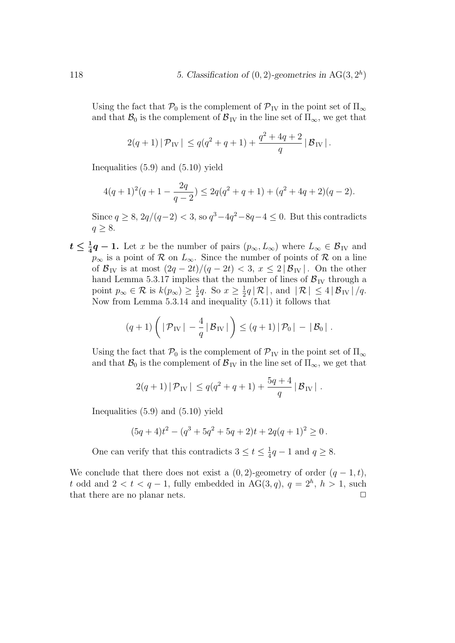Using the fact that  $\mathcal{P}_0$  is the complement of  $\mathcal{P}_{IV}$  in the point set of  $\Pi_{\infty}$ and that  $\mathcal{B}_0$  is the complement of  $\mathcal{B}_{IV}$  in the line set of  $\Pi_{\infty}$ , we get that

$$
2(q+1) | \mathcal{P}_{IV} | \leq q(q^2+q+1) + \frac{q^2+4q+2}{q} | \mathcal{B}_{IV} |.
$$

Inequalities (5.9) and (5.10) yield

$$
4(q+1)^2(q+1-\frac{2q}{q-2}) \le 2q(q^2+q+1) + (q^2+4q+2)(q-2).
$$

Since  $q \geq 8$ ,  $2q/(q-2) < 3$ , so  $q^3-4q^2-8q-4 \leq 0$ . But this contradicts  $q \geq 8$ .

 $t \leq \frac{1}{4}q - 1$ . Let x be the number of pairs  $(p_{\infty}, L_{\infty})$  where  $L_{\infty} \in \mathcal{B}_{IV}$  and  $p_{\infty}$  is a point of R on  $L_{\infty}$ . Since the number of points of R on a line of  $\mathcal{B}_{IV}$  is at most  $\left(2q-2t\right)/\left(q-2t\right) < 3, x \leq 2|\mathcal{B}_{IV}|$ . On the other hand Lemma 5.3.17 implies that the number of lines of  $\mathcal{B}_{IV}$  through a point  $p_{\infty} \in \mathcal{R}$  is  $k(p_{\infty}) \geq \frac{1}{2}q$ . So  $x \geq \frac{1}{2}q |\mathcal{R}|$ , and  $|\mathcal{R}| \leq 4 |\mathcal{B}_{IV}|/q$ . Now from Lemma  $5.3.14$  and inequality  $(5.11)$  it follows that

$$
(q+1)\left(|\mathcal{P}_{IV}|-\frac{4}{q}|\mathcal{B}_{IV}|\right)\leq (q+1)|\mathcal{P}_0|-|\mathcal{B}_0|.
$$

Using the fact that  $\mathcal{P}_0$  is the complement of  $\mathcal{P}_{IV}$  in the point set of  $\Pi_{\infty}$ and that  $\mathcal{B}_0$  is the complement of  $\mathcal{B}_{\text{IV}}$  in the line set of  $\Pi_{\infty}$ , we get that

$$
2(q+1) |\mathcal{P}_{IV}| \leq q(q^2+q+1) + \frac{5q+4}{q} |\mathcal{B}_{IV}|.
$$

Inequalities (5.9) and (5.10) yield

$$
(5q+4)t2 - (q3 + 5q2 + 5q + 2)t + 2q(q+1)2 \ge 0.
$$

One can verify that this contradicts  $3 \le t \le \frac{1}{4}q - 1$  and  $q \ge 8$ .

We conclude that there does not exist a  $(0, 2)$ -geometry of order  $(q - 1, t)$ , t odd and  $2 < t < q-1$ , fully embedded in AG(3, q),  $q = 2<sup>h</sup>$ ,  $h > 1$ , such that there are no planar nets.  $\Box$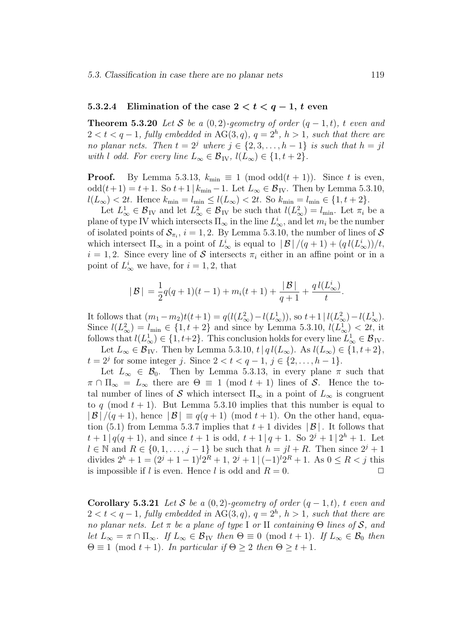#### 5.3.2.4 Elimination of the case  $2 < t < q-1$ , t even

**Theorem 5.3.20** Let S be a  $(0, 2)$ -geometry of order  $(q - 1, t)$ , t even and  $2 < t < q-1$ , fully embedded in  $AG(3, q)$ ,  $q = 2<sup>h</sup>$ ,  $h > 1$ , such that there are no planar nets. Then  $t = 2^j$  where  $j \in \{2, 3, ..., h-1\}$  is such that  $h = jl$ with l odd. For every line  $L_{\infty} \in \mathcal{B}_{IV}$ ,  $l(L_{\infty}) \in \{1, t + 2\}$ .

**Proof.** By Lemma 5.3.13,  $k_{\text{min}} \equiv 1 \pmod{\text{odd}(t+1)}$ . Since t is even, odd $(t+1) = t+1$ . So  $t+1 | k_{\min} -1$ . Let  $L_{\infty} \in \mathcal{B}_{IV}$ . Then by Lemma 5.3.10,  $l(L_{\infty}) < 2t$ . Hence  $k_{\min} = l_{\min} \le l(L_{\infty}) < 2t$ . So  $k_{\min} = l_{\min} \in \{1, t + 2\}$ .

Let  $L^1_{\infty} \in \mathcal{B}_{\mathrm{IV}}$  and let  $L^2_{\infty} \in \mathcal{B}_{\mathrm{IV}}$  be such that  $l(L^2_{\infty}) = l_{\min}$ . Let  $\pi_i$  be a plane of type IV which intersects  $\Pi_{\infty}$  in the line  $L^i_{\infty}$ , and let  $m_i$  be the number of isolated points of  $\mathcal{S}_{\pi_i}$ ,  $i = 1, 2$ . By Lemma 5.3.10, the number of lines of  $\mathcal{S}$ which intersect  $\Pi_{\infty}$  in a point of  $L^i_{\infty}$  is equal to  $|\mathcal{B}|/(q+1) + (q l(L^i_{\infty}))/t$ ,  $i = 1, 2$ . Since every line of S intersects  $\pi_i$  either in an affine point or in a point of  $L^i_{\infty}$  we have, for  $i = 1, 2$ , that

$$
|B| = \frac{1}{2}q(q+1)(t-1) + m_i(t+1) + \frac{|B|}{q+1} + \frac{q l(L^i_{\infty})}{t}.
$$

It follows that  $(m_1 - m_2)t(t+1) = q(l(L^2_{\infty}) - l(L^1_{\infty}))$ , so  $t+1 | l(L^2_{\infty}) - l(L^1_{\infty})$ . Since  $l(L_{\infty}^2) = l_{\min} \in \{1, t + 2\}$  and since by Lemma 5.3.10,  $l(L_{\infty}^1) < 2t$ , it follows that  $l(L^1_\infty) \in \{1, t+2\}$ . This conclusion holds for every line  $L^1_\infty \in \mathcal{B}_W$ . Let  $L_{\infty} \in \mathcal{B}_{IV}$ . Then by Lemma 5.3.10,  $t | q l(L_{\infty})$ . As  $l(L_{\infty}) \in \{1, t+2\},$ 

 $t = 2^j$  for some integer j. Since  $2 < t < q - 1$ ,  $j \in \{2, ..., h - 1\}$ . Let  $L_{\infty} \in \mathcal{B}_0$ . Then by Lemma 5.3.13, in every plane  $\pi$  such that  $\pi \cap \Pi_{\infty} = L_{\infty}$  there are  $\Theta \equiv 1 \pmod{t+1}$  lines of S. Hence the total number of lines of S which intersect  $\Pi_{\infty}$  in a point of  $L_{\infty}$  is congruent to q (mod  $t + 1$ ). But Lemma 5.3.10 implies that this number is equal to  $|\mathcal{B}|/(q+1)$ , hence  $|\mathcal{B}| \equiv q(q+1) \pmod{t+1}$ . On the other hand, equation (5.1) from Lemma 5.3.7 implies that  $t + 1$  divides  $|\mathcal{B}|$ . It follows that  $t+1|q(q+1)$ , and since  $t+1$  is odd,  $t+1|q+1$ . So  $2^{j}+1|2^{h}+1$ . Let  $l \in \mathbb{N}$  and  $R \in \{0, 1, \ldots, j-1\}$  be such that  $h = jl + R$ . Then since  $2^{j} + 1$ divides  $2^h + 1 = (2^j + 1 - 1)^l 2^R + 1$ ,  $2^j + 1 \mid (-1)^l 2^R + 1$ . As  $0 \le R < j$  this is impossible if l is even. Hence l is odd and  $R = 0$ .

Corollary 5.3.21 Let S be a  $(0, 2)$ -geometry of order  $(q - 1, t)$ , t even and  $2 < t < q-1$ , fully embedded in AG(3,q),  $q = 2<sup>h</sup>$ ,  $h > 1$ , such that there are no planar nets. Let  $\pi$  be a plane of type I or II containing  $\Theta$  lines of  $\mathcal{S}$ , and let  $L_{\infty} = \pi \cap \Pi_{\infty}$ . If  $L_{\infty} \in \mathcal{B}_{IV}$  then  $\Theta \equiv 0 \pmod{t+1}$ . If  $L_{\infty} \in \mathcal{B}_{0}$  then  $\Theta \equiv 1 \pmod{t+1}$ . In particular if  $\Theta \geq 2$  then  $\Theta \geq t+1$ .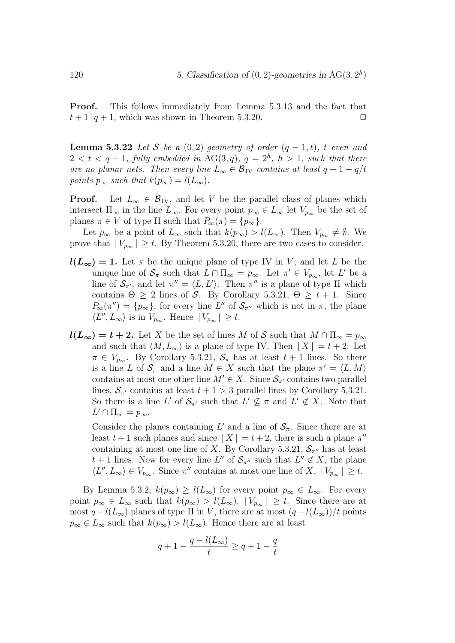Proof. This follows immediately from Lemma 5.3.13 and the fact that  $t+1|q+1$ , which was shown in Theorem 5.3.20.

**Lemma 5.3.22** Let S be a  $(0, 2)$ -geometry of order  $(q - 1, t)$ , t even and  $2 < t < q-1$ , fully embedded in AG(3,q),  $q = 2<sup>h</sup>$ ,  $h > 1$ , such that there are no planar nets. Then every line  $L_{\infty} \in \mathcal{B}_{IV}$  contains at least  $q + 1 - q/t$ points  $p_{\infty}$  such that  $k(p_{\infty}) = l(L_{\infty}).$ 

**Proof.** Let  $L_{\infty} \in \mathcal{B}_{IV}$ , and let V be the parallel class of planes which intersect  $\Pi_{\infty}$  in the line  $L_{\infty}$ . For every point  $p_{\infty} \in L_{\infty}$  let  $V_{p_{\infty}}$  be the set of planes  $\pi \in V$  of type II such that  $P_{\infty}(\pi) = \{p_{\infty}\}.$ 

Let  $p_{\infty}$  be a point of  $L_{\infty}$  such that  $k(p_{\infty}) > l(L_{\infty})$ . Then  $V_{p_{\infty}} \neq \emptyset$ . We prove that  $|V_{p_{\infty}}| \geq t$ . By Theorem 5.3.20, there are two cases to consider.

- $l(L_{\infty}) = 1$ . Let  $\pi$  be the unique plane of type IV in V, and let L be the unique line of  $S_{\pi}$  such that  $L \cap \Pi_{\infty} = p_{\infty}$ . Let  $\pi' \in V_{p_{\infty}}$ , let  $L'$  be a line of  $\mathcal{S}_{\pi}$ , and let  $\pi'' = \langle L, L' \rangle$ . Then  $\pi''$  is a plane of type II which contains  $\Theta \geq 2$  lines of S. By Corollary 5.3.21,  $\Theta \geq t + 1$ . Since  $P_{\infty}(\pi'') = \{p_{\infty}\}\$ , for every line  $L''$  of  $\mathcal{S}_{\pi''}$  which is not in  $\pi$ , the plane  $\langle L'', L_{\infty} \rangle$  is in  $V_{p_{\infty}}$ . Hence  $|V_{p_{\infty}}| \geq t$ .
- $l(L_{\infty}) = t + 2$ . Let X be the set of lines M of S such that  $M \cap \Pi_{\infty} = p_{\infty}$ and such that  $\langle M, L_{\infty} \rangle$  is a plane of type IV. Then  $| X | = t + 2$ . Let  $\pi \in V_{p_{\infty}}$ . By Corollary 5.3.21,  $\mathcal{S}_{\pi}$  has at least  $t+1$  lines. So there is a line L of  $S_{\pi}$  and a line  $M \in X$  such that the plane  $\pi' = \langle L, M \rangle$ contains at most one other line  $M' \in X$ . Since  $\mathcal{S}_{\pi'}$  contains two parallel lines,  $S_{\pi'}$  contains at least  $t + 1 > 3$  parallel lines by Corollary 5.3.21. So there is a line L' of  $S_{\pi'}$  such that  $L' \nsubseteq \pi$  and  $L' \notin X$ . Note that  $L' \cap \Pi_{\infty} = p_{\infty}.$

Consider the planes containing  $L'$  and a line of  $\mathcal{S}_{\pi}$ . Since there are at least  $t + 1$  such planes and since  $|X| = t + 2$ , there is such a plane  $\pi$ <sup>"</sup> containing at most one line of X. By Corollary 5.3.21,  $S_{\pi}$  has at least  $t + 1$  lines. Now for every line  $L''$  of  $\mathcal{S}_{\pi''}$  such that  $L'' \notin X$ , the plane  $\langle L'', L_{\infty} \rangle \in V_{p_{\infty}}$ . Since  $\pi''$  contains at most one line of X,  $|V_{p_{\infty}}| \geq t$ .

By Lemma 5.3.2,  $k(p_{\infty}) \ge l(L_{\infty})$  for every point  $p_{\infty} \in L_{\infty}$ . For every point  $p_{\infty} \in L_{\infty}$  such that  $k(p_{\infty}) > l(L_{\infty}), |V_{p_{\infty}}| \geq t$ . Since there are at most  $q - l(L_{\infty})$  planes of type II in V, there are at most  $(q - l(L_{\infty}))/t$  points  $p_{\infty} \in L_{\infty}$  such that  $k(p_{\infty}) > l(L_{\infty})$ . Hence there are at least

$$
q + 1 - \frac{q - l(L_{\infty})}{t} \ge q + 1 - \frac{q}{t}
$$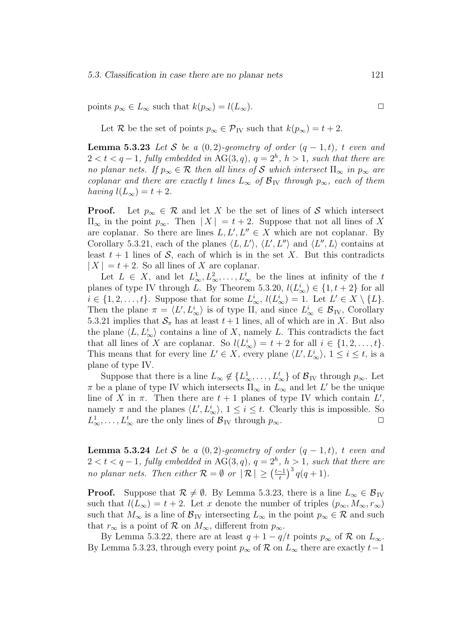points  $p_{\infty} \in L_{\infty}$  such that  $k(p_{\infty}) = l(L_{\infty})$ .

Let R be the set of points  $p_{\infty} \in \mathcal{P}_{IV}$  such that  $k(p_{\infty}) = t + 2$ .

**Lemma 5.3.23** Let S be a  $(0, 2)$ -geometry of order  $(q - 1, t)$ , t even and  $2 < t < q-1$ , fully embedded in  $AG(3, q)$ ,  $q = 2<sup>h</sup>$ ,  $h > 1$ , such that there are no planar nets. If  $p_{\infty} \in \mathcal{R}$  then all lines of S which intersect  $\Pi_{\infty}$  in  $p_{\infty}$  are coplanar and there are exactly t lines  $L_{\infty}$  of  $\mathcal{B}_{IV}$  through  $p_{\infty}$ , each of them having  $l(L_{\infty}) = t + 2$ .

**Proof.** Let  $p_{\infty} \in \mathcal{R}$  and let X be the set of lines of S which intersect  $\Pi_{\infty}$  in the point  $p_{\infty}$ . Then  $|X| = t + 2$ . Suppose that not all lines of X are coplanar. So there are lines  $L, L', L'' \in X$  which are not coplanar. By Corollary 5.3.21, each of the planes  $\langle L, L' \rangle$ ,  $\langle L', L'' \rangle$  and  $\langle L'', L \rangle$  contains at least  $t + 1$  lines of S, each of which is in the set X. But this contradicts  $|X| = t + 2$ . So all lines of X are coplanar.

Let  $L \in X$ , and let  $L^1_{\infty}, L^2_{\infty}, \ldots, L^t_{\infty}$  be the lines at infinity of the t planes of type IV through L. By Theorem 5.3.20,  $l(L^i_{\infty}) \in \{1, t + 2\}$  for all  $i \in \{1, 2, \ldots, t\}$ . Suppose that for some  $L^i_{\infty}$ ,  $l(L^i_{\infty}) = 1$ . Let  $L' \in X \setminus \{L\}$ . Then the plane  $\pi = \langle L', L^i_{\infty} \rangle$  is of type II, and since  $L^i_{\infty} \in \mathcal{B}_{IV}$ , Corollary 5.3.21 implies that  $S_{\pi}$  has at least  $t + 1$  lines, all of which are in X. But also the plane  $\langle L, L^i_{\infty} \rangle$  contains a line of X, namely L. This contradicts the fact that all lines of X are coplanar. So  $l(L^i_{\infty}) = t + 2$  for all  $i \in \{1, 2, ..., t\}$ . This means that for every line  $L' \in X$ , every plane  $\langle L', L^i_{\infty} \rangle$ ,  $1 \leq i \leq t$ , is a plane of type IV.

Suppose that there is a line  $L_{\infty} \notin \{L_{\infty}^1, \ldots, L_{\infty}^t\}$  of  $\mathcal{B}_{IV}$  through  $p_{\infty}$ . Let  $\pi$  be a plane of type IV which intersects  $\Pi_{\infty}$  in  $L_{\infty}$  and let  $L'$  be the unique line of X in  $\pi$ . Then there are  $t + 1$  planes of type IV which contain  $L'$ , namely  $\pi$  and the planes  $\langle L', L^i_{\infty} \rangle$ ,  $1 \leq i \leq t$ . Clearly this is impossible. So  $L^1_{\infty}, \ldots, L^t_{\infty}$  are the only lines of  $\mathcal{B}_{IV}$  through  $p_{\infty}$ .

**Lemma 5.3.24** Let S be a  $(0, 2)$ -geometry of order  $(q - 1, t)$ , t even and  $2 < t < q-1$ , fully embedded in  $AG(3, q)$ ,  $q = 2<sup>h</sup>$ ,  $h > 1$ , such that there are no planar nets. Then either  $\mathcal{R} = \emptyset$  or  $|\mathcal{R}| \geq \left(\frac{t-1}{t}\right)^3 q(q+1)$ .

**Proof.** Suppose that  $\mathcal{R} \neq \emptyset$ . By Lemma 5.3.23, there is a line  $L_{\infty} \in \mathcal{B}_{IV}$ such that  $l(L_{\infty}) = t + 2$ . Let x denote the number of triples  $(p_{\infty}, M_{\infty}, r_{\infty})$ such that  $M_{\infty}$  is a line of  $\mathcal{B}_{IV}$  intersecting  $L_{\infty}$  in the point  $p_{\infty} \in \mathcal{R}$  and such that  $r_{\infty}$  is a point of R on  $M_{\infty}$ , different from  $p_{\infty}$ .

By Lemma 5.3.22, there are at least  $q + 1 - q/t$  points  $p_{\infty}$  of  $\mathcal{R}$  on  $L_{\infty}$ . By Lemma 5.3.23, through every point  $p_{\infty}$  of  $\mathcal{R}$  on  $L_{\infty}$  there are exactly  $t-1$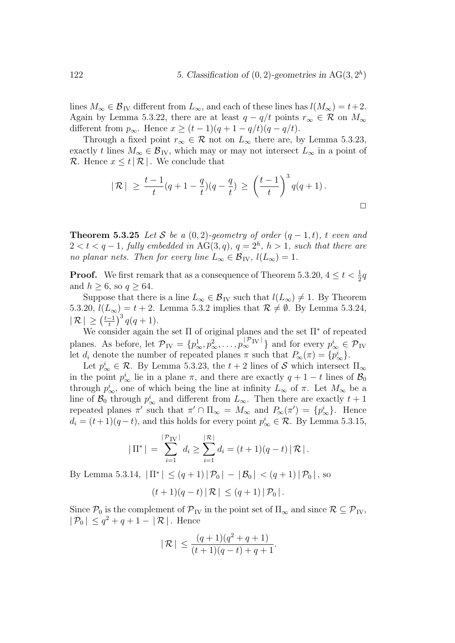lines  $M_{\infty} \in \mathcal{B}_{IV}$  different from  $L_{\infty}$ , and each of these lines has  $l(M_{\infty}) = t+2$ . Again by Lemma 5.3.22, there are at least  $q - q/t$  points  $r_{\infty} \in \mathcal{R}$  on  $M_{\infty}$ different from  $p_{\infty}$ . Hence  $x \ge (t-1)(q+1-q/t)(q-q/t)$ .

Through a fixed point  $r_{\infty} \in \mathcal{R}$  not on  $L_{\infty}$  there are, by Lemma 5.3.23, exactly t lines  $M_{\infty} \in \mathcal{B}_{IV}$ , which may or may not intersect  $L_{\infty}$  in a point of  $\mathcal{R}$ . Hence  $x \leq t | \mathcal{R} |$ . We conclude that

$$
|\mathcal{R}| \ge \frac{t-1}{t}(q+1-\frac{q}{t})(q-\frac{q}{t}) \ge \left(\frac{t-1}{t}\right)^3 q(q+1).
$$

**Theorem 5.3.25** Let S be a  $(0, 2)$ -geometry of order  $(q - 1, t)$ , t even and  $2 < t < q-1$ , fully embedded in  $AG(3, q)$ ,  $q = 2<sup>h</sup>$ ,  $h > 1$ , such that there are no planar nets. Then for every line  $L_{\infty} \in \mathcal{B}_{IV}$ ,  $l(L_{\infty}) = 1$ .

**Proof.** We first remark that as a consequence of Theorem 5.3.20,  $4 \le t < \frac{1}{2}q$ and  $h \geq 6$ , so  $q \geq 64$ .

Suppose that there is a line  $L_{\infty} \in \mathcal{B}_{IV}$  such that  $l(L_{\infty}) \neq 1$ . By Theorem 5.3.20,  $l(L_{\infty}) = t + 2$ . Lemma 5.3.2 implies that  $\mathcal{R} \neq \emptyset$ . By Lemma 5.3.24,  $| \mathcal{R} | \geq \left( \frac{t-1}{t} \right)^3 q(q+1).$ 

We consider again the set  $\Pi$  of original planes and the set  $\Pi^*$  of repeated planes. As before, let  $\mathcal{P}_{IV} = \{p_{\infty}^1, p_{\infty}^2, \ldots, p_{\infty}^{|\mathcal{P}_{IV}|}\}\$  and for every  $p_{\infty}^i \in \mathcal{P}_{IV}$ let  $d_i$  denote the number of repeated planes  $\pi$  such that  $P_{\infty}(\pi) = \{p_{\infty}^i\}.$ 

Let  $p^i_{\infty} \in \mathcal{R}$ . By Lemma 5.3.23, the  $t + 2$  lines of  $\mathcal{S}$  which intersect  $\Pi_{\infty}$ in the point  $p^i_{\infty}$  lie in a plane  $\pi$ , and there are exactly  $q + 1 - t$  lines of  $\mathcal{B}_0$ through  $p^i_{\infty}$ , one of which being the line at infinity  $L_{\infty}$  of  $\pi$ . Let  $M_{\infty}$  be a line of  $\mathcal{B}_0$  through  $p^i_{\infty}$  and different from  $L_{\infty}$ . Then there are exactly  $t + 1$ repeated planes  $\pi'$  such that  $\pi' \cap \Pi_{\infty} = M_{\infty}$  and  $P_{\infty}(\pi') = \{p_{\infty}^i\}$ . Hence  $d_i = (t+1)(q-t)$ , and this holds for every point  $p^i_{\infty} \in \mathcal{R}$ . By Lemma 5.3.15,

$$
|\Pi^*| = \sum_{i=1}^{|\mathcal{P}_{IV}|} d_i \ge \sum_{i=1}^{|\mathcal{R}|} d_i = (t+1)(q-t) |\mathcal{R}|.
$$

By Lemma 5.3.14,  $|\Pi^*| \leq (q+1)|\mathcal{P}_0| - |\mathcal{B}_0| < (q+1)|\mathcal{P}_0|$ , so

$$
(t+1)(q-t) | \mathcal{R} | \leq (q+1) | \mathcal{P}_0 |.
$$

Since  $\mathcal{P}_0$  is the complement of  $\mathcal{P}_{IV}$  in the point set of  $\Pi_{\infty}$  and since  $\mathcal{R} \subseteq \mathcal{P}_{IV}$ ,  $|\mathcal{P}_0| \leq q^2 + q + 1 - |\mathcal{R}|$ . Hence

$$
|R| \le \frac{(q+1)(q^2+q+1)}{(t+1)(q-t)+q+1}.
$$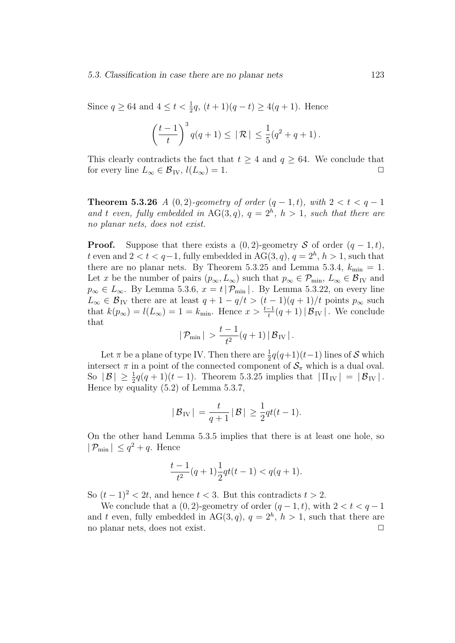Since  $q \ge 64$  and  $4 \le t < \frac{1}{2}q$ ,  $(t+1)(q-t) \ge 4(q+1)$ . Hence

$$
\left(\frac{t-1}{t}\right)^3 q(q+1) \leq |\mathcal{R}| \leq \frac{1}{5}(q^2+q+1).
$$

This clearly contradicts the fact that  $t \geq 4$  and  $q \geq 64$ . We conclude that for every line  $L_{\infty} \in \mathcal{B}_{IV}$ ,  $l(L_{\infty}) = 1$ .

**Theorem 5.3.26** A (0, 2)-geometry of order  $(q-1,t)$ , with  $2 < t < q-1$ and t even, fully embedded in AG(3,q),  $q = 2<sup>h</sup>$ ,  $h > 1$ , such that there are no planar nets, does not exist.

**Proof.** Suppose that there exists a  $(0, 2)$ -geometry S of order  $(q - 1, t)$ , t even and  $2 < t < q-1$ , fully embedded in AG(3,q),  $q = 2<sup>h</sup>$ ,  $h > 1$ , such that there are no planar nets. By Theorem 5.3.25 and Lemma 5.3.4,  $k_{\text{min}} = 1$ . Let x be the number of pairs  $(p_{\infty}, L_{\infty})$  such that  $p_{\infty} \in \mathcal{P}_{min}$ ,  $L_{\infty} \in \mathcal{B}_{IV}$  and  $p_{\infty} \in L_{\infty}$ . By Lemma 5.3.6,  $x = t | \mathcal{P}_{\min} |$ . By Lemma 5.3.22, on every line  $L_{\infty} \in \mathcal{B}_{IV}$  there are at least  $q + 1 - q/t > (t - 1)(q + 1)/t$  points  $p_{\infty}$  such that  $k(p_\infty) = l(L_\infty) = 1 = k_{\min}$ . Hence  $x > \frac{t-1}{t}(q+1) |B_{IV}|$ . We conclude that

$$
|P_{\min}| > \frac{t-1}{t^2}(q+1) |B_{\text{IV}}|.
$$

Let  $\pi$  be a plane of type IV. Then there are  $\frac{1}{2}q(q+1)(t-1)$  lines of S which intersect  $\pi$  in a point of the connected component of  $\mathcal{S}_{\pi}$  which is a dual oval. So  $|\mathcal{B}| \ge \frac{1}{2}q(q+1)(t-1)$ . Theorem 5.3.25 implies that  $|\Pi_{IV}| = |\mathcal{B}_{IV}|$ . Hence by equality (5.2) of Lemma 5.3.7,

$$
|\mathcal{B}_{\mathrm{IV}}| = \frac{t}{q+1} |\mathcal{B}| \ge \frac{1}{2} qt(t-1).
$$

On the other hand Lemma 5.3.5 implies that there is at least one hole, so  $|\mathcal{P}_{\min}| \leq q^2 + q$ . Hence

$$
\frac{t-1}{t^2}(q+1)\frac{1}{2}qt(t-1) < q(q+1).
$$

So  $(t-1)^2 < 2t$ , and hence  $t < 3$ . But this contradicts  $t > 2$ .

We conclude that a  $(0, 2)$ -geometry of order  $(q - 1, t)$ , with  $2 < t < q - 1$ and t even, fully embedded in AG(3,q),  $q = 2<sup>h</sup>$ ,  $h > 1$ , such that there are no planar nets, does not exist.  $\Box$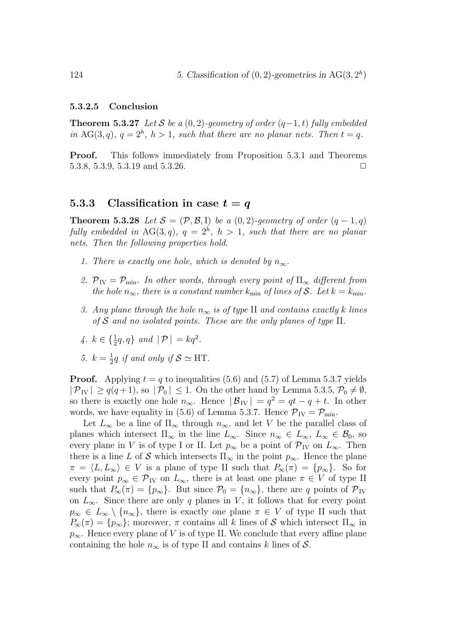#### 5.3.2.5 Conclusion

**Theorem 5.3.27** Let S be a  $(0, 2)$ -geometry of order  $(q-1, t)$  fully embedded in AG(3,q),  $q = 2<sup>h</sup>$ ,  $h > 1$ , such that there are no planar nets. Then  $t = q$ .

Proof. This follows immediately from Proposition 5.3.1 and Theorems 5.3.8, 5.3.9, 5.3.19 and 5.3.26.  $\Box$ 

#### 5.3.3 Classification in case  $t = q$

**Theorem 5.3.28** Let  $S = (\mathcal{P}, \mathcal{B}, I)$  be a (0,2)-geometry of order  $(q - 1, q)$ fully embedded in  $AG(3,q)$ ,  $q = 2<sup>h</sup>$ ,  $h > 1$ , such that there are no planar nets. Then the following properties hold.

- 1. There is exactly one hole, which is denoted by  $n_{\infty}$ .
- 2.  $\mathcal{P}_{IV} = \mathcal{P}_{min}$ . In other words, through every point of  $\Pi_{\infty}$  different from the hole  $n_{\infty}$ , there is a constant number  $k_{\min}$  of lines of S. Let  $k = k_{\min}$ .
- 3. Any plane through the hole  $n_{\infty}$  is of type II and contains exactly k lines of  $S$  and no isolated points. These are the only planes of type II.
- 4.  $k \in \{\frac{1}{2}q, q\}$  and  $|\mathcal{P}| = kq^2$ .
- 5.  $k = \frac{1}{2}q$  if and only if  $S \simeq \text{HT}$ .

**Proof.** Applying  $t = q$  to inequalities (5.6) and (5.7) of Lemma 5.3.7 yields  $|\mathcal{P}_{IV}| \geq q(q+1)$ , so  $|\mathcal{P}_0| \leq 1$ . On the other hand by Lemma 5.3.5,  $\mathcal{P}_0 \neq \emptyset$ , so there is exactly one hole  $n_{\infty}$ . Hence  $|\mathcal{B}_{IV}| = q^2 = qt - q + t$ . In other words, we have equality in (5.6) of Lemma 5.3.7. Hence  $\mathcal{P}_{IV} = \mathcal{P}_{min}$ .

Let  $L_{\infty}$  be a line of  $\Pi_{\infty}$  through  $n_{\infty}$ , and let V be the parallel class of planes which intersect  $\Pi_{\infty}$  in the line  $L_{\infty}$ . Since  $n_{\infty} \in L_{\infty}$ ,  $L_{\infty} \in \mathcal{B}_0$ , so every plane in V is of type I or II. Let  $p_{\infty}$  be a point of  $\mathcal{P}_{IV}$  on  $L_{\infty}$ . Then there is a line L of S which intersects  $\Pi_{\infty}$  in the point  $p_{\infty}$ . Hence the plane  $\pi = \langle L, L_{\infty} \rangle \in V$  is a plane of type II such that  $P_{\infty}(\pi) = \{p_{\infty}\}.$  So for every point  $p_{\infty} \in \mathcal{P}_{IV}$  on  $L_{\infty}$ , there is at least one plane  $\pi \in V$  of type II such that  $P_{\infty}(\pi) = \{p_{\infty}\}\.$  But since  $\mathcal{P}_{0} = \{n_{\infty}\}\.$  there are q points of  $\mathcal{P}_{IV}$ on  $L_{\infty}$ . Since there are only q planes in V, it follows that for every point  $p_{\infty} \in L_{\infty} \setminus \{n_{\infty}\}\$ , there is exactly one plane  $\pi \in V$  of type II such that  $P_{\infty}(\pi) = \{p_{\infty}\}\;$  moreover,  $\pi$  contains all k lines of S which intersect  $\Pi_{\infty}$  in  $p_{\infty}$ . Hence every plane of V is of type II. We conclude that every affine plane containing the hole  $n_{\infty}$  is of type II and contains k lines of S.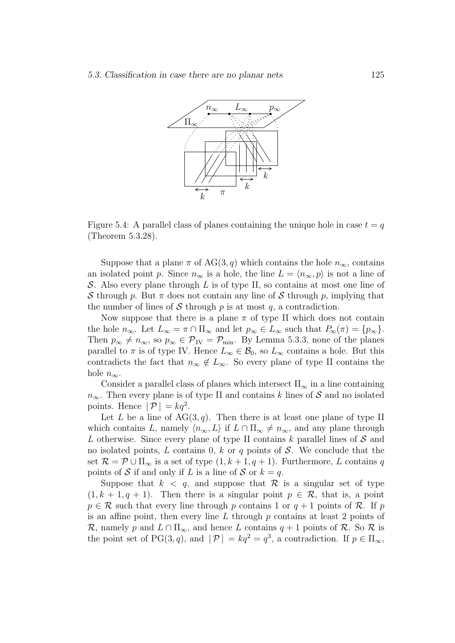

Figure 5.4: A parallel class of planes containing the unique hole in case  $t = q$ (Theorem 5.3.28).

Suppose that a plane  $\pi$  of AG(3, q) which contains the hole  $n_{\infty}$ , contains an isolated point p. Since  $n_{\infty}$  is a hole, the line  $L = \langle n_{\infty}, p \rangle$  is not a line of S. Also every plane through  $L$  is of type II, so contains at most one line of S through p. But  $\pi$  does not contain any line of S through p, implying that the number of lines of S through  $p$  is at most  $q$ , a contradiction.

Now suppose that there is a plane  $\pi$  of type II which does not contain the hole  $n_{\infty}$ . Let  $L_{\infty} = \pi \cap \Pi_{\infty}$  and let  $p_{\infty} \in L_{\infty}$  such that  $P_{\infty}(\pi) = \{p_{\infty}\}.$ Then  $p_{\infty} \neq n_{\infty}$ , so  $p_{\infty} \in \mathcal{P}_{IV} = \mathcal{P}_{min}$ . By Lemma 5.3.3, none of the planes parallel to  $\pi$  is of type IV. Hence  $L_{\infty} \in \mathcal{B}_0$ , so  $L_{\infty}$  contains a hole. But this contradicts the fact that  $n_{\infty} \notin L_{\infty}$ . So every plane of type II contains the hole  $n_{\infty}$ .

Consider a parallel class of planes which intersect  $\Pi_{\infty}$  in a line containing  $n_{\infty}$ . Then every plane is of type II and contains k lines of S and no isolated points. Hence  $|\mathcal{P}| = kq^2$ .

Let L be a line of  $AG(3, q)$ . Then there is at least one plane of type II which contains L, namely  $\langle n_{\infty}, L \rangle$  if  $L \cap \Pi_{\infty} \neq n_{\infty}$ , and any plane through L otherwise. Since every plane of type II contains k parallel lines of  $S$  and no isolated points, L contains 0, k or q points of  $S$ . We conclude that the set  $\mathcal{R} = \mathcal{P} \cup \Pi_{\infty}$  is a set of type  $(1, k + 1, q + 1)$ . Furthermore, L contains q points of S if and only if L is a line of S or  $k = q$ .

Suppose that  $k < q$ , and suppose that  $\mathcal R$  is a singular set of type  $(1, k + 1, q + 1)$ . Then there is a singular point  $p \in \mathcal{R}$ , that is, a point  $p \in \mathcal{R}$  such that every line through p contains 1 or  $q + 1$  points of  $\mathcal{R}$ . If p is an affine point, then every line  $L$  through  $p$  contains at least 2 points of R, namely p and  $L \cap \Pi_{\infty}$ , and hence L contains  $q + 1$  points of R. So R is the point set of PG(3, q), and  $|\mathcal{P}| = kq^2 = q^3$ , a contradiction. If  $p \in \Pi_{\infty}$ ,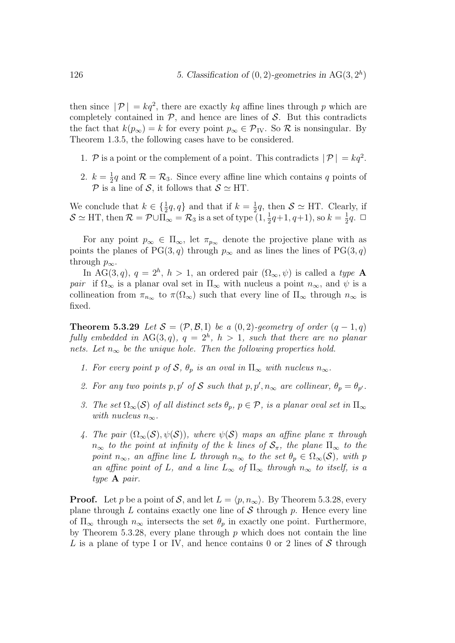then since  $|\mathcal{P}| = kq^2$ , there are exactly kq affine lines through p which are completely contained in  $P$ , and hence are lines of  $S$ . But this contradicts the fact that  $k(p_{\infty}) = k$  for every point  $p_{\infty} \in \mathcal{P}_{IV}$ . So  $\mathcal{R}$  is nonsingular. By Theorem 1.3.5, the following cases have to be considered.

- 1. P is a point or the complement of a point. This contradicts  $|\mathcal{P}| = kq^2$ .
- 2.  $k = \frac{1}{2}q$  and  $\mathcal{R} = \mathcal{R}_3$ . Since every affine line which contains q points of P is a line of S, it follows that  $S \simeq HT$ .

We conclude that  $k \in \{\frac{1}{2}q, q\}$  and that if  $k = \frac{1}{2}q$ , then  $S \simeq \text{HT}$ . Clearly, if  $\mathcal{S} \simeq \text{HT}$ , then  $\mathcal{R} = \mathcal{P} \cup \overline{\Pi}_{\infty} = \mathcal{R}_3$  is a set of type  $(1, \frac{1}{2}q+1, q+1)$ , so  $k = \frac{1}{2}q$ .  $\Box$ 

For any point  $p_{\infty} \in \Pi_{\infty}$ , let  $\pi_{p_{\infty}}$  denote the projective plane with as points the planes of PG(3, q) through  $p_{\infty}$  and as lines the lines of PG(3, q) through  $p_{\infty}$ .

In AG(3,q),  $q = 2<sup>h</sup>$ ,  $h > 1$ , an ordered pair  $(\Omega_{\infty}, \psi)$  is called a type **A** pair if  $\Omega_{\infty}$  is a planar oval set in  $\Pi_{\infty}$  with nucleus a point  $n_{\infty}$ , and  $\psi$  is a collineation from  $\pi_{n_{\infty}}$  to  $\pi(\Omega_{\infty})$  such that every line of  $\Pi_{\infty}$  through  $n_{\infty}$  is fixed.

**Theorem 5.3.29** Let  $S = (\mathcal{P}, \mathcal{B}, I)$  be a (0,2)-geometry of order  $(q - 1, q)$ fully embedded in  $AG(3,q)$ ,  $q = 2<sup>h</sup>$ ,  $h > 1$ , such that there are no planar nets. Let  $n_{\infty}$  be the unique hole. Then the following properties hold.

- 1. For every point p of S,  $\theta_p$  is an oval in  $\Pi_{\infty}$  with nucleus  $n_{\infty}$ .
- 2. For any two points p, p' of S such that  $p, p', n_{\infty}$  are collinear,  $\theta_p = \theta_{p'}$ .
- 3. The set  $\Omega_{\infty}(\mathcal{S})$  of all distinct sets  $\theta_p$ ,  $p \in \mathcal{P}$ , is a planar oval set in  $\Pi_{\infty}$ with nucleus  $n_{\infty}$ .
- 4. The pair  $(\Omega_{\infty}(S), \psi(S))$ , where  $\psi(S)$  maps an affine plane  $\pi$  through  $n_{\infty}$  to the point at infinity of the k lines of  $S_{\pi}$ , the plane  $\Pi_{\infty}$  to the point  $n_{\infty}$ , an affine line L through  $n_{\infty}$  to the set  $\theta_p \in \Omega_{\infty}(\mathcal{S})$ , with p an affine point of L, and a line  $L_{\infty}$  of  $\Pi_{\infty}$  through  $n_{\infty}$  to itself, is a type A pair.

**Proof.** Let p be a point of S, and let  $L = \langle p, n_{\infty} \rangle$ . By Theorem 5.3.28, every plane through  $L$  contains exactly one line of  $S$  through  $p$ . Hence every line of  $\Pi_{\infty}$  through  $n_{\infty}$  intersects the set  $\theta_p$  in exactly one point. Furthermore, by Theorem 5.3.28, every plane through  $p$  which does not contain the line L is a plane of type I or IV, and hence contains 0 or 2 lines of  $S$  through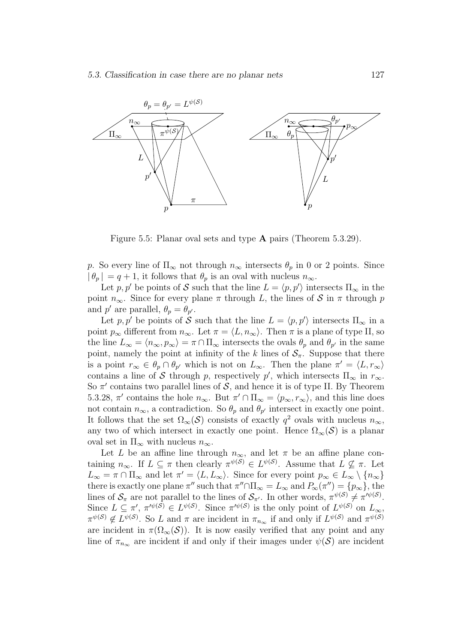

Figure 5.5: Planar oval sets and type A pairs (Theorem 5.3.29).

p. So every line of  $\Pi_{\infty}$  not through  $n_{\infty}$  intersects  $\theta_p$  in 0 or 2 points. Since  $|\theta_p| = q + 1$ , it follows that  $\theta_p$  is an oval with nucleus  $n_{\infty}$ .

Let p, p' be points of S such that the line  $L = \langle p, p' \rangle$  intersects  $\Pi_{\infty}$  in the point  $n_{\infty}$ . Since for every plane  $\pi$  through L, the lines of S in  $\pi$  through p and p' are parallel,  $\theta_p = \theta_{p'}$ .

Let p, p' be points of S such that the line  $L = \langle p, p' \rangle$  intersects  $\Pi_{\infty}$  in a point  $p_{\infty}$  different from  $n_{\infty}$ . Let  $\pi = \langle L, n_{\infty} \rangle$ . Then  $\pi$  is a plane of type II, so the line  $L_{\infty} = \langle n_{\infty}, p_{\infty} \rangle = \pi \cap \Pi_{\infty}$  intersects the ovals  $\theta_p$  and  $\theta_{p'}$  in the same point, namely the point at infinity of the k lines of  $S_{\pi}$ . Suppose that there is a point  $r_{\infty} \in \theta_p \cap \theta_{p'}$  which is not on  $L_{\infty}$ . Then the plane  $\pi' = \langle L, r_{\infty} \rangle$ contains a line of S through p, respectively p', which intersects  $\Pi_{\infty}$  in  $r_{\infty}$ . So  $\pi'$  contains two parallel lines of  $S$ , and hence it is of type II. By Theorem 5.3.28,  $\pi'$  contains the hole  $n_{\infty}$ . But  $\pi' \cap \Pi_{\infty} = \langle p_{\infty}, r_{\infty} \rangle$ , and this line does not contain  $n_{\infty}$ , a contradiction. So  $\theta_p$  and  $\theta_{p'}$  intersect in exactly one point. It follows that the set  $\Omega_{\infty}(\mathcal{S})$  consists of exactly  $q^2$  ovals with nucleus  $n_{\infty}$ , any two of which intersect in exactly one point. Hence  $\Omega_{\infty}(S)$  is a planar oval set in  $\Pi_{\infty}$  with nucleus  $n_{\infty}$ .

Let L be an affine line through  $n_{\infty}$ , and let  $\pi$  be an affine plane containing  $n_{\infty}$ . If  $L \subseteq \pi$  then clearly  $\pi^{\psi(S)} \in L^{\psi(S)}$ . Assume that  $L \nsubseteq \pi$ . Let  $L_{\infty} = \pi \cap \Pi_{\infty}$  and let  $\pi' = \langle L, L_{\infty} \rangle$ . Since for every point  $p_{\infty} \in L_{\infty} \setminus \{n_{\infty}\}\$ there is exactly one plane  $\pi''$  such that  $\pi'' \cap \Pi_{\infty} = L_{\infty}$  and  $P_{\infty}(\pi'') = \{p_{\infty}\}\$ , the lines of  $\mathcal{S}_{\pi}$  are not parallel to the lines of  $\mathcal{S}_{\pi'}$ . In other words,  $\pi^{\psi(\mathcal{S})} \neq \pi'^{\psi(\mathcal{S})}$ . Since  $L \subseteq \pi'$ ,  $\pi'^{\psi(S)} \in L^{\psi(S)}$ . Since  $\pi'^{\psi(S)}$  is the only point of  $L^{\psi(S)}$  on  $L_{\infty}$ ,  $\pi^{\psi(S)} \notin L^{\psi(S)}$ . So L and  $\pi$  are incident in  $\pi_{n_{\infty}}$  if and only if  $L^{\psi(S)}$  and  $\pi^{\psi(S)}$ are incident in  $\pi(\Omega_{\infty}(S))$ . It is now easily verified that any point and any line of  $\pi_{n_{\infty}}$  are incident if and only if their images under  $\psi(\mathcal{S})$  are incident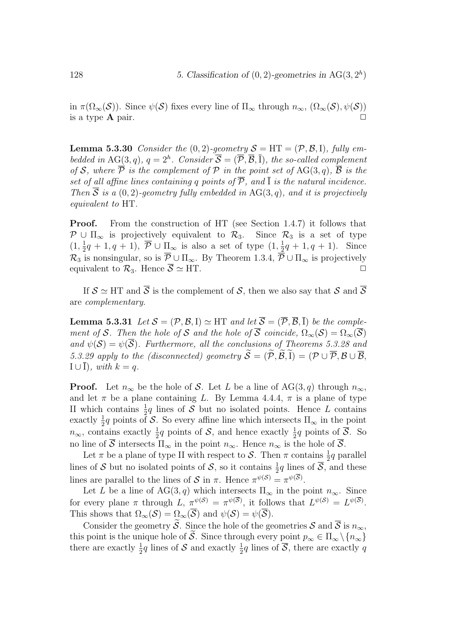in  $\pi(\Omega_{\infty}(\mathcal{S}))$ . Since  $\psi(\mathcal{S})$  fixes every line of  $\Pi_{\infty}$  through  $n_{\infty}$ ,  $(\Omega_{\infty}(\mathcal{S}), \psi(\mathcal{S}))$ is a type  $\bf{A}$  pair.  $\Box$ 

**Lemma 5.3.30** Consider the  $(0, 2)$ -geometry  $S = HT = (\mathcal{P}, \mathcal{B}, I)$ , fully embedded in AG(3,q),  $q = 2^h$ . Consider  $\overline{S} = (\overline{P}, \overline{B}, \overline{I})$ , the so-called complement of S, where  $\overline{P}$  is the complement of P in the point set of AG(3,q),  $\overline{B}$  is the set of all affine lines containing q points of  $\overline{P}$ , and  $\overline{I}$  is the natural incidence. Then  $\overline{S}$  is a (0, 2)-geometry fully embedded in AG(3, q), and it is projectively equivalent to HT.

**Proof.** From the construction of HT (see Section 1.4.7) it follows that  $\mathcal{P} \cup \Pi_{\infty}$  is projectively equivalent to  $\mathcal{R}_3$ . Since  $\mathcal{R}_3$  is a set of type  $(1, \frac{1}{2}q+1, q+1)$ ,  $\overline{P} \cup \prod_{\infty}$  is also a set of type  $(1, \frac{1}{2}q+1, q+1)$ . Since  $\mathcal{R}_3$  is nonsingular, so is  $\overline{\mathcal{P}} \cup \Pi_{\infty}$ . By Theorem 1.3.4,  $\overline{\overline{\mathcal{P}}} \cup \Pi_{\infty}$  is projectively equivalent to  $\mathcal{R}_3$ . Hence  $\overline{\mathcal{S}} \simeq HT$ .

If  $S \simeq \text{HT}$  and  $\overline{S}$  is the complement of S, then we also say that S and  $\overline{S}$ are complementary.

**Lemma 5.3.31** Let  $S = (\mathcal{P}, \mathcal{B}, I) \simeq H T$  and let  $\overline{S} = (\overline{\mathcal{P}}, \overline{\mathcal{B}}, I)$  be the complement of S. Then the hole of S and the hole of  $\overline{S}$  coincide,  $\Omega_{\infty}(S) = \Omega_{\infty}(\overline{S})$ and  $\psi(\mathcal{S}) = \psi(\overline{\mathcal{S}})$ . Furthermore, all the conclusions of Theorems 5.3.28 and 5.3.29 apply to the (disconnected) geometry  $\widetilde{S} = (\widetilde{\mathcal{P}}, \widetilde{\mathcal{B}}, \widetilde{I}) = (\mathcal{P} \cup \overline{\mathcal{P}}, \mathcal{B} \cup \overline{\mathcal{B}},$  $I \cup \overline{I}$ , with  $k = q$ .

**Proof.** Let  $n_{\infty}$  be the hole of S. Let L be a line of AG(3, q) through  $n_{\infty}$ , and let  $\pi$  be a plane containing L. By Lemma 4.4.4,  $\pi$  is a plane of type II which contains  $\frac{1}{2}q$  lines of S but no isolated points. Hence L contains exactly  $\frac{1}{2}q$  points of S. So every affine line which intersects  $\Pi_{\infty}$  in the point  $n_{\infty}$ , contains exactly  $\frac{1}{2}q$  points of  $S$ , and hence exactly  $\frac{1}{2}q$  points of  $\overline{S}$ . So no line of  $\overline{S}$  intersects  $\Pi_{\infty}$  in the point  $n_{\infty}$ . Hence  $n_{\infty}$  is the hole of  $\overline{S}$ .

Let  $\pi$  be a plane of type II with respect to S. Then  $\pi$  contains  $\frac{1}{2}q$  parallel lines of S but no isolated points of S, so it contains  $\frac{1}{2}q$  lines of  $\overline{S}$ , and these lines are parallel to the lines of S in  $\pi$ . Hence  $\pi^{\psi(S)} = \pi^{\psi(\overline{S})}$ .

Let L be a line of  $AG(3, q)$  which intersects  $\Pi_{\infty}$  in the point  $n_{\infty}$ . Since for every plane  $\pi$  through  $L, \pi^{\psi(\mathcal{S})} = \pi^{\psi(\overline{\mathcal{S}})}$ , it follows that  $L^{\psi(\mathcal{S})} = L^{\psi(\overline{\mathcal{S}})}$ . This shows that  $\Omega_{\infty}(\mathcal{S}) = \Omega_{\infty}(\overline{\mathcal{S}})$  and  $\psi(\mathcal{S}) = \psi(\overline{\mathcal{S}})$ .

Consider the geometry  $\tilde{S}$ . Since the hole of the geometries  $S$  and  $\overline{S}$  is  $n_{\infty}$ , this point is the unique hole of  $\widetilde{S}$ . Since through every point  $p_{\infty} \in \Pi_{\infty} \setminus \{n_{\infty}\}\$ there are exactly  $\frac{1}{2}q$  lines of  $S$  and exactly  $\frac{1}{2}q$  lines of  $\overline{S}$ , there are exactly q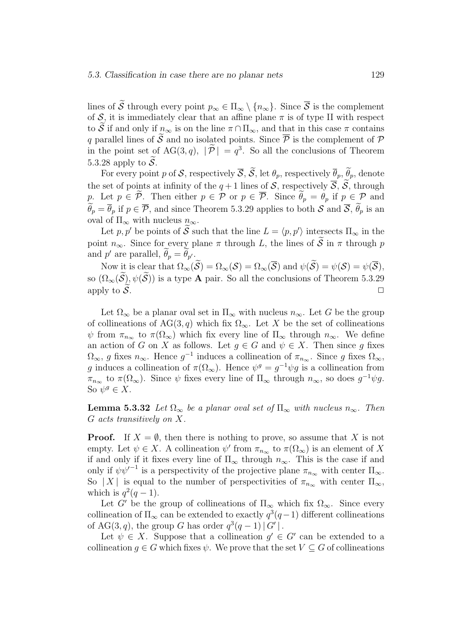lines of  $\widetilde{\mathcal{S}}$  through every point  $p_{\infty} \in \Pi_{\infty} \setminus \{n_{\infty}\}\$ . Since  $\overline{\mathcal{S}}$  is the complement of S, it is immediately clear that an affine plane  $\pi$  is of type II with respect to  $\widetilde{\mathcal{S}}$  if and only if  $n_{\infty}$  is on the line  $\pi \cap \Pi_{\infty}$ , and that in this case  $\pi$  contains q parallel lines of  $\tilde{S}$  and no isolated points. Since  $\overline{P}$  is the complement of  $P$ in the point set of AG(3, q),  $|\tilde{\mathcal{P}}| = q^3$ . So all the conclusions of Theorem 5.3.28 apply to  $\widetilde{\mathcal{S}}$ .

For every point p of S, respectively  $\overline{S}$ ,  $\widetilde{S}$ , let  $\theta_p$ , respectively  $\overline{\theta}_p$ ,  $\widetilde{\theta}_p$ , denote the set of points at infinity of the  $q+1$  lines of S, respectively  $\overline{S}$ ,  $\widetilde{S}$ , through p. Let  $p \in \tilde{\mathcal{P}}$ . Then either  $p \in \mathcal{P}$  or  $p \in \overline{\mathcal{P}}$ . Since  $\tilde{\theta}_p = \theta_p$  if  $p \in \mathcal{P}$  and  $\widetilde{\theta}_p = \overline{\theta}_p$  if  $p \in \overline{\mathcal{P}}$ , and since Theorem 5.3.29 applies to both S and  $\overline{\mathcal{S}}, \widetilde{\theta}_p$  is an oval of  $\Pi_{\infty}$  with nucleus  $n_{\infty}$ .

Let p, p' be points of  $\tilde{S}$  such that the line  $L = \langle p, p' \rangle$  intersects  $\Pi_{\infty}$  in the point  $n_{\infty}$ . Since for every plane  $\pi$  through L, the lines of  $\widetilde{S}$  in  $\pi$  through p and p' are parallel,  $\hat{\theta}_p = \hat{\theta}_{p'}$ .

Now it is clear that  $\Omega_{\infty}(\widetilde{S}) = \Omega_{\infty}(\mathcal{S}) = \Omega_{\infty}(\overline{\mathcal{S}})$  and  $\psi(\widetilde{S}) = \psi(\mathcal{S}) = \psi(\overline{\mathcal{S}})$ , so  $(\Omega_{\infty}(\widetilde{\mathcal{S}}), \psi(\widetilde{\mathcal{S}}))$  is a type **A** pair. So all the conclusions of Theorem 5.3.29 apply to  $\widetilde{\mathcal{S}}$ . apply to  $\widetilde{\mathcal{S}}$ .

Let  $\Omega_{\infty}$  be a planar oval set in  $\Pi_{\infty}$  with nucleus  $n_{\infty}$ . Let G be the group of collineations of AG(3, q) which fix  $\Omega_{\infty}$ . Let X be the set of collineations  $\psi$  from  $\pi_{n_{\infty}}$  to  $\pi(\Omega_{\infty})$  which fix every line of  $\Pi_{\infty}$  through  $n_{\infty}$ . We define an action of G on X as follows. Let  $g \in G$  and  $\psi \in X$ . Then since g fixes  $\Omega_{\infty}$ , g fixes  $n_{\infty}$ . Hence  $g^{-1}$  induces a collineation of  $\pi_{n_{\infty}}$ . Since g fixes  $\Omega_{\infty}$ , g induces a collineation of  $\pi(\Omega_{\infty})$ . Hence  $\psi^g = g^{-1} \psi g$  is a collineation from  $\pi_{n_{\infty}}$  to  $\pi(\Omega_{\infty})$ . Since  $\psi$  fixes every line of  $\Pi_{\infty}$  through  $n_{\infty}$ , so does  $g^{-1}\psi g$ . So  $\psi^g \in X$ .

**Lemma 5.3.32** Let  $\Omega_{\infty}$  be a planar oval set of  $\Pi_{\infty}$  with nucleus  $n_{\infty}$ . Then G acts transitively on X.

**Proof.** If  $X = \emptyset$ , then there is nothing to prove, so assume that X is not empty. Let  $\psi \in X$ . A collineation  $\psi'$  from  $\pi_{n_{\infty}}$  to  $\pi(\Omega_{\infty})$  is an element of X if and only if it fixes every line of  $\Pi_{\infty}$  through  $n_{\infty}$ . This is the case if and only if  $\psi \psi'^{-1}$  is a perspectivity of the projective plane  $\pi_{n_{\infty}}$  with center  $\Pi_{\infty}$ . So | X | is equal to the number of perspectivities of  $\pi_{n_{\infty}}$  with center  $\Pi_{\infty}$ , which is  $q^2(q-1)$ .

Let G' be the group of collineations of  $\Pi_{\infty}$  which fix  $\Omega_{\infty}$ . Since every collineation of  $\Pi_{\infty}$  can be extended to exactly  $q^3(q-1)$  different collineations of AG(3,q), the group G has order  $q^3(q-1)|G'|$ .

Let  $\psi \in X$ . Suppose that a collineation  $g' \in G'$  can be extended to a collineation  $g \in G$  which fixes  $\psi$ . We prove that the set  $V \subseteq G$  of collineations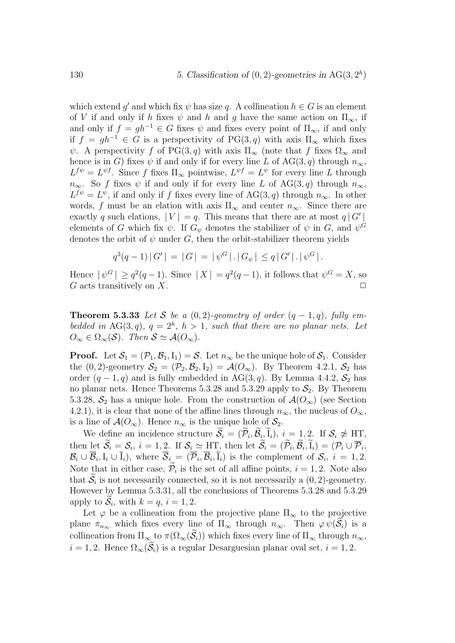which extend g' and which fix  $\psi$  has size q. A collineation  $h \in G$  is an element of V if and only if h fixes  $\psi$  and h and q have the same action on  $\Pi_{\infty}$ , if and only if  $f = gh^{-1} \in G$  fixes  $\psi$  and fixes every point of  $\Pi_{\infty}$ , if and only if  $f = gh^{-1} \in G$  is a perspectivity of PG(3, q) with axis  $\Pi_{\infty}$  which fixes  $\psi$ . A perspectivity f of PG(3, q) with axis  $\Pi_{\infty}$  (note that f fixes  $\Omega_{\infty}$  and hence is in G) fixes  $\psi$  if and only if for every line L of AG(3, q) through  $n_{\infty}$ ,  $L^{f\psi} = L^{\psi f}$ . Since f fixes  $\Pi_{\infty}$  pointwise,  $L^{\psi f} = L^{\psi}$  for every line L through  $n_{\infty}$ . So f fixes  $\psi$  if and only if for every line L of AG(3, q) through  $n_{\infty}$ ,  $L^{f\psi} = L^{\psi}$ , if and only if f fixes every line of  $AG(3, q)$  through  $n_{\infty}$ . In other words, f must be an elation with axis  $\Pi_{\infty}$  and center  $n_{\infty}$ . Since there are exactly q such elations,  $|V| = q$ . This means that there are at most  $q | G' |$ elements of G which fix  $\psi$ . If  $G_{\psi}$  denotes the stabilizer of  $\psi$  in G, and  $\psi^G$ denotes the orbit of  $\psi$  under G, then the orbit-stabilizer theorem yields

$$
q^{3}(q-1) |G'| = |G| = |\psi^{G}| |G_{\psi}| \leq q |G'| | \psi^{G}|.
$$

Hence  $|\psi^G| \geq q^2(q-1)$ . Since  $|X| = q^2(q-1)$ , it follows that  $\psi^G = X$ , so G acts transitively on X.  $\Box$ 

**Theorem 5.3.33** Let S be a  $(0, 2)$ -geometry of order  $(q - 1, q)$ , fully embedded in AG(3,q),  $q = 2<sup>h</sup>$ ,  $h > 1$ , such that there are no planar nets. Let  $O_{\infty} \in \Omega_{\infty}(S)$ . Then  $S \simeq \mathcal{A}(O_{\infty})$ .

**Proof.** Let  $S_1 = (\mathcal{P}_1, \mathcal{B}_1, I_1) = S$ . Let  $n_{\infty}$  be the unique hole of  $S_1$ . Consider the  $(0, 2)$ -geometry  $S_2 = (\mathcal{P}_2, \mathcal{B}_2, I_2) = \mathcal{A}(O_\infty)$ . By Theorem 4.2.1,  $S_2$  has order  $(q-1, q)$  and is fully embedded in AG(3, q). By Lemma 4.4.2,  $S_2$  has no planar nets. Hence Theorems 5.3.28 and 5.3.29 apply to  $S_2$ . By Theorem 5.3.28,  $S_2$  has a unique hole. From the construction of  $\mathcal{A}(O_\infty)$  (see Section 4.2.1), it is clear that none of the affine lines through  $n_{\infty}$ , the nucleus of  $O_{\infty}$ , is a line of  $\mathcal{A}(O_{\infty})$ . Hence  $n_{\infty}$  is the unique hole of  $\mathcal{S}_2$ .

We define an incidence structure  $\widetilde{\mathcal{S}}_i = (\widetilde{\mathcal{P}}_i, \widetilde{\mathcal{B}}_i, \widetilde{I}_i), i = 1, 2$ . If  $\mathcal{S}_i \not\simeq \text{HT}$ , then let  $\widetilde{S}_i = S_i$ ,  $i = 1, 2$ . If  $S_i \simeq \text{HT}$ , then let  $\widetilde{S}_i = (\widetilde{\mathcal{P}}_i, \widetilde{\mathcal{B}}_i, \widetilde{I}_i) = (\mathcal{P}_i \cup \overline{\mathcal{P}}_i,$  $\mathcal{B}_i \cup \overline{\mathcal{B}}_i, I_i \cup \overline{I}_i$ , where  $\overline{\mathcal{S}}_i = (\overline{\mathcal{P}}_i, \overline{\mathcal{B}}_i, \overline{I}_i)$  is the complement of  $\mathcal{S}_i$ ,  $i = 1, 2$ . Note that in either case,  $\mathcal{P}_i$  is the set of all affine points,  $i = 1, 2$ . Note also that  $S_i$  is not necessarily connected, so it is not necessarily a  $(0, 2)$ -geometry. However by Lemma 5.3.31, all the conclusions of Theorems 5.3.28 and 5.3.29 apply to  $S_i$ , with  $k = q$ ,  $i = 1, 2$ .

Let  $\varphi$  be a collineation from the projective plane  $\Pi_{\infty}$  to the projective plane  $\pi_{n_{\infty}}$  which fixes every line of  $\Pi_{\infty}$  through  $n_{\infty}$ . Then  $\varphi \psi(\mathcal{S}_i)$  is a collineation from  $\Pi_{\infty}$  to  $\pi(\Omega_{\infty}(\widetilde{\mathcal{S}}_i))$  which fixes every line of  $\Pi_{\infty}$  through  $n_{\infty}$ ,  $i = 1, 2$ . Hence  $\Omega_{\infty}(\widetilde{\mathcal{S}}_i)$  is a regular Desarguesian planar oval set,  $i = 1, 2$ .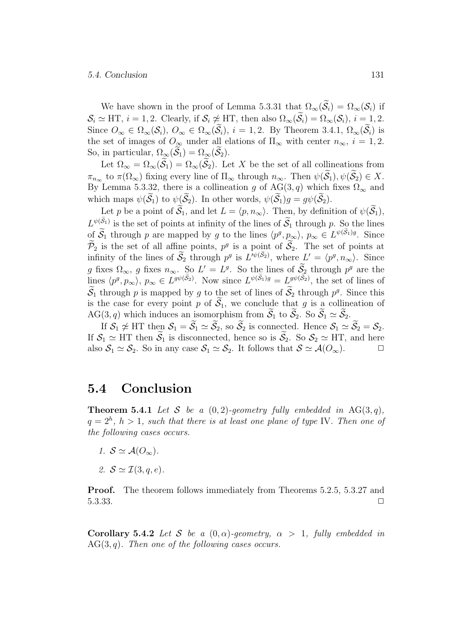#### 5.4. Conclusion 131

We have shown in the proof of Lemma 5.3.31 that  $\Omega_{\infty}(\widetilde{S}_i) = \Omega_{\infty}(S_i)$  if  $\mathcal{S}_i \simeq \text{HT}, i = 1, 2$ . Clearly, if  $\mathcal{S}_i \not\simeq \text{HT}$ , then also  $\Omega_{\infty}(\widetilde{\mathcal{S}}_i) = \Omega_{\infty}(\mathcal{S}_i), i = 1, 2$ . Since  $O_{\infty} \in \Omega_{\infty}(\mathcal{S}_i)$ ,  $O_{\infty} \in \Omega_{\infty}(\widetilde{\mathcal{S}}_i)$ ,  $i = 1, 2$ . By Theorem 3.4.1,  $\Omega_{\infty}(\widetilde{\mathcal{S}}_i)$  is the set of images of  $O_{\infty}$  under all elations of  $\Pi_{\infty}$  with center  $n_{\infty}$ ,  $i = 1, 2$ . So, in particular,  $\Omega_{\infty}(\mathcal{S}_1) = \Omega_{\infty}(\mathcal{S}_2)$ .

Let  $\Omega_{\infty} = \Omega_{\infty}(\widetilde{\mathcal{S}}_1) = \Omega_{\infty}(\widetilde{\mathcal{S}}_2)$ . Let X be the set of all collineations from  $\pi_{n_{\infty}}$  to  $\pi(\Omega_{\infty})$  fixing every line of  $\Pi_{\infty}$  through  $n_{\infty}$ . Then  $\psi(\widetilde{\mathcal{S}}_1), \psi(\widetilde{\mathcal{S}}_2) \in X$ . By Lemma 5.3.32, there is a collineation g of AG(3, q) which fixes  $\Omega_{\infty}$  and which maps  $\psi(\tilde{\mathcal{S}}_1)$  to  $\psi(\tilde{\mathcal{S}}_2)$ . In other words,  $\psi(\tilde{\mathcal{S}}_1)g = g\psi(\tilde{\mathcal{S}}_2)$ . y Le<br>hich<br>Le<br> $\psi(\tilde{\mathcal{S}}_1)$ 

Let p be a point of  $\mathcal{S}_1$ , and let  $L = \langle p, n_{\infty} \rangle$ . Then, by definition of  $\psi(\mathcal{S}_1)$ ,  $L^{\psi(S_1)}$  is the set of points at infinity of the lines of  $\mathcal{S}_1$  through p. So the lines of  $S_1$  through p are mapped by g to the lines  $\langle p^g, p_\infty \rangle$ ,  $p_\infty \in L^{\psi(S_1)g}$ . Since ion of<br>So tl<br> $\psi(\tilde{S}_1)g$  $\widetilde{\mathcal{P}}_2$  is the set of all affine points,  $p^g$  is a point of  $\widetilde{\mathcal{S}}_2$ . The set of points at infinity of the lines of  $\mathcal{S}_2$  through  $p^g$  is  $L'^{\psi(S_2)}$ , where  $L' = \langle p^g, n_\infty \rangle$ . Since lines<br>ines<br>point<br> $n\psi(\tilde{S}_2)$ g fixes  $\Omega_{\infty}$ , g fixes  $n_{\infty}$ . So  $L' = L^g$ . So the lines of  $\mathcal{S}_2$  through  $p^g$  are the  $\mathcal{P}_2$  is the set of all affine points,  $p^g$  is a point of  $\mathcal{S}_2$ . The set of points at infinity of the lines of  $\widetilde{\mathcal{S}}_2$  through  $p^g$  is  $L'^{\psi(\widetilde{\mathcal{S}}_2)}$ , where  $L' = \langle p^g, n_\infty \rangle$ . Since  $g$  fixes  $\Omega_\infty$  $\widetilde{\mathcal{S}}_1$  through p is mapped by g to the set of lines of  $\widetilde{\mathcal{S}}_2$  through  $p^g$ . Since this is the case for every point p of  $\widetilde{S}_1$ , we conclude that g is a collineation of AG(3, q) which induces an isomorphism from  $\widetilde{S}_1$  to  $\widetilde{S}_2$ . So  $\widetilde{S}_1 \simeq \widetilde{S}_2$ .

If  $S_1 \not\simeq \text{HT}$  then  $S_1 = \widetilde{S}_1 \simeq \widetilde{S}_2$ , so  $\widetilde{S}_2$  is connected. Hence  $S_1 \simeq \widetilde{S}_2 = S_2$ . If  $S_1 \simeq \text{HT}$  then  $\widetilde{S}_1$  is disconnected, hence so is  $\widetilde{S}_2$ . So  $S_2 \simeq \text{HT}$ , and here also  $S_1 \simeq S_2$ . So in any case  $S_1 \simeq S_2$ . It follows that  $S \simeq \mathcal{A}(O_{\infty})$ .

### 5.4 Conclusion

**Theorem 5.4.1** Let S be a  $(0, 2)$ -geometry fully embedded in AG(3, q),  $q=2<sup>h</sup>$ ,  $h>1$ , such that there is at least one plane of type IV. Then one of the following cases occurs.

- 1.  $S \simeq \mathcal{A}(O_{\infty}).$
- 2.  $S \simeq \mathcal{I}(3, q, e)$ .

Proof. The theorem follows immediately from Theorems 5.2.5, 5.3.27 and 5.3.33.  $\square$ 

**Corollary 5.4.2** Let S be a  $(0, \alpha)$ -geometry,  $\alpha > 1$ , fully embedded in  $AG(3, q)$ . Then one of the following cases occurs.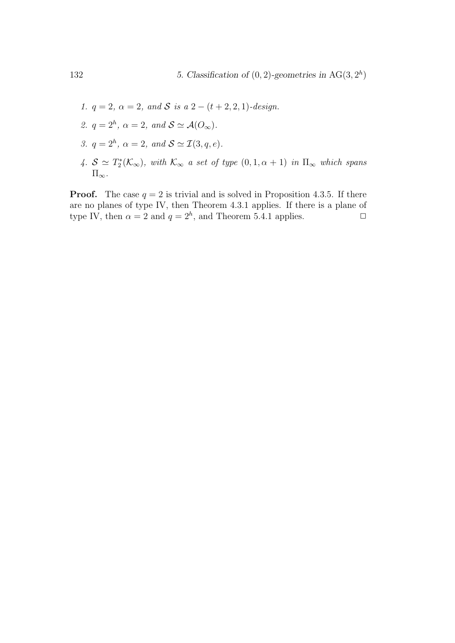- 1.  $q = 2$ ,  $\alpha = 2$ , and S is a 2  $(t + 2, 2, 1)$ -design.
- 2.  $q = 2<sup>h</sup>$ ,  $\alpha = 2$ , and  $S \simeq \mathcal{A}(O_{\infty})$ .
- 3.  $q = 2<sup>h</sup>$ ,  $\alpha = 2$ , and  $S \simeq \mathcal{I}(3, q, e)$ .
- 4.  $S \simeq T_2^*(\mathcal{K}_{\infty})$ , with  $\mathcal{K}_{\infty}$  a set of type  $(0, 1, \alpha + 1)$  in  $\Pi_{\infty}$  which spans  $\Pi_{\infty}$ .

**Proof.** The case  $q = 2$  is trivial and is solved in Proposition 4.3.5. If there are no planes of type IV, then Theorem 4.3.1 applies. If there is a plane of type IV, then  $\alpha = 2$  and  $q = 2^h$ , and Theorem 5.4.1 applies.  $\Box$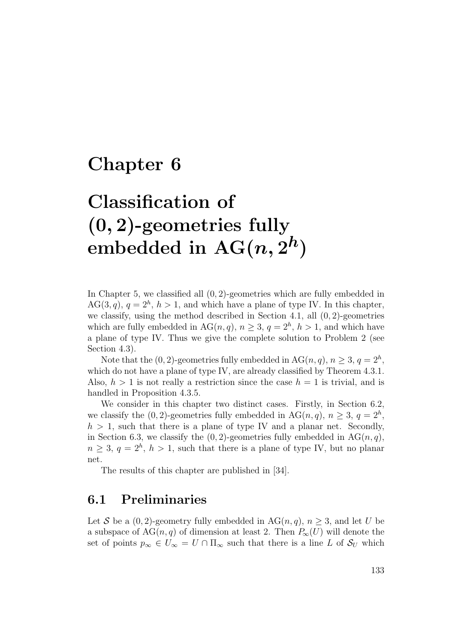## Chapter 6

# Classification of (0, 2)-geometries fully embedded in  $AG(n, 2^h)$

In Chapter 5, we classified all  $(0, 2)$ -geometries which are fully embedded in  $AG(3, q), q = 2<sup>h</sup>, h > 1$ , and which have a plane of type IV. In this chapter, we classify, using the method described in Section 4.1, all (0, 2)-geometries which are fully embedded in  $AG(n, q)$ ,  $n \geq 3$ ,  $q = 2<sup>h</sup>$ ,  $h > 1$ , and which have a plane of type IV. Thus we give the complete solution to Problem 2 (see Section 4.3).

Note that the  $(0, 2)$ -geometries fully embedded in  $AG(n, q)$ ,  $n \geq 3$ ,  $q = 2<sup>h</sup>$ , which do not have a plane of type IV, are already classified by Theorem  $4.3.1$ . Also,  $h > 1$  is not really a restriction since the case  $h = 1$  is trivial, and is handled in Proposition 4.3.5.

We consider in this chapter two distinct cases. Firstly, in Section 6.2, we classify the (0, 2)-geometries fully embedded in AG(*n*, *q*),  $n \geq 3$ ,  $q = 2<sup>h</sup>$ ,  $h > 1$ , such that there is a plane of type IV and a planar net. Secondly, in Section 6.3, we classify the  $(0, 2)$ -geometries fully embedded in AG $(n, q)$ ,  $n \geq 3, q = 2<sup>h</sup>, h > 1$ , such that there is a plane of type IV, but no planar net.

The results of this chapter are published in [34].

## 6.1 Preliminaries

Let S be a  $(0, 2)$ -geometry fully embedded in AG $(n, q)$ ,  $n \geq 3$ , and let U be a subspace of  $AG(n, q)$  of dimension at least 2. Then  $P_{\infty}(U)$  will denote the set of points  $p_{\infty} \in U_{\infty} = U \cap \Pi_{\infty}$  such that there is a line L of  $S_U$  which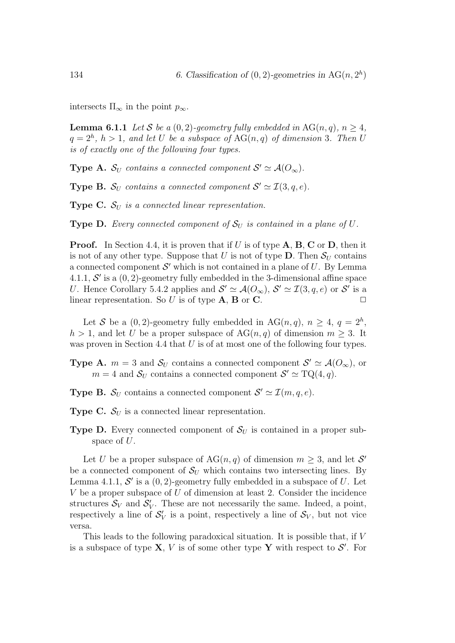intersects  $\Pi_{\infty}$  in the point  $p_{\infty}$ .

**Lemma 6.1.1** Let S be a  $(0, 2)$ -geometry fully embedded in AG $(n, q)$ ,  $n > 4$ ,  $q=2<sup>h</sup>$ ,  $h>1$ , and let U be a subspace of  $AG(n,q)$  of dimension 3. Then U is of exactly one of the following four types.

**Type A.**  $S_U$  contains a connected component  $S' \simeq A(O_\infty)$ .

**Type B.**  $S_U$  contains a connected component  $S' \simeq \mathcal{I}(3, q, e)$ .

**Type C.**  $S_{U}$  is a connected linear representation.

**Type D.** Every connected component of  $S_U$  is contained in a plane of U.

**Proof.** In Section 4.4, it is proven that if U is of type  $A$ ,  $B$ ,  $C$  or  $D$ , then it is not of any other type. Suppose that U is not of type  $D$ . Then  $\mathcal{S}_U$  contains a connected component  $\mathcal{S}'$  which is not contained in a plane of  $U$ . By Lemma 4.1.1,  $\mathcal{S}'$  is a  $(0, 2)$ -geometry fully embedded in the 3-dimensional affine space U. Hence Corollary 5.4.2 applies and  $S' \simeq \mathcal{A}(O_{\infty}), S' \simeq \mathcal{I}(3, q, e)$  or  $S'$  is a linear representation. So  $U$  is of type  $\mathbf{A}, \mathbf{B}$  or  $\mathbf{C}$ .

Let S be a  $(0, 2)$ -geometry fully embedded in AG $(n, q)$ ,  $n \geq 4$ ,  $q = 2<sup>h</sup>$ ,  $h > 1$ , and let U be a proper subspace of  $AG(n, q)$  of dimension  $m \geq 3$ . It was proven in Section 4.4 that  $U$  is of at most one of the following four types.

**Type A.**  $m = 3$  and  $S_U$  contains a connected component  $S' \simeq \mathcal{A}(O_{\infty})$ , or  $m = 4$  and  $S_U$  contains a connected component  $S' \simeq TQ(4, q)$ .

**Type B.**  $S_U$  contains a connected component  $S' \simeq \mathcal{I}(m, q, e)$ .

**Type C.**  $S_U$  is a connected linear representation.

**Type D.** Every connected component of  $S_U$  is contained in a proper subspace of U.

Let U be a proper subspace of  $AG(n, q)$  of dimension  $m \geq 3$ , and let S' be a connected component of  $S_U$  which contains two intersecting lines. By Lemma 4.1.1,  $\mathcal{S}'$  is a  $(0, 2)$ -geometry fully embedded in a subspace of U. Let  $V$  be a proper subspace of  $U$  of dimension at least 2. Consider the incidence structures  $S_V$  and  $S'_V$ . These are not necessarily the same. Indeed, a point, respectively a line of  $S_V'$  is a point, respectively a line of  $S_V$ , but not vice versa.

This leads to the following paradoxical situation. It is possible that, if V is a subspace of type **X**, V is of some other type **Y** with respect to  $\mathcal{S}'$ . For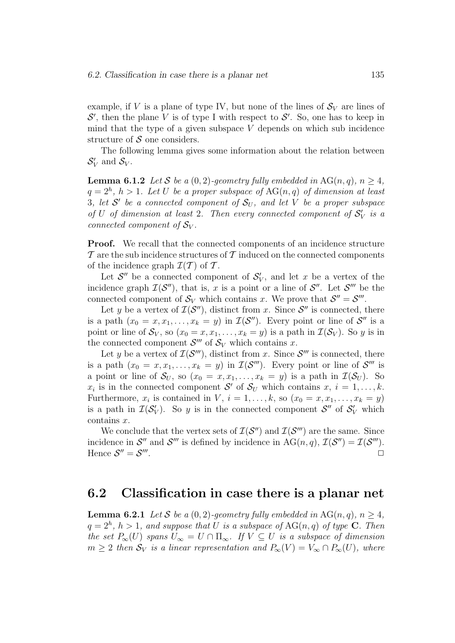example, if V is a plane of type IV, but none of the lines of  $\mathcal{S}_V$  are lines of  $\mathcal{S}'$ , then the plane V is of type I with respect to  $\mathcal{S}'$ . So, one has to keep in mind that the type of a given subspace  $V$  depends on which sub incidence structure of  $S$  one considers.

The following lemma gives some information about the relation between  $S_V'$  and  $S_V$ .

**Lemma 6.1.2** Let S be a  $(0, 2)$ -geometry fully embedded in AG $(n, q)$ ,  $n \geq 4$ ,  $q=2<sup>h</sup>$ ,  $h>1$ . Let U be a proper subspace of  $AG(n,q)$  of dimension at least 3, let  $S'$  be a connected component of  $S_U$ , and let V be a proper subspace of U of dimension at least 2. Then every connected component of  $S_V'$  is a connected component of  $S_V$ .

Proof. We recall that the connected components of an incidence structure  $\mathcal T$  are the sub incidence structures of  $\mathcal T$  induced on the connected components of the incidence graph  $\mathcal{I}(\mathcal{T})$  of  $\mathcal{T}$ .

Let  $\mathcal{S}''$  be a connected component of  $\mathcal{S}'_V$ , and let x be a vertex of the incidence graph  $\mathcal{I}(\mathcal{S}'')$ , that is, x is a point or a line of  $\mathcal{S}''$ . Let  $\mathcal{S}'''$  be the connected component of  $S_V$  which contains x. We prove that  $S'' = S'''$ .

Let y be a vertex of  $\mathcal{I}(\mathcal{S}'')$ , distinct from x. Since  $\mathcal{S}''$  is connected, there is a path  $(x_0 = x, x_1, \ldots, x_k = y)$  in  $\mathcal{I}(\mathcal{S}'')$ . Every point or line of  $\mathcal{S}''$  is a point or line of  $S_V$ , so  $(x_0 = x, x_1, \ldots, x_k = y)$  is a path in  $\mathcal{I}(S_V)$ . So y is in the connected component  $S'''$  of  $S_V$  which contains x.

Let y be a vertex of  $\mathcal{I}(\mathcal{S}^{\prime\prime\prime})$ , distinct from x. Since  $\mathcal{S}^{\prime\prime\prime}$  is connected, there is a path  $(x_0 = x, x_1, \ldots, x_k = y)$  in  $\mathcal{I}(\mathcal{S}^{\prime\prime\prime})$ . Every point or line of  $\mathcal{S}^{\prime\prime\prime}$  is a point or line of  $S_U$ , so  $(x_0 = x, x_1, \ldots, x_k = y)$  is a path in  $\mathcal{I}(S_U)$ . So  $x_i$  is in the connected component S' of  $S_U$  which contains  $x, i = 1, \ldots, k$ . Furthermore,  $x_i$  is contained in V,  $i = 1, \ldots, k$ , so  $(x_0 = x, x_1, \ldots, x_k = y)$ is a path in  $\mathcal{I}(\mathcal{S}'_V)$ . So y is in the connected component  $\mathcal{S}''$  of  $\mathcal{S}'_V$  which contains x.

We conclude that the vertex sets of  $\mathcal{I}(\mathcal{S}'')$  and  $\mathcal{I}(\mathcal{S}''')$  are the same. Since incidence in  $S''$  and  $S'''$  is defined by incidence in  $AG(n, q)$ ,  $\mathcal{I}(S'') = \mathcal{I}(S''')$ . Hence  $S'' = S'''$ . The contract of the contract of the contract of  $\Box$ 

## 6.2 Classification in case there is a planar net

**Lemma 6.2.1** Let S be a  $(0, 2)$ -geometry fully embedded in AG $(n, q)$ ,  $n \geq 4$ ,  $q = 2<sup>h</sup>$ ,  $h > 1$ , and suppose that U is a subspace of AG(n, q) of type **C**. Then the set  $P_{\infty}(U)$  spans  $U_{\infty} = U \cap \Pi_{\infty}$ . If  $V \subseteq U$  is a subspace of dimension  $m \geq 2$  then  $S_V$  is a linear representation and  $P_{\infty}(V) = V_{\infty} \cap P_{\infty}(U)$ , where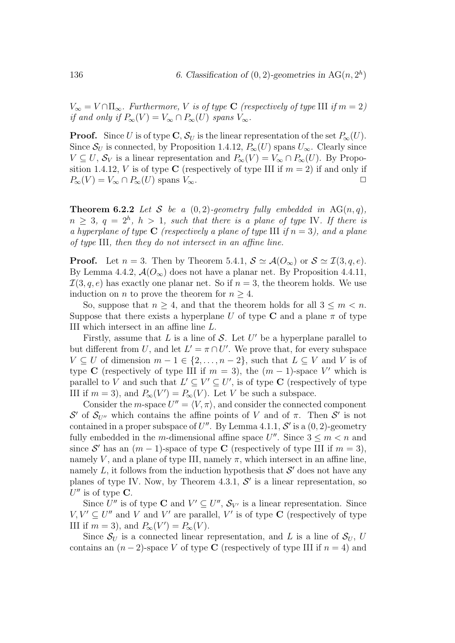$V_{\infty} = V \cap \Pi_{\infty}$ . Furthermore, V is of type C (respectively of type III if  $m = 2$ ) if and only if  $P_{\infty}(V) = V_{\infty} \cap P_{\infty}(U)$  spans  $V_{\infty}$ .

**Proof.** Since U is of type **C**,  $S_U$  is the linear representation of the set  $P_{\infty}(U)$ . Since  $\mathcal{S}_U$  is connected, by Proposition 1.4.12,  $P_\infty(U)$  spans  $U_\infty$ . Clearly since  $V \subseteq U$ ,  $S_V$  is a linear representation and  $P_{\infty}(V) = V_{\infty} \cap P_{\infty}(U)$ . By Proposition 1.4.12, V is of type C (respectively of type III if  $m = 2$ ) if and only if  $P_{\infty}(V) = V_{\infty} \cap P_{\infty}(U)$  spans  $V_{\infty}$ .

**Theorem 6.2.2** Let S be a  $(0, 2)$ -geometry fully embedded in AG(n, q),  $n \geq 3, q = 2<sup>h</sup>, h > 1, such that there is a plane of type IV. If there is$ a hyperplane of type C (respectively a plane of type III if  $n = 3$ ), and a plane of type III, then they do not intersect in an affine line.

**Proof.** Let  $n = 3$ . Then by Theorem 5.4.1,  $S \simeq \mathcal{A}(O_{\infty})$  or  $S \simeq \mathcal{I}(3, q, e)$ . By Lemma 4.4.2,  $\mathcal{A}(O_{\infty})$  does not have a planar net. By Proposition 4.4.11,  $\mathcal{I}(3, q, e)$  has exactly one planar net. So if  $n = 3$ , the theorem holds. We use induction on *n* to prove the theorem for  $n \geq 4$ .

So, suppose that  $n \geq 4$ , and that the theorem holds for all  $3 \leq m \leq n$ . Suppose that there exists a hyperplane U of type C and a plane  $\pi$  of type III which intersect in an affine line L.

Firstly, assume that  $L$  is a line of  $S$ . Let  $U'$  be a hyperplane parallel to but different from U, and let  $L' = \pi \cap U'$ . We prove that, for every subspace  $V \subseteq U$  of dimension  $m-1 \in \{2,\ldots,n-2\}$ , such that  $L \subseteq V$  and V is of type C (respectively of type III if  $m = 3$ ), the  $(m - 1)$ -space V' which is parallel to V and such that  $L' \subseteq V' \subseteq U'$ , is of type C (respectively of type III if  $m = 3$ ), and  $P_{\infty}(V') = P_{\infty}(V)$ . Let V be such a subspace.

Consider the *m*-space  $U'' = \langle V, \pi \rangle$ , and consider the connected component S' of  $S_{U''}$  which contains the affine points of V and of π. Then S' is not contained in a proper subspace of  $U''$ . By Lemma 4.1.1, S' is a  $(0, 2)$ -geometry fully embedded in the m-dimensional affine space  $U''$ . Since  $3 \le m < n$  and since S' has an  $(m-1)$ -space of type C (respectively of type III if  $m = 3$ ), namely V, and a plane of type III, namely  $\pi$ , which intersect in an affine line, namely  $L$ , it follows from the induction hypothesis that  $\mathcal{S}'$  does not have any planes of type IV. Now, by Theorem 4.3.1,  $\mathcal{S}'$  is a linear representation, so  $U''$  is of type C.

Since  $U''$  is of type **C** and  $V' \subseteq U''$ ,  $S_{V'}$  is a linear representation. Since  $V, V' \subseteq U''$  and V and V' are parallel, V' is of type C (respectively of type III if  $m = 3$ , and  $P_{\infty}(V') = P_{\infty}(V)$ .

Since  $S_U$  is a connected linear representation, and L is a line of  $S_U$ , U contains an  $(n-2)$ -space V of type C (respectively of type III if  $n = 4$ ) and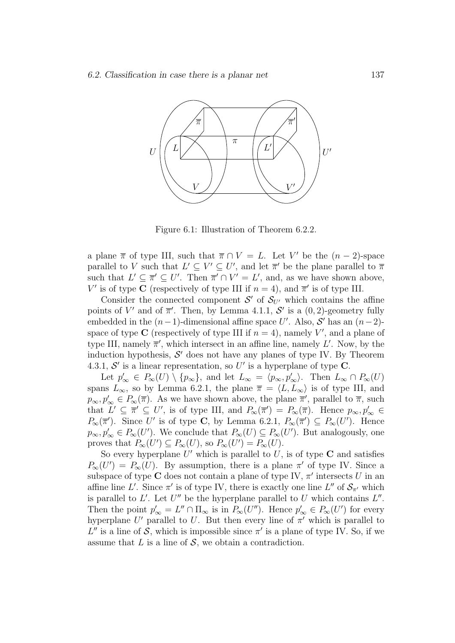

Figure 6.1: Illustration of Theorem 6.2.2.

a plane  $\bar{\pi}$  of type III, such that  $\bar{\pi} \cap V = L$ . Let V' be the  $(n-2)$ -space parallel to V such that  $L' \subseteq V' \subseteq U'$ , and let  $\overline{\pi}'$  be the plane parallel to  $\overline{\pi}$ such that  $L' \subseteq \overline{\pi}' \subseteq U'$ . Then  $\overline{\pi}' \cap V' = L'$ , and, as we have shown above, V' is of type C (respectively of type III if  $n = 4$ ), and  $\overline{\pi}'$  is of type III.

Consider the connected component  $S'$  of  $S_{U'}$  which contains the affine points of V' and of  $\overline{\pi}'$ . Then, by Lemma 4.1.1, S' is a  $(0, 2)$ -geometry fully embedded in the  $(n-1)$ -dimensional affine space U'. Also, S' has an  $(n-2)$ space of type C (respectively of type III if  $n = 4$ ), namely V', and a plane of type III, namely  $\overline{\pi}'$ , which intersect in an affine line, namely L'. Now, by the induction hypothesis,  $S'$  does not have any planes of type IV. By Theorem 4.3.1,  $\mathcal{S}'$  is a linear representation, so U' is a hyperplane of type C.

Let  $p'_{\infty} \in P_{\infty}(U) \setminus \{p_{\infty}\}\$ , and let  $L_{\infty} = \langle p_{\infty}, p'_{\infty} \rangle$ . Then  $L_{\infty} \cap P_{\infty}(U)$ spans  $L_{\infty}$ , so by Lemma 6.2.1, the plane  $\overline{\pi} = \langle L, L_{\infty} \rangle$  is of type III, and  $p_{\infty}, p_{\infty}' \in P_{\infty}(\overline{\pi})$ . As we have shown above, the plane  $\overline{\pi}'$ , parallel to  $\overline{\pi}$ , such that  $L' \subseteq \pi' \subseteq U'$ , is of type III, and  $P_{\infty}(\overline{\pi}') = P_{\infty}(\overline{\pi})$ . Hence  $p_{\infty}, p_{\infty}' \in$  $P_{\infty}(\overline{\pi}')$ . Since U' is of type C, by Lemma 6.2.1,  $P_{\infty}(\overline{\pi}') \subseteq P_{\infty}(U')$ . Hence  $p_{\infty}, p'_{\infty} \in P_{\infty}(U')$ . We conclude that  $P_{\infty}(U) \subseteq P_{\infty}(U')$ . But analogously, one proves that  $P_{\infty}(U') \subseteq P_{\infty}(U)$ , so  $P_{\infty}(U') = P_{\infty}(U)$ .

So every hyperplane  $U'$  which is parallel to  $U$ , is of type  $C$  and satisfies  $P_{\infty}(U') = P_{\infty}(U)$ . By assumption, there is a plane  $\pi'$  of type IV. Since a subspace of type C does not contain a plane of type IV,  $\pi'$  intersects U in an affine line L'. Since  $\pi'$  is of type IV, there is exactly one line L'' of  $\mathcal{S}_{\pi'}$  which is parallel to  $L'$ . Let  $U''$  be the hyperplane parallel to  $U$  which contains  $L''$ . Then the point  $p'_{\infty} = L'' \cap \Pi_{\infty}$  is in  $P_{\infty}(U'')$ . Hence  $p'_{\infty} \in P_{\infty}(U')$  for every hyperplane  $U'$  parallel to U. But then every line of  $\pi'$  which is parallel to  $L''$  is a line of S, which is impossible since  $\pi'$  is a plane of type IV. So, if we assume that  $L$  is a line of  $S$ , we obtain a contradiction.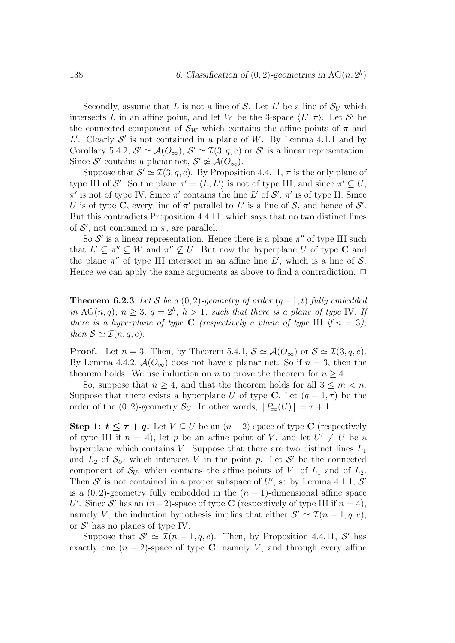Secondly, assume that L is not a line of S. Let L' be a line of  $S_U$  which intersects L in an affine point, and let W be the 3-space  $\langle L', \pi \rangle$ . Let S' be the connected component of  $\mathcal{S}_W$  which contains the affine points of  $\pi$  and  $L'$ . Clearly  $S'$  is not contained in a plane of W. By Lemma 4.1.1 and by Corollary 5.4.2,  $\mathcal{S}' \simeq \mathcal{A}(O_{\infty}), \mathcal{S}' \simeq \mathcal{I}(3, q, e)$  or  $\mathcal{S}'$  is a linear representation. Since S' contains a planar net,  $S' \not\simeq \mathcal{A}(O_{\infty})$ .

Suppose that  $\mathcal{S}' \simeq \mathcal{I}(3, q, e)$ . By Proposition 4.4.11,  $\pi$  is the only plane of type III of  $\mathcal{S}'$ . So the plane  $\pi' = \langle L, L' \rangle$  is not of type III, and since  $\pi' \subseteq U$ ,  $\pi'$  is not of type IV. Since  $\pi'$  contains the line L' of  $\mathcal{S}', \pi'$  is of type II. Since U is of type C, every line of  $\pi'$  parallel to L' is a line of S, and hence of S'. But this contradicts Proposition 4.4.11, which says that no two distinct lines of  $\mathcal{S}'$ , not contained in  $\pi$ , are parallel.

So  $\mathcal{S}'$  is a linear representation. Hence there is a plane  $\pi''$  of type III such that  $L' \subseteq \pi'' \subseteq W$  and  $\pi'' \nsubseteq U$ . But now the hyperplane U of type C and the plane  $\pi''$  of type III intersect in an affine line L', which is a line of S. Hence we can apply the same arguments as above to find a contradiction.  $\Box$ 

**Theorem 6.2.3** Let S be a  $(0, 2)$ -geometry of order  $(q - 1, t)$  fully embedded in AG(n, q),  $n \geq 3$ ,  $q = 2<sup>h</sup>$ ,  $h > 1$ , such that there is a plane of type IV. If there is a hyperplane of type C (respectively a plane of type III if  $n = 3$ ), then  $S \simeq \mathcal{I}(n, q, e)$ .

**Proof.** Let  $n = 3$ . Then, by Theorem 5.4.1,  $S \simeq \mathcal{A}(O_{\infty})$  or  $S \simeq \mathcal{I}(3, q, e)$ . By Lemma 4.4.2,  $\mathcal{A}(O_{\infty})$  does not have a planar net. So if  $n = 3$ , then the theorem holds. We use induction on *n* to prove the theorem for  $n \geq 4$ .

So, suppose that  $n \geq 4$ , and that the theorem holds for all  $3 \leq m < n$ . Suppose that there exists a hyperplane U of type C. Let  $(q-1, \tau)$  be the order of the (0, 2)-geometry  $S_U$ . In other words,  $|P_\infty(U)| = \tau + 1$ .

Step 1:  $t \leq \tau + q$ . Let  $V \subseteq U$  be an  $(n-2)$ -space of type C (respectively of type III if  $n = 4$ , let p be an affine point of V, and let  $U' \neq U$  be a hyperplane which contains V. Suppose that there are two distinct lines  $L_1$ and  $L_2$  of  $S_{U'}$  which intersect V in the point p. Let S' be the connected component of  $S_{U'}$  which contains the affine points of V, of  $L_1$  and of  $L_2$ . Then  $\mathcal{S}'$  is not contained in a proper subspace of U', so by Lemma 4.1.1,  $\mathcal{S}'$ is a  $(0, 2)$ -geometry fully embedded in the  $(n - 1)$ -dimensional affine space U'. Since S' has an  $(n-2)$ -space of type C (respectively of type III if  $n = 4$ ), namely V, the induction hypothesis implies that either  $S' \simeq \mathcal{I}(n-1, q, e)$ , or  $S'$  has no planes of type IV.

Suppose that  $S' \simeq \mathcal{I}(n-1,q,e)$ . Then, by Proposition 4.4.11, S' has exactly one  $(n-2)$ -space of type C, namely V, and through every affine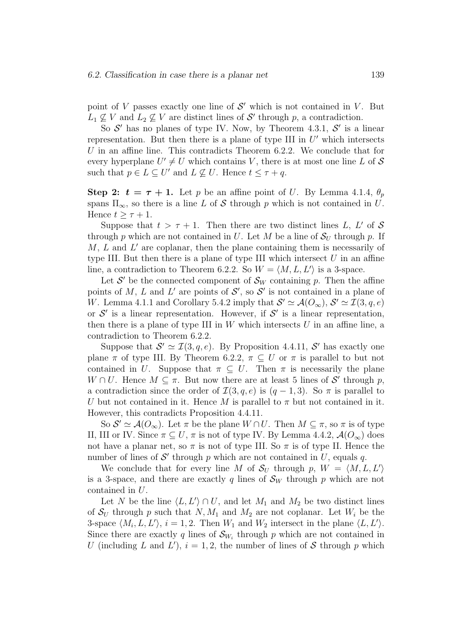point of  $V$  passes exactly one line of  $S'$  which is not contained in  $V$ . But  $L_1 \nsubseteq V$  and  $L_2 \nsubseteq V$  are distinct lines of  $S'$  through p, a contradiction.

So  $\mathcal{S}'$  has no planes of type IV. Now, by Theorem 4.3.1,  $\mathcal{S}'$  is a linear representation. But then there is a plane of type III in  $U'$  which intersects U in an affine line. This contradicts Theorem  $6.2.2$ . We conclude that for every hyperplane  $U' \neq U$  which contains V, there is at most one line L of S such that  $p \in L \subseteq U'$  and  $L \nsubseteq U$ . Hence  $t \leq \tau + q$ .

Step 2:  $t = \tau + 1$ . Let p be an affine point of U. By Lemma 4.1.4,  $\theta_p$ spans  $\Pi_{\infty}$ , so there is a line L of S through p which is not contained in U. Hence  $t > \tau + 1$ .

Suppose that  $t > \tau + 1$ . Then there are two distinct lines L, L' of S through p which are not contained in U. Let M be a line of  $S_U$  through p. If  $M, L$  and  $L'$  are coplanar, then the plane containing them is necessarily of type III. But then there is a plane of type III which intersect  $U$  in an affine line, a contradiction to Theorem 6.2.2. So  $W = \langle M, L, L' \rangle$  is a 3-space.

Let  $S'$  be the connected component of  $S_W$  containing p. Then the affine points of M, L and L' are points of  $\mathcal{S}'$ , so  $\mathcal{S}'$  is not contained in a plane of W. Lemma 4.1.1 and Corollary 5.4.2 imply that  $S' \simeq \mathcal{A}(O_{\infty}), S' \simeq \mathcal{I}(3, q, e)$ or  $\mathcal{S}'$  is a linear representation. However, if  $\mathcal{S}'$  is a linear representation, then there is a plane of type III in  $W$  which intersects  $U$  in an affine line, a contradiction to Theorem 6.2.2.

Suppose that  $\mathcal{S}' \simeq \mathcal{I}(3,q,e)$ . By Proposition 4.4.11,  $\mathcal{S}'$  has exactly one plane  $\pi$  of type III. By Theorem 6.2.2,  $\pi \subseteq U$  or  $\pi$  is parallel to but not contained in U. Suppose that  $\pi \subseteq U$ . Then  $\pi$  is necessarily the plane W  $\cap$  U. Hence  $M \subseteq \pi$ . But now there are at least 5 lines of S' through p, a contradiction since the order of  $\mathcal{I}(3, q, e)$  is  $(q - 1, 3)$ . So  $\pi$  is parallel to U but not contained in it. Hence M is parallel to  $\pi$  but not contained in it. However, this contradicts Proposition 4.4.11.

So  $\mathcal{S}' \simeq \mathcal{A}(O_{\infty})$ . Let  $\pi$  be the plane  $W \cap U$ . Then  $M \subseteq \pi$ , so  $\pi$  is of type II, III or IV. Since  $\pi \subseteq U$ ,  $\pi$  is not of type IV. By Lemma 4.4.2,  $\mathcal{A}(O_{\infty})$  does not have a planar net, so  $\pi$  is not of type III. So  $\pi$  is of type II. Hence the number of lines of  $S'$  through p which are not contained in U, equals q.

We conclude that for every line M of  $S_U$  through p,  $W = \langle M, L, L' \rangle$ is a 3-space, and there are exactly q lines of  $\mathcal{S}_W$  through p which are not contained in U.

Let N be the line  $\langle L, L' \rangle \cap U$ , and let  $M_1$  and  $M_2$  be two distinct lines of  $S_U$  through p such that N,  $M_1$  and  $M_2$  are not coplanar. Let  $W_i$  be the 3-space  $\langle M_i, L, L' \rangle$ ,  $i = 1, 2$ . Then  $W_1$  and  $W_2$  intersect in the plane  $\langle L, L' \rangle$ . Since there are exactly q lines of  $\mathcal{S}_{W_i}$  through p which are not contained in U (including L and L'),  $i = 1, 2$ , the number of lines of S through p which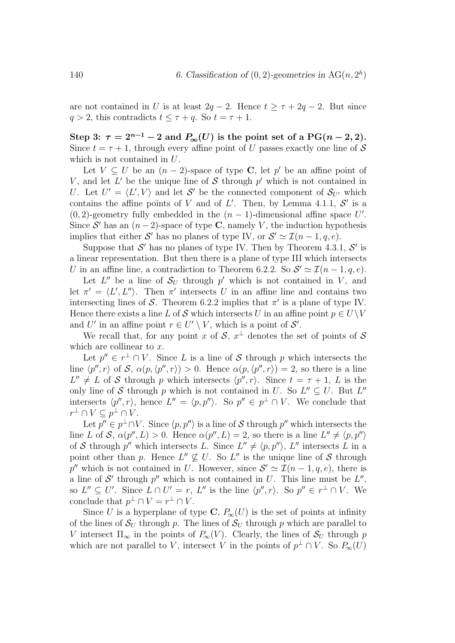are not contained in U is at least  $2q - 2$ . Hence  $t \geq \tau + 2q - 2$ . But since  $q > 2$ , this contradicts  $t \leq \tau + q$ . So  $t = \tau + 1$ .

Step 3:  $\tau = 2^{n-1} - 2$  and  $P_{\infty}(U)$  is the point set of a PG(n – 2, 2). Since  $t = \tau + 1$ , through every affine point of U passes exactly one line of S which is not contained in U.

Let  $V \subseteq U$  be an  $(n-2)$ -space of type **C**, let p' be an affine point of V, and let  $L'$  be the unique line of S through  $p'$  which is not contained in U. Let  $U' = \langle L', V \rangle$  and let S' be the connected component of  $S_{U'}$  which contains the affine points of V and of  $L'$ . Then, by Lemma 4.1.1,  $S'$  is a (0, 2)-geometry fully embedded in the  $(n-1)$ -dimensional affine space U'. Since  $S'$  has an  $(n-2)$ -space of type C, namely V, the induction hypothesis implies that either S' has no planes of type IV, or  $S' \simeq \mathcal{I}(n-1, q, e)$ .

Suppose that  $\mathcal{S}'$  has no planes of type IV. Then by Theorem 4.3.1,  $\mathcal{S}'$  is a linear representation. But then there is a plane of type III which intersects U in an affine line, a contradiction to Theorem 6.2.2. So  $\mathcal{S}' \simeq \mathcal{I}(n-1,q,e)$ .

Let  $L''$  be a line of  $S_U$  through  $p'$  which is not contained in V, and let  $\pi' = \langle L', L'' \rangle$ . Then  $\pi'$  intersects U in an affine line and contains two intersecting lines of S. Theorem 6.2.2 implies that  $\pi'$  is a plane of type IV. Hence there exists a line L of S which intersects U in an affine point  $p \in U\backslash V$ and U' in an affine point  $r \in U' \setminus V$ , which is a point of  $\mathcal{S}'$ .

We recall that, for any point x of  $S, x^{\perp}$  denotes the set of points of S which are collinear to  $x$ .

Let  $p'' \in r^{\perp} \cap V$ . Since L is a line of S through p which intersects the line  $\langle p'', r \rangle$  of S,  $\alpha(p, \langle p'', r \rangle) > 0$ . Hence  $\alpha(p, \langle p'', r \rangle) = 2$ , so there is a line  $L'' \neq L$  of S through p which intersects  $\langle p'', r \rangle$ . Since  $t = \tau + 1$ , L is the only line of S through p which is not contained in U. So  $L'' \subseteq U$ . But  $L''$ intersects  $\langle p'', r \rangle$ , hence  $L'' = \langle p, p'' \rangle$ . So  $p'' \in p^{\perp} \cap V$ . We conclude that  $r^{\perp} \cap V \subseteq p^{\perp} \cap V$ .

Let  $p'' \in p^{\perp} \cap V$ . Since  $\langle p, p'' \rangle$  is a line of S through  $p''$  which intersects the line L of S,  $\alpha(p'', L) > 0$ . Hence  $\alpha(p'', L) = 2$ , so there is a line  $L'' \neq \langle p, p'' \rangle$ of S through  $p''$  which intersects L. Since  $L'' \neq \langle p, p'' \rangle$ , L'' intersects L in a point other than p. Hence  $L'' \nsubseteq U$ . So  $L''$  is the unique line of S through p'' which is not contained in U. However, since  $S' \simeq \mathcal{I}(n-1,q,e)$ , there is a line of  $\mathcal{S}'$  through  $p''$  which is not contained in U. This line must be  $L''$ , so  $L'' \subseteq U'$ . Since  $L \cap U' = r$ ,  $L''$  is the line  $\langle p'', r \rangle$ . So  $p'' \in r^{\perp} \cap V$ . We conclude that  $p^{\perp} \cap V = r^{\perp} \cap V$ .

Since U is a hyperplane of type C,  $P_{\infty}(U)$  is the set of points at infinity of the lines of  $S_U$  through p. The lines of  $S_U$  through p which are parallel to V intersect  $\Pi_{\infty}$  in the points of  $P_{\infty}(V)$ . Clearly, the lines of  $S_U$  through p which are not parallel to V, intersect V in the points of  $p^{\perp} \cap V$ . So  $P_{\infty}(U)$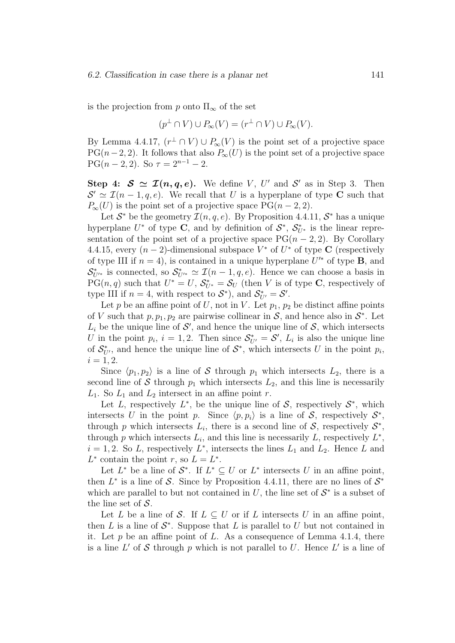is the projection from p onto  $\Pi_{\infty}$  of the set

$$
(p^{\perp} \cap V) \cup P_{\infty}(V) = (r^{\perp} \cap V) \cup P_{\infty}(V).
$$

By Lemma 4.4.17,  $(r^{\perp} \cap V) \cup P_{\infty}(V)$  is the point set of a projective space PG( $n-2, 2$ ). It follows that also  $P_{\infty}(U)$  is the point set of a projective space PG( $n-2, 2$ ). So  $\tau = 2^{n-1} - 2$ .

Step 4:  $S \simeq \mathcal{I}(n, q, e)$ . We define V, U' and S' as in Step 3. Then  $S' \simeq \mathcal{I}(n-1,q,e)$ . We recall that U is a hyperplane of type C such that  $P_{\infty}(U)$  is the point set of a projective space  $PG(n-2, 2)$ .

Let  $S^*$  be the geometry  $\mathcal{I}(n, q, e)$ . By Proposition 4.4.11,  $S^*$  has a unique hyperplane  $U^*$  of type C, and by definition of  $S^*$ ,  $S^*_{U^*}$  is the linear representation of the point set of a projective space  $PG(n-2, 2)$ . By Corollary 4.4.15, every  $(n-2)$ -dimensional subspace  $V^*$  of  $U^*$  of type **C** (respectively of type III if  $n = 4$ ), is contained in a unique hyperplane  $U^*$  of type **B**, and  $\mathcal{S}_{U^{\prime*}}^{*}$  is connected, so  $\mathcal{S}_{U^{\prime*}}^{*} \simeq \mathcal{I}(n-1,q,e)$ . Hence we can choose a basis in  $PG(n, q)$  such that  $U^* = U$ ,  $S_{U^*}^* = S_U$  (then V is of type C, respectively of type III if  $n = 4$ , with respect to  $S^*$ ), and  $S^*_{U'} = S'$ .

Let p be an affine point of U, not in V. Let  $p_1, p_2$  be distinct affine points of V such that  $p, p_1, p_2$  are pairwise collinear in S, and hence also in  $S^*$ . Let  $L_i$  be the unique line of  $\mathcal{S}'$ , and hence the unique line of  $\mathcal{S}$ , which intersects U in the point  $p_i$ ,  $i = 1, 2$ . Then since  $S_{U'}^* = S'$ ,  $L_i$  is also the unique line of  $\mathcal{S}_{U'}^*$ , and hence the unique line of  $\mathcal{S}^*$ , which intersects U in the point  $p_i$ ,  $i = 1, 2.$ 

Since  $\langle p_1, p_2 \rangle$  is a line of S through  $p_1$  which intersects  $L_2$ , there is a second line of S through  $p_1$  which intersects  $L_2$ , and this line is necessarily  $L_1$ . So  $L_1$  and  $L_2$  intersect in an affine point r.

Let L, respectively  $L^*$ , be the unique line of S, respectively  $S^*$ , which intersects U in the point p. Since  $\langle p, p_i \rangle$  is a line of S, respectively  $S^*$ , through p which intersects  $L_i$ , there is a second line of  $S$ , respectively  $S^*$ , through p which intersects  $L_i$ , and this line is necessarily L, respectively  $L^*$ ,  $i = 1, 2$ . So L, respectively  $L^*$ , intersects the lines  $L_1$  and  $L_2$ . Hence L and  $L^*$  contain the point r, so  $L = L^*$ .

Let  $L^*$  be a line of  $S^*$ . If  $L^* \subseteq U$  or  $L^*$  intersects U in an affine point, then  $L^*$  is a line of S. Since by Proposition 4.4.11, there are no lines of  $S^*$ which are parallel to but not contained in  $U$ , the line set of  $S^*$  is a subset of the line set of  $S$ .

Let L be a line of S. If  $L \subseteq U$  or if L intersects U in an affine point, then  $L$  is a line of  $S^*$ . Suppose that  $L$  is parallel to  $U$  but not contained in it. Let  $p$  be an affine point of  $L$ . As a consequence of Lemma 4.1.4, there is a line  $L'$  of S through p which is not parallel to U. Hence  $L'$  is a line of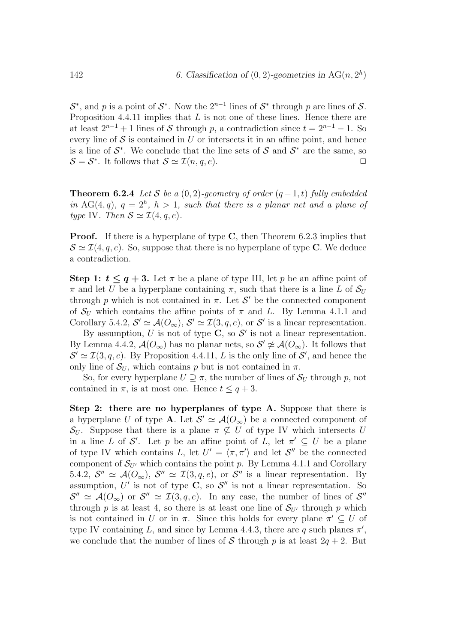$S^*$ , and p is a point of  $S^*$ . Now the  $2^{n-1}$  lines of  $S^*$  through p are lines of S. Proposition 4.4.11 implies that  $L$  is not one of these lines. Hence there are at least  $2^{n-1} + 1$  lines of S through p, a contradiction since  $t = 2^{n-1} - 1$ . So every line of  $S$  is contained in U or intersects it in an affine point, and hence is a line of  $S^*$ . We conclude that the line sets of S and  $S^*$  are the same, so  $S = S^*$ . It follows that  $S \simeq \mathcal{I}(n, q, e)$ .

**Theorem 6.2.4** Let S be a  $(0, 2)$ -geometry of order  $(q - 1, t)$  fully embedded in AG(4,q),  $q = 2<sup>h</sup>$ ,  $h > 1$ , such that there is a planar net and a plane of type IV. Then  $S \simeq \mathcal{I}(4, q, e)$ .

**Proof.** If there is a hyperplane of type C, then Theorem 6.2.3 implies that  $\mathcal{S} \simeq \mathcal{I}(4, q, e)$ . So, suppose that there is no hyperplane of type C. We deduce a contradiction.

Step 1:  $t \leq q+3$ . Let  $\pi$  be a plane of type III, let p be an affine point of  $\pi$  and let U be a hyperplane containing  $\pi$ , such that there is a line L of  $S_U$ through p which is not contained in  $\pi$ . Let  $\mathcal{S}'$  be the connected component of  $S_U$  which contains the affine points of  $\pi$  and L. By Lemma 4.1.1 and Corollary 5.4.2,  $\mathcal{S}' \simeq \mathcal{A}(O_{\infty}), \mathcal{S}' \simeq \mathcal{I}(3, q, e),$  or  $\mathcal{S}'$  is a linear representation.

By assumption, U is not of type  $\mathbb{C}$ , so  $\mathcal{S}'$  is not a linear representation. By Lemma 4.4.2,  $\mathcal{A}(O_{\infty})$  has no planar nets, so  $\mathcal{S}' \not\simeq \mathcal{A}(O_{\infty})$ . It follows that  $\mathcal{S}' \simeq \mathcal{I}(3, q, e)$ . By Proposition 4.4.11, L is the only line of  $\mathcal{S}'$ , and hence the only line of  $\mathcal{S}_U$ , which contains p but is not contained in  $\pi$ .

So, for every hyperplane  $U \supseteq \pi$ , the number of lines of  $\mathcal{S}_U$  through p, not contained in  $\pi$ , is at most one. Hence  $t \leq q+3$ .

Step 2: there are no hyperplanes of type A. Suppose that there is a hyperplane U of type **A**. Let  $S' \simeq \mathcal{A}(O_{\infty})$  be a connected component of  $\mathcal{S}_{U}$ . Suppose that there is a plane  $\pi \not\subseteq U$  of type IV which intersects U in a line L of S'. Let p be an affine point of L, let  $\pi' \subseteq U$  be a plane of type IV which contains L, let  $U' = \langle \pi, \pi' \rangle$  and let  $S''$  be the connected component of  $\mathcal{S}_{U'}$  which contains the point p. By Lemma 4.1.1 and Corollary 5.4.2,  $\mathcal{S}'' \simeq \mathcal{A}(O_{\infty}), \mathcal{S}'' \simeq \mathcal{I}(3,q,e),$  or  $\mathcal{S}''$  is a linear representation. By assumption,  $U'$  is not of type C, so  $S''$  is not a linear representation. So  $\mathcal{S}'' \simeq \mathcal{A}(O_{\infty})$  or  $\mathcal{S}'' \simeq \mathcal{I}(3,q,e)$ . In any case, the number of lines of  $\mathcal{S}''$ through p is at least 4, so there is at least one line of  $S_{U'}$  through p which is not contained in U or in  $\pi$ . Since this holds for every plane  $\pi' \subseteq U$  of type IV containing L, and since by Lemma 4.4.3, there are q such planes  $\pi'$ , we conclude that the number of lines of S through p is at least  $2q + 2$ . But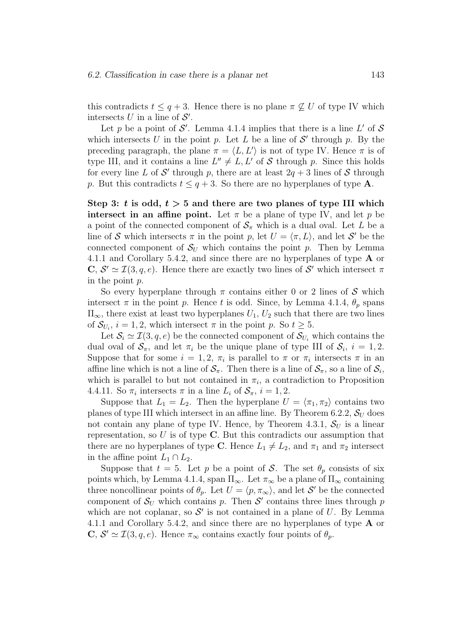this contradicts  $t \leq q+3$ . Hence there is no plane  $\pi \not\subseteq U$  of type IV which intersects U in a line of  $S'$ .

Let p be a point of  $\mathcal{S}'$ . Lemma 4.1.4 implies that there is a line L' of  $\mathcal{S}$ which intersects U in the point p. Let L be a line of  $\mathcal{S}'$  through p. By the preceding paragraph, the plane  $\pi = \langle L, L' \rangle$  is not of type IV. Hence  $\pi$  is of type III, and it contains a line  $L'' \neq L, L'$  of S through p. Since this holds for every line L of  $\mathcal{S}'$  through p, there are at least  $2q + 3$  lines of  $\mathcal{S}$  through p. But this contradicts  $t \leq q+3$ . So there are no hyperplanes of type **A**.

Step 3: t is odd,  $t > 5$  and there are two planes of type III which intersect in an affine point. Let  $\pi$  be a plane of type IV, and let p be a point of the connected component of  $S_{\pi}$  which is a dual oval. Let L be a line of S which intersects  $\pi$  in the point p, let  $U = \langle \pi, L \rangle$ , and let S' be the connected component of  $S_U$  which contains the point p. Then by Lemma 4.1.1 and Corollary 5.4.2, and since there are no hyperplanes of type **A** or C,  $\mathcal{S}' \simeq \mathcal{I}(3, q, e)$ . Hence there are exactly two lines of  $\mathcal{S}'$  which intersect  $\pi$ in the point p.

So every hyperplane through  $\pi$  contains either 0 or 2 lines of S which intersect  $\pi$  in the point p. Hence t is odd. Since, by Lemma 4.1.4,  $\theta_p$  spans  $\Pi_{\infty}$ , there exist at least two hyperplanes  $U_1, U_2$  such that there are two lines of  $\mathcal{S}_{U_i}$ ,  $i = 1, 2$ , which intersect  $\pi$  in the point p. So  $t \geq 5$ .

Let  $\mathcal{S}_i \simeq \mathcal{I}(3, q, e)$  be the connected component of  $\mathcal{S}_{U_i}$  which contains the dual oval of  $S_{\pi}$ , and let  $\pi_i$  be the unique plane of type III of  $S_i$ ,  $i = 1, 2$ . Suppose that for some  $i = 1, 2, \pi_i$  is parallel to  $\pi$  or  $\pi_i$  intersects  $\pi$  in an affine line which is not a line of  $S_\pi$ . Then there is a line of  $S_\pi$ , so a line of  $S_i$ , which is parallel to but not contained in  $\pi_i$ , a contradiction to Proposition 4.4.11. So  $\pi_i$  intersects  $\pi$  in a line  $L_i$  of  $S_{\pi}$ ,  $i = 1, 2$ .

Suppose that  $L_1 = L_2$ . Then the hyperplane  $U = \langle \pi_1, \pi_2 \rangle$  contains two planes of type III which intersect in an affine line. By Theorem 6.2.2,  $S_U$  does not contain any plane of type IV. Hence, by Theorem 4.3.1,  $S_U$  is a linear representation, so  $U$  is of type  $C$ . But this contradicts our assumption that there are no hyperplanes of type C. Hence  $L_1 \neq L_2$ , and  $\pi_1$  and  $\pi_2$  intersect in the affine point  $L_1 \cap L_2$ .

Suppose that  $t = 5$ . Let p be a point of S. The set  $\theta_p$  consists of six points which, by Lemma 4.1.4, span  $\Pi_{\infty}$ . Let  $\pi_{\infty}$  be a plane of  $\Pi_{\infty}$  containing three noncollinear points of  $\theta_p$ . Let  $U = \langle p, \pi_\infty \rangle$ , and let S' be the connected component of  $S_U$  which contains p. Then S' contains three lines through p which are not coplanar, so  $\mathcal{S}'$  is not contained in a plane of U. By Lemma 4.1.1 and Corollary 5.4.2, and since there are no hyperplanes of type **A** or  $\mathbf{C}, \mathcal{S}' \simeq \mathcal{I}(3, q, e)$ . Hence  $\pi_{\infty}$  contains exactly four points of  $\theta_p$ .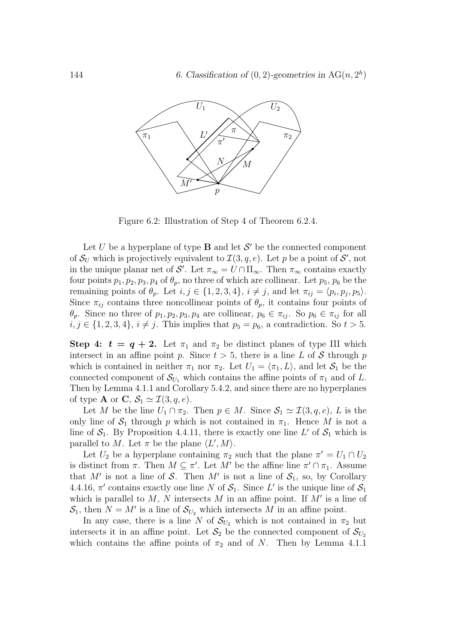

Figure 6.2: Illustration of Step 4 of Theorem 6.2.4.

Let U be a hyperplane of type **B** and let  $\mathcal{S}'$  be the connected component of  $\mathcal{S}_U$  which is projectively equivalent to  $\mathcal{I}(3, q, e)$ . Let p be a point of  $\mathcal{S}'$ , not in the unique planar net of  $\mathcal{S}'$ . Let  $\pi_{\infty} = U \cap \Pi_{\infty}$ . Then  $\pi_{\infty}$  contains exactly four points  $p_1, p_2, p_3, p_4$  of  $\theta_p$ , no three of which are collinear. Let  $p_5, p_6$  be the remaining points of  $\theta_p$ . Let  $i, j \in \{1, 2, 3, 4\}, i \neq j$ , and let  $\pi_{ij} = \langle p_i, p_j, p_5 \rangle$ . Since  $\pi_{ii}$  contains three noncollinear points of  $\theta_p$ , it contains four points of  $\theta_p$ . Since no three of  $p_1, p_2, p_3, p_4$  are collinear,  $p_6 \in \pi_{ij}$ . So  $p_6 \in \pi_{ij}$  for all  $i, j \in \{1, 2, 3, 4\}, i \neq j$ . This implies that  $p_5 = p_6$ , a contradiction. So  $t > 5$ .

Step 4:  $t = q + 2$ . Let  $\pi_1$  and  $\pi_2$  be distinct planes of type III which intersect in an affine point p. Since  $t > 5$ , there is a line L of S through p which is contained in neither  $\pi_1$  nor  $\pi_2$ . Let  $U_1 = \langle \pi_1, L \rangle$ , and let  $S_1$  be the connected component of  $\mathcal{S}_{U_1}$  which contains the affine points of  $\pi_1$  and of L. Then by Lemma 4.1.1 and Corollary 5.4.2, and since there are no hyperplanes of type **A** or **C**,  $S_1 \simeq \mathcal{I}(3, q, e)$ .

Let M be the line  $U_1 \cap \pi_2$ . Then  $p \in M$ . Since  $S_1 \simeq \mathcal{I}(3, q, e)$ , L is the only line of  $S_1$  through p which is not contained in  $\pi_1$ . Hence M is not a line of  $S_1$ . By Proposition 4.4.11, there is exactly one line L' of  $S_1$  which is parallel to M. Let  $\pi$  be the plane  $\langle L', M \rangle$ .

Let  $U_2$  be a hyperplane containing  $\pi_2$  such that the plane  $\pi' = U_1 \cap U_2$ is distinct from  $\pi$ . Then  $M \subseteq \pi'$ . Let  $M'$  be the affine line  $\pi' \cap \pi_1$ . Assume that M' is not a line of S. Then M' is not a line of  $S_1$ , so, by Corollary 4.4.16,  $\pi'$  contains exactly one line N of  $S_1$ . Since L' is the unique line of  $S_1$ which is parallel to  $M$ ,  $N$  intersects  $M$  in an affine point. If  $M'$  is a line of  $S_1$ , then  $N = M'$  is a line of  $S_{U_2}$  which intersects M in an affine point.

In any case, there is a line N of  $S_{U_2}$  which is not contained in  $\pi_2$  but intersects it in an affine point. Let  $S_2$  be the connected component of  $S_{U_2}$ which contains the affine points of  $\pi_2$  and of N. Then by Lemma 4.1.1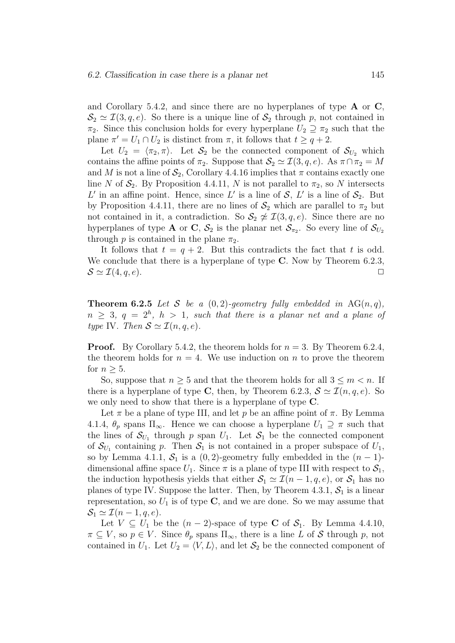and Corollary 5.4.2, and since there are no hyperplanes of type  $A$  or  $C$ ,  $\mathcal{S}_2 \simeq \mathcal{I}(3, q, e)$ . So there is a unique line of  $\mathcal{S}_2$  through p, not contained in  $\pi_2$ . Since this conclusion holds for every hyperplane  $U_2 \supseteq \pi_2$  such that the plane  $\pi' = U_1 \cap U_2$  is distinct from  $\pi$ , it follows that  $t \geq q+2$ .

Let  $U_2 = \langle \pi_2, \pi \rangle$ . Let  $S_2$  be the connected component of  $S_{U_2}$  which contains the affine points of  $\pi_2$ . Suppose that  $\mathcal{S}_2 \simeq \mathcal{I}(3, q, e)$ . As  $\pi \cap \pi_2 = M$ and M is not a line of  $S_2$ , Corollary 4.4.16 implies that  $\pi$  contains exactly one line N of  $S_2$ . By Proposition 4.4.11, N is not parallel to  $\pi_2$ , so N intersects L' in an affine point. Hence, since L' is a line of  $S$ , L' is a line of  $S_2$ . But by Proposition 4.4.11, there are no lines of  $S_2$  which are parallel to  $\pi_2$  but not contained in it, a contradiction. So  $S_2 \not\cong \mathcal{I}(3, q, e)$ . Since there are no hyperplanes of type **A** or C,  $S_2$  is the planar net  $S_{\pi_2}$ . So every line of  $S_{U_2}$ through p is contained in the plane  $\pi_2$ .

It follows that  $t = q + 2$ . But this contradicts the fact that t is odd. We conclude that there is a hyperplane of type  $C$ . Now by Theorem 6.2.3,  $\mathcal{S} \simeq \mathcal{I}(4, q, e).$ 

**Theorem 6.2.5** Let S be a  $(0, 2)$ -geometry fully embedded in AG $(n, q)$ ,  $n \geq 3, q = 2<sup>h</sup>, h > 1, such that there is a planar net and a plane of$ type IV. Then  $S \simeq \mathcal{I}(n, q, e)$ .

**Proof.** By Corollary 5.4.2, the theorem holds for  $n = 3$ . By Theorem 6.2.4, the theorem holds for  $n = 4$ . We use induction on n to prove the theorem for  $n > 5$ .

So, suppose that  $n \geq 5$  and that the theorem holds for all  $3 \leq m < n$ . If there is a hyperplane of type C, then, by Theorem 6.2.3,  $S \simeq \mathcal{I}(n, q, e)$ . So we only need to show that there is a hyperplane of type C.

Let  $\pi$  be a plane of type III, and let p be an affine point of  $\pi$ . By Lemma 4.1.4,  $\theta_p$  spans  $\Pi_{\infty}$ . Hence we can choose a hyperplane  $U_1 \supseteq \pi$  such that the lines of  $\mathcal{S}_{U_1}$  through p span  $U_1$ . Let  $\mathcal{S}_1$  be the connected component of  $\mathcal{S}_{U_1}$  containing p. Then  $\mathcal{S}_1$  is not contained in a proper subspace of  $U_1$ , so by Lemma 4.1.1,  $S_1$  is a (0, 2)-geometry fully embedded in the  $(n-1)$ dimensional affine space  $U_1$ . Since  $\pi$  is a plane of type III with respect to  $S_1$ , the induction hypothesis yields that either  $S_1 \simeq \mathcal{I}(n-1, q, e)$ , or  $S_1$  has no planes of type IV. Suppose the latter. Then, by Theorem 4.3.1,  $S_1$  is a linear representation, so  $U_1$  is of type C, and we are done. So we may assume that  $S_1 \simeq \mathcal{I}(n-1, q, e).$ 

Let  $V \subseteq U_1$  be the  $(n-2)$ -space of type **C** of  $S_1$ . By Lemma 4.4.10,  $\pi \subseteq V$ , so  $p \in V$ . Since  $\theta_p$  spans  $\Pi_{\infty}$ , there is a line L of S through p, not contained in  $U_1$ . Let  $U_2 = \langle V, L \rangle$ , and let  $\mathcal{S}_2$  be the connected component of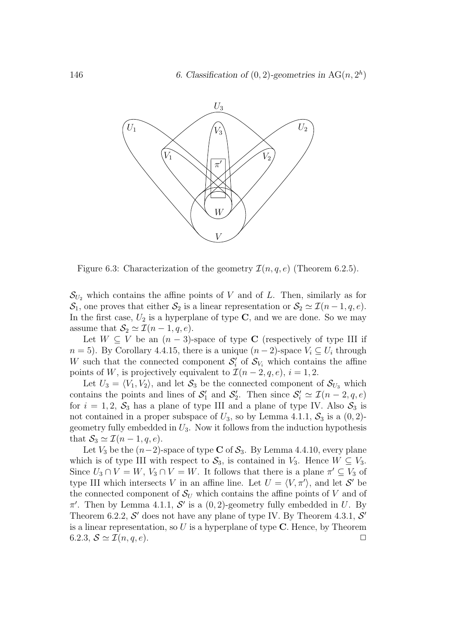

Figure 6.3: Characterization of the geometry  $\mathcal{I}(n, q, e)$  (Theorem 6.2.5).

 $\mathcal{S}_{U_2}$  which contains the affine points of V and of L. Then, similarly as for  $\mathcal{S}_1$ , one proves that either  $\mathcal{S}_2$  is a linear representation or  $\mathcal{S}_2 \simeq \mathcal{I}(n-1, q, e)$ . In the first case,  $U_2$  is a hyperplane of type  $C$ , and we are done. So we may assume that  $S_2 \simeq \mathcal{I}(n-1, q, e)$ .

Let  $W \subseteq V$  be an  $(n-3)$ -space of type C (respectively of type III if  $n = 5$ ). By Corollary 4.4.15, there is a unique  $(n - 2)$ -space  $V_i \subseteq U_i$  through W such that the connected component  $S_i'$  of  $S_{V_i}$  which contains the affine points of W, is projectively equivalent to  $\mathcal{I}(n-2,q,e)$ ,  $i=1,2$ .

Let  $U_3 = \langle V_1, V_2 \rangle$ , and let  $S_3$  be the connected component of  $S_{U_3}$  which contains the points and lines of  $S'_1$  and  $S'_2$ . Then since  $S'_i \simeq \mathcal{I}(n-2,q,e)$ for  $i = 1, 2, \mathcal{S}_3$  has a plane of type III and a plane of type IV. Also  $\mathcal{S}_3$  is not contained in a proper subspace of  $U_3$ , so by Lemma 4.1.1,  $S_3$  is a  $(0, 2)$ geometry fully embedded in  $U_3$ . Now it follows from the induction hypothesis that  $S_3 \simeq \mathcal{I}(n-1, q, e)$ .

Let  $V_3$  be the  $(n-2)$ -space of type C of  $S_3$ . By Lemma 4.4.10, every plane which is of type III with respect to  $S_3$ , is contained in  $V_3$ . Hence  $W \subseteq V_3$ . Since  $U_3 \cap V = W$ ,  $V_3 \cap V = W$ . It follows that there is a plane  $\pi' \subseteq V_3$  of type III which intersects V in an affine line. Let  $U = \langle V, \pi' \rangle$ , and let S' be the connected component of  $\mathcal{S}_U$  which contains the affine points of V and of  $\pi'$ . Then by Lemma 4.1.1, S' is a  $(0, 2)$ -geometry fully embedded in U. By Theorem 6.2.2,  $S'$  does not have any plane of type IV. By Theorem 4.3.1,  $S'$ is a linear representation, so  $U$  is a hyperplane of type  $C$ . Hence, by Theorem 6.2.3,  $\mathcal{S} \simeq \mathcal{I}(n, q, e)$ .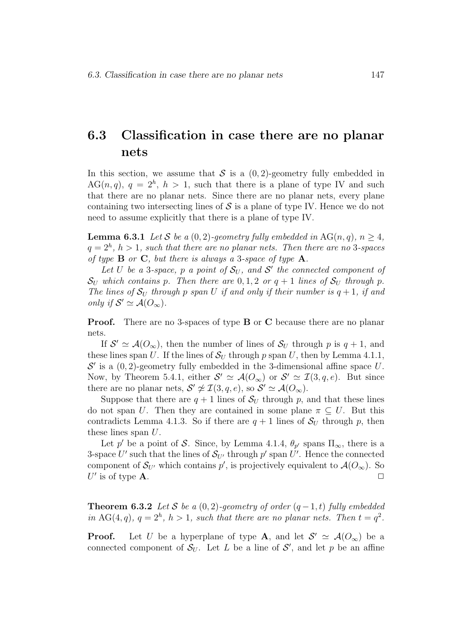## 6.3 Classification in case there are no planar nets

In this section, we assume that S is a  $(0, 2)$ -geometry fully embedded in  $AG(n, q)$ ,  $q = 2<sup>h</sup>$ ,  $h > 1$ , such that there is a plane of type IV and such that there are no planar nets. Since there are no planar nets, every plane containing two intersecting lines of  $S$  is a plane of type IV. Hence we do not need to assume explicitly that there is a plane of type IV.

**Lemma 6.3.1** Let S be a  $(0, 2)$ -geometry fully embedded in AG $(n, q)$ ,  $n \geq 4$ ,  $q=2<sup>h</sup>$ ,  $h>1$ , such that there are no planar nets. Then there are no 3-spaces of type  $\bf{B}$  or  $\bf{C}$ , but there is always a 3-space of type  $\bf{A}$ .

Let U be a 3-space, p a point of  $S_U$ , and S' the connected component of  $\mathcal{S}_U$  which contains p. Then there are 0, 1, 2 or  $q+1$  lines of  $\mathcal{S}_U$  through p. The lines of  $S_U$  through p span U if and only if their number is  $q+1$ , if and only if  $S' \simeq \mathcal{A}(O_{\infty})$ .

Proof. There are no 3-spaces of type B or C because there are no planar nets.

If  $S' \simeq \mathcal{A}(O_{\infty})$ , then the number of lines of  $S_U$  through p is  $q + 1$ , and these lines span U. If the lines of  $S_U$  through p span U, then by Lemma 4.1.1,  $\mathcal{S}'$  is a  $(0, 2)$ -geometry fully embedded in the 3-dimensional affine space U. Now, by Theorem 5.4.1, either  $S' \simeq \mathcal{A}(O_{\infty})$  or  $S' \simeq \mathcal{I}(3,q,e)$ . But since there are no planar nets,  $S' \not\cong \mathcal{I}(3, q, e)$ , so  $S' \simeq \mathcal{A}(O_{\infty})$ .

Suppose that there are  $q + 1$  lines of  $S_U$  through p, and that these lines do not span U. Then they are contained in some plane  $\pi \subseteq U$ . But this contradicts Lemma 4.1.3. So if there are  $q + 1$  lines of  $S_U$  through p, then these lines span U.

Let p' be a point of S. Since, by Lemma 4.1.4,  $\theta_{p'}$  spans  $\Pi_{\infty}$ , there is a 3-space U' such that the lines of  $S_{U'}$  through p' span U'. Hence the connected component of  $\mathcal{S}_{U'}$  which contains p', is projectively equivalent to  $\mathcal{A}(O_{\infty})$ . So U' is of type  $\mathbf{A}$ .

**Theorem 6.3.2** Let S be a  $(0, 2)$ -geometry of order  $(q-1, t)$  fully embedded in AG(4,q),  $q = 2^h$ ,  $h > 1$ , such that there are no planar nets. Then  $t = q^2$ .

**Proof.** Let U be a hyperplane of type **A**, and let  $S' \simeq A(O_\infty)$  be a connected component of  $S_U$ . Let L be a line of S', and let p be an affine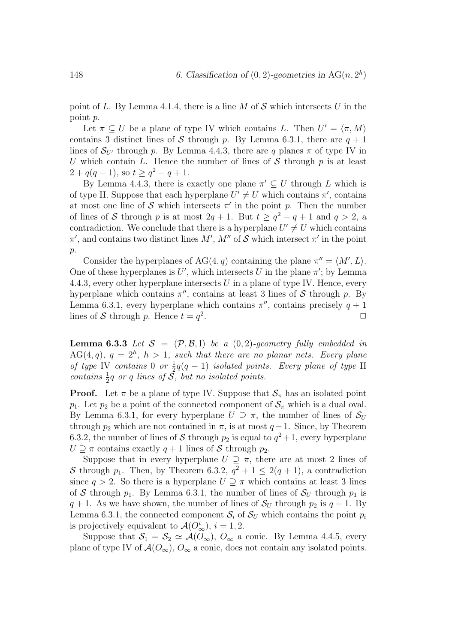point of L. By Lemma 4.1.4, there is a line M of S which intersects U in the point p.

Let  $\pi \subseteq U$  be a plane of type IV which contains L. Then  $U' = \langle \pi, M \rangle$ contains 3 distinct lines of S through p. By Lemma 6.3.1, there are  $q + 1$ lines of  $S_{U}$  through p. By Lemma 4.4.3, there are q planes  $\pi$  of type IV in U which contain L. Hence the number of lines of S through  $p$  is at least  $2 + q(q - 1)$ , so  $t \geq q^2 - q + 1$ .

By Lemma 4.4.3, there is exactly one plane  $\pi' \subseteq U$  through L which is of type II. Suppose that each hyperplane  $U' \neq U$  which contains  $\pi'$ , contains at most one line of  $S$  which intersects  $\pi'$  in the point p. Then the number of lines of S through p is at most  $2q + 1$ . But  $t \ge q^2 - q + 1$  and  $q > 2$ , a contradiction. We conclude that there is a hyperplane  $U' \neq U$  which contains  $\pi'$ , and contains two distinct lines M', M'' of S which intersect  $\pi'$  in the point p.

Consider the hyperplanes of  $AG(4, q)$  containing the plane  $\pi'' = \langle M', L \rangle$ . One of these hyperplanes is  $U'$ , which intersects U in the plane  $\pi'$ ; by Lemma 4.4.3, every other hyperplane intersects  $U$  in a plane of type IV. Hence, every hyperplane which contains  $\pi''$ , contains at least 3 lines of S through p. By Lemma 6.3.1, every hyperplane which contains  $\pi''$ , contains precisely  $q + 1$ lines of S through p. Hence  $t = q^2$ .  $\Box$ 

**Lemma 6.3.3** Let  $S = (\mathcal{P}, \mathcal{B}, I)$  be a  $(0, 2)$ -geometry fully embedded in  $AG(4, q), q = 2<sup>h</sup>, h > 1$ , such that there are no planar nets. Every plane of type IV contains 0 or  $\frac{1}{2}q(q-1)$  isolated points. Every plane of type II contains  $\frac{1}{2}q$  or q lines of  $\overline{S}$ , but no isolated points.

**Proof.** Let  $\pi$  be a plane of type IV. Suppose that  $S_{\pi}$  has an isolated point  $p_1$ . Let  $p_2$  be a point of the connected component of  $S_\pi$  which is a dual oval. By Lemma 6.3.1, for every hyperplane  $U \supseteq \pi$ , the number of lines of  $S_U$ through  $p_2$  which are not contained in  $\pi$ , is at most  $q-1$ . Since, by Theorem 6.3.2, the number of lines of S through  $p_2$  is equal to  $q^2+1$ , every hyperplane  $U \supseteq \pi$  contains exactly  $q + 1$  lines of S through  $p_2$ .

Suppose that in every hyperplane  $U \supseteq \pi$ , there are at most 2 lines of S through  $p_1$ . Then, by Theorem 6.3.2,  $q^2 + 1 \leq 2(q+1)$ , a contradiction since  $q > 2$ . So there is a hyperplane  $U \supseteq \pi$  which contains at least 3 lines of S through  $p_1$ . By Lemma 6.3.1, the number of lines of  $S_U$  through  $p_1$  is  $q + 1$ . As we have shown, the number of lines of  $S_U$  through  $p_2$  is  $q + 1$ . By Lemma 6.3.1, the connected component  $S_i$  of  $S_U$  which contains the point  $p_i$ is projectively equivalent to  $\mathcal{A}(O_{\infty}^i), i = 1, 2$ .

Suppose that  $S_1 = S_2 \simeq \mathcal{A}(O_\infty)$ ,  $O_\infty$  a conic. By Lemma 4.4.5, every plane of type IV of  $\mathcal{A}(O_\infty)$ ,  $O_\infty$  a conic, does not contain any isolated points.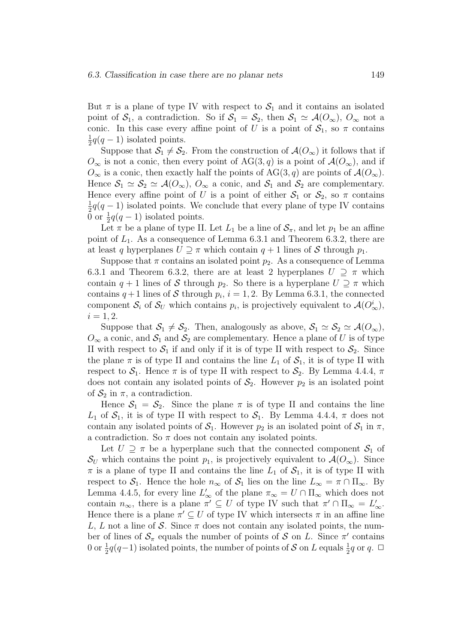But  $\pi$  is a plane of type IV with respect to  $S_1$  and it contains an isolated point of  $S_1$ , a contradiction. So if  $S_1 = S_2$ , then  $S_1 \simeq \mathcal{A}(O_\infty)$ ,  $O_\infty$  not a conic. In this case every affine point of U is a point of  $S_1$ , so  $\pi$  contains  $\frac{1}{2}q(q-1)$  isolated points.

Suppose that  $S_1 \neq S_2$ . From the construction of  $\mathcal{A}(O_\infty)$  it follows that if  $O_{\infty}$  is not a conic, then every point of AG(3, q) is a point of  $\mathcal{A}(O_{\infty})$ , and if  $O_{\infty}$  is a conic, then exactly half the points of AG(3, q) are points of  $\mathcal{A}(O_{\infty})$ . Hence  $S_1 \simeq S_2 \simeq \mathcal{A}(O_\infty)$ ,  $O_\infty$  a conic, and  $S_1$  and  $S_2$  are complementary. Hence every affine point of U is a point of either  $S_1$  or  $S_2$ , so  $\pi$  contains  $\frac{1}{2}q(q-1)$  isolated points. We conclude that every plane of type IV contains  $\bar{0}$  or  $\frac{1}{2}q(q-1)$  isolated points.

Let  $\pi$  be a plane of type II. Let  $L_1$  be a line of  $S_{\pi}$ , and let  $p_1$  be an affine point of  $L_1$ . As a consequence of Lemma 6.3.1 and Theorem 6.3.2, there are at least q hyperplanes  $U \supseteq \pi$  which contain  $q + 1$  lines of S through  $p_1$ .

Suppose that  $\pi$  contains an isolated point  $p_2$ . As a consequence of Lemma 6.3.1 and Theorem 6.3.2, there are at least 2 hyperplanes  $U \supseteq \pi$  which contain  $q + 1$  lines of S through  $p_2$ . So there is a hyperplane  $U \supseteq \pi$  which contains  $q+1$  lines of S through  $p_i$ ,  $i = 1, 2$ . By Lemma 6.3.1, the connected component  $\mathcal{S}_i$  of  $\mathcal{S}_U$  which contains  $p_i$ , is projectively equivalent to  $\mathcal{A}(O_{\infty}^i)$ ,  $i = 1, 2.$ 

Suppose that  $S_1 \neq S_2$ . Then, analogously as above,  $S_1 \simeq S_2 \simeq \mathcal{A}(O_{\infty}),$  $O_{\infty}$  a conic, and  $S_1$  and  $S_2$  are complementary. Hence a plane of U is of type II with respect to  $S_1$  if and only if it is of type II with respect to  $S_2$ . Since the plane  $\pi$  is of type II and contains the line  $L_1$  of  $S_1$ , it is of type II with respect to  $S_1$ . Hence  $\pi$  is of type II with respect to  $S_2$ . By Lemma 4.4.4,  $\pi$ does not contain any isolated points of  $S_2$ . However  $p_2$  is an isolated point of  $\mathcal{S}_2$  in  $\pi$ , a contradiction.

Hence  $S_1 = S_2$ . Since the plane  $\pi$  is of type II and contains the line  $L_1$  of  $S_1$ , it is of type II with respect to  $S_1$ . By Lemma 4.4.4,  $\pi$  does not contain any isolated points of  $S_1$ . However  $p_2$  is an isolated point of  $S_1$  in  $\pi$ , a contradiction. So  $\pi$  does not contain any isolated points.

Let  $U \supseteq \pi$  be a hyperplane such that the connected component  $S_1$  of  $\mathcal{S}_U$  which contains the point  $p_1$ , is projectively equivalent to  $\mathcal{A}(O_\infty)$ . Since  $\pi$  is a plane of type II and contains the line  $L_1$  of  $S_1$ , it is of type II with respect to  $S_1$ . Hence the hole  $n_{\infty}$  of  $S_1$  lies on the line  $L_{\infty} = \pi \cap \Pi_{\infty}$ . By Lemma 4.4.5, for every line  $L'_{\infty}$  of the plane  $\pi_{\infty} = U \cap \Pi_{\infty}$  which does not contain  $n_{\infty}$ , there is a plane  $\pi' \subseteq U$  of type IV such that  $\pi' \cap \Pi_{\infty} = L'_{\infty}$ . Hence there is a plane  $\pi' \subseteq U$  of type IV which intersects  $\pi$  in an affine line L, L not a line of S. Since  $\pi$  does not contain any isolated points, the number of lines of  $S_{\pi}$  equals the number of points of S on L. Since  $\pi'$  contains 0 or  $\frac{1}{2}q(q-1)$  isolated points, the number of points of S on L equals  $\frac{1}{2}q$  or q.  $\Box$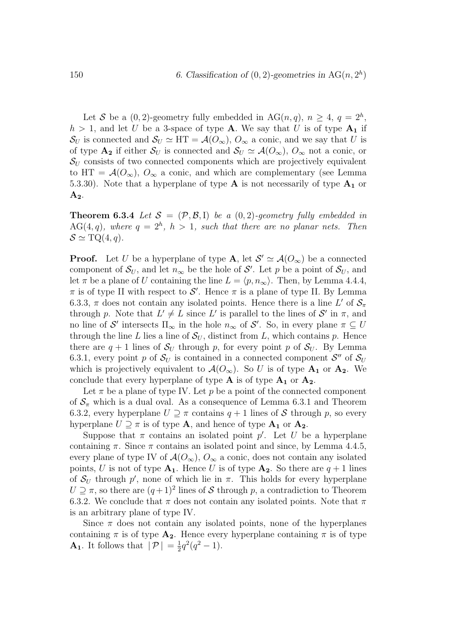Let S be a  $(0, 2)$ -geometry fully embedded in AG $(n, q)$ ,  $n \geq 4$ ,  $q = 2<sup>h</sup>$ ,  $h > 1$ , and let U be a 3-space of type **A**. We say that U is of type  $A_1$  if  $\mathcal{S}_U$  is connected and  $\mathcal{S}_U \simeq HT = \mathcal{A}(O_\infty)$ ,  $O_\infty$  a conic, and we say that U is of type  $\mathbf{A_2}$  if either  $\mathcal{S}_U$  is connected and  $\mathcal{S}_U \simeq \mathcal{A}(O_\infty)$ ,  $O_\infty$  not a conic, or  $S_U$  consists of two connected components which are projectively equivalent to HT =  $\mathcal{A}(O_{\infty}), O_{\infty}$  a conic, and which are complementary (see Lemma 5.3.30). Note that a hyperplane of type  $A$  is not necessarily of type  $A_1$  or  $A_2$ .

**Theorem 6.3.4** Let  $S = (\mathcal{P}, \mathcal{B}, I)$  be a  $(0, 2)$ -geometry fully embedded in  $AG(4, q)$ , where  $q = 2<sup>h</sup>$ ,  $h > 1$ , such that there are no planar nets. Then  $\mathcal{S} \simeq \text{TQ}(4,q).$ 

**Proof.** Let U be a hyperplane of type **A**, let  $\mathcal{S}' \simeq \mathcal{A}(O_{\infty})$  be a connected component of  $S_U$ , and let  $n_{\infty}$  be the hole of S'. Let p be a point of  $S_U$ , and let  $\pi$  be a plane of U containing the line  $L = \langle p, n_{\infty} \rangle$ . Then, by Lemma 4.4.4,  $\pi$  is of type II with respect to  $\mathcal{S}'$ . Hence  $\pi$  is a plane of type II. By Lemma 6.3.3,  $\pi$  does not contain any isolated points. Hence there is a line L' of  $\mathcal{S}_{\pi}$ through p. Note that  $L' \neq L$  since L' is parallel to the lines of  $\mathcal{S}'$  in  $\pi$ , and no line of  $\mathcal{S}'$  intersects  $\Pi_{\infty}$  in the hole  $n_{\infty}$  of  $\mathcal{S}'$ . So, in every plane  $\pi \subseteq U$ through the line L lies a line of  $\mathcal{S}_U$ , distinct from L, which contains p. Hence there are  $q + 1$  lines of  $S_U$  through p, for every point p of  $S_U$ . By Lemma 6.3.1, every point p of  $S_U$  is contained in a connected component  $S''$  of  $S_U$ which is projectively equivalent to  $\mathcal{A}(O_{\infty})$ . So U is of type  $\mathbf{A}_1$  or  $\mathbf{A}_2$ . We conclude that every hyperplane of type  $A$  is of type  $A_1$  or  $A_2$ .

Let  $\pi$  be a plane of type IV. Let p be a point of the connected component of  $S_{\pi}$  which is a dual oval. As a consequence of Lemma 6.3.1 and Theorem 6.3.2, every hyperplane  $U \supseteq \pi$  contains  $q + 1$  lines of S through p, so every hyperplane  $U \supseteq \pi$  is of type **A**, and hence of type **A**<sub>1</sub> or **A**<sub>2</sub>.

Suppose that  $\pi$  contains an isolated point  $p'$ . Let U be a hyperplane containing  $\pi$ . Since  $\pi$  contains an isolated point and since, by Lemma 4.4.5, every plane of type IV of  $\mathcal{A}(O_{\infty}), O_{\infty}$  a conic, does not contain any isolated points, U is not of type  $A_1$ . Hence U is of type  $A_2$ . So there are  $q + 1$  lines of  $S_U$  through p', none of which lie in  $\pi$ . This holds for every hyperplane  $U \supseteq \pi$ , so there are  $(q+1)^2$  lines of S through p, a contradiction to Theorem 6.3.2. We conclude that  $\pi$  does not contain any isolated points. Note that  $\pi$ is an arbitrary plane of type IV.

Since  $\pi$  does not contain any isolated points, none of the hyperplanes containing  $\pi$  is of type  $A_2$ . Hence every hyperplane containing  $\pi$  is of type **A**<sub>1</sub>. It follows that  $|\mathcal{P}| = \frac{1}{2}q^2(q^2 - 1)$ .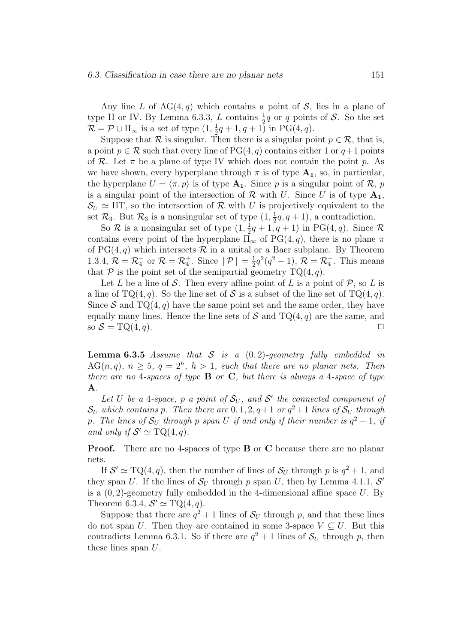Any line L of  $AG(4, q)$  which contains a point of S, lies in a plane of type II or IV. By Lemma 6.3.3, L contains  $\frac{1}{2}q$  or q points of S. So the set  $\mathcal{R} = \mathcal{P} \cup \Pi_{\infty}$  is a set of type  $(1, \frac{1}{2}q + 1, q + 1)$  in PG(4, q).

Suppose that R is singular. Then there is a singular point  $p \in \mathcal{R}$ , that is, a point  $p \in \mathcal{R}$  such that every line of PG(4, q) contains either 1 or  $q+1$  points of R. Let  $\pi$  be a plane of type IV which does not contain the point p. As we have shown, every hyperplane through  $\pi$  is of type  $A_1$ , so, in particular, the hyperplane  $U = \langle \pi, p \rangle$  is of type  $A_1$ . Since p is a singular point of R, p is a singular point of the intersection of  $\mathcal R$  with U. Since U is of type  $A_1$ ,  $S_U \simeq \text{HT}$ , so the intersection of R with U is projectively equivalent to the set  $\mathcal{R}_3$ . But  $\mathcal{R}_3$  is a nonsingular set of type  $(1, \frac{1}{2}q, q+1)$ , a contradiction.

So  $\mathcal R$  is a nonsingular set of type  $(1, \frac{1}{2}q + 1, q + 1)$  in PG(4, q). Since  $\mathcal R$ contains every point of the hyperplane  $\Pi_{\infty}$  of PG(4, q), there is no plane  $\pi$ of  $PG(4, q)$  which intersects  $R$  in a unital or a Baer subplane. By Theorem 1.3.4,  $\mathcal{R} = \mathcal{R}_4^-$  or  $\mathcal{R} = \mathcal{R}_4^+$ . Since  $|\mathcal{P}| = \frac{1}{2}q^2(q^2 - 1)$ ,  $\mathcal{R} = \mathcal{R}_4^-$ . This means that  $P$  is the point set of the semipartial geometry  $TQ(4, q)$ .

Let L be a line of S. Then every affine point of L is a point of  $P$ , so L is a line of TQ(4, q). So the line set of S is a subset of the line set of TQ(4, q). Since S and  $TQ(4, q)$  have the same point set and the same order, they have equally many lines. Hence the line sets of  $S$  and  $TQ(4, q)$  are the same, and so  $S = \text{TQ}(4, q)$ .

**Lemma 6.3.5** Assume that S is a  $(0, 2)$ -geometry fully embedded in  $AG(n, q), n \geq 5, q = 2<sup>h</sup>, h > 1, such that there are no planar nets. Then$ there are no 4-spaces of type  $\bf{B}$  or  $\bf{C}$ , but there is always a 4-space of type A.

Let U be a 4-space, p a point of  $S_U$ , and S' the connected component of  $\mathcal{S}_U$  which contains p. Then there are  $0, 1, 2, q+1$  or  $q^2+1$  lines of  $\mathcal{S}_U$  through p. The lines of  $S_U$  through p span U if and only if their number is  $q^2 + 1$ , if and only if  $S' \simeq \mathrm{TQ}(4,q)$ .

Proof. There are no 4-spaces of type **B** or **C** because there are no planar nets.

If  $S' \simeq \text{TQ}(4, q)$ , then the number of lines of  $S_U$  through p is  $q^2 + 1$ , and they span U. If the lines of  $S_U$  through p span U, then by Lemma 4.1.1,  $S'$ is a  $(0, 2)$ -geometry fully embedded in the 4-dimensional affine space U. By Theorem 6.3.4,  $S' \simeq \text{TQ}(4,q)$ .

Suppose that there are  $q^2 + 1$  lines of  $S_U$  through p, and that these lines do not span U. Then they are contained in some 3-space  $V \subseteq U$ . But this contradicts Lemma 6.3.1. So if there are  $q^2 + 1$  lines of  $S_U$  through p, then these lines span  $U$ .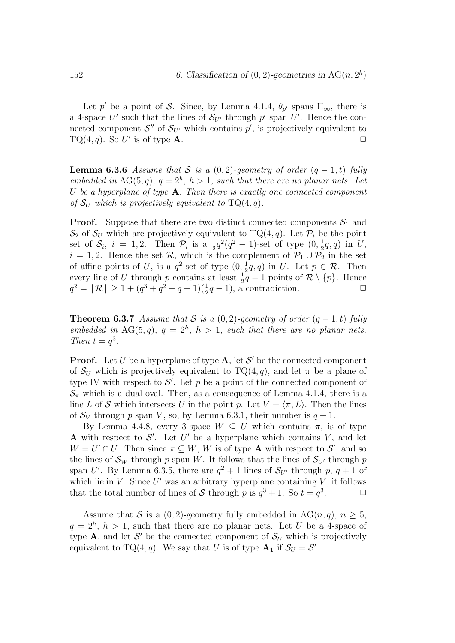Let p' be a point of S. Since, by Lemma 4.1.4,  $\theta_{p'}$  spans  $\Pi_{\infty}$ , there is a 4-space U' such that the lines of  $S_{U'}$  through p' span U'. Hence the connected component  $\mathcal{S}''$  of  $\mathcal{S}_{U'}$  which contains  $p'$ , is projectively equivalent to  $TQ(4, q)$ . So U' is of type **A**.

**Lemma 6.3.6** Assume that S is a  $(0, 2)$ -geometry of order  $(q - 1, t)$  fully embedded in AG(5, q),  $q = 2<sup>h</sup>$ ,  $h > 1$ , such that there are no planar nets. Let U be a hyperplane of type  $A$ . Then there is exactly one connected component of  $S_U$  which is projectively equivalent to  $TQ(4, q)$ .

**Proof.** Suppose that there are two distinct connected components  $S_1$  and  $\mathcal{S}_2$  of  $\mathcal{S}_U$  which are projectively equivalent to TQ(4, q). Let  $\mathcal{P}_i$  be the point set of  $S_i$ ,  $i = 1, 2$ . Then  $\mathcal{P}_i$  is a  $\frac{1}{2}q^2(q^2 - 1)$ -set of type  $(0, \frac{1}{2}q, q)$  in U,  $i = 1, 2$ . Hence the set R, which is the complement of  $\mathcal{P}_1 \cup \mathcal{P}_2$  in the set of affine points of U, is a  $q^2$ -set of type  $(0, \frac{1}{2}q, q)$  in U. Let  $p \in \mathcal{R}$ . Then every line of U through p contains at least  $\frac{1}{2}q-1$  points of  $\mathcal{R}\setminus\{p\}$ . Hence  $q^2 = |\mathcal{R}| \ge 1 + (q^3 + q^2 + q + 1)(\frac{1}{2}q - 1)$ , a contradiction.

**Theorem 6.3.7** Assume that S is a  $(0, 2)$ -geometry of order  $(q - 1, t)$  fully embedded in AG(5,q),  $q = 2<sup>h</sup>$ ,  $h > 1$ , such that there are no planar nets. Then  $t = q^3$ .

**Proof.** Let U be a hyperplane of type  $A$ , let  $S'$  be the connected component of  $S_U$  which is projectively equivalent to  $TQ(4, q)$ , and let  $\pi$  be a plane of type IV with respect to  $\mathcal{S}'$ . Let p be a point of the connected component of  $\mathcal{S}_{\pi}$  which is a dual oval. Then, as a consequence of Lemma 4.1.4, there is a line L of S which intersects U in the point p. Let  $V = \langle \pi, L \rangle$ . Then the lines of  $S_V$  through p span V, so, by Lemma 6.3.1, their number is  $q+1$ .

By Lemma 4.4.8, every 3-space  $W \subseteq U$  which contains  $\pi$ , is of type A with respect to  $S'$ . Let U' be a hyperplane which contains V, and let  $W = U' \cap U$ . Then since  $\pi \subseteq W$ , W is of type **A** with respect to  $S'$ , and so the lines of  $\mathcal{S}_W$  through p span W. It follows that the lines of  $\mathcal{S}_{U'}$  through p span U'. By Lemma 6.3.5, there are  $q^2 + 1$  lines of  $S_{U'}$  through p,  $q + 1$  of which lie in  $V$ . Since  $U'$  was an arbitrary hyperplane containing  $V$ , it follows that the total number of lines of S through p is  $q^3 + 1$ . So  $t = q^3$  $\Box$ 

Assume that S is a  $(0, 2)$ -geometry fully embedded in AG $(n, q)$ ,  $n \geq 5$ ,  $q = 2<sup>h</sup>$ ,  $h > 1$ , such that there are no planar nets. Let U be a 4-space of type **A**, and let S' be the connected component of  $S_U$  which is projectively equivalent to TQ(4, q). We say that U is of type  $\mathbf{A}_1$  if  $\mathcal{S}_U = \mathcal{S}'$ .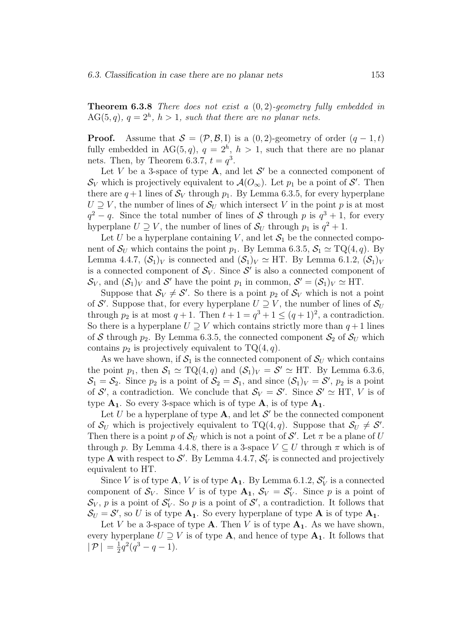**Theorem 6.3.8** There does not exist a  $(0, 2)$ -geometry fully embedded in  $AG(5,q), q = 2<sup>h</sup>, h > 1, such that there are no planar nets.$ 

**Proof.** Assume that  $S = (\mathcal{P}, \mathcal{B}, I)$  is a  $(0, 2)$ -geometry of order  $(q - 1, t)$ fully embedded in AG $(5, q)$ ,  $q = 2<sup>h</sup>$ ,  $h > 1$ , such that there are no planar nets. Then, by Theorem 6.3.7,  $t = q^3$ .

Let V be a 3-space of type  $A$ , and let  $S'$  be a connected component of  $\mathcal{S}_V$  which is projectively equivalent to  $\mathcal{A}(O_\infty)$ . Let  $p_1$  be a point of  $\mathcal{S}'$ . Then there are  $q+1$  lines of  $S_V$  through  $p_1$ . By Lemma 6.3.5, for every hyperplane  $U \supseteq V$ , the number of lines of  $S_U$  which intersect V in the point p is at most  $q^2 - q$ . Since the total number of lines of S through p is  $q^3 + 1$ , for every hyperplane  $U \supseteq V$ , the number of lines of  $S_U$  through  $p_1$  is  $q^2 + 1$ .

Let U be a hyperplane containing V, and let  $S_1$  be the connected component of  $\mathcal{S}_U$  which contains the point  $p_1$ . By Lemma 6.3.5,  $\mathcal{S}_1 \simeq TQ(4, q)$ . By Lemma 4.4.7,  $(\mathcal{S}_1)_V$  is connected and  $(\mathcal{S}_1)_V \simeq \text{HT}$ . By Lemma 6.1.2,  $(\mathcal{S}_1)_V$ is a connected component of  $S_V$ . Since  $S'$  is also a connected component of  $\mathcal{S}_V$ , and  $(\mathcal{S}_1)_V$  and  $\mathcal{S}'$  have the point  $p_1$  in common,  $\mathcal{S}' = (\mathcal{S}_1)_V \simeq HT$ .

Suppose that  $S_V \neq S'$ . So there is a point  $p_2$  of  $S_V$  which is not a point of S'. Suppose that, for every hyperplane  $U \supseteq V$ , the number of lines of  $\mathcal{S}_U$ through  $p_2$  is at most  $q + 1$ . Then  $t + 1 = q^3 + 1 \leq (q + 1)^2$ , a contradiction. So there is a hyperplane  $U \supseteq V$  which contains strictly more than  $q+1$  lines of S through  $p_2$ . By Lemma 6.3.5, the connected component  $S_2$  of  $S_U$  which contains  $p_2$  is projectively equivalent to  $TQ(4, q)$ .

As we have shown, if  $S_1$  is the connected component of  $S_U$  which contains the point  $p_1$ , then  $S_1 \simeq TQ(4,q)$  and  $(S_1)_V = S' \simeq HT$ . By Lemma 6.3.6,  $S_1 = S_2$ . Since  $p_2$  is a point of  $S_2 = S_1$ , and since  $(S_1)_V = S'$ ,  $p_2$  is a point of  $S'$ , a contradiction. We conclude that  $S_V = S'$ . Since  $S' \simeq \text{HT}$ , V is of type  $A_1$ . So every 3-space which is of type  $A_1$ , is of type  $A_1$ .

Let U be a hyperplane of type  $\mathbf{A}$ , and let  $\mathcal{S}'$  be the connected component of  $S_U$  which is projectively equivalent to TQ(4, q). Suppose that  $S_U \neq S'$ . Then there is a point p of  $\mathcal{S}_U$  which is not a point of  $\mathcal{S}'$ . Let  $\pi$  be a plane of U through p. By Lemma 4.4.8, there is a 3-space  $V \subseteq U$  through  $\pi$  which is of type **A** with respect to  $\mathcal{S}'$ . By Lemma 4.4.7,  $\mathcal{S}'_V$  is connected and projectively equivalent to HT.

Since V is of type  $\mathbf{A}, V$  is of type  $\mathbf{A}_1$ . By Lemma 6.1.2,  $\mathcal{S}'_V$  is a connected component of  $S_V$ . Since V is of type  $\mathbf{A}_1, S_V = S'_V$ . Since p is a point of  $\mathcal{S}_V$ , p is a point of  $\mathcal{S}'_V$ . So p is a point of  $\mathcal{S}'$ , a contradiction. It follows that  $S_U = S'$ , so U is of type  $A_1$ . So every hyperplane of type  $A$  is of type  $A_1$ .

Let V be a 3-space of type  $A$ . Then V is of type  $A_1$ . As we have shown, every hyperplane  $U \supseteq V$  is of type **A**, and hence of type  $A_1$ . It follows that  $|P| = \frac{1}{2}q^2(q^3 - q - 1).$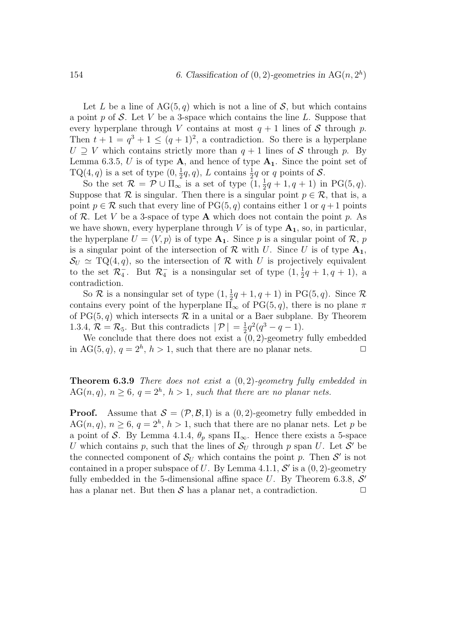Let L be a line of  $AG(5, q)$  which is not a line of S, but which contains a point p of S. Let V be a 3-space which contains the line L. Suppose that every hyperplane through V contains at most  $q + 1$  lines of S through p. Then  $t + 1 = q^3 + 1 \leq (q + 1)^2$ , a contradiction. So there is a hyperplane  $U \supset V$  which contains strictly more than  $q + 1$  lines of S through p. By Lemma 6.3.5, U is of type  $\bf{A}$ , and hence of type  $\bf{A}_1$ . Since the point set of TQ(4, q) is a set of type  $(0, \frac{1}{2}q, q)$ , L contains  $\frac{1}{2}q$  or q points of S.

So the set  $\mathcal{R} = \mathcal{P} \cup \Pi_{\infty}$  is a set of type  $(1, \frac{1}{2}q + 1, q + 1)$  in PG(5, q). Suppose that  $\mathcal R$  is singular. Then there is a singular point  $p \in \mathcal R$ , that is, a point  $p \in \mathcal{R}$  such that every line of PG(5, q) contains either 1 or  $q+1$  points of R. Let V be a 3-space of type **A** which does not contain the point p. As we have shown, every hyperplane through V is of type  $A_1$ , so, in particular, the hyperplane  $U = \langle V, p \rangle$  is of type  $A_1$ . Since p is a singular point of R, p is a singular point of the intersection of  $\mathcal R$  with U. Since U is of type  $A_1$ ,  $\mathcal{S}_U \simeq \mathrm{TQ}(4,q)$ , so the intersection of R with U is projectively equivalent to the set  $\mathcal{R}_4^-$ . But  $\mathcal{R}_4^-$  is a nonsingular set of type  $(1, \frac{1}{2}q + 1, q + 1)$ , a contradiction.

So  $\mathcal R$  is a nonsingular set of type  $(1, \frac{1}{2}q + 1, q + 1)$  in PG(5, q). Since  $\mathcal R$ contains every point of the hyperplane  $\Pi_{\infty}$  of PG(5, q), there is no plane  $\pi$ of  $PG(5, q)$  which intersects  $R$  in a unital or a Baer subplane. By Theorem 1.3.4,  $\mathcal{R} = \mathcal{R}_5$ . But this contradicts  $|\mathcal{P}| = \frac{1}{2}q^2(q^3 - q - 1)$ .

We conclude that there does not exist a  $(0, 2)$ -geometry fully embedded in AG(5, q),  $q = 2^h$ ,  $h > 1$ , such that there are no planar nets.  $\Box$ 

**Theorem 6.3.9** There does not exist a  $(0, 2)$ -geometry fully embedded in  $AG(n, q), n \geq 6, q = 2<sup>h</sup>, h > 1, such that there are no planar nets.$ 

**Proof.** Assume that  $S = (\mathcal{P}, \mathcal{B}, I)$  is a  $(0, 2)$ -geometry fully embedded in  $AG(n, q), n \geq 6, q = 2<sup>h</sup>, h > 1$ , such that there are no planar nets. Let p be a point of S. By Lemma 4.1.4,  $\theta_p$  spans  $\Pi_{\infty}$ . Hence there exists a 5-space U which contains p, such that the lines of  $S_U$  through p span U. Let S' be the connected component of  $S_U$  which contains the point p. Then  $S'$  is not contained in a proper subspace of U. By Lemma 4.1.1,  $\mathcal{S}'$  is a  $(0, 2)$ -geometry fully embedded in the 5-dimensional affine space  $U$ . By Theorem 6.3.8,  $S'$ has a planar net. But then  $S$  has a planar net, a contradiction.  $\square$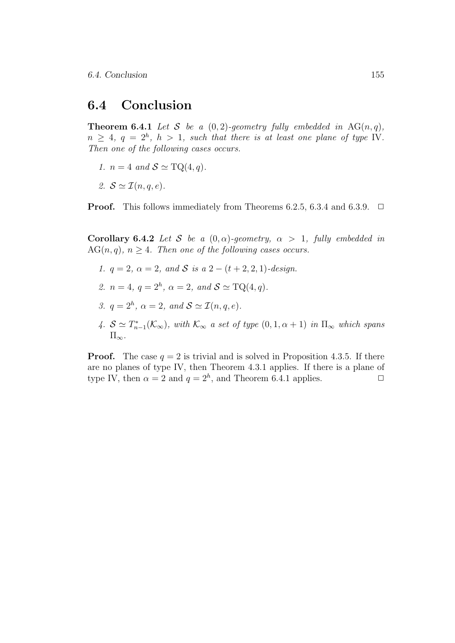#### 6.4 Conclusion

**Theorem 6.4.1** Let S be a  $(0, 2)$ -geometry fully embedded in AG $(n, q)$ ,  $n \geq 4, q = 2<sup>h</sup>, h > 1, such that there is at least one plane of type IV.$ Then one of the following cases occurs.

- 1.  $n = 4$  and  $S \simeq \text{TQ}(4, q)$ .
- 2.  $S \simeq \mathcal{I}(n, a, e)$ .

**Proof.** This follows immediately from Theorems 6.2.5, 6.3.4 and 6.3.9.  $\Box$ 

Corollary 6.4.2 Let S be a  $(0, \alpha)$ -geometry,  $\alpha > 1$ , fully embedded in  $AG(n, q), n \geq 4$ . Then one of the following cases occurs.

- 1.  $q = 2$ ,  $\alpha = 2$ , and S is  $a\ 2 (t + 2, 2, 1)$ -design.
- 2.  $n = 4, q = 2<sup>h</sup>, \alpha = 2, and S \simeq TQ(4, q).$
- 3.  $q = 2^h$ ,  $\alpha = 2$ , and  $S \simeq \mathcal{I}(n, q, e)$ .
- 4.  $S \simeq T_{n-1}^*(\mathcal{K}_{\infty})$ , with  $\mathcal{K}_{\infty}$  a set of type  $(0, 1, \alpha + 1)$  in  $\Pi_{\infty}$  which spans  $\Pi_{\infty}$ .

**Proof.** The case  $q = 2$  is trivial and is solved in Proposition 4.3.5. If there are no planes of type IV, then Theorem 4.3.1 applies. If there is a plane of type IV, then  $\alpha = 2$  and  $q = 2^h$ , and Theorem 6.4.1 applies.  $\Box$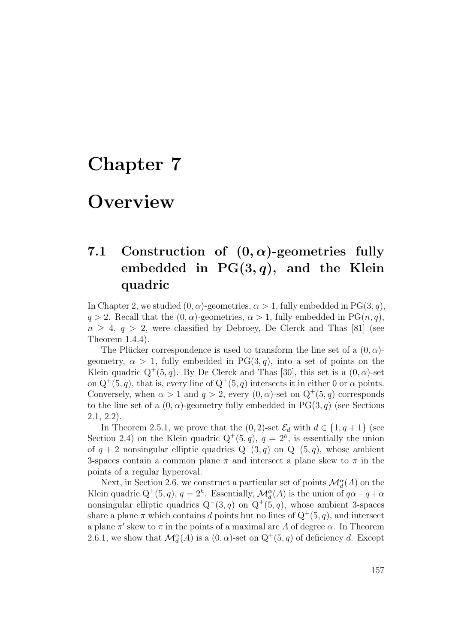# Chapter 7

# **Overview**

## 7.1 Construction of  $(0, \alpha)$ -geometries fully embedded in  $PG(3,q)$ , and the Klein quadric

In Chapter 2, we studied  $(0, \alpha)$ -geometries,  $\alpha > 1$ , fully embedded in PG(3, q),  $q > 2$ . Recall that the  $(0, \alpha)$ -geometries,  $\alpha > 1$ , fully embedded in PG $(n, q)$ ,  $n \geq 4$ ,  $q > 2$ , were classified by Debroey, De Clerck and Thas [81] (see Theorem 1.4.4).

The Plücker correspondence is used to transform the line set of a  $(0, \alpha)$ geometry,  $\alpha > 1$ , fully embedded in PG(3, q), into a set of points on the Klein quadric  $Q^+(5, q)$ . By De Clerck and Thas [30], this set is a  $(0, \alpha)$ -set on  $Q^+(5, q)$ , that is, every line of  $Q^+(5, q)$  intersects it in either 0 or  $\alpha$  points. Conversely, when  $\alpha > 1$  and  $q > 2$ , every  $(0, \alpha)$ -set on  $Q^+(5, q)$  corresponds to the line set of a  $(0, \alpha)$ -geometry fully embedded in PG $(3, q)$  (see Sections 2.1, 2.2).

In Theorem 2.5.1, we prove that the  $(0, 2)$ -set  $\mathcal{E}_d$  with  $d \in \{1, q+1\}$  (see Section 2.4) on the Klein quadric  $Q^+(5, q)$ ,  $q = 2<sup>h</sup>$ , is essentially the union of  $q + 2$  nonsingular elliptic quadrics  $Q^-(3, q)$  on  $Q^+(5, q)$ , whose ambient 3-spaces contain a common plane  $\pi$  and intersect a plane skew to  $\pi$  in the points of a regular hyperoval.

Next, in Section 2.6, we construct a particular set of points  $\mathcal{M}_{d}^{\alpha}(A)$  on the Klein quadric  $Q^+(5, q)$ ,  $q = 2^h$ . Essentially,  $\mathcal{M}_d^{\alpha}(A)$  is the union of  $q\alpha - q + \alpha$ nonsingular elliptic quadrics  $Q^-(3, q)$  on  $Q^+(5, q)$ , whose ambient 3-spaces share a plane  $\pi$  which contains d points but no lines of  $Q^+(5, q)$ , and intersect a plane  $\pi'$  skew to  $\pi$  in the points of a maximal arc A of degree  $\alpha$ . In Theorem 2.6.1, we show that  $\mathcal{M}_d^{\alpha}(A)$  is a  $(0, \alpha)$ -set on  $Q^+(5, q)$  of deficiency d. Except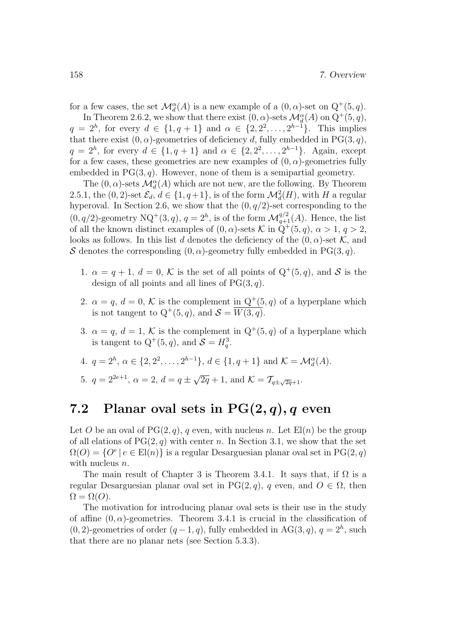for a few cases, the set  $\mathcal{M}_{d}^{\alpha}(A)$  is a new example of a  $(0, \alpha)$ -set on  $Q^{+}(5, q)$ .

In Theorem 2.6.2, we show that there exist  $(0, \alpha)$ -sets  $\mathcal{M}_d^{\alpha}(A)$  on  $Q^+(5, q)$ ,  $q = 2<sup>h</sup>$ , for every  $d \in \{1, q + 1\}$  and  $\alpha \in \{2, 2^2, ..., 2^{h-1}\}$ . This implies that there exist  $(0, \alpha)$ -geometries of deficiency d, fully embedded in PG(3,q),  $q = 2<sup>h</sup>$ , for every  $d \in \{1, q + 1\}$  and  $\alpha \in \{2, 2^2, ..., 2^{h-1}\}$ . Again, except for a few cases, these geometries are new examples of  $(0, \alpha)$ -geometries fully embedded in  $PG(3, q)$ . However, none of them is a semipartial geometry.

The  $(0,\alpha)$  -sets  $\mathcal{M}^{\alpha}_d(A)$  which are not new, are the following. By Theorem 2.5.1, the  $(0, 2)$ -set  $\mathcal{E}_d$ ,  $d \in \{1, q+1\}$ , is of the form  $\mathcal{M}_d^2(H)$ , with H a regular hyperoval. In Section 2.6, we show that the  $(0, q/2)$ -set corresponding to the  $(0, q/2)$ -geometry NQ<sup>+</sup> $(3, q)$ ,  $q = 2<sup>h</sup>$ , is of the form  $\mathcal{M}_{q+1}^{q/2}(A)$ . Hence, the list of all the known distinct examples of  $(0, \alpha)$ -sets K in  $\dot{Q}^+(5, q), \alpha > 1, q > 2$ , looks as follows. In this list d denotes the deficiency of the  $(0, \alpha)$ -set K, and S denotes the corresponding  $(0, \alpha)$ -geometry fully embedded in PG(3, q).

- 1.  $\alpha = q + 1$ ,  $d = 0$ , K is the set of all points of  $Q^+(5, q)$ , and S is the design of all points and all lines of  $PG(3, q)$ .
- 2.  $\alpha = q, d = 0, K$  is the complement in  $Q^+(5, q)$  of a hyperplane which is not tangent to  $Q^+(5, q)$ , and  $S = \overline{W(3, q)}$ .
- 3.  $\alpha = q, d = 1, K$  is the complement in  $Q^+(5, q)$  of a hyperplane which is tangent to  $Q^+(5, q)$ , and  $S = H_q^3$ .

4. 
$$
q = 2^h, \alpha \in \{2, 2^2, ..., 2^{h-1}\}, d \in \{1, q+1\}
$$
 and  $K = \mathcal{M}_d^{\alpha}(A)$ .

5. 
$$
q = 2^{2e+1}
$$
,  $\alpha = 2$ ,  $d = q \pm \sqrt{2q} + 1$ , and  $K = \mathcal{T}_{q \pm \sqrt{2q} + 1}$ .

### 7.2 Planar oval sets in  $PG(2,q), q$  even

Let O be an oval of  $PG(2, q)$ , q even, with nucleus n. Let  $El(n)$  be the group of all elations of  $PG(2, q)$  with center n. In Section 3.1, we show that the set  $\Omega(O) = \{O^e \mid e \in El(n)\}\$ is a regular Desarguesian planar oval set in PG $(2, q)$ with nucleus *n*.

The main result of Chapter 3 is Theorem 3.4.1. It says that, if  $\Omega$  is a regular Desarguesian planar oval set in PG(2, q), q even, and  $O \in \Omega$ , then  $\Omega = \Omega(O).$ 

The motivation for introducing planar oval sets is their use in the study of affine  $(0, \alpha)$ -geometries. Theorem 3.4.1 is crucial in the classification of  $(0, 2)$ -geometries of order  $(q-1, q)$ , fully embedded in AG $(3, q)$ ,  $q = 2<sup>h</sup>$ , such that there are no planar nets (see Section 5.3.3).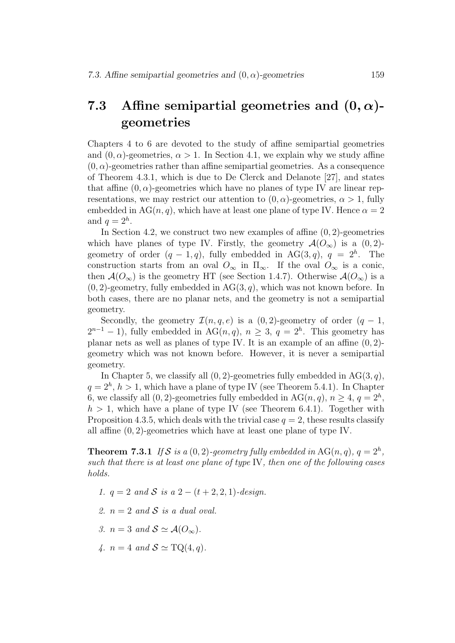## 7.3 Affine semipartial geometries and  $(0, \alpha)$ geometries

Chapters 4 to 6 are devoted to the study of affine semipartial geometries and  $(0, \alpha)$ -geometries,  $\alpha > 1$ . In Section 4.1, we explain why we study affine  $(0, \alpha)$ -geometries rather than affine semipartial geometries. As a consequence of Theorem 4.3.1, which is due to De Clerck and Delanote [27], and states that affine  $(0, \alpha)$ -geometries which have no planes of type IV are linear representations, we may restrict our attention to  $(0, \alpha)$ -geometries,  $\alpha > 1$ , fully embedded in AG(n, q), which have at least one plane of type IV. Hence  $\alpha = 2$ and  $q=2^h$ .

In Section 4.2, we construct two new examples of affine  $(0, 2)$ -geometries which have planes of type IV. Firstly, the geometry  $\mathcal{A}(O_{\infty})$  is a  $(0, 2)$ geometry of order  $(q-1,q)$ , fully embedded in AG(3,q),  $q = 2<sup>h</sup>$ . The construction starts from an oval  $O_{\infty}$  in  $\Pi_{\infty}$ . If the oval  $O_{\infty}$  is a conic, then  $\mathcal{A}(O_{\infty})$  is the geometry HT (see Section 1.4.7). Otherwise  $\mathcal{A}(O_{\infty})$  is a  $(0, 2)$ -geometry, fully embedded in AG $(3, q)$ , which was not known before. In both cases, there are no planar nets, and the geometry is not a semipartial geometry.

Secondly, the geometry  $\mathcal{I}(n, q, e)$  is a  $(0, 2)$ -geometry of order  $(q - 1, q - 1)$  $2^{n-1} - 1$ , fully embedded in AG $(n, q)$ ,  $n \geq 3$ ,  $q = 2<sup>h</sup>$ . This geometry has planar nets as well as planes of type IV. It is an example of an affine  $(0, 2)$ geometry which was not known before. However, it is never a semipartial geometry.

In Chapter 5, we classify all  $(0, 2)$ -geometries fully embedded in AG $(3, q)$ ,  $q = 2<sup>h</sup>$ ,  $h > 1$ , which have a plane of type IV (see Theorem 5.4.1). In Chapter 6, we classify all  $(0, 2)$ -geometries fully embedded in AG $(n, q)$ ,  $n \geq 4$ ,  $q = 2<sup>h</sup>$ ,  $h > 1$ , which have a plane of type IV (see Theorem 6.4.1). Together with Proposition 4.3.5, which deals with the trivial case  $q = 2$ , these results classify all affine (0, 2)-geometries which have at least one plane of type IV.

**Theorem 7.3.1** If S is a  $(0, 2)$ -geometry fully embedded in AG $(n, q)$ ,  $q = 2<sup>h</sup>$ , such that there is at least one plane of type IV, then one of the following cases holds.

- 1.  $q = 2$  and S is a  $2 (t + 2, 2, 1)$ -design.
- 2.  $n = 2$  and S is a dual oval.
- 3.  $n = 3$  and  $S \simeq \mathcal{A}(O_{\infty}).$
- 4.  $n = 4$  and  $S \simeq \text{TQ}(4, q)$ .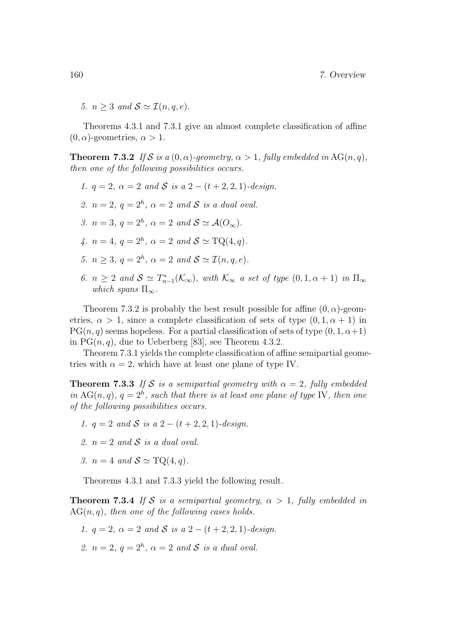5.  $n > 3$  and  $S \simeq \mathcal{I}(n, a, e)$ .

Theorems 4.3.1 and 7.3.1 give an almost complete classification of affine  $(0, \alpha)$ -geometries,  $\alpha > 1$ .

**Theorem 7.3.2** If S is a  $(0, \alpha)$ -geometry,  $\alpha > 1$ , fully embedded in AG(n, q), then one of the following possibilities occurs.

1.  $q = 2$ ,  $\alpha = 2$  and S is  $q = 2 - (t + 2, 2, 1)$ -design. 2.  $n = 2$ ,  $q = 2<sup>h</sup>$ ,  $\alpha = 2$  and S is a dual oval. 3.  $n = 3$ ,  $q = 2<sup>h</sup>$ ,  $\alpha = 2$  and  $S \simeq \mathcal{A}(O_{\infty})$ . 4.  $n = 4, q = 2<sup>h</sup>, \alpha = 2 \text{ and } S \simeq \text{TQ}(4, q).$ 5.  $n \geq 3$ ,  $q = 2<sup>h</sup>$ ,  $\alpha = 2$  and  $S \simeq \mathcal{I}(n, q, e)$ . 6.  $n \geq 2$  and  $\mathcal{S} \simeq T^*_{n-1}(\mathcal{K}_{\infty})$ , with  $\mathcal{K}_{\infty}$  a set of type  $(0, 1, \alpha + 1)$  in  $\Pi_{\infty}$ which spans  $\Pi_{\infty}$ .

Theorem 7.3.2 is probably the best result possible for affine  $(0, \alpha)$ -geometries,  $\alpha > 1$ , since a complete classification of sets of type  $(0, 1, \alpha + 1)$  in  $PG(n, q)$  seems hopeless. For a partial classification of sets of type  $(0, 1, \alpha+1)$ in  $PG(n, q)$ , due to Ueberberg [83], see Theorem 4.3.2.

Theorem 7.3.1 yields the complete classification of affine semipartial geometries with  $\alpha = 2$ , which have at least one plane of type IV.

**Theorem 7.3.3** If S is a semipartial geometry with  $\alpha = 2$ , fully embedded in AG(n, q),  $q = 2<sup>h</sup>$ , such that there is at least one plane of type IV, then one of the following possibilities occurs.

- 1.  $q = 2$  and S is a  $2 (t + 2, 2, 1)$ -design.
- 2.  $n = 2$  and S is a dual oval.
- 3.  $n = 4$  and  $S \simeq \text{TQ}(4, q)$ .

Theorems 4.3.1 and 7.3.3 yield the following result.

**Theorem 7.3.4** If S is a semipartial geometry,  $\alpha > 1$ , fully embedded in  $AG(n, q)$ , then one of the following cases holds.

- 1.  $q = 2$ ,  $\alpha = 2$  and S is a 2  $(t + 2, 2, 1)$ -design.
- 2.  $n=2, q=2<sup>h</sup>, \alpha = 2 \text{ and } S \text{ is a dual oval.}$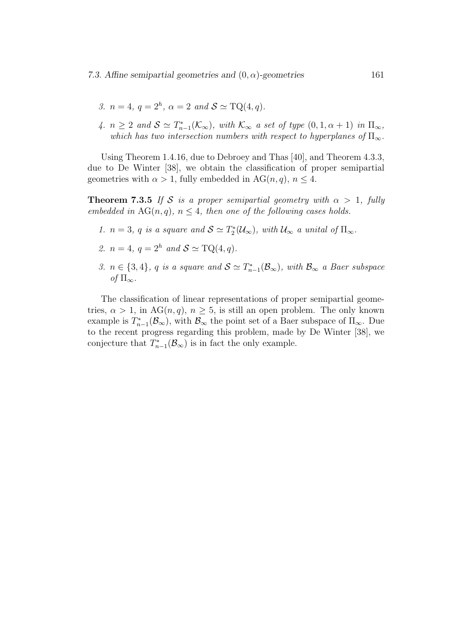- 3.  $n = 4, q = 2<sup>h</sup>, \alpha = 2 \text{ and } S \simeq \text{TQ}(4, q).$
- 4.  $n \geq 2$  and  $S \simeq T_{n-1}^*(\mathcal{K}_{\infty})$ , with  $\mathcal{K}_{\infty}$  a set of type  $(0, 1, \alpha + 1)$  in  $\Pi_{\infty}$ , which has two intersection numbers with respect to hyperplanes of  $\Pi_{\infty}$ .

Using Theorem 1.4.16, due to Debroey and Thas [40], and Theorem 4.3.3, due to De Winter [38], we obtain the classification of proper semipartial geometries with  $\alpha > 1$ , fully embedded in AG(n, q),  $n \leq 4$ .

**Theorem 7.3.5** If S is a proper semipartial geometry with  $\alpha > 1$ , fully embedded in  $AG(n, q)$ ,  $n \leq 4$ , then one of the following cases holds.

- 1.  $n = 3$ , q is a square and  $S \simeq T_2^*(\mathcal{U}_{\infty})$ , with  $\mathcal{U}_{\infty}$  a unital of  $\Pi_{\infty}$ .
- 2.  $n = 4$ ,  $q = 2<sup>h</sup>$  and  $S \simeq \text{TQ}(4, q)$ .
- 3.  $n \in \{3, 4\}$ , q is a square and  $S \simeq T_{n-1}^*(\mathcal{B}_{\infty})$ , with  $\mathcal{B}_{\infty}$  a Baer subspace of  $\Pi_{\infty}$ .

The classification of linear representations of proper semipartial geometries,  $\alpha > 1$ , in AG $(n, q)$ ,  $n \geq 5$ , is still an open problem. The only known example is  $T_{n-1}^*(\mathcal{B}_{\infty})$ , with  $\mathcal{B}_{\infty}$  the point set of a Baer subspace of  $\Pi_{\infty}$ . Due to the recent progress regarding this problem, made by De Winter [38], we conjecture that  $T_{n-1}^*(\mathcal{B}_{\infty})$  is in fact the only example.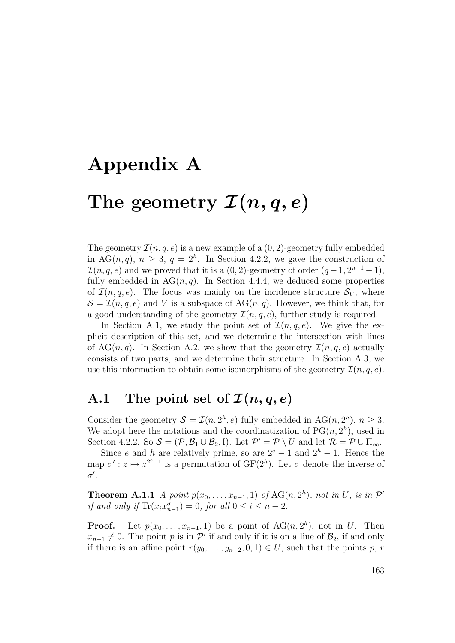# Appendix A

# The geometry  $\mathcal{I}(n, q, e)$

The geometry  $\mathcal{I}(n, q, e)$  is a new example of a  $(0, 2)$ -geometry fully embedded in AG(n, q),  $n \geq 3$ ,  $q = 2<sup>h</sup>$ . In Section 4.2.2, we gave the construction of  $\mathcal{I}(n,q,e)$  and we proved that it is a  $(0,2)$ -geometry of order  $(q-1, 2^{n-1}-1)$ , fully embedded in  $AG(n, q)$ . In Section 4.4.4, we deduced some properties of  $\mathcal{I}(n, q, e)$ . The focus was mainly on the incidence structure  $\mathcal{S}_V$ , where  $\mathcal{S} = \mathcal{I}(n, q, e)$  and V is a subspace of AG $(n, q)$ . However, we think that, for a good understanding of the geometry  $\mathcal{I}(n, q, e)$ , further study is required.

In Section A.1, we study the point set of  $\mathcal{I}(n,q,e)$ . We give the explicit description of this set, and we determine the intersection with lines of AG(n, q). In Section A.2, we show that the geometry  $\mathcal{I}(n, q, e)$  actually consists of two parts, and we determine their structure. In Section A.3, we use this information to obtain some isomorphisms of the geometry  $\mathcal{I}(n, q, e)$ .

## A.1 The point set of  $\mathcal{I}(n, q, e)$

Consider the geometry  $S = \mathcal{I}(n, 2^h, e)$  fully embedded in AG $(n, 2^h), n \geq 3$ . We adopt here the notations and the coordinatization of  $PG(n, 2<sup>h</sup>)$ , used in Section 4.2.2. So  $S = (\mathcal{P}, \mathcal{B}_1 \cup \mathcal{B}_2, I)$ . Let  $\mathcal{P}' = \mathcal{P} \setminus U$  and let  $\mathcal{R} = \mathcal{P} \cup \Pi_{\infty}$ .

Since e and h are relatively prime, so are  $2^e - 1$  and  $2^h - 1$ . Hence the map  $\sigma' : z \mapsto z^{2^{e}-1}$  is a permutation of  $GF(2^{h})$ . Let  $\sigma$  denote the inverse of  $\sigma'$ .

**Theorem A.1.1** A point  $p(x_0, \ldots, x_{n-1}, 1)$  of  $AG(n, 2<sup>h</sup>)$ , not in U, is in  $\mathcal{P}'$ if and only if  $\text{Tr}(x_i x_{n-1}^{\sigma}) = 0$ , for all  $0 \leq i \leq n-2$ .

**Proof.** Let  $p(x_0, \ldots, x_{n-1}, 1)$  be a point of  $AG(n, 2<sup>h</sup>)$ , not in U. Then  $x_{n-1} \neq 0$ . The point p is in P' if and only if it is on a line of  $\mathcal{B}_2$ , if and only if there is an affine point  $r(y_0, \ldots, y_{n-2}, 0, 1) \in U$ , such that the points p, r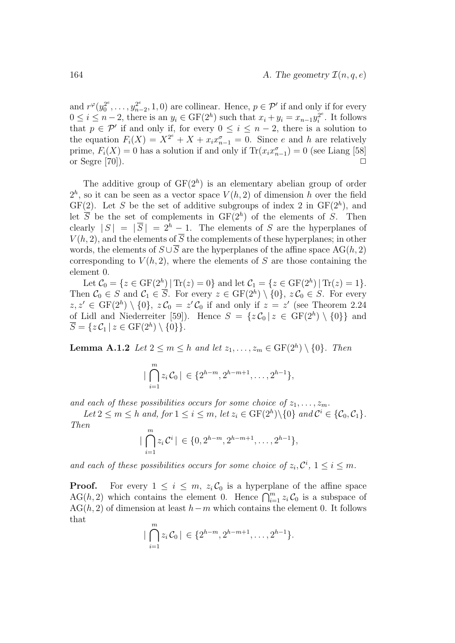and  $r^{\varphi}(y_0^{2^e}, \ldots, y_{n-2}^{2^e}, 1, 0)$  are collinear. Hence,  $p \in \mathcal{P}'$  if and only if for every  $0 \le i \le n-2$ , there is an  $y_i \in \mathrm{GF}(2^h)$  such that  $x_i + y_i = x_{n-1}y_i^{2^e}$ . It follows that  $p \in \mathcal{P}'$  if and only if, for every  $0 \leq i \leq n-2$ , there is a solution to the equation  $F_i(X) = X^{2^e} + X + x_i x_{n-1}^{\sigma} = 0$ . Since e and h are relatively prime,  $F_i(X) = 0$  has a solution if and only if  $\text{Tr}(x_i x_{n-1}^{\sigma}) = 0$  (see Liang [58] or Segre [70]).  $\Box$ 

The additive group of  $GF(2<sup>h</sup>)$  is an elementary abelian group of order  $2<sup>h</sup>$ , so it can be seen as a vector space  $V(h, 2)$  of dimension h over the field  $GF(2)$ . Let S be the set of additive subgroups of index 2 in  $GF(2<sup>h</sup>)$ , and let  $\overline{S}$  be the set of complements in  $GF(2<sup>h</sup>)$  of the elements of S. Then clearly  $|S| = |\overline{S}| = 2<sup>h</sup> - 1$ . The elements of S are the hyperplanes of  $V(h, 2)$ , and the elements of  $\overline{S}$  the complements of these hyperplanes; in other words, the elements of  $S \cup \overline{S}$  are the hyperplanes of the affine space AG(h, 2) corresponding to  $V(h, 2)$ , where the elements of S are those containing the element 0.

Let  $C_0 = \{ z \in \text{GF}(2^h) | \text{Tr}(z) = 0 \}$  and let  $C_1 = \{ z \in \text{GF}(2^h) | \text{Tr}(z) = 1 \}.$ Then  $C_0 \in S$  and  $C_1 \in \overline{S}$ . For every  $z \in \mathrm{GF}(2^h) \setminus \{0\}$ ,  $z C_0 \in S$ . For every  $z, z' \in \text{GF}(2^h) \setminus \{0\}, z\mathcal{C}_0 = z'\mathcal{C}_0$  if and only if  $z = z'$  (see Theorem 2.24) of Lidl and Niederreiter [59]). Hence  $S = \{z \mathcal{C}_0 | z \in \mathrm{GF}(2^h) \setminus \{0\}\}\$ and  $\overline{S} = \{z \mathcal{C}_1 | z \in \mathrm{GF}(2^h) \setminus \{0\}\}.$ 

**Lemma A.1.2** Let  $2 \leq m \leq h$  and let  $z_1, \ldots, z_m \in \text{GF}(2^h) \setminus \{0\}$ . Then

$$
|\bigcap_{i=1}^{m} z_i \mathcal{C}_0| \in \{2^{h-m}, 2^{h-m+1}, \dots, 2^{h-1}\},\
$$

and each of these possibilities occurs for some choice of  $z_1, \ldots, z_m$ .

Let  $2 \leq m \leq h$  and, for  $1 \leq i \leq m$ , let  $z_i \in \mathrm{GF}(2^h) \setminus \{0\}$  and  $\mathcal{C}^i \in \{\mathcal{C}_0, \mathcal{C}_1\}$ . Then

$$
|\bigcap_{i=1}^{m} z_i \mathcal{C}^i| \in \{0, 2^{h-m}, 2^{h-m+1}, \dots, 2^{h-1}\},\
$$

and each of these possibilities occurs for some choice of  $z_i, C^i, 1 \le i \le m$ .

**Proof.** For every  $1 \leq i \leq m$ ,  $z_i \mathcal{C}_0$  is a hyperplane of the affine space AG(h, 2) which contains the element 0. Hence  $\bigcap_{i=1}^m z_i \mathcal{C}_0$  is a subspace of  $AG(h, 2)$  of dimension at least  $h-m$  which contains the element 0. It follows that

$$
|\bigcap_{i=1}^m z_i \mathcal{C}_0| \in \{2^{h-m}, 2^{h-m+1}, \dots, 2^{h-1}\}.
$$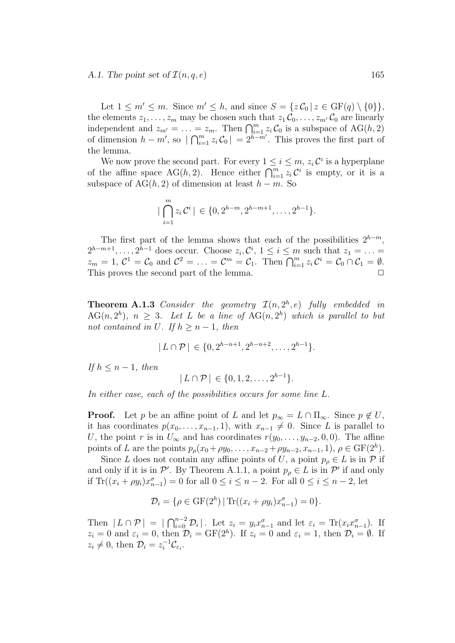#### A.1. The point set of  $\mathcal{I}(n, q, e)$  165

Let  $1 \leq m' \leq m$ . Since  $m' \leq h$ , and since  $S = \{z \mathcal{C}_0 | z \in \text{GF}(q) \setminus \{0\}\},\$ the elements  $z_1, \ldots, z_m$  may be chosen such that  $z_1 \mathcal{C}_0, \ldots, z_{m'} \mathcal{C}_0$  are linearly independent and  $z_{m'} = \ldots = z_m$ . Then  $\bigcap_{i=1}^m z_i \mathcal{C}_0$  is a subspace of  $AG(h, 2)$ of dimension  $h - m'$ , so  $|\bigcap_{i=1}^{m} z_i \mathcal{C}_0| = 2^{h-m'}$ . This proves the first part of the lemma.

We now prove the second part. For every  $1 \leq i \leq m$ ,  $z_i \mathcal{C}^i$  is a hyperplane of the affine space AG(h, 2). Hence either  $\bigcap_{i=1}^m z_i \mathcal{C}^i$  is empty, or it is a subspace of  $AG(h, 2)$  of dimension at least  $h - m$ . So

$$
|\bigcap_{i=1}^{m} z_i \mathcal{C}^i| \in \{0, 2^{h-m}, 2^{h-m+1}, \dots, 2^{h-1}\}.
$$

The first part of the lemma shows that each of the possibilities  $2^{h-m}$ ,  $2^{h-m+1}, \ldots, 2^{h-1}$  does occur. Choose  $z_i, \mathcal{C}^i, 1 \leq i \leq m$  such that  $z_1 = \ldots =$  $z_m = 1, \mathcal{C}^1 = \mathcal{C}_0$  and  $\mathcal{C}^2 = \ldots = \mathcal{C}^m = \mathcal{C}_1$ . Then  $\bigcap_{i=1}^m z_i \mathcal{C}^i = \mathcal{C}_0 \cap \mathcal{C}_1 = \emptyset$ . This proves the second part of the lemma.  $\Box$ 

**Theorem A.1.3** Consider the geometry  $\mathcal{I}(n, 2^h, e)$  fully embedded in  $AG(n, 2<sup>h</sup>)$ ,  $n \geq 3$ . Let L be a line of  $AG(n, 2<sup>h</sup>)$  which is parallel to but not contained in U. If  $h > n - 1$ , then

$$
|L \cap \mathcal{P}| \in \{0, 2^{h-n+1}, 2^{h-n+2}, \dots, 2^{h-1}\}.
$$

If  $h \leq n-1$ , then

$$
|L \cap \mathcal{P}| \in \{0, 1, 2, \dots, 2^{h-1}\}.
$$

In either case, each of the possibilities occurs for some line L.

**Proof.** Let p be an affine point of L and let  $p_{\infty} = L \cap \Pi_{\infty}$ . Since  $p \notin U$ , it has coordinates  $p(x_0, \ldots, x_{n-1}, 1)$ , with  $x_{n-1} \neq 0$ . Since L is parallel to U, the point r is in  $U_{\infty}$  and has coordinates  $r(y_0, \ldots, y_{n-2}, 0, 0)$ . The affine points of L are the points  $p_{\rho}(x_0 + \rho y_0, \ldots, x_{n-2} + \rho y_{n-2}, x_{n-1}, 1), \rho \in \text{GF}(2^h)$ .

Since L does not contain any affine points of U, a point  $p_{\rho} \in L$  is in P if and only if it is in  $\mathcal{P}'$ . By Theorem A.1.1, a point  $p_{\rho} \in L$  is in  $\mathcal{P}'$  if and only if  $\text{Tr}((x_i + \rho y_i)x_{n-1}^{\sigma}) = 0$  for all  $0 \leq i \leq n-2$ . For all  $0 \leq i \leq n-2$ , let

$$
\mathcal{D}_{i} = \{ \rho \in \mathrm{GF}(2^{h}) \mid \mathrm{Tr}((x_{i} + \rho y_{i})x_{n-1}^{\sigma}) = 0 \}.
$$

Then  $|L \cap \mathcal{P}| = |\bigcap_{i=0}^{n-2} \mathcal{D}_i|$ . Let  $z_i = y_i x_{n-1}^{\sigma}$  and let  $\varepsilon_i = \text{Tr}(x_i x_{n-1}^{\sigma})$ . If  $z_i = 0$  and  $\varepsilon_i = 0$ , then  $\mathcal{D}_i = \text{GF}(2^h)$ . If  $z_i = 0$  and  $\varepsilon_i = 1$ , then  $\mathcal{D}_i = \emptyset$ . If  $z_i \neq 0$ , then  $\mathcal{D}_i = z_i^{-1} \mathcal{C}_{\varepsilon_i}$ .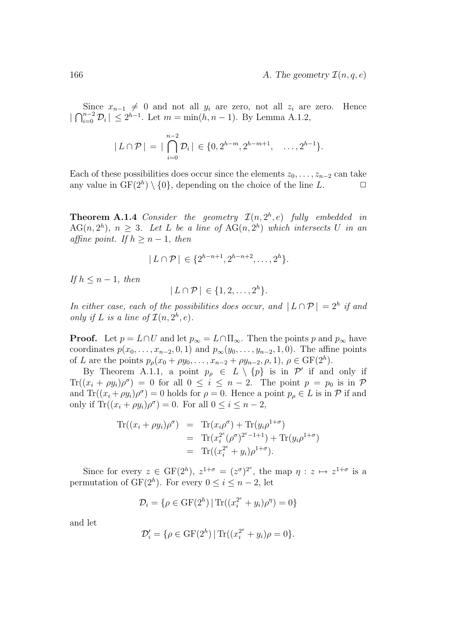Since  $x_{n-1} \neq 0$  and not all  $y_i$  are zero, not all  $z_i$  are zero. Hence  $|\bigcap_{i=0}^{n-2} \mathcal{D}_i| \leq 2^{h-1}$ . Let  $m = \min(h, n-1)$ . By Lemma A.1.2,

$$
|L \cap \mathcal{P}| = |\bigcap_{i=0}^{n-2} \mathcal{D}_i| \in \{0, 2^{h-m}, 2^{h-m+1}, \dots, 2^{h-1}\}.
$$

Each of these possibilities does occur since the elements  $z_0, \ldots, z_{n-2}$  can take any value in  $GF(2<sup>h</sup>) \setminus \{0\}$ , depending on the choice of the line L.  $\Box$ 

**Theorem A.1.4** Consider the geometry  $\mathcal{I}(n, 2^h, e)$  fully embedded in  $AG(n, 2<sup>h</sup>)$ ,  $n \geq 3$ . Let L be a line of  $AG(n, 2<sup>h</sup>)$  which intersects U in an affine point. If  $h \geq n-1$ , then

$$
|L \cap \mathcal{P}| \in \{2^{h-n+1}, 2^{h-n+2}, \dots, 2^h\}.
$$

If  $h \leq n-1$ , then

$$
|L \cap \mathcal{P}| \in \{1, 2, \ldots, 2^h\}.
$$

In either case, each of the possibilities does occur, and  $|L \cap \mathcal{P}| = 2^h$  if and only if L is a line of  $\mathcal{I}(n, 2^h, e)$ .

**Proof.** Let  $p = L \cap U$  and let  $p_{\infty} = L \cap \Pi_{\infty}$ . Then the points p and  $p_{\infty}$  have coordinates  $p(x_0, ..., x_{n-2}, 0, 1)$  and  $p_{\infty}(y_0, ..., y_{n-2}, 1, 0)$ . The affine points of L are the points  $p_{\rho}(x_0 + \rho y_0, \ldots, x_{n-2} + \rho y_{n-2}, \rho, 1), \rho \in \text{GF}(2^h)$ .

By Theorem A.1.1, a point  $p_{\rho} \in L \setminus \{p\}$  is in  $\mathcal{P}'$  if and only if  $\text{Tr}((x_i + \rho y_i)\rho^{\sigma}) = 0$  for all  $0 \leq i \leq n-2$ . The point  $p = p_0$  is in  $\mathcal{P}$ and  $\text{Tr}((x_i + \rho y_i)\rho^{\sigma}) = 0$  holds for  $\rho = 0$ . Hence a point  $p_{\rho} \in L$  is in  $\mathcal P$  if and only if  $\text{Tr}((x_i + \rho y_i)\rho^{\sigma}) = 0$ . For all  $0 \le i \le n - 2$ ,

$$
\begin{array}{rcl}\n\operatorname{Tr}((x_i + \rho y_i)\rho^{\sigma}) & = & \operatorname{Tr}(x_i\rho^{\sigma}) + \operatorname{Tr}(y_i\rho^{1+\sigma}) \\
& = & \operatorname{Tr}(x_i^{2^e}(\rho^{\sigma})^{2^e - 1+1}) + \operatorname{Tr}(y_i\rho^{1+\sigma}) \\
& = & \operatorname{Tr}((x_i^{2^e} + y_i)\rho^{1+\sigma}).\n\end{array}
$$

Since for every  $z \in \mathrm{GF}(2^h)$ ,  $z^{1+\sigma} = (z^{\sigma})^{2^e}$ , the map  $\eta : z \mapsto z^{1+\sigma}$  is a permutation of  $GF(2<sup>h</sup>)$ . For every  $0 \le i \le n-2$ , let

$$
\mathcal{D}_i = \{ \rho \in \text{GF}(2^h) \, | \, \text{Tr}((x_i^{2^e} + y_i)\rho^{\eta}) = 0 \}
$$

and let

$$
\mathcal{D}'_i = \{ \rho \in \text{GF}(2^h) \, | \, \text{Tr}((x_i^{2^e} + y_i)\rho = 0 \}.
$$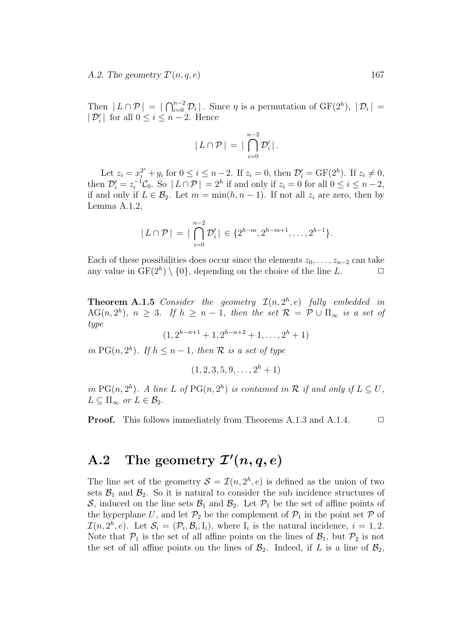A.2. The geometry  $\mathcal{I}'$  $(n, q, e)$  167

Then  $|L \cap \mathcal{P}| = |\bigcap_{i=0}^{n-2} \mathcal{D}_i|$ . Since  $\eta$  is a permutation of  $GF(2^h)$ ,  $|\mathcal{D}_i|$  =  $|\mathcal{D}'_i|$  for all  $0 \leq i \leq n-2$ . Hence

$$
|L \cap \mathcal{P}| = |\bigcap_{i=0}^{n-2} \mathcal{D}'_i|.
$$

Let  $z_i = x_i^{2^e} + y_i$  for  $0 \le i \le n-2$ . If  $z_i = 0$ , then  $\mathcal{D}'_i = \text{GF}(2^h)$ . If  $z_i \ne 0$ , then  $\mathcal{D}'_i = z_i^{-1}\mathcal{C}_0$ . So  $|L \cap \mathcal{P}| = 2^h$  if and only if  $z_i = 0$  for all  $0 \le i \le n-2$ , if and only if  $L \in \mathcal{B}_2$ . Let  $m = \min(h, n-1)$ . If not all  $z_i$  are zero, then by Lemma A.1.2,

$$
|L \cap \mathcal{P}| = |\bigcap_{i=0}^{n-2} \mathcal{D}'_i| \in \{2^{h-m}, 2^{h-m+1}, \dots, 2^{h-1}\}.
$$

Each of these possibilities does occur since the elements  $z_0, \ldots, z_{n-2}$  can take any value in  $GF(2<sup>h</sup>) \setminus \{0\}$ , depending on the choice of the line L.  $\Box$ 

**Theorem A.1.5** Consider the geometry  $\mathcal{I}(n, 2^h, e)$  fully embedded in AG $(n, 2<sup>h</sup>)$ ,  $n \geq 3$ . If  $h \geq n-1$ , then the set  $\mathcal{R} = \mathcal{P} \cup \Pi_{\infty}$  is a set of type

 $(1, 2^{h-n+1}+1, 2^{h-n+2}+1, \ldots, 2^h+1)$ 

in PG(n,  $2^h$ ). If  $h \leq n-1$ , then  $R$  is a set of type

 $(1, 2, 3, 5, 9, \ldots, 2<sup>h</sup> + 1)$ 

in PG(n,  $2^h$ ). A line L of PG(n,  $2^h$ ) is contained in R if and only if  $L \subseteq U$ ,  $L \subset \Pi_{\infty}$  or  $L \in \mathcal{B}_2$ .

**Proof.** This follows immediately from Theorems A.1.3 and A.1.4.  $\Box$ 

## A.2 The geometry  $\mathcal{I}'(n,q,e)$

The line set of the geometry  $S = \mathcal{I}(n, 2^h, e)$  is defined as the union of two sets  $\mathcal{B}_1$  and  $\mathcal{B}_2$ . So it is natural to consider the sub incidence structures of S, induced on the line sets  $\mathcal{B}_1$  and  $\mathcal{B}_2$ . Let  $\mathcal{P}_1$  be the set of affine points of the hyperplane U, and let  $\mathcal{P}_2$  be the complement of  $\mathcal{P}_1$  in the point set P of  $\mathcal{I}(n, 2^h, e)$ . Let  $\mathcal{S}_i = (\mathcal{P}_i, \mathcal{B}_i, I_i)$ , where  $I_i$  is the natural incidence,  $i = 1, 2$ . Note that  $P_1$  is the set of all affine points on the lines of  $\mathcal{B}_1$ , but  $P_2$  is not the set of all affine points on the lines of  $\mathcal{B}_2$ . Indeed, if L is a line of  $\mathcal{B}_2$ ,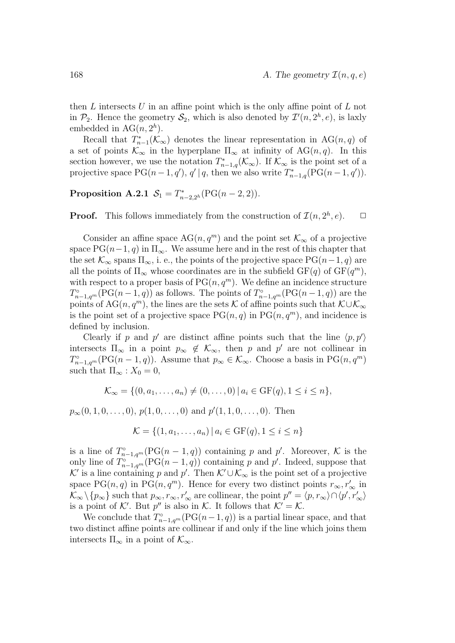then  $L$  intersects  $U$  in an affine point which is the only affine point of  $L$  not in  $\mathcal{P}_2$ . Hence the geometry  $\mathcal{S}_2$ , which is also denoted by  $\mathcal{I}'(n, 2^h, e)$ , is laxly embedded in  $AG(n, 2<sup>h</sup>)$ .

Recall that  $T_{n-1}^*(\mathcal{K}_{\infty})$  denotes the linear representation in  $AG(n,q)$  of a set of points  $\mathcal{K}_{\infty}$  in the hyperplane  $\Pi_{\infty}$  at infinity of AG(n,q). In this section however, we use the notation  $T_{n-1,q}^*(\mathcal{K}_{\infty})$ . If  $\mathcal{K}_{\infty}$  is the point set of a projective space  $PG(n-1, q')$ ,  $q' | q$ , then we also write  $T_{n-1,q}^*(PG(n-1, q'))$ .

#### **Proposition A.2.1**  $S_1 = T^*_{n-2,2^h}(\text{PG}(n-2,2)).$

**Proof.** This follows immediately from the construction of  $\mathcal{I}(n, 2^h, e)$ .  $\Box$ 

Consider an affine space  $AG(n, q^m)$  and the point set  $\mathcal{K}_{\infty}$  of a projective space  $PG(n-1, q)$  in  $\Pi_{\infty}$ . We assume here and in the rest of this chapter that the set  $\mathcal{K}_{\infty}$  spans  $\Pi_{\infty}$ , i. e., the points of the projective space PG(n-1, q) are all the points of  $\Pi_{\infty}$  whose coordinates are in the subfield  $GF(q)$  of  $GF(q^m)$ , with respect to a proper basis of  $PG(n, q^m)$ . We define an incidence structure  $T^{\circ}_{n-1,q^m}(\mathrm{PG}(n-1,q))$  as follows. The points of  $T^{\circ}_{n-1,q^m}(\mathrm{PG}(n-1,q))$  are the points of AG(n, q<sup>m</sup>), the lines are the sets K of affine points such that  $\mathcal{K}\cup\mathcal{K}_{\infty}$ is the point set of a projective space  $PG(n, q)$  in  $PG(n, q^m)$ , and incidence is defined by inclusion.

Clearly if p and p' are distinct affine points such that the line  $\langle p, p' \rangle$ intersects  $\Pi_{\infty}$  in a point  $p_{\infty} \notin \mathcal{K}_{\infty}$ , then p and p' are not collinear in  $T^{\circ}_{n-1,q^m}(\text{PG}(n-1,q)).$  Assume that  $p_{\infty} \in \mathcal{K}_{\infty}$ . Choose a basis in  $\text{PG}(n,q^m)$ such that  $\Pi_{\infty}$  :  $X_0 = 0$ ,

$$
\mathcal{K}_{\infty} = \{ (0, a_1, \dots, a_n) \neq (0, \dots, 0) \mid a_i \in \text{GF}(q), 1 \leq i \leq n \},\
$$

 $p_{\infty}(0, 1, 0, \ldots, 0), p(1, 0, \ldots, 0)$  and  $p'(1, 1, 0, \ldots, 0)$ . Then

$$
\mathcal{K} = \{(1, a_1, \dots, a_n) | a_i \in \text{GF}(q), 1 \le i \le n\}
$$

is a line of  $T_{n-1,q^m}^{\circ}(\text{PG}(n-1,q))$  containing p and p'. Moreover, K is the only line of  $T_{n-1,q^m}^{\circ}(\text{PG}(n-1,q))$  containing p and p'. Indeed, suppose that K' is a line containing p and p'. Then  $\mathcal{K}' \cup \mathcal{K}_{\infty}$  is the point set of a projective space PG(n, q) in PG(n, q<sup>m</sup>). Hence for every two distinct points  $r_{\infty}, r_{\infty}'$  in  $\mathcal{K}_{\infty}\backslash\{p_{\infty}\}\$  such that  $p_{\infty}, r_{\infty}, r_{\infty}'$  are collinear, the point  $p''=\langle p, r_{\infty}\rangle \cap \langle p', r_{\infty}'\rangle$ is a point of K'. But  $p''$  is also in K. It follows that  $K' = K$ .

We conclude that  $T^{\circ}_{n-1,q^m}(\mathrm{PG}(n-1,q))$  is a partial linear space, and that two distinct affine points are collinear if and only if the line which joins them intersects  $\Pi_{\infty}$  in a point of  $\mathcal{K}_{\infty}$ .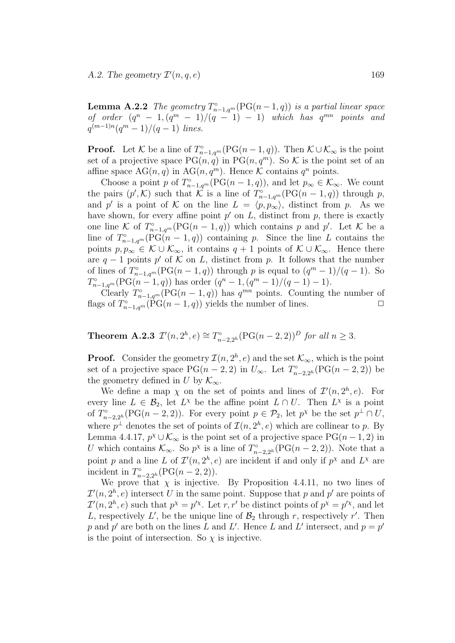**Lemma A.2.2** The geometry  $T_{n-1,q^m}^{\circ}(\text{PG}(n-1,q))$  is a partial linear space of order  $(q^n - 1, (q^m - 1)/(q - 1) - 1)$  which has  $q^{mn}$  points and  $q^{(m-1)n}(q^m-1)/(q-1)$  lines.

**Proof.** Let K be a line of  $T_{n-1,q^m}^{\circ}(\text{PG}(n-1,q))$ . Then  $K \cup K_{\infty}$  is the point set of a projective space  $PG(n, q)$  in  $PG(n, q^m)$ . So K is the point set of an affine space  $AG(n, q)$  in  $AG(n, q^m)$ . Hence K contains  $q^n$  points.

Choose a point p of  $T_{n-1,q^m}^{\circ}(\mathrm{PG}(n-1,q))$ , and let  $p_{\infty} \in \mathcal{K}_{\infty}$ . We count the pairs  $(p',\mathcal{K})$  such that  $\mathcal{K}$  is a line of  $T_{n-1,q^m}^{\circ}(\mathrm{PG}(n-1,q))$  through p, and p' is a point of K on the line  $L = \langle p, p_{\infty} \rangle$ , distinct from p. As we have shown, for every affine point  $p'$  on  $L$ , distinct from  $p$ , there is exactly one line K of  $T^{\circ}_{n-1,q^m}(\mathrm{PG}(n-1,q))$  which contains p and p'. Let K be a line of  $T^{\circ}_{n-1,q^m}(\mathrm{PG}(n-1,q))$  containing p. Since the line L contains the points  $p, p_{\infty} \in \mathcal{K} \cup \mathcal{K}_{\infty}$ , it contains  $q + 1$  points of  $\mathcal{K} \cup \mathcal{K}_{\infty}$ . Hence there are  $q-1$  points p' of K on L, distinct from p. It follows that the number of lines of  $T^{\circ}_{n-1,q^m}(\mathrm{PG}(n-1,q))$  through p is equal to  $(q^m-1)/(q-1)$ . So  $T_{n-1,q^m}^{\circ}(\mathrm{PG}(n-1,q))$  has order  $(q^n-1,(q^m-1)/(q-1)-1)$ .

Clearly  $T_{n-1,q^m}^{\circ}(\text{PG}(n-1,q))$  has  $q^{mn}$  points. Counting the number of flags of  $T_{n-1,q^m}^{\circ}(\widehat{P}G(n-1,q))$  yields the number of lines.

**Theorem A.2.3**  $\mathcal{I}'(n, 2^h, e) \cong T^{\circ}_{n-2, 2^h}(\text{PG}(n-2, 2))^D$  for all  $n \geq 3$ .

**Proof.** Consider the geometry  $\mathcal{I}(n, 2^h, e)$  and the set  $\mathcal{K}_{\infty}$ , which is the point set of a projective space  $PG(n-2, 2)$  in  $U_{\infty}$ . Let  $T^{\circ}_{n-2, 2^h}(PG(n-2, 2))$  be the geometry defined in U by  $\mathcal{K}_{\infty}$ .

We define a map  $\chi$  on the set of points and lines of  $\mathcal{I}'(n, 2^h, e)$ . For every line  $L \in \mathcal{B}_2$ , let  $L^{\chi}$  be the affine point  $L \cap U$ . Then  $L^{\chi}$  is a point of  $T^{\circ}_{n-2,2^h}(\text{PG}(n-2,2)).$  For every point  $p \in \mathcal{P}_2$ , let  $p^{\chi}$  be the set  $p^{\perp} \cap U$ , where  $p^{\perp}$  denotes the set of points of  $\mathcal{I}(n, 2^h, e)$  which are collinear to p. By Lemma 4.4.17,  $p^{\chi} \cup \mathcal{K}_{\infty}$  is the point set of a projective space  $PG(n-1, 2)$  in U which contains  $\mathcal{K}_{\infty}$ . So  $p^{\chi}$  is a line of  $T^{\circ}_{n-2,2^h}(\text{PG}(n-2,2))$ . Note that a point p and a line L of  $\mathcal{I}'(n, 2^h, e)$  are incident if and only if  $p^{\chi}$  and  $L^{\chi}$  are incident in  $T_{n-2,2^h}^{\circ}(\text{PG}(n-2,2)).$ 

We prove that  $\chi$  is injective. By Proposition 4.4.11, no two lines of  $\mathcal{I}'(n, 2^h, e)$  intersect U in the same point. Suppose that p and p' are points of  $\mathcal{I}'(n, 2^h, e)$  such that  $p^{\chi} = p'^{\chi}$ . Let r, r' be distinct points of  $p^{\chi} = p'^{\chi}$ , and let L, respectively L', be the unique line of  $\mathcal{B}_2$  through r, respectively r'. Then p and p' are both on the lines L and L'. Hence L and L' intersect, and  $p = p'$ is the point of intersection. So  $\chi$  is injective.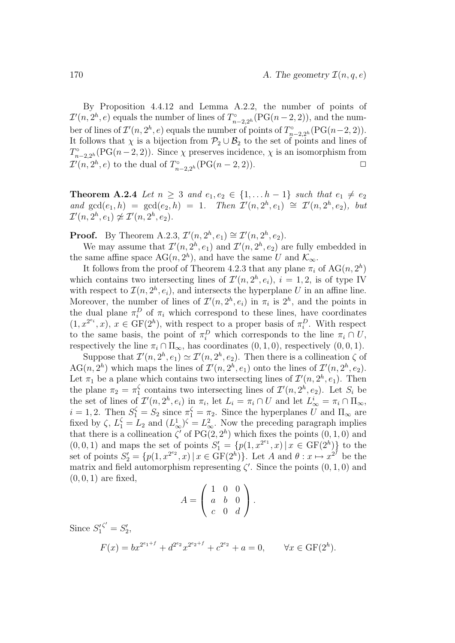By Proposition 4.4.12 and Lemma A.2.2, the number of points of  $\mathcal{I}'(n, 2^h, e)$  equals the number of lines of  $T^{\circ}_{n-2, 2^h}(\mathrm{PG}(n-2, 2)),$  and the number of lines of  $\mathcal{I}'(n, 2^h, e)$  equals the number of points of  $T^{\circ}_{n-2, 2^h}(\mathrm{PG}(n-2, 2)).$ It follows that  $\chi$  is a bijection from  $\mathcal{P}_2 \cup \mathcal{B}_2$  to the set of points and lines of  $T^{\circ}_{n-2,2^h}(\mathrm{PG}(n-2,2)).$  Since  $\chi$  preserves incidence,  $\chi$  is an isomorphism from  $\mathcal{I}'(n, 2^h, e)$  to the dual of  $T^{\circ}_{n-2, 2^h}(\text{PG}(n-2, 2)).$ 

**Theorem A.2.4** Let  $n \geq 3$  and  $e_1, e_2 \in \{1, \ldots h-1\}$  such that  $e_1 \neq e_2$ and  $gcd(e_1, h) = gcd(e_2, h) = 1$ . Then  $\mathcal{I}'(n, 2^h, e_1) \cong \mathcal{I}'(n, 2^h, e_2)$ , but  $\mathcal{I}'(n, 2^h, e_1) \not\approx \mathcal{I}'(n, 2^h, e_2).$ 

**Proof.** By Theorem A.2.3,  $\mathcal{I}'(n, 2^h, e_1) \cong \mathcal{I}'(n, 2^h, e_2)$ .

We may assume that  $\mathcal{I}'(n, 2^h, e_1)$  and  $\mathcal{I}'(n, 2^h, e_2)$  are fully embedded in the same affine space  $AG(n, 2<sup>h</sup>)$ , and have the same U and  $\mathcal{K}_{\infty}$ .

It follows from the proof of Theorem 4.2.3 that any plane  $\pi_i$  of  $\text{AG}(n, 2^h)$ which contains two intersecting lines of  $\mathcal{I}'(n, 2^h, e_i)$ ,  $i = 1, 2$ , is of type IV with respect to  $\mathcal{I}(n, 2^h, e_i)$ , and intersects the hyperplane U in an affine line. Moreover, the number of lines of  $\mathcal{I}'(n, 2^h, e_i)$  in  $\pi_i$  is  $2^h$ , and the points in the dual plane  $\pi_i^D$  of  $\pi_i$  which correspond to these lines, have coordinates  $(1, x^{2^{e_i}}, x)$ ,  $x \in \text{GF}(2^h)$ , with respect to a proper basis of  $\pi_i^D$ . With respect to the same basis, the point of  $\pi_i^D$  which corresponds to the line  $\pi_i \cap U$ , respectively the line  $\pi_i \cap \Pi_{\infty}$ , has coordinates  $(0, 1, 0)$ , respectively  $(0, 0, 1)$ .

Suppose that  $\mathcal{I}'(n, 2^h, e_1) \simeq \mathcal{I}'(n, 2^h, e_2)$ . Then there is a collineation  $\zeta$  of AG(n, 2<sup>h</sup>) which maps the lines of  $\mathcal{I}'(n, 2^h, e_1)$  onto the lines of  $\mathcal{I}'(n, 2^h, e_2)$ . Let  $\pi_1$  be a plane which contains two intersecting lines of  $\mathcal{I}'(n, 2^h, e_1)$ . Then the plane  $\pi_2 = \pi_1^{\zeta}$  contains two intersecting lines of  $\mathcal{I}'(n, 2^h, e_2)$ . Let  $S_i$  be the set of lines of  $\mathcal{I}'(n, 2^h, e_i)$  in  $\pi_i$ , let  $L_i = \pi_i \cap U$  and let  $L^i_{\infty} = \pi_i \cap \Pi_{\infty}$ ,  $i = 1, 2$ . Then  $S_1^{\zeta} = S_2$  since  $\pi_1^{\zeta} = \pi_2$ . Since the hyperplanes U and  $\Pi_{\infty}$  are fixed by  $\zeta$ ,  $L_1^{\zeta} = L_2$  and  $(L_{\infty}^1)^{\zeta} = L_{\infty}^2$ . Now the preceding paragraph implies that there is a collineation  $\zeta'$  of PG(2, 2<sup>h</sup>) which fixes the points (0, 1, 0) and  $(0, 0, 1)$  and maps the set of points  $S'_1 = \{p(1, x^{2^{e_1}}, x) | x \in \text{GF}(2^h)\}\)$  to the set of points  $S'_2 = \{p(1, x^{2^{e_2}}, x) | x \in \text{GF}(2^h)\}\)$ . Let A and  $\theta : x \mapsto x^{2^f}$  be the matrix and field automorphism representing  $\zeta'$ . Since the points  $(0, 1, 0)$  and  $(0, 0, 1)$  are fixed,

$$
A = \left(\begin{array}{rrr} 1 & 0 & 0 \\ a & b & 0 \\ c & 0 & d \end{array}\right).
$$

Since  $S_1^{\prime \zeta'} = S_2^{\prime}$ ,

$$
F(x) = bx^{2^{e_1+f}} + d^{2^{e_2}}x^{2^{e_2+f}} + c^{2^{e_2}} + a = 0, \qquad \forall x \in \text{GF}(2^h).
$$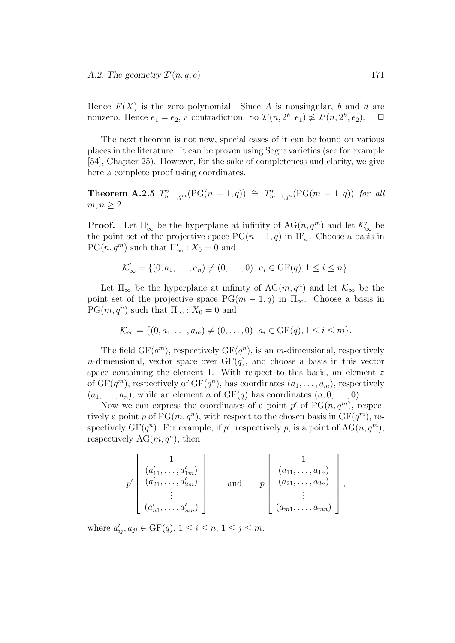Hence  $F(X)$  is the zero polynomial. Since A is nonsingular, b and d are nonzero. Hence  $e_1 = e_2$ , a contradiction. So  $\mathcal{I}'(n, 2^h, e_1) \not\cong \mathcal{I}'(n, 2^h, e_2)$ .  $\Box$ 

The next theorem is not new, special cases of it can be found on various places in the literature. It can be proven using Segre varieties (see for example [54], Chapter 25). However, for the sake of completeness and clarity, we give here a complete proof using coordinates.

**Theorem A.2.5**  $T_{n-1,q^m}^{\circ}(\text{PG}(n-1,q)) \cong T_{m-1,q^n}^*(\text{PG}(m-1,q))$  for all  $m, n \geq 2$ .

**Proof.** Let  $\Pi'_{\infty}$  be the hyperplane at infinity of  $AG(n, q^m)$  and let  $\mathcal{K}'_{\infty}$  be the point set of the projective space  $PG(n-1,q)$  in  $\Pi'_{\infty}$ . Choose a basis in  $PG(n, q^m)$  such that  $\Pi'_{\infty}$ :  $X_0 = 0$  and

$$
\mathcal{K}'_{\infty} = \{ (0, a_1, \dots, a_n) \neq (0, \dots, 0) \, | \, a_i \in \text{GF}(q), 1 \leq i \leq n \}.
$$

Let  $\Pi_{\infty}$  be the hyperplane at infinity of  $AG(m, q^n)$  and let  $\mathcal{K}_{\infty}$  be the point set of the projective space  $PG(m-1, q)$  in  $\Pi_{\infty}$ . Choose a basis in  $PG(m, q^n)$  such that  $\Pi_{\infty} : X_0 = 0$  and

$$
\mathcal{K}_{\infty} = \{ (0, a_1, \dots, a_m) \neq (0, \dots, 0) \mid a_i \in \text{GF}(q), 1 \leq i \leq m \}.
$$

The field  $GF(q^m)$ , respectively  $GF(q^n)$ , is an m-dimensional, respectively *n*-dimensional, vector space over  $GF(q)$ , and choose a basis in this vector space containing the element 1. With respect to this basis, an element  $z$ of  $GF(q^m)$ , respectively of  $GF(q^n)$ , has coordinates  $(a_1, \ldots, a_m)$ , respectively  $(a_1, \ldots, a_n)$ , while an element a of  $GF(q)$  has coordinates  $(a, 0, \ldots, 0)$ .

Now we can express the coordinates of a point  $p'$  of  $PG(n, q^m)$ , respectively a point p of  $PG(m, q^n)$ , with respect to the chosen basis in  $GF(q^m)$ , respectively  $GF(q^n)$ . For example, if p', respectively p, is a point of  $AG(n, q^m)$ , respectively  $AG(m, q^n)$ , then

$$
p'\begin{bmatrix} 1 \\ (a'_{11}, \ldots, a'_{1m}) \\ (a'_{21}, \ldots, a'_{2m}) \\ \vdots \\ (a'_{n1}, \ldots, a'_{nm}) \end{bmatrix} \quad \text{and} \quad p\begin{bmatrix} 1 \\ (a_{11}, \ldots, a_{1n}) \\ (a_{21}, \ldots, a_{2n}) \\ \vdots \\ (a_{m1}, \ldots, a_{mn}) \end{bmatrix},
$$

where  $a'_{ij}, a_{ji} \in \text{GF}(q)$ ,  $1 \le i \le n$ ,  $1 \le j \le m$ .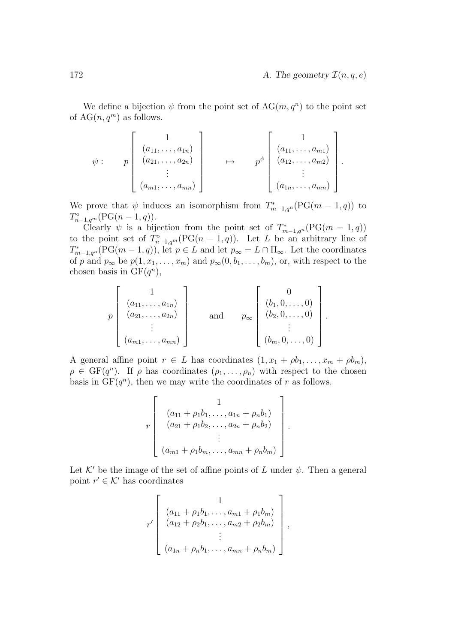We define a bijection  $\psi$  from the point set of  $AG(m, q^n)$  to the point set of  $AG(n, q^m)$  as follows.

$$
\psi: \qquad p \begin{bmatrix} 1 \\ (a_{11}, \ldots, a_{1n}) \\ (a_{21}, \ldots, a_{2n}) \\ \vdots \\ (a_{m1}, \ldots, a_{mn}) \end{bmatrix} \qquad \mapsto \qquad p^{\psi} \begin{bmatrix} 1 \\ (a_{11}, \ldots, a_{m1}) \\ (a_{12}, \ldots, a_{m2}) \\ \vdots \\ (a_{1n}, \ldots, a_{mn}) \end{bmatrix}.
$$

We prove that  $\psi$  induces an isomorphism from  $T^*_{m-1,q^n}(\text{PG}(m-1,q))$  to  $T_{n-1,q^m}^{\circ}(\text{PG}(n-1,q)).$ 

Clearly  $\psi$  is a bijection from the point set of  $T^*_{m-1,q^2}(\text{PG}(m-1,q))$ to the point set of  $T^{\circ}_{n-1,q^m}(\text{PG}(n-1,q))$ . Let L be an arbitrary line of  $T_{m-1,q^n}^*(\mathrm{PG}(m-1,q)),$  let  $p \in L$  and let  $p_\infty = L \cap \Pi_\infty$ . Let the coordinates of p and  $p_{\infty}$  be  $p(1, x_1, \ldots, x_m)$  and  $p_{\infty}(0, b_1, \ldots, b_m)$ , or, with respect to the chosen basis in  $GF(q^n)$ ,

$$
p\begin{bmatrix} 1 \\ (a_{11}, \ldots, a_{1n}) \\ (a_{21}, \ldots, a_{2n}) \\ \vdots \\ (a_{m1}, \ldots, a_{mn}) \end{bmatrix}
$$
 and  $p_{\infty} \begin{bmatrix} 0 \\ (b_1, 0, \ldots, 0) \\ (b_2, 0, \ldots, 0) \\ \vdots \\ (b_m, 0, \ldots, 0) \end{bmatrix}$ .

A general affine point  $r \in L$  has coordinates  $(1, x_1 + \rho b_1, \ldots, x_m + \rho b_m)$ ,  $\rho \in \mathrm{GF}(q^n)$ . If  $\rho$  has coordinates  $(\rho_1, \ldots, \rho_n)$  with respect to the chosen basis in  $GF(q^n)$ , then we may write the coordinates of r as follows.

$$
r\left[\begin{array}{c}1\\(a_{11}+\rho_1b_1,\ldots,a_{1n}+\rho_nb_1)\\(a_{21}+\rho_1b_2,\ldots,a_{2n}+\rho_nb_2)\\ \vdots\\(a_{m1}+\rho_1b_m,\ldots,a_{mn}+\rho_nb_m)\end{array}\right].
$$

Let  $K'$  be the image of the set of affine points of L under  $\psi$ . Then a general point  $r' \in \mathcal{K}'$  has coordinates

$$
r' \left[ \begin{array}{c} 1 \\ (a_{11} + \rho_1 b_1, \ldots, a_{m1} + \rho_1 b_m) \\ (a_{12} + \rho_2 b_1, \ldots, a_{m2} + \rho_2 b_m) \\ \vdots \\ (a_{1n} + \rho_n b_1, \ldots, a_{mn} + \rho_n b_m) \end{array} \right],
$$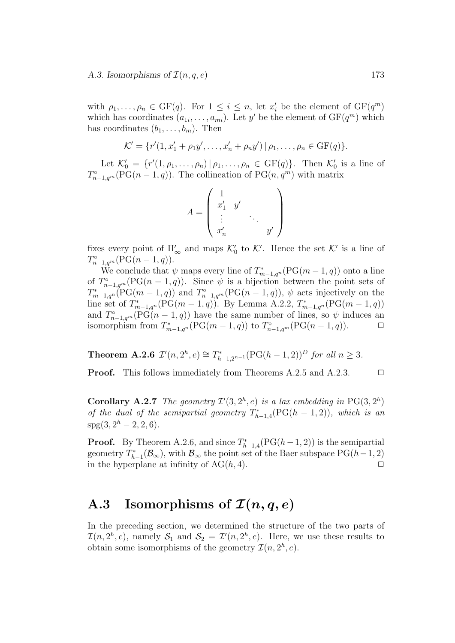with  $\rho_1, \ldots, \rho_n \in \mathrm{GF}(q)$ . For  $1 \leq i \leq n$ , let  $x'_i$  be the element of  $\mathrm{GF}(q^m)$ which has coordinates  $(a_{1i}, \ldots, a_{mi})$ . Let y' be the element of  $GF(q^m)$  which has coordinates  $(b_1, \ldots, b_m)$ . Then

$$
\mathcal{K}' = \{r'(1, x'_1 + \rho_1 y', \dots, x'_n + \rho_n y') | \rho_1, \dots, \rho_n \in \text{GF}(q)\}.
$$

Let  $\mathcal{K}'_0 = \{r'(1, \rho_1, \ldots, \rho_n) | \rho_1, \ldots, \rho_n \in \text{GF}(q)\}\)$ . Then  $\mathcal{K}'_0$  is a line of  $T^{\circ}_{n-1,q^m}(\text{PG}(n-1,q)).$  The collineation of  $\text{PG}(n,q^m)$  with matrix

$$
A = \left(\begin{array}{ccc} 1 & & \\ x_1' & y' & \\ \vdots & & \ddots & \\ x_n' & & & y' \end{array}\right)
$$

fixes every point of  $\Pi_{\infty}'$  and maps  $\mathcal{K}_0'$  to  $\mathcal{K}'$ . Hence the set  $\mathcal{K}'$  is a line of  $T_{n-1,q^m}^{\circ}(\text{PG}(n-1,q)).$ 

We conclude that  $\psi$  maps every line of  $T^*_{m-1,q^n}(\mathrm{PG}(m-1,q))$  onto a line of  $T^{\circ}_{n-1,q^m}(\mathrm{PG}(n-1,q))$ . Since  $\psi$  is a bijection between the point sets of  $T_{m-1,qn}^*(PG(m-1,q))$  and  $T_{n-1,qm}^{\circ}(PG(n-1,q)), \psi$  acts injectively on the line set of  $T_{m-1,q^n}^*(PG(m-1,q))$ . By Lemma A.2.2,  $T_{m-1,q^n}^*(PG(m-1,q))$ and  $T_{n-1,q^m}^{\circ}(\mathrm{PG}(n-1,q))$  have the same number of lines, so  $\psi$  induces an isomorphism from  $T_{m-1,q^n}^*$   $(\text{PG}(m-1,q))$  to  $T_{n-1,q^m}^{\circ}$   $(\text{PG}(n-1,q))$ .  $\Box$ 

**Theorem A.2.6**  $\mathcal{I}'(n, 2^h, e) \cong T^*_{h-1, 2^{n-1}}(\text{PG}(h-1, 2))^D$  for all  $n \geq 3$ .

**Proof.** This follows immediately from Theorems A.2.5 and A.2.3.  $\Box$ 

**Corollary A.2.7** The geometry  $\mathcal{I}'(3, 2^h, e)$  is a lax embedding in PG(3,  $2^h$ ) of the dual of the semipartial geometry  $T^*_{h-1,4}(\text{PG}(h-1,2)),$  which is an  $spg(3, 2<sup>h</sup> - 2, 2, 6).$ 

**Proof.** By Theorem A.2.6, and since  $T_{h-1,4}^*(PG(h-1,2))$  is the semipartial geometry  $T_{h-1}^*(\mathcal{B}_{\infty})$ , with  $\mathcal{B}_{\infty}$  the point set of the Baer subspace  $PG(h-1, 2)$ in the hyperplane at infinity of  $AG(h, 4)$ .

### A.3 Isomorphisms of  $\mathcal{I}(n, q, e)$

In the preceding section, we determined the structure of the two parts of  $\mathcal{I}(n, 2^h, e)$ , namely  $\mathcal{S}_1$  and  $\mathcal{S}_2 = \mathcal{I}'(n, 2^h, e)$ . Here, we use these results to obtain some isomorphisms of the geometry  $\mathcal{I}(n, 2^h, e)$ .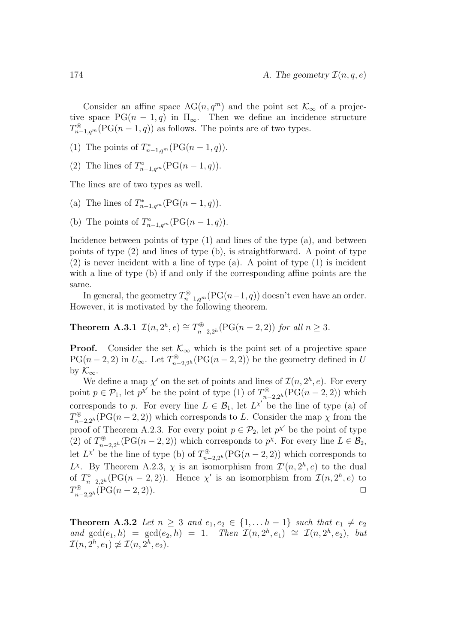Consider an affine space  $AG(n, q^m)$  and the point set  $\mathcal{K}_{\infty}$  of a projective space  $PG(n-1,q)$  in  $\Pi_{\infty}$ . Then we define an incidence structure  $T^{\circledast}_{n-1,q^m}(\mathrm{PG}(n-1,q))$  as follows. The points are of two types.

(1) The points of  $T_{n-1,q^m}^*(PG(n-1,q)).$ 

(2) The lines of  $T_{n-1,q^m}^{\circ}(\mathrm{PG}(n-1,q)).$ 

The lines are of two types as well.

- (a) The lines of  $T_{n-1,q^m}^*(PG(n-1,q)).$
- (b) The points of  $T^{\circ}_{n-1,q^m}(\text{PG}(n-1,q)).$

Incidence between points of type (1) and lines of the type (a), and between points of type (2) and lines of type (b), is straightforward. A point of type (2) is never incident with a line of type (a). A point of type (1) is incident with a line of type (b) if and only if the corresponding affine points are the same.

In general, the geometry  $T^{\circledast}_{n-1,q^m}(\mathrm{PG}(n-1,q))$  doesn't even have an order. However, it is motivated by the following theorem.

**Theorem A.3.1**  $\mathcal{I}(n, 2^h, e) \cong T_{n-2, 2^h}^{\circledast}(\text{PG}(n-2, 2))$  for all  $n \geq 3$ .

**Proof.** Consider the set  $\mathcal{K}_{\infty}$  which is the point set of a projective space  $PG(n-2, 2)$  in  $U_{\infty}$ . Let  $T^{\circledast}_{n-2,2^h}(PG(n-2, 2))$  be the geometry defined in U by  $\mathcal{K}_{\infty}$ .

We define a map  $\chi'$  on the set of points and lines of  $\mathcal{I}(n, 2^h, e)$ . For every point  $p \in \mathcal{P}_1$ , let  $p^{\chi'}$  be the point of type (1) of  $T^{\circledast}_{n-2,2^h}(\mathrm{PG}(n-2,2))$  which corresponds to p. For every line  $L \in \mathcal{B}_1$ , let  $L^{\chi'}$  be the line of type (a) of  $T^{\circledast}_{n-2,2^h}(\mathrm{PG}(n-2,2))$  which corresponds to L. Consider the map  $\chi$  from the proof of Theorem A.2.3. For every point  $p \in \mathcal{P}_2$ , let  $p^{\chi'}$  be the point of type (2) of  $T^{\circledast}_{n-2,2^h}(\mathrm{PG}(n-2,2))$  which corresponds to  $p^{\chi}$ . For every line  $L \in \mathcal{B}_2$ , let  $L^{\chi'}$  be the line of type (b) of  $T^{\circledast}_{n-2,2^h}(\mathrm{PG}(n-2,2))$  which corresponds to L<sup>x</sup>. By Theorem A.2.3,  $\chi$  is an isomorphism from  $\mathcal{I}'(n, 2^h, e)$  to the dual of  $T_{n-2,2^h}^{\circ}(\text{PG}(n-2,2))$ . Hence  $\chi'$  is an isomorphism from  $\mathcal{I}(n,2^h,e)$  to  $T_{n-2,2^h}^{\circledast}(\text{PG}(n-2,2)).$ 

**Theorem A.3.2** Let  $n \geq 3$  and  $e_1, e_2 \in \{1, \ldots h-1\}$  such that  $e_1 \neq e_2$ and  $gcd(e_1, h) = gcd(e_2, h) = 1$ . Then  $\mathcal{I}(n, 2^h, e_1) \cong \mathcal{I}(n, 2^h, e_2)$ , but  $\mathcal{I}(n, 2^h, e_1) \not\approx \mathcal{I}(n, 2^h, e_2).$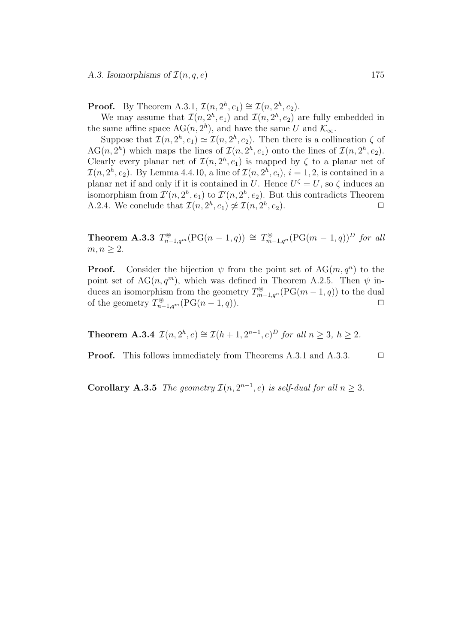**Proof.** By Theorem A.3.1,  $\mathcal{I}(n, 2^h, e_1) \cong \mathcal{I}(n, 2^h, e_2)$ .

We may assume that  $\mathcal{I}(n, 2^h, e_1)$  and  $\mathcal{I}(n, 2^h, e_2)$  are fully embedded in the same affine space  $AG(n, 2<sup>h</sup>)$ , and have the same U and  $\mathcal{K}_{\infty}$ .

Suppose that  $\mathcal{I}(n, 2^h, e_1) \simeq \mathcal{I}(n, 2^h, e_2)$ . Then there is a collineation  $\zeta$  of AG(n, 2<sup>h</sup>) which maps the lines of  $\mathcal{I}(n, 2^h, e_1)$  onto the lines of  $\mathcal{I}(n, 2^h, e_2)$ . Clearly every planar net of  $\mathcal{I}(n, 2^h, e_1)$  is mapped by  $\zeta$  to a planar net of  $\mathcal{I}(n, 2^h, e_2)$ . By Lemma 4.4.10, a line of  $\mathcal{I}(n, 2^h, e_i)$ ,  $i = 1, 2$ , is contained in a planar net if and only if it is contained in U. Hence  $U^{\zeta} = U$ , so  $\zeta$  induces an isomorphism from  $\mathcal{I}'(n, 2^h, e_1)$  to  $\mathcal{I}'(n, 2^h, e_2)$ . But this contradicts Theorem A.2.4. We conclude that  $\mathcal{I}(n, 2^h, e_1) \not\cong \mathcal{I}(n, 2^h, e_2)$ .

**Theorem A.3.3**  $T_{n-1,q^m}^{\circledast}(\text{PG}(n-1,q)) \cong T_{m-1,q^m}^{\circledast}(\text{PG}(m-1,q))^D$  for all  $m, n \geq 2$ .

**Proof.** Consider the bijection  $\psi$  from the point set of AG $(m, q^n)$  to the point set of  $AG(n, q^m)$ , which was defined in Theorem A.2.5. Then  $\psi$  induces an isomorphism from the geometry  $T^{\circledast}_{m-1,q^n}(\mathrm{PG}(m-1,q))$  to the dual of the geometry  $T_{n-1,q^m}^{\circledast}(\mathrm{PG}(n-1,q)).$   $\Box$ 

**Theorem A.3.4**  $\mathcal{I}(n, 2^h, e) \cong \mathcal{I}(h+1, 2^{n-1}, e)^D$  for all  $n \geq 3, h \geq 2$ .

**Proof.** This follows immediately from Theorems A.3.1 and A.3.3.  $\Box$ 

**Corollary A.3.5** The geometry  $\mathcal{I}(n, 2^{n-1}, e)$  is self-dual for all  $n \geq 3$ .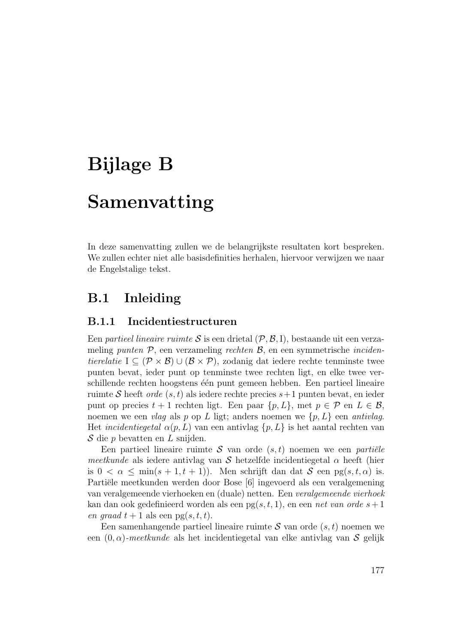# Bijlage B

## Samenvatting

In deze samenvatting zullen we de belangrijkste resultaten kort bespreken. We zullen echter niet alle basisdefinities herhalen, hiervoor verwijzen we naar de Engelstalige tekst.

#### B.1 Inleiding

#### B.1.1 Incidentiestructuren

Een partieel lineaire ruimte S is een drietal  $(\mathcal{P}, \mathcal{B}, I)$ , bestaande uit een verzameling punten  $P$ , een verzameling rechten  $B$ , en een symmetrische incidentierelatie I ⊆ ( $\mathcal{P} \times \mathcal{B}$ ) ∪ ( $\mathcal{B} \times \mathcal{P}$ ), zodanig dat iedere rechte tenminste twee punten bevat, ieder punt op tenminste twee rechten ligt, en elke twee verschillende rechten hoogstens één punt gemeen hebben. Een partieel lineaire ruimte S heeft *orde*  $(s, t)$  als iedere rechte precies  $s+1$  punten bevat, en ieder punt op precies  $t + 1$  rechten ligt. Een paar  $\{p, L\}$ , met  $p \in \mathcal{P}$  en  $L \in \mathcal{B}$ , noemen we een vlag als p op L ligt; anders noemen we  $\{p, L\}$  een antivlag. Het *incidentiegetal*  $\alpha(p, L)$  van een antivlag  $\{p, L\}$  is het aantal rechten van  $S$  die p bevatten en L snijden.

Een partieel lineaire ruimte S van orde  $(s, t)$  noemen we een partiële meetkunde als iedere antivlag van S hetzelfde incidentiegetal  $\alpha$  heeft (hier is  $0 < \alpha \le \min(s + 1, t + 1)$ . Men schrijft dan dat  $S$  een pg $(s, t, \alpha)$  is. Partiële meetkunden werden door Bose [6] ingevoerd als een veralgemening van veralgemeende vierhoeken en (duale) netten. Een veralgemeende vierhoek kan dan ook gedefinieerd worden als een pg $(s, t, 1)$ , en een net van orde  $s + 1$ en graad  $t + 1$  als een pg $(s, t, t)$ .

Een samenhangende partieel lineaire ruimte  $S$  van orde  $(s, t)$  noemen we een  $(0, \alpha)$ -meetkunde als het incidentiegetal van elke antivlag van S gelijk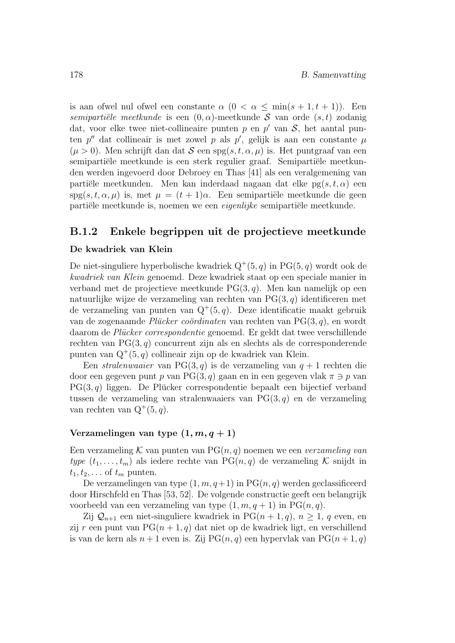is aan ofwel nul ofwel een constante  $\alpha$   $(0 < \alpha \leq \min(s + 1, t + 1))$ . Een semipartiële meetkunde is een  $(0, \alpha)$ -meetkunde S van orde  $(s, t)$  zodanig dat, voor elke twee niet-collineaire punten  $p$  en  $p'$  van  $S$ , het aantal punten  $p''$  dat collineair is met zowel p als  $p'$ , gelijk is aan een constante  $\mu$  $(\mu > 0)$ . Men schrijft dan dat S een spg $(s, t, \alpha, \mu)$  is. Het puntgraaf van een semipartiële meetkunde is een sterk regulier graaf. Semipartiële meetkunden werden ingevoerd door Debroey en Thas [41] als een veralgemening van partiële meetkunden. Men kan inderdaad nagaan dat elke  $pg(s, t, \alpha)$  een spg $(s, t, \alpha, \mu)$  is, met  $\mu = (t + 1)\alpha$ . Een semipartiële meetkunde die geen partiële meetkunde is, noemen we een *eigenlijke* semipartiële meetkunde.

#### B.1.2 Enkele begrippen uit de projectieve meetkunde

#### De kwadriek van Klein

De niet-singuliere hyperbolische kwadriek  $Q^+(5, q)$  in PG $(5, q)$  wordt ook de kwadriek van Klein genoemd. Deze kwadriek staat op een speciale manier in verband met de projectieve meetkunde  $PG(3, q)$ . Men kan namelijk op een natuurlijke wijze de verzameling van rechten van  $PG(3, q)$  identificeren met de verzameling van punten van  $Q^+(5,q)$ . Deze identificatie maakt gebruik van de zogenaamde Plücker coërdinaten van rechten van  $PG(3, q)$ , en wordt daarom de Plücker correspondentie genoemd. Er geldt dat twee verschillende rechten van  $PG(3, q)$  concurrent zijn als en slechts als de corresponderende punten van  $Q^+(5, q)$  collineair zijn op de kwadriek van Klein.

Een *stralenwaaier* van PG(3, q) is de verzameling van  $q + 1$  rechten die door een gegeven punt p van PG(3, q) gaan en in een gegeven vlak  $\pi \ni p$  van  $PG(3, q)$  liggen. De Plücker correspondentie bepaalt een bijectief verband tussen de verzameling van stralenwaaiers van  $PG(3, q)$  en de verzameling van rechten van  $Q^+(5, q)$ .

#### Verzamelingen van type  $(1, m, q + 1)$

Een verzameling K van punten van  $PG(n, q)$  noemen we een verzameling van type  $(t_1, \ldots, t_m)$  als iedere rechte van PG $(n, q)$  de verzameling K snijdt in  $t_1, t_2, \ldots$  of  $t_m$  punten.

De verzamelingen van type  $(1, m, q+1)$  in PG $(n, q)$  werden geclassificeerd door Hirschfeld en Thas [53, 52]. De volgende constructie geeft een belangrijk voorbeeld van een verzameling van type  $(1, m, q+1)$  in PG $(n, q)$ .

Zij  $\mathcal{Q}_{n+1}$  een niet-singuliere kwadriek in PG $(n+1, q)$ ,  $n \geq 1$ , q even, en zij r een punt van  $PG(n + 1, q)$  dat niet op de kwadriek ligt, en verschillend is van de kern als  $n+1$  even is. Zij PG $(n, q)$  een hypervlak van PG $(n+1, q)$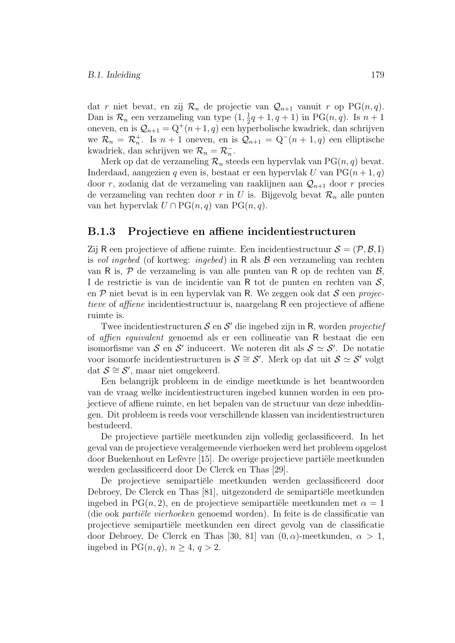dat r niet bevat, en zij  $\mathcal{R}_n$  de projectie van  $\mathcal{Q}_{n+1}$  vanuit r op PG $(n, q)$ . Dan is  $\mathcal{R}_n$  een verzameling van type  $(1, \frac{1}{2}q + 1, q + 1)$  in PG $(n, q)$ . Is  $n + 1$ oneven, en is  $\mathcal{Q}_{n+1} = Q^+(n+1, q)$  een hyperbolische kwadriek, dan schrijven we  $\mathcal{R}_n = \mathcal{R}_n^+$ . Is  $n + 1$  oneven, en is  $\mathcal{Q}_{n+1} = Q^-(n+1, q)$  een elliptische kwadriek, dan schrijven we $\mathcal{R}_n = \mathcal{R}_n^-$ .

Merk op dat de verzameling  $\mathcal{R}_n$  steeds een hypervlak van PG $(n, q)$  bevat. Inderdaad, aangezien q even is, bestaat er een hypervlak U van  $PG(n+1, q)$ door r, zodanig dat de verzameling van raaklijnen aan  $\mathcal{Q}_{n+1}$  door r precies de verzameling van rechten door r in U is. Bijgevolg bevat  $\mathcal{R}_n$  alle punten van het hypervlak  $U \cap PG(n, q)$  van  $PG(n, q)$ .

#### B.1.3 Projectieve en affiene incidentiestructuren

Zij R een projectieve of affiene ruimte. Een incidentiestructuur  $S = (\mathcal{P}, \mathcal{B}, I)$ is vol ingebed (of kortweg: ingebed) in R als  $\beta$  een verzameling van rechten van R is,  $P$  de verzameling is van alle punten van R op de rechten van  $B$ , I de restrictie is van de incidentie van R tot de punten en rechten van S, en  $P$  niet bevat is in een hypervlak van R. We zeggen ook dat  $S$  een projectieve of affiene incidentiestructuur is, naargelang R een projectieve of affiene ruimte is.

Twee incidentiestructuren  $S$  en  $S'$  die ingebed zijn in R, worden *projectief* of affien equivalent genoemd als er een collineatie van R bestaat die een isomorfisme van  $S$  en  $S'$  induceert. We noteren dit als  $S \simeq S'$ . De notatie voor isomorfe incidentiestructuren is  $S \cong S'$ . Merk op dat uit  $S \simeq S'$  volgt dat  $S \cong S'$ , maar niet omgekeerd.

Een belangrijk probleem in de eindige meetkunde is het beantwoorden van de vraag welke incidentiestructuren ingebed kunnen worden in een projectieve of affiene ruimte, en het bepalen van de structuur van deze inbeddingen. Dit probleem is reeds voor verschillende klassen van incidentiestructuren bestudeerd.

De projectieve partiële meetkunden zijn volledig geclassificeerd. In het geval van de projectieve veralgemeende vierhoeken werd het probleem opgelost door Buekenhout en Lefèvre [15]. De overige projectieve partiële meetkunden werden geclassificeerd door De Clerck en Thas [29].

De projectieve semipartiële meetkunden werden geclassificeerd door Debroey, De Clerck en Thas [81], uitgezonderd de semipartiële meetkunden ingebed in PG $(n, 2)$ , en de projectieve semipartiële meetkunden met  $\alpha = 1$ (die ook *partiële vierhoeken* genoemd worden). In feite is de classificatie van projectieve semipartiële meetkunden een direct gevolg van de classificatie door Debroey, De Clerck en Thas [30, 81] van  $(0, \alpha)$ -meetkunden,  $\alpha > 1$ , ingebed in  $PG(n, q)$ ,  $n > 4$ ,  $q > 2$ .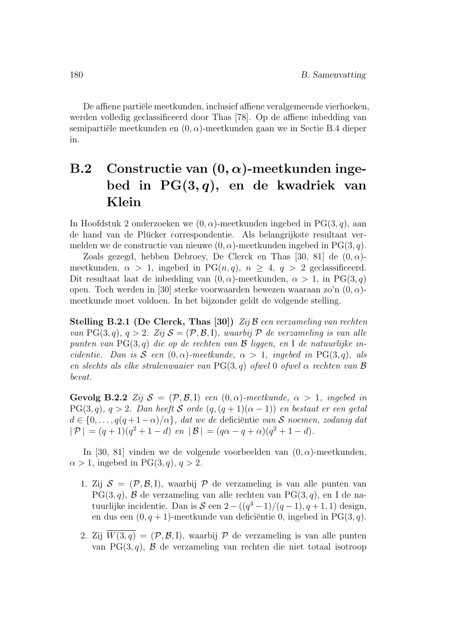De affiene partiële meetkunden, inclusief affiene veralgemeende vierhoeken, werden volledig geclassificeerd door Thas [78]. Op de affiene inbedding van semipartiële meetkunden en  $(0, \alpha)$ -meetkunden gaan we in Sectie B.4 dieper in.

## B.2 Constructie van  $(0, \alpha)$ -meetkunden ingebed in  $PG(3,q)$ , en de kwadriek van Klein

In Hoofdstuk 2 onderzoeken we  $(0, \alpha)$ -meetkunden ingebed in PG(3, q), aan de hand van de Plucker correspondentie. Als belangrijkste resultaat ver- ¨ melden we de constructie van nieuwe  $(0, \alpha)$ -meetkunden ingebed in PG(3, q).

Zoals gezegd, hebben Debroey, De Clerck en Thas [30, 81] de  $(0, \alpha)$ meetkunden,  $\alpha > 1$ , ingebed in PG $(n, q)$ ,  $n \geq 4$ ,  $q > 2$  geclassificeerd. Dit resultaat laat de inbedding van  $(0, \alpha)$ -meetkunden,  $\alpha > 1$ , in PG(3, q) open. Toch werden in [30] sterke voorwaarden bewezen waaraan zo'n  $(0, \alpha)$ meetkunde moet voldoen. In het bijzonder geldt de volgende stelling.

Stelling B.2.1 (De Clerck, Thas [30])  $\mathbb{Z}ij\mathcal{B}$  een verzameling van rechten van PG(3, q), q > 2. Zij  $S = (\mathcal{P}, \mathcal{B}, I)$ , waarbij  $\mathcal P$  de verzameling is van alle punten van  $PG(3, q)$  die op de rechten van  $\mathcal B$  liggen, en I de natuurlijke incidentie. Dan is S een  $(0, \alpha)$ -meetkunde,  $\alpha > 1$ , ingebed in PG(3,q), als en slechts als elke stralenwaaier van PG(3, q) ofwel 0 ofwel  $\alpha$  rechten van  $\beta$ bevat.

Gevolg B.2.2  $\mathbb{Z}ij \mathcal{S} = (\mathcal{P}, \mathcal{B}, I)$  een  $(0, \alpha)$ -meetkunde,  $\alpha > 1$ , ingebed in  $PG(3, q), q > 2.$  Dan heeft S orde  $(q, (q + 1)(\alpha - 1))$  en bestaat er een getal  $d \in \{0, \ldots, q(q+1-\alpha)/\alpha\},$  dat we de deficiëntie van S noemen, zodanig dat  $|\mathcal{P}| = (q+1)(q^2+1-d)$  en  $|\mathcal{B}| = (q\alpha-q+\alpha)(q^2+1-d).$ 

In [30, 81] vinden we de volgende voorbeelden van  $(0, \alpha)$ -meetkunden,  $\alpha > 1$ , ingebed in PG(3, q),  $q > 2$ .

- 1. Zij  $S = (\mathcal{P}, \mathcal{B}, I)$ , waarbij  $\mathcal P$  de verzameling is van alle punten van  $PG(3, q)$ ,  $\beta$  de verzameling van alle rechten van  $PG(3, q)$ , en I de natuurlijke incidentie. Dan is  $S$  een  $2-((q^4-1)/(q-1), q+1, 1)$  design, en dus een  $(0, q + 1)$ -meetkunde van deficiëntie 0, ingebed in PG(3,q).
- 2. Zij  $\overline{W(3,q)} = (\mathcal{P}, \mathcal{B}, I)$ , waarbij  $\mathcal P$  de verzameling is van alle punten van PG(3,q),  $\beta$  de verzameling van rechten die niet totaal isotroop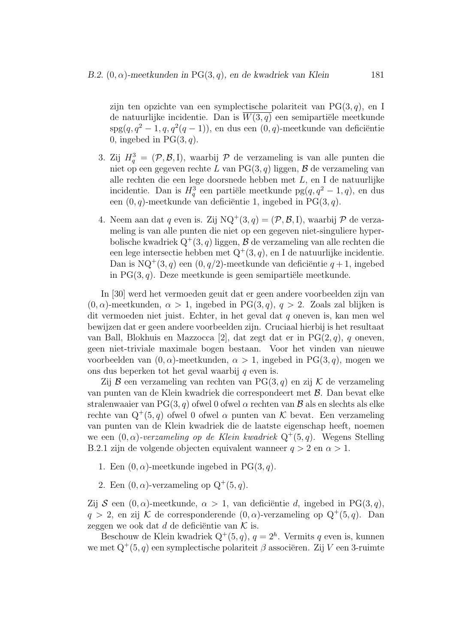zijn ten opzichte van een symplectische polariteit van  $PG(3, q)$ , en I de natuurlijke incidentie. Dan is  $\overline{W(3,q)}$  een semipartiële meetkunde  $\text{spg}(q, q^2-1, q, q^2(q-1)),$  en dus een  $(0, q)$ -meetkunde van deficiëntie 0, ingebed in  $PG(3, q)$ .

- 3. Zij  $H_q^3 = (\mathcal{P}, \mathcal{B}, I)$ , waarbij  $\mathcal P$  de verzameling is van alle punten die niet op een gegeven rechte L van  $PG(3, q)$  liggen, B de verzameling van alle rechten die een lege doorsnede hebben met  $L,$ en I de natuurlijke incidentie. Dan is  $H_q^3$  een partiële meetkunde pg $(q, q^2 - 1, q)$ , en dus een  $(0, q)$ -meetkunde van deficiëntie 1, ingebed in PG $(3, q)$ .
- 4. Neem aan dat  $q$  even is. Zij  $NQ^+(3, q) = (\mathcal{P}, \mathcal{B}, I)$ , waarbij  $\mathcal P$  de verzameling is van alle punten die niet op een gegeven niet-singuliere hyperbolische kwadriek Q<sup>+</sup>(3, q) liggen,  $\mathcal B$  de verzameling van alle rechten die een lege intersectie hebben met  $Q^+(3, q)$ , en I de natuurlijke incidentie. Dan is  $NQ^+(3, q)$  een  $(0, q/2)$ -meetkunde van deficiëntie  $q + 1$ , ingebed in  $PG(3, q)$ . Deze meetkunde is geen semipartiële meetkunde.

In [30] werd het vermoeden geuit dat er geen andere voorbeelden zijn van  $(0, \alpha)$ -meetkunden,  $\alpha > 1$ , ingebed in PG(3, q),  $q > 2$ . Zoals zal blijken is dit vermoeden niet juist. Echter, in het geval dat q oneven is, kan men wel bewijzen dat er geen andere voorbeelden zijn. Cruciaal hierbij is het resultaat van Ball, Blokhuis en Mazzocca [2], dat zegt dat er in  $PG(2, q)$ , q oneven, geen niet-triviale maximale bogen bestaan. Voor het vinden van nieuwe voorbeelden van  $(0, \alpha)$ -meetkunden,  $\alpha > 1$ , ingebed in PG(3, q), mogen we ons dus beperken tot het geval waarbij  $q$  even is.

Zij  $\mathcal B$  een verzameling van rechten van PG(3, q) en zij  $\mathcal K$  de verzameling van punten van de Klein kwadriek die correspondeert met B. Dan bevat elke stralenwaaier van PG(3, q) ofwel 0 ofwel  $\alpha$  rechten van  $\beta$  als en slechts als elke rechte van  $Q^+(5,q)$  ofwel 0 ofwel  $\alpha$  punten van  $K$  bevat. Een verzameling van punten van de Klein kwadriek die de laatste eigenschap heeft, noemen we een  $(0, \alpha)$ -verzameling op de Klein kwadriek  $Q^+(5,q)$ . Wegens Stelling B.2.1 zijn de volgende objecten equivalent wanneer  $q > 2$  en  $\alpha > 1$ .

- 1. Een  $(0, \alpha)$ -meetkunde ingebed in PG(3, q).
- 2. Een  $(0, \alpha)$ -verzameling op  $Q^+(5, q)$ .

Zij  $S$  een  $(0, \alpha)$ -meetkunde,  $\alpha > 1$ , van deficiëntie d, ingebed in PG(3,q),  $q > 2$ , en zij K de corresponderende  $(0, \alpha)$ -verzameling op  $Q^+(5, q)$ . Dan zeggen we ook dat d de deficiëntie van  $K$  is.

Beschouw de Klein kwadriek  $Q^+(5, q)$ ,  $q = 2<sup>h</sup>$ . Vermits q even is, kunnen we met  $Q^+(5, q)$  een symplectische polariteit  $\beta$  associëren. Zij V een 3-ruimte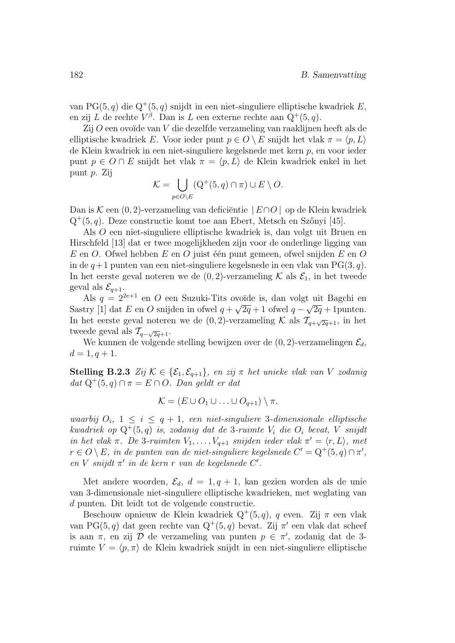van PG(5,q) die Q<sup>+</sup>(5,q) snijdt in een niet-singuliere elliptische kwadriek E, en zij L de rechte  $V^{\beta}$ . Dan is L een externe rechte aan  $Q^+(5, q)$ .

 $Zij$  O een ovoïde van  $V$  die dezelfde verzameling van raaklijnen heeft als de elliptische kwadriek E. Voor ieder punt  $p \in O \setminus E$  snijdt het vlak  $\pi = \langle p, L \rangle$ de Klein kwadriek in een niet-singuliere kegelsnede met kern p, en voor ieder punt  $p \in O \cap E$  snijdt het vlak  $\pi = \langle p, L \rangle$  de Klein kwadriek enkel in het punt p. Zij

$$
\mathcal{K} = \bigcup_{p \in O \setminus E} (Q^+(5, q) \cap \pi) \cup E \setminus O.
$$

Dan is K een  $(0, 2)$ -verzameling van deficiëntie  $|E \cap O|$  op de Klein kwadriek  $Q^+(5, q)$ . Deze constructie komt toe aan Ebert, Metsch en Szőnyi [45].

Als O een niet-singuliere elliptische kwadriek is, dan volgt uit Bruen en Hirschfeld [13] dat er twee mogelijkheden zijn voor de onderlinge ligging van  $E$  en O. Ofwel hebben  $E$  en O juist één punt gemeen, ofwel snijden  $E$  en O in de  $q+1$  punten van een niet-singuliere kegelsnede in een vlak van  $PG(3, q)$ . In het eerste geval noteren we de  $(0, 2)$ -verzameling K als  $\mathcal{E}_1$ , in het tweede geval als  $\mathcal{E}_{q+1}$ .

Als  $q = 2^{2e+1}$  en O een Suzuki-Tits ovoïde is, dan volgt uit Bagchi en Sastry [1] dat E en O snijden in ofwel  $q + \sqrt{2q} + 1$  ofwel  $q - \sqrt{2q} + 1$  punten. In het eerste geval noteren we de  $(0, 2)$ -verzameling K als  $\mathcal{T}_{q+\sqrt{2q}+1}$ , in het tweede geval als  $\mathcal{T}_{q-\sqrt{2q}+1}$ .

We kunnen de volgende stelling bewijzen over de  $(0, 2)$ -verzamelingen  $\mathcal{E}_d$ ,  $d = 1, q + 1.$ 

Stelling B.2.3 Zij  $K \in \{ \mathcal{E}_1, \mathcal{E}_{q+1} \}$ , en zij  $\pi$  het unieke vlak van V zodanig dat  $Q^+(5,q) \cap \pi = E \cap O$ . Dan geldt er dat

$$
\mathcal{K} = (E \cup O_1 \cup \ldots \cup O_{q+1}) \setminus \pi,
$$

waarbij  $O_i$ ,  $1 \leq i \leq q+1$ , een niet-singuliere 3-dimensionale elliptische kwadriek op  $Q^+(5,q)$  is, zodanig dat de 3-ruimte  $V_i$  die  $O_i$  bevat, V snijdt in het vlak  $\pi$ . De 3-ruimten  $V_1, \ldots, V_{q+1}$  snijden ieder vlak  $\pi' = \langle r, L \rangle$ , met  $r \in O \setminus E$ , in de punten van de niet-singuliere kegelsnede  $C' = Q^+(5,q) \cap \pi'$ , en  $V$  snijdt  $\pi'$  in de kern r van de kegelsnede  $C'$ .

Met andere woorden,  $\mathcal{E}_d$ ,  $d = 1, q + 1$ , kan gezien worden als de unie van 3-dimensionale niet-singuliere elliptische kwadrieken, met weglating van d punten. Dit leidt tot de volgende constructie.

Beschouw opnieuw de Klein kwadriek  $Q^+(5,q)$ , q even. Zij  $\pi$  een vlak van PG(5, q) dat geen rechte van  $Q^+(5, q)$  bevat. Zij  $\pi'$  een vlak dat scheef is aan  $\pi$ , en zij  $\mathcal D$  de verzameling van punten  $p \in \pi'$ , zodanig dat de 3ruimte  $V = \langle p, \pi \rangle$  de Klein kwadriek snijdt in een niet-singuliere elliptische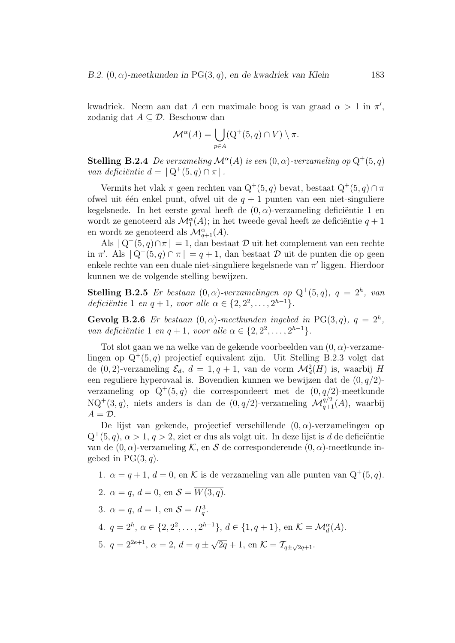kwadriek. Neem aan dat A een maximale boog is van graad  $\alpha > 1$  in  $\pi'$ , zodanig dat  $A \subseteq \mathcal{D}$ . Beschouw dan

$$
\mathcal{M}^{\alpha}(A) = \bigcup_{p \in A} (Q^+(5, q) \cap V) \setminus \pi.
$$

**Stelling B.2.4** De verzameling  $\mathcal{M}^{\alpha}(A)$  is een  $(0, \alpha)$ -verzameling op  $Q^{+}(5,q)$ van deficiëntie  $d = |Q^+(5, q) \cap \pi|$ .

Vermits het vlak $\pi$ geen rechten van $\mathbf{Q}^+(5,q)$ bevat, bestaat  $\mathbf{Q}^+(5,q) \cap \pi$ ofwel uit één enkel punt, ofwel uit de  $q + 1$  punten van een niet-singuliere kegelsnede. In het eerste geval heeft de  $(0, \alpha)$ -verzameling deficiëntie 1 en wordt ze genoteerd als $\mathcal{M}^{\alpha}_1(A);$  in het tweede geval heeft ze deficiëntie $q+1$ en wordt ze genoteerd als  $\mathcal{M}^{\alpha}_{q+1}(A)$ .

Als  $|Q^+(5, q) \cap \pi| = 1$ , dan bestaat  $\mathcal D$  uit het complement van een rechte in  $\pi'$ . Als  $|Q^+(5, q) \cap \pi| = q + 1$ , dan bestaat  $\mathcal D$  uit de punten die op geen enkele rechte van een duale niet-singuliere kegelsnede van  $\pi'$  liggen. Hierdoor kunnen we de volgende stelling bewijzen.

**Stelling B.2.5** Er bestaan  $(0, \alpha)$ -verzamelingen op  $Q^+(5,q)$ ,  $q = 2^h$ , van deficiëntie 1 en  $q + 1$ , voor alle  $\alpha \in \{2, 2^2, ..., 2^{h-1}\}.$ 

Gevolg B.2.6 Er bestaan  $(0, \alpha)$ -meetkunden ingebed in PG(3,q),  $q = 2<sup>h</sup>$ , van deficiëntie 1 en  $q + 1$ , voor alle  $\alpha \in \{2, 2^2, ..., 2^{h-1}\}.$ 

Tot slot gaan we na welke van de gekende voorbeelden van  $(0, \alpha)$ -verzamelingen op  $Q^+(5, q)$  projectief equivalent zijn. Uit Stelling B.2.3 volgt dat de  $(0, 2)$ -verzameling  $\mathcal{E}_d$ ,  $d = 1, q + 1$ , van de vorm  $\mathcal{M}_d^2(H)$  is, waarbij H een reguliere hyperovaal is. Bovendien kunnen we bewijzen dat de  $(0, q/2)$ verzameling op  $Q^+(5,q)$  die correspondeert met de  $(0, q/2)$ -meetkunde  $NQ^+(3,q)$ , niets anders is dan de  $(0, q/2)$ -verzameling  $\mathcal{M}_{q+1}^{q/2}(A)$ , waarbij  $A = \mathcal{D}$ .

De lijst van gekende, projectief verschillende  $(0, \alpha)$ -verzamelingen op  $Q^+(5,q)$ ,  $\alpha > 1$ ,  $q > 2$ , ziet er dus als volgt uit. In deze lijst is d de deficiëntie van de  $(0, \alpha)$ -verzameling K, en S de corresponderende  $(0, \alpha)$ -meetkunde ingebed in  $PG(3, q)$ .

1. 
$$
\alpha = q + 1, d = 0
$$
, en K is de verzameling van alle punten van  $Q^+(5, q)$ .

- 2.  $\alpha = q$ ,  $d = 0$ , en  $S = \overline{W(3, q)}$ .
- 3.  $\alpha = q, d = 1, \text{ en } S = H_q^3$ .
- 4.  $q = 2^h, \, \alpha \in \{2, 2^2, \ldots, 2^{h-1}\}, \, d \in \{1, q+1\}, \, \text{en } \mathcal{K} = \mathcal{M}_d^{\alpha}(A).$

5. 
$$
q = 2^{2e+1}
$$
,  $\alpha = 2$ ,  $d = q \pm \sqrt{2q} + 1$ , en  $K = \mathcal{T}_{q \pm \sqrt{2q} + 1}$ .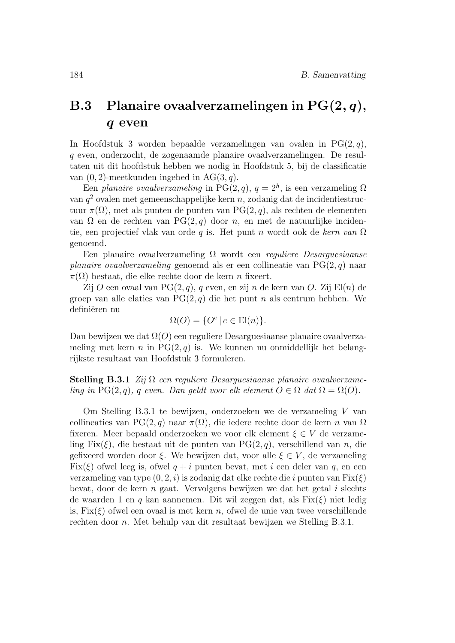### B.3 Planaire ovaalverzamelingen in  $PG(2, q)$ , q even

In Hoofdstuk 3 worden bepaalde verzamelingen van ovalen in  $PG(2, q)$ , q even, onderzocht, de zogenaamde planaire ovaalverzamelingen. De resultaten uit dit hoofdstuk hebben we nodig in Hoofdstuk 5, bij de classificatie van  $(0, 2)$ -meetkunden ingebed in AG $(3, q)$ .

Een planaire ovaalverzameling in PG(2, q),  $q = 2<sup>h</sup>$ , is een verzameling  $\Omega$ van  $q^2$  ovalen met gemeenschappelijke kern n, zodanig dat de incidentiestructuur π(Ω), met als punten de punten van PG(2, q), als rechten de elementen van Ω en de rechten van PG(2, q) door n, en met de natuurlijke incidentie, een projectief vlak van orde q is. Het punt n wordt ook de kern van  $\Omega$ genoemd.

Een planaire ovaalverzameling  $\Omega$  wordt een *reguliere Desarguesiaanse* planaire ovaalverzameling genoemd als er een collineatie van  $PG(2, q)$  naar  $\pi(\Omega)$  bestaat, die elke rechte door de kern n fixeert.

Zij O een ovaal van PG $(2, q)$ , q even, en zij n de kern van O. Zij El $(n)$  de groep van alle elaties van  $PG(2, q)$  die het punt n als centrum hebben. We definiëren nu

$$
\Omega(O) = \{ O^e \mid e \in \text{El}(n) \}.
$$

Dan bewijzen we dat  $\Omega(O)$  een reguliere Desarguesiaanse planaire ovaalverzameling met kern n in  $PG(2, q)$  is. We kunnen nu onmiddellijk het belangrijkste resultaat van Hoofdstuk 3 formuleren.

**Stelling B.3.1** Zij  $\Omega$  een reguliere Desarguesiaanse planaire ovaalverzameling in PG(2, q), q even. Dan geldt voor elk element  $O \in \Omega$  dat  $\Omega = \Omega(O)$ .

Om Stelling B.3.1 te bewijzen, onderzoeken we de verzameling  $V$  van collineaties van PG(2, q) naar  $\pi(\Omega)$ , die iedere rechte door de kern n van  $\Omega$ fixeren. Meer bepaald onderzoeken we voor elk element  $\xi \in V$  de verzameling Fix( $\xi$ ), die bestaat uit de punten van PG(2, q), verschillend van n, die gefixeerd worden door  $\xi$ . We bewijzen dat, voor alle  $\xi \in V$ , de verzameling Fix( $\xi$ ) ofwel leeg is, ofwel  $q + i$  punten bevat, met i een deler van q, en een verzameling van type  $(0, 2, i)$  is zodanig dat elke rechte die i punten van  $Fix(\xi)$ bevat, door de kern  $n$  gaat. Vervolgens bewijzen we dat het getal i slechts de waarden 1 en q kan aannemen. Dit wil zeggen dat, als  $Fix(\xi)$  niet ledig is,  $Fix(\xi)$  of well een ovaal is met kern n, of weld e unie van twee verschillende rechten door n. Met behulp van dit resultaat bewijzen we Stelling B.3.1.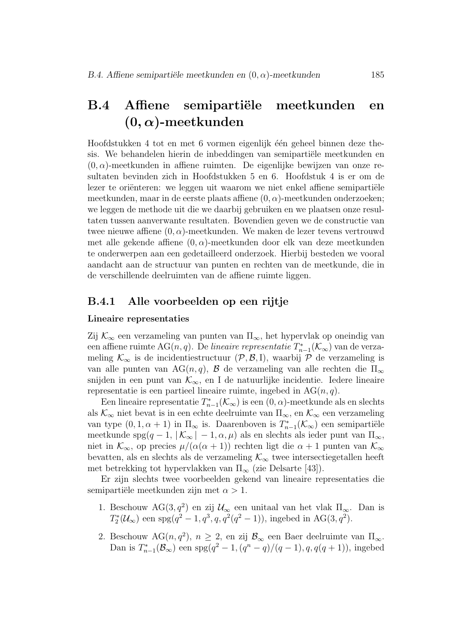### B.4 Affiene semipartiële meetkunden en  $(0, \alpha)$ -meetkunden

Hoofdstukken 4 tot en met 6 vormen eigenlijk één geheel binnen deze thesis. We behandelen hierin de inbeddingen van semipartiële meetkunden en  $(0, \alpha)$ -meetkunden in affiene ruimten. De eigenlijke bewijzen van onze resultaten bevinden zich in Hoofdstukken 5 en 6. Hoofdstuk 4 is er om de lezer te oriënteren: we leggen uit waarom we niet enkel affiene semipartiële meetkunden, maar in de eerste plaats affiene  $(0, \alpha)$ -meetkunden onderzoeken; we leggen de methode uit die we daarbij gebruiken en we plaatsen onze resultaten tussen aanverwante resultaten. Bovendien geven we de constructie van twee nieuwe affiene  $(0, \alpha)$ -meetkunden. We maken de lezer tevens vertrouwd met alle gekende affiene  $(0, \alpha)$ -meetkunden door elk van deze meetkunden te onderwerpen aan een gedetailleerd onderzoek. Hierbij besteden we vooral aandacht aan de structuur van punten en rechten van de meetkunde, die in de verschillende deelruimten van de affiene ruimte liggen.

#### B.4.1 Alle voorbeelden op een rijtje

#### Lineaire representaties

Zij  $\mathcal{K}_{\infty}$  een verzameling van punten van  $\Pi_{\infty}$ , het hypervlak op oneindig van een affiene ruimte AG(n, q). De *lineaire representatie*  $T^*_{n-1}(\mathcal{K}_\infty)$  van de verzameling  $\mathcal{K}_{\infty}$  is de incidentiestructuur  $(\mathcal{P}, \mathcal{B}, I)$ , waarbij  $\mathcal{P}$  de verzameling is van alle punten van AG $(n, q)$ , B de verzameling van alle rechten die  $\Pi_{\infty}$ snijden in een punt van  $\mathcal{K}_{\infty}$ , en I de natuurlijke incidentie. Iedere lineaire representatie is een partieel lineaire ruimte, ingebed in  $AG(n, q)$ .

Een lineaire representatie  $T_{n-1}^*(\mathcal{K}_{\infty})$  is een  $(0, \alpha)$ -meetkunde als en slechts als  $\mathcal{K}_{\infty}$  niet bevat is in een echte deelruimte van  $\Pi_{\infty}$ , en  $\mathcal{K}_{\infty}$  een verzameling van type  $(0, 1, \alpha + 1)$  in  $\Pi_{\infty}$  is. Daarenboven is  $T_{n-1}^*(\mathcal{K}_{\infty})$  een semipartiële meetkunde spg $(q-1, |K_{\infty}| - 1, \alpha, \mu)$  als en slechts als ieder punt van  $\Pi_{\infty}$ , niet in  $\mathcal{K}_{\infty}$ , op precies  $\mu/(\alpha(\alpha+1))$  rechten ligt die  $\alpha+1$  punten van  $\mathcal{K}_{\infty}$ bevatten, als en slechts als de verzameling  $\mathcal{K}_{\infty}$  twee intersectiegetallen heeft met betrekking tot hypervlakken van  $\Pi_{\infty}$  (zie Delsarte [43]).

Er zijn slechts twee voorbeelden gekend van lineaire representaties die semipartiële meetkunden zijn met  $\alpha > 1$ .

- 1. Beschouw  $AG(3, q^2)$  en zij  $\mathcal{U}_{\infty}$  een unitaal van het vlak  $\Pi_{\infty}$ . Dan is  $T_2^*(\mathcal{U}_{\infty})$  een spg $(q^2 - 1, q^3, q, q^2(q^2 - 1))$ , ingebed in AG(3,  $q^2$ ).
- 2. Beschouw AG $(n, q^2)$ ,  $n \geq 2$ , en zij  $\mathcal{B}_{\infty}$  een Baer deelruimte van  $\Pi_{\infty}$ . Dan is  $T_{n-1}^*(\mathcal{B}_{\infty})$  een spg $(q^2-1,(q^n-q)/(q-1),q,q(q+1)),$  ingebed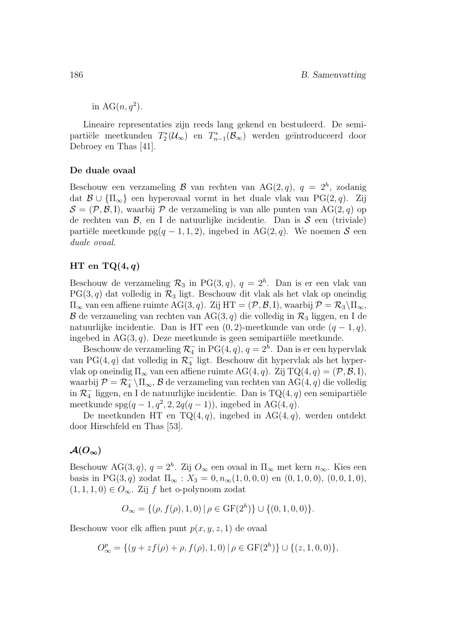in  $AG(n, q^2)$ .

Lineaire representaties zijn reeds lang gekend en bestudeerd. De semipartiële meetkunden  $T_2^*(\mathcal{U}_\infty)$  en  $T_{n-1}^*(\mathcal{B}_\infty)$  werden geïntroduceerd door Debroey en Thas [41].

#### De duale ovaal

Beschouw een verzameling  $\mathcal B$  van rechten van AG(2,q),  $q = 2^h$ , zodanig dat  $\mathcal{B} \cup {\Pi_{\infty}}$  een hyperovaal vormt in het duale vlak van PG(2, q). Zij  $S = (\mathcal{P}, \mathcal{B}, I)$ , waarbij  $\mathcal P$  de verzameling is van alle punten van AG(2, q) op de rechten van  $\mathcal{B}$ , en I de natuurlijke incidentie. Dan is  $\mathcal{S}$  een (triviale) partiële meetkunde pg(q − 1, 1, 2), ingebed in AG(2, q). We noemen S een duale ovaal.

#### HT en TQ $(4,q)$

Beschouw de verzameling  $\mathcal{R}_3$  in PG(3, q),  $q = 2^h$ . Dan is er een vlak van  $PG(3, q)$  dat volledig in  $\mathcal{R}_3$  ligt. Beschouw dit vlak als het vlak op oneindig  $\Pi_{\infty}$  van een affiene ruimte AG(3, q). Zij HT =  $(\mathcal{P}, \mathcal{B}, I)$ , waarbij  $\mathcal{P} = \mathcal{R}_3 \backslash \Pi_{\infty}$ ,  $\mathcal B$  de verzameling van rechten van AG(3, q) die volledig in  $\mathcal R_3$  liggen, en I de natuurlijke incidentie. Dan is HT een  $(0, 2)$ -meetkunde van orde  $(q - 1, q)$ , ingebed in  $AG(3, q)$ . Deze meetkunde is geen semipartiële meetkunde.

Beschouw de verzameling  $\mathcal{R}_4^-$  in PG(4, q),  $q=2^h$ . Dan is er een hypervlak van PG(4, $q)$ dat volledig in $\mathcal{R}^-_4$ ligt. Beschouw dit hypervlak als het hypervlak op oneindig  $\Pi_{\infty}$  van een affiene ruimte AG(4, q). Zij TQ(4, q) = (P, B, I), waarbij $\mathcal{P} = \mathcal{R}_4^- \backslash \Pi_\infty, \mathcal{B}$ de verzameling van rechten van AG(4, q) die volledig in  $\mathcal{R}^-_4$ liggen, en I de natuurlijke incidentie. Dan is  $\mathrm{TQ}(4,q)$ een semipartiële meetkunde  $spg(q-1, q^2, 2, 2q(q-1))$ , ingebed in AG(4,q).

De meetkunden HT en TQ $(4, q)$ , ingebed in AG $(4, q)$ , werden ontdekt door Hirschfeld en Thas [53].

#### $\mathcal{A}(O_{\infty})$

Beschouw AG(3,q),  $q = 2<sup>h</sup>$ . Zij  $O_{\infty}$  een ovaal in  $\Pi_{\infty}$  met kern  $n_{\infty}$ . Kies een basis in PG(3, q) zodat  $\Pi_{\infty}$ :  $X_3 = 0, n_{\infty}(1, 0, 0, 0)$  en  $(0, 1, 0, 0), (0, 0, 1, 0),$  $(1, 1, 1, 0) \in O_{\infty}$ . Zij f het o-polynoom zodat

$$
O_{\infty} = \{ (\rho, f(\rho), 1, 0) \mid \rho \in \mathrm{GF}(2^h) \} \cup \{ (0, 1, 0, 0) \}.
$$

Beschouw voor elk affien punt  $p(x, y, z, 1)$  de ovaal

$$
O^p_{\infty} = \{ (y + zf(\rho) + \rho, f(\rho), 1, 0) | \rho \in \mathrm{GF}(2^h) \} \cup \{ (z, 1, 0, 0) \},
$$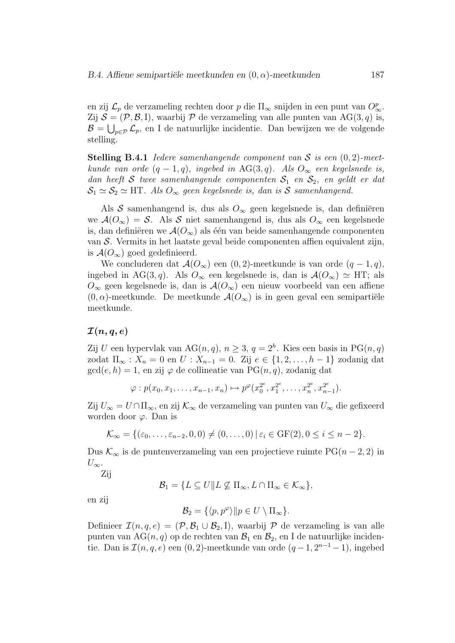en zij  $\mathcal{L}_p$  de verzameling rechten door p die  $\Pi_{\infty}$  snijden in een punt van  $O_{\infty}^p$ . Zij  $S = (\mathcal{P}, \mathcal{B}, I)$ , waarbij  $\mathcal P$  de verzameling van alle punten van AG $(3, q)$  is,  $\mathcal{B} = \bigcup_{p \in \mathcal{P}} \mathcal{L}_p$ , en I de natuurlijke incidentie. Dan bewijzen we de volgende stelling.

**Stelling B.4.1** Iedere samenhangende component van S is een  $(0, 2)$ -meetkunde van orde  $(q-1,q)$ , ingebed in AG(3,q). Als  $O_{\infty}$  een kegelsnede is, dan heeft S twee samenhangende componenten  $S_1$  en  $S_2$ , en geldt er dat  $\mathcal{S}_1 \simeq \mathcal{S}_2 \simeq$  HT. Als  $O_{\infty}$  geen kegelsnede is, dan is S samenhangend.

Als S samenhangend is, dus als  $O_{\infty}$  geen kegelsnede is, dan definiëren we  $\mathcal{A}(O_{\infty}) = \mathcal{S}$ . Als  $\mathcal{S}$  niet samenhangend is, dus als  $O_{\infty}$  een kegelsnede is, dan definiëren we  $\mathcal{A}(O_{\infty})$  als één van beide samenhangende componenten van S. Vermits in het laatste geval beide componenten affien equivalent zijn, is  $\mathcal{A}(O_{\infty})$  goed gedefinieerd.

We concluderen dat  $\mathcal{A}(O_{\infty})$  een  $(0, 2)$ -meetkunde is van orde  $(q - 1, q)$ , ingebed in AG(3,q). Als  $O_{\infty}$  een kegelsnede is, dan is  $\mathcal{A}(O_{\infty}) \simeq HT$ ; als  $O_{\infty}$  geen kegelsnede is, dan is  $\mathcal{A}(O_{\infty})$  een nieuw voorbeeld van een affiene  $(0, \alpha)$ -meetkunde. De meetkunde  $\mathcal{A}(O_{\infty})$  is in geen geval een semipartiële meetkunde.

#### $\mathcal{I}(n, q, e)$

Zij U een hypervlak van AG $(n, q)$ ,  $n \geq 3$ ,  $q = 2<sup>h</sup>$ . Kies een basis in PG $(n, q)$ zodat  $\Pi_{\infty}$ :  $X_n = 0$  en  $U$ :  $X_{n-1} = 0$ . Zij  $e \in \{1, 2, ..., h-1\}$  zodanig dat  $gcd(e, h) = 1$ , en zij  $\varphi$  de collineatie van PG $(n, q)$ , zodanig dat

$$
\varphi: p(x_0, x_1, \ldots, x_{n-1}, x_n) \mapsto p^{\varphi}(x_0^{2^e}, x_1^{2^e}, \ldots, x_n^{2^e}, x_{n-1}^{2^e}).
$$

Zij  $U_{\infty} = U \cap \Pi_{\infty}$ , en zij  $\mathcal{K}_{\infty}$  de verzameling van punten van  $U_{\infty}$  die gefixeerd worden door  $\varphi$ . Dan is

$$
\mathcal{K}_{\infty} = \{(\varepsilon_0, \ldots, \varepsilon_{n-2}, 0, 0) \neq (0, \ldots, 0) \mid \varepsilon_i \in \text{GF}(2), 0 \leq i \leq n-2\}.
$$

Dus  $\mathcal{K}_{\infty}$  is de puntenverzameling van een projectieve ruimte PG(n − 2, 2) in  $U_{\infty}$ .

Zij

$$
\mathcal{B}_1 = \{ L \subseteq U \mid L \nsubseteq \Pi_{\infty}, L \cap \Pi_{\infty} \in \mathcal{K}_{\infty} \},\
$$

en zij

$$
\mathcal{B}_2 = \{ \langle p, p^{\varphi} \rangle || p \in U \setminus \Pi_{\infty} \}.
$$

Definieer  $\mathcal{I}(n, q, e) = (\mathcal{P}, \mathcal{B}_1 \cup \mathcal{B}_2, I)$ , waarbij  $\mathcal{P}$  de verzameling is van alle punten van AG $(n, q)$  op de rechten van  $\mathcal{B}_1$  en  $\mathcal{B}_2$ , en I de natuurlijke incidentie. Dan is  $\mathcal{I}(n, q, e)$  een  $(0, 2)$ -meetkunde van orde  $(q - 1, 2^{n-1} - 1)$ , ingebed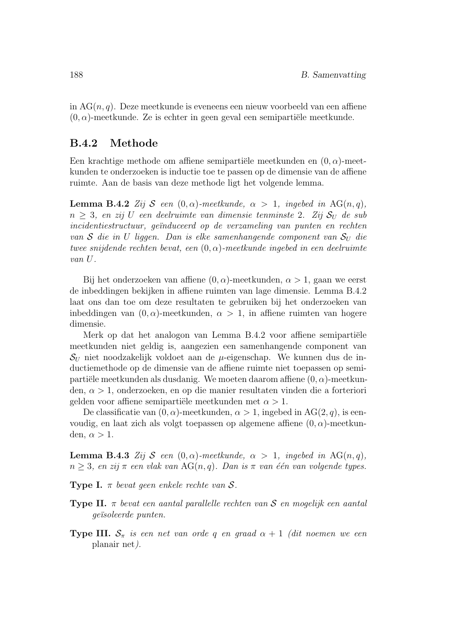in  $AG(n, q)$ . Deze meetkunde is eveneens een nieuw voorbeeld van een affiene  $(0, \alpha)$ -meetkunde. Ze is echter in geen geval een semipartiële meetkunde.

#### B.4.2 Methode

Een krachtige methode om affiene semipartiële meetkunden en  $(0, \alpha)$ -meetkunden te onderzoeken is inductie toe te passen op de dimensie van de affiene ruimte. Aan de basis van deze methode ligt het volgende lemma.

**Lemma B.4.2** Zij S een  $(0, \alpha)$ -meetkunde,  $\alpha > 1$ , ingebed in AG(n, q),  $n > 3$ , en zij U een deelruimte van dimensie tenminste 2. Zij  $S_U$  de sub incidentiestructuur, geïnduceerd op de verzameling van punten en rechten van S die in U liggen. Dan is elke samenhangende component van  $S_U$  die twee snijdende rechten bevat, een  $(0, \alpha)$ -meetkunde ingebed in een deelruimte van U.

Bij het onderzoeken van affiene  $(0, \alpha)$ -meetkunden,  $\alpha > 1$ , gaan we eerst de inbeddingen bekijken in affiene ruimten van lage dimensie. Lemma B.4.2 laat ons dan toe om deze resultaten te gebruiken bij het onderzoeken van inbeddingen van  $(0, \alpha)$ -meetkunden,  $\alpha > 1$ , in affiene ruimten van hogere dimensie.

Merk op dat het analogon van Lemma B.4.2 voor affiene semipartiële meetkunden niet geldig is, aangezien een samenhangende component van  $\mathcal{S}_{U}$  niet noodzakelijk voldoet aan de  $\mu$ -eigenschap. We kunnen dus de inductiemethode op de dimensie van de affiene ruimte niet toepassen op semipartiële meetkunden als dusdanig. We moeten daarom affiene  $(0, \alpha)$ -meetkunden,  $\alpha > 1$ , onderzoeken, en op die manier resultaten vinden die a forteriori gelden voor affiene semipartiële meetkunden met  $\alpha > 1$ .

De classificatie van  $(0, \alpha)$ -meetkunden,  $\alpha > 1$ , ingebed in AG $(2, q)$ , is eenvoudig, en laat zich als volgt toepassen op algemene affiene  $(0, \alpha)$ -meetkunden,  $\alpha > 1$ .

**Lemma B.4.3** Zij S een  $(0, \alpha)$ -meetkunde,  $\alpha > 1$ , ingebed in AG $(n, q)$ ,  $n \geq 3$ , en zij $\pi$  een vlak van AG $(n, q)$ . Dan is  $\pi$  van één van volgende types.

**Type I.**  $\pi$  bevat geen enkele rechte van  $S$ .

- **Type II.**  $\pi$  bevat een aantal parallelle rechten van S en mogelijk een aantal geïsoleerde punten.
- **Type III.**  $S_{\pi}$  is een net van orde q en graad  $\alpha + 1$  (dit noemen we een planair net).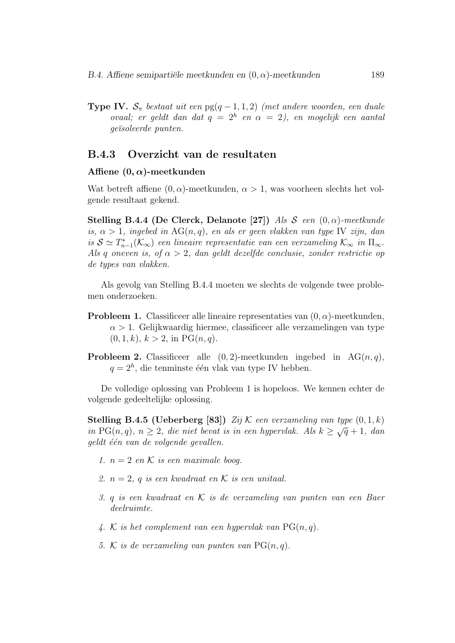**Type IV.**  $S_{\pi}$  bestaat uit een pg(q - 1, 1, 2) (met andere woorden, een duale ovaal; er geldt dan dat  $q = 2<sup>h</sup>$  en  $\alpha = 2$ ), en mogelijk een aantal geïsoleerde punten.

#### B.4.3 Overzicht van de resultaten

#### Affiene  $(0, \alpha)$ -meetkunden

Wat betreft affiene  $(0, \alpha)$ -meetkunden,  $\alpha > 1$ , was voorheen slechts het volgende resultaat gekend.

Stelling B.4.4 (De Clerck, Delanote [27]) Als  $S$  een  $(0, \alpha)$ -meetkunde is,  $\alpha > 1$ , ingebed in  $AG(n, q)$ , en als er geen vlakken van type IV zijn, dan is  $S \simeq T_{n-1}^*(\mathcal{K}_{\infty})$  een lineaire representatie van een verzameling  $\mathcal{K}_{\infty}$  in  $\Pi_{\infty}$ . Als q oneven is, of  $\alpha > 2$ , dan geldt dezelfde conclusie, zonder restrictie op de types van vlakken.

Als gevolg van Stelling B.4.4 moeten we slechts de volgende twee problemen onderzoeken.

- **Probleem 1.** Classificeer alle lineaire representaties van  $(0, \alpha)$ -meetkunden,  $\alpha > 1$ . Gelijkwaardig hiermee, classificeer alle verzamelingen van type  $(0, 1, k), k > 2$ , in PG $(n, q)$ .
- **Probleem 2.** Classificeer alle  $(0, 2)$ -meetkunden ingebed in AG $(n, q)$ ,  $q = 2<sup>h</sup>$ , die tenminste één vlak van type IV hebben.

De volledige oplossing van Probleem 1 is hopeloos. We kennen echter de volgende gedeeltelijke oplossing.

**Stelling B.4.5 (Ueberberg [83])** Zij  $\mathcal{K}$  een verzameling van type  $(0, 1, k)$ in PG(n, q),  $n \ge 2$ , die niet bevat is in een hypervlak. Als  $k \ge \sqrt{q} + 1$ , dan geldt één van de volgende gevallen.

- 1.  $n = 2$  en K is een maximale boog.
- 2.  $n = 2$ , q is een kwadraat en K is een unitaal.
- 3. q is een kwadraat en K is de verzameling van punten van een Baer deelruimte.
- 4. K is het complement van een hypervlak van  $PG(n, q)$ .
- 5. K is de verzameling van punten van  $PG(n, q)$ .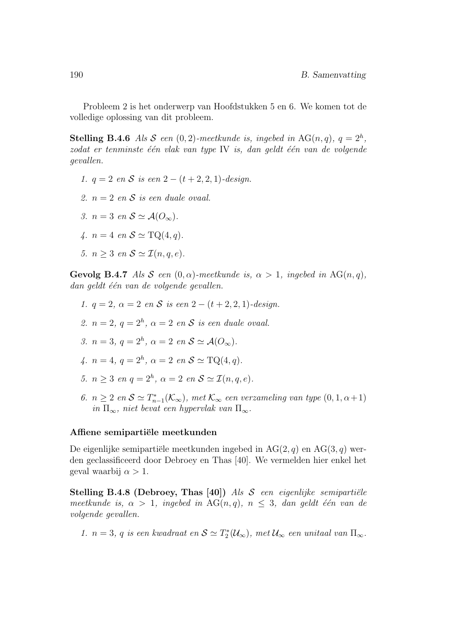Probleem 2 is het onderwerp van Hoofdstukken 5 en 6. We komen tot de volledige oplossing van dit probleem.

**Stelling B.4.6** Als S een  $(0, 2)$ -meetkunde is, ingebed in AG $(n, q)$ ,  $q = 2<sup>h</sup>$ ,  $z$ odat er tenminste één vlak van type IV is, dan geldt één van de volgende gevallen.

- 1.  $q = 2$  en S is een  $2 (t + 2, 2, 1)$ -design.
- 2.  $n = 2$  en S is een duale ovaal.
- 3.  $n = 3$  en  $S \simeq A(O_{\infty}).$
- 4.  $n = 4$  en  $S \simeq \text{TQ}(4, q)$ .
- 5.  $n > 3$  en  $S \simeq \mathcal{I}(n, q, e)$ .

**Gevolg B.4.7** Als S een  $(0, \alpha)$ -meetkunde is,  $\alpha > 1$ , ingebed in AG(n,q),  $dan$  geldt één van de volgende gevallen.

- 1.  $q = 2$ ,  $\alpha = 2$  en S is een  $2 (t + 2, 2, 1)$ -design. 2.  $n = 2$ ,  $q = 2<sup>h</sup>$ ,  $\alpha = 2$  en S is een duale ovaal. 3.  $n = 3, q = 2<sup>h</sup>, \alpha = 2 \text{ en } \mathcal{S} \simeq \mathcal{A}(O_{\infty}).$ 4.  $n = 4, q = 2<sup>h</sup>, \alpha = 2 \text{ en } S \simeq \text{TQ}(4, q).$ 5.  $n \geq 3$  en  $q = 2^h$ ,  $\alpha = 2$  en  $S \simeq \mathcal{I}(n, q, e)$ . 6.  $n \geq 2$  en  $S \simeq T_{n-1}^*(\mathcal{K}_{\infty})$ , met  $\mathcal{K}_{\infty}$  een verzameling van type  $(0, 1, \alpha+1)$
- in  $\Pi_{\infty}$ , niet bevat een hypervlak van  $\Pi_{\infty}$ .

#### Affiene semipartiële meetkunden

De eigenlijke semipartiële meetkunden ingebed in  $AG(2, q)$  en  $AG(3, q)$  werden geclassificeerd door Debroey en Thas [40]. We vermelden hier enkel het geval waarbij  $\alpha > 1$ .

Stelling B.4.8 (Debroey, Thas [40]) Als  $S$  een eigenlijke semipartiële meetkunde is,  $\alpha > 1$ , ingebed in AG(n,q),  $n \leq 3$ , dan geldt één van de volgende gevallen.

1.  $n = 3$ , q is een kwadraat en  $S \simeq T_2^*(\mathcal{U}_{\infty})$ , met  $\mathcal{U}_{\infty}$  een unitaal van  $\Pi_{\infty}$ .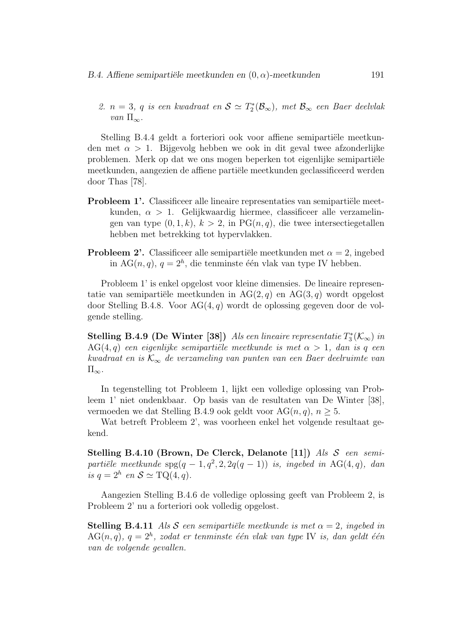2.  $n = 3$ , q is een kwadraat en  $S \simeq T_2^*(\mathcal{B}_{\infty})$ , met  $\mathcal{B}_{\infty}$  een Baer deelvlak van  $\Pi_{\infty}$ .

Stelling B.4.4 geldt a forteriori ook voor affiene semipartiële meetkunden met  $\alpha > 1$ . Bijgevolg hebben we ook in dit geval twee afzonderlijke problemen. Merk op dat we ons mogen beperken tot eigenlijke semipartiële meetkunden, aangezien de affiene partiële meetkunden geclassificeerd werden door Thas [78].

- **Probleem 1'.** Classificeer alle lineaire representaties van semipartiële meetkunden,  $\alpha > 1$ . Gelijkwaardig hiermee, classificeer alle verzamelingen van type  $(0, 1, k)$ ,  $k > 2$ , in PG $(n, q)$ , die twee intersectiegetallen hebben met betrekking tot hypervlakken.
- **Probleem 2'.** Classificeer alle semipartiële meetkunden met  $\alpha = 2$ , ingebed in AG $(n, q)$ ,  $q = 2<sup>h</sup>$ , die tenminste één vlak van type IV hebben.

Probleem 1' is enkel opgelost voor kleine dimensies. De lineaire representatie van semipartiële meetkunden in  $AG(2, q)$  en  $AG(3, q)$  wordt opgelost door Stelling B.4.8. Voor  $AG(4, q)$  wordt de oplossing gegeven door de volgende stelling.

**Stelling B.4.9 (De Winter [38])** Als een lineaire representatie  $T_3^*(\mathcal{K}_{\infty})$  in AG(4,q) een eigenlijke semipartiële meetkunde is met  $\alpha > 1$ , dan is q een kwadraat en is  $\mathcal{K}_{\infty}$  de verzameling van punten van een Baer deelruimte van  $\Pi_{\infty}$ .

In tegenstelling tot Probleem 1, lijkt een volledige oplossing van Probleem 1' niet ondenkbaar. Op basis van de resultaten van De Winter [38], vermoeden we dat Stelling B.4.9 ook geldt voor AG $(n, q)$ ,  $n \geq 5$ .

Wat betreft Probleem 2', was voorheen enkel het volgende resultaat gekend.

Stelling B.4.10 (Brown, De Clerck, Delanote [11]) Als  $S$  een semipartiële meetkunde  $\text{spg}(q-1, q^2, 2, 2q(q-1))$  is, ingebed in AG(4,q), dan is  $q = 2^h$  en  $S \simeq \text{TQ}(4, q)$ .

Aangezien Stelling B.4.6 de volledige oplossing geeft van Probleem 2, is Probleem 2' nu a forteriori ook volledig opgelost.

**Stelling B.4.11** Als S een semipartiële meetkunde is met  $\alpha = 2$ , ingebed in  $AG(n, q)$ ,  $q = 2<sup>h</sup>$ , zodat er tenminste één vlak van type IV is, dan geldt één van de volgende gevallen.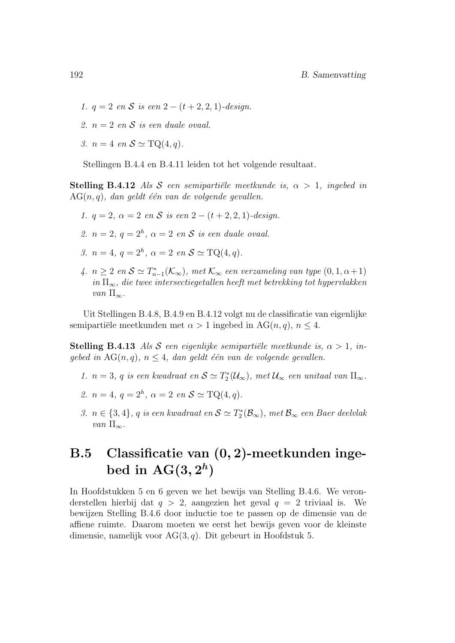- 1.  $q = 2$  en S is een  $2 (t + 2, 2, 1)$ -design.
- 2.  $n = 2$  en S is een duale ovaal.
- 3.  $n = 4$  en  $S \simeq \text{TQ}(4, q)$ .

Stellingen B.4.4 en B.4.11 leiden tot het volgende resultaat.

**Stelling B.4.12** Als S een semipartiële meetkunde is,  $\alpha > 1$ , ingebed in  $AG(n, q)$ , dan geldt één van de volgende gevallen.

- 1.  $q = 2$ ,  $\alpha = 2$  en S is een  $2 (t + 2, 2, 1)$ -design.
- 2.  $n = 2$ ,  $q = 2<sup>h</sup>$ ,  $\alpha = 2$  en S is een duale ovaal.
- 3.  $n = 4, q = 2<sup>h</sup>, \alpha = 2 \text{ en } \mathcal{S} \simeq \text{TQ}(4, q).$
- 4.  $n \geq 2$  en  $S \simeq T_{n-1}^*(\mathcal{K}_{\infty})$ , met  $\mathcal{K}_{\infty}$  een verzameling van type  $(0, 1, \alpha+1)$ in  $\Pi_{\infty}$ , die twee intersectiegetallen heeft met betrekking tot hypervlakken van  $\Pi_{\infty}$ .

Uit Stellingen B.4.8, B.4.9 en B.4.12 volgt nu de classificatie van eigenlijke semipartiële meetkunden met  $\alpha > 1$  ingebed in AG(n, q),  $n \leq 4$ .

**Stelling B.4.13** Als S een eigenlijke semipartiële meetkunde is,  $\alpha > 1$ , ingebed in  $AG(n, q)$ ,  $n \leq 4$ , dan geldt één van de volgende gevallen.

- 1.  $n = 3$ , q is een kwadraat en  $\mathcal{S} \simeq T_2^*(\mathcal{U}_\infty)$ , met  $\mathcal{U}_\infty$  een unitaal van  $\Pi_\infty$ .
- 2.  $n = 4, q = 2<sup>h</sup>, \alpha = 2 \text{ en } S \simeq \text{TQ}(4, q).$
- 3.  $n \in \{3,4\}$ ,  $q$  is een kwadraat en  $\mathcal{S} \simeq T_2^*(\mathcal{B}_{\infty})$ , met  $\mathcal{B}_{\infty}$  een Baer deelvlak van  $\Pi_{\infty}$ .

### B.5 Classificatie van (0, 2)-meetkunden ingebed in  $\mathrm{AG}(3,2^h)$

In Hoofdstukken 5 en 6 geven we het bewijs van Stelling B.4.6. We veronderstellen hierbij dat  $q > 2$ , aangezien het geval  $q = 2$  triviaal is. We bewijzen Stelling B.4.6 door inductie toe te passen op de dimensie van de affiene ruimte. Daarom moeten we eerst het bewijs geven voor de kleinste dimensie, namelijk voor  $AG(3, q)$ . Dit gebeurt in Hoofdstuk 5.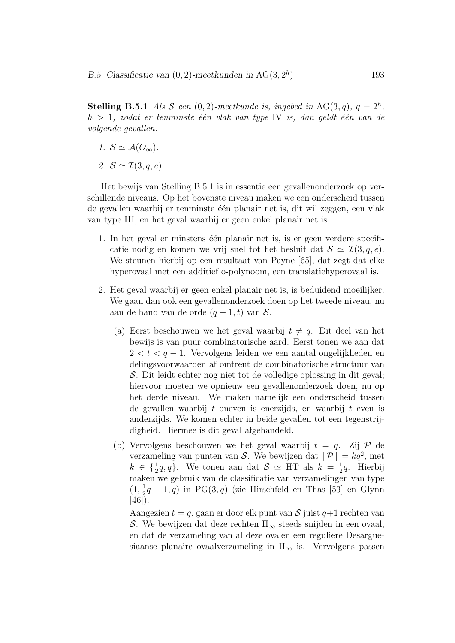**Stelling B.5.1** Als S een  $(0, 2)$ -meetkunde is, ingebed in AG $(3, q)$ ,  $q = 2<sup>h</sup>$ ,  $h > 1$ , zodat er tenminste één vlak van type IV is, dan geldt één van de volgende gevallen.

- 1.  $S \simeq \mathcal{A}(O_{\infty}).$
- 2.  $S \simeq \mathcal{I}(3, q, e)$ .

Het bewijs van Stelling B.5.1 is in essentie een gevallenonderzoek op verschillende niveaus. Op het bovenste niveau maken we een onderscheid tussen de gevallen waarbij er tenminste één planair net is, dit wil zeggen, een vlak van type III, en het geval waarbij er geen enkel planair net is.

- 1. In het geval er minstens één planair net is, is er geen verdere specificatie nodig en komen we vrij snel tot het besluit dat  $S \simeq \mathcal{I}(3, q, e)$ . We steunen hierbij op een resultaat van Payne [65], dat zegt dat elke hyperovaal met een additief o-polynoom, een translatiehyperovaal is.
- 2. Het geval waarbij er geen enkel planair net is, is beduidend moeilijker. We gaan dan ook een gevallenonderzoek doen op het tweede niveau, nu aan de hand van de orde  $(q-1, t)$  van S.
	- (a) Eerst beschouwen we het geval waarbij  $t \neq q$ . Dit deel van het bewijs is van puur combinatorische aard. Eerst tonen we aan dat  $2 < t < q-1$ . Vervolgens leiden we een aantal ongelijkheden en delingsvoorwaarden af omtrent de combinatorische structuur van S. Dit leidt echter nog niet tot de volledige oplossing in dit geval; hiervoor moeten we opnieuw een gevallenonderzoek doen, nu op het derde niveau. We maken namelijk een onderscheid tussen de gevallen waarbij t oneven is enerzijds, en waarbij t even is anderzijds. We komen echter in beide gevallen tot een tegenstrijdigheid. Hiermee is dit geval afgehandeld.
	- (b) Vervolgens beschouwen we het geval waarbij  $t = q$ . Zij  $\mathcal{P}$  de verzameling van punten van S. We bewijzen dat  $|\mathcal{P}| = kq^2$ , met  $k \in \{\frac{1}{2}q, q\}$ . We tonen aan dat  $S \simeq \text{HT}$  als  $k = \frac{1}{2}q$ . Hierbij maken we gebruik van de classificatie van verzamelingen van type  $\left( 1, \frac{1}{2} q + 1, q \right)$  in PG(3, q) (zie Hirschfeld en Thas [53] en Glynn  $[46]$ .

Aangezien  $t = q$ , gaan er door elk punt van  $S$  juist  $q+1$  rechten van S. We bewijzen dat deze rechten  $\Pi_{\infty}$  steeds snijden in een ovaal, en dat de verzameling van al deze ovalen een reguliere Desarguesiaanse planaire ovaalverzameling in  $\Pi_{\infty}$  is. Vervolgens passen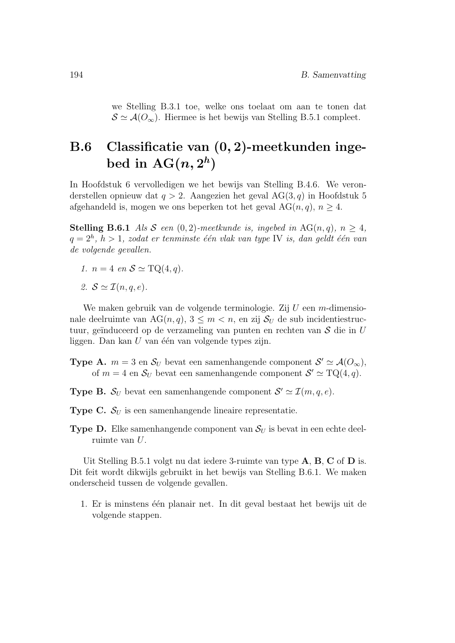we Stelling B.3.1 toe, welke ons toelaat om aan te tonen dat  $S \simeq A(O_{\infty})$ . Hiermee is het bewijs van Stelling B.5.1 compleet.

## B.6 Classificatie van (0, 2)-meetkunden ingebed in  $\mathrm{AG}(n,2^h)$

In Hoofdstuk 6 vervolledigen we het bewijs van Stelling B.4.6. We veronderstellen opnieuw dat  $q > 2$ . Aangezien het geval AG(3, q) in Hoofdstuk 5 afgehandeld is, mogen we ons beperken tot het geval  $AG(n, q)$ ,  $n \geq 4$ .

**Stelling B.6.1** Als S een  $(0, 2)$ -meetkunde is, ingebed in AG $(n, q)$ ,  $n > 4$ ,  $q=2^h, h>1, zodat$  er tenminste één vlak van type IV is, dan geldt één van de volgende gevallen.

- 1.  $n = 4$  en  $S \simeq \text{TQ}(4, q)$ .
- 2.  $S \simeq \mathcal{I}(n, q, e)$ .

We maken gebruik van de volgende terminologie. Zij  $U$  een m-dimensionale deelruimte van AG $(n, q)$ ,  $3 \leq m \leq n$ , en zij  $S_{U}$  de sub incidentiestructuur, geïnduceerd op de verzameling van punten en rechten van  $S$  die in U liggen. Dan kan  $U$  van één van volgende types zijn.

**Type A.**  $m = 3$  en  $S_U$  bevat een samenhangende component  $S' \simeq \mathcal{A}(O_{\infty}),$ of  $m = 4$  en  $S_U$  bevat een samenhangende component  $S' \simeq TQ(4, q)$ .

**Type B.**  $S_U$  bevat een samenhangende component  $S' \simeq \mathcal{I}(m, q, e)$ .

**Type C.**  $S_U$  is een samenhangende lineaire representatie.

**Type D.** Elke samenhangende component van  $S_U$  is bevat in een echte deelruimte van U.

Uit Stelling B.5.1 volgt nu dat iedere 3-ruimte van type A, B, C of D is. Dit feit wordt dikwijls gebruikt in het bewijs van Stelling B.6.1. We maken onderscheid tussen de volgende gevallen.

1. Er is minstens één planair net. In dit geval bestaat het bewijs uit de volgende stappen.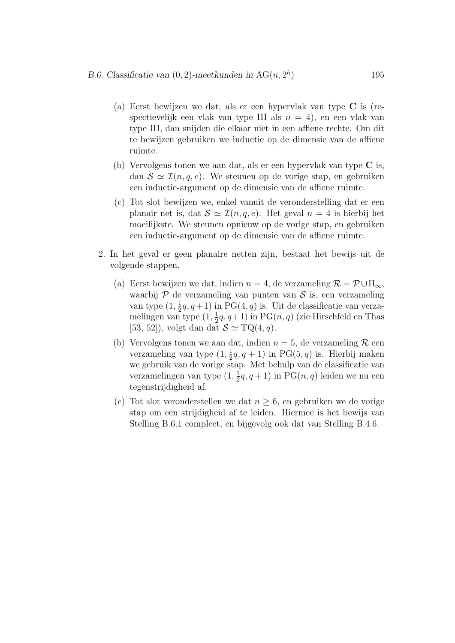(a) Eerst bewijzen we dat, als er een hypervlak van type C is (respectievelijk een vlak van type III als  $n = 4$ ), en een vlak van type III, dan snijden die elkaar niet in een affiene rechte. Om dit te bewijzen gebruiken we inductie op de dimensie van de affiene ruimte.

) 195

- (b) Vervolgens tonen we aan dat, als er een hypervlak van type C is, dan  $S \simeq \mathcal{I}(n, q, e)$ . We steunen op de vorige stap, en gebruiken een inductie-argument op de dimensie van de affiene ruimte.
- (c) Tot slot bewijzen we, enkel vanuit de veronderstelling dat er een planair net is, dat  $S \simeq \mathcal{I}(n, q, e)$ . Het geval  $n = 4$  is hierbij het moeilijkste. We steunen opnieuw op de vorige stap, en gebruiken een inductie-argument op de dimensie van de affiene ruimte.
- 2. In het geval er geen planaire netten zijn, bestaat het bewijs uit de volgende stappen.
	- (a) Eerst bewijzen we dat, indien  $n = 4$ , de verzameling  $\mathcal{R} = \mathcal{P} \cup \Pi_{\infty}$ , waarbij  $P$  de verzameling van punten van  $S$  is, een verzameling van type  $(1, \frac{1}{2}q, q+1)$  in PG $(4, q)$  is. Uit de classificatie van verzamelingen van type  $(1, \frac{1}{2}q, q+1)$  in PG $(n, q)$  (zie Hirschfeld en Thas [53, 52]), volgt dan dat  $S \simeq TQ(4, q)$ .
	- (b) Vervolgens tonen we aan dat, indien  $n = 5$ , de verzameling R een verzameling van type  $(1, \frac{1}{2}q, q+1)$  in PG(5, q) is. Hierbij maken we gebruik van de vorige stap. Met behulp van de classificatie van verzamelingen van type  $(1, \frac{1}{2}q, q+1)$  in  $PG(n, q)$  leiden we nu een tegenstrijdigheid af.
	- (c) Tot slot veronderstellen we dat  $n \geq 6$ , en gebruiken we de vorige stap om een strijdigheid af te leiden. Hiermee is het bewijs van Stelling B.6.1 compleet, en bijgevolg ook dat van Stelling B.4.6.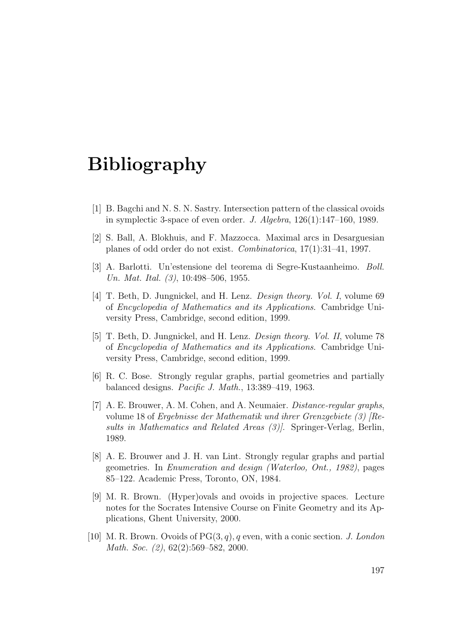## Bibliography

- [1] B. Bagchi and N. S. N. Sastry. Intersection pattern of the classical ovoids in symplectic 3-space of even order. J. Algebra,  $126(1):147-160$ , 1989.
- [2] S. Ball, A. Blokhuis, and F. Mazzocca. Maximal arcs in Desarguesian planes of odd order do not exist. Combinatorica, 17(1):31–41, 1997.
- [3] A. Barlotti. Un'estensione del teorema di Segre-Kustaanheimo. Boll. Un. Mat. Ital. (3), 10:498-506, 1955.
- [4] T. Beth, D. Jungnickel, and H. Lenz. *Design theory. Vol. I*, volume 69 of Encyclopedia of Mathematics and its Applications. Cambridge University Press, Cambridge, second edition, 1999.
- [5] T. Beth, D. Jungnickel, and H. Lenz. Design theory. Vol. II, volume 78 of Encyclopedia of Mathematics and its Applications. Cambridge University Press, Cambridge, second edition, 1999.
- [6] R. C. Bose. Strongly regular graphs, partial geometries and partially balanced designs. Pacific J. Math., 13:389–419, 1963.
- [7] A. E. Brouwer, A. M. Cohen, and A. Neumaier. *Distance-regular graphs*, volume 18 of Ergebnisse der Mathematik und ihrer Grenzgebiete (3) [Results in Mathematics and Related Areas (3). Springer-Verlag, Berlin, 1989.
- [8] A. E. Brouwer and J. H. van Lint. Strongly regular graphs and partial geometries. In Enumeration and design (Waterloo, Ont., 1982), pages 85–122. Academic Press, Toronto, ON, 1984.
- [9] M. R. Brown. (Hyper)ovals and ovoids in projective spaces. Lecture notes for the Socrates Intensive Course on Finite Geometry and its Applications, Ghent University, 2000.
- [10] M. R. Brown. Ovoids of  $PG(3, q)$ , q even, with a conic section. J. London Math. Soc. (2), 62(2):569-582, 2000.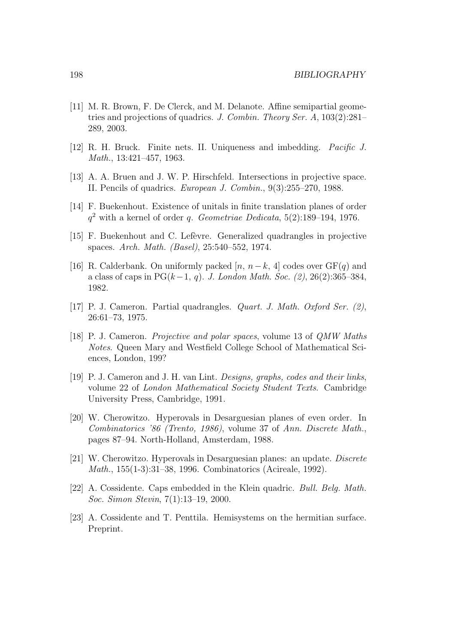- [11] M. R. Brown, F. De Clerck, and M. Delanote. Affine semipartial geometries and projections of quadrics. J. Combin. Theory Ser. A, 103(2):281– 289, 2003.
- [12] R. H. Bruck. Finite nets. II. Uniqueness and imbedding. Pacific J. Math., 13:421–457, 1963.
- [13] A. A. Bruen and J. W. P. Hirschfeld. Intersections in projective space. II. Pencils of quadrics. European J. Combin., 9(3):255–270, 1988.
- [14] F. Buekenhout. Existence of unitals in finite translation planes of order  $q^2$  with a kernel of order q. Geometriae Dedicata, 5(2):189-194, 1976.
- [15] F. Buekenhout and C. Lef`evre. Generalized quadrangles in projective spaces. Arch. Math. (Basel), 25:540–552, 1974.
- [16] R. Calderbank. On uniformly packed [n,  $n-k$ , 4] codes over  $GF(q)$  and a class of caps in PG( $k-1, q$ ). J. London Math. Soc. (2), 26(2):365–384, 1982.
- [17] P. J. Cameron. Partial quadrangles. Quart. J. Math. Oxford Ser. (2), 26:61–73, 1975.
- [18] P. J. Cameron. Projective and polar spaces, volume 13 of QMW Maths Notes. Queen Mary and Westfield College School of Mathematical Sciences, London, 199?
- [19] P. J. Cameron and J. H. van Lint. Designs, graphs, codes and their links, volume 22 of London Mathematical Society Student Texts. Cambridge University Press, Cambridge, 1991.
- [20] W. Cherowitzo. Hyperovals in Desarguesian planes of even order. In Combinatorics '86 (Trento, 1986), volume 37 of Ann. Discrete Math., pages 87–94. North-Holland, Amsterdam, 1988.
- [21] W. Cherowitzo. Hyperovals in Desarguesian planes: an update. Discrete Math., 155(1-3):31–38, 1996. Combinatorics (Acireale, 1992).
- [22] A. Cossidente. Caps embedded in the Klein quadric. Bull. Belg. Math. Soc. Simon Stevin, 7(1):13–19, 2000.
- [23] A. Cossidente and T. Penttila. Hemisystems on the hermitian surface. Preprint.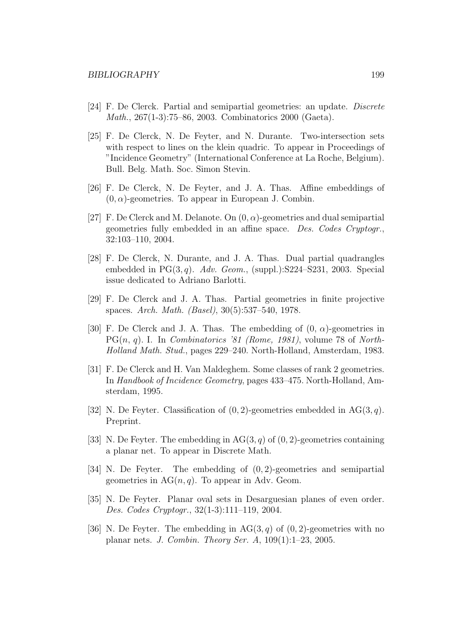- [24] F. De Clerck. Partial and semipartial geometries: an update. Discrete Math., 267(1-3):75–86, 2003. Combinatorics 2000 (Gaeta).
- [25] F. De Clerck, N. De Feyter, and N. Durante. Two-intersection sets with respect to lines on the klein quadric. To appear in Proceedings of "Incidence Geometry" (International Conference at La Roche, Belgium). Bull. Belg. Math. Soc. Simon Stevin.
- [26] F. De Clerck, N. De Feyter, and J. A. Thas. Affine embeddings of  $(0, \alpha)$ -geometries. To appear in European J. Combin.
- [27] F. De Clerck and M. Delanote. On  $(0, \alpha)$ -geometries and dual semipartial geometries fully embedded in an affine space. Des. Codes Cryptogr., 32:103–110, 2004.
- [28] F. De Clerck, N. Durante, and J. A. Thas. Dual partial quadrangles embedded in  $PG(3, q)$ . Adv. Geom., (suppl.):S224-S231, 2003. Special issue dedicated to Adriano Barlotti.
- [29] F. De Clerck and J. A. Thas. Partial geometries in finite projective spaces. Arch. Math. (Basel), 30(5):537–540, 1978.
- [30] F. De Clerck and J. A. Thas. The embedding of  $(0, \alpha)$ -geometries in  $PG(n, q)$ . I. In *Combinatorics '81 (Rome, 1981)*, volume 78 of *North*-Holland Math. Stud., pages 229–240. North-Holland, Amsterdam, 1983.
- [31] F. De Clerck and H. Van Maldeghem. Some classes of rank 2 geometries. In Handbook of Incidence Geometry, pages 433–475. North-Holland, Amsterdam, 1995.
- [32] N. De Feyter. Classification of  $(0, 2)$ -geometries embedded in AG(3,q). Preprint.
- [33] N. De Feyter. The embedding in  $AG(3, q)$  of  $(0, 2)$ -geometries containing a planar net. To appear in Discrete Math.
- [34] N. De Feyter. The embedding of (0, 2)-geometries and semipartial geometries in  $AG(n, q)$ . To appear in Adv. Geom.
- [35] N. De Feyter. Planar oval sets in Desarguesian planes of even order. Des. Codes Cryptogr., 32(1-3):111–119, 2004.
- [36] N. De Feyter. The embedding in  $AG(3, q)$  of  $(0, 2)$ -geometries with no planar nets. J. Combin. Theory Ser. A, 109(1):1–23, 2005.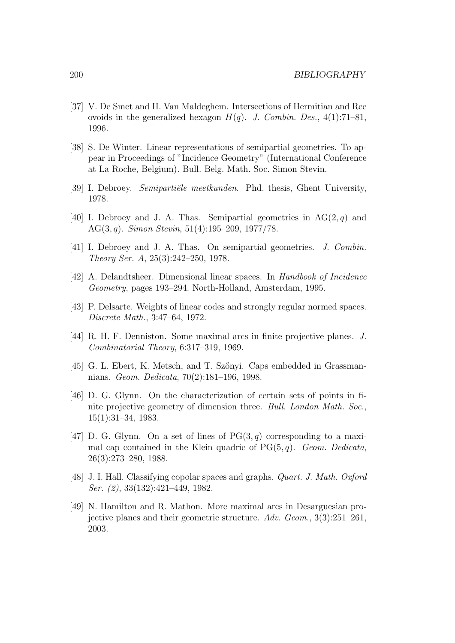- [37] V. De Smet and H. Van Maldeghem. Intersections of Hermitian and Ree ovoids in the generalized hexagon  $H(q)$ . J. Combin. Des., 4(1):71–81, 1996.
- [38] S. De Winter. Linear representations of semipartial geometries. To appear in Proceedings of "Incidence Geometry" (International Conference at La Roche, Belgium). Bull. Belg. Math. Soc. Simon Stevin.
- [39] I. Debroey. Semipartiële meetkunden. Phd. thesis, Ghent University, 1978.
- [40] I. Debroey and J. A. Thas. Semipartial geometries in  $AG(2, q)$  and AG(3, q). Simon Stevin,  $51(4):195-209$ ,  $1977/78$ .
- [41] I. Debroey and J. A. Thas. On semipartial geometries. J. Combin. Theory Ser. A, 25(3):242–250, 1978.
- [42] A. Delandtsheer. Dimensional linear spaces. In Handbook of Incidence Geometry, pages 193–294. North-Holland, Amsterdam, 1995.
- [43] P. Delsarte. Weights of linear codes and strongly regular normed spaces. Discrete Math., 3:47–64, 1972.
- [44] R. H. F. Denniston. Some maximal arcs in finite projective planes. J. Combinatorial Theory, 6:317–319, 1969.
- [45] G. L. Ebert, K. Metsch, and T. Sz˝onyi. Caps embedded in Grassmannians. Geom. Dedicata, 70(2):181–196, 1998.
- [46] D. G. Glynn. On the characterization of certain sets of points in finite projective geometry of dimension three. Bull. London Math. Soc., 15(1):31–34, 1983.
- [47] D. G. Glynn. On a set of lines of  $PG(3, q)$  corresponding to a maximal cap contained in the Klein quadric of  $PG(5, q)$ . Geom. Dedicata, 26(3):273–280, 1988.
- [48] J. I. Hall. Classifying copolar spaces and graphs. Quart. J. Math. Oxford Ser. (2), 33(132):421–449, 1982.
- [49] N. Hamilton and R. Mathon. More maximal arcs in Desarguesian projective planes and their geometric structure. Adv. Geom., 3(3):251–261, 2003.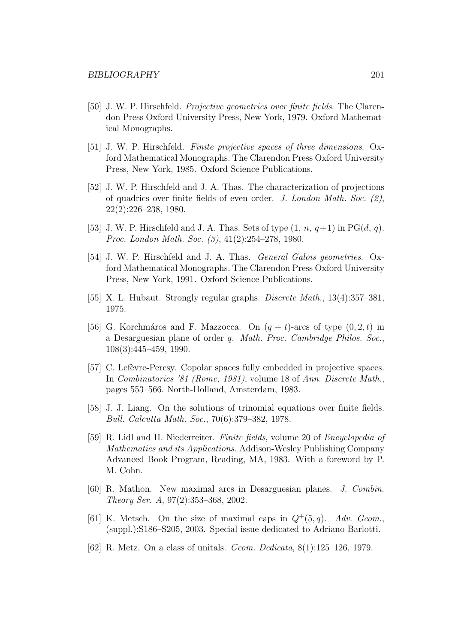- [50] J. W. P. Hirschfeld. Projective geometries over finite fields. The Clarendon Press Oxford University Press, New York, 1979. Oxford Mathematical Monographs.
- [51] J. W. P. Hirschfeld. Finite projective spaces of three dimensions. Oxford Mathematical Monographs. The Clarendon Press Oxford University Press, New York, 1985. Oxford Science Publications.
- [52] J. W. P. Hirschfeld and J. A. Thas. The characterization of projections of quadrics over finite fields of even order. J. London Math. Soc. (2), 22(2):226–238, 1980.
- [53] J. W. P. Hirschfeld and J. A. Thas. Sets of type  $(1, n, q+1)$  in PG $(d, q)$ . Proc. London Math. Soc. (3), 41(2):254–278, 1980.
- [54] J. W. P. Hirschfeld and J. A. Thas. *General Galois geometries*. Oxford Mathematical Monographs. The Clarendon Press Oxford University Press, New York, 1991. Oxford Science Publications.
- [55] X. L. Hubaut. Strongly regular graphs. Discrete Math., 13(4):357–381, 1975.
- [56] G. Korchmáros and F. Mazzocca. On  $(q + t)$ -arcs of type  $(0, 2, t)$  in a Desarguesian plane of order q. Math. Proc. Cambridge Philos. Soc., 108(3):445–459, 1990.
- [57] C. Lefèvre-Percsy. Copolar spaces fully embedded in projective spaces. In Combinatorics '81 (Rome, 1981), volume 18 of Ann. Discrete Math., pages 553–566. North-Holland, Amsterdam, 1983.
- [58] J. J. Liang. On the solutions of trinomial equations over finite fields. Bull. Calcutta Math. Soc., 70(6):379–382, 1978.
- [59] R. Lidl and H. Niederreiter. Finite fields, volume 20 of Encyclopedia of Mathematics and its Applications. Addison-Wesley Publishing Company Advanced Book Program, Reading, MA, 1983. With a foreword by P. M. Cohn.
- [60] R. Mathon. New maximal arcs in Desarguesian planes. J. Combin. Theory Ser. A, 97(2):353–368, 2002.
- [61] K. Metsch. On the size of maximal caps in  $Q^+(5, q)$ . Adv. Geom., (suppl.):S186–S205, 2003. Special issue dedicated to Adriano Barlotti.
- [62] R. Metz. On a class of unitals. Geom. Dedicata, 8(1):125–126, 1979.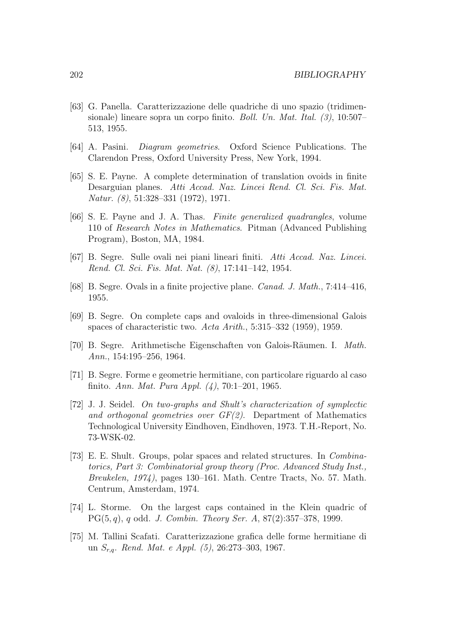- [63] G. Panella. Caratterizzazione delle quadriche di uno spazio (tridimensionale) lineare sopra un corpo finito. *Boll. Un. Mat. Ital.* (3), 10:507– 513, 1955.
- [64] A. Pasini. Diagram geometries. Oxford Science Publications. The Clarendon Press, Oxford University Press, New York, 1994.
- [65] S. E. Payne. A complete determination of translation ovoids in finite Desarguian planes. Atti Accad. Naz. Lincei Rend. Cl. Sci. Fis. Mat. Natur. (8), 51:328–331 (1972), 1971.
- [66] S. E. Payne and J. A. Thas. Finite generalized quadrangles, volume 110 of Research Notes in Mathematics. Pitman (Advanced Publishing Program), Boston, MA, 1984.
- [67] B. Segre. Sulle ovali nei piani lineari finiti. Atti Accad. Naz. Lincei. Rend. Cl. Sci. Fis. Mat. Nat. (8), 17:141–142, 1954.
- [68] B. Segre. Ovals in a finite projective plane. Canad. J. Math., 7:414–416, 1955.
- [69] B. Segre. On complete caps and ovaloids in three-dimensional Galois spaces of characteristic two. Acta Arith., 5:315–332 (1959), 1959.
- [70] B. Segre. Arithmetische Eigenschaften von Galois-Räumen. I. Math. Ann., 154:195–256, 1964.
- [71] B. Segre. Forme e geometrie hermitiane, con particolare riguardo al caso finito. Ann. Mat. Pura Appl. (4), 70:1–201, 1965.
- [72] J. J. Seidel. On two-graphs and Shult's characterization of symplectic and orthogonal geometries over  $GF(2)$ . Department of Mathematics Technological University Eindhoven, Eindhoven, 1973. T.H.-Report, No. 73-WSK-02.
- [73] E. E. Shult. Groups, polar spaces and related structures. In Combinatorics, Part 3: Combinatorial group theory (Proc. Advanced Study Inst., Breukelen, 1974), pages 130–161. Math. Centre Tracts, No. 57. Math. Centrum, Amsterdam, 1974.
- [74] L. Storme. On the largest caps contained in the Klein quadric of PG(5, q), q odd. J. Combin. Theory Ser. A, 87(2):357–378, 1999.
- [75] M. Tallini Scafati. Caratterizzazione grafica delle forme hermitiane di un  $S_{r,q}$ . Rend. Mat. e Appl. (5), 26:273-303, 1967.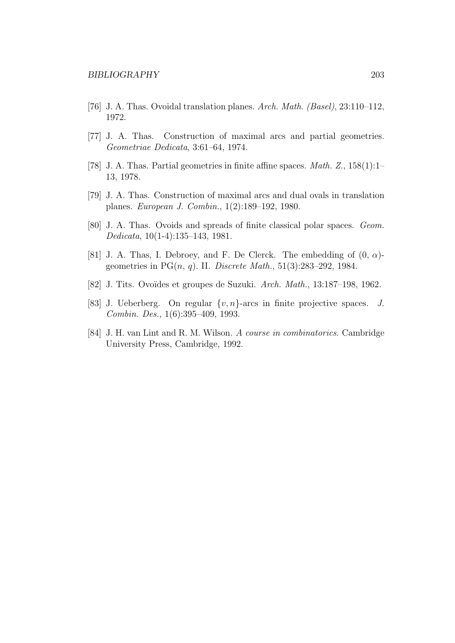- [76] J. A. Thas. Ovoidal translation planes. Arch. Math. (Basel), 23:110–112, 1972.
- [77] J. A. Thas. Construction of maximal arcs and partial geometries. Geometriae Dedicata, 3:61–64, 1974.
- [78] J. A. Thas. Partial geometries in finite affine spaces. Math. Z., 158(1):1– 13, 1978.
- [79] J. A. Thas. Construction of maximal arcs and dual ovals in translation planes. European J. Combin., 1(2):189–192, 1980.
- [80] J. A. Thas. Ovoids and spreads of finite classical polar spaces. Geom. Dedicata, 10(1-4):135–143, 1981.
- [81] J. A. Thas, I. Debroey, and F. De Clerck. The embedding of  $(0, \alpha)$ geometries in PG $(n, q)$ . II. Discrete Math., 51(3):283-292, 1984.
- [82] J. Tits. Ovoïdes et groupes de Suzuki. Arch. Math., 13:187-198, 1962.
- [83] J. Ueberberg. On regular  $\{v, n\}$ -arcs in finite projective spaces. J. Combin. Des., 1(6):395–409, 1993.
- [84] J. H. van Lint and R. M. Wilson. A course in combinatorics. Cambridge University Press, Cambridge, 1992.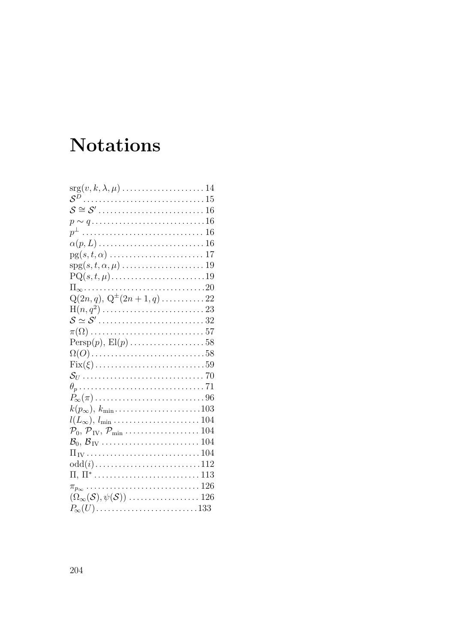# **Notations**

| $p \sim q \ldots \ldots \ldots \ldots \ldots \ldots \ldots \ldots 16$                                            |
|------------------------------------------------------------------------------------------------------------------|
|                                                                                                                  |
|                                                                                                                  |
|                                                                                                                  |
|                                                                                                                  |
|                                                                                                                  |
|                                                                                                                  |
| $Q(2n, q), Q^{\pm}(2n + 1, q) \dots \dots \dots 22$                                                              |
|                                                                                                                  |
|                                                                                                                  |
|                                                                                                                  |
|                                                                                                                  |
| $\Omega(O)$ 58                                                                                                   |
|                                                                                                                  |
|                                                                                                                  |
|                                                                                                                  |
|                                                                                                                  |
| $k(p_\infty), k_{\min}$ 103                                                                                      |
| $l(L_{\infty}), l_{\min}, \ldots, l_{\max}$                                                                      |
| $\mathcal{P}_0, \mathcal{P}_{\text{IV}}, \mathcal{P}_{\text{min}} \dots \dots \dots \dots \dots \dots \dots 104$ |
|                                                                                                                  |
|                                                                                                                  |
| $odd(i)$ 112                                                                                                     |
|                                                                                                                  |
|                                                                                                                  |
|                                                                                                                  |
| $P_{\infty}(U)$ 133                                                                                              |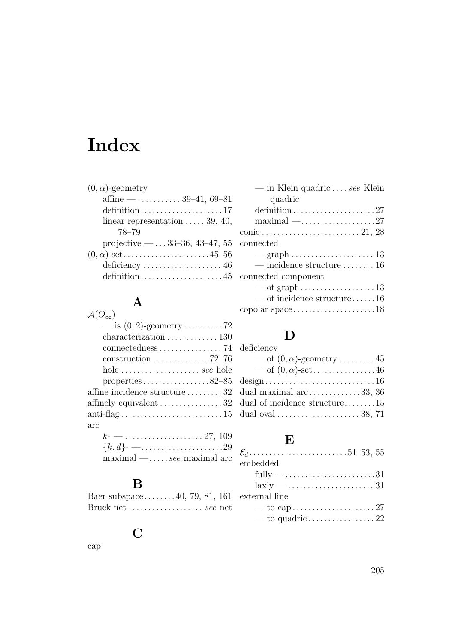# Index

### A

| $\mathcal{A}(O_{\infty})$                             |
|-------------------------------------------------------|
|                                                       |
|                                                       |
| connectedness $\ldots \ldots \ldots \ldots \ldots$ 74 |
|                                                       |
| hole <i>see</i> hole                                  |
| properties82–85                                       |
| affine incidence structure $\ldots \ldots 32$         |
| affinely equivalent $\dots\dots\dots\dots\dots 32$    |
|                                                       |
| arc                                                   |
| $k$ - ---------------------------- 27, 109            |
| $\{k, d\}$ - ----------------------------29           |
| $\text{maximal} - \ldots$ see maximal arc             |
|                                                       |

### B

Baer subspace. . . . . . . . 40, 79, 81, 161 Bruck net . . . . . . . . . . . . . . . . . . . see net

#### C

cap

| — in Klein quadric $\dots$ see Klein                                |
|---------------------------------------------------------------------|
| quadric                                                             |
|                                                                     |
| $\text{maximal} - \dots \dots \dots \dots \dots 27$                 |
|                                                                     |
| $\rm connected$                                                     |
|                                                                     |
| $\frac{1}{16}$ incidence structure  16                              |
| connected component                                                 |
|                                                                     |
| $\sim$ of incidence structure16                                     |
| $\text{copolar space} \dots \dots \dots \dots \dots \dots \dots 18$ |
|                                                                     |

### D

| deficiency                                            |
|-------------------------------------------------------|
| — of $(0, \alpha)$ -geometry  45                      |
| — of $(0, \alpha)$ -set46                             |
| design16                                              |
| dual maximal arc $\ldots \ldots \ldots \ldots 33, 36$ |
| dual of incidence structure15                         |
|                                                       |
|                                                       |

### E

| embedded                                               |  |
|--------------------------------------------------------|--|
| fully $-\ldots$ 31                                     |  |
| $laxly - \ldots \ldots \ldots \ldots \ldots \ldots 31$ |  |
| external line                                          |  |
|                                                        |  |
| — to quadric $\ldots \ldots \ldots \ldots \ldots 22$   |  |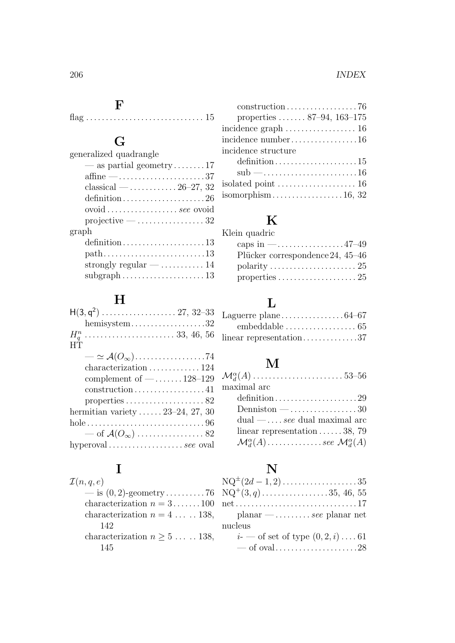### F

 $flag \ldots \ldots \ldots \ldots \ldots \ldots \ldots \ldots \ldots 15$ 

## G

| generalized quadrangle                                            |
|-------------------------------------------------------------------|
| — as partial geometry17                                           |
| affine $-\dots$ 37                                                |
| classical — $26-27$ , 32                                          |
| definition26                                                      |
| ovoid $\ldots \ldots \ldots \ldots \ldots$ see ovoid              |
| $projective - \ldots \ldots \ldots 32$                            |
| graph                                                             |
|                                                                   |
| $path \ldots \ldots \ldots \ldots \ldots \ldots \ldots \ldots 13$ |
| strongly regular $- \ldots \ldots \ldots 14$                      |
| $\text{subgraph}\dots\dots\dots\dots\dots\dots 13$                |
|                                                                   |

## H

| hemisystem32                                              |
|-----------------------------------------------------------|
|                                                           |
| HТ                                                        |
|                                                           |
| characterization $\ldots \ldots \ldots \ldots 124$        |
| complement of $-\dots$ 128-129                            |
| $construction \dots \dots \dots \dots \dots \dots 41$     |
| properties $\ldots \ldots \ldots \ldots \ldots \ldots 82$ |
| hermitian variety $\ldots \ldots 23-24$ , 27, 30          |
|                                                           |
| — of $\mathcal{A}(O_{\infty})$ 82                         |
| hyperoval  see oval                                       |
|                                                           |

## I

| $\mathcal{I}(n,q,e)$                            |
|-------------------------------------------------|
|                                                 |
| characterization $n = 3 \dots 100$              |
| characterization $n = 4 \ldots 138$ ,           |
| 142                                             |
| characterization $n \geq 5 \ldots \ldots 138$ , |
| 145                                             |

| $construction \ldots \ldots \ldots \ldots \ldots \ldots \ldots 76$ |
|--------------------------------------------------------------------|
| properties $87-94$ , $163-175$                                     |
|                                                                    |
| incidence number16                                                 |
| incidence structure                                                |
| $definition \ldots \ldots \ldots \ldots \ldots \ldots 15$          |
| $sub$ —16                                                          |
|                                                                    |
| isomorphism 16, 32                                                 |
|                                                                    |

## K

| caps in $\text{---}$ 47-49       |
|----------------------------------|
| Plücker correspondence 24, 45-46 |
|                                  |
|                                  |
|                                  |

## L

| embeddable $\dots\dots\dots\dots\dots\dots \dots$ 65   |  |
|--------------------------------------------------------|--|
| $linear representation \ldots \ldots \ldots \ldots 37$ |  |

## M

| maximal arc                                                     |  |
|-----------------------------------------------------------------|--|
|                                                                 |  |
| Denniston $-\dots$ 30                                           |  |
| $dual - \ldots$ see dual maximal arc                            |  |
| linear representation $\ldots \ldots 38$ , 79                   |  |
| $\mathcal{M}_{d}^{\alpha}(A)$ see $\mathcal{M}_{d}^{\alpha}(A)$ |  |

## N

| $NQ^{\pm}(2d-1,2)$ 35                                                |
|----------------------------------------------------------------------|
| $NQ^+(3, q)$ 35, 46, 55                                              |
| $net \dots \dots \dots \dots \dots \dots \dots \dots \dots \dots 17$ |
| $planar$ —  see planar net                                           |
| nucleus                                                              |
| <i>i</i> - — of set of type $(0, 2, i)$ 61                           |
|                                                                      |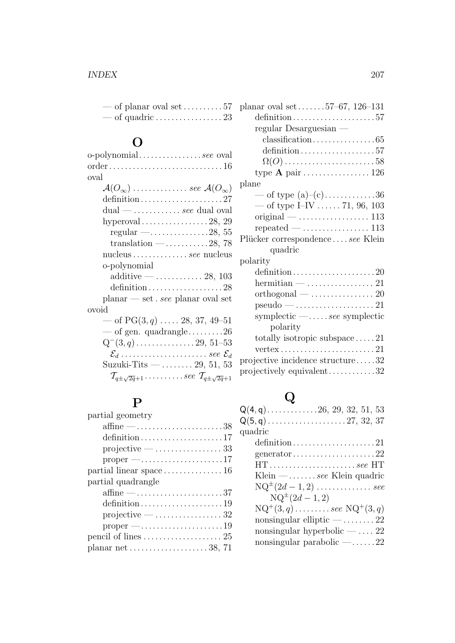| — of planar oval set $\dots \dots \dots 57$ |  |
|---------------------------------------------|--|
|                                             |  |

# $\overline{O}$

| o-polynomialsee oval                                                    |
|-------------------------------------------------------------------------|
|                                                                         |
| oval                                                                    |
| $\mathcal{A}(O_{\infty})$ see $\mathcal{A}(O_{\infty})$                 |
|                                                                         |
| $dual$ -  see dual oval                                                 |
| hyperoval $\ldots \ldots \ldots \ldots \ldots 28, 29$                   |
| regular $-\dots$ 28, 55                                                 |
| translation $-\dots \dots \dots 28$ , 78                                |
| nucleus  see nucleus                                                    |
| o-polynomial                                                            |
| additive $-$ 28, 103                                                    |
| definition28                                                            |
| $planar - set . see planar oval set$                                    |
| ovoid                                                                   |
| — of $PG(3, q)$ 28, 37, 49-51                                           |
| $\sim$ of gen. quadrangle26                                             |
|                                                                         |
| $\mathcal{E}_d$ see $\mathcal{E}_d$                                     |
| Suzuki-Tits —  29, 51, 53                                               |
| $\mathcal{T}_{q \pm \sqrt{2q}+1}$ see $\mathcal{T}_{q \pm \sqrt{2q}+1}$ |
|                                                                         |

## P

| partial geometry                                         |
|----------------------------------------------------------|
| affine $-\dots \dots \dots \dots \dots \dots \dots 38$   |
| definition17                                             |
| $projective - \ldots \ldots \ldots 33$                   |
|                                                          |
| partial linear space $\dots \dots \dots \dots \dots 16$  |
| partial quadrangle                                       |
| affine $-\dots$ 37                                       |
|                                                          |
| $projective - \ldots \ldots \ldots 32$                   |
|                                                          |
|                                                          |
| planar net $\dots \dots \dots \dots \dots \dots 38$ , 71 |

| planar oval set $\dots$ .57–67, 126–131                      |
|--------------------------------------------------------------|
| definition57                                                 |
| regular Desarguesian —                                       |
|                                                              |
| definition57                                                 |
| $\Omega(O)$ 58                                               |
| type <b>A</b> pair $\dots \dots \dots \dots \dots 126$       |
| plane                                                        |
| — of type $(a)-(c)$ 36                                       |
| — of type I–IV  71, 96, 103                                  |
|                                                              |
|                                                              |
| Plücker correspondencesee Klein                              |
| quadric                                                      |
| polarity                                                     |
|                                                              |
|                                                              |
|                                                              |
| $pseudo - \ldots \ldots \ldots \ldots 21$                    |
| symplectic $-\ldots$ see symplectic                          |
| polarity                                                     |
| totally isotropic subspace $21$                              |
| $vertex \ldots \ldots \ldots \ldots \ldots \ldots \ldots 21$ |
| projective incidence structure32                             |
| projectively equivalent32                                    |
|                                                              |

# Q